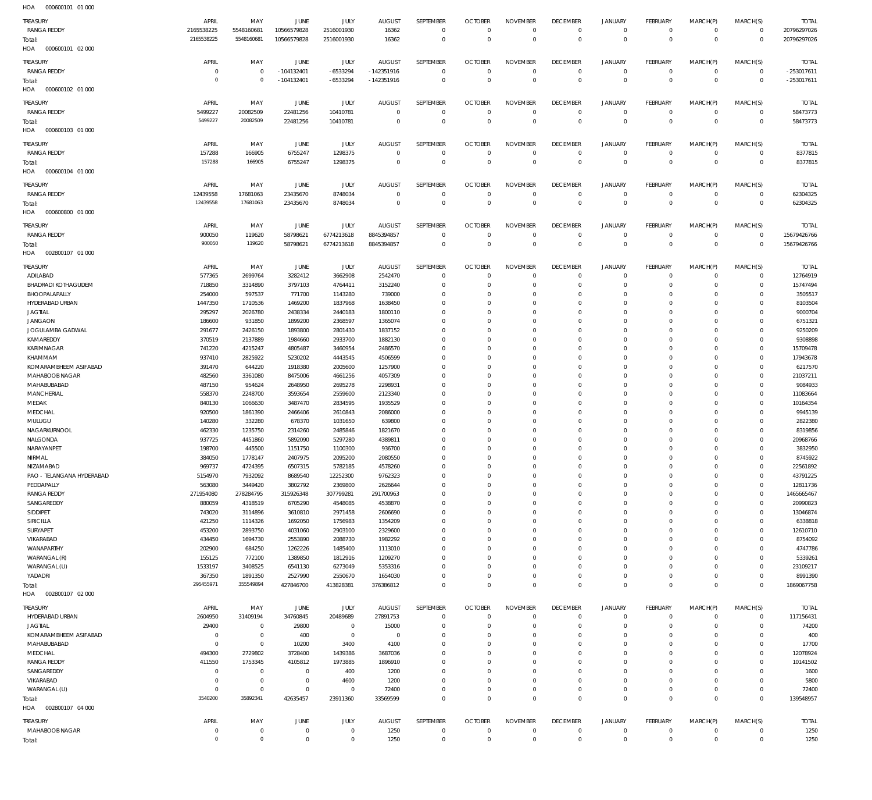| HOA<br>000600101 01 000    |                |                |                |             |                |                  |                |                 |                 |                |                 |              |                |              |
|----------------------------|----------------|----------------|----------------|-------------|----------------|------------------|----------------|-----------------|-----------------|----------------|-----------------|--------------|----------------|--------------|
| <b>TREASURY</b>            | APRIL          | MAY            | <b>JUNE</b>    | JULY        | <b>AUGUST</b>  | SEPTEMBER        | <b>OCTOBER</b> | <b>NOVEMBER</b> | <b>DECEMBER</b> | <b>JANUARY</b> | <b>FEBRUARY</b> | MARCH(P)     | MARCH(S)       | <b>TOTAL</b> |
| <b>RANGA REDDY</b>         | 2165538225     | 5548160681     | 10566579828    | 2516001930  | 16362          | $\mathbf{0}$     | $\overline{0}$ | $\mathbf{0}$    | $\overline{0}$  | $\mathbf 0$    | $\overline{0}$  | $\mathbf{0}$ | $\overline{0}$ | 20796297026  |
|                            | 2165538225     | 5548160681     | 10566579828    | 2516001930  | 16362          | $\mathbf{0}$     | $\mathbb O$    | $\mathbf{0}$    | $\mathbb O$     | $\mathbf{0}$   | $\mathbb O$     | $\mathbf{0}$ | $\overline{0}$ | 20796297026  |
| Total:                     |                |                |                |             |                |                  |                |                 |                 |                |                 |              |                |              |
| 000600101 02 000<br>HOA    |                |                |                |             |                |                  |                |                 |                 |                |                 |              |                |              |
| <b>TREASURY</b>            | APRIL          | MAY            | JUNE           | JULY        | <b>AUGUST</b>  | SEPTEMBER        | <b>OCTOBER</b> | <b>NOVEMBER</b> | <b>DECEMBER</b> | <b>JANUARY</b> | <b>FEBRUARY</b> | MARCH(P)     | MARCH(S)       | <b>TOTAL</b> |
| <b>RANGA REDDY</b>         | $\overline{0}$ | 0              | $-104132401$   | -6533294    | $-142351916$   | $\mathbf{0}$     | $\overline{0}$ | $\mathbf 0$     | $\overline{0}$  | $\mathbf 0$    | $\overline{0}$  | $\mathbf 0$  | $\overline{0}$ | -253017611   |
| Total:                     | $\overline{0}$ | $\mathbf 0$    | $-104132401$   | -6533294    | $-142351916$   | $\mathbf 0$      | $\mathbb O$    | $\mathbf{0}$    | $\mathbb O$     | $\mathbf{0}$   | $\mathbb O$     | $\mathbf{0}$ | $\mathbf 0$    | $-253017611$ |
| 000600102 01 000<br>HOA    |                |                |                |             |                |                  |                |                 |                 |                |                 |              |                |              |
|                            |                |                |                |             |                |                  |                |                 |                 |                |                 |              |                |              |
| <b>TREASURY</b>            | APRIL          | MAY            | <b>JUNE</b>    | JULY        | <b>AUGUST</b>  | SEPTEMBER        | <b>OCTOBER</b> | <b>NOVEMBER</b> | <b>DECEMBER</b> | <b>JANUARY</b> | <b>FEBRUARY</b> | MARCH(P)     | MARCH(S)       | <b>TOTAL</b> |
| <b>RANGA REDDY</b>         | 5499227        | 20082509       | 22481256       | 10410781    | $\mathbf{0}$   | $\mathbf{0}$     | $\overline{0}$ | $\mathbf{0}$    | $\overline{0}$  | $\mathbf{0}$   | $\overline{0}$  | $\mathbf{0}$ | $\overline{0}$ | 58473773     |
| Total:                     | 5499227        | 20082509       | 22481256       | 10410781    | $\mathbf{0}$   | $\mathbf 0$      | $\overline{0}$ | $\Omega$        | $\mathbf{0}$    | $\mathbf 0$    | $\overline{0}$  | $\mathbf 0$  | $\overline{0}$ | 58473773     |
| HOA<br>000600103 01 000    |                |                |                |             |                |                  |                |                 |                 |                |                 |              |                |              |
|                            |                |                |                |             |                |                  |                |                 |                 |                |                 |              |                |              |
| <b>TREASURY</b>            | APRIL          | MAY            | JUNE           | JULY        | <b>AUGUST</b>  | <b>SEPTEMBER</b> | <b>OCTOBER</b> | <b>NOVEMBER</b> | <b>DECEMBER</b> | <b>JANUARY</b> | FEBRUARY        | MARCH(P)     | MARCH(S)       | <b>TOTAL</b> |
| <b>RANGA REDDY</b>         | 157288         | 166905         | 6755247        | 1298375     | $\overline{0}$ | $\mathbf 0$      | $\overline{0}$ | $\mathbf 0$     | $\mathbf 0$     | $\mathbf 0$    | $\overline{0}$  | $\mathbf 0$  | $\overline{0}$ | 8377815      |
| Total:                     | 157288         | 166905         | 6755247        | 1298375     | $\mathbf{0}$   | $\mathbf 0$      | $\mathbb O$    | $\mathbf{0}$    | $\mathbb O$     | $\mathbf{0}$   | $\mathbb O$     | $\mathbf{0}$ | $\overline{0}$ | 8377815      |
| HOA<br>000600104 01 000    |                |                |                |             |                |                  |                |                 |                 |                |                 |              |                |              |
| <b>TREASURY</b>            | APRIL          | MAY            | JUNE           | JULY        | <b>AUGUST</b>  | SEPTEMBER        | <b>OCTOBER</b> | <b>NOVEMBER</b> | <b>DECEMBER</b> | <b>JANUARY</b> | <b>FEBRUARY</b> | MARCH(P)     | MARCH(S)       | <b>TOTAL</b> |
| <b>RANGA REDDY</b>         | 12439558       | 17681063       | 23435670       | 8748034     | $\mathbf{0}$   | $\mathbf{0}$     | $\overline{0}$ | $\mathbf{0}$    | $\overline{0}$  | $\mathbf 0$    | $\overline{0}$  | $\mathbf 0$  | $\overline{0}$ | 62304325     |
|                            | 12439558       | 17681063       | 23435670       | 8748034     | $\Omega$       | $\mathbf 0$      | $\mathbb O$    | $\mathbf 0$     | $\mathbf 0$     | $\mathbf 0$    | $\mathbb O$     | $\Omega$     | $\overline{0}$ | 62304325     |
| Total:                     |                |                |                |             |                |                  |                |                 |                 |                |                 |              |                |              |
| 000600800 01 000<br>HOA    |                |                |                |             |                |                  |                |                 |                 |                |                 |              |                |              |
| <b>TREASURY</b>            | APRIL          | MAY            | JUNE           | JULY        | <b>AUGUST</b>  | SEPTEMBER        | <b>OCTOBER</b> | <b>NOVEMBER</b> | <b>DECEMBER</b> | <b>JANUARY</b> | <b>FEBRUARY</b> | MARCH(P)     | MARCH(S)       | <b>TOTAL</b> |
| <b>RANGA REDDY</b>         | 900050         | 119620         | 58798621       | 6774213618  | 8845394857     | $\mathbf 0$      | $\mathbf 0$    | $\mathbf 0$     | $\mathbf 0$     | $\mathbf 0$    | $\overline{0}$  | $\mathbf 0$  | $\overline{0}$ | 15679426766  |
| Total:                     | 900050         | 119620         | 58798621       | 6774213618  | 8845394857     | $\mathbf 0$      | $\mathbb O$    | $\mathbf 0$     | $\mathbb O$     | $\mathbf 0$    | $\mathbb O$     | $\mathbf 0$  | $\mathbb O$    | 15679426766  |
| 002800107 01 000<br>HOA    |                |                |                |             |                |                  |                |                 |                 |                |                 |              |                |              |
|                            |                |                |                |             |                |                  |                |                 |                 |                |                 |              |                |              |
| <b>TREASURY</b>            | APRIL          | MAY            | JUNE           | JULY        | <b>AUGUST</b>  | SEPTEMBER        | <b>OCTOBER</b> | <b>NOVEMBER</b> | <b>DECEMBER</b> | <b>JANUARY</b> | <b>FEBRUARY</b> | MARCH(P)     | MARCH(S)       | <b>TOTAL</b> |
| ADILABAD                   | 577365         | 2699764        | 3282412        | 3662908     | 2542470        | $\mathbf 0$      | $\mathbf 0$    | $\mathbf 0$     | $\mathbf 0$     | $^{\circ}$     | $\overline{0}$  | $\mathbf 0$  | $\overline{0}$ | 12764919     |
| <b>BHADRADI KOTHAGUDEM</b> | 718850         | 3314890        | 3797103        | 4764411     | 3152240        | $\mathbf 0$      | $\overline{0}$ | $\Omega$        | $\Omega$        | $\mathbf 0$    | $\overline{0}$  | $\Omega$     | $\overline{0}$ | 15747494     |
| BHOOPALAPALLY              | 254000         | 597537         | 771700         | 1143280     | 739000         | $\mathbf 0$      | $\overline{0}$ | $\Omega$        | $^{\circ}$      | $\mathbf 0$    | $^{\circ}$      | $\Omega$     | $\mathbf 0$    | 3505517      |
| HYDERABAD URBAN            | 1447350        | 1710536        | 1469200        | 1837968     | 1638450        | $\mathbf 0$      | $\mathbf 0$    | $\Omega$        | $\mathbf 0$     | 0              | $^{\circ}$      | $\Omega$     | $\mathbf 0$    | 8103504      |
| <b>JAGTIAL</b>             | 295297         | 2026780        | 2438334        | 2440183     | 1800110        | $\mathbf 0$      | $\mathbf 0$    | $\Omega$        | $\mathbf{0}$    | 0              | $\mathbf{0}$    | $\Omega$     | $\mathbf{0}$   | 9000704      |
| <b>JANGAON</b>             | 186600         | 931850         | 1899200        | 2368597     | 1365074        | $\Omega$         | $\mathbf 0$    | $\Omega$        | $\mathbf 0$     | 0              | $\overline{0}$  | $\Omega$     | $\mathbf 0$    | 6751321      |
| JOGULAMBA GADWAL           | 291677         | 2426150        | 1893800        | 2801430     | 1837152        | $\Omega$         | $\mathbf{0}$   | $\Omega$        | $\mathbf{0}$    | 0              | $\mathbf{0}$    | $\Omega$     | $\mathbf{0}$   | 9250209      |
| KAMAREDDY                  | 370519         | 2137889        | 1984660        | 2933700     | 1882130        | $\mathbf 0$      | $\mathbf 0$    | $\Omega$        | $\mathbf 0$     | 0              | $\overline{0}$  | $\Omega$     | $\mathbf{0}$   | 9308898      |
| KARIMNAGAR                 | 741220         | 4215247        | 4805487        | 3460954     | 2486570        | $\Omega$         | $\mathbf{0}$   | $\Omega$        | $\mathbf 0$     | 0              | $\mathbf{0}$    | $\Omega$     | $\mathbf{0}$   | 15709478     |
| KHAMMAM                    | 937410         | 2825922        | 5230202        | 4443545     | 4506599        | $\mathbf 0$      | $\mathbf{0}$   | $\Omega$        | $\mathbf 0$     | 0              | $\mathbf{0}$    | $\Omega$     | $\mathbf{0}$   | 17943678     |
| KOMARAMBHEEM ASIFABAD      |                |                |                |             |                | $\Omega$         | $\overline{0}$ | $\Omega$        | $\mathbf 0$     | 0              | $\mathbf{0}$    | $\Omega$     | $\mathbf{0}$   |              |
|                            | 391470         | 644220         | 1918380        | 2005600     | 1257900        |                  |                | $\Omega$        |                 |                |                 |              |                | 6217570      |
| MAHABOOB NAGAR             | 482560         | 3361080        | 8475006        | 4661256     | 4057309        | $\mathbf 0$      | $\mathbf{0}$   |                 | $\mathbf 0$     | 0              | $\mathbf{0}$    | $\Omega$     | $\mathbf{0}$   | 21037211     |
| MAHABUBABAD                | 487150         | 954624         | 2648950        | 2695278     | 2298931        | $\mathbf 0$      | $\mathbf{0}$   | $\Omega$        | $\mathbf{0}$    | 0              | $\mathbf{0}$    | $\Omega$     | $\mathbf{0}$   | 9084933      |
| MANCHERIAL                 | 558370         | 2248700        | 3593654        | 2559600     | 2123340        | $\Omega$         | $\mathbf 0$    | $\Omega$        | $\Omega$        | 0              | $\mathbf{0}$    | $\Omega$     | $\mathbf{0}$   | 11083664     |
| MEDAK                      | 840130         | 1066630        | 3487470        | 2834595     | 1935529        | $\mathbf 0$      | $\mathbf{0}$   | $\Omega$        | $\mathbf{0}$    | $\mathbf 0$    | $\mathbf{0}$    | $\Omega$     | $\mathbf{0}$   | 10164354     |
| MEDCHAL                    | 920500         | 1861390        | 2466406        | 2610843     | 2086000        | $\mathbf 0$      | $\mathbf 0$    | $\Omega$        | $\mathbf 0$     | 0              | $\overline{0}$  | $\Omega$     | $\mathbf 0$    | 9945139      |
| MULUGU                     | 140280         | 332280         | 678370         | 1031650     | 639800         | $\Omega$         | $\mathbf{0}$   | $\Omega$        | $\mathbf{0}$    | 0              | $\mathbf{0}$    | $\Omega$     | $\mathbf{0}$   | 2822380      |
| NAGARKURNOOL               | 462330         | 1235750        | 2314260        | 2485846     | 1821670        | $\mathbf 0$      | $\mathbf 0$    | $\Omega$        | $\mathbf 0$     | 0              | $\mathbf{0}$    | $\Omega$     | $\mathbf{0}$   | 8319856      |
| NALGONDA                   | 937725         | 4451860        | 5892090        | 5297280     | 4389811        | $\Omega$         | $\mathbf{0}$   | $\Omega$        | $\mathbf{0}$    | $\Omega$       | $\mathbf{0}$    | $\Omega$     | $\Omega$       | 20968766     |
| NARAYANPET                 | 198700         | 445500         | 1151750        | 1100300     | 936700         | $\Omega$         | $\Omega$       | $\Omega$        | $\mathbf{0}$    | $\Omega$       | $\Omega$        | $\Omega$     | $\mathbf{0}$   | 3832950      |
| NIRMAL                     | 384050         | 1778147        | 2407975        | 2095200     | 2080550        | $\Omega$         | $\Omega$       | $\Omega$        | $\Omega$        | $\Omega$       | $\Omega$        | 0            | $\mathbf 0$    | 8745922      |
| NIZAMABAD                  | 969737         | 4724395        | 6507315        | 5782185     | 4578260        | $\mathbf 0$      | $\mathbf{0}$   | $\mathbf 0$     | $\mathbf 0$     | $\mathbf 0$    | $\mathbf{0}$    | $\Omega$     | $\mathbf{0}$   | 22561892     |
| PAO - TELANGANA HYDERABAD  | 5154970        | 7932092        | 8689540        | 12252300    | 9762323        | $\mathbf 0$      | $\mathbf{0}$   | $\mathbf 0$     | $\mathbf{0}$    | $\mathbf 0$    | $\mathbf{0}$    | $\mathbf 0$  | $\mathbf{0}$   | 43791225     |
| PEDDAPALLY                 | 563080         | 3449420        | 3802792        | 2369800     | 2626644        | $\mathbf 0$      | $\mathbf 0$    | $\Omega$        | $\mathbf 0$     | 0              | $\mathbf{0}$    | $\Omega$     | $\mathbf{0}$   | 12811736     |
| <b>RANGA REDDY</b>         | 271954080      | 278284795      | 315926348      | 307799281   | 291700963      | $\mathbf 0$      | $\mathbf{0}$   | $\Omega$        | $\mathbf{0}$    | 0              | $\mathbf{0}$    | $\Omega$     | $\overline{0}$ | 1465665467   |
| SANGAREDDY                 | 880059         | 4318519        | 6705290        | 4548085     | 4538870        | $\mathbf 0$      | $\mathbf 0$    | $\Omega$        | $\mathbf 0$     | 0              | $\mathbf 0$     | $\Omega$     | $\mathbf 0$    | 20990823     |
| SIDDIPET                   | 743020         | 3114896        | 3610810        | 2971458     | 2606690        | $\mathbf 0$      |                |                 |                 |                |                 |              |                | 13046874     |
| SIRICILLA                  |                |                |                |             |                |                  | $\mathbf{0}$   | $\Omega$        | $\mathbf{0}$    | 0              | $\mathbf{0}$    | $\Omega$     | $\Omega$       |              |
| SURYAPET                   |                |                |                |             |                | $\mathbf 0$      | $\mathbf 0$    | $\Omega$        | $\mathbf 0$     | 0              | $\mathbf 0$     | $\Omega$     | $\mathbf 0$    |              |
|                            | 421250         | 1114326        | 1692050        | 1756983     | 1354209        | $\Omega$         | $\mathbf 0$    | $\Omega$        | $\mathbf 0$     | 0              | $\mathbf{0}$    | $\Omega$     | $\Omega$       | 6338818      |
|                            | 453200         | 2893750        | 4031060        | 2903100     | 2329600        | $\mathbf 0$      | $\mathbf 0$    | $\Omega$        | $\mathbf 0$     | 0              | $\overline{0}$  | $\Omega$     | $\mathbf 0$    | 12610710     |
| VIKARABAD                  | 434450         | 1694730        | 2553890        | 2088730     | 1982292        |                  |                |                 |                 |                |                 |              |                | 8754092      |
| WANAPARTHY                 | 202900         | 684250         | 1262226        | 1485400     | 1113010        | $\Omega$         | $\mathbf 0$    | $\Omega$        | $\mathbf 0$     | 0              | $\mathbf 0$     | $\Omega$     | $\Omega$       | 4747786      |
| WARANGAL (R)               | 155125         | 772100         | 1389850        | 1812916     | 1209270        | $\Omega$         | $\mathbf 0$    | $\Omega$        | $\mathbf 0$     | 0              | $\overline{0}$  | $\Omega$     | $\mathbf 0$    | 5339261      |
| WARANGAL (U)               | 1533197        | 3408525        | 6541130        | 6273049     | 5353316        | $\mathbf 0$      | $\mathbf{0}$   | $\mathbf 0$     | $\mathbf{0}$    | 0              | $\mathbf{0}$    | $\Omega$     | $\mathbf{0}$   | 23109217     |
| YADADRI                    | 367350         | 1891350        | 2527990        | 2550670     | 1654030        | $\mathbf 0$      | $\mathbf 0$    | $\mathbf 0$     | $\mathbf{0}$    | 0              | $\mathbf{0}$    | $\Omega$     | $\mathbf{0}$   | 8991390      |
| Total:                     | 295455971      | 355549894      | 427846700      | 413828381   | 376386812      | $\Omega$         | $\mathbf{0}$   | $\mathbf 0$     | $\mathbf{0}$    | $\mathbf 0$    | $\overline{0}$  | $\Omega$     | $\mathbf{0}$   | 1869067758   |
| 002800107 02 000<br>HOA    |                |                |                |             |                |                  |                |                 |                 |                |                 |              |                |              |
| <b>TREASURY</b>            | APRIL          | MAY            | JUNE           | JULY        | <b>AUGUST</b>  | SEPTEMBER        | <b>OCTOBER</b> | <b>NOVEMBER</b> | <b>DECEMBER</b> | <b>JANUARY</b> | FEBRUARY        | MARCH(P)     | MARCH(S)       | <b>TOTAL</b> |
| HYDERABAD URBAN            | 2604950        | 31409194       | 34760845       | 20489689    | 27891753       | $\mathbf 0$      | $\overline{0}$ | $\mathbf{0}$    | $\mathbf{0}$    | $\mathbf 0$    | $\overline{0}$  | $\mathbf 0$  | $\overline{0}$ | 117156431    |
| <b>JAGTIAL</b>             | 29400          | $\overline{0}$ | 29800          | $\mathbf 0$ | 15000          | 0                | $\mathbf{0}$   | $\mathbf 0$     | $\mathbf{0}$    | 0              | $\overline{0}$  | $\mathbf 0$  | $\overline{0}$ | 74200        |
|                            |                | $\mathbf 0$    |                | $\mathbf 0$ |                | $\mathbf 0$      | $\overline{0}$ | 0               | $\mathbf{0}$    | 0              | $\overline{0}$  | 0            | $\mathbf{0}$   |              |
| KOMARAMBHEEM ASIFABAD      | $\overline{0}$ | $\mathbf{0}$   | 400            |             | $\overline{0}$ | $\mathbf 0$      | $\overline{0}$ | $\Omega$        | $\mathbf 0$     | 0              | $\overline{0}$  | $\Omega$     | $\mathbf{0}$   | 400          |
| MAHABUBABAD                | $\overline{0}$ |                | 10200          | 3400        | 4100           |                  |                |                 |                 |                |                 | $\Omega$     |                | 17700        |
| MEDCHAL                    | 494300         | 2729802        | 3728400        | 1439386     | 3687036        | $\mathbf 0$      | $\overline{0}$ | 0               | $\mathbf 0$     | 0              | $\overline{0}$  |              | $\mathbf{0}$   | 12078924     |
| <b>RANGA REDDY</b>         | 411550         | 1753345        | 4105812        | 1973885     | 1896910        | $\mathbf 0$      | $\overline{0}$ | $\Omega$        | $\mathbf 0$     | 0              | $\overline{0}$  | $\Omega$     | $\mathbf{0}$   | 10141502     |
| SANGAREDDY                 | $\overline{0}$ | $\mathbf 0$    | $\overline{0}$ | 400         | 1200           | $\mathbf 0$      | $\mathbf 0$    | $\mathbf 0$     | $\mathbf{0}$    | 0              | $\overline{0}$  | $\Omega$     | $\Omega$       | 1600         |
| VIKARABAD                  | $\overline{0}$ | $\mathbf 0$    | $\overline{0}$ | 4600        | 1200           | $\mathbf 0$      | $\overline{0}$ | 0               | $\mathbf{0}$    | 0              | $\overline{0}$  | $\Omega$     | $\mathbf{0}$   | 5800         |
| WARANGAL (U)               | $\overline{0}$ | $\mathbf 0$    | $\overline{0}$ | $\mathbf 0$ | 72400          | $\mathbf 0$      | $\mathbf 0$    | $\mathbf 0$     | $\mathbf{0}$    | 0              | $\mathbf{0}$    | 0            | $\mathbf{0}$   | 72400        |
| Total:                     | 3540200        | 35892341       | 42635457       | 23911360    | 33569599       | $\mathbf 0$      | $\Omega$       | $\mathbf 0$     | $\overline{0}$  | $\mathbf 0$    | $\overline{0}$  | $\Omega$     | $\overline{0}$ | 139548957    |
| 002800107 04 000<br>HOA    |                |                |                |             |                |                  |                |                 |                 |                |                 |              |                |              |
| TREASURY                   | APRIL          | MAY            | JUNE           | JULY        | <b>AUGUST</b>  | SEPTEMBER        | <b>OCTOBER</b> | <b>NOVEMBER</b> | <b>DECEMBER</b> | <b>JANUARY</b> | <b>FEBRUARY</b> | MARCH(P)     | MARCH(S)       | <b>TOTAL</b> |
| MAHABOOB NAGAR             | $\mathbf 0$    | $\bf 0$        | $\overline{0}$ | 0           | 1250           | $\bf 0$          | $\mathbf 0$    | 0               | $\mathbf 0$     | $\bf 0$        | $\mathbf 0$     | $\mathbf 0$  | $\mathbf 0$    | 1250         |
| Total:                     | $\mathbf 0$    | $\mathbf 0$    | $\overline{0}$ | $\mathbf 0$ | 1250           | $\mathbf 0$      | $\mathbf{0}$   | $\mathbf 0$     | $\overline{0}$  | $\mathbf 0$    | $\overline{0}$  | $\mathbf 0$  | $\mathbf{0}$   | 1250         |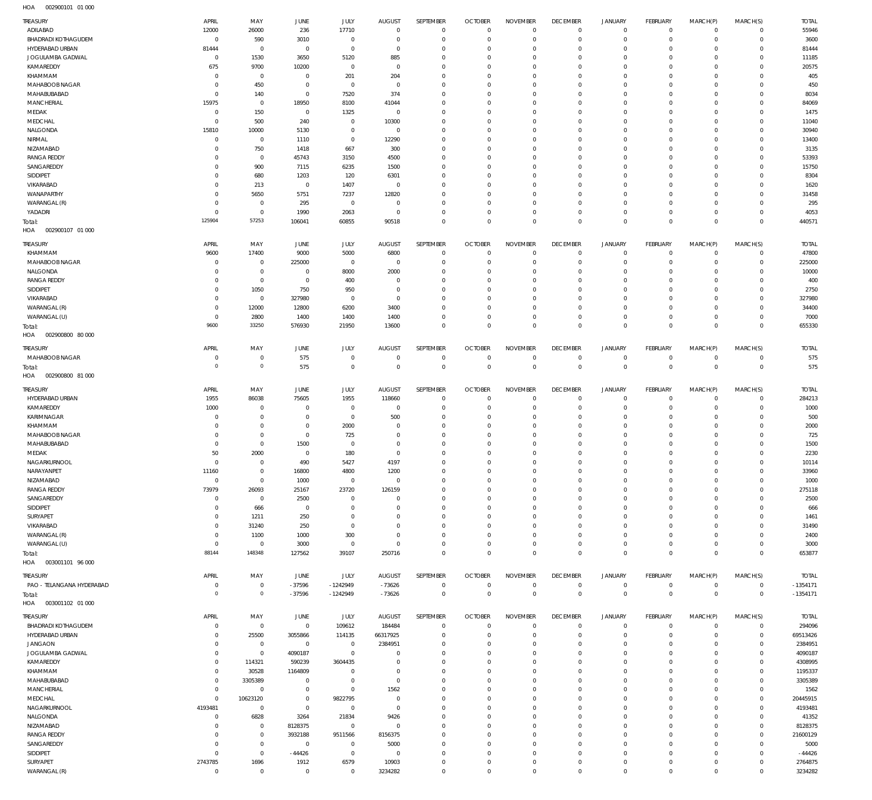| <b>TREASURY</b>            | APRIL                  | MAY             | JUNE                | JULY         | <b>AUGUST</b>  | SEPTEMBER    | <b>OCTOBER</b> | <b>NOVEMBER</b> | <b>DECEMBER</b> | <b>JANUARY</b>      | FEBRUARY       | MARCH(P)            | MARCH(S)       | <b>TOTAL</b> |
|----------------------------|------------------------|-----------------|---------------------|--------------|----------------|--------------|----------------|-----------------|-----------------|---------------------|----------------|---------------------|----------------|--------------|
| ADILABAD                   | 12000                  | 26000           | 236                 | 17710        | $^{\circ}$     | $\mathbf 0$  | $\circ$        | $\circ$         | $\mathbf 0$     | $\mathsf{O}\xspace$ | $\overline{0}$ | $\mathbf 0$         | $\circ$        | 55946        |
| <b>BHADRADI KOTHAGUDEM</b> | 0                      | 590             | 3010                | $\mathbf 0$  | 0              | $\mathbf 0$  | $^{\circ}$     | $\mathbf 0$     | $^{\circ}$      | $\mathsf{O}\xspace$ | $\mathbf 0$    | $\mathbf 0$         | $\mathbf{0}$   | 3600         |
| HYDERABAD URBAN            | 81444                  | $\,0\,$         | $\mathbf 0$         | $\mathbf 0$  | $^{\circ}$     | $\mathbf 0$  | $^{\circ}$     | $\mathbf 0$     | $\overline{0}$  | $\mathsf{O}\xspace$ | $\mathbf 0$    | $\mathbf 0$         | $\mathbf 0$    | 81444        |
| JOGULAMBA GADWAL           | $^{\circ}$             | 1530            | 3650                | 5120         | 885            | $\mathbf 0$  | $^{\circ}$     | $\mathbf 0$     | $^{\circ}$      | $\mathbf 0$         | $\mathbf 0$    | $\Omega$            | $\mathbf{0}$   | 11185        |
| KAMAREDDY                  | 675                    | 9700            | 10200               | $\mathbf 0$  | $\mathbf 0$    | $\mathbf 0$  | $^{\circ}$     | $^{\circ}$      | $^{\circ}$      | $\mathsf{O}\xspace$ | $\mathbf 0$    | $\mathbf 0$         | $\mathbf{0}$   | 20575        |
| KHAMMAM                    | $\Omega$               | $\,0\,$         | $\mathbf{0}$        | 201          | 204            | $\mathbf 0$  | $^{\circ}$     | $^{\circ}$      | $^{\circ}$      | $\mathbf 0$         | $\mathbf 0$    | $\Omega$            | $\mathbf 0$    | 405          |
| MAHABOOB NAGAR             | $\Omega$               | 450             | $^{\circ}$          | $\mathbf 0$  | $^{\circ}$     | $\mathbf 0$  | $^{\circ}$     | $^{\circ}$      | $^{\circ}$      | $\mathbf 0$         | $\mathbf 0$    | $\mathbf 0$         | $\mathbf{0}$   | 450          |
| MAHABUBABAD                | 0                      | 140             | $\mathbf{0}$        | 7520         | 374            | $\mathbf 0$  | $^{\circ}$     | $^{\circ}$      | $^{\circ}$      | $\mathbf 0$         | $\mathbf 0$    | $\Omega$            | $\mathbf 0$    | 8034         |
| <b>MANCHERIAL</b>          | 15975                  | $\,0\,$         | 18950               | 8100         | 41044          | $\mathbf 0$  | $^{\circ}$     | $^{\circ}$      | $^{\circ}$      | $\mathbf 0$         | $\mathbf 0$    | $\Omega$            | $\mathbf 0$    | 84069        |
|                            |                        |                 |                     |              |                |              |                |                 |                 |                     |                |                     |                |              |
| MEDAK                      | 0                      | 150             | $\mathbf 0$         | 1325         | $\mathbf 0$    | $\mathbf 0$  | $^{\circ}$     | $^{\circ}$      | $^{\circ}$      | $\mathbf 0$         | $\mathbf 0$    | $\Omega$            | $\mathbf 0$    | 1475         |
| MEDCHAL                    | $\mathsf{C}$           | 500             | 240                 | $\mathbf 0$  | 10300          | $\mathbf 0$  | $^{\circ}$     | $^{\circ}$      | $^{\circ}$      | $\mathbf 0$         | $\mathbf 0$    | $\Omega$            | $\mathbf 0$    | 11040        |
| NALGONDA                   | 15810                  | 10000           | 5130                | $\mathbf 0$  | $\mathbf 0$    | $\mathbf 0$  | $^{\circ}$     | $^{\circ}$      | $^{\circ}$      | $\mathbf 0$         | $\mathbf 0$    | $\mathbf 0$         | $\mathbf 0$    | 30940        |
| NIRMAL                     | $^{\circ}$             | $\,0\,$         | 1110                | $\mathbf 0$  | 12290          | $\mathbf 0$  | $^{\circ}$     | $^{\circ}$      | $^{\circ}$      | $\mathbf 0$         | $\mathbf 0$    | $\Omega$            | $\mathbf 0$    | 13400        |
| NIZAMABAD                  | $\Omega$               | 750             | 1418                | 667          | 300            | $\mathbf 0$  | $^{\circ}$     | $^{\circ}$      | $^{\circ}$      | $\mathbf 0$         | $\mathbf 0$    | $\mathbf 0$         | $\mathbf{0}$   | 3135         |
| <b>RANGA REDDY</b>         | $\Omega$               | $\,0\,$         | 45743               | 3150         | 4500           | $\mathbf 0$  | $^{\circ}$     | $^{\circ}$      | $^{\circ}$      | $\mathbf 0$         | $\mathbf 0$    | $\Omega$            | $\mathbf 0$    | 53393        |
| SANGAREDDY                 | $\Omega$               | 900             | 7115                | 6235         | 1500           | $\mathbf 0$  | $^{\circ}$     | $^{\circ}$      | $^{\circ}$      | $\mathbf 0$         | $\mathbf 0$    | $\Omega$            | $\mathbf 0$    | 15750        |
| SIDDIPET                   | $\Omega$               | 680             | 1203                | 120          | 6301           | $\mathbf 0$  | $^{\circ}$     | $^{\circ}$      | $^{\circ}$      | $\mathbf 0$         | $\mathbf 0$    | $\Omega$            | $\mathbf 0$    | 8304         |
| VIKARABAD                  | $\Omega$               | 213             | $\mathbf 0$         | 1407         | $\overline{0}$ | $\mathbf 0$  | $^{\circ}$     | $^{\circ}$      | $^{\circ}$      | $\mathbf 0$         | $\mathbf 0$    | $\Omega$            | $\mathbf 0$    | 1620         |
|                            |                        |                 |                     |              |                | $\mathbf 0$  |                |                 |                 | $\mathbf 0$         | $\mathbf 0$    |                     | $\mathbf 0$    |              |
| WANAPARTHY                 | $\Omega$               | 5650            | 5751                | 7237         | 12820          |              | $^{\circ}$     | $^{\circ}$      | $^{\circ}$      |                     |                | $\mathbf 0$         |                | 31458        |
| WARANGAL (R)               | -C                     | $\,0\,$         | 295                 | $\mathbf 0$  | $\overline{0}$ | $\mathbf 0$  | $^{\circ}$     | $\mathbf 0$     | $^{\circ}$      | $\mathbf 0$         | $\mathbf 0$    | $\Omega$            | $\mathbf 0$    | 295          |
| YADADRI                    | $\Omega$               | $\,0\,$         | 1990                | 2063         | $\overline{0}$ | $\mathbf 0$  | $^{\circ}$     | $\mathbf 0$     | $^{\circ}$      | $\mathsf{O}\xspace$ | $\mathbf 0$    | $\mathbf 0$         | $\mathbf{0}$   | 4053         |
| Total:                     | 125904                 | 57253           | 106041              | 60855        | 90518          | $\mathbf 0$  | $^{\circ}$     | $\mathbf 0$     | $\mathbf 0$     | $\mathbb O$         | $\mathbf 0$    | $\mathbf 0$         | $\mathbf 0$    | 440571       |
| HOA<br>002900107 01 000    |                        |                 |                     |              |                |              |                |                 |                 |                     |                |                     |                |              |
|                            |                        |                 |                     |              |                |              |                |                 |                 |                     |                |                     |                |              |
| TREASURY                   | APRIL                  | MAY             | JUNE                | JULY         | <b>AUGUST</b>  | SEPTEMBER    | <b>OCTOBER</b> | <b>NOVEMBER</b> | <b>DECEMBER</b> | JANUARY             | FEBRUARY       | MARCH(P)            | MARCH(S)       | <b>TOTAL</b> |
| KHAMMAM                    | 9600                   | 17400           | 9000                | 5000         | 6800           | $\mathbf{0}$ | $^{\circ}$     | $^{\circ}$      | $\mathbf 0$     | $\mathbf 0$         | $\mathbf 0$    | $\mathbf 0$         | $^{\circ}$     | 47800        |
| MAHABOOB NAGAR             | $\Omega$               | $\mathbf 0$     | 225000              | $\mathbf 0$  | $\circ$        | $\mathbf 0$  | $^{\circ}$     | $\mathbf 0$     | $\mathbf 0$     | $\mathbf 0$         | $\mathbf 0$    | $\mathbf 0$         | $\mathbf{0}$   | 225000       |
| NALGONDA                   | $\Omega$               | $\,0\,$         | $^{\circ}$          | 8000         | 2000           | $\mathbf{0}$ | 0              | $^{\circ}$      | $^{\circ}$      | $\mathbf 0$         | $\mathbf 0$    | $\Omega$            | $\circ$        | 10000        |
| <b>RANGA REDDY</b>         | $\Omega$               | $\,0\,$         | $^{\circ}$          | 400          | 0              | $\mathbf{0}$ | 0              | $\mathbf 0$     | $\mathbf 0$     | $\mathbf 0$         | $\mathbf 0$    | $\Omega$            | $\mathbf 0$    | 400          |
| SIDDIPET                   | $\Omega$               | 1050            | 750                 | 950          | $\Omega$       | $\mathbf 0$  | $\Omega$       | $^{\circ}$      | 0               | $\mathbf 0$         | $\mathbf 0$    | $\Omega$            | $\circ$        | 2750         |
| VIKARABAD                  | $\Omega$               | $\,0\,$         | 327980              | $\mathbf{0}$ | $\circ$        | $\mathbf 0$  | $^{\circ}$     | $\mathbf 0$     | $\mathbf 0$     | $\mathbf 0$         | $\Omega$       | $\Omega$            | $\mathbf 0$    | 327980       |
| WARANGAL (R)               | $\Omega$               | 12000           | 12800               | 6200         | 3400           | $\mathbf{0}$ | 0              | $^{\circ}$      | $\mathbf 0$     | $\mathbf 0$         | $\mathbf 0$    | $\Omega$            | $\mathbf 0$    | 34400        |
|                            |                        |                 |                     |              |                |              |                |                 |                 |                     |                |                     |                |              |
| WARANGAL (U)               | $\Omega$               | 2800            | 1400                | 1400         | 1400           | $\mathbf 0$  | $^{\circ}$     | $\mathbf 0$     | $\mathbf 0$     | $\mathbf 0$         | $\mathbf 0$    | $\mathbf 0$         | $\mathbf 0$    | 7000         |
| Total:                     | 9600                   | 33250           | 576930              | 21950        | 13600          | $\mathbf 0$  | $\mathbf 0$    | $\mathbf 0$     | $\mathbf 0$     | $\mathbf 0$         | $\mathbf 0$    | $\Omega$            | $\mathbf 0$    | 655330       |
| HOA<br>002900800 80 000    |                        |                 |                     |              |                |              |                |                 |                 |                     |                |                     |                |              |
| TREASURY                   | APRIL                  | MAY             | JUNE                | JULY         | <b>AUGUST</b>  | SEPTEMBER    | <b>OCTOBER</b> | <b>NOVEMBER</b> | <b>DECEMBER</b> | <b>JANUARY</b>      | FEBRUARY       | MARCH(P)            | MARCH(S)       | <b>TOTAL</b> |
| MAHABOOB NAGAR             | C                      | $\,0\,$         | 575                 | $\mathbf 0$  | $\overline{0}$ | $\mathbf 0$  | $^{\circ}$     | 0               | $\overline{0}$  | $\mathbf 0$         | $\overline{0}$ | $\mathbf 0$         | $\circ$        | 575          |
|                            |                        |                 |                     |              |                |              |                |                 |                 |                     |                |                     |                |              |
| Total:                     | $\circ$                | $\circ$         | 575                 | $\mathbf 0$  | $^{\circ}$     | $\mathbf 0$  | $\mathbf 0$    | $\mathbb O$     | $\mathbf 0$     | $\mathbb O$         | $\overline{0}$ | $\mathbf 0$         | $\overline{0}$ | 575          |
| HOA<br>002900800 81 000    |                        |                 |                     |              |                |              |                |                 |                 |                     |                |                     |                |              |
| TREASURY                   | APRIL                  | MAY             | JUNE                | JULY         | <b>AUGUST</b>  | SEPTEMBER    | <b>OCTOBER</b> | <b>NOVEMBER</b> | <b>DECEMBER</b> | <b>JANUARY</b>      | FEBRUARY       | MARCH(P)            | MARCH(S)       | <b>TOTAL</b> |
|                            |                        |                 |                     |              |                |              |                |                 |                 |                     |                |                     |                |              |
| HYDERABAD URBAN            | 1955                   | 86038           | 75605               | 1955         | 118660         | $\mathbf 0$  | $^{\circ}$     | $^{\circ}$      | $\overline{0}$  | 0                   | $\mathbf 0$    | $\mathbf 0$         | 0              | 284213       |
| KAMAREDDY                  | 1000                   | $\overline{0}$  | $^{\circ}$          | $\mathbf{0}$ | $^{\circ}$     | $\mathbf 0$  | $^{\circ}$     | $\mathbf 0$     | $\mathbf 0$     | $\mathbf 0$         | $\mathbf 0$    | $\mathbf 0$         | $\mathbf{0}$   | 1000         |
| KARIMNAGAR                 | $\Omega$               | $\,0\,$         | $^{\circ}$          | $\mathbf 0$  | 500            | $\mathbf{0}$ | 0              | $^{\circ}$      | $^{\circ}$      | 0                   | $\mathbf 0$    | $\Omega$            | $\mathbf 0$    | 500          |
| KHAMMAM                    | $\Omega$               | $\mathbb O$     | $\overline{0}$      | 2000         | $\Omega$       | $\mathbf{0}$ | 0              | $^{\circ}$      | $^{\circ}$      | $\mathbf 0$         | $\mathbf 0$    | $\Omega$            | $\mathbf 0$    | 2000         |
| MAHABOOB NAGAR             | $\Omega$               | $\,0\,$         | $^{\circ}$          | 725          | 0              | $\mathbf{0}$ | 0              | $^{\circ}$      | $^{\circ}$      | $\mathbf 0$         | $\mathbf 0$    | $\Omega$            | $\mathbf 0$    | 725          |
| MAHABUBABAD                | $\Omega$               | $\mathbb O$     | 1500                | $^{\circ}$   | $\Omega$       | $\mathbf 0$  | 0              | $\mathbf 0$     | $\mathbf 0$     | $\Omega$            | $\Omega$       | $\Omega$            | $\mathbf 0$    | 1500         |
| MEDAK                      | 50                     | 2000            | $\mathbb O$         | 180          | $\Omega$       | $\mathbf{0}$ | $\Omega$       | $\Omega$        | $\Omega$        | $\Omega$            | $\Omega$       | $\Omega$            | $\mathbf{0}$   | 2230         |
|                            | $\Omega$               | $\Omega$        | 490                 |              | 4197           | $\Omega$     | $\Omega$       | $\Omega$        | $\Omega$        |                     | $\Omega$       |                     |                |              |
| NAGARKURNOOI               |                        |                 |                     | 5427         |                |              |                |                 |                 | $\mathsf{O}\xspace$ |                | $\mathsf{O}\xspace$ | $\mathbf 0$    | 10114        |
| NARAYANPET                 | 11160                  | $\,0\,$         | 16800               | 4800         | 1200           | $\mathbf 0$  | $\mathbf 0$    | $\mathbf 0$     | $\mathbf 0$     | $\mathbf 0$         | $\mathbf 0$    | $\mathbf 0$         | $\mathbf 0$    | 33960        |
| NIZAMABAD                  | $^{\circ}$             | $\,0\,$         | 1000                | $\mathbf 0$  | $^{\circ}$     | $\mathbf 0$  | $\mathbf 0$    | $\mathbf 0$     | $\mathbf 0$     | $\mathbf 0$         | $\mathbf 0$    | $\mathbf 0$         | $\mathbf 0$    | 1000         |
| <b>RANGA REDDY</b>         | 73979                  | 26093           | 25167               | 23720        | 126159         | $\mathbf{0}$ | $^{\circ}$     | $\mathbf 0$     | $\mathbf 0$     | $\mathbf 0$         | $\mathbf 0$    | $\Omega$            | $\mathbf 0$    | 275118       |
| SANGAREDDY                 | $^{\circ}$             | $\,0\,$         | 2500                | $\mathbf{0}$ | $\circ$        | $\mathbf 0$  | $\mathbf 0$    | $\mathbf 0$     | $\mathbf 0$     | $\mathbf 0$         | $\mathbf 0$    | $\Omega$            | $\mathbf 0$    | 2500         |
| SIDDIPET                   | $\Omega$               | 666             | $\,0\,$             | $^{\circ}$   | 0              | $\mathbf{0}$ | 0              | $\mathbf 0$     | $\mathbf 0$     | $\mathbf 0$         | $\mathbf 0$    | $\Omega$            | $\mathbf 0$    | 666          |
| SURYAPET                   | $\overline{0}$         | 1211            | 250                 | $\mathbf 0$  | $\Omega$       | $\mathbf 0$  | $\mathbf 0$    | $\mathbf 0$     | $\mathbf 0$     | $\mathbf 0$         | $\mathbf 0$    | $\Omega$            | $\mathbf 0$    | 1461         |
| VIKARABAD                  | $\Omega$               | 31240           | 250                 | $\mathbf 0$  | $\Omega$       | $\mathbf{0}$ | 0              | $\mathbf 0$     | $\mathbf 0$     | $\mathbf 0$         | $\mathbf 0$    | $\Omega$            | $\mathbf 0$    | 31490        |
|                            |                        |                 |                     |              |                |              |                |                 |                 |                     |                |                     |                |              |
| WARANGAL (R)               | $^{\circ}$             | 1100            | 1000                | 300          | $^{\circ}$     | $\mathbf 0$  | $\mathbf 0$    | $\mathbf 0$     | $\mathbf 0$     | $\mathbf 0$         | $\mathbf 0$    | $\Omega$            | $\mathbf 0$    | 2400         |
| WARANGAL (U)               | $\overline{0}$         | $\,0\,$         | 3000                | $\mathbf 0$  | $\mathbf{0}$   | $\mathbf 0$  | $\mathbf 0$    | $\mathbf 0$     | $\mathbf 0$     | $\mathsf{O}\xspace$ | $\mathbf 0$    | $\mathbf 0$         | $\mathbf 0$    | 3000         |
| Total:                     | 88144                  | 148348          | 127562              | 39107        | 250716         | $\mathbf 0$  | $\mathbf 0$    | $\mathbf 0$     | $\mathbf 0$     | $\mathbf 0$         | $\Omega$       | $\mathbf 0$         | $\mathbf 0$    | 653877       |
| HOA<br>003001101 96 000    |                        |                 |                     |              |                |              |                |                 |                 |                     |                |                     |                |              |
| TREASURY                   | APRIL                  | MAY             | JUNE                | <b>JULY</b>  | <b>AUGUST</b>  | SEPTEMBER    | <b>OCTOBER</b> | <b>NOVEMBER</b> | <b>DECEMBER</b> | JANUARY             | FEBRUARY       | MARCH(P)            | MARCH(S)       | <b>TOTAL</b> |
| PAO - TELANGANA HYDERABAD  | 0                      | $\,0\,$         | $-37596$            | $-1242949$   | $-73626$       | $\mathbf 0$  | $\mathbf 0$    | $\mathbb O$     | $\overline{0}$  | $\mathsf{O}\xspace$ | $\overline{0}$ | $\overline{0}$      | $\overline{0}$ | $-1354171$   |
|                            | $\Omega$               | $\circ$         |                     |              |                |              |                |                 |                 |                     |                |                     |                |              |
| Total:                     |                        |                 | $-37596$            | $-1242949$   | $-73626$       | $\mathbf 0$  | $\overline{0}$ | $\mathbb O$     | $\mathbf 0$     | $\bf 0$             | $\overline{0}$ | $\bf 0$             | $\overline{0}$ | $-1354171$   |
| HOA<br>003001102 01 000    |                        |                 |                     |              |                |              |                |                 |                 |                     |                |                     |                |              |
| TREASURY                   | APRIL                  | MAY             | JUNE                | JULY         | <b>AUGUST</b>  | SEPTEMBER    | <b>OCTOBER</b> | <b>NOVEMBER</b> | <b>DECEMBER</b> | <b>JANUARY</b>      | FEBRUARY       | MARCH(P)            | MARCH(S)       | <b>TOTAL</b> |
| <b>BHADRADI KOTHAGUDEM</b> | $\overline{0}$         | $\mathbb O$     | $\mathbb O$         | 109612       | 184484         | 0            | $\mathbf 0$    | $\mathbf 0$     | $\mathbb O$     | $\mathbf 0$         | $\overline{0}$ | $\mathbf 0$         | $\overline{0}$ | 294096       |
| HYDERABAD URBAN            | $\Omega$               | 25500           | 3055866             | 114135       | 66317925       | $\mathbf 0$  | $^{\circ}$     | $\circ$         | $^{\circ}$      | $\mathbf 0$         | $\mathbf 0$    | $\mathbf 0$         | $\mathbf 0$    | 69513426     |
| <b>JANGAON</b>             | $\Omega$               | $\mathbb O$     | $\mathbb O$         | $\mathbf 0$  | 2384951        | $\mathbf 0$  | $^{\circ}$     | $\mathbf 0$     | $\mathbf 0$     | $\mathbf 0$         | $\mathbf 0$    | $\mathbf 0$         | $\mathbf 0$    | 2384951      |
|                            |                        |                 |                     |              |                |              |                |                 |                 |                     |                |                     |                |              |
| JOGULAMBA GADWAL           | $\mathbf 0$            | $\mathbb O$     | 4090187             | $\mathbf 0$  | $^{\circ}$     | $\mathbf{0}$ | $^{\circ}$     | $\mathbf 0$     | $\mathbf 0$     | $\mathbf 0$         | $\mathbf 0$    | $\Omega$            | $\mathbf 0$    | 4090187      |
| KAMAREDDY                  | $\mathbf 0$            | 114321          | 590239              | 3604435      | $\Omega$       | $\mathbf 0$  | $^{\circ}$     | $\mathbf 0$     | $\mathbf 0$     | $\mathbf 0$         | $\mathbf 0$    | $\Omega$            | $\mathbf 0$    | 4308995      |
| KHAMMAM                    | $\Omega$               | 30528           | 1164809             | $\mathbf{0}$ | $\circ$        | $\mathbf 0$  | $^{\circ}$     | $\mathbf 0$     | $\mathbf 0$     | $\mathbf 0$         | $\mathbf 0$    | $\Omega$            | $\mathbf 0$    | 1195337      |
| MAHABUBABAD                | $\mathbf 0$            | 3305389         | $\mathbb O$         | $\mathbf 0$  | $^{\circ}$     | $\mathbf 0$  | $^{\circ}$     | $\mathbf 0$     | $\mathbf 0$     | $\mathbf 0$         | $\mathbf 0$    | $\Omega$            | $\mathbf 0$    | 3305389      |
| MANCHERIAL                 | $\overline{0}$         | $\mathbb O$     | $\overline{0}$      | $\mathbf 0$  | 1562           | $\mathbf{0}$ | $^{\circ}$     | $\mathbf 0$     | $\mathbf 0$     | $\mathbf 0$         | $\mathbf 0$    | $\Omega$            | $\mathbf 0$    | 1562         |
| MEDCHAL                    | $\mathbf 0$            | 10623120        | $\overline{0}$      | 9822795      | 0              | $\mathbf 0$  | $^{\circ}$     | $\mathbf 0$     | $\mathbf 0$     | $\mathbf 0$         | $\mathbf 0$    | $\Omega$            | $\mathbf 0$    | 20445915     |
| NAGARKURNOOL               | 4193481                | $\mathbb O$     | $\mathbb O$         | $\mathbf 0$  | $^{\circ}$     | $\mathbf 0$  | $^{\circ}$     | $\Omega$        | $\mathbf 0$     | $\mathbf 0$         | $\mathbf 0$    | $\Omega$            | $\mathbf 0$    | 4193481      |
|                            |                        |                 |                     |              |                |              |                |                 |                 | $\mathbf 0$         |                |                     | $\mathbf 0$    |              |
| NALGONDA                   | $\mathbf 0$            | 6828            | 3264                | 21834        | 9426           | $\mathbf 0$  | $^{\circ}$     | $\mathbf 0$     | $\mathbf 0$     |                     | $\mathbf 0$    | $\mathbf 0$         |                | 41352        |
| NIZAMABAD                  | $\Omega$               | $\mathbf 0$     | 8128375             | $\mathbf 0$  | $^{\circ}$     | $\mathbf{0}$ | 0              | $\mathbf 0$     | $\mathbf 0$     | $\mathbf 0$         | $\mathbf 0$    | $\Omega$            | $\mathbf 0$    | 8128375      |
| <b>RANGA REDDY</b>         | $\Omega$               | $\mathbb O$     | 3932188             | 9511566      | 8156375        | $\mathbf 0$  | $\mathbf 0$    | $\mathbf 0$     | $^{\circ}$      | $\mathbf 0$         | $\mathbf 0$    | $\Omega$            | $\mathbf{0}$   | 21600129     |
| SANGAREDDY                 | $\Omega$               | $\mathbb O$     | $\mathbb O$         | $\mathbf 0$  | 5000           | $\mathbf{0}$ | $^{\circ}$     | $^{\circ}$      | $^{\circ}$      | $\mathbf 0$         | $\mathbf 0$    | $\Omega$            | $\mathbf 0$    | 5000         |
| SIDDIPET                   |                        |                 |                     |              |                |              |                |                 |                 |                     |                |                     |                |              |
|                            | $\mathbf 0$            | $\,0\,$         | $-44426$            | $\mathbf 0$  | $^{\circ}$     | $\mathbf 0$  | $^{\circ}$     | $\mathbf 0$     | $\mathbf 0$     | $\mathbf 0$         | $^{\circ}$     | $\mathbf 0$         | $\mathbf{0}$   | $-44426$     |
| SURYAPET                   |                        |                 |                     | 6579         | 10903          | $\mathbf 0$  | $\mathbf 0$    | $\mathbb O$     | $\mathbf 0$     | $\mathsf{O}\xspace$ | $\mathbf 0$    | $\mathbf 0$         | $\mathbf 0$    | 2764875      |
| WARANGAL (R)               | 2743785<br>$\mathbf 0$ | 1696<br>$\,0\,$ | 1912<br>$\mathbf 0$ | $\mathbf 0$  | 3234282        | $\mathbf 0$  | $\mathbf 0$    | $\mathbf 0$     | $\mathbf 0$     | $\mathbf 0$         | $\mathbf 0$    | $\mathsf{O}\xspace$ | $\mathbf 0$    | 3234282      |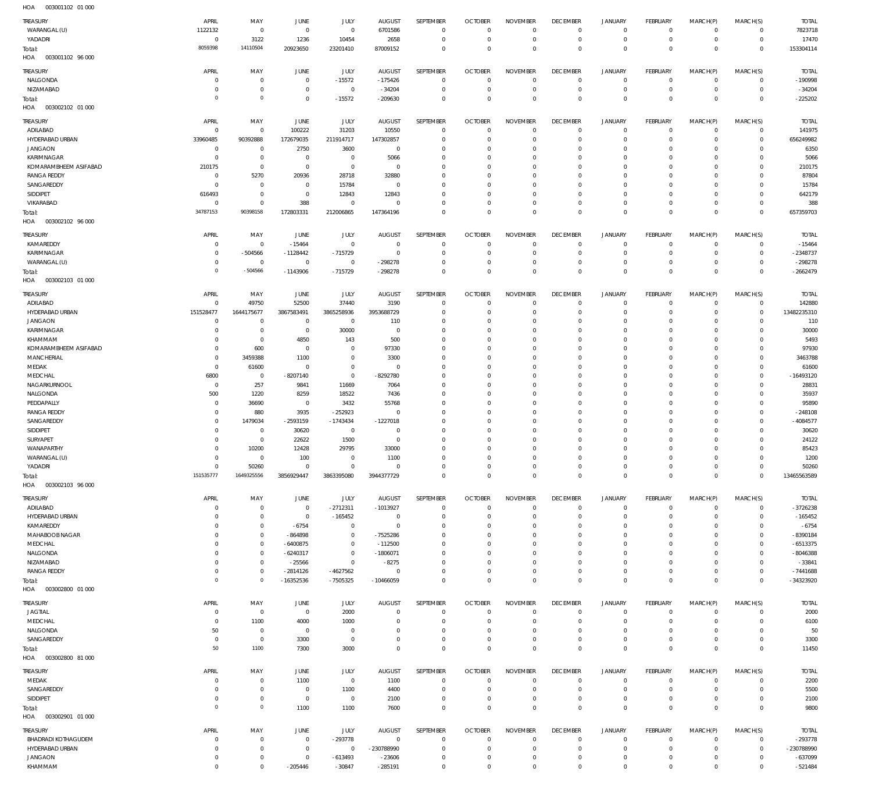003001102 96 000 HOA 003002102 01 000 HOA 003002102 96 000 HOA 003002103 01 000 HOA 003002103 96 000 003002800 01 000 HOA 003002800 81 000 HOA HOA 8059398  $\overline{0}$ 34787153  $\Omega$ 151535777 0 50 14110504 0 90398158 -504566 1649325556 0 1100 20923650 0 172803331 -1143906 3856929447 -16352536 7300 23201410 -15572 212006865 -715729 3863395080 -7505325 3000 87009152 -209630 147364196 -298278 3944377729 -10466059 0 0  $\overline{0}$  $\Omega$ 0  $\Omega$  $\Omega$ 0 0 0  $\Omega$ 0  $\Omega$  $\Omega$ 0 0 0  $\Omega$ 0  $\Omega$  $\Omega$ 0 0  $\overline{0}$  $\Omega$ 0  $\Omega$  $\Omega$ 0 0 0 0 0  $\Omega$ 0 0 0 0 0  $\boldsymbol{0}$  $\Omega$ 0 0 0  $\overline{0}$  $\Omega$ 0  $\Omega$  $\Omega$ 0 WARANGAL (U) YADADRI NALGONDA NIZAMABAD ADILABAD HYDERABAD URBAN JANGAON KARIMNAGAR KOMARAMBHEEM ASIFABAD RANGA REDDY SANGAREDDY SIDDIPET VIKARABAD KAMAREDDY KARIMNAGAR WARANGAL (U) ADILABAD HYDERABAD URBAN JANGAON KARIMNAGAR KHAMMAM KOMARAMBHEEM ASIFABAD MANCHERIAL MEDAK MEDCHAL NAGARKURNOOL NALGONDA PEDDAPALLY RANGA REDDY SANGAREDDY SIDDIPET SURYAPET WANAPARTHY WARANGAL (U) YADADRI ADILABAD HYDERABAD URBAN KAMAREDDY MAHABOOB NAGAR MEDCHAL NALGONDA NIZAMABAD RANGA REDDY JAGTIAL MEDCHAL NALGONDA SANGAREDDY MEDAK **SANGAREDDY** SIDDIPET TREASURY TREASURY **TREASURY** TREASURY TREASURY TREASURY TREASURY **TREASURY** 1122132 0 0  $\Omega$ 0 33960485 0 0 210175  $\overline{0}$ 0 616493 0  $\Omega$ 0 0  $\Omega$ 151528477  $\Omega$ 0 0 0 0  $\Omega$ 6800 0 500 0  $\Omega$ 0 0 0 0 0  $\overline{0}$ 0  $\overline{0}$ 0  $\Omega$  $\overline{0}$ 0 0 0  $\Omega$  $\overline{0}$ 50 0 0  $\Omega$ 0 APRIL APRIL APRIL APRIL APRIL APRIL APRIL APRIL 0 3122 0 0 0 90392888 0 0  $\Omega$ 5270 0 0 0  $\Omega$ -504566 0 49750 1644175677  $\Omega$ 0 0 600 3459388 61600 0 257 1220 36690 880 1479034 0 0 10200  $\Omega$ 50260 0  $\,$  0  $\,$ 0  $\Omega$ 0 0  $\,$  0  $\,$ 0  $\Omega$ 1100 0 0 0  $\Omega$ 0 MAY MAY MAY MAY MAY MAY MAY MAY 0 1236  $\mathbf 0$ 0 100222 172679035 2750 0  $\Omega$ 20936 0 0 388 -15464 -1128442 0 52500 3867583491  $\Omega$ 0 4850  $\Omega$ 1100  $\sqrt{0}$ -8207140 9841 8259 0 3935 -2593159 30620 22622 12428 100 0 0  $\boldsymbol{0}$ -6754 -864898 -6400875 -6240317 -25566 -2814126  $\sqrt{0}$ 4000 0 3300 1100  $\sqrt{0}$  $\,$  0  $\,$ JUNE JUNE **JUNE** JUNE JUNE JUNE JUNE JUNE 0 10454 -15572  $\Omega$ 31203 211914717 3600 0  $\Omega$ 28718 15784 12843 0  $\Omega$ -715729 0 37440 3865258936  $\Omega$ 30000 143 0 0  $\Omega$ 0 11669 18522 3432 -252923 -1743434 0 1500 29795 0 0 -2712311 -165452 0 0 0 0 0 -4627562 2000 1000 0 0 0 1100 0 JULY JULY JULY JULY JULY JULY JULY JULY 6701586 2658 -175426 -34204 10550 147302857  $\Omega$ 5066  $\Omega$ 32880 0 12843 0 0 0 -298278 3190 3953688729 110 0 500 97330 3300  $\Omega$ -8292780 7064 7436 55768  $\Omega$ -1227018 0 0 33000 1100 0 -1013927 0 0 -7525286 -112500 -1806071 -8275 0  $\Omega$  $\overline{0}$ 0 0 1100 4400 2100 AUGUST AUGUST **AUGUST** AUGUST AUGUST AUGUST AUGUST AUGUST 0 0 0 0 0 0 0 0  $\Omega$ 0 0 0 0  $\Omega$ 0 0 0 0  $\Omega$ 0 0  $\Omega$ 0  $\Omega$ 0 0 0 0  $\Omega$ 0 0 0 0 0 0 0 0 0  $\Omega$ 0 0 0 0  $\Omega$  $\overline{0}$ 0  $\,$  0  $\,$ 0  $\Omega$  $\,$  0  $\,$ SEPTEMBER **SEPTEMBER SEPTEMBER** SEPTEMBER SEPTEMBER SEPTEMBER SEPTEMBER SEPTEMBER 0 0 0 0 0 0 0 0  $\Omega$  $\overline{0}$ 0  $\Omega$ 0  $\Omega$ 0 0 0 0  $\Omega$ 0 0  $\Omega$ 0  $\Omega$ 0 0 0 0  $\Omega$  $\overline{0}$ 0 0 0 0 0 0 0  $\Omega$  $\Omega$  $\overline{0}$ 0 0 0  $\Omega$ 0 0 0 0  $\Omega$ 0 OCTOBER OCTOBER **OCTOBER** OCTOBER OCTOBER OCTOBER OCTOBER OCTOBER 0 0 0 0 0 0 0 0  $\Omega$ 0 0 0 0  $\Omega$ 0 0  $\mathfrak{o}$ 0  $\Omega$ 0 0  $\Omega$ 0  $\Omega$ 0 0 0 0  $\Omega$ 0 0 0 0 0 0 0 0 0  $\Omega$ 0 0 0 0  $\Omega$ 0 0  $\,$  0  $\,$ 0  $\Omega$ 0 NOVEMBER NOVEMBER NOVEMBER NOVEMBER NOVEMBER NOVEMBER NOVEMBER NOVEMBER 0 0 0 0 0 0 0 0  $\Omega$  $\overline{0}$ 0  $\overline{0}$ 0  $\Omega$ 0 0 0 0  $\Omega$ 0 0  $\Omega$ 0  $\Omega$  $\overline{0}$ 0  $\overline{0}$ 0  $\Omega$  $\overline{0}$ 0 0  $\overline{0}$ 0  $\overline{0}$ 0 0 0  $\Omega$  $\overline{0}$ 0 0 0  $\Omega$  $\overline{0}$ 0 0 0  $\Omega$ 0 DECEMBER **DECEMBER DECEMBER** DECEMBER DECEMBER DECEMBER DECEMBER DECEMBER 0 0 0 0 0 0 0 0  $\Omega$ 0 0 0 0  $\Omega$ 0 0 0 0  $\Omega$ 0 0  $\Omega$ 0  $\Omega$ 0 0 0 0  $\Omega$ 0 0 0 0 0 0 0 0 0  $\Omega$ 0 0 0 0  $\Omega$ 0 0 0 0  $\Omega$ 0 JANUARY JANUARY JANUARY JANUARY JANUARY JANUARY JANUARY JANUARY 0 0 0 0 0 0 0 0  $\Omega$ 0 0 0 0  $\Omega$ 0 0 0 0  $\Omega$ 0 0  $\Omega$ 0  $\Omega$  $\overline{0}$ 0 0 0  $\Omega$ 0 0 0 0 0 0 0 0 0  $\Omega$ 0 0 0 0  $\Omega$ 0 0  $\,$  0  $\,$ 0  $\Omega$  $\,$  0  $\,$ FEBRUARY **FFBRUARY FFBRUARY** FEBRUARY FEBRUARY FEBRUARY FEBRUARY **FFBRUARY** 0 0 0  $\Omega$ 0 0 0 0  $\Omega$ 0 0 0 0  $\Omega$ 0 0 0 0  $\Omega$ 0 0  $\Omega$ 0  $\Omega$  $\overline{0}$ 0 0 0  $\Omega$ 0 0 0 0 0 0 0 0  $\Omega$  $\Omega$ 0 0 0 0  $\Omega$ 0 0 0 0  $\Omega$ 0 MARCH(P) MARCH(P) MARCH(P) MARCH(P) MARCH(P) MARCH(P) MARCH(P) MARCH(P) MARCH(S) MARCH(S) MARCH(S) MARCH(S) MARCH(S) MARCH(S) MARCH(S) MARCH(S) Total: Total: Total: Total: Total: Total: Total:

003001102 01 000 HOA

Total:

003002901 01 000 HOA BHADRADI KOTHAGUDEM HYDERABAD URBAN JANGAON KHAMMAM TREASURY 0  $\Omega$ 0 0 APRIL 0 0  $\mathbf 0$ 0 MAY 0 0 0 -205446 JUNE -293778 0 -613493 -30847 JULY 0 -230788990 -23606 -285191 AUGUST 0 0 0  $\Omega$ SEPTEMBER 0 0 0 0 OCTOBER 0 0 0 0 NOVEMBER 0  $\overline{0}$ 0 0 DECEMBER 0 0 0 0 JANUARY 0 0 0 0 FEBRUARY 0 0 0 0 MARCH(P) 0 0 0  $\Omega$ MARCH(S) -293778 -230788990 -637099 -521484 TOTAL

0

0

0

0

0

0

0

0

0 0

153304114

7823718 17470

TOTAL

-225202

TOTAL

-190998 -34204

TOTAL

657359703

-2662479

TOTAL

-15464 -2348737 -298278

TOTAL

0

0  $\Omega$ 

 $\Omega$ 

0

 $\Omega$ 0 0

 $\Omega$ 

13465563589

-3726238 -165452 -6754 -8390184 -6513375 -8046388 -33841 -7441688

TOTAL

-34323920

11450

TOTAL

9800

2200 5500 2100

TOTAL

 $\Omega$ 

 $\Omega$ 

0

0  $\Omega$ 0

7600

0

0

1100

1100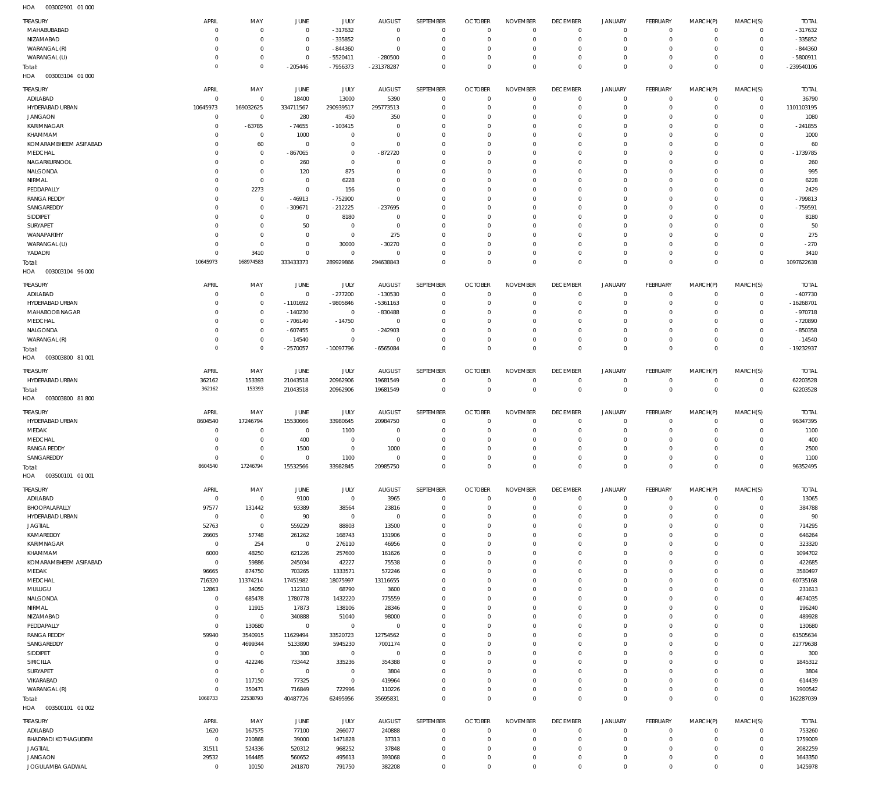| <b>TREASURY</b><br>MAHABUBABAD               | APRIL<br>$\Omega$          | MAY<br>$\overline{0}$          | JUNE<br>$\overline{0}$   | JULY<br>$-317632$            | <b>AUGUST</b><br>$^{\circ}$ | SEPTEMBER<br>$\mathbf 0$         | <b>OCTOBER</b><br>$\Omega$       | <b>NOVEMBER</b><br>$^{\circ}$ | <b>DECEMBER</b><br>$\overline{0}$ | <b>JANUARY</b><br>0          | FEBRUARY<br>$^{\circ}$        | MARCH(P)<br>$\mathbf 0$    | MARCH(S)<br>$^{\circ}$     | <b>TOTAL</b><br>$-317632$ |
|----------------------------------------------|----------------------------|--------------------------------|--------------------------|------------------------------|-----------------------------|----------------------------------|----------------------------------|-------------------------------|-----------------------------------|------------------------------|-------------------------------|----------------------------|----------------------------|---------------------------|
| NIZAMABAD                                    | $\Omega$                   | $\overline{0}$                 | $\overline{0}$           | $-335852$                    | $\Omega$                    | $\mathbf 0$                      | C                                | $\mathbf 0$                   | $\Omega$                          | $\mathbf 0$                  | $^{\circ}$                    | $\mathbf 0$                | $\mathbf 0$                | $-335852$                 |
| WARANGAL (R)                                 | $\Omega$                   | $\mathbf{0}$                   | $\overline{0}$           | $-844360$                    | $\Omega$                    | $\overline{0}$                   | $\Omega$                         | $^{\circ}$                    | $\Omega$                          | $\mathbf 0$                  | $\Omega$                      | $\Omega$                   | $^{\circ}$                 | $-844360$                 |
| WARANGAL (U)                                 | $\Omega$<br>$\Omega$       | $\overline{0}$<br>$\mathbb O$  | $\Omega$                 | $-5520411$                   | $-280500$                   | $\overline{0}$                   | $\mathbf 0$                      | $\overline{0}$                | $\overline{0}$                    | $\mathbf 0$                  | $^{\circ}$                    | $\mathbf 0$<br>$\Omega$    | $^{\circ}$<br>$\Omega$     | -5800911                  |
| Total:<br>003003104 01 000<br>HOA            |                            |                                | $-205446$                | -7956373                     | -231378287                  | $\overline{0}$                   | $\Omega$                         | $\mathbb O$                   | $\Omega$                          | $\mathbf 0$                  | $\Omega$                      |                            |                            | $-239540106$              |
| <b>TREASURY</b>                              | APRIL                      | MAY                            | JUNE                     | <b>JULY</b>                  | <b>AUGUST</b>               | SEPTEMBER                        | <b>OCTOBER</b>                   | <b>NOVEMBER</b>               | <b>DECEMBER</b>                   | <b>JANUARY</b>               | <b>FEBRUARY</b>               | MARCH(P)                   | MARCH(S)                   | <b>TOTAL</b>              |
| ADILABAD                                     | $\Omega$                   | $\overline{0}$                 | 18400                    | 13000                        | 5390                        | $\overline{0}$                   | $\overline{0}$                   | $\overline{0}$                | $^{\circ}$                        | $\mathbf 0$                  | $^{\circ}$                    | $^{\circ}$                 | $\circ$                    | 36790                     |
| HYDERABAD URBAN                              | 10645973                   | 169032625                      | 334711567                | 290939517                    | 295773513                   | $\Omega$                         | $\mathsf{C}$                     | $\Omega$                      | $\Omega$                          | $\mathbf 0$                  | $^{\circ}$                    | $\Omega$                   | $\mathbf 0$                | 1101103195                |
| <b>JANGAON</b>                               | $\Omega$                   | $\overline{0}$                 | 280                      | 450                          | 350                         | $\mathbf{0}$                     | $\Omega$                         | $\Omega$                      | $\Omega$                          | $\mathbf 0$                  | $\Omega$                      | $\Omega$                   | $\Omega$                   | 1080                      |
| KARIMNAGAR                                   | $\Omega$                   | $-63785$                       | $-74655$                 | $-103415$                    | $\Omega$                    | $\Omega$                         | $\Omega$                         | $\Omega$                      | $\Omega$                          | $\Omega$                     | $\Omega$                      | $\Omega$                   | $\Omega$                   | $-241855$                 |
| KHAMMAM                                      | $\Omega$                   | $\overline{0}$                 | 1000<br>$\Omega$         | $\overline{0}$<br>$^{\circ}$ | $\Omega$<br>$\Omega$        | $\mathbf{0}$<br>$\Omega$         | $\Omega$<br>C                    | $\Omega$<br>$\Omega$          | $\Omega$                          | $\Omega$<br>$\Omega$         | $\Omega$<br>$\Omega$          | $\Omega$<br>$\Omega$       | $\Omega$<br>$\Omega$       | 1000                      |
| KOMARAMBHEEM ASIFABAD<br>MEDCHAL             | $\Omega$<br>$\Omega$       | 60<br>$\overline{0}$           | $-867065$                | $^{\circ}$                   | $-872720$                   | $\mathbf{0}$                     | $\Omega$                         | $\Omega$                      | 0<br>$\Omega$                     | $\Omega$                     | $\Omega$                      | $\Omega$                   | $\Omega$                   | 60<br>$-1739785$          |
| NAGARKURNOOL                                 | $\Omega$                   | $\overline{0}$                 | 260                      | $^{\circ}$                   | $\Omega$                    | $\Omega$                         | $\Omega$                         | $\Omega$                      | $\Omega$                          | $\Omega$                     | $\Omega$                      | $\Omega$                   | $\Omega$                   | 260                       |
| NALGONDA                                     | $\Omega$                   | $\overline{0}$                 | 120                      | 875                          | $\Omega$                    | $\Omega$                         | C                                | $\Omega$                      | $\Omega$                          | $\Omega$                     | $\Omega$                      | $\Omega$                   | $\Omega$                   | 995                       |
| NIRMAL                                       | $\Omega$                   | $\overline{0}$                 | $\overline{0}$           | 6228                         | $\Omega$                    | $\Omega$                         | C                                | $\Omega$                      | $\Omega$                          | $\Omega$                     | $\Omega$                      | $\Omega$                   | $\Omega$                   | 6228                      |
| PEDDAPALLY                                   | $\Omega$                   | 2273<br>$\overline{0}$         | $\Omega$                 | 156                          | $\Omega$<br>$\Omega$        | $\Omega$<br>$\Omega$             | $\Omega$<br>$\Omega$             | $\Omega$<br>$\Omega$          | $\Omega$<br>$\Omega$              | $\Omega$<br>$\Omega$         | $\Omega$<br>$\Omega$          | $\Omega$<br>$\Omega$       | $\Omega$<br>$\Omega$       | 2429                      |
| <b>RANGA REDDY</b><br>SANGAREDDY             | $\Omega$<br>$\Omega$       | $\overline{0}$                 | $-46913$<br>$-309671$    | $-752900$<br>$-212225$       | $-237695$                   | $\mathbf{0}$                     | $\Omega$                         | $\Omega$                      | $\Omega$                          | $\Omega$                     | $\Omega$                      | $\Omega$                   | $\Omega$                   | $-799813$<br>$-759591$    |
| SIDDIPET                                     | $\Omega$                   | $\Omega$                       | $\Omega$                 | 8180                         | $\Omega$                    | $\Omega$                         | C                                | $\Omega$                      | $\Omega$                          | $\Omega$                     | $\Omega$                      | $\Omega$                   | $\Omega$                   | 8180                      |
| SURYAPET                                     | $\Omega$                   | $\mathbf{0}$                   | 50                       | $\overline{0}$               | $\Omega$                    | $\mathbf{0}$                     | $\Omega$                         | $\Omega$                      | $\Omega$                          | $\Omega$                     | $\Omega$                      | $\Omega$                   | $\Omega$                   | 50                        |
| WANAPARTHY                                   | $\Omega$                   | $\overline{0}$                 | $\Omega$                 | $\mathbf 0$                  | 275                         | $\Omega$                         | C                                | $\Omega$                      | $\Omega$                          | $\Omega$                     | $\Omega$                      | $\Omega$                   | $\Omega$                   | 275                       |
| WARANGAL (U)                                 | $\Omega$                   | $\overline{0}$                 | $\Omega$                 | 30000                        | $-30270$                    | $\mathbf{0}$                     | $\Omega$                         | $\Omega$                      | $\Omega$                          | $\Omega$                     | $\Omega$                      | $\Omega$                   | $\Omega$                   | $-270$                    |
| YADADRI                                      | $\Omega$<br>10645973       | 3410<br>168974583              | $\Omega$<br>333433373    | $^{\circ}$<br>289929866      | $\Omega$<br>294638843       | $\Omega$<br>$\overline{0}$       | $\Omega$<br>$\Omega$             | $\Omega$<br>$\overline{0}$    | $\Omega$<br>$\Omega$              | $\mathbf 0$<br>$\Omega$      | $^{\circ}$<br>$\Omega$        | $\Omega$<br>$\Omega$       | $\mathbf 0$<br>$\Omega$    | 3410<br>1097622638        |
| Total:<br>HOA<br>003003104 96 000            |                            |                                |                          |                              |                             |                                  |                                  |                               |                                   |                              |                               |                            |                            |                           |
|                                              |                            |                                |                          |                              |                             |                                  |                                  |                               |                                   |                              |                               |                            |                            |                           |
| TREASURY<br>ADILABAD                         | APRIL<br>$\Omega$          | MAY<br>$\overline{0}$          | JUNE<br>$\overline{0}$   | JULY<br>$-277200$            | <b>AUGUST</b><br>$-130530$  | SEPTEMBER<br>$\overline{0}$      | <b>OCTOBER</b><br>$\overline{0}$ | <b>NOVEMBER</b><br>$^{\circ}$ | <b>DECEMBER</b><br>$\overline{0}$ | <b>JANUARY</b><br>0          | <b>FEBRUARY</b><br>$^{\circ}$ | MARCH(P)<br>$^{\circ}$     | MARCH(S)<br>$\mathbf 0$    | <b>TOTAL</b><br>$-407730$ |
| HYDERABAD URBAN                              | $\Omega$                   | $\overline{0}$                 | $-1101692$               | -9805846                     | $-5361163$                  | $\overline{0}$                   | $\mathsf{C}$                     | $\overline{0}$                | $\Omega$                          | $\mathbf 0$                  | $^{\circ}$                    | $^{\circ}$                 | $\mathbf 0$                | $-16268701$               |
| MAHABOOB NAGAR                               | $\Omega$                   | $\mathbf{0}$                   | $-140230$                | $\mathbf 0$                  | $-830488$                   | $\mathbf{0}$                     | $\Omega$                         | $^{\circ}$                    | $\Omega$                          | $\mathbf 0$                  | $^{\circ}$                    | $\Omega$                   | $\Omega$                   | $-970718$                 |
| MEDCHAL                                      | $\Omega$                   | $\mathbf 0$                    | $-706140$                | $-14750$                     | $\overline{0}$              | $\overline{0}$                   | C                                | $\overline{0}$                | $\Omega$                          | $\mathbf 0$                  | $\Omega$                      | $\Omega$                   | $^{\circ}$                 | -720890                   |
| NALGONDA                                     | $\Omega$                   | $\overline{0}$                 | $-607455$                | $\mathbf 0$                  | $-242903$                   | $\mathbf{0}$                     | $\Omega$                         | $\overline{0}$                | $\Omega$                          | $\mathbf 0$                  | $\Omega$                      | $\Omega$                   | $\Omega$                   | $-850358$                 |
| WARANGAL (R)                                 | $\Omega$<br>$\circ$        | $\overline{0}$<br>$\circ$      | $-14540$<br>$-2570057$   | $\mathbf 0$<br>$-10097796$   | $\mathbf 0$<br>$-6565084$   | $\mathbf 0$<br>$\mathbf 0$       | $\Omega$<br>$\Omega$             | $\overline{0}$<br>$\mathbf 0$ | $\overline{0}$<br>$\Omega$        | $\mathbf 0$<br>$\mathbf 0$   | $^{\circ}$<br>$\Omega$        | $^{\circ}$<br>$\mathbf 0$  | $^{\circ}$<br>$\mathbf 0$  | $-14540$<br>-19232937     |
| Total:<br>HOA<br>003003800 81 001            |                            |                                |                          |                              |                             |                                  |                                  |                               |                                   |                              |                               |                            |                            |                           |
|                                              |                            |                                |                          |                              |                             |                                  |                                  |                               |                                   |                              |                               |                            |                            |                           |
| TREASURY<br>HYDERABAD URBAN                  | APRIL<br>362162            | MAY<br>153393                  | JUNE<br>21043518         | <b>JULY</b><br>20962906      | <b>AUGUST</b><br>19681549   | SEPTEMBER<br>$\overline{0}$      | <b>OCTOBER</b><br>$^{\circ}$     | <b>NOVEMBER</b><br>$^{\circ}$ | <b>DECEMBER</b><br>$\overline{0}$ | <b>JANUARY</b><br>$^{\circ}$ | FEBRUARY<br>$^{\circ}$        | MARCH(P)<br>$^{\circ}$     | MARCH(S)<br>$^{\circ}$     | <b>TOTAL</b><br>62203528  |
| Total:                                       | 362162                     | 153393                         | 21043518                 | 20962906                     | 19681549                    | $\mathbf 0$                      | $\Omega$                         | $\mathbf 0$                   | $\mathbf{0}$                      | $\overline{0}$               | $\mathbf 0$                   | $\mathbf 0$                | $\mathbf 0$                | 62203528                  |
| 003003800 81800<br>HOA                       |                            |                                |                          |                              |                             |                                  |                                  |                               |                                   |                              |                               |                            |                            |                           |
| TREASURY                                     | APRIL                      | MAY                            | JUNE                     | <b>JULY</b>                  | <b>AUGUST</b>               | SEPTEMBER                        | <b>OCTOBER</b>                   | <b>NOVEMBER</b>               | <b>DECEMBER</b>                   | <b>JANUARY</b>               | <b>FEBRUARY</b>               | MARCH(P)                   | MARCH(S)                   | <b>TOTAL</b>              |
| HYDERABAD URBAN                              | 8604540                    | 17246794                       | 15530666                 | 33980645                     | 20984750                    | $\overline{0}$                   | $\Omega$                         | $^{\circ}$                    | $\overline{0}$                    | $\mathbf 0$                  | $^{\circ}$                    | $^{\circ}$                 | $\mathbf 0$                | 96347395                  |
| MEDAK                                        | $\Omega$                   | $\overline{0}$                 | $\overline{0}$           | 1100                         | $\overline{0}$              | $\overline{0}$                   | $\mathsf{C}$                     | $^{\circ}$                    | $\overline{0}$                    | $\mathbf 0$                  | $^{\circ}$                    | $^{\circ}$                 | $\mathbf 0$                | 1100                      |
| MEDCHAL                                      | $\Omega$                   | $\mathbf{0}$                   | 400                      | $^{\circ}$                   | $^{\circ}$                  | $\mathbf{0}$                     | $\Omega$                         | $\overline{0}$                | $\Omega$                          | $\mathbf 0$                  | $^{\circ}$                    | $^{\circ}$                 | $\Omega$                   | 400                       |
| <b>RANGA REDDY</b><br>SANGAREDDY             | $\Omega$<br>$\Omega$       | $\overline{0}$<br>$\mathbf{0}$ | 1500<br>$\Omega$         | $\overline{0}$<br>1100       | 1000<br>$\Omega$            | $\overline{0}$<br>$\Omega$       | $\Omega$<br>$\Omega$             | $\overline{0}$<br>$\mathbf 0$ | $\Omega$<br>$\Omega$              | $\mathbf 0$<br>$\Omega$      | $\Omega$<br>$\Omega$          | $^{\circ}$<br>$\Omega$     | $^{\circ}$<br>$\Omega$     | 2500<br>1100              |
| Total:                                       | 8604540                    | 17246794                       | 15532566                 | 33982845                     | 20985750                    | $\overline{0}$                   | $\mathbf 0$                      | 0                             | $\mathbf 0$                       | 0                            | $\overline{0}$                | $\mathbf{0}$               | $\mathbf 0$                | 96352495                  |
| HOA<br>003500101 01 001                      |                            |                                |                          |                              |                             |                                  |                                  |                               |                                   |                              |                               |                            |                            |                           |
| <b>TREASURY</b>                              | APRIL                      | MAY                            | JUNE                     | JULY                         | <b>AUGUST</b>               | SEPTEMBER                        | <b>OCTOBER</b>                   | <b>NOVEMBER</b>               | <b>DECEMBER</b>                   | <b>JANUARY</b>               | FEBRUARY                      | MARCH(P)                   | MARCH(S)                   | <b>TOTAL</b>              |
| ADILABAD                                     | $\Omega$                   | $\overline{0}$                 | 9100                     | $\mathbf 0$                  | 3965                        | $\mathbb O$                      | $\Omega$                         | $\mathbf{0}$                  | $\mathbf 0$                       | $\mathbf 0$                  | $^{\circ}$                    | $^{\circ}$                 | $^{\circ}$                 | 13065                     |
| BHOOPALAPALLY                                | 97577                      | 131442                         | 93389                    | 38564                        | 23816                       | $\overline{0}$                   | $^{\circ}$                       | $\Omega$                      | $\Omega$                          | $\mathbf 0$                  | $^{\circ}$                    | $^{\circ}$                 | $^{\circ}$                 | 384788                    |
| HYDERABAD URBAN                              | $\Omega$                   | $\overline{0}$                 | 90                       | $\overline{0}$               | $^{\circ}$                  | $\overline{0}$                   | $\Omega$                         | $^{\circ}$                    | 0                                 | $^{\circ}$                   | $^{\circ}$                    | $\Omega$                   | $^{\circ}$                 | 90                        |
| <b>JAGTIAL</b>                               | 52763                      | $\overline{0}$                 | 559229                   | 88803                        | 13500                       | $\mathbf 0$                      | $\Omega$                         | $\Omega$                      | $\Omega$                          | $^{\circ}$                   | $^{\circ}$                    | $\Omega$                   | $^{\circ}$                 | 714295                    |
| KAMAREDDY<br>KARIMNAGAR                      | 26605<br>$^{\circ}$        | 57748<br>254                   | 261262<br>$\overline{0}$ | 168743<br>276110             | 131906<br>46956             | $\overline{0}$<br>$\Omega$       | $\Omega$<br>$\Omega$             | $^{\circ}$<br>$\Omega$        | $\Omega$<br>$\Omega$              | $\mathbf 0$<br>$\Omega$      | $^{\circ}$<br>$\Omega$        | $\Omega$<br>$\Omega$       | $^{\circ}$<br>$\Omega$     | 646264<br>323320          |
| KHAMMAM                                      | 6000                       | 48250                          | 621226                   | 257600                       | 161626                      | $\overline{0}$                   | $\Omega$                         | $\overline{0}$                | $\Omega$                          | $\mathbf 0$                  | $^{\circ}$                    | $\Omega$                   | $^{\circ}$                 | 1094702                   |
| KOMARAMBHEEM ASIFABAD                        | $\Omega$                   | 59886                          | 245034                   | 42227                        | 75538                       | $\mathbf 0$                      | $\Omega$                         | $\Omega$                      | $\Omega$                          | $^{\circ}$                   | $^{\circ}$                    | $\Omega$                   | $^{\circ}$                 | 422685                    |
| MEDAK                                        | 96665                      | 874750                         | 703265                   | 1333571                      | 572246                      | $\overline{0}$                   | $\Omega$                         | $\overline{0}$                | $\Omega$                          | $\mathbf 0$                  | $^{\circ}$                    | $\Omega$                   | $\mathbf 0$                | 3580497                   |
| MEDCHAL                                      | 716320                     | 11374214                       | 17451982                 | 18075997                     | 13116655                    | $\mathbf 0$                      | $\Omega$                         | $\Omega$                      | $\Omega$                          | $\mathbf 0$                  | $^{\circ}$                    | $\Omega$                   | $\mathbf 0$                | 60735168                  |
| MULUGU<br>NALGONDA                           | 12863<br>$^{\circ}$        | 34050<br>685478                | 112310<br>1780778        | 68790<br>1432220             | 3600<br>775559              | $\overline{0}$<br>$\mathbf 0$    | $\Omega$<br>$\Omega$             | $\mathbf{0}$<br>$\Omega$      | $\Omega$<br>$\Omega$              | $\mathbf 0$<br>$\mathbf 0$   | $^{\circ}$<br>$^{\circ}$      | $\Omega$<br>$\Omega$       | $\Omega$<br>$\Omega$       | 231613<br>4674035         |
| NIRMAL                                       | $\Omega$                   | 11915                          | 17873                    | 138106                       | 28346                       | $\overline{0}$                   | $\Omega$                         | $\Omega$                      | $\Omega$                          | $\mathbf 0$                  | $\Omega$                      | $\Omega$                   | $\Omega$                   | 196240                    |
| NIZAMABAD                                    | $\mathbf 0$                | $\overline{0}$                 | 340888                   | 51040                        | 98000                       | $\mathbf 0$                      | $\Omega$                         | $\Omega$                      | $\Omega$                          | $\mathbf 0$                  | $^{\circ}$                    | $\Omega$                   | $^{\circ}$                 | 489928                    |
| PEDDAPALLY                                   | $\Omega$                   | 130680                         | $\Omega$                 | $\overline{0}$               | $\mathbf 0$                 | $\overline{0}$                   | $\Omega$                         | $\Omega$                      | $\Omega$                          | $\mathbf 0$                  | $^{\circ}$                    | $\Omega$                   | $\mathbf 0$                | 130680                    |
| <b>RANGA REDDY</b>                           | 59940                      | 3540915                        | 11629494                 | 33520723                     | 12754562                    | $\mathbf 0$                      | $\Omega$                         | $\Omega$                      | $\Omega$                          | $\mathbf 0$                  | $^{\circ}$                    | $\Omega$                   | $\mathbf 0$                | 61505634                  |
| SANGAREDDY                                   | $\mathbf 0$                | 4699344                        | 5133890                  | 5945230                      | 7001174                     | $\overline{0}$                   | $\Omega$                         | $^{\circ}$                    | $\Omega$                          | $\mathbf 0$                  | $^{\circ}$                    | $\Omega$                   | $\mathbf 0$                | 22779638                  |
| SIDDIPET<br>SIRICILLA                        | $\mathbf 0$<br>$\mathbf 0$ | $\overline{0}$<br>422246       | 300<br>733442            | $\mathbf 0$<br>335236        | $\mathbf 0$<br>354388       | $\mathbf 0$<br>$\overline{0}$    | $\Omega$<br>$\Omega$             | $\Omega$<br>$^{\circ}$        | $\Omega$<br>$\Omega$              | $\Omega$<br>$\mathbf 0$      | $^{\circ}$<br>$^{\circ}$      | $\Omega$<br>$\Omega$       | $\Omega$<br>$\Omega$       | 300<br>1845312            |
| SURYAPET                                     | $\Omega$                   | $\overline{0}$                 | $\overline{0}$           | $\overline{0}$               | 3804                        | $\Omega$                         | $\Omega$                         | $\Omega$                      | $\Omega$                          | $\Omega$                     | $\Omega$                      | $\Omega$                   | $\Omega$                   | 3804                      |
| VIKARABAD                                    | $\mathbf{0}$               | 117150                         | 77325                    | $\mathbf 0$                  | 419964                      | $\overline{0}$                   | $\Omega$                         | $\overline{0}$                | $^{\circ}$                        | $\mathbf 0$                  | $\mathbf 0$                   | $\Omega$                   | $\mathbf 0$                | 614439                    |
| WARANGAL (R)                                 | $^{\circ}$                 | 350471                         | 716849                   | 722996                       | 110226                      | $\mathbf 0$                      | $\mathbf 0$                      | $\overline{0}$                | $^{\circ}$                        | $\mathbf 0$                  | $^{\circ}$                    | $\mathbf 0$                | $\mathbf 0$                | 1900542                   |
| Total:                                       | 1068733                    | 22538793                       | 40487726                 | 62495956                     | 35695831                    | $\mathbf 0$                      | $\overline{0}$                   | $\mathbf 0$                   | $\mathbf 0$                       | $\mathbf 0$                  | $\Omega$                      | $\mathbf 0$                | $\Omega$                   | 162287039                 |
| HOA<br>003500101 01 002                      |                            |                                |                          |                              |                             |                                  |                                  |                               |                                   |                              |                               |                            |                            |                           |
| <b>TREASURY</b>                              | APRIL                      | MAY                            | JUNE                     | JULY                         | <b>AUGUST</b>               | SEPTEMBER                        | <b>OCTOBER</b>                   | <b>NOVEMBER</b>               | <b>DECEMBER</b>                   | <b>JANUARY</b>               | FEBRUARY                      | MARCH(P)                   | MARCH(S)                   | <b>TOTAL</b>              |
| ADILABAD                                     | 1620                       | 167575                         | 77100                    | 266077                       | 240888                      | $\mathbf 0$                      | $\overline{0}$<br>$\Omega$       | $^{\circ}$                    | $\overline{0}$                    | 0                            | $^{\circ}$                    | $\mathbf 0$                | $\mathbf 0$                | 753260                    |
| <b>BHADRADI KOTHAGUDEM</b><br><b>JAGTIAL</b> | $^{\circ}$<br>31511        | 210868<br>524336               | 39000<br>520312          | 1471828<br>968252            | 37313<br>37848              | $\overline{0}$<br>$\overline{0}$ | $\circ$                          | $^{\circ}$<br>$\overline{0}$  | $\overline{0}$<br>$^{\circ}$      | $\mathbf 0$<br>$\circ$       | $^{\circ}$<br>$^{\circ}$      | $\mathbf 0$<br>$\mathbf 0$ | $\mathbf 0$<br>$\mathbf 0$ | 1759009<br>2082259        |
| <b>JANGAON</b>                               | 29532                      | 164485                         | 560652                   | 495613                       | 393068                      | $\overline{0}$                   | 0                                | $\mathbf 0$                   | $^{\circ}$                        | $\mathbf 0$                  | $^{\circ}$                    | $\mathbf 0$                | $^{\circ}$                 | 1643350                   |
| JOGULAMBA GADWAL                             | $\mathbf 0$                | 10150                          | 241870                   | 791750                       | 382208                      | $\mathbf 0$                      | $\mathbf 0$                      | $\mathbf 0$                   | $\mathbf 0$                       | $\mathbf 0$                  | $\mathbf 0$                   | $\mathbf 0$                | $\mathbf 0$                | 1425978                   |
|                                              |                            |                                |                          |                              |                             |                                  |                                  |                               |                                   |                              |                               |                            |                            |                           |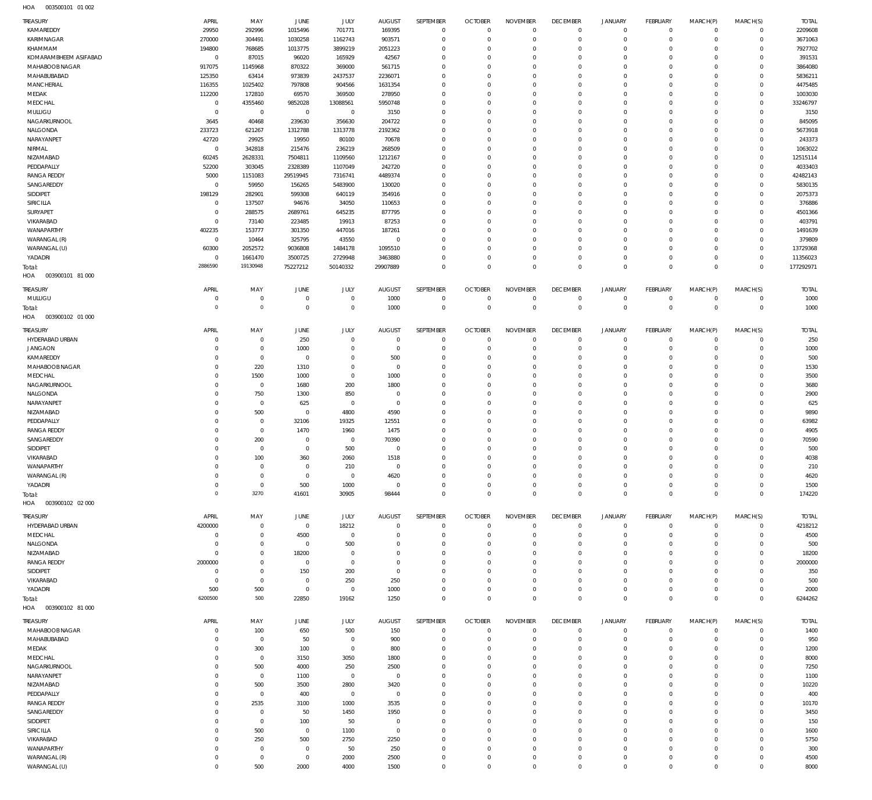003500101 01 002 HOA

| <b>TREASURY</b>            | APRIL          | MAY            | JUNE            |                | <b>AUGUST</b>        | SEPTEMBER            | <b>OCTOBER</b>         | <b>NOVEMBER</b>      | <b>DECEMBER</b> | <b>JANUARY</b>             | FEBRUARY       | MARCH(P)             | MARCH(S)                | <b>TOTAL</b> |
|----------------------------|----------------|----------------|-----------------|----------------|----------------------|----------------------|------------------------|----------------------|-----------------|----------------------------|----------------|----------------------|-------------------------|--------------|
| KAMAREDDY                  | 29950          | 292996         | 1015496         | JULY<br>701771 | 169395               | $\mathbf 0$          | $\circ$                | $\mathbf 0$          | $\mathbf 0$     | $\circ$                    | $\overline{0}$ | $\mathbf{0}$         | $\overline{0}$          | 2209608      |
| <b>KARIMNAGAR</b>          | 270000         | 304491         | 1030258         | 1162743        | 903571               | $\mathbf 0$          | $\circ$                | $\overline{0}$       | $\mathbf 0$     | $\mathbf 0$                | $\mathbf{0}$   | $\mathbf 0$          | $\mathbf 0$             | 3671063      |
| KHAMMAM                    | 194800         | 768685         | 1013775         | 3899219        | 2051223              | $\mathbf 0$          | $\Omega$               | $\mathbf 0$          | $\mathbf 0$     | $\mathbf 0$                | $\mathbf{0}$   | $\Omega$             | $\mathbf 0$             | 7927702      |
| KOMARAMBHEEM ASIFABAD      | $\mathbf 0$    | 87015          | 96020           | 165929         | 42567                | $\mathbf 0$          | $\Omega$               | $\overline{0}$       | $\mathbf 0$     | $\mathbf 0$                | $\mathbf 0$    | $\Omega$             | $\mathbf 0$             | 391531       |
| <b>MAHABOOB NAGAR</b>      | 917075         | 1145968        | 870322          | 369000         | 561715               | $\mathbf 0$          | $\Omega$               | $\Omega$             | $\Omega$        | $\Omega$                   | $\mathbf{0}$   | $\Omega$             | $\mathbf 0$             | 3864080      |
| MAHABUBABAD                | 125350         | 63414          | 973839          | 2437537        | 2236071              | $\mathbf 0$          | $^{\circ}$             | $\mathbf 0$          | $\mathbf 0$     | $\mathbf 0$                | $\mathbf{0}$   | $\Omega$             | $\mathbf 0$             | 5836211      |
| <b>MANCHERIAL</b>          | 116355         | 1025402        | 797808          | 904566         | 1631354              | $\mathbf 0$          | $\Omega$               | $\Omega$             | $\mathbf 0$     | $\Omega$                   | $\mathbf{0}$   | $\Omega$             | $\mathbf 0$             | 4475485      |
| MEDAK                      | 112200         | 172810         | 69570           | 369500         | 278950               | $\mathbf 0$          | $\Omega$               | $\mathbf 0$          | $\mathbf 0$     | $\mathbf 0$                | $\mathbf{0}$   | $\Omega$             | $\mathbf 0$             | 1003030      |
| MEDCHAL                    | $\mathbf 0$    | 4355460        | 9852028         | 13088561       | 5950748              | $\mathbf 0$          | $\Omega$               | $\mathbf 0$          | $\mathbf 0$     | $\mathbf 0$                | $\mathbf{0}$   | $\Omega$             | $\mathbf 0$             | 33246797     |
| MULUGU                     | $\overline{0}$ | $\mathbf 0$    | $\overline{0}$  | $\,0\,$        | 3150                 | $\mathbf 0$          | $^{\circ}$             | $\mathbf 0$          | $\mathbf 0$     | $\mathbf 0$                | $\mathbf{0}$   | $\Omega$             | $\mathbf 0$             | 3150         |
| NAGARKURNOOL               | 3645           | 40468          | 239630          | 356630         | 204722               | $\mathbf 0$          | $\Omega$               | $\overline{0}$       | $\mathbf 0$     | $\mathbf 0$                | $\mathbf{0}$   | $\Omega$             | $\mathbf 0$             | 845095       |
| NALGONDA                   | 233723         | 621267         | 1312788         | 1313778        | 2192362              | $\mathbf 0$          | $\Omega$               | $\Omega$             | $\Omega$        | $\Omega$                   | $\mathbf{0}$   | $\Omega$             | $\Omega$                | 5673918      |
| NARAYANPET                 | 42720          | 29925          | 19950           | 80100          | 70678                | $\mathbf 0$          | $\Omega$               | $\overline{0}$       | $\mathbf 0$     | $\mathbf 0$                | $\mathbf{0}$   | $\Omega$             | $\mathbf 0$             | 243373       |
| NIRMAL                     | $\overline{0}$ | 342818         | 215476          | 236219         | 268509               | $\mathbf 0$          | $\Omega$               | $\mathbf 0$          | $\Omega$        | $\Omega$                   | $\mathbf{0}$   | $\Omega$             | $\Omega$                | 1063022      |
| NIZAMABAD                  | 60245          | 2628331        | 7504811         | 1109560        | 1212167              | $\mathbf 0$          | $\Omega$               | $^{\circ}$           | $\mathbf 0$     | $\mathbf 0$                | $\mathbf{0}$   | $\Omega$             | $\mathbf 0$             | 12515114     |
| PEDDAPALLY                 | 52200          | 303045         | 2328389         | 1107049        | 242720               | $\mathbf 0$          | $\Omega$               | $\mathbf 0$          | $\Omega$        | $\Omega$                   | $\Omega$       | $\Omega$             | $\Omega$                | 4033403      |
| <b>RANGA REDDY</b>         | 5000           | 1151083        | 29519945        | 7316741        | 4489374              | $\mathbf 0$          | $\Omega$               | $\mathbf 0$          | $\mathbf 0$     | $\mathbf 0$                | $\mathbf{0}$   | $\Omega$             | $\mathbf 0$             | 42482143     |
| SANGAREDDY                 | $\overline{0}$ | 59950          | 156265          | 5483900        | 130020               | $\mathbf 0$          | $\Omega$               | $\overline{0}$       | $\mathbf 0$     | $\Omega$                   | $\mathbf 0$    | $\Omega$             | $\Omega$                | 5830135      |
| SIDDIPET                   | 198129         | 282901         | 599308          | 640119         | 354916               | $\mathbf 0$          | $\Omega$               | $\Omega$             | $\Omega$        | $\Omega$                   | $\mathbf{0}$   | $\Omega$             | $\mathbf 0$             | 2075373      |
| SIRICILLA                  | $\overline{0}$ | 137507         | 94676           | 34050          | 110653               | $\mathbf 0$          | $\Omega$               | $\overline{0}$       | $\mathbf 0$     | $\Omega$                   | $\mathbf 0$    | $\Omega$             | $\Omega$                | 376886       |
| SURYAPET                   | $\overline{0}$ | 288575         | 2689761         | 645235         | 877795               | $\mathbf 0$          | $\Omega$               | $\Omega$             | $\Omega$        | $\Omega$                   | $\mathbf{0}$   | $\Omega$             | $\mathbf 0$             | 4501366      |
| VIKARABAD                  | $\Omega$       | 73140          | 223485          | 19913          | 87253                | $\mathbf 0$          | $^{\circ}$             | $\mathbf 0$          | $\mathbf 0$     | $\mathbf 0$                | $\mathbf 0$    | $\Omega$             | $\mathbf 0$             | 403791       |
| WANAPARTHY                 | 402235         | 153777         | 301350          | 447016         | 187261               | $\mathbf 0$          | $\Omega$               | $\Omega$             | $\mathbf 0$     | $\Omega$                   | $\mathbf{0}$   | $\Omega$             | $\mathbf 0$             | 1491639      |
| WARANGAL (R)               | $\overline{0}$ | 10464          | 325795          | 43550          | $\mathbf 0$          | $\mathbf 0$          | $\Omega$               | $\mathbf 0$          | $\mathbf 0$     | $\mathbf 0$                | $\mathbf 0$    | $\Omega$             | $\mathbf 0$             | 379809       |
| WARANGAL (U)               | 60300          | 2052572        | 9036808         | 1484178        | 1095510              | $\mathbf 0$          | $\Omega$               | $\mathbf 0$          | $\mathbf 0$     | $\mathbf 0$                | $\mathbf{0}$   | $\Omega$             | $\mathbf 0$             | 13729368     |
| YADADRI                    | $\overline{0}$ | 1661470        | 3500725         | 2729948        | 3463880              | $\mathbf 0$          | $^{\circ}$             | $\mathbf 0$          | $\mathbf 0$     | $\mathbf 0$                | $\mathbf{0}$   | $^{\circ}$           | $\mathbf 0$             | 11356023     |
| Total:                     | 2886590        | 19130948       | 75227212        | 50140332       | 29907889             | $\mathbf 0$          | $\Omega$               | $\mathbf 0$          | $\mathbf 0$     | $\mathbf 0$                | $\Omega$       | $\Omega$             | $\overline{0}$          | 177292971    |
| HOA<br>003900101 81 000    |                |                |                 |                |                      |                      |                        |                      |                 |                            |                |                      |                         |              |
|                            |                |                |                 |                |                      |                      |                        |                      |                 |                            |                |                      |                         |              |
| <b>TREASURY</b>            | APRIL          | MAY            | JUNE            | JULY           | <b>AUGUST</b>        | SEPTEMBER            | <b>OCTOBER</b>         | <b>NOVEMBER</b>      | <b>DECEMBER</b> | <b>JANUARY</b>             | FEBRUARY       | MARCH(P)             | MARCH(S)                | <b>TOTAL</b> |
| MULUGU                     | $\Omega$       | $\mathbf 0$    | $\overline{0}$  | $\overline{0}$ | 1000                 | $\mathbf 0$          | $\circ$                | $\overline{0}$       | $\mathbf 0$     | $\mathbf 0$                | $\mathbf{0}$   | $^{\circ}$           | $\mathbf 0$             | 1000         |
| Total:                     | $\Omega$       | $\mathbf 0$    | $\overline{0}$  | $\mathbf 0$    | 1000                 | $\mathbb O$          | $\mathbf 0$            | $\mathbf 0$          | $\mathbf 0$     | $\mathbf 0$                | $\overline{0}$ | $\mathbf 0$          | $\mathbf 0$             | 1000         |
| 003900102 01 000<br>HOA    |                |                |                 |                |                      |                      |                        |                      |                 |                            |                |                      |                         |              |
| <b>TREASURY</b>            | APRIL          | MAY            | JUNE            | JULY           | <b>AUGUST</b>        | SEPTEMBER            | <b>OCTOBER</b>         | <b>NOVEMBER</b>      | <b>DECEMBER</b> | <b>JANUARY</b>             | FEBRUARY       | MARCH(P)             | MARCH(S)                | <b>TOTAL</b> |
| HYDERABAD URBAN            | $\Omega$       | $\mathbf 0$    | 250             | $\overline{0}$ | $\overline{0}$       | $\mathbf 0$          | $^{\circ}$             | $^{\circ}$           | $\mathbf 0$     | $^{\circ}$                 | $\overline{0}$ | $\mathbf 0$          | $\mathbf 0$             | 250          |
| <b>JANGAON</b>             | $\Omega$       | $\mathbf 0$    | 1000            | $\mathbf 0$    | $^{\circ}$           | $\mathbf 0$          | $\circ$                | $\overline{0}$       | $\mathbf 0$     | $\mathbf 0$                | $\mathbf{0}$   | $\mathbf 0$          | $\mathbf 0$             | 1000         |
| KAMAREDDY                  | $\Omega$       | $\mathbf 0$    | $\overline{0}$  | $\mathbf 0$    | 500                  | $\mathbf{0}$         | $^{\circ}$             | $^{\circ}$           | $\mathbf 0$     | $\mathbf 0$                | $\mathbf{0}$   | $\Omega$             | $\mathbf 0$             | 500          |
| MAHABOOB NAGAR             | $\Omega$       | 220            | 1310            | $\mathbf 0$    | $\overline{0}$       | $\mathbf 0$          | $^{\circ}$             | $\mathbf 0$          | $\mathbf 0$     | $\mathbf 0$                | $\mathbf{0}$   | $\Omega$             | $\mathbf 0$             | 1530         |
| MEDCHAL                    | $\Omega$       | 1500           | 1000            | $\mathbf 0$    | 1000                 | $\mathbf 0$          | $\Omega$               | $\Omega$             | $\Omega$        | $\Omega$                   | $\mathbf{0}$   | $\Omega$             | $\mathbf 0$             | 3500         |
| NAGARKURNOOL               | $\Omega$       | $\mathbf 0$    | 1680            | 200            | 1800                 | $\mathbf 0$          | $^{\circ}$             | $^{\circ}$           | $\mathbf 0$     | $\mathbf 0$                | $\mathbf{0}$   | $\Omega$             | $\mathbf 0$             | 3680         |
| NALGONDA                   | $\Omega$       | 750            | 1300            | 850            | $\overline{0}$       | $\mathbf 0$          | $\Omega$               | $\mathbf 0$          | $\mathbf 0$     | $\mathbf 0$                | $\mathbf{0}$   | $\Omega$             | $\mathbf 0$             | 2900         |
| NARAYANPET                 | $\Omega$       | $\mathbf 0$    | 625             | $\,0\,$        | $\overline{0}$       | $\mathbf 0$          | $^{\circ}$             | $^{\circ}$           | $\mathbf 0$     | $\mathbf 0$                | $\mathbf{0}$   | $\Omega$             | $\mathbf 0$             | 625          |
| NIZAMABAD                  | $\Omega$       | 500            | $\overline{0}$  | 4800           | 4590                 | $\mathbf 0$          | $\Omega$               | $\mathbf 0$          | $\mathbf 0$     | $\mathbf 0$                | $\mathbf{0}$   | $\Omega$             | $\mathbf 0$             | 9890         |
| PEDDAPALLY                 | $\Omega$       | $\mathbf 0$    | 32106           | 19325          | 12551                | $\mathbf 0$          | $\Omega$               | $^{\circ}$           | $\Omega$        | $\Omega$                   | $\mathbf{0}$   | $\Omega$             | $\mathbf 0$             | 63982        |
| <b>RANGA REDDY</b>         | $\Omega$       | $\mathbf 0$    | 1470            | 1960           | 1475                 | $\mathbf 0$          | $\Omega$               | $\mathbf 0$          | $\mathbf 0$     | $\mathbf 0$                | $\mathbf{0}$   | $\Omega$             | $\mathbf 0$             | 4905         |
| SANGAREDDY                 | $\Omega$       | 200            | $\overline{0}$  | $\,0\,$        | 70390                | $\mathbf 0$          | $\Omega$               | $^{\circ}$           | $\Omega$        | $\Omega$                   | $\Omega$       | $\Omega$             | $\mathbf 0$             | 70590        |
| SIDDIPET                   | $\Omega$       | $\mathbf 0$    | $\overline{0}$  | 500            | $\overline{0}$       | $\mathbf 0$          | $^{\circ}$             | $^{\circ}$           | $\mathbf 0$     | $\mathbf 0$                | $\mathbf{0}$   | $\Omega$             | $\mathbf 0$             | 500          |
| VIKARABAD                  | $\Omega$       | 100            | 360             | 2060           | 1518                 | $\mathbf{0}$         | $\Omega$               | $\mathbf 0$          | $\Omega$        | $\Omega$                   | $\Omega$       | $\Omega$             | $\Omega$                | 4038         |
| WANAPARTHY                 |                | $\Omega$       | $\Omega$        | 210            | $^{\circ}$           | $\mathbf 0$          | $\Omega$               | $^{\circ}$           | 0               | 0                          | $\Omega$       | $\Omega$             | $\mathbf 0$             | 210          |
| WARANGAL (R)               | $\Omega$       | $\mathbf 0$    | $\mathbf 0$     | $\,0\,$        | 4620                 | $\mathbf 0$          | $\mathbf 0$            | $\mathbf 0$          | $\mathbf 0$     | $\mathbf 0$                | $\mathbf{0}$   | $\mathbf 0$          | $\mathbf 0$             | 4620         |
| YADADRI                    | $\Omega$       | $\overline{0}$ | 500             | 1000           | $\mathbf 0$          | $\mathbf 0$          | $^{\circ}$             | $\mathbf 0$          | $\mathbf 0$     | $\mathsf{O}\xspace$        | $\overline{0}$ | $\mathbf 0$          | $\overline{0}$          | 1500         |
| Total:                     | $\circ$        | 3270           | 41601           | 30905          | 98444                | $\mathbf 0$          | $\circ$                | $\mathbf 0$          | $\mathbf 0$     | $\mathbf 0$                | $\overline{0}$ | $\mathbf 0$          | $\mathbf{0}$            | 174220       |
| HOA<br>003900102 02 000    |                |                |                 |                |                      |                      |                        |                      |                 |                            |                |                      |                         |              |
|                            |                |                |                 |                |                      |                      |                        |                      |                 |                            |                |                      |                         |              |
| <b>TREASURY</b>            | APRIL          | MAY            | JUNE            | JULY           | <b>AUGUST</b>        | <b>SEPTEMBER</b>     | <b>OCTOBER</b>         | <b>NOVEMBER</b>      | <b>DECEMBER</b> | <b>JANUARY</b>             | FEBRUARY       | MARCH(P)             | MARCH(S)                | <b>TOTAL</b> |
| HYDERABAD URBAN            | 4200000        | $\mathbf 0$    | $\mathbf 0$     | 18212          | $^{\circ}$           | $\mathbf 0$          | $\mathbf 0$            | $\mathbf 0$          | $\mathbf 0$     | $\mathbf 0$                | $\mathbf{0}$   | $\mathbf 0$          | $\mathbf 0$             | 4218212      |
| MEDCHAL                    | $\Omega$       | $\mathbf 0$    | 4500            | $\mathbf 0$    | $\Omega$             | $\mathbf 0$          | $^{\circ}$             | $\overline{0}$       | $\mathbf 0$     | $\mathbf 0$                | $\mathbf 0$    | 0                    | $\mathbf 0$             | 4500         |
| NALGONDA                   | $\Omega$       | $\mathbf 0$    | $\mathbf 0$     | 500            | 0                    | $\Omega$             | $\Omega$               | $\Omega$             | $\Omega$        | $\mathbf 0$                | $\mathbf 0$    | $\Omega$             | $\mathbf 0$             | 500          |
| NIZAMABAD                  | $\Omega$       | $\mathbf 0$    | 18200           | $^{\circ}$     | $\Omega$             | $\Omega$             | $\Omega$               | $\Omega$             | $\mathbf 0$     | $\mathbf 0$                | $\mathbf 0$    | $\Omega$             | $\mathbf 0$             | 18200        |
| <b>RANGA REDDY</b>         | 2000000        | $^{\circ}$     | $\overline{0}$  | $\mathbf 0$    | $\Omega$<br>$\Omega$ | $\Omega$<br>$\Omega$ | $\Omega$<br>$\Omega$   | $\Omega$<br>$\Omega$ | $\Omega$        | $\Omega$<br>$\mathbf 0$    | $\Omega$       | $\Omega$<br>$\Omega$ | $\Omega$                | 2000000      |
| SIDDIPET                   | $\Omega$       | $\mathbf 0$    | 150<br>$\Omega$ | 200            |                      |                      |                        |                      | $\mathbf 0$     |                            | $\mathbf 0$    |                      | $\mathbf 0$<br>$\Omega$ | 350          |
| VIKARABAD                  | $\Omega$       | $\mathbf 0$    |                 | 250            | 250                  | $\Omega$             | $\Omega$               | $\Omega$             | $\mathbf 0$     | $\mathbf 0$                | $\mathbf 0$    | $\Omega$             |                         | 500          |
| YADADRI                    | 500<br>6200500 | 500<br>500     | $\overline{0}$  | $\mathbf 0$    | 1000                 | $\mathbf 0$          | $^{\circ}$<br>$\Omega$ | $\mathbf 0$          | $\mathbf 0$     | $\mathbf 0$<br>$\mathbf 0$ | $\mathbf 0$    | 0<br>$\Omega$        | $\mathbf 0$             | 2000         |
| Total:                     |                |                | 22850           | 19162          | 1250                 | $\mathbf 0$          |                        | $\mathbf 0$          | $\mathbf 0$     |                            | $\mathbf 0$    |                      | $\mathbf{0}$            | 6244262      |
| HOA   003900102   81   000 |                |                |                 |                |                      |                      |                        |                      |                 |                            |                |                      |                         |              |
| <b>TREASURY</b>            | APRIL          | MAY            | JUNE            | JULY           | <b>AUGUST</b>        | SEPTEMBER            | <b>OCTOBER</b>         | <b>NOVEMBER</b>      | <b>DECEMBER</b> | <b>JANUARY</b>             | FEBRUARY       | MARCH(P)             | MARCH(S)                | <b>TOTAL</b> |
| MAHABOOB NAGAR             | $\Omega$       | 100            | 650             | 500            | 150                  | $\mathbb O$          | $\circ$                | $\overline{0}$       | $\mathbf 0$     | $\overline{0}$             | $\overline{0}$ | $\mathbf 0$          | $\mathbf 0$             | 1400         |
| MAHABUBABAD                | $\Omega$       | $\mathbf 0$    | 50              | $\,0\,$        | 900                  | $\mathbf 0$          | $^{\circ}$             | $\overline{0}$       | $\mathbf 0$     | $\mathbf 0$                | $\mathbf{0}$   | $\mathbf 0$          | $\mathbf 0$             | 950          |
| MEDAK                      | $\Omega$       | 300            | 100             | $\,0\,$        | 800                  | $\mathbf 0$          | $^{\circ}$             | $\mathbf 0$          | $\mathbf 0$     | $\mathbf 0$                | $\mathbf{0}$   | $\Omega$             | $\mathbf 0$             | 1200         |
| MEDCHAL                    | $\Omega$       | $\mathbf 0$    | 3150            | 3050           | 1800                 | $\mathbf 0$          | $\Omega$               | $\overline{0}$       | $\mathbf 0$     | $\mathbf 0$                | $\mathbf 0$    | $\Omega$             | $\mathbf 0$             | 8000         |
| NAGARKURNOOL               | $\Omega$       | 500            | 4000            | 250            | 2500                 | $\mathbf 0$          | $\Omega$               | $\Omega$             | $\mathbf 0$     | $\mathbf 0$                | $\mathbf{0}$   | $\Omega$             | $\mathbf 0$             | 7250         |
| NARAYANPET                 | $\Omega$       | $\mathbf 0$    | 1100            | $\,0\,$        | $\mathbf 0$          | $\mathbf 0$          | $^{\circ}$             | $\mathbf 0$          | $\mathbf 0$     | $\mathbf 0$                | $\mathbf 0$    | 0                    | $\mathbf 0$             | 1100         |
| NIZAMABAD                  | $\Omega$       | 500            | 3500            | 2800           | 3420                 | $\mathbf 0$          | $\Omega$               | $\Omega$             | $\mathbf 0$     | $\mathbf 0$                | $\mathbf{0}$   | $\Omega$             | $\mathbf 0$             | 10220        |
| PEDDAPALLY                 | $\Omega$       | $\mathbf 0$    | 400             | $\,0\,$        | $^{\circ}$           | $\mathbf 0$          | $\Omega$               | $\mathbf 0$          | $\mathbf 0$     | $\mathbf 0$                | $\mathbf{0}$   | $\Omega$             | $\mathbf 0$             | 400          |
| <b>RANGA REDDY</b>         | $\Omega$       | 2535           | 3100            | 1000           | 3535                 | $\mathbf 0$          | $\Omega$               | $\mathbf 0$          | $\mathbf 0$     | $\mathbf 0$                | $\mathbf{0}$   | $\Omega$             | $\mathbf 0$             | 10170        |
| SANGAREDDY                 | $\Omega$       | $\mathbf 0$    | 50              | 1450           | 1950                 | $\mathbf 0$          | $^{\circ}$             | $\mathbf 0$          | $\mathbf 0$     | $\mathbf 0$                | $\mathbf{0}$   | $\Omega$             | $\mathbf 0$             | 3450         |
| SIDDIPET                   | $\Omega$       | $\mathbf 0$    | 100             | 50             | $\overline{0}$       | $\mathbf 0$          | $\Omega$               | $\mathbf 0$          | $\mathbf 0$     | $\mathbf 0$                | $\mathbf{0}$   | $\Omega$             | $\mathbf 0$             | 150          |
| <b>SIRICILLA</b>           | $\Omega$       | 500            | $\overline{0}$  | 1100           | $^{\circ}$           | $\mathbf 0$          | $\Omega$               | $^{\circ}$           | $\Omega$        | $\Omega$                   | $\mathbf{0}$   | $\Omega$             | $\mathbf 0$             | 1600         |
| VIKARABAD                  | $\Omega$       | 250            | 500             | 2750           | 2250                 | $\mathbf 0$          | $\Omega$               | $^{\circ}$           | $\mathbf 0$     | $\mathbf 0$                | $\mathbf{0}$   | $\Omega$             | $\mathbf 0$             | 5750         |
| WANAPARTHY                 | $\Omega$       | $\mathbf 0$    | $\mathbf 0$     | 50             | 250                  | $\mathbf 0$          | $\Omega$               | $^{\circ}$           | $\mathbf 0$     | $\mathbf 0$                | $\mathbf{0}$   | $\Omega$             | $\mathbf 0$             | 300          |
| WARANGAL (R)               | $\Omega$       | $\mathbf 0$    | $\mathbf 0$     | 2000           | 2500                 | $\mathbf 0$          | $^{\circ}$             | $^{\circ}$           | 0               | $\mathbf 0$                | $\circ$        | 0                    | $\mathbf 0$             | 4500         |
| WARANGAL (U)               | $\Omega$       | 500            | 2000            | 4000           | 1500                 | $\mathbf 0$          | $\mathbf 0$            | $\mathbf 0$          | $\mathbf 0$     | $\mathbf 0$                | $\mathbf{0}$   | $\mathbf 0$          | $\mathbf 0$             | 8000         |
|                            |                |                |                 |                |                      |                      |                        |                      |                 |                            |                |                      |                         |              |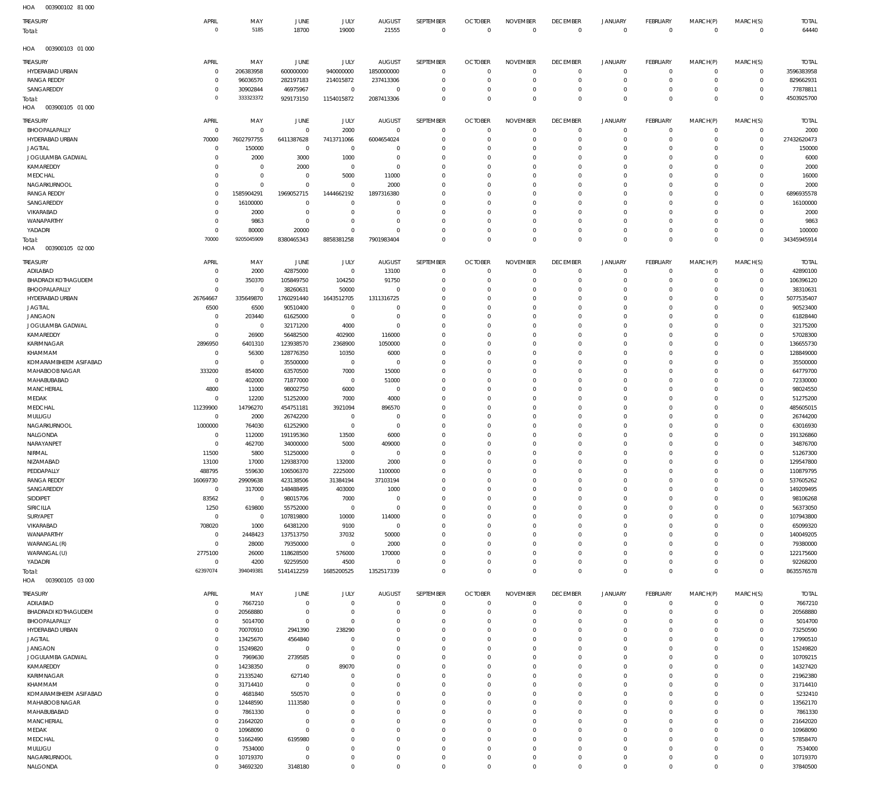| TREASURY                           | APRIL                            | MAY                        | <b>JUNE</b>            | JULY                       | <b>AUGUST</b>               | SEPTEMBER             | <b>OCTOBER</b>               | <b>NOVEMBER</b>                | <b>DECEMBER</b>                   | <b>JANUARY</b>              | <b>FEBRUARY</b>                | MARCH(P)                | MARCH(S)                           | <b>TOTAL</b>               |
|------------------------------------|----------------------------------|----------------------------|------------------------|----------------------------|-----------------------------|-----------------------|------------------------------|--------------------------------|-----------------------------------|-----------------------------|--------------------------------|-------------------------|------------------------------------|----------------------------|
| Total:                             | $\mathbf 0$                      | 5185                       | 18700                  | 19000                      | 21555                       | $\Omega$              | $\Omega$                     | $\mathbf 0$                    | $\overline{0}$                    | $\overline{0}$              | $\mathbf 0$                    | $\mathbf 0$             | $\mathbf 0$                        | 64440                      |
| HOA<br>003900103 01 000            |                                  |                            |                        |                            |                             |                       |                              |                                |                                   |                             |                                |                         |                                    |                            |
|                                    |                                  |                            |                        |                            |                             |                       |                              |                                |                                   |                             |                                |                         |                                    |                            |
| TREASURY<br>HYDERABAD URBAN        | APRIL<br>$\overline{0}$          | MAY<br>206383958           | JUNE<br>600000000      | JULY<br>940000000          | <b>AUGUST</b><br>1850000000 | SEPTEMBER<br>$\Omega$ | <b>OCTOBER</b><br>$^{\circ}$ | <b>NOVEMBER</b><br>$\mathbf 0$ | <b>DECEMBER</b><br>$\overline{0}$ | <b>JANUARY</b><br>$\circ$   | <b>FEBRUARY</b><br>$\mathbf 0$ | MARCH(P)<br>$\mathbf 0$ | MARCH(S)<br>0                      | <b>TOTAL</b><br>3596383958 |
| <b>RANGA REDDY</b>                 | $\overline{0}$                   | 96036570                   | 282197183              | 214015872                  | 237413306                   | $^{\circ}$            | - 0                          | $\overline{0}$                 | $\mathbf 0$                       | $\circ$                     | $^{\circ}$                     | 0                       | $\mathsf{O}\xspace$                | 829662931                  |
| SANGAREDDY                         | $^{\circ}$                       | 30902844                   | 46975967               | $\mathbf 0$                | $^{\circ}$                  | $\Omega$              | - 0                          | $\overline{0}$                 | $\mathbf 0$                       | $\circ$                     | $^{\circ}$                     | 0                       | $\mathbf 0$                        | 77878811                   |
| lotal:                             | $\mathbf 0$                      | 333323372                  | 929173150              | 1154015872                 | 2087413306                  | $\Omega$              | $\Omega$                     | $\,0\,$                        | $\mathbf 0$                       | $\overline{0}$              | $\mathbf 0$                    | $\Omega$                | $\mathbf 0$                        | 4503925700                 |
| HOA<br>003900105 01 000            |                                  |                            |                        |                            |                             |                       |                              |                                |                                   |                             |                                |                         |                                    |                            |
| TREASURY                           | APRIL                            | MAY                        | <b>JUNE</b>            | JULY                       | <b>AUGUST</b>               | SEPTEMBER             | <b>OCTOBER</b>               | <b>NOVEMBER</b>                | <b>DECEMBER</b>                   | <b>JANUARY</b>              | <b>FEBRUARY</b>                | MARCH(P)                | MARCH(S)                           | <b>TOTAL</b>               |
| BHOOPALAPALLY                      | $\overline{0}$                   | $\mathbf 0$                | $^{\circ}$             | 2000                       | $\mathbf 0$                 | $\Omega$              | $\Omega$                     | $\mathbf 0$                    | $\overline{0}$                    | $\mathbf{0}$                | $^{\circ}$                     | $\mathbf 0$             | $\circ$                            | 2000                       |
| HYDERABAD URBAN                    | 70000                            | 7602797755                 | 6411387628             | 7413711066                 | 6004654024                  | $\Omega$              | $\Omega$                     | $\overline{0}$                 | $\mathbf 0$                       | $^{\circ}$                  | $\Omega$                       | 0                       | $\mathsf{O}\xspace$                | 27432620473                |
| <b>JAGTIAL</b>                     | $^{\circ}$                       | 150000                     | 0                      | $^{\circ}$                 | $\Omega$                    | $\Omega$              | $\Omega$                     | $\overline{0}$                 | $\mathbf 0$                       | $^{\circ}$                  | $\Omega$                       | $\Omega$                | $\mathbf 0$                        | 150000                     |
| JOGULAMBA GADWAL                   | $\Omega$                         | 2000                       | 3000                   | 1000                       | $\Omega$                    | $\Omega$              | $\Omega$                     | $\Omega$                       | $\mathbf 0$                       | $\mathbf 0$                 | $\Omega$                       | $\Omega$                | $\mathbf 0$                        | 6000                       |
| KAMAREDDY                          | $\Omega$                         | $\mathbf 0$<br>$\mathbf 0$ | 2000                   | $\mathbf{0}$               | $\Omega$                    | $\Omega$<br>$\Omega$  | $\Omega$                     | $\mathbf 0$                    | $\mathbf 0$                       | $\Omega$                    | $\Omega$<br>$\Omega$           | $\Omega$                | $\mathbf 0$                        | 2000                       |
| MEDCHAL<br>NAGARKURNOOL            | $\mathbf 0$<br>$\mathbf 0$       | $\mathbf 0$                | 0<br>$^{\circ}$        | 5000<br>$\Omega$           | 11000<br>2000               | $\Omega$              | $\Omega$<br>$\Omega$         | $^{\circ}$<br>$\Omega$         | $\mathbf 0$<br>$\Omega$           | $\mathbf 0$<br>$\Omega$     | $\Omega$                       | $\Omega$<br>$\Omega$    | $\mathbf 0$<br>$\mathbf 0$         | 16000<br>2000              |
| <b>RANGA REDDY</b>                 | $^{\circ}$                       | 1585904291                 | 1969052715             | 1444662192                 | 1897316380                  | $\Omega$              | $\Omega$                     | $\Omega$                       | $\Omega$                          | $\mathbf 0$                 | $\Omega$                       | $\Omega$                | $\mathbf 0$                        | 6896935578                 |
| SANGAREDDY                         | $\overline{0}$                   | 16100000                   | $^{\circ}$             | $\Omega$                   | $\Omega$                    | $\Omega$              | $\Omega$                     | $\mathbf{0}$                   | $\mathbf 0$                       | $\Omega$                    | $\Omega$                       | $\Omega$                | $\mathbf 0$                        | 16100000                   |
| VIKARABAD                          | $\mathbf 0$                      | 2000                       | $^{\circ}$             | $\mathbf 0$                | $\Omega$                    | $\Omega$              | $\Omega$                     | $^{\circ}$                     | $\mathbf 0$                       | $\Omega$                    | $\Omega$                       | $\Omega$                | $\mathbf 0$                        | 2000                       |
| WANAPARTHY                         | $\mathbf 0$                      | 9863                       | $^{\circ}$             | $\mathbf{0}$               | $\Omega$                    | $\Omega$              | $\Omega$                     | $\mathbf 0$                    | $\mathbf 0$                       | $\mathbf 0$                 | $\Omega$                       | $\Omega$                | $\mathbf 0$                        | 9863                       |
| YADADRI                            | $\overline{0}$                   | 80000                      | 20000                  | $\Omega$                   | $\Omega$                    | $\Omega$              | $\Omega$                     | $\mathbf 0$                    | $\mathbf 0$                       | $\mathbf 0$                 | $\Omega$                       | 0                       | $\mathbf 0$                        | 100000                     |
| Total:                             | 70000                            | 9205045909                 | 8380465343             | 8858381258                 | 7901983404                  | $\Omega$              | $\Omega$                     | $\Omega$                       | $\mathbf 0$                       | $\Omega$                    | $\Omega$                       | $\Omega$                | $\mathbf 0$                        | 34345945914                |
| HOA<br>003900105 02 000            |                                  |                            |                        |                            |                             |                       |                              |                                |                                   |                             |                                |                         |                                    |                            |
| TREASURY                           | APRIL                            | MAY                        | JUNE                   | JULY                       | <b>AUGUST</b>               | SEPTEMBER             | <b>OCTOBER</b>               | <b>NOVEMBER</b>                | <b>DECEMBER</b>                   | <b>JANUARY</b>              | FEBRUARY                       | MARCH(P)                | MARCH(S)                           | <b>TOTAL</b>               |
| ADILABAD                           | $\overline{0}$                   | 2000                       | 42875000               | $\mathbf 0$                | 13100                       | $\Omega$              | $^{\circ}$                   | $\overline{0}$                 | $\mathbf 0$                       | $\circ$                     | $^{\circ}$                     | $^{\circ}$              | $\mathsf{O}\xspace$                | 42890100                   |
| <b>BHADRADI KOTHAGUDEM</b>         | $\overline{0}$                   | 350370                     | 105849750              | 104250                     | 91750                       | $\Omega$              | $\Omega$                     | $\overline{0}$                 | $\mathbf 0$                       | $\mathbf{0}$                | $^{\circ}$                     | 0                       | $\mathsf{O}\xspace$                | 106396120                  |
| BHOOPALAPALLY                      | $\overline{0}$                   | $\mathbf 0$                | 38260631               | 50000                      | $\Omega$                    | $\Omega$              | $\Omega$                     | $\overline{0}$                 | $\mathbf 0$                       | $\mathbf{0}$                | $^{\circ}$                     | $\Omega$                | $\mathbf 0$                        | 38310631                   |
| HYDERABAD URBAN                    | 26764667                         | 335649870                  | 1760291440             | 1643512705                 | 1311316725                  | $\Omega$              | $\Omega$                     | $\overline{0}$                 | $\mathbf 0$                       | $\mathbf{0}$                | 0                              | $\Omega$                | $\mathsf{O}\xspace$                | 5077535407                 |
| <b>JAGTIAL</b>                     | 6500                             | 6500                       | 90510400               | $\mathbf 0$                | $\Omega$                    | $\Omega$<br>$\Omega$  | $\Omega$                     | $\overline{0}$<br>$\mathbf{0}$ | $\mathbf 0$                       | $\mathbf 0$<br>$\mathbf{0}$ | $\Omega$<br>$\Omega$           | $\Omega$                | $\mathbf 0$                        | 90523400                   |
| <b>JANGAON</b><br>JOGULAMBA GADWAL | $\overline{0}$<br>$\overline{0}$ | 203440<br>$\overline{0}$   | 61625000<br>32171200   | $\mathbf{0}$<br>4000       | 0<br>$\mathbf 0$            | $\Omega$              | $\Omega$<br>$\Omega$         | $\overline{0}$                 | $\mathbf 0$<br>$\mathbf 0$        | $\mathbf 0$                 | $^{\circ}$                     | $\Omega$<br>$\Omega$    | $\mathsf{O}\xspace$<br>$\mathbf 0$ | 61828440<br>32175200       |
| KAMAREDDY                          | $\overline{0}$                   | 26900                      | 56482500               | 402900                     | 116000                      | $\Omega$              | $\Omega$                     | $\mathbf{0}$                   | $\mathbf 0$                       | $\mathbf 0$                 | $\Omega$                       | $\Omega$                | $\mathsf{O}\xspace$                | 57028300                   |
| KARIMNAGAR                         | 2896950                          | 6401310                    | 123938570              | 2368900                    | 1050000                     | $\Omega$              | $\Omega$                     | $\mathbf{0}$                   | $\mathbf 0$                       | $\mathbf 0$                 | $\Omega$                       | $\Omega$                | $\mathbf 0$                        | 136655730                  |
| KHAMMAM                            | $\overline{0}$                   | 56300                      | 128776350              | 10350                      | 6000                        | $\Omega$              | $\Omega$                     | $\mathbf{0}$                   | $\mathbf 0$                       | $\mathbf{0}$                | $^{\circ}$                     | $\Omega$                | $\mathsf{O}\xspace$                | 128849000                  |
| KOMARAMBHEEM ASIFABAD              | $\overline{0}$                   | $\mathbf 0$                | 35500000               | $\mathbf 0$                | $^{\circ}$                  | $\Omega$              | $\Omega$                     | $\Omega$                       | $\mathbf 0$                       | $\mathbf 0$                 | $\Omega$                       | $\Omega$                | $\mathbf 0$                        | 35500000                   |
| MAHABOOB NAGAR                     | 333200                           | 854000                     | 63570500               | 7000                       | 15000                       | $\Omega$              | $\Omega$                     | $\mathbf 0$                    | $\mathbf 0$                       | $\mathbf{0}$                | $\Omega$                       | $\Omega$                | $\mathsf{O}\xspace$                | 64779700                   |
| MAHABUBABAD                        | $\overline{0}$                   | 402000                     | 71877000               | $\mathbf 0$                | 51000                       | $\Omega$              | $\Omega$                     | $\mathbf 0$                    | $\mathbf 0$                       | $\mathbf{0}$                | $^{\circ}$                     | $\Omega$                | $\mathbf 0$                        | 72330000                   |
| MANCHERIAL                         | 4800                             | 11000                      | 98002750               | 6000                       | $^{\circ}$                  | $\Omega$              | $\Omega$                     | $\mathbf 0$                    | $\mathbf 0$                       | $\mathbf 0$                 | 0                              | $\Omega$                | $\mathsf{O}\xspace$                | 98024550                   |
| MEDAK                              | $\overline{0}$                   | 12200                      | 51252000               | 7000                       | 4000                        | $\Omega$              | $\Omega$                     | $\Omega$                       | $\mathbf 0$                       | $\mathbf 0$                 | $\Omega$                       | $\Omega$                | $\mathbf 0$                        | 51275200                   |
| MEDCHAL                            | 11239900                         | 14796270                   | 454751181              | 3921094                    | 896570                      | $\Omega$<br>$\Omega$  | $\Omega$                     | $\mathbf 0$<br>$\mathbf 0$     | $\mathbf 0$                       | $\mathbf{0}$<br>$\mathbf 0$ | $\Omega$                       | $\Omega$                | $\mathsf{O}\xspace$                | 485605015                  |
| MULUGU<br>NAGARKURNOOL             | $\overline{0}$<br>1000000        | 2000<br>764030             | 26742200<br>61252900   | $\mathbf 0$<br>$\mathbf 0$ | $\mathbf 0$<br>$^{\circ}$   | $\Omega$              | $\Omega$<br>$\Omega$         | $\mathbf 0$                    | $\mathbf 0$<br>$\mathbf 0$        | $\mathbf 0$                 | $^{\circ}$<br>0                | $\Omega$<br>$\Omega$    | $\mathbf 0$<br>$\mathsf{O}\xspace$ | 26744200<br>63016930       |
| NALGONDA                           | $\overline{0}$                   | 112000                     | 191195360              | 13500                      | 6000                        | $\Omega$              | $\Omega$                     | $\mathbf{0}$                   | $\mathbf 0$                       | $\mathbf 0$                 | $\Omega$                       | $\Omega$                | $\mathbf 0$                        | 191326860                  |
| NARAYANPET                         | $\overline{0}$                   | 462700                     | 34000000               | 5000                       | 409000                      | $\Omega$              | $\Omega$                     | $\mathbf{0}$                   | $\mathbf 0$                       | $\mathbf 0$                 | 0                              | 0                       | 0                                  | 34876700                   |
| NIRMAL                             | 11500                            | 5800                       | 51250000               | $\mathbf{0}$               | $\Omega$                    | $\Omega$              | $\Omega$                     | $\overline{0}$                 | $\Omega$                          | $\Omega$                    | $\Omega$                       | $\Omega$                | $\mathbf 0$                        | 51267300                   |
| NIZAMABAD                          | 13100                            | 17000                      | 129383700              | 132000                     | 2000                        | $\Omega$              | $\Omega$                     | $\Omega$                       | $\Omega$                          | $\Omega$                    | $\Omega$                       | $\Omega$                | $\Omega$                           | 129547800                  |
| PEDDAPALLY                         | 488795                           | 559630                     | 106506370              | 2225000                    | 1100000                     | $\Omega$              | $\Omega$                     | $\mathbf{0}$                   | $\mathbf 0$                       | $\mathbf{0}$                | $\mathbf 0$                    | $\mathbf 0$             | $\mathsf{O}\xspace$                | 110879795                  |
| <b>RANGA REDDY</b>                 | 16069730                         | 29909638                   | 423138506              | 31384194                   | 37103194                    | $\mathbf{0}$          | $^{\circ}$                   | $\mathbf 0$                    | $\mathbf 0$                       | $\circ$                     | $\mathbf 0$                    | $\mathbf 0$             | $\mathsf{O}\xspace$                | 537605262                  |
| SANGAREDDY                         | $\overline{0}$                   | 317000                     | 148488495              | 403000                     | 1000                        | $\Omega$              | $\Omega$                     | $\mathbf 0$                    | $\mathbf 0$                       | $\mathbf 0$                 | $\mathbf 0$                    | $\Omega$                | $\mathbf 0$                        | 149209495                  |
| SIDDIPET                           | 83562                            | $\overline{0}$             | 98015706               | 7000                       | $^{\circ}$<br>$\mathbf 0$   | $\Omega$<br>$\Omega$  | $\Omega$<br>$\Omega$         | $\mathbf 0$<br>$\overline{0}$  | $\mathbf 0$<br>$\mathbf 0$        | $\mathbf{0}$<br>$\mathbf 0$ | $\Omega$<br>$\Omega$           | $\mathbf 0$             | $\mathsf{O}\xspace$<br>$\mathbf 0$ | 98106268                   |
| SIRICILLA<br>SURYAPET              | 1250<br>$\overline{0}$           | 619800<br>$\mathbf 0$      | 55752000<br>107819800  | $\mathbf 0$<br>10000       | 114000                      | $\Omega$              | $\Omega$                     | $\mathbf 0$                    | $\mathbf 0$                       | $\mathbf 0$                 | $\Omega$                       | 0<br>0                  | $\mathsf{O}\xspace$                | 56373050<br>107943800      |
| VIKARABAD                          | 708020                           | 1000                       | 64381200               | 9100                       | $^{\circ}$                  | $\Omega$              | $\Omega$                     | $\Omega$                       | $\mathbf 0$                       | $\mathbf 0$                 | $\Omega$                       | $\Omega$                | $\mathbf 0$                        | 65099320                   |
| WANAPARTHY                         | $\overline{0}$                   | 2448423                    | 137513750              | 37032                      | 50000                       | $\Omega$              | $\Omega$                     | $\mathbf 0$                    | $\mathbf 0$                       | $\mathbf{0}$                | $\Omega$                       | 0                       | $\mathsf{O}\xspace$                | 140049205                  |
| WARANGAL (R)                       | $\overline{0}$                   | 28000                      | 79350000               | $\mathbf 0$                | 2000                        | $\Omega$              | $\Omega$                     | $\overline{0}$                 | $\mathbf 0$                       | $\mathbf 0$                 | $^{\circ}$                     | 0                       | $\mathbf 0$                        | 79380000                   |
| WARANGAL (U)                       | 2775100                          | 26000                      | 118628500              | 576000                     | 170000                      | $\Omega$              | $\Omega$                     | $\mathbf 0$                    | $\mathbf 0$                       | $\mathbf{0}$                | $\Omega$                       | $^{\circ}$              | $\mathsf{O}\xspace$                | 122175600                  |
| YADADRI                            | $\overline{0}$                   | 4200                       | 92259500               | 4500                       | $^{\circ}$                  | $\Omega$              | $\Omega$                     | $\mathbf 0$                    | $\mathbf 0$                       | $\mathbf{0}$                | $^{\circ}$                     | $^{\circ}$              | $\mathsf{O}\xspace$                | 92268200                   |
| Total:                             | 62397074                         | 394049381                  | 5141412259             | 1685200525                 | 1352517339                  | $\Omega$              | $\Omega$                     | $\mathbf 0$                    | $\mathbf 0$                       | $\overline{0}$              | $\mathbf 0$                    | $\Omega$                | $\mathbf 0$                        | 8635576578                 |
| HOA<br>003900105 03 000            |                                  |                            |                        |                            |                             |                       |                              |                                |                                   |                             |                                |                         |                                    |                            |
| TREASURY                           | APRIL                            | MAY                        | <b>JUNE</b>            | JULY                       | <b>AUGUST</b>               | SEPTEMBER             | <b>OCTOBER</b>               | <b>NOVEMBER</b>                | <b>DECEMBER</b>                   | JANUARY                     | <b>FEBRUARY</b>                | MARCH(P)                | MARCH(S)                           | <b>TOTAL</b>               |
| ADILABAD                           | $\overline{0}$                   | 7667210                    | $\mathbf 0$            | $^{\circ}$                 | $\mathbf 0$                 | $^{\circ}$            | $\Omega$                     | $\mathbf 0$                    | $\overline{0}$                    | $^{\circ}$                  | $^{\circ}$                     | $^{\circ}$              | 0                                  | 7667210                    |
| BHADRADI KOTHAGUDEM                | $^{\circ}$                       | 20568880                   | $\mathbf 0$            | $\mathbf 0$                | $\Omega$                    | $\Omega$              | $\Omega$                     | $\Omega$                       | $\mathbf 0$                       | $\mathbf{0}$                | $\Omega$                       | $\Omega$                | $\circ$                            | 20568880                   |
| BHOOPALAPALLY                      | $^{\circ}$                       | 5014700                    | $\mathbf 0$            | $\mathbf 0$                | $\Omega$                    | $\Omega$              | $\Omega$                     | $\overline{0}$                 | $\mathbf 0$                       | $^{\circ}$                  | $\Omega$                       | $\Omega$                | $\mathbf 0$                        | 5014700                    |
| HYDERABAD URBAN                    | $\overline{0}$                   | 70070910                   | 2941390                | 238290                     | $\Omega$                    | $\Omega$              | $\Omega$                     | $^{\circ}$                     | $\mathbf 0$                       | $^{\circ}$                  | $\Omega$                       | 0                       | $\circ$                            | 73250590                   |
| <b>JAGTIAL</b><br><b>JANGAON</b>   | $\overline{0}$<br>$\overline{0}$ | 13425670<br>15249820       | 4564840<br>$\mathbf 0$ | $^{\circ}$<br>$\mathbf 0$  | $\Omega$<br>$\Omega$        | $\Omega$<br>$\Omega$  | $\Omega$<br>$\Omega$         | $\Omega$<br>$\Omega$           | $\Omega$<br>$\Omega$              | $\Omega$<br>$^{\circ}$      | $\Omega$<br>$\Omega$           | $\Omega$<br>$\Omega$    | $\circ$<br>$\circ$                 | 17990510<br>15249820       |
| JOGULAMBA GADWAL                   | $\overline{0}$                   | 7969630                    | 2739585                | $\mathbf 0$                | $\Omega$                    | $\Omega$              | $\Omega$                     | $\Omega$                       | $\Omega$                          | $\Omega$                    | $\Omega$                       | $\Omega$                | $\mathsf{O}\xspace$                | 10709215                   |
| KAMAREDDY                          | $\overline{0}$                   | 14238350                   | $\overline{0}$         | 89070                      | $\Omega$                    | $\Omega$              | $\Omega$                     | $\Omega$                       | $\Omega$                          | $\Omega$                    | $\Omega$                       | $\Omega$                | $\mathbf 0$                        | 14327420                   |
| KARIMNAGAR                         | $\overline{0}$                   | 21335240                   | 627140                 | $\Omega$                   | $\Omega$                    | $\Omega$              | $\Omega$                     | $\Omega$                       | $\Omega$                          | $\Omega$                    | $\Omega$                       | $\Omega$                | $\mathbf 0$                        | 21962380                   |
| KHAMMAM                            | $\overline{0}$                   | 31714410                   | $^{\circ}$             | $\Omega$                   | $\Omega$                    | $\Omega$              | $\Omega$                     | $\Omega$                       | $\Omega$                          | $^{\circ}$                  | $\Omega$                       | $\Omega$                | $\circ$                            | 31714410                   |
| KOMARAMBHEEM ASIFABAD              | $\mathbf 0$                      | 4681840                    | 550570                 | $\Omega$                   | $\Omega$                    | $\Omega$              | $\Omega$                     | $\Omega$                       | $\Omega$                          | $\Omega$                    | $\Omega$                       | $\Omega$                | $\mathbf 0$                        | 5232410                    |
| MAHABOOB NAGAR                     | $\mathbf 0$                      | 12448590                   | 1113580                | $\Omega$                   | $\Omega$                    | $\Omega$              | $\Omega$                     | $\Omega$                       | $\Omega$                          | $\Omega$                    | $\Omega$                       | $\Omega$                | $\mathbf 0$                        | 13562170                   |
| MAHABUBABAD                        | $\overline{0}$                   | 7861330                    | $^{\circ}$             | $\Omega$                   | $\Omega$                    | $\Omega$              | $\Omega$                     | $\overline{0}$                 | $\Omega$                          | $\Omega$                    | $\Omega$                       | $\Omega$                | $\mathbf 0$                        | 7861330                    |
| MANCHERIAL                         | $\overline{0}$                   | 21642020                   | 0                      | $\Omega$                   | $\Omega$                    | $\Omega$              | $\Omega$                     | $\Omega$                       | $\mathbf 0$                       | $\circ$                     | $\Omega$                       | $\Omega$                | $\mathbf 0$                        | 21642020                   |
| MEDAK                              | $\mathbf 0$                      | 10968090                   | 0                      | $\Omega$                   | $\Omega$                    | $\Omega$              | $\Omega$                     | $\Omega$                       | $\Omega$                          | $\Omega$                    | $\Omega$                       | $\Omega$                | $\mathbf 0$                        | 10968090                   |
| MEDCHAL<br>MULUGU                  | $\overline{0}$<br>$\overline{0}$ | 51662490<br>7534000        | 6195980<br>0           | $\Omega$<br>$\Omega$       | $\Omega$<br>$\Omega$        | $\Omega$<br>$\Omega$  | $\Omega$<br>$\Omega$         | $\mathbf 0$<br>$\mathbf 0$     | $\Omega$<br>$\mathbf 0$           | $\Omega$<br>$\mathbf 0$     | $\Omega$<br>$\Omega$           | $\Omega$<br>0           | $\circ$<br>$\mathsf{O}\xspace$     | 57858470<br>7534000        |
| NAGARKURNOOL                       | $\mathbf 0$                      | 10719370                   | 0                      | $\mathbf 0$                | $\Omega$                    | $^{\circ}$            | $\Omega$                     | $\mathbf 0$                    | $\mathbf 0$                       | $\mathbf 0$                 | $\mathbf 0$                    | $^{\circ}$              | $\mathbf 0$                        | 10719370                   |
| NALGONDA                           | $\mathbf 0$                      | 34692320                   | 3148180                | $\mathbf 0$                | $\mathbf 0$                 | $\mathbf 0$           | $\mathbf 0$                  | $\,0\,$                        | $\overline{0}$                    | $\mathbf 0$                 | $\mathbf 0$                    | $\mathbf 0$             | $\mathbf 0$                        | 37840500                   |

003900102 81 000 HOA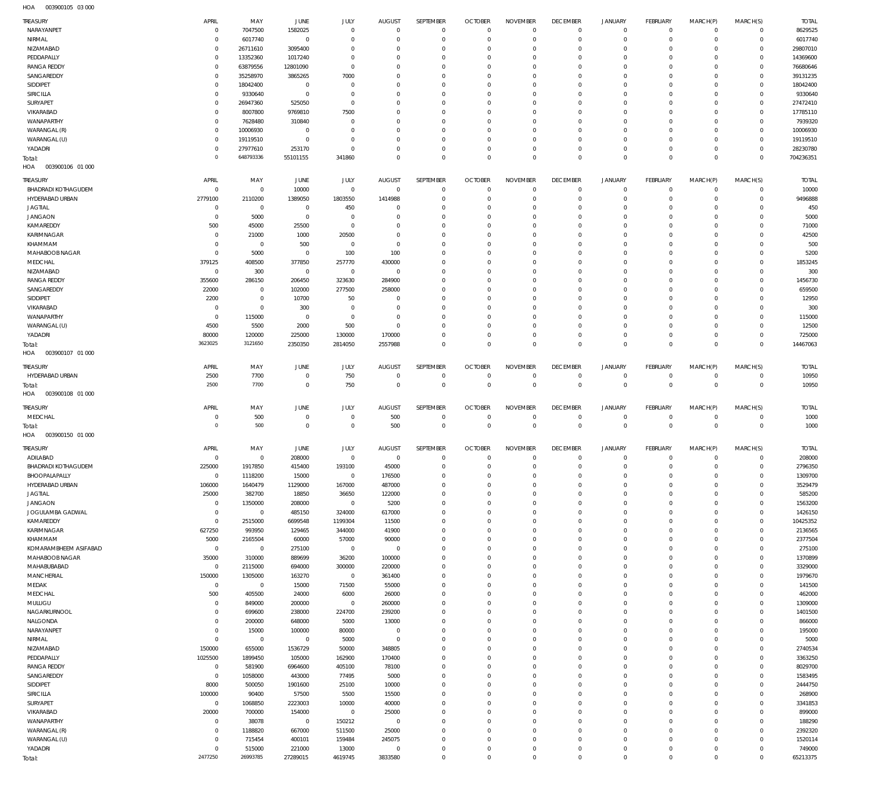003900105 03 000 HOA

| <b>TREASURY</b><br>NARAYANPET | APRIL<br>$\overline{0}$       | MAY<br>7047500         | JUNE<br>1582025       | JULY<br>$\Omega$     | <b>AUGUST</b><br>$\overline{0}$ | SEPTEMBER<br>$\mathbf{0}$  | <b>OCTOBER</b><br>$\Omega$ | <b>NOVEMBER</b><br>$\Omega$ | <b>DECEMBER</b><br>$\mathbf 0$ | <b>JANUARY</b><br>$^{\circ}$ | FEBRUARY<br>$\mathbf 0$   | MARCH(P)<br>$^{\circ}$     | MARCH(S)<br>$^{\circ}$  | <b>TOTAL</b><br>8629525 |
|-------------------------------|-------------------------------|------------------------|-----------------------|----------------------|---------------------------------|----------------------------|----------------------------|-----------------------------|--------------------------------|------------------------------|---------------------------|----------------------------|-------------------------|-------------------------|
| NIRMAL                        | $\mathbf 0$                   | 6017740                | $\mathbf 0$           | $\Omega$             | $\Omega$                        | $\Omega$                   | $\Omega$                   | $\Omega$                    | $\Omega$                       | $\mathbf 0$                  | $\Omega$                  | $\Omega$                   | $^{\circ}$              | 6017740                 |
| NIZAMABAD                     | $\mathbf 0$                   | 26711610               | 3095400               | $\Omega$             | $\Omega$                        | $\Omega$                   | $\Omega$                   | $\Omega$                    | $\Omega$                       | $\Omega$                     | $\Omega$                  | $\Omega$                   | $\Omega$                | 29807010                |
| PEDDAPALLY                    | $\mathbf 0$                   | 13352360               | 1017240               | $\Omega$             | $\Omega$                        | $\Omega$                   | $\Omega$                   | $\Omega$                    | $\Omega$                       | $\mathbf 0$                  | $\Omega$                  | $\Omega$                   | $\Omega$                | 14369600                |
| <b>RANGA REDDY</b>            | $\mathbf 0$                   | 63879556               | 12801090              | $\Omega$             | $\Omega$                        | $\Omega$                   | $\Omega$                   | $\Omega$                    | $\Omega$                       | $\Omega$                     | $\Omega$                  | $\Omega$                   | $\Omega$                | 76680646                |
| SANGAREDDY                    | $\mathbf 0$                   | 35258970               | 3865265               | 7000                 | $\Omega$                        | $\Omega$                   | $\Omega$                   | $\Omega$                    | $\Omega$                       | $\Omega$                     | $\Omega$                  | $\Omega$                   | $\Omega$                | 39131235                |
| SIDDIPET                      | $\mathbf 0$                   | 18042400               | $\mathbf 0$           | $\Omega$             | $\Omega$                        | $\Omega$                   | $\Omega$                   | $\Omega$                    | $\Omega$                       | $\Omega$                     | $\Omega$                  | $\Omega$                   | $\Omega$                | 18042400                |
| SIRICILLA                     | $\mathbf 0$                   | 9330640                | $\overline{0}$        | $\Omega$<br>$\Omega$ | $\Omega$<br>$\Omega$            | $\Omega$<br>$\Omega$       | $\Omega$<br>$\Omega$       | $\Omega$<br>$\Omega$        | $\Omega$<br>$\Omega$           | $\Omega$<br>$\Omega$         | $\Omega$<br>$\Omega$      | $\Omega$<br>$\Omega$       | $\Omega$<br>$\Omega$    | 9330640                 |
| SURYAPET<br>VIKARABAD         | $\mathbf 0$<br>$\mathbf 0$    | 26947360<br>8007800    | 525050<br>9769810     | 7500                 | $\Omega$                        | $\Omega$                   | $\Omega$                   | $\Omega$                    | $\Omega$                       | $\Omega$                     | $\Omega$                  | $\Omega$                   | $\Omega$                | 27472410<br>17785110    |
| WANAPARTHY                    | $\mathbf 0$                   | 7628480                | 310840                | $\Omega$             | $\Omega$                        | $\Omega$                   | $\Omega$                   | $\Omega$                    | $\Omega$                       | $\Omega$                     | $\Omega$                  | $\Omega$                   | $\Omega$                | 7939320                 |
| WARANGAL (R)                  | $\mathbf 0$                   | 10006930               | $\mathbf 0$           | $\Omega$             | $\Omega$                        | $\Omega$                   | $\Omega$                   | $\Omega$                    | $\Omega$                       | $\Omega$                     | $\Omega$                  | $\Omega$                   | $\Omega$                | 10006930                |
| WARANGAL (U)                  | $\mathbf 0$                   | 19119510               | $\overline{0}$        | $\Omega$             | $\Omega$                        | $\Omega$                   | $\Omega$                   | $\Omega$                    | $\Omega$                       | $\Omega$                     | $\Omega$                  | $\Omega$                   | $\Omega$                | 19119510                |
| YADADRI                       | $\mathbf 0$                   | 27977610               | 253170                | $\Omega$             | $\Omega$                        | $\Omega$                   | $\Omega$                   | $\Omega$                    | $\mathbf 0$                    | $\mathbf 0$                  | $\Omega$                  | $\Omega$                   | $\mathbf 0$             | 28230780                |
| Total:                        | $\mathbf 0$                   | 648793336              | 55101155              | 341860               | $\Omega$                        | $\Omega$                   | $\Omega$                   | $\Omega$                    | $\mathbf 0$                    | $\mathbf 0$                  | $\Omega$                  | $\Omega$                   | $\Omega$                | 704236351               |
| HOA   003900106   01   000    |                               |                        |                       |                      |                                 |                            |                            |                             |                                |                              |                           |                            |                         |                         |
| <b>TREASURY</b>               | APRIL                         | MAY                    | JUNE                  | <b>JULY</b>          | <b>AUGUST</b>                   | SEPTEMBER                  | <b>OCTOBER</b>             | <b>NOVEMBER</b>             | <b>DECEMBER</b>                | <b>JANUARY</b>               | FEBRUARY                  | MARCH(P)                   | MARCH(S)                | <b>TOTAL</b>            |
| BHADRADI KOTHAGUDEM           | $\overline{0}$                | $\mathbf 0$            | 10000                 | $\mathbf 0$          | $\mathbf{0}$                    | $\mathbf 0$                | $\overline{0}$             | $^{\circ}$                  | $^{\circ}$                     | $\mathbf 0$                  | $^{\circ}$                | $^{\circ}$                 | $\mathbf 0$             | 10000                   |
| HYDERABAD URBAN               | 2779100                       | 2110200                | 1389050               | 1803550              | 1414988                         | $\mathbf 0$                | $^{\circ}$                 | $^{\circ}$                  | $^{\circ}$                     | $\mathbf 0$                  | $^{\circ}$                | $\mathbf 0$                | $\mathbf 0$             | 9496888                 |
| <b>JAGTIAL</b>                | $\overline{0}$                | $\mathbf 0$            | $\overline{0}$        | 450                  | $^{\circ}$                      | $\mathbf{0}$               | $^{\circ}$                 | $\overline{0}$              | $^{\circ}$                     | $\mathbf 0$                  | $^{\circ}$                | $\Omega$                   | $^{\circ}$              | 450                     |
| <b>JANGAON</b>                | $\overline{0}$                | 5000                   | $\overline{0}$        | $\mathbf 0$          | $\Omega$                        | $\Omega$                   | $\Omega$                   | $\Omega$                    | $\Omega$                       | $\mathbf 0$                  | $\Omega$                  | $\Omega$                   | $\Omega$                | 5000                    |
| KAMAREDDY                     | 500                           | 45000                  | 25500                 | $\mathbf 0$          | $\Omega$                        | $\mathbf{0}$               | $^{\circ}$                 | $^{\circ}$                  | $^{\circ}$                     | $\mathbf 0$                  | $\Omega$                  | $\Omega$                   | $^{\circ}$              | 71000                   |
| KARIMNAGAR                    | $\overline{0}$                | 21000                  | 1000                  | 20500                | $\Omega$                        | $\Omega$                   | $\Omega$                   | $\mathbf 0$                 | $\Omega$                       | $\mathbf 0$                  | $\Omega$                  | $\Omega$                   | $\Omega$                | 42500                   |
| KHAMMAM<br>MAHABOOB NAGAR     | $\mathbf 0$<br>$\overline{0}$ | $\mathbf 0$<br>5000    | 500<br>$\overline{0}$ | $\mathbf 0$<br>100   | $^{\circ}$<br>100               | $\mathbf 0$<br>$\Omega$    | $\Omega$<br>$\Omega$       | $\Omega$<br>$\overline{0}$  | $\Omega$<br>$\Omega$           | $\mathbf 0$<br>$\mathbf 0$   | $\Omega$<br>$\Omega$      | $\Omega$<br>$\Omega$       | $\Omega$<br>$\Omega$    | 500<br>5200             |
| MEDCHAL                       | 379125                        | 408500                 | 377850                | 257770               | 430000                          | $\mathbf 0$                | $\Omega$                   | $\Omega$                    | $\Omega$                       | $\mathbf 0$                  | $\Omega$                  | $\Omega$                   | $\Omega$                | 1853245                 |
| NIZAMABAD                     | $\overline{0}$                | 300                    | $\overline{0}$        | $\mathbb O$          | $\mathbf 0$                     | $\mathbf 0$                | $^{\circ}$                 | $\mathbf 0$                 | $\Omega$                       | $\mathbf 0$                  | $\Omega$                  | $\mathbf 0$                | $\Omega$                | 300                     |
| <b>RANGA REDDY</b>            | 355600                        | 286150                 | 206450                | 323630               | 284900                          | $\mathbf 0$                | $\Omega$                   | $\Omega$                    | $\Omega$                       | $\mathbf 0$                  | $\Omega$                  | $\Omega$                   | $\Omega$                | 1456730                 |
| SANGAREDDY                    | 22000                         | $\mathbf 0$            | 102000                | 277500               | 258000                          | $\Omega$                   | $\Omega$                   | $\Omega$                    | $\Omega$                       | $\mathbf 0$                  | $\Omega$                  | $\Omega$                   | $\Omega$                | 659500                  |
| SIDDIPET                      | 2200                          | $\bf 0$                | 10700                 | 50                   | $^{\circ}$                      | $\mathbf{0}$               | $\Omega$                   | $^{\circ}$                  | $^{\circ}$                     | $\mathbf 0$                  | $\Omega$                  | $\Omega$                   | $^{\circ}$              | 12950                   |
| VIKARABAD                     | $\overline{0}$                | $\mathbf 0$            | 300                   | $\mathbf 0$          | $\Omega$                        | $\Omega$                   | $\Omega$                   | $\mathbf 0$                 | $\Omega$                       | $\mathbf 0$                  | $\Omega$                  | $\Omega$                   | $\Omega$                | 300                     |
| WANAPARTHY                    | $\overline{0}$                | 115000                 | $\overline{0}$        | $\mathbf 0$          | $^{\circ}$                      | $\mathbf 0$                | $\Omega$                   | $\mathbf 0$                 | $\Omega$                       | $\mathbf 0$                  | $\Omega$                  | $\Omega$                   | $\Omega$                | 115000                  |
| WARANGAL (U)                  | 4500                          | 5500                   | 2000                  | 500                  | $^{\circ}$                      | $\Omega$                   | $\Omega$                   | $\mathbf 0$                 | $\Omega$                       | $\mathbf 0$                  | $\Omega$                  | $\mathbf 0$                | $\Omega$                | 12500                   |
| YADADRI                       | 80000                         | 120000                 | 225000                | 130000               | 170000                          | $\mathbf 0$                | $\Omega$                   | $\mathbf 0$                 | $^{\circ}$                     | $\mathbf 0$                  | $^{\circ}$                | $\mathbf 0$                | $\mathbf 0$             | 725000                  |
| Total:                        | 3623025                       | 3121650                | 2350350               | 2814050              | 2557988                         | $\mathbf 0$                | $\Omega$                   | $\mathbf 0$                 | $\circ$                        | $\mathbf 0$                  | $\Omega$                  | $\mathbf 0$                | $\Omega$                | 14467063                |
| 003900107 01 000<br>HOA       |                               |                        |                       |                      |                                 |                            |                            |                             |                                |                              |                           |                            |                         |                         |
| <b>TREASURY</b>               | APRIL                         | MAY                    | JUNE                  | <b>JULY</b>          | <b>AUGUST</b>                   | SEPTEMBER                  | <b>OCTOBER</b>             | <b>NOVEMBER</b>             | <b>DECEMBER</b>                | <b>JANUARY</b>               | FEBRUARY                  | MARCH(P)                   | MARCH(S)                | <b>TOTAL</b>            |
| HYDERABAD URBAN               | 2500                          | 7700                   | $\mathbf 0$           | 750                  | $^{\circ}$                      | $^{\circ}$                 | $\overline{0}$             | $^{\circ}$                  | $^{\circ}$                     | $^{\circ}$                   | $^{\circ}$                | $^{\circ}$                 | $\mathbf 0$             | 10950                   |
|                               | 2500                          | 7700                   | $\mathbf 0$           | 750                  | $\Omega$                        | $\mathbf 0$                | $\overline{0}$             | $\mathbf 0$                 | $\mathbf 0$                    | $\mathbf 0$                  | $\mathbf 0$               | $\mathbf 0$                | $\mathbf 0$             | 10950                   |
| Total:                        |                               |                        |                       |                      |                                 |                            |                            |                             |                                |                              |                           |                            |                         |                         |
| HOA<br>003900108 01 000       |                               |                        |                       |                      |                                 |                            |                            |                             |                                |                              |                           |                            |                         |                         |
| <b>TREASURY</b>               | APRIL                         | MAY                    | <b>JUNE</b>           | JULY                 | <b>AUGUST</b>                   | SEPTEMBER                  | <b>OCTOBER</b>             | <b>NOVEMBER</b>             | <b>DECEMBER</b>                | <b>JANUARY</b>               | FEBRUARY                  | MARCH(P)                   | MARCH(S)                | <b>TOTAL</b>            |
| MEDCHAL                       | 0                             | 500                    | $\overline{0}$        | 0                    | 500                             | $\mathbf 0$                | $\overline{0}$             | $\mathbf 0$                 | 0                              | 0                            | $\mathbf 0$               | 0                          | 0                       | 1000                    |
| Total:                        | $\overline{0}$                | 500                    | $\overline{0}$        | $\mathbf 0$          | 500                             | $\mathbf 0$                | $\overline{0}$             | $\mathbf 0$                 | $\mathbf 0$                    | $\mathbb O$                  | $\overline{0}$            | $\mathbf 0$                | $\mathbf 0$             | 1000                    |
| 003900150 01 000<br>HOA       |                               |                        |                       |                      |                                 |                            |                            |                             |                                |                              |                           |                            |                         |                         |
| TREASURY                      | APRIL                         | MAY                    | <b>JUNE</b>           | JULY                 | <b>AUGUST</b>                   | SEPTEMBER                  | <b>OCTOBER</b>             | <b>NOVEMBER</b>             | <b>DECEMBER</b>                | <b>JANUARY</b>               | FEBRUARY                  | MARCH(P)                   | MARCH(S)                | <b>TOTAL</b>            |
| ADILABAD                      | $\Omega$                      | $\Omega$               | 208000                | $\Omega$             | $\Omega$                        | $\mathbf 0$                | $\mathbf 0$                | $\mathbf 0$                 | $\mathbf 0$                    | $\mathbf 0$                  | $\mathbf 0$               | $\Omega$                   | $\circ$                 | 208000                  |
| <b>BHADRADI KOTHAGUDEM</b>    | 225000                        | 1917850                | 415400                | 193100               | 45000                           | $\mathbf 0$                | $\Omega$                   | $\Omega$                    | $\Omega$                       | $\Omega$                     | $\Omega$                  | $\Omega$                   | $\Omega$                | 2796350                 |
| BHOOPALAPALLY                 | $\mathbf 0$                   | 1118200                | 15000                 | $\mathbf 0$          | 176500                          | $\mathbf 0$                | $\mathbf 0$                | $\Omega$                    | $\mathbf 0$                    | $\mathbf 0$                  | $\mathbf 0$               | $\mathbf 0$                | $\mathbf 0$             | 1309700                 |
| HYDERABAD URBAN               | 106000                        | 1640479                | 1129000               | 167000               | 487000                          | $\mathbf 0$                | $\mathbf 0$                | $\Omega$                    | $\mathbf 0$                    | $\mathbf 0$                  | $\mathbf 0$               | $\mathbf 0$                | $\Omega$                | 3529479                 |
| <b>JAGTIAL</b>                | 25000                         | 382700                 | 18850                 | 36650                | 122000                          | $\mathbf 0$                | $\Omega$<br>$\Omega$       | $\Omega$<br>$\Omega$        | $\Omega$<br>$\Omega$           | $\Omega$<br>$\Omega$         | $\Omega$<br>$\Omega$      | $\Omega$<br>$\Omega$       | $\Omega$<br>$\Omega$    | 585200                  |
| <b>JANGAON</b>                | $\mathbf 0$<br>$\mathbf 0$    | 1350000<br>$\mathbf 0$ | 208000                | $\mathbf 0$          | 5200                            | $\mathbf 0$<br>$\mathbf 0$ | $^{\circ}$                 | $\Omega$                    | $^{\circ}$                     | $\mathbf 0$                  | $\Omega$                  | $\Omega$                   | $\mathbf 0$             | 1563200                 |
| JOGULAMBA GADWAL<br>KAMAREDDY | $\mathbf 0$                   | 2515000                | 485150<br>6699548     | 324000<br>1199304    | 617000<br>11500                 | $\Omega$                   | $\Omega$                   | $\Omega$                    | $\Omega$                       | $\Omega$                     | $\Omega$                  | $\Omega$                   | $\Omega$                | 1426150<br>10425352     |
| KARIMNAGAR                    | 627250                        | 993950                 | 129465                | 344000               | 41900                           | $\mathbf 0$                | $\Omega$                   | $\Omega$                    | $\Omega$                       | $\mathbf 0$                  | $\Omega$                  | $\Omega$                   | $\Omega$                | 2136565                 |
| KHAMMAM                       | 5000                          | 2165504                | 60000                 | 57000                | 90000                           | $\mathbf 0$                | $\Omega$                   | $\Omega$                    | $\Omega$                       | $\Omega$                     | $\Omega$                  | $\Omega$                   | $\Omega$                | 2377504                 |
| KOMARAMBHEEM ASIFABAD         | $\overline{0}$                | $\mathbb O$            | 275100                | $\mathbf 0$          | $\mathbf{0}$                    | $\mathbf 0$                | $\Omega$                   | $\Omega$                    | $\Omega$                       | $\Omega$                     | $\Omega$                  | $\Omega$                   | $\Omega$                | 275100                  |
| MAHABOOB NAGAR                | 35000                         | 310000                 | 889699                | 36200                | 100000                          | $\mathbf 0$                | $^{\circ}$                 | $\Omega$                    | $\mathbf 0$                    | $\mathbf 0$                  | $\Omega$                  | $\Omega$                   | $\Omega$                | 1370899                 |
| MAHABUBABAD                   | $\mathbf 0$                   | 2115000                | 694000                | 300000               | 220000                          | $\mathbf 0$                | $\Omega$                   | $\Omega$                    | $\Omega$                       | $\Omega$                     | $\Omega$                  | $\Omega$                   | $\Omega$                | 3329000                 |
| <b>MANCHERIAL</b>             | 150000                        | 1305000                | 163270                | $\mathbf 0$          | 361400                          | $\Omega$                   | $\Omega$                   | $\Omega$                    | $\Omega$                       | $\Omega$                     | $\Omega$                  | $\Omega$                   | $\Omega$                | 1979670                 |
| MEDAK                         | $\mathbf 0$                   | $\mathbf{0}$           | 15000                 | 71500                | 55000                           | $\mathbf 0$                | $^{\circ}$                 | $\Omega$                    | $\mathbf 0$                    | $\mathbf 0$                  | $\Omega$                  | $\Omega$                   | $\mathbf 0$             | 141500                  |
| MEDCHAL                       | 500                           | 405500                 | 24000                 | 6000                 | 26000                           | $\Omega$                   | $\Omega$                   | $\Omega$                    | $\Omega$                       | $\Omega$                     | $\Omega$                  | $\Omega$                   | $\Omega$                | 462000                  |
| MULUGU                        | $\mathbf 0$<br>$\mathbf 0$    | 849000                 | 200000                | $\bf 0$              | 260000                          | $\mathbf 0$<br>$\mathbf 0$ | $\Omega$<br>$\Omega$       | $\Omega$<br>$\Omega$        | $\mathbf 0$<br>$\Omega$        | $\mathbf 0$<br>$\Omega$      | $\Omega$<br>$\Omega$      | $\Omega$<br>$\Omega$       | $\Omega$<br>$\Omega$    | 1309000                 |
| NAGARKURNOOL<br>NALGONDA      | $\mathbf 0$                   | 699600<br>200000       | 238000<br>648000      | 224700<br>5000       | 239200<br>13000                 | $\mathbf 0$                | $\Omega$                   | $\Omega$                    | $\Omega$                       | $\Omega$                     | $\Omega$                  | $\Omega$                   | $\Omega$                | 1401500<br>866000       |
| NARAYANPET                    | $\mathbf 0$                   | 15000                  | 100000                | 80000                | $\overline{0}$                  | $\mathbf 0$                | $^{\circ}$                 | $\Omega$                    | $\mathbf 0$                    | $\mathbf 0$                  | $^{\circ}$                | $\Omega$                   | $\mathbf 0$             | 195000                  |
| NIRMAL                        | $\mathbf 0$                   | $\mathbf 0$            | $\mathbf 0$           | 5000                 | $\overline{0}$                  | $\mathbf 0$                | $\Omega$                   | $\Omega$                    | $\Omega$                       | $\Omega$                     | $\Omega$                  | $\Omega$                   | $\Omega$                | 5000                    |
| NIZAMABAD                     | 150000                        | 655000                 | 1536729               | 50000                | 348805                          | $\Omega$                   | $\Omega$                   | $\Omega$                    | $\Omega$                       | $\Omega$                     | $\Omega$                  | $\Omega$                   | $\Omega$                | 2740534                 |
| PEDDAPALLY                    | 1025500                       | 1899450                | 105000                | 162900               | 170400                          | $\mathbf 0$                | $^{\circ}$                 | $\Omega$                    | $\mathbf 0$                    | $\mathbf 0$                  | $\Omega$                  | $\Omega$                   | $\Omega$                | 3363250                 |
| <b>RANGA REDDY</b>            | $\overline{0}$                | 581900                 | 6964600               | 405100               | 78100                           | $\Omega$                   | $\Omega$                   | $\Omega$                    | $\Omega$                       | $\Omega$                     | $\Omega$                  | $\Omega$                   | $\Omega$                | 8029700                 |
| SANGAREDDY                    | $\mathbf 0$                   | 1058000                | 443000                | 77495                | 5000                            | $\mathbf 0$                | $^{\circ}$                 | $\Omega$                    | $\mathbf 0$                    | $\mathbf 0$                  | $\Omega$                  | $\Omega$                   | $\Omega$                | 1583495                 |
| SIDDIPET                      | 8000                          | 500050                 | 1901600               | 25100                | 10000                           | $\Omega$                   | $\Omega$                   | $\Omega$                    | $\Omega$                       | $\Omega$                     | $\Omega$                  | $\Omega$                   | $\Omega$                | 2444750                 |
| SIRICILLA                     | 100000                        | 90400                  | 57500                 | 5500                 | 15500                           | $\mathbf 0$                | $\Omega$                   | $\Omega$                    | $\Omega$                       | $\Omega$                     | $\Omega$                  | $\Omega$                   | $\Omega$                | 268900                  |
| SURYAPET                      | $\mathbf 0$                   | 1068850                | 2223003               | 10000<br>$\mathbf 0$ | 40000                           | $\mathbf 0$<br>$\mathbf 0$ | $^{\circ}$<br>$\Omega$     | $\Omega$<br>$\Omega$        | $\mathbf 0$<br>$\Omega$        | $\mathbf 0$<br>$\Omega$      | $\Omega$<br>$\Omega$      | $\Omega$<br>$\Omega$       | $\Omega$<br>$\Omega$    | 3341853                 |
| VIKARABAD<br>WANAPARTHY       | 20000<br>$\mathbf{0}$         | 700000<br>38078        | 154000<br>$\mathbf 0$ | 150212               | 25000<br>$\mathbf{0}$           | $\mathbf 0$                | $\Omega$                   | $\Omega$                    | $\Omega$                       | $\Omega$                     | $\Omega$                  | $\Omega$                   | $\Omega$                | 899000<br>188290        |
| WARANGAL (R)                  | $\mathbf 0$                   | 1188820                | 667000                | 511500               | 25000                           | $\mathbf 0$                | $^{\circ}$                 | $\Omega$                    | $\mathbf 0$                    | $\mathbf 0$                  | $\Omega$                  | $\Omega$                   | $\Omega$                | 2392320                 |
| WARANGAL (U)                  | $\mathbf{0}$                  | 715454                 | 400101                | 159484               | 245075                          | $\Omega$                   | $\Omega$                   | $\Omega$                    | $\Omega$                       | $\Omega$                     | $\Omega$                  | $\Omega$                   | $\Omega$                | 1520114                 |
| YADADRI                       | $\mathbf 0$<br>2477250        | 515000<br>26993785     | 221000<br>27289015    | 13000<br>4619745     | $\mathbf{0}$<br>3833580         | $\mathbf 0$<br>$\mathbf 0$ | $^{\circ}$<br>$\mathbf 0$  | $\mathbf 0$<br>$\mathbf 0$  | $\mathbf 0$<br>$\mathbf 0$     | $\mathsf{O}$<br>$\mathsf 0$  | $^{\circ}$<br>$\mathbf 0$ | $\mathbf 0$<br>$\mathbf 0$ | $\mathbf 0$<br>$\Omega$ | 749000<br>65213375      |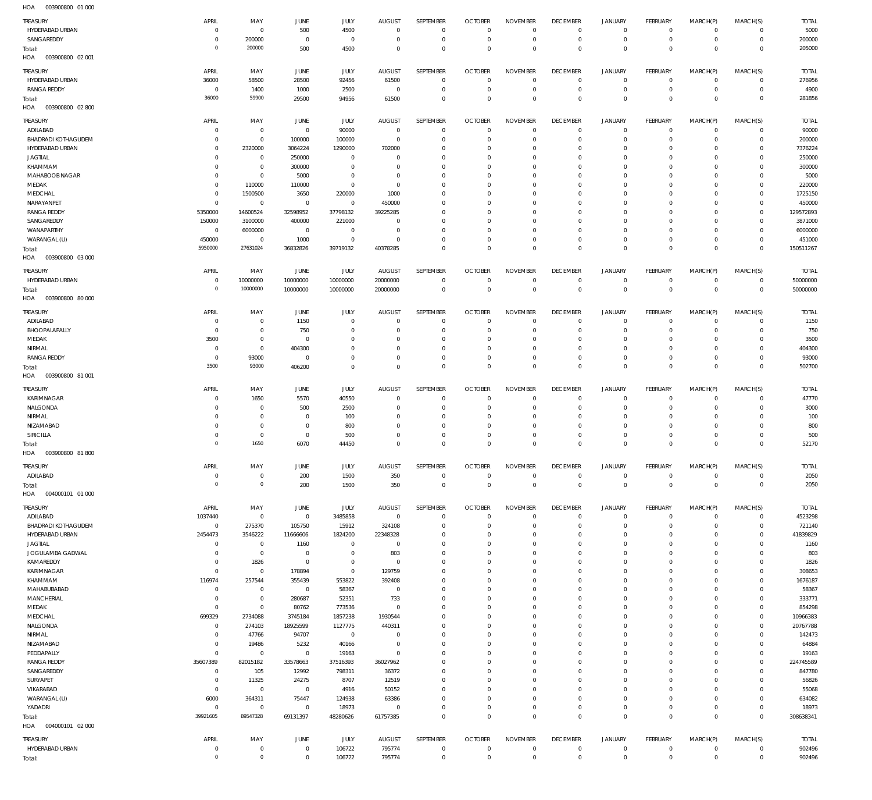| <b>TREASURY</b><br>HYDERABAD URBAN            | APRIL<br>$\circ$             | MAY<br>$\mathbf 0$               | JUNE<br>500                | JULY<br>4500             | <b>AUGUST</b><br>$\mathbf 0$ | SEPTEMBER<br>$\mathbf 0$   | <b>OCTOBER</b><br>$\overline{0}$ | <b>NOVEMBER</b><br>$\mathbf 0$ | <b>DECEMBER</b><br>$\overline{0}$ | <b>JANUARY</b><br>$\mathbf 0$ | <b>FEBRUARY</b><br>$\circ$       | MARCH(P)<br>$\circ$        | MARCH(S)<br>$\mathbf 0$     | <b>TOTAL</b><br>5000 |
|-----------------------------------------------|------------------------------|----------------------------------|----------------------------|--------------------------|------------------------------|----------------------------|----------------------------------|--------------------------------|-----------------------------------|-------------------------------|----------------------------------|----------------------------|-----------------------------|----------------------|
| SANGAREDDY                                    | $\Omega$                     | 200000                           | $\mathbf{0}$               | $\mathbf 0$              | $\mathbf 0$                  | $\mathbb O$                | $\mathbf 0$                      | $\mathbf 0$                    | $\overline{0}$                    | $\mathsf{O}\xspace$           | $\mathbf 0$                      | $^{\circ}$                 | $\mathbf 0$                 | 200000               |
| Total:<br>003900800 02 001<br>HOA             | $\Omega$                     | 200000                           | 500                        | 4500                     | $\mathbf 0$                  | $\mathbf 0$                | $\overline{0}$                   | $\mathbf 0$                    | $\overline{0}$                    | $\mathbf 0$                   | $\mathbb O$                      | $\mathbf 0$                | $\mathbf{0}$                | 205000               |
| TREASURY                                      | APRIL                        | MAY                              | JUNE                       | JULY                     | AUGUST                       | <b>SEPTEMBER</b>           | <b>OCTOBER</b>                   | <b>NOVEMBER</b>                | <b>DECEMBER</b>                   | <b>JANUARY</b>                | <b>FEBRUARY</b>                  | MARCH(P)                   | MARCH(S)                    | <b>TOTAL</b>         |
| HYDERABAD URBAN                               | 36000                        | 58500                            | 28500                      | 92456                    | 61500                        | $\mathbf 0$                | $\overline{0}$                   | $\mathbf 0$                    | $\overline{0}$                    | $\mathbf 0$                   | $\circ$                          | $^{\circ}$                 | $\mathbf 0$                 | 276956               |
| <b>RANGA REDDY</b>                            | $\overline{0}$<br>36000      | 1400<br>59900                    | 1000<br>29500              | 2500<br>94956            | $\mathbf 0$<br>61500         | $\mathbb O$<br>$\mathbf 0$ | $\overline{0}$<br>$\mathbf 0$    | $\mathbf 0$<br>$\mathbf 0$     | $\overline{0}$<br>$\overline{0}$  | $\mathbf 0$<br>$\mathbf 0$    | $\mathbf 0$<br>$\mathbb O$       | $^{\circ}$<br>$\Omega$     | $\mathbf 0$<br>$\mathbf{0}$ | 4900<br>281856       |
| Total:<br>003900800 02 800<br>HOA             |                              |                                  |                            |                          |                              |                            |                                  |                                |                                   |                               |                                  |                            |                             |                      |
| TREASURY                                      | APRIL                        | MAY                              | JUNE                       | <b>JULY</b>              | AUGUST                       | SEPTEMBER                  | <b>OCTOBER</b>                   | <b>NOVEMBER</b>                | <b>DECEMBER</b>                   | <b>JANUARY</b>                | FEBRUARY                         | MARCH(P)                   | MARCH(S)                    | <b>TOTAL</b>         |
| ADILABAD                                      | $\Omega$                     | $\mathbf 0$                      | $\mathbf{0}$               | 90000                    | $\mathbf 0$                  | $\mathbf 0$                | $\overline{0}$                   | $\mathbf 0$                    | $\overline{0}$                    | $\mathbf 0$                   | $\overline{0}$                   | $^{\circ}$                 | $\mathbf 0$                 | 90000                |
| <b>BHADRADI KOTHAGUDEM</b>                    | $\Omega$                     | $\mathbf 0$                      | 100000                     | 100000                   | $\mathbf 0$                  | $\mathbf 0$                | $\mathbf 0$                      | $\mathbf 0$                    | $\mathbf 0$                       | 0                             | $\overline{0}$                   | $\circ$                    | $\mathbf 0$                 | 200000               |
| HYDERABAD URBAN<br><b>JAGTIAL</b>             | $\Omega$<br>- 0              | 2320000<br>$\overline{0}$        | 3064224<br>250000          | 1290000<br>$\mathbf 0$   | 702000<br>0                  | $\mathbf 0$<br>$\mathbf 0$ | $\mathbf 0$<br>$\mathbf 0$       | $\mathbf 0$<br>$\mathbf 0$     | $\mathbf 0$<br>$\mathbf 0$        | 0<br>0                        | $\overline{0}$<br>$\overline{0}$ | 0<br>$\Omega$              | $\mathbf 0$<br>$\mathbf 0$  | 7376224<br>250000    |
| KHAMMAM                                       | $\Omega$                     | $\mathbf 0$                      | 300000                     | $\mathbf 0$              | 0                            | $\mathbf 0$                | $\mathbf 0$                      | $\Omega$                       | $\mathbf 0$                       | 0                             | $\overline{0}$                   | $\Omega$                   | $\Omega$                    | 300000               |
| MAHABOOB NAGAR                                | $\Omega$                     | $\mathbf 0$                      | 5000                       | $\mathbf 0$              | 0                            | $\mathbf 0$                | 0                                | 0                              | $\mathbf 0$                       | 0                             | $\overline{0}$                   | $\Omega$                   | $\Omega$                    | 5000                 |
| MEDAK                                         | $\Omega$                     | 110000                           | 110000                     | $\mathbf 0$              | $\mathbf 0$                  | $\mathbf 0$                | $\mathbf 0$                      | $\Omega$                       | $\mathbf 0$                       | 0                             | $\overline{0}$                   | $\Omega$                   | $\Omega$                    | 220000               |
| MEDCHAL                                       | $\circ$                      | 1500500                          | 3650                       | 220000                   | 1000                         | $\mathbf 0$                | $\mathbf 0$                      | $\mathbf 0$                    | $\mathbf 0$                       | 0                             | $\overline{0}$                   | $\Omega$                   | $\mathbf 0$                 | 1725150              |
| NARAYANPET<br><b>RANGA REDDY</b>              | $^{\circ}$<br>5350000        | $\mathbf 0$<br>14600524          | $^{\circ}$<br>32598952     | $\mathbf 0$<br>37798132  | 450000<br>39225285           | $\mathbf 0$<br>$\mathbf 0$ | $\mathbf 0$<br>0                 | $\Omega$<br>$\mathbf 0$        | $\mathbf 0$<br>$\mathbf 0$        | 0<br>0                        | $\overline{0}$<br>$\overline{0}$ | $\Omega$<br>$\Omega$       | $\Omega$<br>$\mathbf 0$     | 450000<br>129572893  |
| SANGAREDDY                                    | 150000                       | 3100000                          | 400000                     | 221000                   | $^{\circ}$                   | $\mathbf 0$                | $\mathbf 0$                      | $\Omega$                       | $\mathbf 0$                       | 0                             | $\overline{0}$                   | $\Omega$                   | $\Omega$                    | 3871000              |
| WANAPARTHY                                    | $\overline{0}$               | 6000000                          | $^{\circ}$                 | $\mathbf{0}$             | 0                            | $\mathbf 0$                | 0                                | $\mathbf 0$                    | $\mathbf 0$                       | 0                             | $\overline{0}$                   | 0                          | $\mathbf 0$                 | 6000000              |
| WARANGAL (U)                                  | 450000                       | $\mathbf 0$                      | 1000                       | $\mathbb O$              | $\mathbf 0$                  | $\mathbf 0$                | $\mathbf 0$                      | $\mathbf 0$                    | $\mathbf 0$                       | $\mathbf 0$                   | $\overline{0}$                   | $^{\circ}$                 | $\Omega$                    | 451000               |
| Total:<br>003900800 03 000<br>HOA             | 5950000                      | 27631024                         | 36832826                   | 39719132                 | 40378285                     | $\mathbf 0$                | $\mathbf 0$                      | $\mathbf 0$                    | $\overline{0}$                    | $\mathbf 0$                   | $\,0\,$                          | $\mathbf 0$                | $\mathbf 0$                 | 150511267            |
| TREASURY                                      | APRIL                        | MAY                              | JUNE                       | JULY                     | <b>AUGUST</b>                | SEPTEMBER                  | <b>OCTOBER</b>                   | <b>NOVEMBER</b>                | <b>DECEMBER</b>                   | <b>JANUARY</b>                | <b>FEBRUARY</b>                  | MARCH(P)                   | MARCH(S)                    | <b>TOTAL</b>         |
| HYDERABAD URBAN                               | $\circ$                      | 10000000                         | 10000000                   | 10000000                 | 20000000                     | $\mathbf 0$                | $\overline{0}$                   | $\mathbf 0$                    | $\overline{0}$                    | $\mathbf 0$                   | $\circ$                          | $^{\circ}$                 | $\circ$                     | 50000000             |
| Total:<br>HOA<br>003900800 80 000             | $\Omega$                     | 10000000                         | 10000000                   | 10000000                 | 20000000                     | $\mathbf 0$                | $\overline{0}$                   | $\overline{0}$                 | $\overline{0}$                    | $\overline{0}$                | $\,0\,$                          | $\mathbf 0$                | $\mathbf 0$                 | 50000000             |
| <b>TREASURY</b>                               | APRIL                        | MAY                              | JUNE                       | JULY                     | AUGUST                       | SEPTEMBER                  | <b>OCTOBER</b>                   | <b>NOVEMBER</b>                | <b>DECEMBER</b>                   | <b>JANUARY</b>                | <b>FEBRUARY</b>                  | MARCH(P)                   | MARCH(S)                    | <b>TOTAL</b>         |
| ADILABAD                                      | $\Omega$                     | $\mathbf 0$                      | 1150                       | $\mathbf{0}$             | $\mathbf 0$                  | $\mathbf 0$                | $\overline{0}$                   | $\mathbf 0$                    | $\overline{0}$                    | $\mathbf 0$                   | $\overline{0}$                   | $\circ$                    | $\Omega$                    | 1150                 |
| BHOOPALAPALLY<br>MEDAK                        | $\circ$<br>3500              | $\mathbf 0$<br>$\mathbf 0$       | 750<br>$\overline{0}$      | $^{\circ}$<br>$^{\circ}$ | 0<br>0                       | $\mathbf 0$<br>$\mathbf 0$ | $\mathbf 0$<br>$\mathbf 0$       | $\mathbf 0$<br>$\mathbf 0$     | $\overline{0}$<br>$\mathbf 0$     | 0<br>0                        | $\overline{0}$<br>$\overline{0}$ | $\circ$<br>$\Omega$        | $\mathbf 0$<br>$\mathbf 0$  | 750<br>3500          |
| NIRMAL                                        | $\Omega$                     | $\mathbf 0$                      | 404300                     | $^{\circ}$               | 0                            | $\mathbf 0$                | $\mathbf 0$                      | $\mathbf 0$                    | $\mathbf 0$                       | 0                             | $\overline{0}$                   | $\circ$                    | $\mathbf 0$                 | 404300               |
| <b>RANGA REDDY</b>                            | $\Omega$                     | 93000                            | $^{\circ}$                 | $\mathbf 0$              | $\mathbf 0$                  | $\mathbf 0$                | $\mathbf 0$                      | $\mathbf 0$                    | $\mathbf 0$                       | $\mathbf 0$                   | $\mathbf 0$                      | $^{\circ}$                 | $\mathbf 0$                 | 93000                |
| Total:                                        | 3500                         | 93000                            | 406200                     | $\mathbf 0$              | $\mathbf 0$                  | $\mathbf 0$                | $\mathbf 0$                      | $\mathbf 0$                    | $\overline{0}$                    | $\mathbf 0$                   | $\,0\,$                          | $\mathbf 0$                | $\mathbf 0$                 | 502700               |
| 003900800 81 001<br>HOA                       |                              |                                  |                            |                          |                              |                            |                                  |                                |                                   |                               |                                  |                            |                             |                      |
| TREASURY                                      | APRIL                        | MAY                              | JUNE                       | JULY                     | <b>AUGUST</b>                | SEPTEMBER                  | <b>OCTOBER</b>                   | <b>NOVEMBER</b>                | <b>DECEMBER</b>                   | <b>JANUARY</b>                | <b>FEBRUARY</b>                  | MARCH(P)                   | MARCH(S)                    | <b>TOTAL</b>         |
| KARIMNAGAR                                    | $\Omega$                     | 1650                             | 5570                       | 40550                    | $\mathbf 0$                  | $\mathbf 0$                | $\mathbf 0$                      | $\Omega$<br>$\mathbf 0$        | $\mathbf 0$<br>$\overline{0}$     | 0<br>$\mathbf 0$              | $\overline{0}$<br>$\overline{0}$ | $^{\circ}$                 | $\mathbf 0$<br>$\mathbf 0$  | 47770                |
| NALGONDA<br>NIRMAL                            | $\Omega$<br>$\Omega$         | $\overline{0}$<br>$\overline{0}$ | 500<br>$^{\circ}$          | 2500<br>100              | 0<br>0                       | $\mathbf 0$<br>$\mathbf 0$ | $\overline{0}$<br>$\mathbf 0$    | $\mathbf 0$                    | $\mathbf 0$                       | 0                             | $\overline{0}$                   | $\circ$<br>$\Omega$        | $\mathbf 0$                 | 3000<br>100          |
| NIZAMABAD                                     | $\Omega$                     | $\overline{0}$                   | $\overline{0}$             | 800                      | $\mathbf{0}$                 | $\mathbf 0$                | $\mathbf 0$                      | $\mathbf 0$                    | $\overline{0}$                    | 0                             | $\overline{0}$                   | $\circ$                    | $\mathbf 0$                 | 800                  |
| SIRICILLA                                     | $\Omega$                     | $\overline{0}$                   | $^{\circ}$                 | 500                      | 0                            | $\mathbf 0$                | $\mathbf 0$                      | $\mathbf 0$                    | $\mathbf 0$                       | $\mathbf 0$                   | $\overline{0}$                   | $\Omega$                   | $\mathbf 0$                 | 500                  |
| Total:                                        | $\Omega$                     | 1650                             | 6070                       | 44450                    | $\mathbf 0$                  | $\mathbf 0$                | $\mathbf 0$                      | $\mathbf 0$                    | $\overline{0}$                    | $\mathbf 0$                   | $\,0\,$                          | $^{\circ}$                 | $\mathbb O$                 | 52170                |
| HOA<br>003900800 81800                        |                              |                                  |                            |                          |                              |                            |                                  |                                |                                   |                               |                                  |                            |                             |                      |
| <b>TREASURY</b><br>ADILABAD                   | APRIL<br>$\Omega$            | MAY<br>$\mathbf 0$               | JUNE<br>200                | JULY<br>1500             | AUGUST<br>350                | SEPTEMBER<br>$\mathbf 0$   | <b>OCTOBER</b><br>$\overline{0}$ | <b>NOVEMBER</b><br>$\mathbf 0$ | <b>DECEMBER</b><br>$^{\circ}$     | JANUARY<br>$\mathbf 0$        | FEBRUARY<br>$\mathbb O$          | MARCH(P)<br>$^{\circ}$     | MARCH(S)<br>$\circ$         | <b>TOTAL</b><br>2050 |
| Total:                                        | $\Omega$                     | $\mathbb O$                      | 200                        | 1500                     | 350                          | $\mathbf 0$                | $\overline{0}$                   | $\overline{0}$                 | $\overline{0}$                    | $\mathbf 0$                   | $\,0\,$                          | $\mathbf 0$                | $\mathbb O$                 | 2050                 |
| 004000101 01 000<br>HOA                       |                              |                                  |                            |                          |                              |                            |                                  |                                |                                   |                               |                                  |                            |                             |                      |
| TREASURY                                      | APRIL                        | MAY                              | JUNE                       | JULY                     | AUGUST                       | SEPTEMBER                  | <b>OCTOBER</b>                   | <b>NOVEMBER</b>                | <b>DECEMBER</b>                   | <b>JANUARY</b>                | FEBRUARY                         | MARCH(P)                   | MARCH(S)                    | <b>TOTAL</b>         |
| ADILABAD                                      | 1037440                      | $\mathbf 0$                      | $\mathbb O$                | 3485858                  | $\mathbb O$                  | $\mathbb O$                | $\overline{0}$                   | $\mathbf 0$<br>$\mathbf 0$     | $\overline{0}$<br>$\overline{0}$  | $\mathbf 0$<br>$\mathbf 0$    | $\mathbb O$<br>$\overline{0}$    | $\mathbf{0}$               | $\mathbf 0$                 | 4523298              |
| <b>BHADRADI KOTHAGUDEM</b><br>HYDERABAD URBAN | $\overline{0}$<br>2454473    | 275370<br>3546222                | 105750<br>11666606         | 15912<br>1824200         | 324108<br>22348328           | $\mathbf 0$<br>$\mathbf 0$ | $\overline{0}$<br>$\mathbf 0$    | $\mathbf 0$                    | $\mathbf 0$                       | $\mathbf 0$                   | $\overline{0}$                   | $^{\circ}$<br>$^{\circ}$   | $\mathbf 0$<br>$\mathbf 0$  | 721140<br>41839829   |
| <b>JAGTIAL</b>                                | $^{\circ}$                   | $\overline{0}$                   | 1160                       | $\mathbf 0$              | 0                            | $\mathbf 0$                | $\mathbf 0$                      | $\mathbf 0$                    | $\overline{0}$                    | 0                             | $\overline{0}$                   | 0                          | $\mathbf 0$                 | 1160                 |
| JOGULAMBA GADWAL                              | $\Omega$                     | $\mathbf 0$                      | $^{\circ}$                 | $\mathbf 0$              | 803                          | $\mathbf 0$                | $\mathbf 0$                      | $\mathbf 0$                    | $\mathbf 0$                       | $\mathbf 0$                   | $\overline{0}$                   | $\Omega$                   | $\mathbf 0$                 | 803                  |
| KAMAREDDY                                     | $^{\circ}$                   | 1826                             | $\overline{0}$             | $\mathbf 0$              | $\mathbf 0$                  | $\mathbf 0$                | $\mathbf 0$                      | $\mathbf 0$                    | $\mathbf 0$                       | 0                             | $\overline{0}$                   | $\Omega$                   | $\mathbf 0$                 | 1826                 |
| KARIMNAGAR<br>KHAMMAM                         | $\Omega$<br>116974           | $\mathbf 0$<br>257544            | 178894<br>355439           | $\mathbf 0$<br>553822    | 129759<br>392408             | $\mathbf 0$<br>$\mathbf 0$ | $\mathbf 0$<br>$\mathbf 0$       | $\mathbf 0$<br>$\mathbf 0$     | $\mathbf 0$<br>$\mathbf 0$        | $\mathbf 0$<br>0              | $\overline{0}$<br>$\overline{0}$ | 0<br>$\Omega$              | $\mathbf 0$<br>$\mathbf 0$  | 308653<br>1676187    |
| MAHABUBABAD                                   | $^{\circ}$                   | $\mathbf 0$                      | $^{\circ}$                 | 58367                    | $\mathbf 0$                  | $\mathbf 0$                | $\mathbf 0$                      | $\mathbf 0$                    | $\mathbf 0$                       | 0                             | $\overline{0}$                   | $\Omega$                   | $\mathbf 0$                 | 58367                |
| MANCHERIAL                                    | $^{\circ}$                   | $\mathbf 0$                      | 280687                     | 52351                    | 733                          | $\mathbf 0$                | $\mathbf 0$                      | $\mathbf 0$                    | $\mathbf 0$                       | 0                             | $\overline{0}$                   | $\Omega$                   | $\mathbf 0$                 | 333771               |
| MEDAK                                         | $^{\circ}$                   | $\mathbf 0$                      | 80762                      | 773536                   | $\mathbf 0$                  | $\mathbf 0$                | $\mathbf 0$                      | $\mathbf 0$                    | $\mathbf 0$                       | $\mathbf 0$                   | $\overline{0}$                   | 0                          | $\mathbf 0$                 | 854298               |
| MEDCHAL                                       | 699329                       | 2734088                          | 3745184                    | 1857238                  | 1930544                      | $\mathbf 0$                | $\mathbf 0$                      | $\mathbf 0$                    | $\mathbf 0$                       | 0                             | $\overline{0}$                   | $\Omega$                   | $\mathbf 0$                 | 10966383             |
| NALGONDA<br>NIRMAL                            | $\circ$<br>$^{\circ}$        | 274103<br>47766                  | 18925599<br>94707          | 1127775<br>$\mathbf 0$   | 440311<br>$\mathbf 0$        | $\mathbf 0$<br>$\mathbf 0$ | $\mathbf 0$<br>$\mathbf 0$       | $\mathbf 0$<br>$\mathbf 0$     | $\mathbf 0$<br>$\mathbf 0$        | 0<br>0                        | $\overline{0}$<br>$\overline{0}$ | 0<br>$\Omega$              | $\mathbf 0$<br>$\mathbf 0$  | 20767788<br>142473   |
| NIZAMABAD                                     | $^{\circ}$                   | 19486                            | 5232                       | 40166                    | $\mathbf 0$                  | $\mathbf 0$                | $\mathbf 0$                      | $\mathbf 0$                    | $\mathbf 0$                       | 0                             | $\overline{0}$                   | 0                          | $\mathbf 0$                 | 64884                |
| PEDDAPALLY                                    | $\mathbf{0}$                 | $\mathbf 0$                      | $\mathbf{0}$               | 19163                    | $\mathbf 0$                  | $\mathbf 0$                | $\mathbf 0$                      | $\mathbf 0$                    | $\mathbf 0$                       | 0                             | $\overline{0}$                   | $\Omega$                   | $\mathbf 0$                 | 19163                |
| <b>RANGA REDDY</b>                            | 35607389                     | 82015182                         | 33578663                   | 37516393                 | 36027962                     | $\mathbf 0$                | $\mathbf 0$                      | $\mathbf 0$                    | $\mathbf 0$                       | 0                             | $\overline{0}$                   | 0                          | $\mathbf 0$                 | 224745589            |
| SANGAREDDY                                    | $^{\circ}$                   | 105                              | 12992                      | 798311                   | 36372                        | $\mathbf 0$                | $\mathbf 0$                      | $\mathbf 0$                    | $\mathbf 0$                       | 0                             | $\overline{0}$                   | $\Omega$                   | $\mathbf 0$                 | 847780               |
| SURYAPET<br>VIKARABAD                         | $\mathbf{0}$<br>$\mathbf{0}$ | 11325<br>$\mathbf 0$             | 24275<br>$\mathbb O$       | 8707<br>4916             | 12519<br>50152               | $\mathbf 0$<br>$\mathbf 0$ | $\mathbf 0$<br>$\mathbf 0$       | $\mathbf 0$<br>$\mathbf 0$     | $\mathbf 0$<br>$\mathbf 0$        | $\mathbf 0$<br>0              | $\overline{0}$<br>$\overline{0}$ | 0<br>$\Omega$              | $\mathbf 0$<br>$\mathbf 0$  | 56826<br>55068       |
| WARANGAL (U)                                  | 6000                         | 364311                           | 75447                      | 124938                   | 63386                        | $\mathbf 0$                | $\mathbf 0$                      | $\mathbf 0$                    | $\overline{0}$                    | $\mathbf 0$                   | $\mathbf 0$                      | 0                          | $\mathbf 0$                 | 634082               |
| YADADRI                                       | $^{\circ}$                   | $\mathbf 0$                      | $\mathbf{0}$               | 18973                    | $\mathbf 0$                  | $\mathbf 0$                | $\mathbf 0$                      | $\mathbf 0$                    | $\overline{0}$                    | $\mathsf{O}\xspace$           | $\mathbf 0$                      | $\circ$                    | $\mathbf 0$                 | 18973                |
| Total:                                        | 39921605                     | 89547328                         | 69131397                   | 48280626                 | 61757385                     | $\mathsf{O}\xspace$        | $\mathbf 0$                      | $\mathbf 0$                    | $\overline{0}$                    | $\mathbf 0$                   | $\mathbb O$                      | $\mathbf 0$                | $\mathbb O$                 | 308638341            |
| HOA<br>004000101 02 000                       |                              |                                  |                            |                          |                              |                            |                                  |                                |                                   |                               |                                  |                            |                             |                      |
| TREASURY                                      | APRIL                        | MAY                              | JUNE                       | JULY                     | AUGUST                       | SEPTEMBER                  | <b>OCTOBER</b>                   | <b>NOVEMBER</b>                | <b>DECEMBER</b>                   | JANUARY                       | FEBRUARY                         | MARCH(P)                   | MARCH(S)                    | <b>TOTAL</b>         |
| HYDERABAD URBAN<br>Total:                     | $\circ$<br>$\Omega$          | $\overline{0}$<br>$\mathbb O$    | $\mathbb O$<br>$\mathbb O$ | 106722<br>106722         | 795774<br>795774             | $\mathbb O$<br>$\mathbb O$ | $\overline{0}$<br>$\mathbf 0$    | $\overline{0}$<br>$\mathbf 0$  | $\overline{0}$<br>$\overline{0}$  | $\mathbf 0$<br>$\bf 0$        | $\mathbb O$<br>$\mathbb O$       | $\mathbf 0$<br>$\mathbf 0$ | $\mathbf 0$<br>$\mathbf 0$  | 902496<br>902496     |
|                                               |                              |                                  |                            |                          |                              |                            |                                  |                                |                                   |                               |                                  |                            |                             |                      |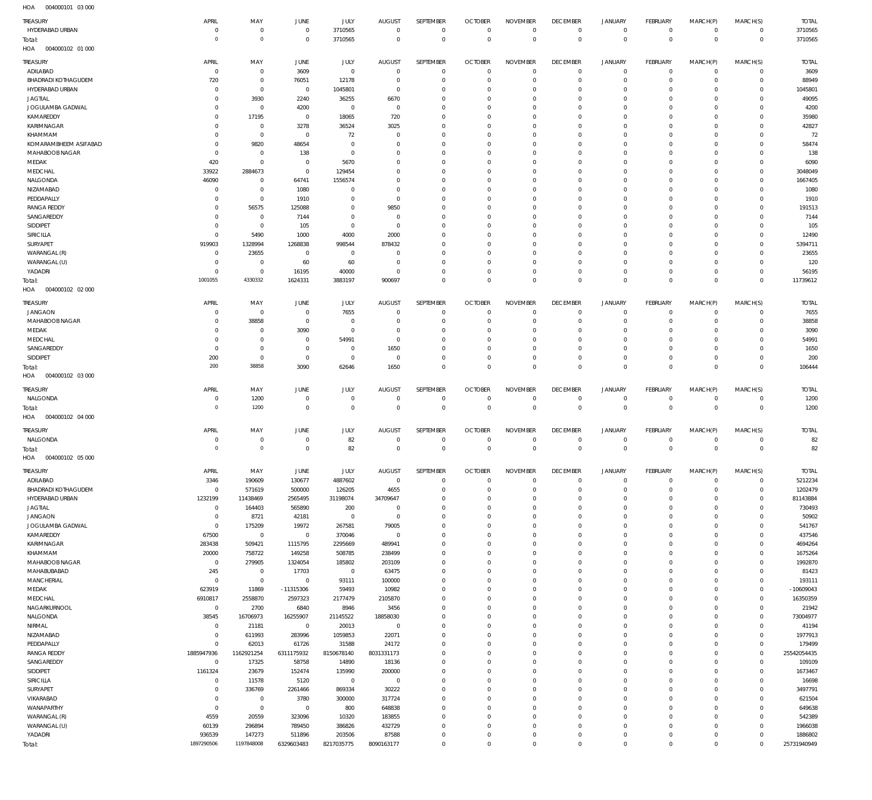004000101 03 000 HOA

| .<br>$-0.000000$<br>$\sim$        |                      |                      |                                  |                            |                        |                            |                            |                             |                            |                        |                            |                      |                         |                        |
|-----------------------------------|----------------------|----------------------|----------------------------------|----------------------------|------------------------|----------------------------|----------------------------|-----------------------------|----------------------------|------------------------|----------------------------|----------------------|-------------------------|------------------------|
| TREASURY                          | APRIL                | MAY                  | JUNE                             | JULY                       | <b>AUGUST</b>          | SEPTEMBER                  | <b>OCTOBER</b>             | <b>NOVEMBER</b>             | <b>DECEMBER</b>            | <b>JANUARY</b>         | FEBRUARY                   | MARCH(P)             | MARCH(S)                | <b>TOTAL</b>           |
| HYDERABAD URBAN                   | $\Omega$             | $\mathbf 0$          | $\overline{0}$                   | 3710565                    | $\overline{0}$         | $\overline{0}$             | $\mathbf{0}$               | $\mathbf{0}$                | $\mathbf 0$                | $\circ$                | $\mathbf 0$                | $\Omega$             | $\Omega$                | 3710565                |
| Total:<br>004000102 01 000<br>HOA | $\circ$              | $\mathsf{O}\xspace$  | $\overline{0}$                   | 3710565                    | $\mathbf 0$            | $\mathbf 0$                | $\overline{0}$             | $\mathbf 0$                 | $\mathbf 0$                | $\mathbf 0$            | $\mathbf 0$                | $\Omega$             | $\mathbf 0$             | 3710565                |
| TREASURY                          | APRIL                | MAY                  | JUNE                             | JULY                       | <b>AUGUST</b>          | SEPTEMBER                  | <b>OCTOBER</b>             | <b>NOVEMBER</b>             | <b>DECEMBER</b>            | <b>JANUARY</b>         | FEBRUARY                   | MARCH(P)             | MARCH(S)                | <b>TOTAL</b>           |
| ADILABAD                          | $\overline{0}$       | $\mathbf 0$          | 3609                             | $\overline{0}$             | $\overline{0}$         | $^{\circ}$                 | $\overline{0}$             | $\mathbf 0$                 | $\overline{0}$             | $\circ$                | $\mathbf 0$                | $\Omega$             | $\Omega$                | 3609                   |
| BHADRADI KOTHAGUDEM               | 720                  | $\mathbf 0$          | 76051                            | 12178                      | $\overline{0}$         | $^{\circ}$                 | $\mathbf{0}$               | $\mathbf 0$                 | $\overline{0}$             | $\circ$                | $\mathbf 0$                | $\Omega$             | $\Omega$                | 88949                  |
| HYDERABAD URBAN                   | $\Omega$             | $\mathbf 0$          | $\overline{0}$                   | 1045801                    | $\overline{0}$         | $\Omega$                   | $^{\circ}$                 | $\Omega$                    | $\Omega$                   | $\circ$                | $^{\circ}$                 | $\Omega$             | $\Omega$                | 1045801                |
| <b>JAGTIAL</b>                    | $\Omega$             | 3930                 | 2240                             | 36255                      | 6670                   | $\mathbf 0$                | $^{\circ}$                 | 0                           | $^{\circ}$                 | $\Omega$               | $^{\circ}$                 | $\Omega$             | $\Omega$                | 49095                  |
| JOGULAMBA GADWAL                  | $\Omega$             | $\mathbf 0$          | 4200                             | $\mathbf 0$                | $\overline{0}$         | $\Omega$                   | $\mathbf 0$                | $\Omega$                    | $\Omega$                   | $\circ$                | $\mathbf 0$                | $\Omega$             | $\Omega$                | 4200                   |
| KAMAREDDY                         | $\Omega$             | 17195                | $\overline{0}$                   | 18065                      | 720                    | $\Omega$                   | $^{\circ}$                 | $\Omega$                    | $\Omega$                   | $\Omega$               | $\Omega$                   | $\Omega$             | $\Omega$                | 35980                  |
| KARIMNAGAR                        | $\mathbf 0$          | 0                    | 3278                             | 36524                      | 3025                   | $\mathbf 0$                | $\mathbf 0$                | $\Omega$                    | $\Omega$                   | $^{\circ}$             | $^{\circ}$                 | $\Omega$             | $\Omega$                | 42827                  |
| KHAMMAM                           | $\Omega$             | $\mathbf 0$          | $\overline{0}$                   | 72                         | $^{\circ}$             | $\Omega$                   | $\mathbf 0$                | $\Omega$                    | $\Omega$                   | $\circ$                | $\Omega$                   | $\Omega$             | $\Omega$                | 72                     |
| KOMARAMBHEEM ASIFABAD             | $\Omega$             | 9820                 | 48654                            | $\mathbf 0$                | $^{\circ}$             | $\Omega$                   | $^{\circ}$                 | $\Omega$                    | $\Omega$                   | $^{\circ}$             | $^{\circ}$                 | $\Omega$             | $\Omega$                | 58474                  |
| MAHABOOB NAGAR                    | $\Omega$             | $\mathbf 0$          | 138                              | $\mathbf 0$                | $\Omega$               | $\Omega$                   | $\Omega$                   | $\Omega$                    | $\Omega$                   | $\Omega$               | $\Omega$                   | $\Omega$             | $\Omega$                | 138                    |
| MEDAK                             | 420                  | $\mathbf 0$          | $\overline{0}$                   | 5670                       | $^{\circ}$             | $\Omega$                   | $^{\circ}$                 | O                           | $\Omega$                   | $\circ$                | $^{\circ}$                 | $\Omega$             | $\Omega$                | 6090                   |
| MEDCHAL                           | 33922                | 2884673              | $\overline{0}$                   | 129454                     | $\Omega$               | $\Omega$                   | $\Omega$                   | $\Omega$                    | $\Omega$                   | $\Omega$               | $\Omega$                   | $\Omega$             | $\Omega$                | 3048049                |
| NALGONDA                          | 46090                | $\mathbf 0$          | 64741                            | 1556574                    | $\Omega$               | $\Omega$                   | $^{\circ}$                 | $\Omega$                    | $\Omega$                   | $\circ$                | $\Omega$                   | $\Omega$             | $\Omega$                | 1667405                |
| NIZAMABAD                         | $\mathbf 0$          | $\mathbf 0$          | 1080                             | $\mathbf 0$                | $\Omega$               | $\Omega$                   | $\Omega$                   | $\Omega$                    | $\Omega$                   | $\Omega$               | $\Omega$                   | $\Omega$             | $\Omega$                | 1080                   |
| PEDDAPALLY                        | $\Omega$             | $\mathbf 0$          | 1910                             | $\Omega$                   | $\overline{0}$         | $\Omega$                   | $^{\circ}$                 | $\Omega$                    | $\Omega$                   | $\circ$                | $\Omega$                   | $\Omega$             | $\Omega$                | 1910                   |
| <b>RANGA REDDY</b>                | $\Omega$             | 56575                | 125088                           | $\mathbf 0$                | 9850                   | $\Omega$                   | $\mathbf 0$                | $\Omega$                    | $\Omega$                   | $\Omega$               | $^{\circ}$                 | $\Omega$             | $\Omega$                | 191513                 |
| SANGAREDDY                        | $\Omega$             | $\overline{0}$       | 7144                             | $\Omega$                   | $^{\circ}$             | $\Omega$                   | $\Omega$                   | $\Omega$                    | $\Omega$                   | $\circ$                | $\mathbf{0}$               | $\Omega$             | $\Omega$                | 7144                   |
| SIDDIPET                          | $\mathbf 0$          | $\mathbf{0}$         | 105                              | $\mathbf 0$                | $\overline{0}$         | $\Omega$                   | $\mathbf 0$                | $\Omega$                    | $\Omega$                   | $\Omega$               | $^{\circ}$                 | $\Omega$             | $\Omega$                | 105                    |
| SIRICILLA                         | $\Omega$             | 5490                 | 1000                             | 4000                       | 2000                   | $\Omega$                   | $\Omega$                   | $\Omega$                    | $\Omega$                   | $\circ$                | $\Omega$                   | $\Omega$             | $\Omega$                | 12490                  |
| SURYAPET                          | 919903               | 1328994              | 1268838                          | 998544                     | 878432                 | $\Omega$                   | $\mathbf 0$                | $\Omega$                    | $\Omega$                   | $\Omega$               | $^{\circ}$                 | $\Omega$             | $\Omega$                | 5394711                |
| WARANGAL (R)                      | $\mathbf 0$          | 23655                | $\overline{0}$                   | $\mathbf 0$                | $^{\circ}$             | $\Omega$                   | $\Omega$                   | $\Omega$                    | $\Omega$                   | $\Omega$               | $\Omega$                   | $\Omega$             | $\Omega$                | 23655                  |
| WARANGAL (U)                      | $\Omega$             | $\mathbf 0$          | 60                               | 60                         | $\overline{0}$         | $\Omega$                   | $\mathbf 0$                | $\Omega$                    | $\Omega$                   | $\circ$                | $\mathbf{0}$               | $\Omega$             | $\Omega$                | 120                    |
| YADADRI                           | $\mathbf 0$          | $\mathbf 0$          | 16195                            | 40000                      | $\overline{0}$         | $\mathbf 0$                | $\mathbf 0$                | 0                           | $\overline{0}$             | $\circ$                | $\mathbf 0$                | $\Omega$             | $\Omega$                | 56195                  |
| Total:                            | 1001055              | 4330332              | 1624331                          | 3883197                    | 900697                 | $\Omega$                   | $\Omega$                   | $\Omega$                    | $\overline{0}$             | $\overline{0}$         | $\mathbf 0$                | $\Omega$             | $\overline{0}$          | 11739612               |
| HOA<br>004000102 02 000           |                      |                      |                                  |                            |                        |                            |                            |                             |                            |                        |                            |                      |                         |                        |
|                                   | APRIL                |                      |                                  |                            |                        | SEPTEMBER                  |                            |                             |                            |                        | <b>FEBRUARY</b>            |                      |                         |                        |
| TREASURY                          |                      | MAY                  | JUNE<br>$\overline{0}$           | JULY                       | <b>AUGUST</b>          |                            | <b>OCTOBER</b>             | <b>NOVEMBER</b><br>$\Omega$ | <b>DECEMBER</b>            | <b>JANUARY</b>         |                            | MARCH(P)             | MARCH(S)                | <b>TOTAL</b>           |
| <b>JANGAON</b>                    | $\Omega$             | 0                    | $\overline{0}$                   | 7655                       | $^{\circ}$             | $^{\circ}$<br>$\Omega$     | $^{\circ}$                 | $\Omega$                    | $\overline{0}$             | $^{\circ}$             | $^{\circ}$                 | $\Omega$             | $\Omega$<br>$\Omega$    | 7655                   |
| MAHABOOB NAGAR                    | $\Omega$<br>$\Omega$ | 38858<br>$\mathbf 0$ |                                  | $^{\circ}$<br>$\mathbf 0$  | $^{\circ}$<br>$\Omega$ | $\Omega$                   | $^{\circ}$<br>$\mathbf 0$  | O                           | $\overline{0}$<br>$\Omega$ | $\circ$<br>$\Omega$    | $\mathbf 0$<br>$\Omega$    | $\Omega$             | $\Omega$                | 38858                  |
| MEDAK                             | $\Omega$             | $\Omega$             | 3090<br>$\overline{0}$           | 54991                      | $\Omega$               | $\Omega$                   | $\Omega$                   | $\Omega$                    | $\Omega$                   | $\circ$                | $\Omega$                   | $\Omega$             | $\Omega$                | 3090<br>54991          |
| MEDCHAL                           | $\Omega$             | $\mathbf 0$          |                                  |                            |                        | $\Omega$                   |                            |                             | $\Omega$                   |                        | $\Omega$                   | $\Omega$             |                         |                        |
| SANGAREDDY                        |                      | $\mathbf 0$          | $\overline{0}$<br>$\overline{0}$ | $\mathbf 0$<br>$\mathbf 0$ | 1650                   | $\Omega$                   | $\mathbf 0$<br>$\Omega$    | O<br>$\Omega$               | $\Omega$                   | $\circ$                |                            | $\Omega$             | $\Omega$<br>$\Omega$    | 1650                   |
| SIDDIPET                          | 200<br>200           | 38858                |                                  |                            | $^{\circ}$             | $\Omega$                   | $\Omega$                   |                             | $\Omega$                   | $^{\circ}$<br>$\Omega$ | $\mathbf{0}$               | $\Omega$             |                         | 200                    |
| Total:                            |                      |                      | 3090                             | 62646                      | 1650                   |                            |                            | $\Omega$                    |                            |                        | $\overline{0}$             | $\Omega$             | $\overline{0}$          | 106444                 |
| HOA<br>004000102 03 000           |                      |                      |                                  |                            |                        |                            |                            |                             |                            |                        |                            |                      |                         |                        |
|                                   |                      |                      |                                  |                            |                        |                            |                            |                             |                            |                        |                            |                      |                         |                        |
| TREASURY                          | APRIL                | MAY                  | JUNE                             | JULY                       | <b>AUGUST</b>          | SEPTEMBER                  | <b>OCTOBER</b>             | <b>NOVEMBER</b>             | <b>DECEMBER</b>            | <b>JANUARY</b>         | FEBRUARY                   | MARCH(P)             | MARCH(S)                | <b>TOTAL</b>           |
| NALGONDA                          | $\mathbf 0$          | 1200                 | $\overline{0}$                   | $\mathbf 0$                | $^{\circ}$             | $^{\circ}$                 | $\mathbf 0$                | $\mathbf 0$                 | $\overline{0}$             | $^{\circ}$             | $^{\circ}$                 | $\Omega$             | $\Omega$                | 1200                   |
| Total:                            | $\overline{0}$       | 1200                 | $\overline{0}$                   | $\mathbf 0$                | $\overline{0}$         | $\overline{0}$             | $\overline{0}$             | $\mathbf 0$                 | $\mathbf 0$                | $\mathbf 0$            | $\mathbf 0$                | $^{\circ}$           | $\mathbb O$             | 1200                   |
| 004000102 04 000<br>HOA           |                      |                      |                                  |                            |                        |                            |                            |                             |                            |                        |                            |                      |                         |                        |
|                                   |                      |                      |                                  |                            |                        |                            |                            |                             |                            |                        |                            |                      |                         |                        |
| TREASURY                          | APRIL                | MAY                  | JUNE                             | <b>JULY</b>                | <b>AUGUST</b>          | SEPTEMBER                  | <b>OCTOBER</b>             | <b>NOVEMBER</b>             | <b>DECEMBER</b>            | <b>JANUARY</b>         | FEBRUARY                   | MARCH(P)             | MARCH(S)                | <b>TOTAL</b>           |
| NALGONDA                          | $\mathbf 0$          | $\mathbf 0$          | $\overline{0}$                   | 82                         | $\mathbf 0$            | $\mathbf 0$                | $^{\circ}$                 | $\mathbf 0$                 | $\overline{0}$             | $^{\circ}$             | $^{\circ}$                 | $\Omega$             | $\Omega$                | 82                     |
| Total:                            | $\mathbf 0$          | $\mathsf{O}\xspace$  | $\Omega$                         | 82                         | $\overline{0}$         | $\overline{0}$             | $\overline{0}$             | $\mathbf{0}$                | $\mathbf 0$                | $\mathbf 0$            | $\overline{0}$             | $\Omega$             | $\overline{0}$          | 82                     |
| HOA<br>004000102 05 000           |                      |                      |                                  |                            |                        |                            |                            |                             |                            |                        |                            |                      |                         |                        |
| TREASURY                          | APRIL                | MAY                  | JUNE                             | JULY                       | <b>AUGUST</b>          | SEPTEMBER                  | <b>OCTOBER</b>             | <b>NOVEMBER</b>             | <b>DECEMBER</b>            | <b>JANUARY</b>         | FEBRUARY                   | MARCH(P)             | MARCH(S)                | <b>TOTAL</b>           |
| ADILABAD                          | 3346                 | 190609               | 130677                           | 4887602                    | $\overline{0}$         | $\overline{0}$             | $\overline{0}$             | $\mathbf{0}$                | $\mathbf 0$                | $\mathbb O$            | $\circ$                    | $\circ$              | $\circ$                 | 5212234                |
| BHADRADI KOTHAGUDEM               | $\mathbf 0$          | 571619               | 500000                           | 126205                     | 4655                   | $\mathbf 0$                | $\overline{0}$             | $\mathbf 0$                 | $\mathbf 0$                | $\circ$                | $\mathbf 0$                | $\Omega$             | $\circ$                 | 1202479                |
| HYDERABAD URBAN                   | 1232199              | 11438469             | 2565495                          | 31198074                   | 34709647               | $\mathbf 0$                | $\mathbf 0$                | 0                           | $\Omega$                   | $^{\circ}$             | $\mathbf 0$                | $\Omega$             | $\circ$                 | 81143884               |
| <b>JAGTIAL</b>                    | $\mathbf 0$          | 164403               | 565890                           | 200                        | $\overline{0}$         | $\mathbf 0$                | $\mathbf 0$                | $\Omega$                    | $\mathbf 0$                | $\circ$                | $\mathbf 0$                | $\Omega$             | $\circ$                 | 730493                 |
| <b>JANGAON</b>                    | $\overline{0}$       | 8721                 | 42181                            | $\mathbf 0$                | $\overline{0}$         | $\mathbf 0$                | $\mathbf 0$                | 0                           | $\overline{0}$             | $\circ$                | $\mathbf 0$                | $\Omega$             | $\Omega$                | 50902                  |
| JOGULAMBA GADWAL                  | $\overline{0}$       | 175209               | 19972                            | 267581                     | 79005                  | $\mathbf 0$                | $\mathbf 0$                | $\Omega$                    | $\Omega$                   | $\circ$                | $\mathbf 0$                | $\Omega$             | $\Omega$                | 541767                 |
| KAMAREDDY                         | 67500                | $\overline{0}$       | $\overline{0}$                   | 370046                     | $\overline{0}$         | $\mathbf 0$                | $\mathbf 0$                | 0                           | $\mathbf 0$                | $\circ$                | $\mathbf 0$                | $\Omega$             | $\Omega$                | 437546                 |
| KARIMNAGAR                        | 283438               | 509421               | 1115795                          | 2295669                    | 489941                 | $\mathbf 0$                | $\mathbf 0$                | $\Omega$                    | $\Omega$                   | $\circ$                | $\mathbf 0$                | $\Omega$             | $\Omega$                | 4694264                |
| KHAMMAM                           | 20000                | 758722               | 149258                           | 508785                     | 238499                 | $\mathbf 0$                | $\mathbf 0$                | 0                           | $\mathbf 0$                | $\circ$                | $\mathbf 0$                | $\Omega$             | $\Omega$                | 1675264                |
| MAHABOOB NAGAR                    | $\overline{0}$       | 279905               | 1324054                          | 185802                     | 203109                 | $\mathbf 0$                | $\mathbf 0$                | $\Omega$                    | $\mathbf 0$                | $\circ$                | $\mathbf 0$                | $\Omega$             | $\Omega$                | 1992870                |
| MAHABUBABAD                       | 245                  | $\overline{0}$       | 17703                            | $\overline{0}$             | 63475                  | $\mathbf 0$                | $\mathbf 0$                | $\Omega$                    | $\Omega$                   | $\circ$                | $\mathbf 0$                | $\Omega$             | $\circ$                 | 81423                  |
| MANCHERIAL                        | $\overline{0}$       | $\mathbf 0$          | $\overline{0}$                   | 93111                      | 100000                 | $\mathbf 0$                | $\mathbf{0}$               | $\Omega$                    | $\mathbf{0}$               | $\circ$                | $\mathbf 0$                | $\Omega$             | $\circ$                 | 193111                 |
| MEDAK                             | 623919               | 11869                | $-11315306$                      | 59493                      | 10982                  | $\mathbf 0$                | $\mathbf{0}$               | $\Omega$                    | $\Omega$                   | $\circ$                | $\mathbf 0$                | $\Omega$             | $\circ$                 | -10609043              |
| MEDCHAL                           | 6910817              | 2558870              | 2597323                          | 2177479                    | 2105870                | $\mathbf 0$                | $\mathbf{0}$               | $\Omega$                    | $\mathbf{0}$               | $\circ$                | $\mathbf 0$                | $\Omega$             | $\circ$                 | 16350359               |
| NAGARKURNOOL                      | $\overline{0}$       | 2700                 | 6840                             | 8946                       | 3456                   | $\Omega$                   | $\mathbf 0$                | $\Omega$                    | $\Omega$                   | $\circ$                | $\mathbf 0$                | $\Omega$             | $\circ$                 | 21942                  |
| NALGONDA                          | 38545                | 16706973             | 16255907                         | 21145522                   | 18858030               | $\mathbf 0$                | $\mathbf{0}$               | $\Omega$                    | $\mathbf{0}$               | $\circ$                | $\mathbf 0$                | $\Omega$             | $\circ$                 | 73004977               |
| NIRMAL                            | $\mathbf 0$          | 21181                | $\overline{0}$                   | 20013                      | $\overline{0}$         | $\mathbf 0$                | $\mathbf 0$                | $\Omega$                    | $\Omega$                   | $\circ$                | $\mathbf 0$                | $\Omega$             | $\Omega$                | 41194                  |
| NIZAMABAD                         | $\mathbf 0$          | 611993               | 283996                           | 1059853                    | 22071                  | $\mathbf 0$                | $\mathbf{0}$               | $\Omega$                    | $\mathbf 0$                | $\circ$                | $\mathbf 0$                | $\Omega$             | $\circ$                 | 1977913                |
| PEDDAPALLY                        | $\mathbf 0$          | 62013                | 61726                            | 31588                      | 24172                  | $\mathbf 0$                | $\mathbf 0$                | $\Omega$                    | $\Omega$                   | $\circ$                | $\mathbf 0$                | $\Omega$             | $\Omega$                | 179499                 |
| <b>RANGA REDDY</b>                | 1885947936           | 1162921254           | 6311175932                       | 8150678140                 | 8031331173             | $\mathbf 0$                | $\mathbf{0}$               | $\Omega$                    | $\mathbf{0}$               | $\circ$                | $\mathbf 0$                | $\Omega$             | $\circ$                 | 25542054435            |
| SANGAREDDY                        | $\mathbf 0$          | 17325                | 58758                            | 14890                      | 18136                  | $\mathbf 0$                | $\mathbf 0$                | 0                           | $\mathbf{0}$               | $\circ$                | $\mathbf 0$                | $\Omega$             | $\Omega$                | 109109                 |
| SIDDIPET                          | 1161324              | 23679                | 152474                           | 135990                     | 200000                 | $\mathbf 0$                | $\mathbf{0}$               | $\Omega$                    | $\Omega$                   | $\circ$                | $\mathbf 0$                | $\Omega$             | $\Omega$                | 1673467                |
| SIRICILLA                         | $\mathbf 0$          | 11578                | 5120                             | $\overline{0}$             | $\overline{0}$         | $\mathbf 0$                | $\mathbf{0}$               | 0                           | $\mathbf{0}$               | $\circ$                | $\mathbf 0$                | $\Omega$             | $\Omega$                | 16698                  |
| SURYAPET                          | $\mathbf 0$          | 336769               | 2261466                          | 869334                     | 30222                  | $\mathbf 0$                | $\mathbf{0}$               | $\Omega$                    | $\mathbf{0}$               | $\circ$                | $\mathbf 0$                | $\Omega$             | $\Omega$                | 3497791                |
| VIKARABAD                         | $\mathbf 0$          | $\mathbf 0$          | 3780                             | 300000                     | 317724                 | $\mathbf 0$                | $\mathbf{0}$               | 0                           | $\mathbf 0$                | $\circ$                | $\mathbf 0$                | $\Omega$             | $\Omega$                | 621504                 |
| WANAPARTHY                        | $\mathbf 0$          | $\mathbf 0$          | $\overline{0}$                   | 800                        | 648838                 | $\mathbf 0$                | $\mathbf{0}$               | $\Omega$                    | $\mathbf{0}$               | $\circ$                | $\mathbf 0$                | $\Omega$             | $\Omega$                | 649638                 |
| WARANGAL (R)                      | 4559                 | 20559                | 323096                           | 10320                      | 183855                 | $\Omega$                   | $\mathbf 0$                | $\Omega$                    | $\Omega$                   | $^{\circ}$             | $\mathbf 0$                | $\Omega$             | $\Omega$                | 542389                 |
| WARANGAL (U)                      | 60139                | 296894               | 789450                           | 386826                     | 432729                 | $\mathbf 0$                | $\mathbf 0$                | 0                           | $\mathbf 0$                | $\circ$                | $\mathbf 0$                | $\Omega$             | $\Omega$                | 1966038                |
| YADADRI<br>Total:                 | 936539<br>1897290506 | 147273<br>1197848008 | 511896<br>6329603483             | 203506<br>8217035775       | 87588<br>8090163177    | $\mathbf 0$<br>$\mathbf 0$ | $\mathbf 0$<br>$\mathbf 0$ | 0<br>0                      | $\mathbf 0$<br>$\mathbb O$ | $\circ$<br>$\mathbf 0$ | $\mathbf 0$<br>$\mathbb O$ | $\Omega$<br>$\Omega$ | $\Omega$<br>$\mathbb O$ | 1886802<br>25731940949 |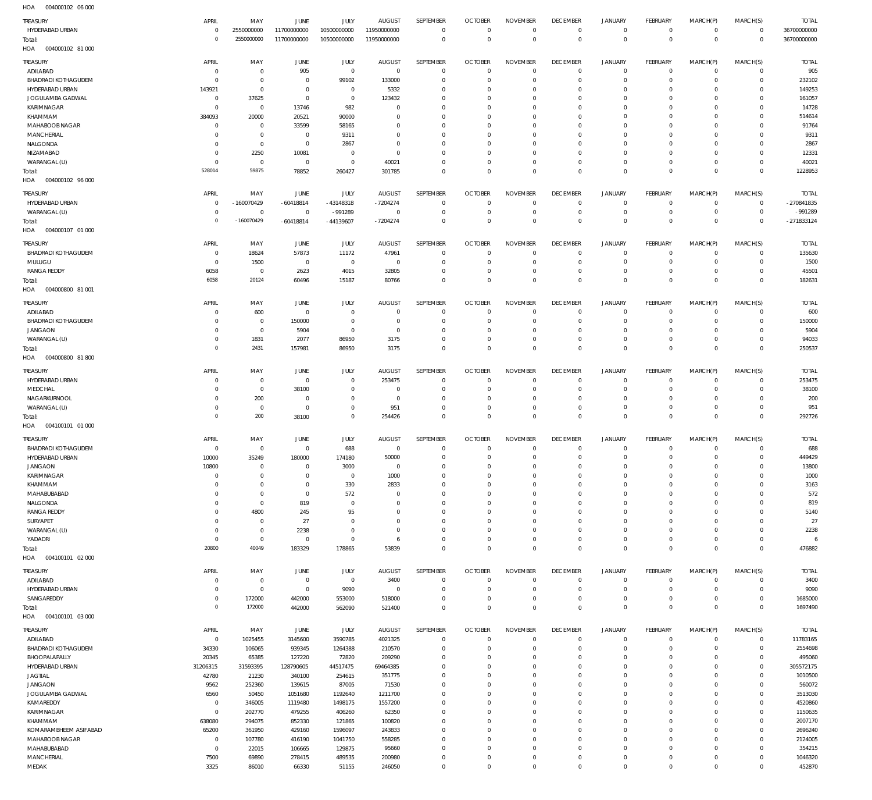004000102 06 000 HOA

| TREASURY<br>HYDERABAD URBAN<br>Total:<br>HOA<br>004000102 81 000 | APRIL<br>$\overline{0}$<br>$\Omega$ | MAY<br>2550000000<br>2550000000  | JUNE<br>11700000000<br>11700000000 | JULY<br>10500000000<br>10500000000 | <b>AUGUST</b><br>11950000000<br>11950000000 | SEPTEMBER<br>$\mathbb O$<br>$\mathbb O$ | <b>OCTOBER</b><br>$\overline{0}$<br>$\mathbf 0$ | <b>NOVEMBER</b><br>$^{\circ}$<br>$\mathbf 0$ | <b>DECEMBER</b><br>$\overline{0}$<br>$\mathbf 0$ | JANUARY<br>$\mathbf 0$<br>$\mathbf 0$ | <b>FEBRUARY</b><br>$\mathbf 0$<br>$\mathbf 0$ | MARCH(P)<br>$^{\circ}$<br>$\mathbf 0$ | MARCH(S)<br>$^{\circ}$<br>$\mathbf{0}$ | <b>TOTAL</b><br>36700000000<br>36700000000 |
|------------------------------------------------------------------|-------------------------------------|----------------------------------|------------------------------------|------------------------------------|---------------------------------------------|-----------------------------------------|-------------------------------------------------|----------------------------------------------|--------------------------------------------------|---------------------------------------|-----------------------------------------------|---------------------------------------|----------------------------------------|--------------------------------------------|
| TREASURY                                                         | APRIL                               | MAY                              | JUNE                               | JULY                               | <b>AUGUST</b>                               | SEPTEMBER                               | <b>OCTOBER</b>                                  | <b>NOVEMBER</b>                              | <b>DECEMBER</b>                                  | <b>JANUARY</b>                        | <b>FEBRUARY</b>                               | MARCH(P)                              | MARCH(S)                               | <b>TOTAL</b>                               |
| ADILABAD                                                         | 0                                   | $\mathbf 0$                      | 905                                | $\mathbb O$                        | $\mathbf 0$                                 | $\overline{0}$                          | $\Omega$                                        | $\Omega$                                     | $\Omega$                                         | $\mathbf 0$                           | $\circ$                                       | $\Omega$                              | $\Omega$                               | 905                                        |
| <b>BHADRADI KOTHAGUDEM</b><br>HYDERABAD URBAN                    | $\Omega$<br>143921                  | $\mathbf 0$<br>$\,0\,$           | $^{\circ}$<br>$\circ$              | 99102<br>$\overline{0}$            | 133000<br>5332                              | $\overline{0}$<br>$\Omega$              | C<br>-C                                         | $\Omega$<br>$\Omega$                         | $\Omega$<br>0                                    | $\mathbf 0$<br>$\Omega$               | -0<br>0                                       | $\Omega$<br>$\Omega$                  | $\mathbf 0$<br>$\Omega$                | 232102<br>149253                           |
| JOGULAMBA GADWAL                                                 | 0                                   | 37625                            | $^{\circ}$                         | $\overline{0}$                     | 123432                                      | $\Omega$                                | -C                                              | $\Omega$                                     | 0                                                | $\Omega$                              | - 0                                           | $\Omega$                              | $\Omega$                               | 161057                                     |
| KARIMNAGAR                                                       | $\Omega$                            | $\overline{0}$                   | 13746                              | 982                                | $\Omega$                                    | $\Omega$                                | -C                                              | $\Omega$                                     | 0                                                | $\Omega$                              | 0                                             | $\Omega$                              | $\Omega$                               | 14728                                      |
| KHAMMAM                                                          | 384093                              | 20000                            | 20521                              | 90000<br>58165                     | 0<br>0                                      | $\Omega$<br>$\Omega$                    | -C<br>-C                                        | $\Omega$<br>$\Omega$                         | 0<br>0                                           | $\Omega$<br>$\Omega$                  | $\Omega$<br>0                                 | $\Omega$<br>$\Omega$                  | $\Omega$<br>$\Omega$                   | 514614<br>91764                            |
| MAHABOOB NAGAR<br><b>MANCHERIAL</b>                              | - 0<br>- 0                          | $\overline{0}$<br>$\overline{0}$ | 33599<br>$\mathbf 0$               | 9311                               | 0                                           | $\Omega$                                | -C                                              | $\Omega$                                     | 0                                                | $\Omega$                              | 0                                             | $\Omega$                              | $\Omega$                               | 9311                                       |
| NALGONDA                                                         | -C                                  | $\,0\,$                          | $^{\circ}$                         | 2867                               | 0                                           | $\Omega$                                | -C                                              | $\Omega$                                     | 0                                                | $\Omega$                              | 0                                             | $\Omega$                              | $\Omega$                               | 2867                                       |
| NIZAMABAD                                                        | $\Omega$                            | 2250                             | 10081                              | $^{\circ}$<br>$\mathbf 0$          | $\Omega$                                    | $\Omega$<br>$\Omega$                    | -C<br>$\Omega$                                  | $\Omega$<br>$\Omega$                         | $\Omega$<br>$\Omega$                             | $\Omega$<br>$\mathbf 0$               | $\Omega$<br>$\Omega$                          | $\Omega$<br>$\Omega$                  | $\Omega$<br>$\Omega$                   | 12331                                      |
| WARANGAL (U)<br>Total:                                           | $\Omega$<br>528014                  | $\mathbf 0$<br>59875             | $\,0\,$<br>78852                   | 260427                             | 40021<br>301785                             | $\mathbf 0$                             | $\Omega$                                        | $\mathbf 0$                                  | $^{\circ}$                                       | $\mathbf 0$                           | $\Omega$                                      | $^{\circ}$                            | $\mathbf{0}$                           | 40021<br>1228953                           |
| HOA<br>004000102 96 000                                          |                                     |                                  |                                    |                                    |                                             |                                         |                                                 |                                              |                                                  |                                       |                                               |                                       |                                        |                                            |
| TREASURY                                                         | APRIL                               | MAY                              | JUNE                               | JULY                               | <b>AUGUST</b>                               | SEPTEMBER                               | <b>OCTOBER</b>                                  | <b>NOVEMBER</b>                              | <b>DECEMBER</b>                                  | <b>JANUARY</b>                        | <b>FEBRUARY</b>                               | MARCH(P)                              | MARCH(S)                               | <b>TOTAL</b>                               |
| HYDERABAD URBAN                                                  | 0                                   | $-160070429$                     | $-60418814$                        | $-43148318$                        | $-7204274$                                  | $\overline{0}$                          | $\Omega$                                        | $^{\circ}$                                   | $\overline{0}$                                   | $\mathbf 0$                           | $\circ$                                       | $^{\circ}$                            | $\mathbf 0$                            | -270841835                                 |
| WARANGAL (U)<br>Total:                                           | $^{\circ}$<br>$\Omega$              | $\,0\,$<br>$-160070429$          | $^{\circ}$<br>$-60418814$          | -991289<br>$-44139607$             | $^{\circ}$<br>$-7204274$                    | $\overline{0}$<br>$\mathbf 0$           | $\Omega$<br>$\overline{0}$                      | $^{\circ}$<br>$\mathbf 0$                    | $\overline{0}$<br>$^{\circ}$                     | $\mathbf 0$<br>$\mathbf 0$            | $\circ$<br>$\overline{0}$                     | $^{\circ}$<br>$^{\circ}$              | $\mathbf 0$<br>$\mathbf{0}$            | -991289<br>-271833124                      |
| HOA<br>004000107 01 000                                          |                                     |                                  |                                    |                                    |                                             |                                         |                                                 |                                              |                                                  |                                       |                                               |                                       |                                        |                                            |
| TREASURY                                                         | APRIL                               | MAY                              | JUNE                               | JULY                               | <b>AUGUST</b>                               | SEPTEMBER                               | <b>OCTOBER</b>                                  | <b>NOVEMBER</b>                              | <b>DECEMBER</b>                                  | <b>JANUARY</b>                        | <b>FEBRUARY</b>                               | MARCH(P)                              | MARCH(S)                               | <b>TOTAL</b>                               |
| <b>BHADRADI KOTHAGUDEM</b>                                       | $\Omega$                            | 18624                            | 57873                              | 11172                              | 47961                                       | $^{\circ}$                              | $\Omega$                                        | $\Omega$                                     | $\Omega$                                         | $\mathbf 0$                           | $\Omega$                                      | $\Omega$                              | $\mathbf 0$                            | 135630                                     |
| MULUGU<br><b>RANGA REDDY</b>                                     | 0<br>6058                           | 1500<br>$\mathbf 0$              | $\overline{0}$<br>2623             | $\overline{0}$<br>4015             | $^{\circ}$<br>32805                         | $\overline{0}$<br>$\mathbf 0$           | $\Omega$<br>$\Omega$                            | $^{\circ}$<br>$\mathbf 0$                    | 0<br>$\Omega$                                    | $\mathbf 0$<br>$\mathbf 0$            | -0<br>-0                                      | $^{\circ}$<br>$\Omega$                | $\mathbf 0$<br>0                       | 1500<br>45501                              |
| Total:                                                           | 6058                                | 20124                            | 60496                              | 15187                              | 80766                                       | $\mathbb O$                             | $\Omega$                                        | $\mathbf 0$                                  | $^{\circ}$                                       | $\mathbf 0$                           | $\Omega$                                      | $^{\circ}$                            | $\mathbf{0}$                           | 182631                                     |
| HOA<br>004000800 81 001                                          |                                     |                                  |                                    |                                    |                                             |                                         |                                                 |                                              |                                                  |                                       |                                               |                                       |                                        |                                            |
| TREASURY                                                         | APRIL                               | MAY                              | JUNE                               | JULY                               | <b>AUGUST</b>                               | SEPTEMBER                               | <b>OCTOBER</b>                                  | <b>NOVEMBER</b>                              | <b>DECEMBER</b>                                  | <b>JANUARY</b>                        | <b>FEBRUARY</b>                               | MARCH(P)                              | MARCH(S)                               | <b>TOTAL</b>                               |
| ADILABAD                                                         | -C                                  | 600                              | $\overline{0}$                     | $\overline{0}$                     | $\Omega$<br>$\Omega$                        | $\overline{0}$                          | $\Omega$<br>C                                   | $^{\circ}$<br>$^{\circ}$                     | $\Omega$<br>$\Omega$                             | $\mathbf 0$<br>$\mathbf 0$            | $\circ$<br>$\Omega$                           | $\circ$<br>$^{\circ}$                 | $^{\circ}$<br>$\mathbf 0$              | 600                                        |
| <b>BHADRADI KOTHAGUDEM</b><br><b>JANGAON</b>                     | -0<br>$\Omega$                      | $\overline{0}$<br>$\overline{0}$ | 150000<br>5904                     | $\overline{0}$<br>$\overline{0}$   | 0                                           | $\overline{0}$<br>$\overline{0}$        | -C                                              | $^{\circ}$                                   | $\Omega$                                         | $\mathbf 0$                           | $\Omega$                                      | $^{\circ}$                            | $\Omega$                               | 150000<br>5904                             |
| WARANGAL (U)                                                     | $\Omega$                            | 1831                             | 2077                               | 86950                              | 3175                                        | $\overline{0}$                          | $\Omega$                                        | $\mathbf{0}$                                 | 0                                                | $\mathbf 0$                           | $\Omega$                                      | $^{\circ}$                            | $\mathbf 0$                            | 94033                                      |
| Total:                                                           | $\Omega$                            | 2431                             | 157981                             | 86950                              | 3175                                        | $\mathbb O$                             | $\mathbf 0$                                     | $\mathbf 0$                                  | $\mathbf 0$                                      | $\mathbf 0$                           | $\overline{0}$                                | $\mathbf 0$                           | $\mathbf{0}$                           | 250537                                     |
| HOA<br>004000800 81 800                                          |                                     |                                  |                                    |                                    |                                             |                                         |                                                 |                                              |                                                  |                                       |                                               |                                       |                                        |                                            |
| TREASURY<br>HYDERABAD URBAN                                      | APRIL<br>$\Omega$                   | MAY<br>$\mathbf 0$               | JUNE<br>$\mathbf{0}$               | JULY<br>$\Omega$                   | <b>AUGUST</b><br>253475                     | SEPTEMBER<br>$^{\circ}$                 | <b>OCTOBER</b><br>$\mathsf{C}$                  | <b>NOVEMBER</b><br>$\Omega$                  | <b>DECEMBER</b><br>$\Omega$                      | <b>JANUARY</b><br>$\circ$             | <b>FEBRUARY</b><br>$\Omega$                   | MARCH(P)<br>$\Omega$                  | MARCH(S)<br>$\mathbf 0$                | <b>TOTAL</b><br>253475                     |
| MEDCHAL                                                          | 0                                   | $\,0\,$                          | 38100                              | $\Omega$                           | $\Omega$                                    | $\Omega$                                | $\Omega$                                        | $\Omega$                                     | $\Omega$                                         | $\mathbf 0$                           | $\Omega$                                      | $\Omega$                              | 0                                      | 38100                                      |
| NAGARKURNOOI                                                     | 0                                   | 200                              | $\overline{0}$                     | $\Omega$                           | 0                                           | $\Omega$                                | -C                                              | $\Omega$                                     | $\Omega$                                         | $\mathbf 0$                           | $\Omega$                                      | $\Omega$                              | 0                                      | 200                                        |
| WARANGAL (U)                                                     | $\Omega$<br>$\Omega$                | $\,0\,$<br>200                   | $^{\circ}$<br>38100                | $\mathbf{0}$<br>$\mathbf 0$        | 951<br>254426                               | $\Omega$<br>$\mathbb O$                 | $\Omega$<br>$\Omega$                            | $\Omega$<br>$\Omega$                         | $\Omega$<br>$^{\circ}$                           | $\mathbf 0$<br>$\mathbf 0$            | $\Omega$<br>$\overline{0}$                    | $\Omega$<br>$\Omega$                  | $\mathbf 0$<br>$\mathbf{0}$            | 951<br>292726                              |
| Total:<br>HOA<br>004100101 01 000                                |                                     |                                  |                                    |                                    |                                             |                                         |                                                 |                                              |                                                  |                                       |                                               |                                       |                                        |                                            |
| TREASURY                                                         | APRIL                               | MAY                              | JUNE                               | JULY                               | <b>AUGUST</b>                               | SEPTEMBER                               | <b>OCTOBER</b>                                  | <b>NOVEMBER</b>                              | <b>DECEMBER</b>                                  | JANUARY                               | <b>FEBRUARY</b>                               | MARCH(P)                              | MARCH(S)                               | <b>TOTAL</b>                               |
| <b>BHADRADI KOTHAGUDEM</b>                                       | 0                                   | $\mathbf 0$                      | $^{\circ}$                         | 688                                | $^{\circ}$                                  | $\mathbf 0$                             | C                                               | $\mathbf 0$                                  | 0                                                | $\mathbf 0$                           | -0                                            | -0                                    | $^{\circ}$                             | 688                                        |
| HYDERABAD URBAN                                                  | 10000                               | 35249<br>$\mathbf 0$             | 180000<br>$\Omega$                 | 174180                             | 50000<br>$\Omega$                           | $\mathbb O$                             | $\Omega$                                        | $\mathbf 0$                                  | $\Omega$                                         | $\mathsf{O}$<br>$\mathbf 0$           | $\Omega$                                      | $\mathbf 0$<br>$\Omega$               | $\Omega$<br>$\Omega$                   | 449429                                     |
| JANGAON<br>KARIMNAGAR                                            | 10800<br>$\overline{0}$             | $\mathbb O$                      | $^{\circ}$                         | 3000<br>$\,0\,$                    | 1000                                        | $\overline{0}$<br>$\mathbb O$           | -C<br>$^{\circ}$                                | $\Omega$<br>$^{\circ}$                       | -0<br>$\Omega$                                   | $\mathsf{O}$                          | - 0<br>$\mathbf 0$                            | $\mathbf 0$                           | $\mathbf 0$                            | 13800<br>1000                              |
| KHAMMAM                                                          | $\mathbf 0$                         | $\mathbb O$                      | $\overline{0}$                     | 330                                | 2833                                        | $\mathbf 0$                             | $\overline{0}$                                  | $\mathbf 0$                                  | $\circ$                                          | $\mathsf{O}$                          | $\mathbf 0$                                   | $\mathbf 0$                           | $\mathbf 0$                            | 3163                                       |
| MAHABUBABAD                                                      | $\Omega$                            | $\mathbf 0$                      | $^{\circ}$                         | 572                                | $^{\circ}$                                  | $\mathbf 0$                             | $\Omega$                                        | $\mathbf 0$                                  | $\Omega$                                         | $\mathbf 0$                           | $\Omega$                                      | $\mathbf 0$                           | $\Omega$                               | 572                                        |
| NALGONDA<br><b>RANGA REDDY</b>                                   | 0<br>$\Omega$                       | $\mathbf 0$<br>4800              | 819<br>245                         | $\mathbf 0$<br>95                  | $\Omega$<br>$\Omega$                        | $\overline{0}$<br>$\overline{0}$        | $\Omega$<br>$\Omega$                            | $\mathbf{0}$<br>$\mathbf{0}$                 | $\Omega$<br>$\Omega$                             | $\mathbf 0$<br>$\mathbf 0$            | $\Omega$<br>$\Omega$                          | $\Omega$<br>$\mathbf 0$               | $\Omega$<br>$\Omega$                   | 819<br>5140                                |
| SURYAPET                                                         | 0                                   | $\,0\,$                          | $27\,$                             | $\mathbf 0$                        | $\Omega$                                    | $\overline{0}$                          | $\Omega$                                        | $\mathbf{0}$                                 | $\Omega$                                         | $\mathbf 0$                           | $\Omega$                                      | $\Omega$                              | $\Omega$                               | 27                                         |
| WARANGAL (U)                                                     | $^{\circ}$                          | $\mathbf 0$                      | 2238<br>$\mathbf 0$                | $\mathbf 0$<br>$\mathbf 0$         | $\Omega$                                    | $\overline{0}$<br>$\mathbb O$           | $\Omega$<br>$\Omega$                            | $\mathbf{0}$<br>$\mathbf 0$                  | $\Omega$<br>$^{\circ}$                           | $\mathbf 0$                           | $\Omega$<br>$\circ$                           | $\Omega$<br>$\mathbf 0$               | $\Omega$<br>$\mathbf 0$                | 2238                                       |
| YADADRI<br>Total:                                                | $\overline{0}$<br>20800             | $\,0\,$<br>40049                 | 183329                             | 178865                             | -6<br>53839                                 | $\mathbb O$                             | $\mathbf{0}$                                    | $\mathbf 0$                                  | $\mathbf 0$                                      | $\mathbf 0$<br>$\mathbf 0$            | $\mathbf{0}$                                  | $\mathbf 0$                           | $\mathbf 0$                            | 476882                                     |
| HOA<br>004100101 02 000                                          |                                     |                                  |                                    |                                    |                                             |                                         |                                                 |                                              |                                                  |                                       |                                               |                                       |                                        |                                            |
| TREASURY                                                         | APRIL                               | MAY                              | JUNE                               | <b>JULY</b>                        | <b>AUGUST</b>                               | SEPTEMBER                               | <b>OCTOBER</b>                                  | <b>NOVEMBER</b>                              | <b>DECEMBER</b>                                  | <b>JANUARY</b>                        | <b>FEBRUARY</b>                               | MARCH(P)                              | MARCH(S)                               | <b>TOTAL</b>                               |
| ADILABAD                                                         | $\overline{0}$                      | $\,0\,$                          | $\,0\,$                            | $\,0\,$                            | 3400                                        | $\overline{0}$                          | $\Omega$                                        | $\Omega$                                     | $^{\circ}$                                       | $^{\circ}$                            | $^{\circ}$                                    | $\mathbf 0$                           | $\mathbf 0$                            | 3400                                       |
| HYDERABAD URBAN<br>SANGAREDDY                                    | $\overline{0}$<br>$^{\circ}$        | $\,0\,$<br>172000                | $\,0\,$<br>442000                  | 9090<br>553000                     | $^{\circ}$<br>518000                        | $\mathbb O$<br>$\mathbb O$              | $\Omega$<br>$^{\circ}$                          | $\Omega$<br>$\Omega$                         | $^{\circ}$<br>$^{\circ}$                         | $\mathbf 0$<br>$\mathbf 0$            | $^{\circ}$<br>$^{\circ}$                      | $\Omega$<br>$\mathbf 0$               | $\mathbf 0$<br>$\mathbf 0$             | 9090<br>1685000                            |
| Total:                                                           | $^{\circ}$                          | 172000                           | 442000                             | 562090                             | 521400                                      | $\mathbb O$                             | $\mathbf{0}$                                    | $\mathbf 0$                                  | $\mathbf 0$                                      | $\mathbb O$                           | $\Omega$                                      | $\mathbf 0$                           | $\mathbf 0$                            | 1697490                                    |
| HOA<br>004100101 03 000                                          |                                     |                                  |                                    |                                    |                                             |                                         |                                                 |                                              |                                                  |                                       |                                               |                                       |                                        |                                            |
| TREASURY                                                         | APRIL                               | MAY                              | JUNE                               | JULY                               | <b>AUGUST</b>                               | SEPTEMBER                               | <b>OCTOBER</b>                                  | <b>NOVEMBER</b>                              | <b>DECEMBER</b>                                  | <b>JANUARY</b>                        | <b>FEBRUARY</b>                               | MARCH(P)                              | MARCH(S)                               | TOTAL                                      |
| ADILABAD<br><b>BHADRADI KOTHAGUDEM</b>                           | $\,0\,$<br>34330                    | 1025455<br>106065                | 3145600<br>939345                  | 3590785<br>1264388                 | 4021325<br>210570                           | $\mathbf 0$<br>$\,0\,$                  | $\overline{0}$<br>$\mathsf{C}$                  | $\mathbf 0$<br>$\mathbf{0}$                  | $^{\circ}$<br>$\overline{0}$                     | $\mathbf 0$<br>$\mathbf 0$            | $\mathbf 0$<br>$\circ$                        | $\mathbf 0$<br>$\mathbf 0$            | $\circ$<br>$\mathbf 0$                 | 11783165<br>2554698                        |
| BHOOPALAPALLY                                                    | 20345                               | 65385                            | 127220                             | 72820                              | 209290                                      | $\mathbf 0$                             | $\Omega$                                        | $^{\circ}$                                   | $\Omega$                                         | $\mathbf 0$                           | $\circ$                                       | $\mathbf 0$                           | $\Omega$                               | 495060                                     |
| HYDERABAD URBAN                                                  | 31206315                            | 31593395                         | 128790605                          | 44517475                           | 69464385                                    | $\overline{0}$                          | $\Omega$                                        | $\mathbf{0}$                                 | $\Omega$                                         | $\mathbf 0$                           | $\Omega$                                      | $\Omega$                              | $\Omega$                               | 305572175                                  |
| <b>JAGTIAL</b><br><b>JANGAON</b>                                 | 42780<br>9562                       | 21230<br>252360                  | 340100<br>139615                   | 254615<br>87005                    | 351775<br>71530                             | $\mathbf 0$<br>$\mathbf 0$              | $\Omega$<br>$\Omega$                            | $\mathbf{0}$<br>$\mathbf{0}$                 | $\Omega$<br>$\Omega$                             | $\mathbf 0$<br>$\mathbf 0$            | $\Omega$<br>$\Omega$                          | $\mathbf 0$<br>$\Omega$               | $\Omega$<br>$\Omega$                   | 1010500<br>560072                          |
| JOGULAMBA GADWAL                                                 | 6560                                | 50450                            | 1051680                            | 1192640                            | 1211700                                     | $\mathbf 0$                             | $\Omega$                                        | $\mathbf{0}$                                 | $\Omega$                                         | $\mathbf 0$                           | $\Omega$                                      | $\mathbf 0$                           | $\Omega$                               | 3513030                                    |
| KAMAREDDY                                                        | $\,0\,$                             | 346005                           | 1119480                            | 1498175                            | 1557200                                     | $\mathbf 0$                             | $\Omega$                                        | $\mathbf{0}$                                 | $\Omega$                                         | $\mathbf 0$                           | $\Omega$                                      | $\Omega$                              | $\Omega$                               | 4520860                                    |
| KARIMNAGAR<br>KHAMMAM                                            | $\mathbf 0$<br>638080               | 202770<br>294075                 | 479255<br>852330                   | 406260<br>121865                   | 62350<br>100820                             | $\mathbf 0$<br>$\mathbf 0$              | $\Omega$<br>C                                   | $\mathbf{0}$<br>$\mathbf{0}$                 | $\Omega$<br>$\Omega$                             | $\mathbf 0$<br>$\mathbf 0$            | $\Omega$<br>$\Omega$                          | $\mathbf 0$<br>$\mathbf 0$            | $\Omega$<br>$\mathbf 0$                | 1150635<br>2007170                         |
| KOMARAMBHEEM ASIFABAD                                            | 65200                               | 361950                           | 429160                             | 1596097                            | 243833                                      | $\mathbf 0$                             | $\Omega$                                        | $\mathbf{0}$                                 | $\Omega$                                         | $\mathbf 0$                           | $\Omega$                                      | $\Omega$                              | $\Omega$                               | 2696240                                    |
| MAHABOOB NAGAR                                                   | $\overline{0}$                      | 107780                           | 416190                             | 1041750                            | 558285                                      | $\overline{0}$                          | $\Omega$                                        | $\mathbf{0}$                                 | $\Omega$                                         | $\mathbf 0$                           | $\Omega$                                      | $\Omega$                              | $\mathbf 0$                            | 2124005                                    |
| MAHABUBABAD<br>MANCHERIAL                                        | $\mathbf 0$<br>7500                 | 22015<br>69890                   | 106665<br>278415                   | 129875<br>489535                   | 95660<br>200980                             | $\mathbf 0$<br>$\overline{0}$           | $\Omega$<br>$^{\circ}$                          | $\mathbf 0$<br>$\mathbf{0}$                  | $\Omega$<br>$^{\circ}$                           | $\mathbf 0$<br>$\mathbf 0$            | $\Omega$<br>$^{\circ}$                        | $\mathbf 0$<br>$\mathbf 0$            | $\Omega$<br>$\mathbf 0$                | 354215<br>1046320                          |
| MEDAK                                                            | 3325                                | 86010                            | 66330                              | 51155                              | 246050                                      | $\mathbf 0$                             | $^{\circ}$                                      | $\mathbf 0$                                  | $\mathbf 0$                                      | $\mathbf 0$                           | $\mathbf 0$                                   | $\mathbf 0$                           | $\mathbf 0$                            | 452870                                     |
|                                                                  |                                     |                                  |                                    |                                    |                                             |                                         |                                                 |                                              |                                                  |                                       |                                               |                                       |                                        |                                            |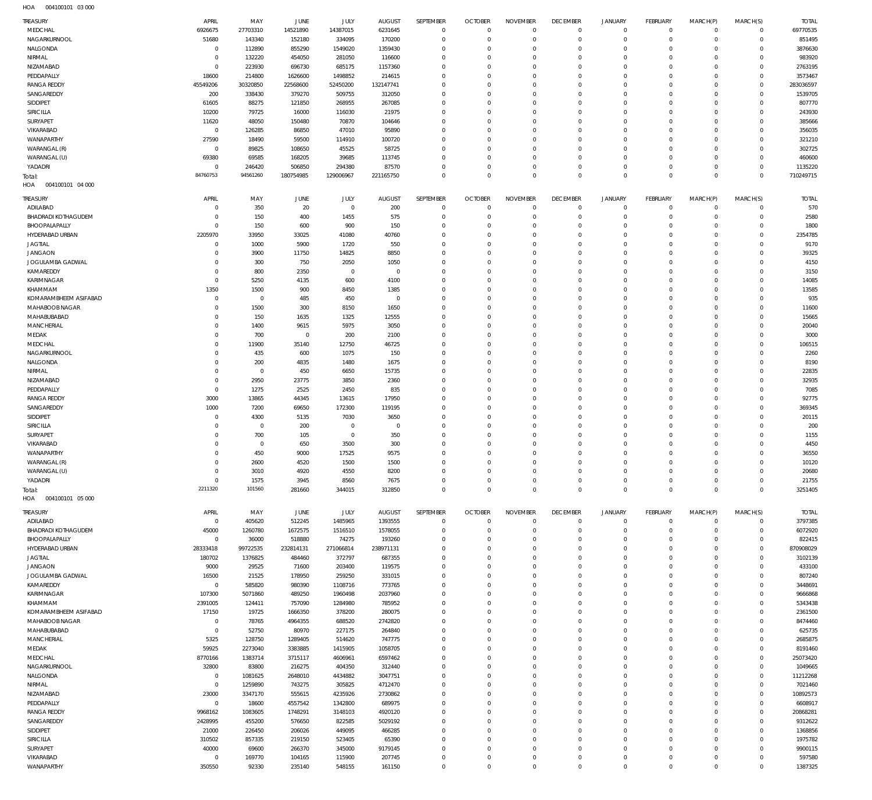004100101 03 000 HOA

| 69770535<br>MEDCHAL<br>6926675<br>27703310<br>14521890<br>14387015<br>6231645<br>$\overline{0}$<br>$\mathbf{0}$<br>$\mathbf{0}$<br>$\mathbf 0$<br>$\circ$<br>$^{\circ}$<br>$\Omega$<br>$\mathbf 0$<br>NAGARKURNOOL<br>51680<br>143340<br>152180<br>334095<br>170200<br>$\Omega$<br>$\mathbf{0}$<br>$\Omega$<br>$\overline{0}$<br>$\mathbf 0$<br>$\mathbf 0$<br>$\circ$<br>851495<br>$\Omega$<br>NALGONDA<br>$\mathbf{0}$<br>112890<br>855290<br>1549020<br>1359430<br>3876630<br>$\Omega$<br>$\mathbf 0$<br>$\Omega$<br>$\Omega$<br>$\Omega$<br>$\Omega$<br>$\Omega$<br>$\Omega$<br>983920<br>NIRMAL<br>132220<br>454050<br>281050<br>116600<br>$\Omega$<br>$\mathbf 0$<br>$\Omega$<br>$\Omega$<br>$\Omega$<br>$\Omega$<br>$\Omega$<br>$\Omega$<br>$\Omega$<br>NIZAMABAD<br>$\mathbf 0$<br>223930<br>696730<br>685175<br>1157360<br>2763195<br>$\Omega$<br>$\mathbf 0$<br>$\Omega$<br>$\Omega$<br>$\Omega$<br>$\Omega$<br>$\Omega$<br>$\Omega$<br>3573467<br>PEDDAPALLY<br>18600<br>214800<br>1626600<br>1498852<br>214615<br>$\Omega$<br>$\Omega$<br>$\Omega$<br>$\Omega$<br>$\Omega$<br>$\Omega$<br>$\Omega$<br>$\Omega$<br>283036597<br><b>RANGA REDDY</b><br>45549206<br>30320850<br>22568600<br>52450200<br>132147741<br>$\Omega$<br>$\Omega$<br>$\Omega$<br>$\Omega$<br>$\Omega$<br>$\Omega$<br>$\Omega$<br>$\Omega$<br>1539705<br>SANGAREDDY<br>200<br>338430<br>379270<br>509755<br>312050<br>$\mathbf 0$<br>$\Omega$<br>$\Omega$<br>$\Omega$<br>$\Omega$<br>$\Omega$<br>$\Omega$<br>$\Omega$<br>807770<br>SIDDIPET<br>61605<br>88275<br>121850<br>268955<br>267085<br>$\Omega$<br>$\Omega$<br>$\Omega$<br>$\Omega$<br>$\Omega$<br>$\Omega$<br>$\Omega$<br>$\Omega$<br>243930<br>SIRICILLA<br>10200<br>79725<br>16000<br>116030<br>21975<br>$\Omega$<br>$\mathbf 0$<br>$\Omega$<br>$\Omega$<br>$\Omega$<br>$\Omega$<br>$\Omega$<br>$\Omega$<br>SURYAPET<br>11620<br>48050<br>150480<br>70870<br>104646<br>$\Omega$<br>385666<br>$\Omega$<br>$\Omega$<br>$\Omega$<br>$\Omega$<br>$\Omega$<br>$\Omega$<br>$\Omega$<br>356035<br>VIKARABAD<br>$\mathbf{0}$<br>126285<br>86850<br>47010<br>95890<br>$\Omega$<br>$^{\circ}$<br>$\Omega$<br>$\Omega$<br>$\Omega$<br>$\Omega$<br>$\Omega$<br>$\Omega$<br>WANAPARTHY<br>27590<br>18490<br>59500<br>114910<br>100720<br>$\Omega$<br>321210<br>$\Omega$<br>$\Omega$<br>$\Omega$<br>$\Omega$<br>$\Omega$<br>$\Omega$<br>$\Omega$<br>302725<br>WARANGAL (R)<br>89825<br>108650<br>45525<br>58725<br>$\mathbf 0$<br>$\Omega$<br>$\mathbf 0$<br>$\Omega$<br>$\Omega$<br>$\Omega$<br>$\Omega$<br>$\Omega$<br>$\Omega$<br>460600<br>WARANGAL (U)<br>69380<br>69585<br>168205<br>39685<br>113745<br>$\Omega$<br>$\Omega$<br>$\Omega$<br>$\Omega$<br>$\Omega$<br>$\Omega$<br>$\Omega$<br>$\Omega$<br>YADADRI<br>246420<br>506850<br>294380<br>87570<br>$\mathbf 0$<br>$\Omega$<br>$\Omega$<br>$\Omega$<br>1135220<br>$\mathbf 0$<br>$\Omega$<br>$\Omega$<br>$\circ$<br>$\Omega$<br>84760753<br>94561260<br>710249715<br>180754985<br>129006967<br>221165750<br>$\Omega$<br>$\Omega$<br>$\Omega$<br>$\mathbf{0}$<br>$\Omega$<br>$\Omega$<br>$\overline{0}$<br>$\Omega$<br>Total:<br>004100101 04 000<br>HOA<br><b>TREASURY</b><br>APRIL<br>MAY<br>JUNE<br>JULY<br><b>AUGUST</b><br>SEPTEMBER<br><b>OCTOBER</b><br><b>NOVEMBER</b><br><b>DECEMBER</b><br><b>JANUARY</b><br>FEBRUARY<br>MARCH(P)<br>MARCH(S)<br><b>TOTAL</b><br>ADILABAD<br>350<br>20<br>$\overline{0}$<br>200<br>$\overline{0}$<br>$\overline{0}$<br>570<br>$\mathbf 0$<br>$\overline{0}$<br>$\mathbf 0$<br>$\circ$<br>$^{\circ}$<br>$\Omega$<br>$\Omega$<br><b>BHADRADI KOTHAGUDEM</b><br>150<br>400<br>1455<br>575<br>$\mathbf 0$<br>$\mathbf 0$<br>$\overline{0}$<br>$\mathbf{0}$<br>$\Omega$<br>2580<br>$\mathbf 0$<br>$\mathbf 0$<br>$^{\circ}$<br>$\Omega$<br>BHOOPALAPALLY<br>$\Omega$<br>150<br>600<br>900<br>150<br>$\mathbf 0$<br>$\Omega$<br>$\mathbf{0}$<br>$\Omega$<br>1800<br>$\mathbf 0$<br>$\Omega$<br>$\circ$<br>$\Omega$<br>HYDERABAD URBAN<br>2205970<br>33950<br>33025<br>41080<br>40760<br>$\mathbf 0$<br>$\overline{0}$<br>$\mathbf{0}$<br>$\Omega$<br>2354785<br>$\mathbf 0$<br>0<br>$\Omega$<br>$\Omega$<br><b>JAGTIAL</b><br>1000<br>5900<br>1720<br>550<br>$\mathbf 0$<br>$\Omega$<br>$\Omega$<br>$\Omega$<br>9170<br>$\mathbf 0$<br>$\mathbf 0$<br>$\Omega$<br>$\Omega$<br>$\Omega$<br><b>JANGAON</b><br>3900<br>11750<br>14825<br>8850<br>$\mathbf 0$<br>$\Omega$<br>$\Omega$<br>$\Omega$<br>39325<br>$\mathbf 0$<br>$\Omega$<br>$\Omega$<br>$\Omega$<br>$\Omega$<br>4150<br>JOGULAMBA GADWAL<br>300<br>750<br>2050<br>1050<br>$\mathbf{0}$<br>$\Omega$<br>$\Omega$<br>$\Omega$<br>$\mathbf 0$<br>$\mathbf 0$<br>$\Omega$<br>$\Omega$<br>$\Omega$<br>KAMAREDDY<br>800<br>2350<br>$\overline{0}$<br>$\mathbf{0}$<br>$\Omega$<br>$\Omega$<br>3150<br>$\mathbf 0$<br>$\mathbf 0$<br>$\Omega$<br>$\Omega$<br>$\Omega$<br>$\Omega$<br>$\Omega$<br>14085<br>KARIMNAGAR<br>5250<br>4135<br>600<br>4100<br>$\mathbf{0}$<br>$\Omega$<br>$\mathbf{0}$<br>$\Omega$<br>$\mathbf 0$<br>$\mathbf 0$<br>$\Omega$<br>$\Omega$<br>$\Omega$<br>KHAMMAM<br>1350<br>1500<br>900<br>8450<br>1385<br>$\mathbf{0}$<br>$\Omega$<br>$\Omega$<br>$\Omega$<br>13585<br>$\Omega$<br>$\Omega$<br>$\Omega$<br>$\Omega$<br>935<br>KOMARAMBHEEM ASIFABAD<br>$\mathbf 0$<br>485<br>450<br>$\overline{0}$<br>$\mathbf{0}$<br>$\overline{0}$<br>$\mathbf{0}$<br>$\Omega$<br>$\mathbf 0$<br>$\mathbf 0$<br>$\Omega$<br>$^{\circ}$<br>$\Omega$<br>MAHABOOB NAGAR<br>1500<br>300<br>8150<br>1650<br>$\mathbf 0$<br>$\Omega$<br>$\Omega$<br>$\Omega$<br>11600<br>$\Omega$<br>$\Omega$<br>$\Omega$<br>$\Omega$<br>$\Omega$<br>MAHABUBABAD<br>150<br>1635<br>1325<br>12555<br>$\mathbf{0}$<br>$\Omega$<br>$\mathbf{0}$<br>$\Omega$<br>15665<br>$\mathbf 0$<br>$\mathbf 0$<br>$\Omega$<br>$\Omega$<br>$\Omega$<br><b>MANCHERIAL</b><br>1400<br>9615<br>5975<br>3050<br>$\Omega$<br>$\mathbf 0$<br>$\Omega$<br>$\Omega$<br>$\Omega$<br>20040<br>$\Omega$<br>$\Omega$<br>$\Omega$<br>$\Omega$<br>MEDAK<br>700<br>$\overline{0}$<br>200<br>2100<br>$\mathbf{0}$<br>$\Omega$<br>$\Omega$<br>$\Omega$<br>3000<br>$\Omega$<br>$\mathbf 0$<br>$\Omega$<br>$\Omega$<br>$\Omega$<br>MEDCHAL<br>11900<br>35140<br>12750<br>46725<br>$\mathbf 0$<br>$\Omega$<br>$\mathbf{0}$<br>$\Omega$<br>106515<br>$\Omega$<br>$\Omega$<br>$\Omega$<br>$\Omega$<br>$\Omega$<br>NAGARKURNOOL<br>435<br>600<br>1075<br>150<br>$\mathbf{0}$<br>$\Omega$<br>$\Omega$<br>$\Omega$<br>2260<br>$\Omega$<br>$\mathbf 0$<br>$\Omega$<br>$\Omega$<br>$\Omega$<br>NALGONDA<br>200<br>4835<br>1480<br>1675<br>$\mathbf 0$<br>$\mathbf 0$<br>$\Omega$<br>$\Omega$<br>$\Omega$<br>8190<br>$\mathbf 0$<br>$\Omega$<br>$\Omega$<br>$\Omega$<br>NIRMAL<br>$\mathbf 0$<br>450<br>6650<br>15735<br>$\mathbf{0}$<br>$\Omega$<br>$\Omega$<br>$\Omega$<br>22835<br>$\Omega$<br>$\mathbf 0$<br>$\Omega$<br>$\Omega$<br>$\Omega$<br>NIZAMABAD<br>2950<br>23775<br>3850<br>2360<br>$\mathbf{0}$<br>$\Omega$<br>$\mathbf{0}$<br>$\Omega$<br>32935<br>$\mathbf 0$<br>$\mathbf 0$<br>0<br>$\Omega$<br>$\Omega$<br>PEDDAPALLY<br>$\Omega$<br>1275<br>2525<br>2450<br>835<br>$\mathbf{0}$<br>$\Omega$<br>$\Omega$<br>$\Omega$<br>7085<br>$\Omega$<br>$\Omega$<br>$\Omega$<br>$\Omega$<br><b>RANGA REDDY</b><br>3000<br>13865<br>44345<br>13615<br>17950<br>$\mathbf{0}$<br>$\Omega$<br>$\Omega$<br>$\Omega$<br>92775<br>$\Omega$<br>$\Omega$<br>$\Omega$<br>$\Omega$<br>SANGAREDDY<br>1000<br>7200<br>69650<br>172300<br>119195<br>$\mathbf{0}$<br>$\Omega$<br>$\Omega$<br>$\Omega$<br>369345<br>$\mathbf 0$<br>$\Omega$<br>$\Omega$<br>$\Omega$<br>SIDDIPET<br>4300<br>5135<br>7030<br>3650<br>$\mathbf{0}$<br>$\Omega$<br>$\mathbf{0}$<br>$\Omega$<br>20115<br>$\mathbf 0$<br>$\mathbf 0$<br>$\Omega$<br>$\Omega$<br>$\Omega$<br>SIRICILLA<br>$\mathbf 0$<br>200<br>$\overline{0}$<br>$\mathbf{0}$<br>$\Omega$<br>$\mathbf{0}$<br>$\Omega$<br>200<br>$\mathbf 0$<br>$\mathbf 0$<br>$\mathbf 0$<br>$\Omega$<br>$^{\circ}$<br>$\Omega$<br>SURYAPET<br>700<br>105<br>$\mathbf 0$<br>350<br>$\mathbf{0}$<br>$\Omega$<br>$\Omega$<br>$\Omega$<br>1155<br>$\Omega$<br>$\Omega$<br>$\Omega$<br>$\Omega$<br>$\Omega$<br>VIKARABAD<br>650<br>3500<br>300<br>$\mathbf{0}$<br>$\overline{0}$<br>$\mathbf{0}$<br>4450<br>$\Omega$<br>$\mathbf 0$<br>$\mathbf 0$<br>$\Omega$<br>$^{\circ}$<br>$\Omega$<br>$\Omega$<br>WANAPARTHY<br>450<br>9000<br>17525<br>9575<br>$\Omega$<br>$\Omega$<br>$\Omega$<br>$\Omega$<br>$\Omega$<br>36550<br>$\Omega$<br>$\Omega$<br>$\Omega$<br>$\Omega$<br>WARANGAL (R)<br>1500<br>10120<br>$\Omega$<br>2600<br>4520<br>1500<br>$\Omega$<br>$\Omega$<br>$\Omega$<br>$\overline{0}$<br>$\circ$<br>$\Omega$<br>$\Omega$<br>$\Omega$<br>WARANGAL (U)<br>$\mathbf 0$<br>3010<br>4920<br>4550<br>8200<br>20680<br>$\mathbf 0$<br>$^{\circ}$<br>$\mathbf 0$<br>$^{\circ}$<br>$\circ$<br>$\mathbf 0$<br>$\Omega$<br>$\Omega$<br>YADADRI<br>$\mathbf 0$<br>1575<br>3945<br>8560<br>7675<br>$\mathbf 0$<br>$\mathbf 0$<br>$\bf 0$<br>$\,0\,$<br>$\mathbb O$<br>$\mathbf 0$<br>$\Omega$<br>21755<br>$\Omega$<br>2211320<br>101560<br>$\overline{0}$<br>$\mathbb O$<br>$\mathbb O$<br>281660<br>344015<br>312850<br>$\mathbf 0$<br>$\bf 0$<br>$\mathbf 0$<br>$\mathbf{0}$<br>$\mathbb O$<br>3251405<br>Total:<br>HOA<br>004100101 05 000<br>MARCH(S)<br><b>TREASURY</b><br>APRIL<br>MAY<br>JUNE<br>JULY<br><b>AUGUST</b><br>SEPTEMBER<br><b>OCTOBER</b><br><b>NOVEMBER</b><br><b>DECEMBER</b><br><b>JANUARY</b><br><b>FEBRUARY</b><br>MARCH(P)<br><b>TOTAL</b><br>ADILABAD<br>$\mathbf{0}$<br>405620<br>512245<br>1485965<br>1393555<br>$\overline{0}$<br>$\overline{0}$<br>$\mathbf{0}$<br>$\mathbf 0$<br>$\mathbf 0$<br>$\mathbf 0$<br>3797385<br>0<br>$\mathbf 0$<br><b>BHADRADI KOTHAGUDEM</b><br>45000<br>1260780<br>1672575<br>1516510<br>1578055<br>$\mathbf 0$<br>$\mathbf{0}$<br>$\mathbf 0$<br>$\mathbf{0}$<br>$\mathbf 0$<br>$\mathbf 0$<br>$\mathbf 0$<br>6072920<br>$\Omega$<br>BHOOPALAPALLY<br>$\mathbf 0$<br>36000<br>518880<br>74275<br>193260<br>$\Omega$<br>822415<br>$\mathbf 0$<br>$^{\circ}$<br>$\Omega$<br>$\Omega$<br>$\circ$<br>$^{\circ}$<br>$\Omega$<br>HYDERABAD URBAN<br>28333418<br>99722535<br>232814131<br>271066814<br>238971131<br>$\Omega$<br>$\mathbf{0}$<br>$\circ$<br>870908029<br>$\mathbf 0$<br>$\mathbf 0$<br>$\Omega$<br>$\circ$<br>$\Omega$<br>JAGTIAL<br>180702<br>1376825<br>484460<br>372797<br>687355<br>$\mathbf 0$<br>$\Omega$<br>3102139<br>$\Omega$<br>$\Omega$<br>$\Omega$<br>$^{\circ}$<br>$^{\circ}$<br>$\Omega$<br><b>JANGAON</b><br>9000<br>29525<br>71600<br>203400<br>119575<br>$\Omega$<br>433100<br>$\mathbf 0$<br>$^{\circ}$<br>$\Omega$<br>$\circ$<br>$^{\circ}$<br>$\Omega$<br>$\Omega$<br>JOGULAMBA GADWAL<br>16500<br>21525<br>178950<br>259250<br>331015<br>$\mathbf 0$<br>$\Omega$<br>$\Omega$<br>807240<br>$\Omega$<br>$\Omega$<br>$\Omega$<br>$\Omega$<br>$\Omega$<br>KAMAREDDY<br>$\mathbf{0}$<br>585820<br>980390<br>1108716<br>773765<br>$\mathbf{0}$<br>$\mathbf{0}$<br>$\mathbf{0}$<br>3448691<br>$\mathbf 0$<br>$\Omega$<br>$\circ$<br>$\Omega$<br>$\Omega$<br>9666868<br><b>KARIMNAGAR</b><br>107300<br>5071860<br>489250<br>1960498<br>2037960<br>$\mathbf 0$<br>$\Omega$<br>$\Omega$<br>$\Omega$<br>$\Omega$<br>$^{\circ}$<br>$\Omega$<br>$\Omega$<br>KHAMMAM<br>2391005<br>124411<br>757090<br>1284980<br>785952<br>$\Omega$<br>5343438<br>$\mathbf 0$<br>$^{\circ}$<br>$\Omega$<br>$\circ$<br>$^{\circ}$<br>$\Omega$<br>$\Omega$<br>KOMARAMBHEEM ASIFABAD<br>17150<br>19725<br>1666350<br>378200<br>280075<br>$\mathbf 0$<br>$\Omega$<br>$\mathbf{0}$<br>2361500<br>$\mathbf 0$<br>$\Omega$<br>$\Omega$<br>$\Omega$<br>$\Omega$<br>MAHABOOB NAGAR<br>$\mathbb O$<br>78765<br>4964355<br>688520<br>2742820<br>$\mathbf{0}$<br>$\Omega$<br>8474460<br>$\mathbf 0$<br>$\Omega$<br>$^{\circ}$<br>$\Omega$<br>$\Omega$<br>$\Omega$<br>625735<br>MAHABUBABAD<br>$\mathbf 0$<br>52750<br>80970<br>227175<br>264840<br>$\mathbf 0$<br>$\Omega$<br>$\mathbf 0$<br>$\Omega$<br>$\mathbf 0$<br>$^{\circ}$<br>$\Omega$<br>$\Omega$<br>2685875<br>MANCHERIAL<br>5325<br>128750<br>1289405<br>514620<br>747775<br>$\mathbf{0}$<br>$\Omega$<br>$\Omega$<br>$\Omega$<br>$^{\circ}$<br>$\Omega$<br>$\Omega$<br>$\Omega$<br>MEDAK<br>59925<br>2273040<br>3383885<br>1415905<br>1058705<br>$\mathbf 0$<br>8191460<br>$\mathbf 0$<br>$\Omega$<br>$\Omega$<br>$\Omega$<br>$^{\circ}$<br>$\Omega$<br>$\Omega$<br>MEDCHAL<br>8770166<br>1383714<br>3715117<br>4606961<br>6597462<br>$\Omega$<br>$\mathbf 0$<br>$\Omega$<br>$\Omega$<br>$\Omega$<br>25073420<br>$\Omega$<br>$^{\circ}$<br>$\Omega$<br>NAGARKURNOOL<br>32800<br>83800<br>216275<br>404350<br>312440<br>$\mathbf 0$<br>1049665<br>$\mathbf 0$<br>$\Omega$<br>$\Omega$<br>$\circ$<br>$^{\circ}$<br>$\Omega$<br>$\Omega$<br>NALGONDA<br>$\bf 0$<br>1081625<br>2648010<br>4434882<br>3047751<br>$\mathbf 0$<br>$\mathbf 0$<br>$\Omega$<br>$\Omega$<br>11212268<br>$\Omega$<br>$\Omega$<br>$\Omega$<br>$\Omega$<br>NIRMAL<br>$\mathbf 0$<br>1259890<br>743275<br>305825<br>4712470<br>$\mathbf 0$<br>$\Omega$<br>7021460<br>$\Omega$<br>$\Omega$<br>$\Omega$<br>$\Omega$<br>$^{\circ}$<br>$\Omega$<br>NIZAMABAD<br>23000<br>3347170<br>555615<br>4235926<br>2730862<br>$\mathbf 0$<br>$\mathbf 0$<br>$\Omega$<br>$\mathbf{0}$<br>$\Omega$<br>10892573<br>$\Omega$<br>$\circ$<br>$\Omega$<br>PEDDAPALLY<br>$\mathbb O$<br>18600<br>4557542<br>1342800<br>689975<br>$\mathbf 0$<br>$\Omega$<br>6608917<br>$\Omega$<br>$\Omega$<br>$\circ$<br>$^{\circ}$<br>$\Omega$<br>$\Omega$<br><b>RANGA REDDY</b><br>9968162<br>1083605<br>1748291<br>3148103<br>4920120<br>$\mathbf 0$<br>$\Omega$<br>$\Omega$<br>20868281<br>$\mathbf 0$<br>$\Omega$<br>$\circ$<br>$^{\circ}$<br>$\Omega$<br>9312622<br>SANGAREDDY<br>2428995<br>455200<br>576650<br>822585<br>5029192<br>$\mathbf 0$<br>$\Omega$<br>$\Omega$<br>$\Omega$<br>$\Omega$<br>$\Omega$<br>$\Omega$<br>$\Omega$<br>1368856<br>SIDDIPET<br>21000<br>226450<br>206026<br>449095<br>466285<br>$\mathbf{0}$<br>$\mathbf{0}$<br>$\mathbf 0$<br>$\Omega$<br>$\circ$<br>$^{\circ}$<br>$\Omega$<br>$\Omega$<br>SIRICILLA<br>310502<br>857335<br>219150<br>523405<br>65390<br>$\mathbf 0$<br>$\Omega$<br>1975782<br>$\Omega$<br>$\Omega$<br>$\Omega$<br>$\Omega$<br>$\Omega$<br>$\Omega$<br>SURYAPET<br>40000<br>69600<br>266370<br>345000<br>9179145<br>$\mathbf{0}$<br>9900115<br>$\mathbf 0$<br>$^{\circ}$<br>$\Omega$<br>$\circ$<br>$^{\circ}$<br>$\Omega$<br>$\Omega$<br>597580<br>VIKARABAD<br>$\mathbf 0$<br>169770<br>104165<br>115900<br>207745<br>$\mathbf 0$<br>$\mathbf{0}$<br>$\mathbf 0$<br>0<br>$\circ$<br>$^{\circ}$<br>$\Omega$<br>$\Omega$<br>$\,0\,$<br>WANAPARTHY<br>350550<br>92330<br>235140<br>548155<br>161150<br>$\mathbf 0$<br>$\mathbf 0$<br>0<br>$\mathbf 0$<br>$\mathbf{0}$<br>$\circ$<br>$\circ$<br>1387325 | TREASURY | APRIL | MAY | JUNE | JULY | <b>AUGUST</b> | SEPTEMBER | <b>OCTOBER</b> | <b>NOVEMBER</b> | <b>DECEMBER</b> | <b>JANUARY</b> | <b>FEBRUARY</b> | MARCH(P) | MARCH(S) | <b>TOTAL</b> |
|------------------------------------------------------------------------------------------------------------------------------------------------------------------------------------------------------------------------------------------------------------------------------------------------------------------------------------------------------------------------------------------------------------------------------------------------------------------------------------------------------------------------------------------------------------------------------------------------------------------------------------------------------------------------------------------------------------------------------------------------------------------------------------------------------------------------------------------------------------------------------------------------------------------------------------------------------------------------------------------------------------------------------------------------------------------------------------------------------------------------------------------------------------------------------------------------------------------------------------------------------------------------------------------------------------------------------------------------------------------------------------------------------------------------------------------------------------------------------------------------------------------------------------------------------------------------------------------------------------------------------------------------------------------------------------------------------------------------------------------------------------------------------------------------------------------------------------------------------------------------------------------------------------------------------------------------------------------------------------------------------------------------------------------------------------------------------------------------------------------------------------------------------------------------------------------------------------------------------------------------------------------------------------------------------------------------------------------------------------------------------------------------------------------------------------------------------------------------------------------------------------------------------------------------------------------------------------------------------------------------------------------------------------------------------------------------------------------------------------------------------------------------------------------------------------------------------------------------------------------------------------------------------------------------------------------------------------------------------------------------------------------------------------------------------------------------------------------------------------------------------------------------------------------------------------------------------------------------------------------------------------------------------------------------------------------------------------------------------------------------------------------------------------------------------------------------------------------------------------------------------------------------------------------------------------------------------------------------------------------------------------------------------------------------------------------------------------------------------------------------------------------------------------------------------------------------------------------------------------------------------------------------------------------------------------------------------------------------------------------------------------------------------------------------------------------------------------------------------------------------------------------------------------------------------------------------------------------------------------------------------------------------------------------------------------------------------------------------------------------------------------------------------------------------------------------------------------------------------------------------------------------------------------------------------------------------------------------------------------------------------------------------------------------------------------------------------------------------------------------------------------------------------------------------------------------------------------------------------------------------------------------------------------------------------------------------------------------------------------------------------------------------------------------------------------------------------------------------------------------------------------------------------------------------------------------------------------------------------------------------------------------------------------------------------------------------------------------------------------------------------------------------------------------------------------------------------------------------------------------------------------------------------------------------------------------------------------------------------------------------------------------------------------------------------------------------------------------------------------------------------------------------------------------------------------------------------------------------------------------------------------------------------------------------------------------------------------------------------------------------------------------------------------------------------------------------------------------------------------------------------------------------------------------------------------------------------------------------------------------------------------------------------------------------------------------------------------------------------------------------------------------------------------------------------------------------------------------------------------------------------------------------------------------------------------------------------------------------------------------------------------------------------------------------------------------------------------------------------------------------------------------------------------------------------------------------------------------------------------------------------------------------------------------------------------------------------------------------------------------------------------------------------------------------------------------------------------------------------------------------------------------------------------------------------------------------------------------------------------------------------------------------------------------------------------------------------------------------------------------------------------------------------------------------------------------------------------------------------------------------------------------------------------------------------------------------------------------------------------------------------------------------------------------------------------------------------------------------------------------------------------------------------------------------------------------------------------------------------------------------------------------------------------------------------------------------------------------------------------------------------------------------------------------------------------------------------------------------------------------------------------------------------------------------------------------------------------------------------------------------------------------------------------------------------------------------------------------------------------------------------------------------------------------------------------------------------------------------------------------------------------------------------------------------------------------------------------------------------------------------------------------------------------------------------------------------------------------------------------------------------------------------------------------------------------------------------------------------------------------------------------------------------------------------------------------------------------------------------------------------------------------------------------------------------------------------------------------------------------------------------------------------------------------------------------------------------------------------------------------------------------------------------------------------------------------------------------------------------------------------------------------------------------------------------------------------------------------------------------------------------------------------------------------------------------------------------------------------------------------------------------------------------------------------------------------------------------------------------------------------------------------------------------------------------------------------------------------------------------------------------------------------------------------------------------------------------------------------------------------------------------------------------------------------------------------------------------------------------------------------------------------------------------------------------------------------------------------------------------------------------------------------------------------------------------------------------------------------------------------------------------------------------------------------------------------------------------------------------------------------------------------------------------------------------------------------------------------------------------------------------------------------------------------------------------------------------------------------------------------------------------------------------------------------------------------------------------------------------------------------------------------------------------------------------------------------------------------------------------------------------------------------------------------------------------------------------------------------------------------------------------------------------------------------------------------------------------------------------------------------------------------------------------------------------------------------------------------------------------------------------------------------------------------------------------------------------------------------------------------------------------------------------------------------------------------------------------------------------------------------------------------------------------------------------------------------------------------------------------------------------------------------------------------------------------------------------------------------------------------------------------------------------------------------------------------------------------------------------------------------------------------------------------------------------------------------------------------------------------------------------------------------------------------------------------------------------------------------------------------------------------------------------------------------------------------------------------------------------------------------------------------------------------------------------------------------------------------------------------------------------------------------------------------------------------------------------------------------------------------------------------------------------------------------------------------------------------------------------------------------------------------------------------------------------------------------------------------------------------------------------------------------------------------------------------------------------------------------------------------------------------------------------------------------------------------------------------------------------------------------------------------------------------------------------------------------------------------------------------------------------------------------------------------------------------------------------------------------------------------------------------------------------------------------------------------------------------------------------------------------------------------------------------------------------------------------------------------------------------------------------------------------------------------------------------------------------------------------------------------------------------------------------------------------------------------------------------------------------------------------------------------------------------------------------------------------------------------------------------------------------------------------------------------------------------------------------------------------------------------------------------------------------------------------------------------------------------------------------------------------------------------------------------------------------------------------------------------------------------------------------------------------------------------------------------------------------------------------------------------------------------------------------------------------------------------------------------------------------------------------------------------------------------------------------------------------------------------------------------------------------------------------------------------------------------------------------------------|----------|-------|-----|------|------|---------------|-----------|----------------|-----------------|-----------------|----------------|-----------------|----------|----------|--------------|
|                                                                                                                                                                                                                                                                                                                                                                                                                                                                                                                                                                                                                                                                                                                                                                                                                                                                                                                                                                                                                                                                                                                                                                                                                                                                                                                                                                                                                                                                                                                                                                                                                                                                                                                                                                                                                                                                                                                                                                                                                                                                                                                                                                                                                                                                                                                                                                                                                                                                                                                                                                                                                                                                                                                                                                                                                                                                                                                                                                                                                                                                                                                                                                                                                                                                                                                                                                                                                                                                                                                                                                                                                                                                                                                                                                                                                                                                                                                                                                                                                                                                                                                                                                                                                                                                                                                                                                                                                                                                                                                                                                                                                                                                                                                                                                                                                                                                                                                                                                                                                                                                                                                                                                                                                                                                                                                                                                                                                                                                                                                                                                                                                                                                                                                                                                                                                                                                                                                                                                                                                                                                                                                                                                                                                                                                                                                                                                                                                                                                                                                                                                                                                                                                                                                                                                                                                                                                                                                                                                                                                                                                                                                                                                                                                                                                                                                                                                                                                                                                                                                                                                                                                                                                                                                                                                                                                                                                                                                                                                                                                                                                                                                                                                                                                                                                                                                                                                                                                                                                                                                                                                                                                                                                                                                                                                                                                                                                                                                                                                                                                                                                                                                                                                                                                                                                                                                                                                                                                                                                                                                                                                                                                                                                                                                                                                                                                                                                                                                                                                                                                                                                                                                                                                                                                                                                                                                                                                                                                                                                                                                                                                                                                                                                                                                                                                                                                                                                                                                                                                                                                                                                                                                                                                                                                                                                                                                                                                                                                                                                                                                                                                                                                                                                                                                                                                                                                                                                                                                                                                                                                                                                                                                                                                                                                                                                                                                                                                                                                                                                                                                                                                                                                                                                                                                                                                                                                                                                                                                                                                                                                                                                                                                                                                                                                                                                                                                                                                                                                                                                                                                                                                                                                                                                                                                                                                                                                                                                                                                                                                                                                                                                                                                                                                                                                                                                                                                                                                                                                                                                                                                                                                                                                                                                                                                                                                                                                                          |          |       |     |      |      |               |           |                |                 |                 |                |                 |          |          |              |
|                                                                                                                                                                                                                                                                                                                                                                                                                                                                                                                                                                                                                                                                                                                                                                                                                                                                                                                                                                                                                                                                                                                                                                                                                                                                                                                                                                                                                                                                                                                                                                                                                                                                                                                                                                                                                                                                                                                                                                                                                                                                                                                                                                                                                                                                                                                                                                                                                                                                                                                                                                                                                                                                                                                                                                                                                                                                                                                                                                                                                                                                                                                                                                                                                                                                                                                                                                                                                                                                                                                                                                                                                                                                                                                                                                                                                                                                                                                                                                                                                                                                                                                                                                                                                                                                                                                                                                                                                                                                                                                                                                                                                                                                                                                                                                                                                                                                                                                                                                                                                                                                                                                                                                                                                                                                                                                                                                                                                                                                                                                                                                                                                                                                                                                                                                                                                                                                                                                                                                                                                                                                                                                                                                                                                                                                                                                                                                                                                                                                                                                                                                                                                                                                                                                                                                                                                                                                                                                                                                                                                                                                                                                                                                                                                                                                                                                                                                                                                                                                                                                                                                                                                                                                                                                                                                                                                                                                                                                                                                                                                                                                                                                                                                                                                                                                                                                                                                                                                                                                                                                                                                                                                                                                                                                                                                                                                                                                                                                                                                                                                                                                                                                                                                                                                                                                                                                                                                                                                                                                                                                                                                                                                                                                                                                                                                                                                                                                                                                                                                                                                                                                                                                                                                                                                                                                                                                                                                                                                                                                                                                                                                                                                                                                                                                                                                                                                                                                                                                                                                                                                                                                                                                                                                                                                                                                                                                                                                                                                                                                                                                                                                                                                                                                                                                                                                                                                                                                                                                                                                                                                                                                                                                                                                                                                                                                                                                                                                                                                                                                                                                                                                                                                                                                                                                                                                                                                                                                                                                                                                                                                                                                                                                                                                                                                                                                                                                                                                                                                                                                                                                                                                                                                                                                                                                                                                                                                                                                                                                                                                                                                                                                                                                                                                                                                                                                                                                                                                                                                                                                                                                                                                                                                                                                                                                                                                                                                                          |          |       |     |      |      |               |           |                |                 |                 |                |                 |          |          |              |
|                                                                                                                                                                                                                                                                                                                                                                                                                                                                                                                                                                                                                                                                                                                                                                                                                                                                                                                                                                                                                                                                                                                                                                                                                                                                                                                                                                                                                                                                                                                                                                                                                                                                                                                                                                                                                                                                                                                                                                                                                                                                                                                                                                                                                                                                                                                                                                                                                                                                                                                                                                                                                                                                                                                                                                                                                                                                                                                                                                                                                                                                                                                                                                                                                                                                                                                                                                                                                                                                                                                                                                                                                                                                                                                                                                                                                                                                                                                                                                                                                                                                                                                                                                                                                                                                                                                                                                                                                                                                                                                                                                                                                                                                                                                                                                                                                                                                                                                                                                                                                                                                                                                                                                                                                                                                                                                                                                                                                                                                                                                                                                                                                                                                                                                                                                                                                                                                                                                                                                                                                                                                                                                                                                                                                                                                                                                                                                                                                                                                                                                                                                                                                                                                                                                                                                                                                                                                                                                                                                                                                                                                                                                                                                                                                                                                                                                                                                                                                                                                                                                                                                                                                                                                                                                                                                                                                                                                                                                                                                                                                                                                                                                                                                                                                                                                                                                                                                                                                                                                                                                                                                                                                                                                                                                                                                                                                                                                                                                                                                                                                                                                                                                                                                                                                                                                                                                                                                                                                                                                                                                                                                                                                                                                                                                                                                                                                                                                                                                                                                                                                                                                                                                                                                                                                                                                                                                                                                                                                                                                                                                                                                                                                                                                                                                                                                                                                                                                                                                                                                                                                                                                                                                                                                                                                                                                                                                                                                                                                                                                                                                                                                                                                                                                                                                                                                                                                                                                                                                                                                                                                                                                                                                                                                                                                                                                                                                                                                                                                                                                                                                                                                                                                                                                                                                                                                                                                                                                                                                                                                                                                                                                                                                                                                                                                                                                                                                                                                                                                                                                                                                                                                                                                                                                                                                                                                                                                                                                                                                                                                                                                                                                                                                                                                                                                                                                                                                                                                                                                                                                                                                                                                                                                                                                                                                                                                                                                                          |          |       |     |      |      |               |           |                |                 |                 |                |                 |          |          |              |
|                                                                                                                                                                                                                                                                                                                                                                                                                                                                                                                                                                                                                                                                                                                                                                                                                                                                                                                                                                                                                                                                                                                                                                                                                                                                                                                                                                                                                                                                                                                                                                                                                                                                                                                                                                                                                                                                                                                                                                                                                                                                                                                                                                                                                                                                                                                                                                                                                                                                                                                                                                                                                                                                                                                                                                                                                                                                                                                                                                                                                                                                                                                                                                                                                                                                                                                                                                                                                                                                                                                                                                                                                                                                                                                                                                                                                                                                                                                                                                                                                                                                                                                                                                                                                                                                                                                                                                                                                                                                                                                                                                                                                                                                                                                                                                                                                                                                                                                                                                                                                                                                                                                                                                                                                                                                                                                                                                                                                                                                                                                                                                                                                                                                                                                                                                                                                                                                                                                                                                                                                                                                                                                                                                                                                                                                                                                                                                                                                                                                                                                                                                                                                                                                                                                                                                                                                                                                                                                                                                                                                                                                                                                                                                                                                                                                                                                                                                                                                                                                                                                                                                                                                                                                                                                                                                                                                                                                                                                                                                                                                                                                                                                                                                                                                                                                                                                                                                                                                                                                                                                                                                                                                                                                                                                                                                                                                                                                                                                                                                                                                                                                                                                                                                                                                                                                                                                                                                                                                                                                                                                                                                                                                                                                                                                                                                                                                                                                                                                                                                                                                                                                                                                                                                                                                                                                                                                                                                                                                                                                                                                                                                                                                                                                                                                                                                                                                                                                                                                                                                                                                                                                                                                                                                                                                                                                                                                                                                                                                                                                                                                                                                                                                                                                                                                                                                                                                                                                                                                                                                                                                                                                                                                                                                                                                                                                                                                                                                                                                                                                                                                                                                                                                                                                                                                                                                                                                                                                                                                                                                                                                                                                                                                                                                                                                                                                                                                                                                                                                                                                                                                                                                                                                                                                                                                                                                                                                                                                                                                                                                                                                                                                                                                                                                                                                                                                                                                                                                                                                                                                                                                                                                                                                                                                                                                                                                                                                                          |          |       |     |      |      |               |           |                |                 |                 |                |                 |          |          |              |
|                                                                                                                                                                                                                                                                                                                                                                                                                                                                                                                                                                                                                                                                                                                                                                                                                                                                                                                                                                                                                                                                                                                                                                                                                                                                                                                                                                                                                                                                                                                                                                                                                                                                                                                                                                                                                                                                                                                                                                                                                                                                                                                                                                                                                                                                                                                                                                                                                                                                                                                                                                                                                                                                                                                                                                                                                                                                                                                                                                                                                                                                                                                                                                                                                                                                                                                                                                                                                                                                                                                                                                                                                                                                                                                                                                                                                                                                                                                                                                                                                                                                                                                                                                                                                                                                                                                                                                                                                                                                                                                                                                                                                                                                                                                                                                                                                                                                                                                                                                                                                                                                                                                                                                                                                                                                                                                                                                                                                                                                                                                                                                                                                                                                                                                                                                                                                                                                                                                                                                                                                                                                                                                                                                                                                                                                                                                                                                                                                                                                                                                                                                                                                                                                                                                                                                                                                                                                                                                                                                                                                                                                                                                                                                                                                                                                                                                                                                                                                                                                                                                                                                                                                                                                                                                                                                                                                                                                                                                                                                                                                                                                                                                                                                                                                                                                                                                                                                                                                                                                                                                                                                                                                                                                                                                                                                                                                                                                                                                                                                                                                                                                                                                                                                                                                                                                                                                                                                                                                                                                                                                                                                                                                                                                                                                                                                                                                                                                                                                                                                                                                                                                                                                                                                                                                                                                                                                                                                                                                                                                                                                                                                                                                                                                                                                                                                                                                                                                                                                                                                                                                                                                                                                                                                                                                                                                                                                                                                                                                                                                                                                                                                                                                                                                                                                                                                                                                                                                                                                                                                                                                                                                                                                                                                                                                                                                                                                                                                                                                                                                                                                                                                                                                                                                                                                                                                                                                                                                                                                                                                                                                                                                                                                                                                                                                                                                                                                                                                                                                                                                                                                                                                                                                                                                                                                                                                                                                                                                                                                                                                                                                                                                                                                                                                                                                                                                                                                                                                                                                                                                                                                                                                                                                                                                                                                                                                                                                                          |          |       |     |      |      |               |           |                |                 |                 |                |                 |          |          |              |
|                                                                                                                                                                                                                                                                                                                                                                                                                                                                                                                                                                                                                                                                                                                                                                                                                                                                                                                                                                                                                                                                                                                                                                                                                                                                                                                                                                                                                                                                                                                                                                                                                                                                                                                                                                                                                                                                                                                                                                                                                                                                                                                                                                                                                                                                                                                                                                                                                                                                                                                                                                                                                                                                                                                                                                                                                                                                                                                                                                                                                                                                                                                                                                                                                                                                                                                                                                                                                                                                                                                                                                                                                                                                                                                                                                                                                                                                                                                                                                                                                                                                                                                                                                                                                                                                                                                                                                                                                                                                                                                                                                                                                                                                                                                                                                                                                                                                                                                                                                                                                                                                                                                                                                                                                                                                                                                                                                                                                                                                                                                                                                                                                                                                                                                                                                                                                                                                                                                                                                                                                                                                                                                                                                                                                                                                                                                                                                                                                                                                                                                                                                                                                                                                                                                                                                                                                                                                                                                                                                                                                                                                                                                                                                                                                                                                                                                                                                                                                                                                                                                                                                                                                                                                                                                                                                                                                                                                                                                                                                                                                                                                                                                                                                                                                                                                                                                                                                                                                                                                                                                                                                                                                                                                                                                                                                                                                                                                                                                                                                                                                                                                                                                                                                                                                                                                                                                                                                                                                                                                                                                                                                                                                                                                                                                                                                                                                                                                                                                                                                                                                                                                                                                                                                                                                                                                                                                                                                                                                                                                                                                                                                                                                                                                                                                                                                                                                                                                                                                                                                                                                                                                                                                                                                                                                                                                                                                                                                                                                                                                                                                                                                                                                                                                                                                                                                                                                                                                                                                                                                                                                                                                                                                                                                                                                                                                                                                                                                                                                                                                                                                                                                                                                                                                                                                                                                                                                                                                                                                                                                                                                                                                                                                                                                                                                                                                                                                                                                                                                                                                                                                                                                                                                                                                                                                                                                                                                                                                                                                                                                                                                                                                                                                                                                                                                                                                                                                                                                                                                                                                                                                                                                                                                                                                                                                                                                                                                                          |          |       |     |      |      |               |           |                |                 |                 |                |                 |          |          |              |
|                                                                                                                                                                                                                                                                                                                                                                                                                                                                                                                                                                                                                                                                                                                                                                                                                                                                                                                                                                                                                                                                                                                                                                                                                                                                                                                                                                                                                                                                                                                                                                                                                                                                                                                                                                                                                                                                                                                                                                                                                                                                                                                                                                                                                                                                                                                                                                                                                                                                                                                                                                                                                                                                                                                                                                                                                                                                                                                                                                                                                                                                                                                                                                                                                                                                                                                                                                                                                                                                                                                                                                                                                                                                                                                                                                                                                                                                                                                                                                                                                                                                                                                                                                                                                                                                                                                                                                                                                                                                                                                                                                                                                                                                                                                                                                                                                                                                                                                                                                                                                                                                                                                                                                                                                                                                                                                                                                                                                                                                                                                                                                                                                                                                                                                                                                                                                                                                                                                                                                                                                                                                                                                                                                                                                                                                                                                                                                                                                                                                                                                                                                                                                                                                                                                                                                                                                                                                                                                                                                                                                                                                                                                                                                                                                                                                                                                                                                                                                                                                                                                                                                                                                                                                                                                                                                                                                                                                                                                                                                                                                                                                                                                                                                                                                                                                                                                                                                                                                                                                                                                                                                                                                                                                                                                                                                                                                                                                                                                                                                                                                                                                                                                                                                                                                                                                                                                                                                                                                                                                                                                                                                                                                                                                                                                                                                                                                                                                                                                                                                                                                                                                                                                                                                                                                                                                                                                                                                                                                                                                                                                                                                                                                                                                                                                                                                                                                                                                                                                                                                                                                                                                                                                                                                                                                                                                                                                                                                                                                                                                                                                                                                                                                                                                                                                                                                                                                                                                                                                                                                                                                                                                                                                                                                                                                                                                                                                                                                                                                                                                                                                                                                                                                                                                                                                                                                                                                                                                                                                                                                                                                                                                                                                                                                                                                                                                                                                                                                                                                                                                                                                                                                                                                                                                                                                                                                                                                                                                                                                                                                                                                                                                                                                                                                                                                                                                                                                                                                                                                                                                                                                                                                                                                                                                                                                                                                                                                                          |          |       |     |      |      |               |           |                |                 |                 |                |                 |          |          |              |
|                                                                                                                                                                                                                                                                                                                                                                                                                                                                                                                                                                                                                                                                                                                                                                                                                                                                                                                                                                                                                                                                                                                                                                                                                                                                                                                                                                                                                                                                                                                                                                                                                                                                                                                                                                                                                                                                                                                                                                                                                                                                                                                                                                                                                                                                                                                                                                                                                                                                                                                                                                                                                                                                                                                                                                                                                                                                                                                                                                                                                                                                                                                                                                                                                                                                                                                                                                                                                                                                                                                                                                                                                                                                                                                                                                                                                                                                                                                                                                                                                                                                                                                                                                                                                                                                                                                                                                                                                                                                                                                                                                                                                                                                                                                                                                                                                                                                                                                                                                                                                                                                                                                                                                                                                                                                                                                                                                                                                                                                                                                                                                                                                                                                                                                                                                                                                                                                                                                                                                                                                                                                                                                                                                                                                                                                                                                                                                                                                                                                                                                                                                                                                                                                                                                                                                                                                                                                                                                                                                                                                                                                                                                                                                                                                                                                                                                                                                                                                                                                                                                                                                                                                                                                                                                                                                                                                                                                                                                                                                                                                                                                                                                                                                                                                                                                                                                                                                                                                                                                                                                                                                                                                                                                                                                                                                                                                                                                                                                                                                                                                                                                                                                                                                                                                                                                                                                                                                                                                                                                                                                                                                                                                                                                                                                                                                                                                                                                                                                                                                                                                                                                                                                                                                                                                                                                                                                                                                                                                                                                                                                                                                                                                                                                                                                                                                                                                                                                                                                                                                                                                                                                                                                                                                                                                                                                                                                                                                                                                                                                                                                                                                                                                                                                                                                                                                                                                                                                                                                                                                                                                                                                                                                                                                                                                                                                                                                                                                                                                                                                                                                                                                                                                                                                                                                                                                                                                                                                                                                                                                                                                                                                                                                                                                                                                                                                                                                                                                                                                                                                                                                                                                                                                                                                                                                                                                                                                                                                                                                                                                                                                                                                                                                                                                                                                                                                                                                                                                                                                                                                                                                                                                                                                                                                                                                                                                                                                                          |          |       |     |      |      |               |           |                |                 |                 |                |                 |          |          |              |
|                                                                                                                                                                                                                                                                                                                                                                                                                                                                                                                                                                                                                                                                                                                                                                                                                                                                                                                                                                                                                                                                                                                                                                                                                                                                                                                                                                                                                                                                                                                                                                                                                                                                                                                                                                                                                                                                                                                                                                                                                                                                                                                                                                                                                                                                                                                                                                                                                                                                                                                                                                                                                                                                                                                                                                                                                                                                                                                                                                                                                                                                                                                                                                                                                                                                                                                                                                                                                                                                                                                                                                                                                                                                                                                                                                                                                                                                                                                                                                                                                                                                                                                                                                                                                                                                                                                                                                                                                                                                                                                                                                                                                                                                                                                                                                                                                                                                                                                                                                                                                                                                                                                                                                                                                                                                                                                                                                                                                                                                                                                                                                                                                                                                                                                                                                                                                                                                                                                                                                                                                                                                                                                                                                                                                                                                                                                                                                                                                                                                                                                                                                                                                                                                                                                                                                                                                                                                                                                                                                                                                                                                                                                                                                                                                                                                                                                                                                                                                                                                                                                                                                                                                                                                                                                                                                                                                                                                                                                                                                                                                                                                                                                                                                                                                                                                                                                                                                                                                                                                                                                                                                                                                                                                                                                                                                                                                                                                                                                                                                                                                                                                                                                                                                                                                                                                                                                                                                                                                                                                                                                                                                                                                                                                                                                                                                                                                                                                                                                                                                                                                                                                                                                                                                                                                                                                                                                                                                                                                                                                                                                                                                                                                                                                                                                                                                                                                                                                                                                                                                                                                                                                                                                                                                                                                                                                                                                                                                                                                                                                                                                                                                                                                                                                                                                                                                                                                                                                                                                                                                                                                                                                                                                                                                                                                                                                                                                                                                                                                                                                                                                                                                                                                                                                                                                                                                                                                                                                                                                                                                                                                                                                                                                                                                                                                                                                                                                                                                                                                                                                                                                                                                                                                                                                                                                                                                                                                                                                                                                                                                                                                                                                                                                                                                                                                                                                                                                                                                                                                                                                                                                                                                                                                                                                                                                                                                                                                                          |          |       |     |      |      |               |           |                |                 |                 |                |                 |          |          |              |
|                                                                                                                                                                                                                                                                                                                                                                                                                                                                                                                                                                                                                                                                                                                                                                                                                                                                                                                                                                                                                                                                                                                                                                                                                                                                                                                                                                                                                                                                                                                                                                                                                                                                                                                                                                                                                                                                                                                                                                                                                                                                                                                                                                                                                                                                                                                                                                                                                                                                                                                                                                                                                                                                                                                                                                                                                                                                                                                                                                                                                                                                                                                                                                                                                                                                                                                                                                                                                                                                                                                                                                                                                                                                                                                                                                                                                                                                                                                                                                                                                                                                                                                                                                                                                                                                                                                                                                                                                                                                                                                                                                                                                                                                                                                                                                                                                                                                                                                                                                                                                                                                                                                                                                                                                                                                                                                                                                                                                                                                                                                                                                                                                                                                                                                                                                                                                                                                                                                                                                                                                                                                                                                                                                                                                                                                                                                                                                                                                                                                                                                                                                                                                                                                                                                                                                                                                                                                                                                                                                                                                                                                                                                                                                                                                                                                                                                                                                                                                                                                                                                                                                                                                                                                                                                                                                                                                                                                                                                                                                                                                                                                                                                                                                                                                                                                                                                                                                                                                                                                                                                                                                                                                                                                                                                                                                                                                                                                                                                                                                                                                                                                                                                                                                                                                                                                                                                                                                                                                                                                                                                                                                                                                                                                                                                                                                                                                                                                                                                                                                                                                                                                                                                                                                                                                                                                                                                                                                                                                                                                                                                                                                                                                                                                                                                                                                                                                                                                                                                                                                                                                                                                                                                                                                                                                                                                                                                                                                                                                                                                                                                                                                                                                                                                                                                                                                                                                                                                                                                                                                                                                                                                                                                                                                                                                                                                                                                                                                                                                                                                                                                                                                                                                                                                                                                                                                                                                                                                                                                                                                                                                                                                                                                                                                                                                                                                                                                                                                                                                                                                                                                                                                                                                                                                                                                                                                                                                                                                                                                                                                                                                                                                                                                                                                                                                                                                                                                                                                                                                                                                                                                                                                                                                                                                                                                                                                                                                                          |          |       |     |      |      |               |           |                |                 |                 |                |                 |          |          |              |
|                                                                                                                                                                                                                                                                                                                                                                                                                                                                                                                                                                                                                                                                                                                                                                                                                                                                                                                                                                                                                                                                                                                                                                                                                                                                                                                                                                                                                                                                                                                                                                                                                                                                                                                                                                                                                                                                                                                                                                                                                                                                                                                                                                                                                                                                                                                                                                                                                                                                                                                                                                                                                                                                                                                                                                                                                                                                                                                                                                                                                                                                                                                                                                                                                                                                                                                                                                                                                                                                                                                                                                                                                                                                                                                                                                                                                                                                                                                                                                                                                                                                                                                                                                                                                                                                                                                                                                                                                                                                                                                                                                                                                                                                                                                                                                                                                                                                                                                                                                                                                                                                                                                                                                                                                                                                                                                                                                                                                                                                                                                                                                                                                                                                                                                                                                                                                                                                                                                                                                                                                                                                                                                                                                                                                                                                                                                                                                                                                                                                                                                                                                                                                                                                                                                                                                                                                                                                                                                                                                                                                                                                                                                                                                                                                                                                                                                                                                                                                                                                                                                                                                                                                                                                                                                                                                                                                                                                                                                                                                                                                                                                                                                                                                                                                                                                                                                                                                                                                                                                                                                                                                                                                                                                                                                                                                                                                                                                                                                                                                                                                                                                                                                                                                                                                                                                                                                                                                                                                                                                                                                                                                                                                                                                                                                                                                                                                                                                                                                                                                                                                                                                                                                                                                                                                                                                                                                                                                                                                                                                                                                                                                                                                                                                                                                                                                                                                                                                                                                                                                                                                                                                                                                                                                                                                                                                                                                                                                                                                                                                                                                                                                                                                                                                                                                                                                                                                                                                                                                                                                                                                                                                                                                                                                                                                                                                                                                                                                                                                                                                                                                                                                                                                                                                                                                                                                                                                                                                                                                                                                                                                                                                                                                                                                                                                                                                                                                                                                                                                                                                                                                                                                                                                                                                                                                                                                                                                                                                                                                                                                                                                                                                                                                                                                                                                                                                                                                                                                                                                                                                                                                                                                                                                                                                                                                                                                                                                                          |          |       |     |      |      |               |           |                |                 |                 |                |                 |          |          |              |
|                                                                                                                                                                                                                                                                                                                                                                                                                                                                                                                                                                                                                                                                                                                                                                                                                                                                                                                                                                                                                                                                                                                                                                                                                                                                                                                                                                                                                                                                                                                                                                                                                                                                                                                                                                                                                                                                                                                                                                                                                                                                                                                                                                                                                                                                                                                                                                                                                                                                                                                                                                                                                                                                                                                                                                                                                                                                                                                                                                                                                                                                                                                                                                                                                                                                                                                                                                                                                                                                                                                                                                                                                                                                                                                                                                                                                                                                                                                                                                                                                                                                                                                                                                                                                                                                                                                                                                                                                                                                                                                                                                                                                                                                                                                                                                                                                                                                                                                                                                                                                                                                                                                                                                                                                                                                                                                                                                                                                                                                                                                                                                                                                                                                                                                                                                                                                                                                                                                                                                                                                                                                                                                                                                                                                                                                                                                                                                                                                                                                                                                                                                                                                                                                                                                                                                                                                                                                                                                                                                                                                                                                                                                                                                                                                                                                                                                                                                                                                                                                                                                                                                                                                                                                                                                                                                                                                                                                                                                                                                                                                                                                                                                                                                                                                                                                                                                                                                                                                                                                                                                                                                                                                                                                                                                                                                                                                                                                                                                                                                                                                                                                                                                                                                                                                                                                                                                                                                                                                                                                                                                                                                                                                                                                                                                                                                                                                                                                                                                                                                                                                                                                                                                                                                                                                                                                                                                                                                                                                                                                                                                                                                                                                                                                                                                                                                                                                                                                                                                                                                                                                                                                                                                                                                                                                                                                                                                                                                                                                                                                                                                                                                                                                                                                                                                                                                                                                                                                                                                                                                                                                                                                                                                                                                                                                                                                                                                                                                                                                                                                                                                                                                                                                                                                                                                                                                                                                                                                                                                                                                                                                                                                                                                                                                                                                                                                                                                                                                                                                                                                                                                                                                                                                                                                                                                                                                                                                                                                                                                                                                                                                                                                                                                                                                                                                                                                                                                                                                                                                                                                                                                                                                                                                                                                                                                                                                                                                                          |          |       |     |      |      |               |           |                |                 |                 |                |                 |          |          |              |
|                                                                                                                                                                                                                                                                                                                                                                                                                                                                                                                                                                                                                                                                                                                                                                                                                                                                                                                                                                                                                                                                                                                                                                                                                                                                                                                                                                                                                                                                                                                                                                                                                                                                                                                                                                                                                                                                                                                                                                                                                                                                                                                                                                                                                                                                                                                                                                                                                                                                                                                                                                                                                                                                                                                                                                                                                                                                                                                                                                                                                                                                                                                                                                                                                                                                                                                                                                                                                                                                                                                                                                                                                                                                                                                                                                                                                                                                                                                                                                                                                                                                                                                                                                                                                                                                                                                                                                                                                                                                                                                                                                                                                                                                                                                                                                                                                                                                                                                                                                                                                                                                                                                                                                                                                                                                                                                                                                                                                                                                                                                                                                                                                                                                                                                                                                                                                                                                                                                                                                                                                                                                                                                                                                                                                                                                                                                                                                                                                                                                                                                                                                                                                                                                                                                                                                                                                                                                                                                                                                                                                                                                                                                                                                                                                                                                                                                                                                                                                                                                                                                                                                                                                                                                                                                                                                                                                                                                                                                                                                                                                                                                                                                                                                                                                                                                                                                                                                                                                                                                                                                                                                                                                                                                                                                                                                                                                                                                                                                                                                                                                                                                                                                                                                                                                                                                                                                                                                                                                                                                                                                                                                                                                                                                                                                                                                                                                                                                                                                                                                                                                                                                                                                                                                                                                                                                                                                                                                                                                                                                                                                                                                                                                                                                                                                                                                                                                                                                                                                                                                                                                                                                                                                                                                                                                                                                                                                                                                                                                                                                                                                                                                                                                                                                                                                                                                                                                                                                                                                                                                                                                                                                                                                                                                                                                                                                                                                                                                                                                                                                                                                                                                                                                                                                                                                                                                                                                                                                                                                                                                                                                                                                                                                                                                                                                                                                                                                                                                                                                                                                                                                                                                                                                                                                                                                                                                                                                                                                                                                                                                                                                                                                                                                                                                                                                                                                                                                                                                                                                                                                                                                                                                                                                                                                                                                                                                                                                                          |          |       |     |      |      |               |           |                |                 |                 |                |                 |          |          |              |
|                                                                                                                                                                                                                                                                                                                                                                                                                                                                                                                                                                                                                                                                                                                                                                                                                                                                                                                                                                                                                                                                                                                                                                                                                                                                                                                                                                                                                                                                                                                                                                                                                                                                                                                                                                                                                                                                                                                                                                                                                                                                                                                                                                                                                                                                                                                                                                                                                                                                                                                                                                                                                                                                                                                                                                                                                                                                                                                                                                                                                                                                                                                                                                                                                                                                                                                                                                                                                                                                                                                                                                                                                                                                                                                                                                                                                                                                                                                                                                                                                                                                                                                                                                                                                                                                                                                                                                                                                                                                                                                                                                                                                                                                                                                                                                                                                                                                                                                                                                                                                                                                                                                                                                                                                                                                                                                                                                                                                                                                                                                                                                                                                                                                                                                                                                                                                                                                                                                                                                                                                                                                                                                                                                                                                                                                                                                                                                                                                                                                                                                                                                                                                                                                                                                                                                                                                                                                                                                                                                                                                                                                                                                                                                                                                                                                                                                                                                                                                                                                                                                                                                                                                                                                                                                                                                                                                                                                                                                                                                                                                                                                                                                                                                                                                                                                                                                                                                                                                                                                                                                                                                                                                                                                                                                                                                                                                                                                                                                                                                                                                                                                                                                                                                                                                                                                                                                                                                                                                                                                                                                                                                                                                                                                                                                                                                                                                                                                                                                                                                                                                                                                                                                                                                                                                                                                                                                                                                                                                                                                                                                                                                                                                                                                                                                                                                                                                                                                                                                                                                                                                                                                                                                                                                                                                                                                                                                                                                                                                                                                                                                                                                                                                                                                                                                                                                                                                                                                                                                                                                                                                                                                                                                                                                                                                                                                                                                                                                                                                                                                                                                                                                                                                                                                                                                                                                                                                                                                                                                                                                                                                                                                                                                                                                                                                                                                                                                                                                                                                                                                                                                                                                                                                                                                                                                                                                                                                                                                                                                                                                                                                                                                                                                                                                                                                                                                                                                                                                                                                                                                                                                                                                                                                                                                                                                                                                                                                                          |          |       |     |      |      |               |           |                |                 |                 |                |                 |          |          |              |
|                                                                                                                                                                                                                                                                                                                                                                                                                                                                                                                                                                                                                                                                                                                                                                                                                                                                                                                                                                                                                                                                                                                                                                                                                                                                                                                                                                                                                                                                                                                                                                                                                                                                                                                                                                                                                                                                                                                                                                                                                                                                                                                                                                                                                                                                                                                                                                                                                                                                                                                                                                                                                                                                                                                                                                                                                                                                                                                                                                                                                                                                                                                                                                                                                                                                                                                                                                                                                                                                                                                                                                                                                                                                                                                                                                                                                                                                                                                                                                                                                                                                                                                                                                                                                                                                                                                                                                                                                                                                                                                                                                                                                                                                                                                                                                                                                                                                                                                                                                                                                                                                                                                                                                                                                                                                                                                                                                                                                                                                                                                                                                                                                                                                                                                                                                                                                                                                                                                                                                                                                                                                                                                                                                                                                                                                                                                                                                                                                                                                                                                                                                                                                                                                                                                                                                                                                                                                                                                                                                                                                                                                                                                                                                                                                                                                                                                                                                                                                                                                                                                                                                                                                                                                                                                                                                                                                                                                                                                                                                                                                                                                                                                                                                                                                                                                                                                                                                                                                                                                                                                                                                                                                                                                                                                                                                                                                                                                                                                                                                                                                                                                                                                                                                                                                                                                                                                                                                                                                                                                                                                                                                                                                                                                                                                                                                                                                                                                                                                                                                                                                                                                                                                                                                                                                                                                                                                                                                                                                                                                                                                                                                                                                                                                                                                                                                                                                                                                                                                                                                                                                                                                                                                                                                                                                                                                                                                                                                                                                                                                                                                                                                                                                                                                                                                                                                                                                                                                                                                                                                                                                                                                                                                                                                                                                                                                                                                                                                                                                                                                                                                                                                                                                                                                                                                                                                                                                                                                                                                                                                                                                                                                                                                                                                                                                                                                                                                                                                                                                                                                                                                                                                                                                                                                                                                                                                                                                                                                                                                                                                                                                                                                                                                                                                                                                                                                                                                                                                                                                                                                                                                                                                                                                                                                                                                                                                                                                                          |          |       |     |      |      |               |           |                |                 |                 |                |                 |          |          |              |
|                                                                                                                                                                                                                                                                                                                                                                                                                                                                                                                                                                                                                                                                                                                                                                                                                                                                                                                                                                                                                                                                                                                                                                                                                                                                                                                                                                                                                                                                                                                                                                                                                                                                                                                                                                                                                                                                                                                                                                                                                                                                                                                                                                                                                                                                                                                                                                                                                                                                                                                                                                                                                                                                                                                                                                                                                                                                                                                                                                                                                                                                                                                                                                                                                                                                                                                                                                                                                                                                                                                                                                                                                                                                                                                                                                                                                                                                                                                                                                                                                                                                                                                                                                                                                                                                                                                                                                                                                                                                                                                                                                                                                                                                                                                                                                                                                                                                                                                                                                                                                                                                                                                                                                                                                                                                                                                                                                                                                                                                                                                                                                                                                                                                                                                                                                                                                                                                                                                                                                                                                                                                                                                                                                                                                                                                                                                                                                                                                                                                                                                                                                                                                                                                                                                                                                                                                                                                                                                                                                                                                                                                                                                                                                                                                                                                                                                                                                                                                                                                                                                                                                                                                                                                                                                                                                                                                                                                                                                                                                                                                                                                                                                                                                                                                                                                                                                                                                                                                                                                                                                                                                                                                                                                                                                                                                                                                                                                                                                                                                                                                                                                                                                                                                                                                                                                                                                                                                                                                                                                                                                                                                                                                                                                                                                                                                                                                                                                                                                                                                                                                                                                                                                                                                                                                                                                                                                                                                                                                                                                                                                                                                                                                                                                                                                                                                                                                                                                                                                                                                                                                                                                                                                                                                                                                                                                                                                                                                                                                                                                                                                                                                                                                                                                                                                                                                                                                                                                                                                                                                                                                                                                                                                                                                                                                                                                                                                                                                                                                                                                                                                                                                                                                                                                                                                                                                                                                                                                                                                                                                                                                                                                                                                                                                                                                                                                                                                                                                                                                                                                                                                                                                                                                                                                                                                                                                                                                                                                                                                                                                                                                                                                                                                                                                                                                                                                                                                                                                                                                                                                                                                                                                                                                                                                                                                                                                                                                                          |          |       |     |      |      |               |           |                |                 |                 |                |                 |          |          |              |
|                                                                                                                                                                                                                                                                                                                                                                                                                                                                                                                                                                                                                                                                                                                                                                                                                                                                                                                                                                                                                                                                                                                                                                                                                                                                                                                                                                                                                                                                                                                                                                                                                                                                                                                                                                                                                                                                                                                                                                                                                                                                                                                                                                                                                                                                                                                                                                                                                                                                                                                                                                                                                                                                                                                                                                                                                                                                                                                                                                                                                                                                                                                                                                                                                                                                                                                                                                                                                                                                                                                                                                                                                                                                                                                                                                                                                                                                                                                                                                                                                                                                                                                                                                                                                                                                                                                                                                                                                                                                                                                                                                                                                                                                                                                                                                                                                                                                                                                                                                                                                                                                                                                                                                                                                                                                                                                                                                                                                                                                                                                                                                                                                                                                                                                                                                                                                                                                                                                                                                                                                                                                                                                                                                                                                                                                                                                                                                                                                                                                                                                                                                                                                                                                                                                                                                                                                                                                                                                                                                                                                                                                                                                                                                                                                                                                                                                                                                                                                                                                                                                                                                                                                                                                                                                                                                                                                                                                                                                                                                                                                                                                                                                                                                                                                                                                                                                                                                                                                                                                                                                                                                                                                                                                                                                                                                                                                                                                                                                                                                                                                                                                                                                                                                                                                                                                                                                                                                                                                                                                                                                                                                                                                                                                                                                                                                                                                                                                                                                                                                                                                                                                                                                                                                                                                                                                                                                                                                                                                                                                                                                                                                                                                                                                                                                                                                                                                                                                                                                                                                                                                                                                                                                                                                                                                                                                                                                                                                                                                                                                                                                                                                                                                                                                                                                                                                                                                                                                                                                                                                                                                                                                                                                                                                                                                                                                                                                                                                                                                                                                                                                                                                                                                                                                                                                                                                                                                                                                                                                                                                                                                                                                                                                                                                                                                                                                                                                                                                                                                                                                                                                                                                                                                                                                                                                                                                                                                                                                                                                                                                                                                                                                                                                                                                                                                                                                                                                                                                                                                                                                                                                                                                                                                                                                                                                                                                                                                                          |          |       |     |      |      |               |           |                |                 |                 |                |                 |          |          |              |
|                                                                                                                                                                                                                                                                                                                                                                                                                                                                                                                                                                                                                                                                                                                                                                                                                                                                                                                                                                                                                                                                                                                                                                                                                                                                                                                                                                                                                                                                                                                                                                                                                                                                                                                                                                                                                                                                                                                                                                                                                                                                                                                                                                                                                                                                                                                                                                                                                                                                                                                                                                                                                                                                                                                                                                                                                                                                                                                                                                                                                                                                                                                                                                                                                                                                                                                                                                                                                                                                                                                                                                                                                                                                                                                                                                                                                                                                                                                                                                                                                                                                                                                                                                                                                                                                                                                                                                                                                                                                                                                                                                                                                                                                                                                                                                                                                                                                                                                                                                                                                                                                                                                                                                                                                                                                                                                                                                                                                                                                                                                                                                                                                                                                                                                                                                                                                                                                                                                                                                                                                                                                                                                                                                                                                                                                                                                                                                                                                                                                                                                                                                                                                                                                                                                                                                                                                                                                                                                                                                                                                                                                                                                                                                                                                                                                                                                                                                                                                                                                                                                                                                                                                                                                                                                                                                                                                                                                                                                                                                                                                                                                                                                                                                                                                                                                                                                                                                                                                                                                                                                                                                                                                                                                                                                                                                                                                                                                                                                                                                                                                                                                                                                                                                                                                                                                                                                                                                                                                                                                                                                                                                                                                                                                                                                                                                                                                                                                                                                                                                                                                                                                                                                                                                                                                                                                                                                                                                                                                                                                                                                                                                                                                                                                                                                                                                                                                                                                                                                                                                                                                                                                                                                                                                                                                                                                                                                                                                                                                                                                                                                                                                                                                                                                                                                                                                                                                                                                                                                                                                                                                                                                                                                                                                                                                                                                                                                                                                                                                                                                                                                                                                                                                                                                                                                                                                                                                                                                                                                                                                                                                                                                                                                                                                                                                                                                                                                                                                                                                                                                                                                                                                                                                                                                                                                                                                                                                                                                                                                                                                                                                                                                                                                                                                                                                                                                                                                                                                                                                                                                                                                                                                                                                                                                                                                                                                                                                                          |          |       |     |      |      |               |           |                |                 |                 |                |                 |          |          |              |
|                                                                                                                                                                                                                                                                                                                                                                                                                                                                                                                                                                                                                                                                                                                                                                                                                                                                                                                                                                                                                                                                                                                                                                                                                                                                                                                                                                                                                                                                                                                                                                                                                                                                                                                                                                                                                                                                                                                                                                                                                                                                                                                                                                                                                                                                                                                                                                                                                                                                                                                                                                                                                                                                                                                                                                                                                                                                                                                                                                                                                                                                                                                                                                                                                                                                                                                                                                                                                                                                                                                                                                                                                                                                                                                                                                                                                                                                                                                                                                                                                                                                                                                                                                                                                                                                                                                                                                                                                                                                                                                                                                                                                                                                                                                                                                                                                                                                                                                                                                                                                                                                                                                                                                                                                                                                                                                                                                                                                                                                                                                                                                                                                                                                                                                                                                                                                                                                                                                                                                                                                                                                                                                                                                                                                                                                                                                                                                                                                                                                                                                                                                                                                                                                                                                                                                                                                                                                                                                                                                                                                                                                                                                                                                                                                                                                                                                                                                                                                                                                                                                                                                                                                                                                                                                                                                                                                                                                                                                                                                                                                                                                                                                                                                                                                                                                                                                                                                                                                                                                                                                                                                                                                                                                                                                                                                                                                                                                                                                                                                                                                                                                                                                                                                                                                                                                                                                                                                                                                                                                                                                                                                                                                                                                                                                                                                                                                                                                                                                                                                                                                                                                                                                                                                                                                                                                                                                                                                                                                                                                                                                                                                                                                                                                                                                                                                                                                                                                                                                                                                                                                                                                                                                                                                                                                                                                                                                                                                                                                                                                                                                                                                                                                                                                                                                                                                                                                                                                                                                                                                                                                                                                                                                                                                                                                                                                                                                                                                                                                                                                                                                                                                                                                                                                                                                                                                                                                                                                                                                                                                                                                                                                                                                                                                                                                                                                                                                                                                                                                                                                                                                                                                                                                                                                                                                                                                                                                                                                                                                                                                                                                                                                                                                                                                                                                                                                                                                                                                                                                                                                                                                                                                                                                                                                                                                                                                                                                                          |          |       |     |      |      |               |           |                |                 |                 |                |                 |          |          |              |
|                                                                                                                                                                                                                                                                                                                                                                                                                                                                                                                                                                                                                                                                                                                                                                                                                                                                                                                                                                                                                                                                                                                                                                                                                                                                                                                                                                                                                                                                                                                                                                                                                                                                                                                                                                                                                                                                                                                                                                                                                                                                                                                                                                                                                                                                                                                                                                                                                                                                                                                                                                                                                                                                                                                                                                                                                                                                                                                                                                                                                                                                                                                                                                                                                                                                                                                                                                                                                                                                                                                                                                                                                                                                                                                                                                                                                                                                                                                                                                                                                                                                                                                                                                                                                                                                                                                                                                                                                                                                                                                                                                                                                                                                                                                                                                                                                                                                                                                                                                                                                                                                                                                                                                                                                                                                                                                                                                                                                                                                                                                                                                                                                                                                                                                                                                                                                                                                                                                                                                                                                                                                                                                                                                                                                                                                                                                                                                                                                                                                                                                                                                                                                                                                                                                                                                                                                                                                                                                                                                                                                                                                                                                                                                                                                                                                                                                                                                                                                                                                                                                                                                                                                                                                                                                                                                                                                                                                                                                                                                                                                                                                                                                                                                                                                                                                                                                                                                                                                                                                                                                                                                                                                                                                                                                                                                                                                                                                                                                                                                                                                                                                                                                                                                                                                                                                                                                                                                                                                                                                                                                                                                                                                                                                                                                                                                                                                                                                                                                                                                                                                                                                                                                                                                                                                                                                                                                                                                                                                                                                                                                                                                                                                                                                                                                                                                                                                                                                                                                                                                                                                                                                                                                                                                                                                                                                                                                                                                                                                                                                                                                                                                                                                                                                                                                                                                                                                                                                                                                                                                                                                                                                                                                                                                                                                                                                                                                                                                                                                                                                                                                                                                                                                                                                                                                                                                                                                                                                                                                                                                                                                                                                                                                                                                                                                                                                                                                                                                                                                                                                                                                                                                                                                                                                                                                                                                                                                                                                                                                                                                                                                                                                                                                                                                                                                                                                                                                                                                                                                                                                                                                                                                                                                                                                                                                                                                                                                                          |          |       |     |      |      |               |           |                |                 |                 |                |                 |          |          |              |
|                                                                                                                                                                                                                                                                                                                                                                                                                                                                                                                                                                                                                                                                                                                                                                                                                                                                                                                                                                                                                                                                                                                                                                                                                                                                                                                                                                                                                                                                                                                                                                                                                                                                                                                                                                                                                                                                                                                                                                                                                                                                                                                                                                                                                                                                                                                                                                                                                                                                                                                                                                                                                                                                                                                                                                                                                                                                                                                                                                                                                                                                                                                                                                                                                                                                                                                                                                                                                                                                                                                                                                                                                                                                                                                                                                                                                                                                                                                                                                                                                                                                                                                                                                                                                                                                                                                                                                                                                                                                                                                                                                                                                                                                                                                                                                                                                                                                                                                                                                                                                                                                                                                                                                                                                                                                                                                                                                                                                                                                                                                                                                                                                                                                                                                                                                                                                                                                                                                                                                                                                                                                                                                                                                                                                                                                                                                                                                                                                                                                                                                                                                                                                                                                                                                                                                                                                                                                                                                                                                                                                                                                                                                                                                                                                                                                                                                                                                                                                                                                                                                                                                                                                                                                                                                                                                                                                                                                                                                                                                                                                                                                                                                                                                                                                                                                                                                                                                                                                                                                                                                                                                                                                                                                                                                                                                                                                                                                                                                                                                                                                                                                                                                                                                                                                                                                                                                                                                                                                                                                                                                                                                                                                                                                                                                                                                                                                                                                                                                                                                                                                                                                                                                                                                                                                                                                                                                                                                                                                                                                                                                                                                                                                                                                                                                                                                                                                                                                                                                                                                                                                                                                                                                                                                                                                                                                                                                                                                                                                                                                                                                                                                                                                                                                                                                                                                                                                                                                                                                                                                                                                                                                                                                                                                                                                                                                                                                                                                                                                                                                                                                                                                                                                                                                                                                                                                                                                                                                                                                                                                                                                                                                                                                                                                                                                                                                                                                                                                                                                                                                                                                                                                                                                                                                                                                                                                                                                                                                                                                                                                                                                                                                                                                                                                                                                                                                                                                                                                                                                                                                                                                                                                                                                                                                                                                                                                                                                                          |          |       |     |      |      |               |           |                |                 |                 |                |                 |          |          |              |
|                                                                                                                                                                                                                                                                                                                                                                                                                                                                                                                                                                                                                                                                                                                                                                                                                                                                                                                                                                                                                                                                                                                                                                                                                                                                                                                                                                                                                                                                                                                                                                                                                                                                                                                                                                                                                                                                                                                                                                                                                                                                                                                                                                                                                                                                                                                                                                                                                                                                                                                                                                                                                                                                                                                                                                                                                                                                                                                                                                                                                                                                                                                                                                                                                                                                                                                                                                                                                                                                                                                                                                                                                                                                                                                                                                                                                                                                                                                                                                                                                                                                                                                                                                                                                                                                                                                                                                                                                                                                                                                                                                                                                                                                                                                                                                                                                                                                                                                                                                                                                                                                                                                                                                                                                                                                                                                                                                                                                                                                                                                                                                                                                                                                                                                                                                                                                                                                                                                                                                                                                                                                                                                                                                                                                                                                                                                                                                                                                                                                                                                                                                                                                                                                                                                                                                                                                                                                                                                                                                                                                                                                                                                                                                                                                                                                                                                                                                                                                                                                                                                                                                                                                                                                                                                                                                                                                                                                                                                                                                                                                                                                                                                                                                                                                                                                                                                                                                                                                                                                                                                                                                                                                                                                                                                                                                                                                                                                                                                                                                                                                                                                                                                                                                                                                                                                                                                                                                                                                                                                                                                                                                                                                                                                                                                                                                                                                                                                                                                                                                                                                                                                                                                                                                                                                                                                                                                                                                                                                                                                                                                                                                                                                                                                                                                                                                                                                                                                                                                                                                                                                                                                                                                                                                                                                                                                                                                                                                                                                                                                                                                                                                                                                                                                                                                                                                                                                                                                                                                                                                                                                                                                                                                                                                                                                                                                                                                                                                                                                                                                                                                                                                                                                                                                                                                                                                                                                                                                                                                                                                                                                                                                                                                                                                                                                                                                                                                                                                                                                                                                                                                                                                                                                                                                                                                                                                                                                                                                                                                                                                                                                                                                                                                                                                                                                                                                                                                                                                                                                                                                                                                                                                                                                                                                                                                                                                                                                                          |          |       |     |      |      |               |           |                |                 |                 |                |                 |          |          |              |
|                                                                                                                                                                                                                                                                                                                                                                                                                                                                                                                                                                                                                                                                                                                                                                                                                                                                                                                                                                                                                                                                                                                                                                                                                                                                                                                                                                                                                                                                                                                                                                                                                                                                                                                                                                                                                                                                                                                                                                                                                                                                                                                                                                                                                                                                                                                                                                                                                                                                                                                                                                                                                                                                                                                                                                                                                                                                                                                                                                                                                                                                                                                                                                                                                                                                                                                                                                                                                                                                                                                                                                                                                                                                                                                                                                                                                                                                                                                                                                                                                                                                                                                                                                                                                                                                                                                                                                                                                                                                                                                                                                                                                                                                                                                                                                                                                                                                                                                                                                                                                                                                                                                                                                                                                                                                                                                                                                                                                                                                                                                                                                                                                                                                                                                                                                                                                                                                                                                                                                                                                                                                                                                                                                                                                                                                                                                                                                                                                                                                                                                                                                                                                                                                                                                                                                                                                                                                                                                                                                                                                                                                                                                                                                                                                                                                                                                                                                                                                                                                                                                                                                                                                                                                                                                                                                                                                                                                                                                                                                                                                                                                                                                                                                                                                                                                                                                                                                                                                                                                                                                                                                                                                                                                                                                                                                                                                                                                                                                                                                                                                                                                                                                                                                                                                                                                                                                                                                                                                                                                                                                                                                                                                                                                                                                                                                                                                                                                                                                                                                                                                                                                                                                                                                                                                                                                                                                                                                                                                                                                                                                                                                                                                                                                                                                                                                                                                                                                                                                                                                                                                                                                                                                                                                                                                                                                                                                                                                                                                                                                                                                                                                                                                                                                                                                                                                                                                                                                                                                                                                                                                                                                                                                                                                                                                                                                                                                                                                                                                                                                                                                                                                                                                                                                                                                                                                                                                                                                                                                                                                                                                                                                                                                                                                                                                                                                                                                                                                                                                                                                                                                                                                                                                                                                                                                                                                                                                                                                                                                                                                                                                                                                                                                                                                                                                                                                                                                                                                                                                                                                                                                                                                                                                                                                                                                                                                                                                                          |          |       |     |      |      |               |           |                |                 |                 |                |                 |          |          |              |
|                                                                                                                                                                                                                                                                                                                                                                                                                                                                                                                                                                                                                                                                                                                                                                                                                                                                                                                                                                                                                                                                                                                                                                                                                                                                                                                                                                                                                                                                                                                                                                                                                                                                                                                                                                                                                                                                                                                                                                                                                                                                                                                                                                                                                                                                                                                                                                                                                                                                                                                                                                                                                                                                                                                                                                                                                                                                                                                                                                                                                                                                                                                                                                                                                                                                                                                                                                                                                                                                                                                                                                                                                                                                                                                                                                                                                                                                                                                                                                                                                                                                                                                                                                                                                                                                                                                                                                                                                                                                                                                                                                                                                                                                                                                                                                                                                                                                                                                                                                                                                                                                                                                                                                                                                                                                                                                                                                                                                                                                                                                                                                                                                                                                                                                                                                                                                                                                                                                                                                                                                                                                                                                                                                                                                                                                                                                                                                                                                                                                                                                                                                                                                                                                                                                                                                                                                                                                                                                                                                                                                                                                                                                                                                                                                                                                                                                                                                                                                                                                                                                                                                                                                                                                                                                                                                                                                                                                                                                                                                                                                                                                                                                                                                                                                                                                                                                                                                                                                                                                                                                                                                                                                                                                                                                                                                                                                                                                                                                                                                                                                                                                                                                                                                                                                                                                                                                                                                                                                                                                                                                                                                                                                                                                                                                                                                                                                                                                                                                                                                                                                                                                                                                                                                                                                                                                                                                                                                                                                                                                                                                                                                                                                                                                                                                                                                                                                                                                                                                                                                                                                                                                                                                                                                                                                                                                                                                                                                                                                                                                                                                                                                                                                                                                                                                                                                                                                                                                                                                                                                                                                                                                                                                                                                                                                                                                                                                                                                                                                                                                                                                                                                                                                                                                                                                                                                                                                                                                                                                                                                                                                                                                                                                                                                                                                                                                                                                                                                                                                                                                                                                                                                                                                                                                                                                                                                                                                                                                                                                                                                                                                                                                                                                                                                                                                                                                                                                                                                                                                                                                                                                                                                                                                                                                                                                                                                                                                                          |          |       |     |      |      |               |           |                |                 |                 |                |                 |          |          |              |
|                                                                                                                                                                                                                                                                                                                                                                                                                                                                                                                                                                                                                                                                                                                                                                                                                                                                                                                                                                                                                                                                                                                                                                                                                                                                                                                                                                                                                                                                                                                                                                                                                                                                                                                                                                                                                                                                                                                                                                                                                                                                                                                                                                                                                                                                                                                                                                                                                                                                                                                                                                                                                                                                                                                                                                                                                                                                                                                                                                                                                                                                                                                                                                                                                                                                                                                                                                                                                                                                                                                                                                                                                                                                                                                                                                                                                                                                                                                                                                                                                                                                                                                                                                                                                                                                                                                                                                                                                                                                                                                                                                                                                                                                                                                                                                                                                                                                                                                                                                                                                                                                                                                                                                                                                                                                                                                                                                                                                                                                                                                                                                                                                                                                                                                                                                                                                                                                                                                                                                                                                                                                                                                                                                                                                                                                                                                                                                                                                                                                                                                                                                                                                                                                                                                                                                                                                                                                                                                                                                                                                                                                                                                                                                                                                                                                                                                                                                                                                                                                                                                                                                                                                                                                                                                                                                                                                                                                                                                                                                                                                                                                                                                                                                                                                                                                                                                                                                                                                                                                                                                                                                                                                                                                                                                                                                                                                                                                                                                                                                                                                                                                                                                                                                                                                                                                                                                                                                                                                                                                                                                                                                                                                                                                                                                                                                                                                                                                                                                                                                                                                                                                                                                                                                                                                                                                                                                                                                                                                                                                                                                                                                                                                                                                                                                                                                                                                                                                                                                                                                                                                                                                                                                                                                                                                                                                                                                                                                                                                                                                                                                                                                                                                                                                                                                                                                                                                                                                                                                                                                                                                                                                                                                                                                                                                                                                                                                                                                                                                                                                                                                                                                                                                                                                                                                                                                                                                                                                                                                                                                                                                                                                                                                                                                                                                                                                                                                                                                                                                                                                                                                                                                                                                                                                                                                                                                                                                                                                                                                                                                                                                                                                                                                                                                                                                                                                                                                                                                                                                                                                                                                                                                                                                                                                                                                                                                                                                                          |          |       |     |      |      |               |           |                |                 |                 |                |                 |          |          |              |
|                                                                                                                                                                                                                                                                                                                                                                                                                                                                                                                                                                                                                                                                                                                                                                                                                                                                                                                                                                                                                                                                                                                                                                                                                                                                                                                                                                                                                                                                                                                                                                                                                                                                                                                                                                                                                                                                                                                                                                                                                                                                                                                                                                                                                                                                                                                                                                                                                                                                                                                                                                                                                                                                                                                                                                                                                                                                                                                                                                                                                                                                                                                                                                                                                                                                                                                                                                                                                                                                                                                                                                                                                                                                                                                                                                                                                                                                                                                                                                                                                                                                                                                                                                                                                                                                                                                                                                                                                                                                                                                                                                                                                                                                                                                                                                                                                                                                                                                                                                                                                                                                                                                                                                                                                                                                                                                                                                                                                                                                                                                                                                                                                                                                                                                                                                                                                                                                                                                                                                                                                                                                                                                                                                                                                                                                                                                                                                                                                                                                                                                                                                                                                                                                                                                                                                                                                                                                                                                                                                                                                                                                                                                                                                                                                                                                                                                                                                                                                                                                                                                                                                                                                                                                                                                                                                                                                                                                                                                                                                                                                                                                                                                                                                                                                                                                                                                                                                                                                                                                                                                                                                                                                                                                                                                                                                                                                                                                                                                                                                                                                                                                                                                                                                                                                                                                                                                                                                                                                                                                                                                                                                                                                                                                                                                                                                                                                                                                                                                                                                                                                                                                                                                                                                                                                                                                                                                                                                                                                                                                                                                                                                                                                                                                                                                                                                                                                                                                                                                                                                                                                                                                                                                                                                                                                                                                                                                                                                                                                                                                                                                                                                                                                                                                                                                                                                                                                                                                                                                                                                                                                                                                                                                                                                                                                                                                                                                                                                                                                                                                                                                                                                                                                                                                                                                                                                                                                                                                                                                                                                                                                                                                                                                                                                                                                                                                                                                                                                                                                                                                                                                                                                                                                                                                                                                                                                                                                                                                                                                                                                                                                                                                                                                                                                                                                                                                                                                                                                                                                                                                                                                                                                                                                                                                                                                                                                                                                                          |          |       |     |      |      |               |           |                |                 |                 |                |                 |          |          |              |
|                                                                                                                                                                                                                                                                                                                                                                                                                                                                                                                                                                                                                                                                                                                                                                                                                                                                                                                                                                                                                                                                                                                                                                                                                                                                                                                                                                                                                                                                                                                                                                                                                                                                                                                                                                                                                                                                                                                                                                                                                                                                                                                                                                                                                                                                                                                                                                                                                                                                                                                                                                                                                                                                                                                                                                                                                                                                                                                                                                                                                                                                                                                                                                                                                                                                                                                                                                                                                                                                                                                                                                                                                                                                                                                                                                                                                                                                                                                                                                                                                                                                                                                                                                                                                                                                                                                                                                                                                                                                                                                                                                                                                                                                                                                                                                                                                                                                                                                                                                                                                                                                                                                                                                                                                                                                                                                                                                                                                                                                                                                                                                                                                                                                                                                                                                                                                                                                                                                                                                                                                                                                                                                                                                                                                                                                                                                                                                                                                                                                                                                                                                                                                                                                                                                                                                                                                                                                                                                                                                                                                                                                                                                                                                                                                                                                                                                                                                                                                                                                                                                                                                                                                                                                                                                                                                                                                                                                                                                                                                                                                                                                                                                                                                                                                                                                                                                                                                                                                                                                                                                                                                                                                                                                                                                                                                                                                                                                                                                                                                                                                                                                                                                                                                                                                                                                                                                                                                                                                                                                                                                                                                                                                                                                                                                                                                                                                                                                                                                                                                                                                                                                                                                                                                                                                                                                                                                                                                                                                                                                                                                                                                                                                                                                                                                                                                                                                                                                                                                                                                                                                                                                                                                                                                                                                                                                                                                                                                                                                                                                                                                                                                                                                                                                                                                                                                                                                                                                                                                                                                                                                                                                                                                                                                                                                                                                                                                                                                                                                                                                                                                                                                                                                                                                                                                                                                                                                                                                                                                                                                                                                                                                                                                                                                                                                                                                                                                                                                                                                                                                                                                                                                                                                                                                                                                                                                                                                                                                                                                                                                                                                                                                                                                                                                                                                                                                                                                                                                                                                                                                                                                                                                                                                                                                                                                                                                                                                                          |          |       |     |      |      |               |           |                |                 |                 |                |                 |          |          |              |
|                                                                                                                                                                                                                                                                                                                                                                                                                                                                                                                                                                                                                                                                                                                                                                                                                                                                                                                                                                                                                                                                                                                                                                                                                                                                                                                                                                                                                                                                                                                                                                                                                                                                                                                                                                                                                                                                                                                                                                                                                                                                                                                                                                                                                                                                                                                                                                                                                                                                                                                                                                                                                                                                                                                                                                                                                                                                                                                                                                                                                                                                                                                                                                                                                                                                                                                                                                                                                                                                                                                                                                                                                                                                                                                                                                                                                                                                                                                                                                                                                                                                                                                                                                                                                                                                                                                                                                                                                                                                                                                                                                                                                                                                                                                                                                                                                                                                                                                                                                                                                                                                                                                                                                                                                                                                                                                                                                                                                                                                                                                                                                                                                                                                                                                                                                                                                                                                                                                                                                                                                                                                                                                                                                                                                                                                                                                                                                                                                                                                                                                                                                                                                                                                                                                                                                                                                                                                                                                                                                                                                                                                                                                                                                                                                                                                                                                                                                                                                                                                                                                                                                                                                                                                                                                                                                                                                                                                                                                                                                                                                                                                                                                                                                                                                                                                                                                                                                                                                                                                                                                                                                                                                                                                                                                                                                                                                                                                                                                                                                                                                                                                                                                                                                                                                                                                                                                                                                                                                                                                                                                                                                                                                                                                                                                                                                                                                                                                                                                                                                                                                                                                                                                                                                                                                                                                                                                                                                                                                                                                                                                                                                                                                                                                                                                                                                                                                                                                                                                                                                                                                                                                                                                                                                                                                                                                                                                                                                                                                                                                                                                                                                                                                                                                                                                                                                                                                                                                                                                                                                                                                                                                                                                                                                                                                                                                                                                                                                                                                                                                                                                                                                                                                                                                                                                                                                                                                                                                                                                                                                                                                                                                                                                                                                                                                                                                                                                                                                                                                                                                                                                                                                                                                                                                                                                                                                                                                                                                                                                                                                                                                                                                                                                                                                                                                                                                                                                                                                                                                                                                                                                                                                                                                                                                                                                                                                                                                                          |          |       |     |      |      |               |           |                |                 |                 |                |                 |          |          |              |
|                                                                                                                                                                                                                                                                                                                                                                                                                                                                                                                                                                                                                                                                                                                                                                                                                                                                                                                                                                                                                                                                                                                                                                                                                                                                                                                                                                                                                                                                                                                                                                                                                                                                                                                                                                                                                                                                                                                                                                                                                                                                                                                                                                                                                                                                                                                                                                                                                                                                                                                                                                                                                                                                                                                                                                                                                                                                                                                                                                                                                                                                                                                                                                                                                                                                                                                                                                                                                                                                                                                                                                                                                                                                                                                                                                                                                                                                                                                                                                                                                                                                                                                                                                                                                                                                                                                                                                                                                                                                                                                                                                                                                                                                                                                                                                                                                                                                                                                                                                                                                                                                                                                                                                                                                                                                                                                                                                                                                                                                                                                                                                                                                                                                                                                                                                                                                                                                                                                                                                                                                                                                                                                                                                                                                                                                                                                                                                                                                                                                                                                                                                                                                                                                                                                                                                                                                                                                                                                                                                                                                                                                                                                                                                                                                                                                                                                                                                                                                                                                                                                                                                                                                                                                                                                                                                                                                                                                                                                                                                                                                                                                                                                                                                                                                                                                                                                                                                                                                                                                                                                                                                                                                                                                                                                                                                                                                                                                                                                                                                                                                                                                                                                                                                                                                                                                                                                                                                                                                                                                                                                                                                                                                                                                                                                                                                                                                                                                                                                                                                                                                                                                                                                                                                                                                                                                                                                                                                                                                                                                                                                                                                                                                                                                                                                                                                                                                                                                                                                                                                                                                                                                                                                                                                                                                                                                                                                                                                                                                                                                                                                                                                                                                                                                                                                                                                                                                                                                                                                                                                                                                                                                                                                                                                                                                                                                                                                                                                                                                                                                                                                                                                                                                                                                                                                                                                                                                                                                                                                                                                                                                                                                                                                                                                                                                                                                                                                                                                                                                                                                                                                                                                                                                                                                                                                                                                                                                                                                                                                                                                                                                                                                                                                                                                                                                                                                                                                                                                                                                                                                                                                                                                                                                                                                                                                                                                                                                                          |          |       |     |      |      |               |           |                |                 |                 |                |                 |          |          |              |
|                                                                                                                                                                                                                                                                                                                                                                                                                                                                                                                                                                                                                                                                                                                                                                                                                                                                                                                                                                                                                                                                                                                                                                                                                                                                                                                                                                                                                                                                                                                                                                                                                                                                                                                                                                                                                                                                                                                                                                                                                                                                                                                                                                                                                                                                                                                                                                                                                                                                                                                                                                                                                                                                                                                                                                                                                                                                                                                                                                                                                                                                                                                                                                                                                                                                                                                                                                                                                                                                                                                                                                                                                                                                                                                                                                                                                                                                                                                                                                                                                                                                                                                                                                                                                                                                                                                                                                                                                                                                                                                                                                                                                                                                                                                                                                                                                                                                                                                                                                                                                                                                                                                                                                                                                                                                                                                                                                                                                                                                                                                                                                                                                                                                                                                                                                                                                                                                                                                                                                                                                                                                                                                                                                                                                                                                                                                                                                                                                                                                                                                                                                                                                                                                                                                                                                                                                                                                                                                                                                                                                                                                                                                                                                                                                                                                                                                                                                                                                                                                                                                                                                                                                                                                                                                                                                                                                                                                                                                                                                                                                                                                                                                                                                                                                                                                                                                                                                                                                                                                                                                                                                                                                                                                                                                                                                                                                                                                                                                                                                                                                                                                                                                                                                                                                                                                                                                                                                                                                                                                                                                                                                                                                                                                                                                                                                                                                                                                                                                                                                                                                                                                                                                                                                                                                                                                                                                                                                                                                                                                                                                                                                                                                                                                                                                                                                                                                                                                                                                                                                                                                                                                                                                                                                                                                                                                                                                                                                                                                                                                                                                                                                                                                                                                                                                                                                                                                                                                                                                                                                                                                                                                                                                                                                                                                                                                                                                                                                                                                                                                                                                                                                                                                                                                                                                                                                                                                                                                                                                                                                                                                                                                                                                                                                                                                                                                                                                                                                                                                                                                                                                                                                                                                                                                                                                                                                                                                                                                                                                                                                                                                                                                                                                                                                                                                                                                                                                                                                                                                                                                                                                                                                                                                                                                                                                                                                                                                                          |          |       |     |      |      |               |           |                |                 |                 |                |                 |          |          |              |
|                                                                                                                                                                                                                                                                                                                                                                                                                                                                                                                                                                                                                                                                                                                                                                                                                                                                                                                                                                                                                                                                                                                                                                                                                                                                                                                                                                                                                                                                                                                                                                                                                                                                                                                                                                                                                                                                                                                                                                                                                                                                                                                                                                                                                                                                                                                                                                                                                                                                                                                                                                                                                                                                                                                                                                                                                                                                                                                                                                                                                                                                                                                                                                                                                                                                                                                                                                                                                                                                                                                                                                                                                                                                                                                                                                                                                                                                                                                                                                                                                                                                                                                                                                                                                                                                                                                                                                                                                                                                                                                                                                                                                                                                                                                                                                                                                                                                                                                                                                                                                                                                                                                                                                                                                                                                                                                                                                                                                                                                                                                                                                                                                                                                                                                                                                                                                                                                                                                                                                                                                                                                                                                                                                                                                                                                                                                                                                                                                                                                                                                                                                                                                                                                                                                                                                                                                                                                                                                                                                                                                                                                                                                                                                                                                                                                                                                                                                                                                                                                                                                                                                                                                                                                                                                                                                                                                                                                                                                                                                                                                                                                                                                                                                                                                                                                                                                                                                                                                                                                                                                                                                                                                                                                                                                                                                                                                                                                                                                                                                                                                                                                                                                                                                                                                                                                                                                                                                                                                                                                                                                                                                                                                                                                                                                                                                                                                                                                                                                                                                                                                                                                                                                                                                                                                                                                                                                                                                                                                                                                                                                                                                                                                                                                                                                                                                                                                                                                                                                                                                                                                                                                                                                                                                                                                                                                                                                                                                                                                                                                                                                                                                                                                                                                                                                                                                                                                                                                                                                                                                                                                                                                                                                                                                                                                                                                                                                                                                                                                                                                                                                                                                                                                                                                                                                                                                                                                                                                                                                                                                                                                                                                                                                                                                                                                                                                                                                                                                                                                                                                                                                                                                                                                                                                                                                                                                                                                                                                                                                                                                                                                                                                                                                                                                                                                                                                                                                                                                                                                                                                                                                                                                                                                                                                                                                                                                                                                                          |          |       |     |      |      |               |           |                |                 |                 |                |                 |          |          |              |
|                                                                                                                                                                                                                                                                                                                                                                                                                                                                                                                                                                                                                                                                                                                                                                                                                                                                                                                                                                                                                                                                                                                                                                                                                                                                                                                                                                                                                                                                                                                                                                                                                                                                                                                                                                                                                                                                                                                                                                                                                                                                                                                                                                                                                                                                                                                                                                                                                                                                                                                                                                                                                                                                                                                                                                                                                                                                                                                                                                                                                                                                                                                                                                                                                                                                                                                                                                                                                                                                                                                                                                                                                                                                                                                                                                                                                                                                                                                                                                                                                                                                                                                                                                                                                                                                                                                                                                                                                                                                                                                                                                                                                                                                                                                                                                                                                                                                                                                                                                                                                                                                                                                                                                                                                                                                                                                                                                                                                                                                                                                                                                                                                                                                                                                                                                                                                                                                                                                                                                                                                                                                                                                                                                                                                                                                                                                                                                                                                                                                                                                                                                                                                                                                                                                                                                                                                                                                                                                                                                                                                                                                                                                                                                                                                                                                                                                                                                                                                                                                                                                                                                                                                                                                                                                                                                                                                                                                                                                                                                                                                                                                                                                                                                                                                                                                                                                                                                                                                                                                                                                                                                                                                                                                                                                                                                                                                                                                                                                                                                                                                                                                                                                                                                                                                                                                                                                                                                                                                                                                                                                                                                                                                                                                                                                                                                                                                                                                                                                                                                                                                                                                                                                                                                                                                                                                                                                                                                                                                                                                                                                                                                                                                                                                                                                                                                                                                                                                                                                                                                                                                                                                                                                                                                                                                                                                                                                                                                                                                                                                                                                                                                                                                                                                                                                                                                                                                                                                                                                                                                                                                                                                                                                                                                                                                                                                                                                                                                                                                                                                                                                                                                                                                                                                                                                                                                                                                                                                                                                                                                                                                                                                                                                                                                                                                                                                                                                                                                                                                                                                                                                                                                                                                                                                                                                                                                                                                                                                                                                                                                                                                                                                                                                                                                                                                                                                                                                                                                                                                                                                                                                                                                                                                                                                                                                                                                                                                                          |          |       |     |      |      |               |           |                |                 |                 |                |                 |          |          |              |
|                                                                                                                                                                                                                                                                                                                                                                                                                                                                                                                                                                                                                                                                                                                                                                                                                                                                                                                                                                                                                                                                                                                                                                                                                                                                                                                                                                                                                                                                                                                                                                                                                                                                                                                                                                                                                                                                                                                                                                                                                                                                                                                                                                                                                                                                                                                                                                                                                                                                                                                                                                                                                                                                                                                                                                                                                                                                                                                                                                                                                                                                                                                                                                                                                                                                                                                                                                                                                                                                                                                                                                                                                                                                                                                                                                                                                                                                                                                                                                                                                                                                                                                                                                                                                                                                                                                                                                                                                                                                                                                                                                                                                                                                                                                                                                                                                                                                                                                                                                                                                                                                                                                                                                                                                                                                                                                                                                                                                                                                                                                                                                                                                                                                                                                                                                                                                                                                                                                                                                                                                                                                                                                                                                                                                                                                                                                                                                                                                                                                                                                                                                                                                                                                                                                                                                                                                                                                                                                                                                                                                                                                                                                                                                                                                                                                                                                                                                                                                                                                                                                                                                                                                                                                                                                                                                                                                                                                                                                                                                                                                                                                                                                                                                                                                                                                                                                                                                                                                                                                                                                                                                                                                                                                                                                                                                                                                                                                                                                                                                                                                                                                                                                                                                                                                                                                                                                                                                                                                                                                                                                                                                                                                                                                                                                                                                                                                                                                                                                                                                                                                                                                                                                                                                                                                                                                                                                                                                                                                                                                                                                                                                                                                                                                                                                                                                                                                                                                                                                                                                                                                                                                                                                                                                                                                                                                                                                                                                                                                                                                                                                                                                                                                                                                                                                                                                                                                                                                                                                                                                                                                                                                                                                                                                                                                                                                                                                                                                                                                                                                                                                                                                                                                                                                                                                                                                                                                                                                                                                                                                                                                                                                                                                                                                                                                                                                                                                                                                                                                                                                                                                                                                                                                                                                                                                                                                                                                                                                                                                                                                                                                                                                                                                                                                                                                                                                                                                                                                                                                                                                                                                                                                                                                                                                                                                                                                                                                                          |          |       |     |      |      |               |           |                |                 |                 |                |                 |          |          |              |
|                                                                                                                                                                                                                                                                                                                                                                                                                                                                                                                                                                                                                                                                                                                                                                                                                                                                                                                                                                                                                                                                                                                                                                                                                                                                                                                                                                                                                                                                                                                                                                                                                                                                                                                                                                                                                                                                                                                                                                                                                                                                                                                                                                                                                                                                                                                                                                                                                                                                                                                                                                                                                                                                                                                                                                                                                                                                                                                                                                                                                                                                                                                                                                                                                                                                                                                                                                                                                                                                                                                                                                                                                                                                                                                                                                                                                                                                                                                                                                                                                                                                                                                                                                                                                                                                                                                                                                                                                                                                                                                                                                                                                                                                                                                                                                                                                                                                                                                                                                                                                                                                                                                                                                                                                                                                                                                                                                                                                                                                                                                                                                                                                                                                                                                                                                                                                                                                                                                                                                                                                                                                                                                                                                                                                                                                                                                                                                                                                                                                                                                                                                                                                                                                                                                                                                                                                                                                                                                                                                                                                                                                                                                                                                                                                                                                                                                                                                                                                                                                                                                                                                                                                                                                                                                                                                                                                                                                                                                                                                                                                                                                                                                                                                                                                                                                                                                                                                                                                                                                                                                                                                                                                                                                                                                                                                                                                                                                                                                                                                                                                                                                                                                                                                                                                                                                                                                                                                                                                                                                                                                                                                                                                                                                                                                                                                                                                                                                                                                                                                                                                                                                                                                                                                                                                                                                                                                                                                                                                                                                                                                                                                                                                                                                                                                                                                                                                                                                                                                                                                                                                                                                                                                                                                                                                                                                                                                                                                                                                                                                                                                                                                                                                                                                                                                                                                                                                                                                                                                                                                                                                                                                                                                                                                                                                                                                                                                                                                                                                                                                                                                                                                                                                                                                                                                                                                                                                                                                                                                                                                                                                                                                                                                                                                                                                                                                                                                                                                                                                                                                                                                                                                                                                                                                                                                                                                                                                                                                                                                                                                                                                                                                                                                                                                                                                                                                                                                                                                                                                                                                                                                                                                                                                                                                                                                                                                                                                                          |          |       |     |      |      |               |           |                |                 |                 |                |                 |          |          |              |
|                                                                                                                                                                                                                                                                                                                                                                                                                                                                                                                                                                                                                                                                                                                                                                                                                                                                                                                                                                                                                                                                                                                                                                                                                                                                                                                                                                                                                                                                                                                                                                                                                                                                                                                                                                                                                                                                                                                                                                                                                                                                                                                                                                                                                                                                                                                                                                                                                                                                                                                                                                                                                                                                                                                                                                                                                                                                                                                                                                                                                                                                                                                                                                                                                                                                                                                                                                                                                                                                                                                                                                                                                                                                                                                                                                                                                                                                                                                                                                                                                                                                                                                                                                                                                                                                                                                                                                                                                                                                                                                                                                                                                                                                                                                                                                                                                                                                                                                                                                                                                                                                                                                                                                                                                                                                                                                                                                                                                                                                                                                                                                                                                                                                                                                                                                                                                                                                                                                                                                                                                                                                                                                                                                                                                                                                                                                                                                                                                                                                                                                                                                                                                                                                                                                                                                                                                                                                                                                                                                                                                                                                                                                                                                                                                                                                                                                                                                                                                                                                                                                                                                                                                                                                                                                                                                                                                                                                                                                                                                                                                                                                                                                                                                                                                                                                                                                                                                                                                                                                                                                                                                                                                                                                                                                                                                                                                                                                                                                                                                                                                                                                                                                                                                                                                                                                                                                                                                                                                                                                                                                                                                                                                                                                                                                                                                                                                                                                                                                                                                                                                                                                                                                                                                                                                                                                                                                                                                                                                                                                                                                                                                                                                                                                                                                                                                                                                                                                                                                                                                                                                                                                                                                                                                                                                                                                                                                                                                                                                                                                                                                                                                                                                                                                                                                                                                                                                                                                                                                                                                                                                                                                                                                                                                                                                                                                                                                                                                                                                                                                                                                                                                                                                                                                                                                                                                                                                                                                                                                                                                                                                                                                                                                                                                                                                                                                                                                                                                                                                                                                                                                                                                                                                                                                                                                                                                                                                                                                                                                                                                                                                                                                                                                                                                                                                                                                                                                                                                                                                                                                                                                                                                                                                                                                                                                                                                                                                                          |          |       |     |      |      |               |           |                |                 |                 |                |                 |          |          |              |
|                                                                                                                                                                                                                                                                                                                                                                                                                                                                                                                                                                                                                                                                                                                                                                                                                                                                                                                                                                                                                                                                                                                                                                                                                                                                                                                                                                                                                                                                                                                                                                                                                                                                                                                                                                                                                                                                                                                                                                                                                                                                                                                                                                                                                                                                                                                                                                                                                                                                                                                                                                                                                                                                                                                                                                                                                                                                                                                                                                                                                                                                                                                                                                                                                                                                                                                                                                                                                                                                                                                                                                                                                                                                                                                                                                                                                                                                                                                                                                                                                                                                                                                                                                                                                                                                                                                                                                                                                                                                                                                                                                                                                                                                                                                                                                                                                                                                                                                                                                                                                                                                                                                                                                                                                                                                                                                                                                                                                                                                                                                                                                                                                                                                                                                                                                                                                                                                                                                                                                                                                                                                                                                                                                                                                                                                                                                                                                                                                                                                                                                                                                                                                                                                                                                                                                                                                                                                                                                                                                                                                                                                                                                                                                                                                                                                                                                                                                                                                                                                                                                                                                                                                                                                                                                                                                                                                                                                                                                                                                                                                                                                                                                                                                                                                                                                                                                                                                                                                                                                                                                                                                                                                                                                                                                                                                                                                                                                                                                                                                                                                                                                                                                                                                                                                                                                                                                                                                                                                                                                                                                                                                                                                                                                                                                                                                                                                                                                                                                                                                                                                                                                                                                                                                                                                                                                                                                                                                                                                                                                                                                                                                                                                                                                                                                                                                                                                                                                                                                                                                                                                                                                                                                                                                                                                                                                                                                                                                                                                                                                                                                                                                                                                                                                                                                                                                                                                                                                                                                                                                                                                                                                                                                                                                                                                                                                                                                                                                                                                                                                                                                                                                                                                                                                                                                                                                                                                                                                                                                                                                                                                                                                                                                                                                                                                                                                                                                                                                                                                                                                                                                                                                                                                                                                                                                                                                                                                                                                                                                                                                                                                                                                                                                                                                                                                                                                                                                                                                                                                                                                                                                                                                                                                                                                                                                                                                                                                                          |          |       |     |      |      |               |           |                |                 |                 |                |                 |          |          |              |
|                                                                                                                                                                                                                                                                                                                                                                                                                                                                                                                                                                                                                                                                                                                                                                                                                                                                                                                                                                                                                                                                                                                                                                                                                                                                                                                                                                                                                                                                                                                                                                                                                                                                                                                                                                                                                                                                                                                                                                                                                                                                                                                                                                                                                                                                                                                                                                                                                                                                                                                                                                                                                                                                                                                                                                                                                                                                                                                                                                                                                                                                                                                                                                                                                                                                                                                                                                                                                                                                                                                                                                                                                                                                                                                                                                                                                                                                                                                                                                                                                                                                                                                                                                                                                                                                                                                                                                                                                                                                                                                                                                                                                                                                                                                                                                                                                                                                                                                                                                                                                                                                                                                                                                                                                                                                                                                                                                                                                                                                                                                                                                                                                                                                                                                                                                                                                                                                                                                                                                                                                                                                                                                                                                                                                                                                                                                                                                                                                                                                                                                                                                                                                                                                                                                                                                                                                                                                                                                                                                                                                                                                                                                                                                                                                                                                                                                                                                                                                                                                                                                                                                                                                                                                                                                                                                                                                                                                                                                                                                                                                                                                                                                                                                                                                                                                                                                                                                                                                                                                                                                                                                                                                                                                                                                                                                                                                                                                                                                                                                                                                                                                                                                                                                                                                                                                                                                                                                                                                                                                                                                                                                                                                                                                                                                                                                                                                                                                                                                                                                                                                                                                                                                                                                                                                                                                                                                                                                                                                                                                                                                                                                                                                                                                                                                                                                                                                                                                                                                                                                                                                                                                                                                                                                                                                                                                                                                                                                                                                                                                                                                                                                                                                                                                                                                                                                                                                                                                                                                                                                                                                                                                                                                                                                                                                                                                                                                                                                                                                                                                                                                                                                                                                                                                                                                                                                                                                                                                                                                                                                                                                                                                                                                                                                                                                                                                                                                                                                                                                                                                                                                                                                                                                                                                                                                                                                                                                                                                                                                                                                                                                                                                                                                                                                                                                                                                                                                                                                                                                                                                                                                                                                                                                                                                                                                                                                                                                                          |          |       |     |      |      |               |           |                |                 |                 |                |                 |          |          |              |
|                                                                                                                                                                                                                                                                                                                                                                                                                                                                                                                                                                                                                                                                                                                                                                                                                                                                                                                                                                                                                                                                                                                                                                                                                                                                                                                                                                                                                                                                                                                                                                                                                                                                                                                                                                                                                                                                                                                                                                                                                                                                                                                                                                                                                                                                                                                                                                                                                                                                                                                                                                                                                                                                                                                                                                                                                                                                                                                                                                                                                                                                                                                                                                                                                                                                                                                                                                                                                                                                                                                                                                                                                                                                                                                                                                                                                                                                                                                                                                                                                                                                                                                                                                                                                                                                                                                                                                                                                                                                                                                                                                                                                                                                                                                                                                                                                                                                                                                                                                                                                                                                                                                                                                                                                                                                                                                                                                                                                                                                                                                                                                                                                                                                                                                                                                                                                                                                                                                                                                                                                                                                                                                                                                                                                                                                                                                                                                                                                                                                                                                                                                                                                                                                                                                                                                                                                                                                                                                                                                                                                                                                                                                                                                                                                                                                                                                                                                                                                                                                                                                                                                                                                                                                                                                                                                                                                                                                                                                                                                                                                                                                                                                                                                                                                                                                                                                                                                                                                                                                                                                                                                                                                                                                                                                                                                                                                                                                                                                                                                                                                                                                                                                                                                                                                                                                                                                                                                                                                                                                                                                                                                                                                                                                                                                                                                                                                                                                                                                                                                                                                                                                                                                                                                                                                                                                                                                                                                                                                                                                                                                                                                                                                                                                                                                                                                                                                                                                                                                                                                                                                                                                                                                                                                                                                                                                                                                                                                                                                                                                                                                                                                                                                                                                                                                                                                                                                                                                                                                                                                                                                                                                                                                                                                                                                                                                                                                                                                                                                                                                                                                                                                                                                                                                                                                                                                                                                                                                                                                                                                                                                                                                                                                                                                                                                                                                                                                                                                                                                                                                                                                                                                                                                                                                                                                                                                                                                                                                                                                                                                                                                                                                                                                                                                                                                                                                                                                                                                                                                                                                                                                                                                                                                                                                                                                                                                                                                                          |          |       |     |      |      |               |           |                |                 |                 |                |                 |          |          |              |
|                                                                                                                                                                                                                                                                                                                                                                                                                                                                                                                                                                                                                                                                                                                                                                                                                                                                                                                                                                                                                                                                                                                                                                                                                                                                                                                                                                                                                                                                                                                                                                                                                                                                                                                                                                                                                                                                                                                                                                                                                                                                                                                                                                                                                                                                                                                                                                                                                                                                                                                                                                                                                                                                                                                                                                                                                                                                                                                                                                                                                                                                                                                                                                                                                                                                                                                                                                                                                                                                                                                                                                                                                                                                                                                                                                                                                                                                                                                                                                                                                                                                                                                                                                                                                                                                                                                                                                                                                                                                                                                                                                                                                                                                                                                                                                                                                                                                                                                                                                                                                                                                                                                                                                                                                                                                                                                                                                                                                                                                                                                                                                                                                                                                                                                                                                                                                                                                                                                                                                                                                                                                                                                                                                                                                                                                                                                                                                                                                                                                                                                                                                                                                                                                                                                                                                                                                                                                                                                                                                                                                                                                                                                                                                                                                                                                                                                                                                                                                                                                                                                                                                                                                                                                                                                                                                                                                                                                                                                                                                                                                                                                                                                                                                                                                                                                                                                                                                                                                                                                                                                                                                                                                                                                                                                                                                                                                                                                                                                                                                                                                                                                                                                                                                                                                                                                                                                                                                                                                                                                                                                                                                                                                                                                                                                                                                                                                                                                                                                                                                                                                                                                                                                                                                                                                                                                                                                                                                                                                                                                                                                                                                                                                                                                                                                                                                                                                                                                                                                                                                                                                                                                                                                                                                                                                                                                                                                                                                                                                                                                                                                                                                                                                                                                                                                                                                                                                                                                                                                                                                                                                                                                                                                                                                                                                                                                                                                                                                                                                                                                                                                                                                                                                                                                                                                                                                                                                                                                                                                                                                                                                                                                                                                                                                                                                                                                                                                                                                                                                                                                                                                                                                                                                                                                                                                                                                                                                                                                                                                                                                                                                                                                                                                                                                                                                                                                                                                                                                                                                                                                                                                                                                                                                                                                                                                                                                                                                                          |          |       |     |      |      |               |           |                |                 |                 |                |                 |          |          |              |
|                                                                                                                                                                                                                                                                                                                                                                                                                                                                                                                                                                                                                                                                                                                                                                                                                                                                                                                                                                                                                                                                                                                                                                                                                                                                                                                                                                                                                                                                                                                                                                                                                                                                                                                                                                                                                                                                                                                                                                                                                                                                                                                                                                                                                                                                                                                                                                                                                                                                                                                                                                                                                                                                                                                                                                                                                                                                                                                                                                                                                                                                                                                                                                                                                                                                                                                                                                                                                                                                                                                                                                                                                                                                                                                                                                                                                                                                                                                                                                                                                                                                                                                                                                                                                                                                                                                                                                                                                                                                                                                                                                                                                                                                                                                                                                                                                                                                                                                                                                                                                                                                                                                                                                                                                                                                                                                                                                                                                                                                                                                                                                                                                                                                                                                                                                                                                                                                                                                                                                                                                                                                                                                                                                                                                                                                                                                                                                                                                                                                                                                                                                                                                                                                                                                                                                                                                                                                                                                                                                                                                                                                                                                                                                                                                                                                                                                                                                                                                                                                                                                                                                                                                                                                                                                                                                                                                                                                                                                                                                                                                                                                                                                                                                                                                                                                                                                                                                                                                                                                                                                                                                                                                                                                                                                                                                                                                                                                                                                                                                                                                                                                                                                                                                                                                                                                                                                                                                                                                                                                                                                                                                                                                                                                                                                                                                                                                                                                                                                                                                                                                                                                                                                                                                                                                                                                                                                                                                                                                                                                                                                                                                                                                                                                                                                                                                                                                                                                                                                                                                                                                                                                                                                                                                                                                                                                                                                                                                                                                                                                                                                                                                                                                                                                                                                                                                                                                                                                                                                                                                                                                                                                                                                                                                                                                                                                                                                                                                                                                                                                                                                                                                                                                                                                                                                                                                                                                                                                                                                                                                                                                                                                                                                                                                                                                                                                                                                                                                                                                                                                                                                                                                                                                                                                                                                                                                                                                                                                                                                                                                                                                                                                                                                                                                                                                                                                                                                                                                                                                                                                                                                                                                                                                                                                                                                                                                                                                                          |          |       |     |      |      |               |           |                |                 |                 |                |                 |          |          |              |
|                                                                                                                                                                                                                                                                                                                                                                                                                                                                                                                                                                                                                                                                                                                                                                                                                                                                                                                                                                                                                                                                                                                                                                                                                                                                                                                                                                                                                                                                                                                                                                                                                                                                                                                                                                                                                                                                                                                                                                                                                                                                                                                                                                                                                                                                                                                                                                                                                                                                                                                                                                                                                                                                                                                                                                                                                                                                                                                                                                                                                                                                                                                                                                                                                                                                                                                                                                                                                                                                                                                                                                                                                                                                                                                                                                                                                                                                                                                                                                                                                                                                                                                                                                                                                                                                                                                                                                                                                                                                                                                                                                                                                                                                                                                                                                                                                                                                                                                                                                                                                                                                                                                                                                                                                                                                                                                                                                                                                                                                                                                                                                                                                                                                                                                                                                                                                                                                                                                                                                                                                                                                                                                                                                                                                                                                                                                                                                                                                                                                                                                                                                                                                                                                                                                                                                                                                                                                                                                                                                                                                                                                                                                                                                                                                                                                                                                                                                                                                                                                                                                                                                                                                                                                                                                                                                                                                                                                                                                                                                                                                                                                                                                                                                                                                                                                                                                                                                                                                                                                                                                                                                                                                                                                                                                                                                                                                                                                                                                                                                                                                                                                                                                                                                                                                                                                                                                                                                                                                                                                                                                                                                                                                                                                                                                                                                                                                                                                                                                                                                                                                                                                                                                                                                                                                                                                                                                                                                                                                                                                                                                                                                                                                                                                                                                                                                                                                                                                                                                                                                                                                                                                                                                                                                                                                                                                                                                                                                                                                                                                                                                                                                                                                                                                                                                                                                                                                                                                                                                                                                                                                                                                                                                                                                                                                                                                                                                                                                                                                                                                                                                                                                                                                                                                                                                                                                                                                                                                                                                                                                                                                                                                                                                                                                                                                                                                                                                                                                                                                                                                                                                                                                                                                                                                                                                                                                                                                                                                                                                                                                                                                                                                                                                                                                                                                                                                                                                                                                                                                                                                                                                                                                                                                                                                                                                                                                                                                                          |          |       |     |      |      |               |           |                |                 |                 |                |                 |          |          |              |
|                                                                                                                                                                                                                                                                                                                                                                                                                                                                                                                                                                                                                                                                                                                                                                                                                                                                                                                                                                                                                                                                                                                                                                                                                                                                                                                                                                                                                                                                                                                                                                                                                                                                                                                                                                                                                                                                                                                                                                                                                                                                                                                                                                                                                                                                                                                                                                                                                                                                                                                                                                                                                                                                                                                                                                                                                                                                                                                                                                                                                                                                                                                                                                                                                                                                                                                                                                                                                                                                                                                                                                                                                                                                                                                                                                                                                                                                                                                                                                                                                                                                                                                                                                                                                                                                                                                                                                                                                                                                                                                                                                                                                                                                                                                                                                                                                                                                                                                                                                                                                                                                                                                                                                                                                                                                                                                                                                                                                                                                                                                                                                                                                                                                                                                                                                                                                                                                                                                                                                                                                                                                                                                                                                                                                                                                                                                                                                                                                                                                                                                                                                                                                                                                                                                                                                                                                                                                                                                                                                                                                                                                                                                                                                                                                                                                                                                                                                                                                                                                                                                                                                                                                                                                                                                                                                                                                                                                                                                                                                                                                                                                                                                                                                                                                                                                                                                                                                                                                                                                                                                                                                                                                                                                                                                                                                                                                                                                                                                                                                                                                                                                                                                                                                                                                                                                                                                                                                                                                                                                                                                                                                                                                                                                                                                                                                                                                                                                                                                                                                                                                                                                                                                                                                                                                                                                                                                                                                                                                                                                                                                                                                                                                                                                                                                                                                                                                                                                                                                                                                                                                                                                                                                                                                                                                                                                                                                                                                                                                                                                                                                                                                                                                                                                                                                                                                                                                                                                                                                                                                                                                                                                                                                                                                                                                                                                                                                                                                                                                                                                                                                                                                                                                                                                                                                                                                                                                                                                                                                                                                                                                                                                                                                                                                                                                                                                                                                                                                                                                                                                                                                                                                                                                                                                                                                                                                                                                                                                                                                                                                                                                                                                                                                                                                                                                                                                                                                                                                                                                                                                                                                                                                                                                                                                                                                                                                                                                                          |          |       |     |      |      |               |           |                |                 |                 |                |                 |          |          |              |
|                                                                                                                                                                                                                                                                                                                                                                                                                                                                                                                                                                                                                                                                                                                                                                                                                                                                                                                                                                                                                                                                                                                                                                                                                                                                                                                                                                                                                                                                                                                                                                                                                                                                                                                                                                                                                                                                                                                                                                                                                                                                                                                                                                                                                                                                                                                                                                                                                                                                                                                                                                                                                                                                                                                                                                                                                                                                                                                                                                                                                                                                                                                                                                                                                                                                                                                                                                                                                                                                                                                                                                                                                                                                                                                                                                                                                                                                                                                                                                                                                                                                                                                                                                                                                                                                                                                                                                                                                                                                                                                                                                                                                                                                                                                                                                                                                                                                                                                                                                                                                                                                                                                                                                                                                                                                                                                                                                                                                                                                                                                                                                                                                                                                                                                                                                                                                                                                                                                                                                                                                                                                                                                                                                                                                                                                                                                                                                                                                                                                                                                                                                                                                                                                                                                                                                                                                                                                                                                                                                                                                                                                                                                                                                                                                                                                                                                                                                                                                                                                                                                                                                                                                                                                                                                                                                                                                                                                                                                                                                                                                                                                                                                                                                                                                                                                                                                                                                                                                                                                                                                                                                                                                                                                                                                                                                                                                                                                                                                                                                                                                                                                                                                                                                                                                                                                                                                                                                                                                                                                                                                                                                                                                                                                                                                                                                                                                                                                                                                                                                                                                                                                                                                                                                                                                                                                                                                                                                                                                                                                                                                                                                                                                                                                                                                                                                                                                                                                                                                                                                                                                                                                                                                                                                                                                                                                                                                                                                                                                                                                                                                                                                                                                                                                                                                                                                                                                                                                                                                                                                                                                                                                                                                                                                                                                                                                                                                                                                                                                                                                                                                                                                                                                                                                                                                                                                                                                                                                                                                                                                                                                                                                                                                                                                                                                                                                                                                                                                                                                                                                                                                                                                                                                                                                                                                                                                                                                                                                                                                                                                                                                                                                                                                                                                                                                                                                                                                                                                                                                                                                                                                                                                                                                                                                                                                                                                                                                                          |          |       |     |      |      |               |           |                |                 |                 |                |                 |          |          |              |
|                                                                                                                                                                                                                                                                                                                                                                                                                                                                                                                                                                                                                                                                                                                                                                                                                                                                                                                                                                                                                                                                                                                                                                                                                                                                                                                                                                                                                                                                                                                                                                                                                                                                                                                                                                                                                                                                                                                                                                                                                                                                                                                                                                                                                                                                                                                                                                                                                                                                                                                                                                                                                                                                                                                                                                                                                                                                                                                                                                                                                                                                                                                                                                                                                                                                                                                                                                                                                                                                                                                                                                                                                                                                                                                                                                                                                                                                                                                                                                                                                                                                                                                                                                                                                                                                                                                                                                                                                                                                                                                                                                                                                                                                                                                                                                                                                                                                                                                                                                                                                                                                                                                                                                                                                                                                                                                                                                                                                                                                                                                                                                                                                                                                                                                                                                                                                                                                                                                                                                                                                                                                                                                                                                                                                                                                                                                                                                                                                                                                                                                                                                                                                                                                                                                                                                                                                                                                                                                                                                                                                                                                                                                                                                                                                                                                                                                                                                                                                                                                                                                                                                                                                                                                                                                                                                                                                                                                                                                                                                                                                                                                                                                                                                                                                                                                                                                                                                                                                                                                                                                                                                                                                                                                                                                                                                                                                                                                                                                                                                                                                                                                                                                                                                                                                                                                                                                                                                                                                                                                                                                                                                                                                                                                                                                                                                                                                                                                                                                                                                                                                                                                                                                                                                                                                                                                                                                                                                                                                                                                                                                                                                                                                                                                                                                                                                                                                                                                                                                                                                                                                                                                                                                                                                                                                                                                                                                                                                                                                                                                                                                                                                                                                                                                                                                                                                                                                                                                                                                                                                                                                                                                                                                                                                                                                                                                                                                                                                                                                                                                                                                                                                                                                                                                                                                                                                                                                                                                                                                                                                                                                                                                                                                                                                                                                                                                                                                                                                                                                                                                                                                                                                                                                                                                                                                                                                                                                                                                                                                                                                                                                                                                                                                                                                                                                                                                                                                                                                                                                                                                                                                                                                                                                                                                                                                                                                                                                                          |          |       |     |      |      |               |           |                |                 |                 |                |                 |          |          |              |
|                                                                                                                                                                                                                                                                                                                                                                                                                                                                                                                                                                                                                                                                                                                                                                                                                                                                                                                                                                                                                                                                                                                                                                                                                                                                                                                                                                                                                                                                                                                                                                                                                                                                                                                                                                                                                                                                                                                                                                                                                                                                                                                                                                                                                                                                                                                                                                                                                                                                                                                                                                                                                                                                                                                                                                                                                                                                                                                                                                                                                                                                                                                                                                                                                                                                                                                                                                                                                                                                                                                                                                                                                                                                                                                                                                                                                                                                                                                                                                                                                                                                                                                                                                                                                                                                                                                                                                                                                                                                                                                                                                                                                                                                                                                                                                                                                                                                                                                                                                                                                                                                                                                                                                                                                                                                                                                                                                                                                                                                                                                                                                                                                                                                                                                                                                                                                                                                                                                                                                                                                                                                                                                                                                                                                                                                                                                                                                                                                                                                                                                                                                                                                                                                                                                                                                                                                                                                                                                                                                                                                                                                                                                                                                                                                                                                                                                                                                                                                                                                                                                                                                                                                                                                                                                                                                                                                                                                                                                                                                                                                                                                                                                                                                                                                                                                                                                                                                                                                                                                                                                                                                                                                                                                                                                                                                                                                                                                                                                                                                                                                                                                                                                                                                                                                                                                                                                                                                                                                                                                                                                                                                                                                                                                                                                                                                                                                                                                                                                                                                                                                                                                                                                                                                                                                                                                                                                                                                                                                                                                                                                                                                                                                                                                                                                                                                                                                                                                                                                                                                                                                                                                                                                                                                                                                                                                                                                                                                                                                                                                                                                                                                                                                                                                                                                                                                                                                                                                                                                                                                                                                                                                                                                                                                                                                                                                                                                                                                                                                                                                                                                                                                                                                                                                                                                                                                                                                                                                                                                                                                                                                                                                                                                                                                                                                                                                                                                                                                                                                                                                                                                                                                                                                                                                                                                                                                                                                                                                                                                                                                                                                                                                                                                                                                                                                                                                                                                                                                                                                                                                                                                                                                                                                                                                                                                                                                                                                                          |          |       |     |      |      |               |           |                |                 |                 |                |                 |          |          |              |
|                                                                                                                                                                                                                                                                                                                                                                                                                                                                                                                                                                                                                                                                                                                                                                                                                                                                                                                                                                                                                                                                                                                                                                                                                                                                                                                                                                                                                                                                                                                                                                                                                                                                                                                                                                                                                                                                                                                                                                                                                                                                                                                                                                                                                                                                                                                                                                                                                                                                                                                                                                                                                                                                                                                                                                                                                                                                                                                                                                                                                                                                                                                                                                                                                                                                                                                                                                                                                                                                                                                                                                                                                                                                                                                                                                                                                                                                                                                                                                                                                                                                                                                                                                                                                                                                                                                                                                                                                                                                                                                                                                                                                                                                                                                                                                                                                                                                                                                                                                                                                                                                                                                                                                                                                                                                                                                                                                                                                                                                                                                                                                                                                                                                                                                                                                                                                                                                                                                                                                                                                                                                                                                                                                                                                                                                                                                                                                                                                                                                                                                                                                                                                                                                                                                                                                                                                                                                                                                                                                                                                                                                                                                                                                                                                                                                                                                                                                                                                                                                                                                                                                                                                                                                                                                                                                                                                                                                                                                                                                                                                                                                                                                                                                                                                                                                                                                                                                                                                                                                                                                                                                                                                                                                                                                                                                                                                                                                                                                                                                                                                                                                                                                                                                                                                                                                                                                                                                                                                                                                                                                                                                                                                                                                                                                                                                                                                                                                                                                                                                                                                                                                                                                                                                                                                                                                                                                                                                                                                                                                                                                                                                                                                                                                                                                                                                                                                                                                                                                                                                                                                                                                                                                                                                                                                                                                                                                                                                                                                                                                                                                                                                                                                                                                                                                                                                                                                                                                                                                                                                                                                                                                                                                                                                                                                                                                                                                                                                                                                                                                                                                                                                                                                                                                                                                                                                                                                                                                                                                                                                                                                                                                                                                                                                                                                                                                                                                                                                                                                                                                                                                                                                                                                                                                                                                                                                                                                                                                                                                                                                                                                                                                                                                                                                                                                                                                                                                                                                                                                                                                                                                                                                                                                                                                                                                                                                                                                                          |          |       |     |      |      |               |           |                |                 |                 |                |                 |          |          |              |
|                                                                                                                                                                                                                                                                                                                                                                                                                                                                                                                                                                                                                                                                                                                                                                                                                                                                                                                                                                                                                                                                                                                                                                                                                                                                                                                                                                                                                                                                                                                                                                                                                                                                                                                                                                                                                                                                                                                                                                                                                                                                                                                                                                                                                                                                                                                                                                                                                                                                                                                                                                                                                                                                                                                                                                                                                                                                                                                                                                                                                                                                                                                                                                                                                                                                                                                                                                                                                                                                                                                                                                                                                                                                                                                                                                                                                                                                                                                                                                                                                                                                                                                                                                                                                                                                                                                                                                                                                                                                                                                                                                                                                                                                                                                                                                                                                                                                                                                                                                                                                                                                                                                                                                                                                                                                                                                                                                                                                                                                                                                                                                                                                                                                                                                                                                                                                                                                                                                                                                                                                                                                                                                                                                                                                                                                                                                                                                                                                                                                                                                                                                                                                                                                                                                                                                                                                                                                                                                                                                                                                                                                                                                                                                                                                                                                                                                                                                                                                                                                                                                                                                                                                                                                                                                                                                                                                                                                                                                                                                                                                                                                                                                                                                                                                                                                                                                                                                                                                                                                                                                                                                                                                                                                                                                                                                                                                                                                                                                                                                                                                                                                                                                                                                                                                                                                                                                                                                                                                                                                                                                                                                                                                                                                                                                                                                                                                                                                                                                                                                                                                                                                                                                                                                                                                                                                                                                                                                                                                                                                                                                                                                                                                                                                                                                                                                                                                                                                                                                                                                                                                                                                                                                                                                                                                                                                                                                                                                                                                                                                                                                                                                                                                                                                                                                                                                                                                                                                                                                                                                                                                                                                                                                                                                                                                                                                                                                                                                                                                                                                                                                                                                                                                                                                                                                                                                                                                                                                                                                                                                                                                                                                                                                                                                                                                                                                                                                                                                                                                                                                                                                                                                                                                                                                                                                                                                                                                                                                                                                                                                                                                                                                                                                                                                                                                                                                                                                                                                                                                                                                                                                                                                                                                                                                                                                                                                                                                                          |          |       |     |      |      |               |           |                |                 |                 |                |                 |          |          |              |
|                                                                                                                                                                                                                                                                                                                                                                                                                                                                                                                                                                                                                                                                                                                                                                                                                                                                                                                                                                                                                                                                                                                                                                                                                                                                                                                                                                                                                                                                                                                                                                                                                                                                                                                                                                                                                                                                                                                                                                                                                                                                                                                                                                                                                                                                                                                                                                                                                                                                                                                                                                                                                                                                                                                                                                                                                                                                                                                                                                                                                                                                                                                                                                                                                                                                                                                                                                                                                                                                                                                                                                                                                                                                                                                                                                                                                                                                                                                                                                                                                                                                                                                                                                                                                                                                                                                                                                                                                                                                                                                                                                                                                                                                                                                                                                                                                                                                                                                                                                                                                                                                                                                                                                                                                                                                                                                                                                                                                                                                                                                                                                                                                                                                                                                                                                                                                                                                                                                                                                                                                                                                                                                                                                                                                                                                                                                                                                                                                                                                                                                                                                                                                                                                                                                                                                                                                                                                                                                                                                                                                                                                                                                                                                                                                                                                                                                                                                                                                                                                                                                                                                                                                                                                                                                                                                                                                                                                                                                                                                                                                                                                                                                                                                                                                                                                                                                                                                                                                                                                                                                                                                                                                                                                                                                                                                                                                                                                                                                                                                                                                                                                                                                                                                                                                                                                                                                                                                                                                                                                                                                                                                                                                                                                                                                                                                                                                                                                                                                                                                                                                                                                                                                                                                                                                                                                                                                                                                                                                                                                                                                                                                                                                                                                                                                                                                                                                                                                                                                                                                                                                                                                                                                                                                                                                                                                                                                                                                                                                                                                                                                                                                                                                                                                                                                                                                                                                                                                                                                                                                                                                                                                                                                                                                                                                                                                                                                                                                                                                                                                                                                                                                                                                                                                                                                                                                                                                                                                                                                                                                                                                                                                                                                                                                                                                                                                                                                                                                                                                                                                                                                                                                                                                                                                                                                                                                                                                                                                                                                                                                                                                                                                                                                                                                                                                                                                                                                                                                                                                                                                                                                                                                                                                                                                                                                                                                                                                                          |          |       |     |      |      |               |           |                |                 |                 |                |                 |          |          |              |
|                                                                                                                                                                                                                                                                                                                                                                                                                                                                                                                                                                                                                                                                                                                                                                                                                                                                                                                                                                                                                                                                                                                                                                                                                                                                                                                                                                                                                                                                                                                                                                                                                                                                                                                                                                                                                                                                                                                                                                                                                                                                                                                                                                                                                                                                                                                                                                                                                                                                                                                                                                                                                                                                                                                                                                                                                                                                                                                                                                                                                                                                                                                                                                                                                                                                                                                                                                                                                                                                                                                                                                                                                                                                                                                                                                                                                                                                                                                                                                                                                                                                                                                                                                                                                                                                                                                                                                                                                                                                                                                                                                                                                                                                                                                                                                                                                                                                                                                                                                                                                                                                                                                                                                                                                                                                                                                                                                                                                                                                                                                                                                                                                                                                                                                                                                                                                                                                                                                                                                                                                                                                                                                                                                                                                                                                                                                                                                                                                                                                                                                                                                                                                                                                                                                                                                                                                                                                                                                                                                                                                                                                                                                                                                                                                                                                                                                                                                                                                                                                                                                                                                                                                                                                                                                                                                                                                                                                                                                                                                                                                                                                                                                                                                                                                                                                                                                                                                                                                                                                                                                                                                                                                                                                                                                                                                                                                                                                                                                                                                                                                                                                                                                                                                                                                                                                                                                                                                                                                                                                                                                                                                                                                                                                                                                                                                                                                                                                                                                                                                                                                                                                                                                                                                                                                                                                                                                                                                                                                                                                                                                                                                                                                                                                                                                                                                                                                                                                                                                                                                                                                                                                                                                                                                                                                                                                                                                                                                                                                                                                                                                                                                                                                                                                                                                                                                                                                                                                                                                                                                                                                                                                                                                                                                                                                                                                                                                                                                                                                                                                                                                                                                                                                                                                                                                                                                                                                                                                                                                                                                                                                                                                                                                                                                                                                                                                                                                                                                                                                                                                                                                                                                                                                                                                                                                                                                                                                                                                                                                                                                                                                                                                                                                                                                                                                                                                                                                                                                                                                                                                                                                                                                                                                                                                                                                                                                                                                                          |          |       |     |      |      |               |           |                |                 |                 |                |                 |          |          |              |
|                                                                                                                                                                                                                                                                                                                                                                                                                                                                                                                                                                                                                                                                                                                                                                                                                                                                                                                                                                                                                                                                                                                                                                                                                                                                                                                                                                                                                                                                                                                                                                                                                                                                                                                                                                                                                                                                                                                                                                                                                                                                                                                                                                                                                                                                                                                                                                                                                                                                                                                                                                                                                                                                                                                                                                                                                                                                                                                                                                                                                                                                                                                                                                                                                                                                                                                                                                                                                                                                                                                                                                                                                                                                                                                                                                                                                                                                                                                                                                                                                                                                                                                                                                                                                                                                                                                                                                                                                                                                                                                                                                                                                                                                                                                                                                                                                                                                                                                                                                                                                                                                                                                                                                                                                                                                                                                                                                                                                                                                                                                                                                                                                                                                                                                                                                                                                                                                                                                                                                                                                                                                                                                                                                                                                                                                                                                                                                                                                                                                                                                                                                                                                                                                                                                                                                                                                                                                                                                                                                                                                                                                                                                                                                                                                                                                                                                                                                                                                                                                                                                                                                                                                                                                                                                                                                                                                                                                                                                                                                                                                                                                                                                                                                                                                                                                                                                                                                                                                                                                                                                                                                                                                                                                                                                                                                                                                                                                                                                                                                                                                                                                                                                                                                                                                                                                                                                                                                                                                                                                                                                                                                                                                                                                                                                                                                                                                                                                                                                                                                                                                                                                                                                                                                                                                                                                                                                                                                                                                                                                                                                                                                                                                                                                                                                                                                                                                                                                                                                                                                                                                                                                                                                                                                                                                                                                                                                                                                                                                                                                                                                                                                                                                                                                                                                                                                                                                                                                                                                                                                                                                                                                                                                                                                                                                                                                                                                                                                                                                                                                                                                                                                                                                                                                                                                                                                                                                                                                                                                                                                                                                                                                                                                                                                                                                                                                                                                                                                                                                                                                                                                                                                                                                                                                                                                                                                                                                                                                                                                                                                                                                                                                                                                                                                                                                                                                                                                                                                                                                                                                                                                                                                                                                                                                                                                                                                                                                                          |          |       |     |      |      |               |           |                |                 |                 |                |                 |          |          |              |
|                                                                                                                                                                                                                                                                                                                                                                                                                                                                                                                                                                                                                                                                                                                                                                                                                                                                                                                                                                                                                                                                                                                                                                                                                                                                                                                                                                                                                                                                                                                                                                                                                                                                                                                                                                                                                                                                                                                                                                                                                                                                                                                                                                                                                                                                                                                                                                                                                                                                                                                                                                                                                                                                                                                                                                                                                                                                                                                                                                                                                                                                                                                                                                                                                                                                                                                                                                                                                                                                                                                                                                                                                                                                                                                                                                                                                                                                                                                                                                                                                                                                                                                                                                                                                                                                                                                                                                                                                                                                                                                                                                                                                                                                                                                                                                                                                                                                                                                                                                                                                                                                                                                                                                                                                                                                                                                                                                                                                                                                                                                                                                                                                                                                                                                                                                                                                                                                                                                                                                                                                                                                                                                                                                                                                                                                                                                                                                                                                                                                                                                                                                                                                                                                                                                                                                                                                                                                                                                                                                                                                                                                                                                                                                                                                                                                                                                                                                                                                                                                                                                                                                                                                                                                                                                                                                                                                                                                                                                                                                                                                                                                                                                                                                                                                                                                                                                                                                                                                                                                                                                                                                                                                                                                                                                                                                                                                                                                                                                                                                                                                                                                                                                                                                                                                                                                                                                                                                                                                                                                                                                                                                                                                                                                                                                                                                                                                                                                                                                                                                                                                                                                                                                                                                                                                                                                                                                                                                                                                                                                                                                                                                                                                                                                                                                                                                                                                                                                                                                                                                                                                                                                                                                                                                                                                                                                                                                                                                                                                                                                                                                                                                                                                                                                                                                                                                                                                                                                                                                                                                                                                                                                                                                                                                                                                                                                                                                                                                                                                                                                                                                                                                                                                                                                                                                                                                                                                                                                                                                                                                                                                                                                                                                                                                                                                                                                                                                                                                                                                                                                                                                                                                                                                                                                                                                                                                                                                                                                                                                                                                                                                                                                                                                                                                                                                                                                                                                                                                                                                                                                                                                                                                                                                                                                                                                                                                                                                                          |          |       |     |      |      |               |           |                |                 |                 |                |                 |          |          |              |
|                                                                                                                                                                                                                                                                                                                                                                                                                                                                                                                                                                                                                                                                                                                                                                                                                                                                                                                                                                                                                                                                                                                                                                                                                                                                                                                                                                                                                                                                                                                                                                                                                                                                                                                                                                                                                                                                                                                                                                                                                                                                                                                                                                                                                                                                                                                                                                                                                                                                                                                                                                                                                                                                                                                                                                                                                                                                                                                                                                                                                                                                                                                                                                                                                                                                                                                                                                                                                                                                                                                                                                                                                                                                                                                                                                                                                                                                                                                                                                                                                                                                                                                                                                                                                                                                                                                                                                                                                                                                                                                                                                                                                                                                                                                                                                                                                                                                                                                                                                                                                                                                                                                                                                                                                                                                                                                                                                                                                                                                                                                                                                                                                                                                                                                                                                                                                                                                                                                                                                                                                                                                                                                                                                                                                                                                                                                                                                                                                                                                                                                                                                                                                                                                                                                                                                                                                                                                                                                                                                                                                                                                                                                                                                                                                                                                                                                                                                                                                                                                                                                                                                                                                                                                                                                                                                                                                                                                                                                                                                                                                                                                                                                                                                                                                                                                                                                                                                                                                                                                                                                                                                                                                                                                                                                                                                                                                                                                                                                                                                                                                                                                                                                                                                                                                                                                                                                                                                                                                                                                                                                                                                                                                                                                                                                                                                                                                                                                                                                                                                                                                                                                                                                                                                                                                                                                                                                                                                                                                                                                                                                                                                                                                                                                                                                                                                                                                                                                                                                                                                                                                                                                                                                                                                                                                                                                                                                                                                                                                                                                                                                                                                                                                                                                                                                                                                                                                                                                                                                                                                                                                                                                                                                                                                                                                                                                                                                                                                                                                                                                                                                                                                                                                                                                                                                                                                                                                                                                                                                                                                                                                                                                                                                                                                                                                                                                                                                                                                                                                                                                                                                                                                                                                                                                                                                                                                                                                                                                                                                                                                                                                                                                                                                                                                                                                                                                                                                                                                                                                                                                                                                                                                                                                                                                                                                                                                                                                                          |          |       |     |      |      |               |           |                |                 |                 |                |                 |          |          |              |
|                                                                                                                                                                                                                                                                                                                                                                                                                                                                                                                                                                                                                                                                                                                                                                                                                                                                                                                                                                                                                                                                                                                                                                                                                                                                                                                                                                                                                                                                                                                                                                                                                                                                                                                                                                                                                                                                                                                                                                                                                                                                                                                                                                                                                                                                                                                                                                                                                                                                                                                                                                                                                                                                                                                                                                                                                                                                                                                                                                                                                                                                                                                                                                                                                                                                                                                                                                                                                                                                                                                                                                                                                                                                                                                                                                                                                                                                                                                                                                                                                                                                                                                                                                                                                                                                                                                                                                                                                                                                                                                                                                                                                                                                                                                                                                                                                                                                                                                                                                                                                                                                                                                                                                                                                                                                                                                                                                                                                                                                                                                                                                                                                                                                                                                                                                                                                                                                                                                                                                                                                                                                                                                                                                                                                                                                                                                                                                                                                                                                                                                                                                                                                                                                                                                                                                                                                                                                                                                                                                                                                                                                                                                                                                                                                                                                                                                                                                                                                                                                                                                                                                                                                                                                                                                                                                                                                                                                                                                                                                                                                                                                                                                                                                                                                                                                                                                                                                                                                                                                                                                                                                                                                                                                                                                                                                                                                                                                                                                                                                                                                                                                                                                                                                                                                                                                                                                                                                                                                                                                                                                                                                                                                                                                                                                                                                                                                                                                                                                                                                                                                                                                                                                                                                                                                                                                                                                                                                                                                                                                                                                                                                                                                                                                                                                                                                                                                                                                                                                                                                                                                                                                                                                                                                                                                                                                                                                                                                                                                                                                                                                                                                                                                                                                                                                                                                                                                                                                                                                                                                                                                                                                                                                                                                                                                                                                                                                                                                                                                                                                                                                                                                                                                                                                                                                                                                                                                                                                                                                                                                                                                                                                                                                                                                                                                                                                                                                                                                                                                                                                                                                                                                                                                                                                                                                                                                                                                                                                                                                                                                                                                                                                                                                                                                                                                                                                                                                                                                                                                                                                                                                                                                                                                                                                                                                                                                                                                                          |          |       |     |      |      |               |           |                |                 |                 |                |                 |          |          |              |
|                                                                                                                                                                                                                                                                                                                                                                                                                                                                                                                                                                                                                                                                                                                                                                                                                                                                                                                                                                                                                                                                                                                                                                                                                                                                                                                                                                                                                                                                                                                                                                                                                                                                                                                                                                                                                                                                                                                                                                                                                                                                                                                                                                                                                                                                                                                                                                                                                                                                                                                                                                                                                                                                                                                                                                                                                                                                                                                                                                                                                                                                                                                                                                                                                                                                                                                                                                                                                                                                                                                                                                                                                                                                                                                                                                                                                                                                                                                                                                                                                                                                                                                                                                                                                                                                                                                                                                                                                                                                                                                                                                                                                                                                                                                                                                                                                                                                                                                                                                                                                                                                                                                                                                                                                                                                                                                                                                                                                                                                                                                                                                                                                                                                                                                                                                                                                                                                                                                                                                                                                                                                                                                                                                                                                                                                                                                                                                                                                                                                                                                                                                                                                                                                                                                                                                                                                                                                                                                                                                                                                                                                                                                                                                                                                                                                                                                                                                                                                                                                                                                                                                                                                                                                                                                                                                                                                                                                                                                                                                                                                                                                                                                                                                                                                                                                                                                                                                                                                                                                                                                                                                                                                                                                                                                                                                                                                                                                                                                                                                                                                                                                                                                                                                                                                                                                                                                                                                                                                                                                                                                                                                                                                                                                                                                                                                                                                                                                                                                                                                                                                                                                                                                                                                                                                                                                                                                                                                                                                                                                                                                                                                                                                                                                                                                                                                                                                                                                                                                                                                                                                                                                                                                                                                                                                                                                                                                                                                                                                                                                                                                                                                                                                                                                                                                                                                                                                                                                                                                                                                                                                                                                                                                                                                                                                                                                                                                                                                                                                                                                                                                                                                                                                                                                                                                                                                                                                                                                                                                                                                                                                                                                                                                                                                                                                                                                                                                                                                                                                                                                                                                                                                                                                                                                                                                                                                                                                                                                                                                                                                                                                                                                                                                                                                                                                                                                                                                                                                                                                                                                                                                                                                                                                                                                                                                                                                                                                                          |          |       |     |      |      |               |           |                |                 |                 |                |                 |          |          |              |
|                                                                                                                                                                                                                                                                                                                                                                                                                                                                                                                                                                                                                                                                                                                                                                                                                                                                                                                                                                                                                                                                                                                                                                                                                                                                                                                                                                                                                                                                                                                                                                                                                                                                                                                                                                                                                                                                                                                                                                                                                                                                                                                                                                                                                                                                                                                                                                                                                                                                                                                                                                                                                                                                                                                                                                                                                                                                                                                                                                                                                                                                                                                                                                                                                                                                                                                                                                                                                                                                                                                                                                                                                                                                                                                                                                                                                                                                                                                                                                                                                                                                                                                                                                                                                                                                                                                                                                                                                                                                                                                                                                                                                                                                                                                                                                                                                                                                                                                                                                                                                                                                                                                                                                                                                                                                                                                                                                                                                                                                                                                                                                                                                                                                                                                                                                                                                                                                                                                                                                                                                                                                                                                                                                                                                                                                                                                                                                                                                                                                                                                                                                                                                                                                                                                                                                                                                                                                                                                                                                                                                                                                                                                                                                                                                                                                                                                                                                                                                                                                                                                                                                                                                                                                                                                                                                                                                                                                                                                                                                                                                                                                                                                                                                                                                                                                                                                                                                                                                                                                                                                                                                                                                                                                                                                                                                                                                                                                                                                                                                                                                                                                                                                                                                                                                                                                                                                                                                                                                                                                                                                                                                                                                                                                                                                                                                                                                                                                                                                                                                                                                                                                                                                                                                                                                                                                                                                                                                                                                                                                                                                                                                                                                                                                                                                                                                                                                                                                                                                                                                                                                                                                                                                                                                                                                                                                                                                                                                                                                                                                                                                                                                                                                                                                                                                                                                                                                                                                                                                                                                                                                                                                                                                                                                                                                                                                                                                                                                                                                                                                                                                                                                                                                                                                                                                                                                                                                                                                                                                                                                                                                                                                                                                                                                                                                                                                                                                                                                                                                                                                                                                                                                                                                                                                                                                                                                                                                                                                                                                                                                                                                                                                                                                                                                                                                                                                                                                                                                                                                                                                                                                                                                                                                                                                                                                                                                                                                                          |          |       |     |      |      |               |           |                |                 |                 |                |                 |          |          |              |
|                                                                                                                                                                                                                                                                                                                                                                                                                                                                                                                                                                                                                                                                                                                                                                                                                                                                                                                                                                                                                                                                                                                                                                                                                                                                                                                                                                                                                                                                                                                                                                                                                                                                                                                                                                                                                                                                                                                                                                                                                                                                                                                                                                                                                                                                                                                                                                                                                                                                                                                                                                                                                                                                                                                                                                                                                                                                                                                                                                                                                                                                                                                                                                                                                                                                                                                                                                                                                                                                                                                                                                                                                                                                                                                                                                                                                                                                                                                                                                                                                                                                                                                                                                                                                                                                                                                                                                                                                                                                                                                                                                                                                                                                                                                                                                                                                                                                                                                                                                                                                                                                                                                                                                                                                                                                                                                                                                                                                                                                                                                                                                                                                                                                                                                                                                                                                                                                                                                                                                                                                                                                                                                                                                                                                                                                                                                                                                                                                                                                                                                                                                                                                                                                                                                                                                                                                                                                                                                                                                                                                                                                                                                                                                                                                                                                                                                                                                                                                                                                                                                                                                                                                                                                                                                                                                                                                                                                                                                                                                                                                                                                                                                                                                                                                                                                                                                                                                                                                                                                                                                                                                                                                                                                                                                                                                                                                                                                                                                                                                                                                                                                                                                                                                                                                                                                                                                                                                                                                                                                                                                                                                                                                                                                                                                                                                                                                                                                                                                                                                                                                                                                                                                                                                                                                                                                                                                                                                                                                                                                                                                                                                                                                                                                                                                                                                                                                                                                                                                                                                                                                                                                                                                                                                                                                                                                                                                                                                                                                                                                                                                                                                                                                                                                                                                                                                                                                                                                                                                                                                                                                                                                                                                                                                                                                                                                                                                                                                                                                                                                                                                                                                                                                                                                                                                                                                                                                                                                                                                                                                                                                                                                                                                                                                                                                                                                                                                                                                                                                                                                                                                                                                                                                                                                                                                                                                                                                                                                                                                                                                                                                                                                                                                                                                                                                                                                                                                                                                                                                                                                                                                                                                                                                                                                                                                                                                                                                                          |          |       |     |      |      |               |           |                |                 |                 |                |                 |          |          |              |
|                                                                                                                                                                                                                                                                                                                                                                                                                                                                                                                                                                                                                                                                                                                                                                                                                                                                                                                                                                                                                                                                                                                                                                                                                                                                                                                                                                                                                                                                                                                                                                                                                                                                                                                                                                                                                                                                                                                                                                                                                                                                                                                                                                                                                                                                                                                                                                                                                                                                                                                                                                                                                                                                                                                                                                                                                                                                                                                                                                                                                                                                                                                                                                                                                                                                                                                                                                                                                                                                                                                                                                                                                                                                                                                                                                                                                                                                                                                                                                                                                                                                                                                                                                                                                                                                                                                                                                                                                                                                                                                                                                                                                                                                                                                                                                                                                                                                                                                                                                                                                                                                                                                                                                                                                                                                                                                                                                                                                                                                                                                                                                                                                                                                                                                                                                                                                                                                                                                                                                                                                                                                                                                                                                                                                                                                                                                                                                                                                                                                                                                                                                                                                                                                                                                                                                                                                                                                                                                                                                                                                                                                                                                                                                                                                                                                                                                                                                                                                                                                                                                                                                                                                                                                                                                                                                                                                                                                                                                                                                                                                                                                                                                                                                                                                                                                                                                                                                                                                                                                                                                                                                                                                                                                                                                                                                                                                                                                                                                                                                                                                                                                                                                                                                                                                                                                                                                                                                                                                                                                                                                                                                                                                                                                                                                                                                                                                                                                                                                                                                                                                                                                                                                                                                                                                                                                                                                                                                                                                                                                                                                                                                                                                                                                                                                                                                                                                                                                                                                                                                                                                                                                                                                                                                                                                                                                                                                                                                                                                                                                                                                                                                                                                                                                                                                                                                                                                                                                                                                                                                                                                                                                                                                                                                                                                                                                                                                                                                                                                                                                                                                                                                                                                                                                                                                                                                                                                                                                                                                                                                                                                                                                                                                                                                                                                                                                                                                                                                                                                                                                                                                                                                                                                                                                                                                                                                                                                                                                                                                                                                                                                                                                                                                                                                                                                                                                                                                                                                                                                                                                                                                                                                                                                                                                                                                                                                                                                                          |          |       |     |      |      |               |           |                |                 |                 |                |                 |          |          |              |
|                                                                                                                                                                                                                                                                                                                                                                                                                                                                                                                                                                                                                                                                                                                                                                                                                                                                                                                                                                                                                                                                                                                                                                                                                                                                                                                                                                                                                                                                                                                                                                                                                                                                                                                                                                                                                                                                                                                                                                                                                                                                                                                                                                                                                                                                                                                                                                                                                                                                                                                                                                                                                                                                                                                                                                                                                                                                                                                                                                                                                                                                                                                                                                                                                                                                                                                                                                                                                                                                                                                                                                                                                                                                                                                                                                                                                                                                                                                                                                                                                                                                                                                                                                                                                                                                                                                                                                                                                                                                                                                                                                                                                                                                                                                                                                                                                                                                                                                                                                                                                                                                                                                                                                                                                                                                                                                                                                                                                                                                                                                                                                                                                                                                                                                                                                                                                                                                                                                                                                                                                                                                                                                                                                                                                                                                                                                                                                                                                                                                                                                                                                                                                                                                                                                                                                                                                                                                                                                                                                                                                                                                                                                                                                                                                                                                                                                                                                                                                                                                                                                                                                                                                                                                                                                                                                                                                                                                                                                                                                                                                                                                                                                                                                                                                                                                                                                                                                                                                                                                                                                                                                                                                                                                                                                                                                                                                                                                                                                                                                                                                                                                                                                                                                                                                                                                                                                                                                                                                                                                                                                                                                                                                                                                                                                                                                                                                                                                                                                                                                                                                                                                                                                                                                                                                                                                                                                                                                                                                                                                                                                                                                                                                                                                                                                                                                                                                                                                                                                                                                                                                                                                                                                                                                                                                                                                                                                                                                                                                                                                                                                                                                                                                                                                                                                                                                                                                                                                                                                                                                                                                                                                                                                                                                                                                                                                                                                                                                                                                                                                                                                                                                                                                                                                                                                                                                                                                                                                                                                                                                                                                                                                                                                                                                                                                                                                                                                                                                                                                                                                                                                                                                                                                                                                                                                                                                                                                                                                                                                                                                                                                                                                                                                                                                                                                                                                                                                                                                                                                                                                                                                                                                                                                                                                                                                                                                                                                                          |          |       |     |      |      |               |           |                |                 |                 |                |                 |          |          |              |
|                                                                                                                                                                                                                                                                                                                                                                                                                                                                                                                                                                                                                                                                                                                                                                                                                                                                                                                                                                                                                                                                                                                                                                                                                                                                                                                                                                                                                                                                                                                                                                                                                                                                                                                                                                                                                                                                                                                                                                                                                                                                                                                                                                                                                                                                                                                                                                                                                                                                                                                                                                                                                                                                                                                                                                                                                                                                                                                                                                                                                                                                                                                                                                                                                                                                                                                                                                                                                                                                                                                                                                                                                                                                                                                                                                                                                                                                                                                                                                                                                                                                                                                                                                                                                                                                                                                                                                                                                                                                                                                                                                                                                                                                                                                                                                                                                                                                                                                                                                                                                                                                                                                                                                                                                                                                                                                                                                                                                                                                                                                                                                                                                                                                                                                                                                                                                                                                                                                                                                                                                                                                                                                                                                                                                                                                                                                                                                                                                                                                                                                                                                                                                                                                                                                                                                                                                                                                                                                                                                                                                                                                                                                                                                                                                                                                                                                                                                                                                                                                                                                                                                                                                                                                                                                                                                                                                                                                                                                                                                                                                                                                                                                                                                                                                                                                                                                                                                                                                                                                                                                                                                                                                                                                                                                                                                                                                                                                                                                                                                                                                                                                                                                                                                                                                                                                                                                                                                                                                                                                                                                                                                                                                                                                                                                                                                                                                                                                                                                                                                                                                                                                                                                                                                                                                                                                                                                                                                                                                                                                                                                                                                                                                                                                                                                                                                                                                                                                                                                                                                                                                                                                                                                                                                                                                                                                                                                                                                                                                                                                                                                                                                                                                                                                                                                                                                                                                                                                                                                                                                                                                                                                                                                                                                                                                                                                                                                                                                                                                                                                                                                                                                                                                                                                                                                                                                                                                                                                                                                                                                                                                                                                                                                                                                                                                                                                                                                                                                                                                                                                                                                                                                                                                                                                                                                                                                                                                                                                                                                                                                                                                                                                                                                                                                                                                                                                                                                                                                                                                                                                                                                                                                                                                                                                                                                                                                                                                                          |          |       |     |      |      |               |           |                |                 |                 |                |                 |          |          |              |
|                                                                                                                                                                                                                                                                                                                                                                                                                                                                                                                                                                                                                                                                                                                                                                                                                                                                                                                                                                                                                                                                                                                                                                                                                                                                                                                                                                                                                                                                                                                                                                                                                                                                                                                                                                                                                                                                                                                                                                                                                                                                                                                                                                                                                                                                                                                                                                                                                                                                                                                                                                                                                                                                                                                                                                                                                                                                                                                                                                                                                                                                                                                                                                                                                                                                                                                                                                                                                                                                                                                                                                                                                                                                                                                                                                                                                                                                                                                                                                                                                                                                                                                                                                                                                                                                                                                                                                                                                                                                                                                                                                                                                                                                                                                                                                                                                                                                                                                                                                                                                                                                                                                                                                                                                                                                                                                                                                                                                                                                                                                                                                                                                                                                                                                                                                                                                                                                                                                                                                                                                                                                                                                                                                                                                                                                                                                                                                                                                                                                                                                                                                                                                                                                                                                                                                                                                                                                                                                                                                                                                                                                                                                                                                                                                                                                                                                                                                                                                                                                                                                                                                                                                                                                                                                                                                                                                                                                                                                                                                                                                                                                                                                                                                                                                                                                                                                                                                                                                                                                                                                                                                                                                                                                                                                                                                                                                                                                                                                                                                                                                                                                                                                                                                                                                                                                                                                                                                                                                                                                                                                                                                                                                                                                                                                                                                                                                                                                                                                                                                                                                                                                                                                                                                                                                                                                                                                                                                                                                                                                                                                                                                                                                                                                                                                                                                                                                                                                                                                                                                                                                                                                                                                                                                                                                                                                                                                                                                                                                                                                                                                                                                                                                                                                                                                                                                                                                                                                                                                                                                                                                                                                                                                                                                                                                                                                                                                                                                                                                                                                                                                                                                                                                                                                                                                                                                                                                                                                                                                                                                                                                                                                                                                                                                                                                                                                                                                                                                                                                                                                                                                                                                                                                                                                                                                                                                                                                                                                                                                                                                                                                                                                                                                                                                                                                                                                                                                                                                                                                                                                                                                                                                                                                                                                                                                                                                                                                                          |          |       |     |      |      |               |           |                |                 |                 |                |                 |          |          |              |
|                                                                                                                                                                                                                                                                                                                                                                                                                                                                                                                                                                                                                                                                                                                                                                                                                                                                                                                                                                                                                                                                                                                                                                                                                                                                                                                                                                                                                                                                                                                                                                                                                                                                                                                                                                                                                                                                                                                                                                                                                                                                                                                                                                                                                                                                                                                                                                                                                                                                                                                                                                                                                                                                                                                                                                                                                                                                                                                                                                                                                                                                                                                                                                                                                                                                                                                                                                                                                                                                                                                                                                                                                                                                                                                                                                                                                                                                                                                                                                                                                                                                                                                                                                                                                                                                                                                                                                                                                                                                                                                                                                                                                                                                                                                                                                                                                                                                                                                                                                                                                                                                                                                                                                                                                                                                                                                                                                                                                                                                                                                                                                                                                                                                                                                                                                                                                                                                                                                                                                                                                                                                                                                                                                                                                                                                                                                                                                                                                                                                                                                                                                                                                                                                                                                                                                                                                                                                                                                                                                                                                                                                                                                                                                                                                                                                                                                                                                                                                                                                                                                                                                                                                                                                                                                                                                                                                                                                                                                                                                                                                                                                                                                                                                                                                                                                                                                                                                                                                                                                                                                                                                                                                                                                                                                                                                                                                                                                                                                                                                                                                                                                                                                                                                                                                                                                                                                                                                                                                                                                                                                                                                                                                                                                                                                                                                                                                                                                                                                                                                                                                                                                                                                                                                                                                                                                                                                                                                                                                                                                                                                                                                                                                                                                                                                                                                                                                                                                                                                                                                                                                                                                                                                                                                                                                                                                                                                                                                                                                                                                                                                                                                                                                                                                                                                                                                                                                                                                                                                                                                                                                                                                                                                                                                                                                                                                                                                                                                                                                                                                                                                                                                                                                                                                                                                                                                                                                                                                                                                                                                                                                                                                                                                                                                                                                                                                                                                                                                                                                                                                                                                                                                                                                                                                                                                                                                                                                                                                                                                                                                                                                                                                                                                                                                                                                                                                                                                                                                                                                                                                                                                                                                                                                                                                                                                                                                                                                                          |          |       |     |      |      |               |           |                |                 |                 |                |                 |          |          |              |
|                                                                                                                                                                                                                                                                                                                                                                                                                                                                                                                                                                                                                                                                                                                                                                                                                                                                                                                                                                                                                                                                                                                                                                                                                                                                                                                                                                                                                                                                                                                                                                                                                                                                                                                                                                                                                                                                                                                                                                                                                                                                                                                                                                                                                                                                                                                                                                                                                                                                                                                                                                                                                                                                                                                                                                                                                                                                                                                                                                                                                                                                                                                                                                                                                                                                                                                                                                                                                                                                                                                                                                                                                                                                                                                                                                                                                                                                                                                                                                                                                                                                                                                                                                                                                                                                                                                                                                                                                                                                                                                                                                                                                                                                                                                                                                                                                                                                                                                                                                                                                                                                                                                                                                                                                                                                                                                                                                                                                                                                                                                                                                                                                                                                                                                                                                                                                                                                                                                                                                                                                                                                                                                                                                                                                                                                                                                                                                                                                                                                                                                                                                                                                                                                                                                                                                                                                                                                                                                                                                                                                                                                                                                                                                                                                                                                                                                                                                                                                                                                                                                                                                                                                                                                                                                                                                                                                                                                                                                                                                                                                                                                                                                                                                                                                                                                                                                                                                                                                                                                                                                                                                                                                                                                                                                                                                                                                                                                                                                                                                                                                                                                                                                                                                                                                                                                                                                                                                                                                                                                                                                                                                                                                                                                                                                                                                                                                                                                                                                                                                                                                                                                                                                                                                                                                                                                                                                                                                                                                                                                                                                                                                                                                                                                                                                                                                                                                                                                                                                                                                                                                                                                                                                                                                                                                                                                                                                                                                                                                                                                                                                                                                                                                                                                                                                                                                                                                                                                                                                                                                                                                                                                                                                                                                                                                                                                                                                                                                                                                                                                                                                                                                                                                                                                                                                                                                                                                                                                                                                                                                                                                                                                                                                                                                                                                                                                                                                                                                                                                                                                                                                                                                                                                                                                                                                                                                                                                                                                                                                                                                                                                                                                                                                                                                                                                                                                                                                                                                                                                                                                                                                                                                                                                                                                                                                                                                                                                                          |          |       |     |      |      |               |           |                |                 |                 |                |                 |          |          |              |
|                                                                                                                                                                                                                                                                                                                                                                                                                                                                                                                                                                                                                                                                                                                                                                                                                                                                                                                                                                                                                                                                                                                                                                                                                                                                                                                                                                                                                                                                                                                                                                                                                                                                                                                                                                                                                                                                                                                                                                                                                                                                                                                                                                                                                                                                                                                                                                                                                                                                                                                                                                                                                                                                                                                                                                                                                                                                                                                                                                                                                                                                                                                                                                                                                                                                                                                                                                                                                                                                                                                                                                                                                                                                                                                                                                                                                                                                                                                                                                                                                                                                                                                                                                                                                                                                                                                                                                                                                                                                                                                                                                                                                                                                                                                                                                                                                                                                                                                                                                                                                                                                                                                                                                                                                                                                                                                                                                                                                                                                                                                                                                                                                                                                                                                                                                                                                                                                                                                                                                                                                                                                                                                                                                                                                                                                                                                                                                                                                                                                                                                                                                                                                                                                                                                                                                                                                                                                                                                                                                                                                                                                                                                                                                                                                                                                                                                                                                                                                                                                                                                                                                                                                                                                                                                                                                                                                                                                                                                                                                                                                                                                                                                                                                                                                                                                                                                                                                                                                                                                                                                                                                                                                                                                                                                                                                                                                                                                                                                                                                                                                                                                                                                                                                                                                                                                                                                                                                                                                                                                                                                                                                                                                                                                                                                                                                                                                                                                                                                                                                                                                                                                                                                                                                                                                                                                                                                                                                                                                                                                                                                                                                                                                                                                                                                                                                                                                                                                                                                                                                                                                                                                                                                                                                                                                                                                                                                                                                                                                                                                                                                                                                                                                                                                                                                                                                                                                                                                                                                                                                                                                                                                                                                                                                                                                                                                                                                                                                                                                                                                                                                                                                                                                                                                                                                                                                                                                                                                                                                                                                                                                                                                                                                                                                                                                                                                                                                                                                                                                                                                                                                                                                                                                                                                                                                                                                                                                                                                                                                                                                                                                                                                                                                                                                                                                                                                                                                                                                                                                                                                                                                                                                                                                                                                                                                                                                                                                                          |          |       |     |      |      |               |           |                |                 |                 |                |                 |          |          |              |
|                                                                                                                                                                                                                                                                                                                                                                                                                                                                                                                                                                                                                                                                                                                                                                                                                                                                                                                                                                                                                                                                                                                                                                                                                                                                                                                                                                                                                                                                                                                                                                                                                                                                                                                                                                                                                                                                                                                                                                                                                                                                                                                                                                                                                                                                                                                                                                                                                                                                                                                                                                                                                                                                                                                                                                                                                                                                                                                                                                                                                                                                                                                                                                                                                                                                                                                                                                                                                                                                                                                                                                                                                                                                                                                                                                                                                                                                                                                                                                                                                                                                                                                                                                                                                                                                                                                                                                                                                                                                                                                                                                                                                                                                                                                                                                                                                                                                                                                                                                                                                                                                                                                                                                                                                                                                                                                                                                                                                                                                                                                                                                                                                                                                                                                                                                                                                                                                                                                                                                                                                                                                                                                                                                                                                                                                                                                                                                                                                                                                                                                                                                                                                                                                                                                                                                                                                                                                                                                                                                                                                                                                                                                                                                                                                                                                                                                                                                                                                                                                                                                                                                                                                                                                                                                                                                                                                                                                                                                                                                                                                                                                                                                                                                                                                                                                                                                                                                                                                                                                                                                                                                                                                                                                                                                                                                                                                                                                                                                                                                                                                                                                                                                                                                                                                                                                                                                                                                                                                                                                                                                                                                                                                                                                                                                                                                                                                                                                                                                                                                                                                                                                                                                                                                                                                                                                                                                                                                                                                                                                                                                                                                                                                                                                                                                                                                                                                                                                                                                                                                                                                                                                                                                                                                                                                                                                                                                                                                                                                                                                                                                                                                                                                                                                                                                                                                                                                                                                                                                                                                                                                                                                                                                                                                                                                                                                                                                                                                                                                                                                                                                                                                                                                                                                                                                                                                                                                                                                                                                                                                                                                                                                                                                                                                                                                                                                                                                                                                                                                                                                                                                                                                                                                                                                                                                                                                                                                                                                                                                                                                                                                                                                                                                                                                                                                                                                                                                                                                                                                                                                                                                                                                                                                                                                                                                                                                                                                                          |          |       |     |      |      |               |           |                |                 |                 |                |                 |          |          |              |
|                                                                                                                                                                                                                                                                                                                                                                                                                                                                                                                                                                                                                                                                                                                                                                                                                                                                                                                                                                                                                                                                                                                                                                                                                                                                                                                                                                                                                                                                                                                                                                                                                                                                                                                                                                                                                                                                                                                                                                                                                                                                                                                                                                                                                                                                                                                                                                                                                                                                                                                                                                                                                                                                                                                                                                                                                                                                                                                                                                                                                                                                                                                                                                                                                                                                                                                                                                                                                                                                                                                                                                                                                                                                                                                                                                                                                                                                                                                                                                                                                                                                                                                                                                                                                                                                                                                                                                                                                                                                                                                                                                                                                                                                                                                                                                                                                                                                                                                                                                                                                                                                                                                                                                                                                                                                                                                                                                                                                                                                                                                                                                                                                                                                                                                                                                                                                                                                                                                                                                                                                                                                                                                                                                                                                                                                                                                                                                                                                                                                                                                                                                                                                                                                                                                                                                                                                                                                                                                                                                                                                                                                                                                                                                                                                                                                                                                                                                                                                                                                                                                                                                                                                                                                                                                                                                                                                                                                                                                                                                                                                                                                                                                                                                                                                                                                                                                                                                                                                                                                                                                                                                                                                                                                                                                                                                                                                                                                                                                                                                                                                                                                                                                                                                                                                                                                                                                                                                                                                                                                                                                                                                                                                                                                                                                                                                                                                                                                                                                                                                                                                                                                                                                                                                                                                                                                                                                                                                                                                                                                                                                                                                                                                                                                                                                                                                                                                                                                                                                                                                                                                                                                                                                                                                                                                                                                                                                                                                                                                                                                                                                                                                                                                                                                                                                                                                                                                                                                                                                                                                                                                                                                                                                                                                                                                                                                                                                                                                                                                                                                                                                                                                                                                                                                                                                                                                                                                                                                                                                                                                                                                                                                                                                                                                                                                                                                                                                                                                                                                                                                                                                                                                                                                                                                                                                                                                                                                                                                                                                                                                                                                                                                                                                                                                                                                                                                                                                                                                                                                                                                                                                                                                                                                                                                                                                                                                                                                                          |          |       |     |      |      |               |           |                |                 |                 |                |                 |          |          |              |
|                                                                                                                                                                                                                                                                                                                                                                                                                                                                                                                                                                                                                                                                                                                                                                                                                                                                                                                                                                                                                                                                                                                                                                                                                                                                                                                                                                                                                                                                                                                                                                                                                                                                                                                                                                                                                                                                                                                                                                                                                                                                                                                                                                                                                                                                                                                                                                                                                                                                                                                                                                                                                                                                                                                                                                                                                                                                                                                                                                                                                                                                                                                                                                                                                                                                                                                                                                                                                                                                                                                                                                                                                                                                                                                                                                                                                                                                                                                                                                                                                                                                                                                                                                                                                                                                                                                                                                                                                                                                                                                                                                                                                                                                                                                                                                                                                                                                                                                                                                                                                                                                                                                                                                                                                                                                                                                                                                                                                                                                                                                                                                                                                                                                                                                                                                                                                                                                                                                                                                                                                                                                                                                                                                                                                                                                                                                                                                                                                                                                                                                                                                                                                                                                                                                                                                                                                                                                                                                                                                                                                                                                                                                                                                                                                                                                                                                                                                                                                                                                                                                                                                                                                                                                                                                                                                                                                                                                                                                                                                                                                                                                                                                                                                                                                                                                                                                                                                                                                                                                                                                                                                                                                                                                                                                                                                                                                                                                                                                                                                                                                                                                                                                                                                                                                                                                                                                                                                                                                                                                                                                                                                                                                                                                                                                                                                                                                                                                                                                                                                                                                                                                                                                                                                                                                                                                                                                                                                                                                                                                                                                                                                                                                                                                                                                                                                                                                                                                                                                                                                                                                                                                                                                                                                                                                                                                                                                                                                                                                                                                                                                                                                                                                                                                                                                                                                                                                                                                                                                                                                                                                                                                                                                                                                                                                                                                                                                                                                                                                                                                                                                                                                                                                                                                                                                                                                                                                                                                                                                                                                                                                                                                                                                                                                                                                                                                                                                                                                                                                                                                                                                                                                                                                                                                                                                                                                                                                                                                                                                                                                                                                                                                                                                                                                                                                                                                                                                                                                                                                                                                                                                                                                                                                                                                                                                                                                                                                                          |          |       |     |      |      |               |           |                |                 |                 |                |                 |          |          |              |
|                                                                                                                                                                                                                                                                                                                                                                                                                                                                                                                                                                                                                                                                                                                                                                                                                                                                                                                                                                                                                                                                                                                                                                                                                                                                                                                                                                                                                                                                                                                                                                                                                                                                                                                                                                                                                                                                                                                                                                                                                                                                                                                                                                                                                                                                                                                                                                                                                                                                                                                                                                                                                                                                                                                                                                                                                                                                                                                                                                                                                                                                                                                                                                                                                                                                                                                                                                                                                                                                                                                                                                                                                                                                                                                                                                                                                                                                                                                                                                                                                                                                                                                                                                                                                                                                                                                                                                                                                                                                                                                                                                                                                                                                                                                                                                                                                                                                                                                                                                                                                                                                                                                                                                                                                                                                                                                                                                                                                                                                                                                                                                                                                                                                                                                                                                                                                                                                                                                                                                                                                                                                                                                                                                                                                                                                                                                                                                                                                                                                                                                                                                                                                                                                                                                                                                                                                                                                                                                                                                                                                                                                                                                                                                                                                                                                                                                                                                                                                                                                                                                                                                                                                                                                                                                                                                                                                                                                                                                                                                                                                                                                                                                                                                                                                                                                                                                                                                                                                                                                                                                                                                                                                                                                                                                                                                                                                                                                                                                                                                                                                                                                                                                                                                                                                                                                                                                                                                                                                                                                                                                                                                                                                                                                                                                                                                                                                                                                                                                                                                                                                                                                                                                                                                                                                                                                                                                                                                                                                                                                                                                                                                                                                                                                                                                                                                                                                                                                                                                                                                                                                                                                                                                                                                                                                                                                                                                                                                                                                                                                                                                                                                                                                                                                                                                                                                                                                                                                                                                                                                                                                                                                                                                                                                                                                                                                                                                                                                                                                                                                                                                                                                                                                                                                                                                                                                                                                                                                                                                                                                                                                                                                                                                                                                                                                                                                                                                                                                                                                                                                                                                                                                                                                                                                                                                                                                                                                                                                                                                                                                                                                                                                                                                                                                                                                                                                                                                                                                                                                                                                                                                                                                                                                                                                                                                                                                                                                                          |          |       |     |      |      |               |           |                |                 |                 |                |                 |          |          |              |
|                                                                                                                                                                                                                                                                                                                                                                                                                                                                                                                                                                                                                                                                                                                                                                                                                                                                                                                                                                                                                                                                                                                                                                                                                                                                                                                                                                                                                                                                                                                                                                                                                                                                                                                                                                                                                                                                                                                                                                                                                                                                                                                                                                                                                                                                                                                                                                                                                                                                                                                                                                                                                                                                                                                                                                                                                                                                                                                                                                                                                                                                                                                                                                                                                                                                                                                                                                                                                                                                                                                                                                                                                                                                                                                                                                                                                                                                                                                                                                                                                                                                                                                                                                                                                                                                                                                                                                                                                                                                                                                                                                                                                                                                                                                                                                                                                                                                                                                                                                                                                                                                                                                                                                                                                                                                                                                                                                                                                                                                                                                                                                                                                                                                                                                                                                                                                                                                                                                                                                                                                                                                                                                                                                                                                                                                                                                                                                                                                                                                                                                                                                                                                                                                                                                                                                                                                                                                                                                                                                                                                                                                                                                                                                                                                                                                                                                                                                                                                                                                                                                                                                                                                                                                                                                                                                                                                                                                                                                                                                                                                                                                                                                                                                                                                                                                                                                                                                                                                                                                                                                                                                                                                                                                                                                                                                                                                                                                                                                                                                                                                                                                                                                                                                                                                                                                                                                                                                                                                                                                                                                                                                                                                                                                                                                                                                                                                                                                                                                                                                                                                                                                                                                                                                                                                                                                                                                                                                                                                                                                                                                                                                                                                                                                                                                                                                                                                                                                                                                                                                                                                                                                                                                                                                                                                                                                                                                                                                                                                                                                                                                                                                                                                                                                                                                                                                                                                                                                                                                                                                                                                                                                                                                                                                                                                                                                                                                                                                                                                                                                                                                                                                                                                                                                                                                                                                                                                                                                                                                                                                                                                                                                                                                                                                                                                                                                                                                                                                                                                                                                                                                                                                                                                                                                                                                                                                                                                                                                                                                                                                                                                                                                                                                                                                                                                                                                                                                                                                                                                                                                                                                                                                                                                                                                                                                                                                                                                                          |          |       |     |      |      |               |           |                |                 |                 |                |                 |          |          |              |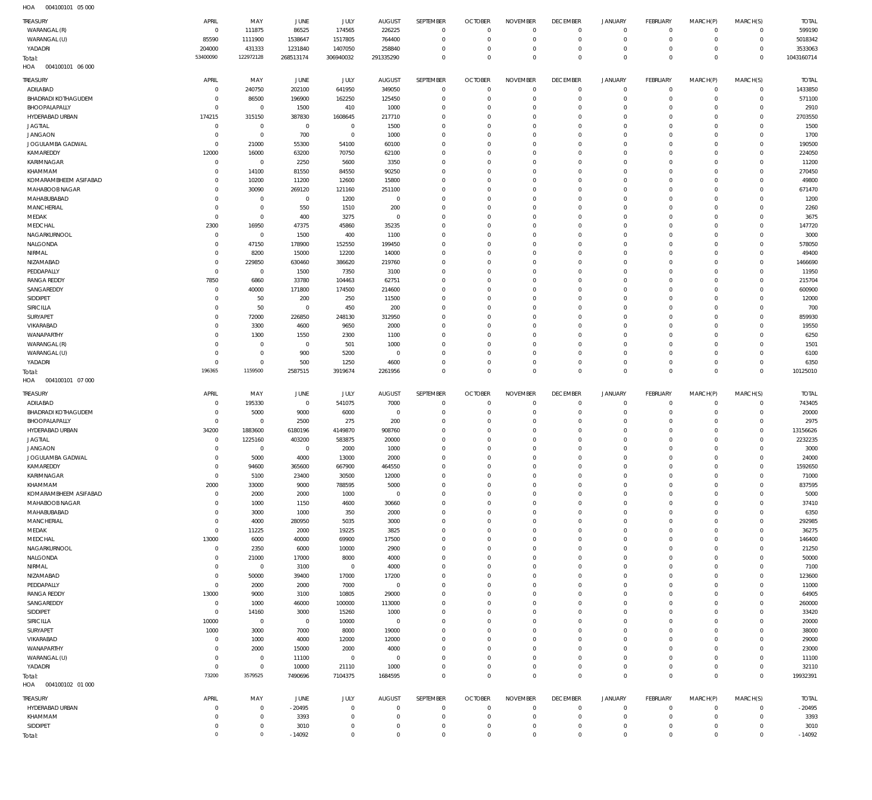004100101 05 000 HOA

| <b>TREASURY</b><br>WARANGAL (R)        | APRIL<br>$\mathbf 0$     | MAY<br>111875              | JUNE<br>86525         | JULY<br>174565             | <b>AUGUST</b><br>226225    | SEPTEMBER<br>$\mathbf 0$    | <b>OCTOBER</b><br>$\overline{0}$ | <b>NOVEMBER</b><br>$^{\circ}$    | <b>DECEMBER</b><br>$\mathbf 0$   | <b>JANUARY</b><br>$\overline{0}$ | <b>FEBRUARY</b><br>$\mathbf 0$ | MARCH(P)<br>$^{\circ}$   | MARCH(S)<br>$\circ$            | <b>TOTAL</b><br>599190 |
|----------------------------------------|--------------------------|----------------------------|-----------------------|----------------------------|----------------------------|-----------------------------|----------------------------------|----------------------------------|----------------------------------|----------------------------------|--------------------------------|--------------------------|--------------------------------|------------------------|
| WARANGAL (U)                           | 85590                    | 1111900                    | 1538647               | 1517805                    | 764400                     | $\mathbf 0$                 | $\mathbf 0$                      | $\overline{0}$                   | $\mathbf 0$                      | $\Omega$                         | $\mathbf 0$                    | $^{\circ}$               | $\mathbf 0$                    | 5018342                |
| YADADRI                                | 204000<br>53400090       | 431333<br>122972128        | 1231840               | 1407050                    | 258840                     | $\mathbf 0$<br>$\Omega$     | $\overline{0}$                   | $\mathbf 0$                      | $\mathbf 0$                      | $\Omega$                         | $\mathbf 0$<br>$\Omega$        | $\Omega$                 | $\mathbf 0$                    | 3533063                |
| Total:<br>HOA<br>004100101 06 000      |                          |                            | 268513174             | 306940032                  | 291335290                  |                             | $\overline{0}$                   | $\mathbf 0$                      | $\mathbf 0$                      | $\Omega$                         |                                | $\Omega$                 | $\mathbf 0$                    | 1043160714             |
| TREASURY                               | APRIL                    | MAY                        |                       |                            |                            | SEPTEMBER                   | <b>OCTOBER</b>                   | <b>NOVEMBER</b>                  | <b>DECEMBER</b>                  | <b>JANUARY</b>                   | <b>FEBRUARY</b>                |                          |                                | <b>TOTAL</b>           |
| ADILABAD                               | $^{\circ}$               | 240750                     | JUNE<br>202100        | JULY<br>641950             | <b>AUGUST</b><br>349050    | $^{\circ}$                  | $\overline{0}$                   | $\overline{0}$                   | $\overline{0}$                   | $\overline{0}$                   | $\circ$                        | MARCH(P)<br>$\mathbf{0}$ | MARCH(S)<br>$\circ$            | 1433850                |
| <b>BHADRADI KOTHAGUDEM</b>             | $\Omega$                 | 86500                      | 196900                | 162250                     | 125450                     | $\mathbf 0$                 | $\mathbf 0$                      | $\Omega$                         | $\mathbf 0$                      | $\Omega$                         | $\mathbf 0$                    | $\Omega$                 | $\mathbf 0$                    | 571100                 |
| BHOOPALAPALLY                          | $\Omega$                 | $\mathbf 0$                | 1500                  | 410                        | 1000                       | $\Omega$                    | $^{\circ}$                       | $\Omega$                         | $\Omega$                         | $\Omega$                         | $^{\circ}$                     | $\Omega$                 | $\Omega$                       | 2910                   |
| HYDERABAD URBAN                        | 174215                   | 315150                     | 387830                | 1608645                    | 217710                     | $\Omega$                    | $\Omega$                         | $\Omega$                         | $^{\circ}$                       | $\Omega$                         | $^{\circ}$                     | $\Omega$                 | $\Omega$                       | 2703550                |
| <b>JAGTIAL</b>                         | $\mathbf 0$<br>$\Omega$  | $\mathbf 0$<br>$\mathbf 0$ | $\overline{0}$        | $\mathbf 0$<br>$\mathbf 0$ | 1500                       | $\Omega$<br>$\Omega$        | $^{\circ}$                       | $\Omega$<br>$\Omega$             | $^{\circ}$                       | $\Omega$                         | $\Omega$<br>$\Omega$           | $\Omega$                 | $\Omega$<br>$\Omega$           | 1500                   |
| <b>JANGAON</b><br>JOGULAMBA GADWAL     | $\Omega$                 | 21000                      | 700<br>55300          | 54100                      | 1000<br>60100              | $\Omega$                    | $^{\circ}$<br>$\Omega$           | $\Omega$                         | $^{\circ}$<br>$\Omega$           | $\Omega$<br>$\Omega$             | $\Omega$                       | $\Omega$<br>$\Omega$     | $\Omega$                       | 1700<br>190500         |
| KAMAREDDY                              | 12000                    | 16000                      | 63200                 | 70750                      | 62100                      | $\mathbf 0$                 | $^{\circ}$                       | $\Omega$                         | $\overline{0}$                   | $\Omega$                         | $^{\circ}$                     | $\Omega$                 | $\Omega$                       | 224050                 |
| KARIMNAGAR                             | $\Omega$                 | $^{\circ}$                 | 2250                  | 5600                       | 3350                       | $\Omega$                    | $\Omega$                         | $\Omega$                         | $^{\circ}$                       | $\Omega$                         | $\Omega$                       | $\Omega$                 | $\Omega$                       | 11200                  |
| KHAMMAM                                | $\Omega$                 | 14100                      | 81550                 | 84550                      | 90250                      | $\mathbf 0$                 | $^{\circ}$                       | $\Omega$                         | $\overline{0}$                   | $\Omega$                         | $^{\circ}$                     | $\Omega$                 | $\Omega$                       | 270450                 |
| KOMARAMBHEEM ASIFABAD                  | $\Omega$                 | 10200                      | 11200                 | 12600                      | 15800                      | $\Omega$                    | $\Omega$                         | $\Omega$                         | $\Omega$                         | $\Omega$                         | $\Omega$                       | $\Omega$                 | $\Omega$                       | 49800                  |
| MAHABOOB NAGAR<br>MAHABUBABAD          | $\Omega$<br>$\Omega$     | 30090<br>$^{\circ}$        | 269120<br>$\mathbf 0$ | 121160<br>1200             | 251100<br>$\overline{0}$   | $\mathbf 0$<br>$\Omega$     | $^{\circ}$<br>$\Omega$           | $\Omega$<br>$\Omega$             | $^{\circ}$<br>$\Omega$           | $\Omega$<br>$\Omega$             | $^{\circ}$<br>$\Omega$         | $\Omega$<br>-C           | $\Omega$<br>$\Omega$           | 671470<br>1200         |
| <b>MANCHERIAL</b>                      | $\Omega$                 | $\mathbf 0$                | 550                   | 1510                       | 200                        | $\mathbf 0$                 | $^{\circ}$                       | $\Omega$                         | $^{\circ}$                       | $\Omega$                         | $^{\circ}$                     | $\Omega$                 | $\Omega$                       | 2260                   |
| MEDAK                                  | $\Omega$                 | $\mathbf 0$                | 400                   | 3275                       | $\overline{0}$             | $\Omega$                    | $\Omega$                         | $\Omega$                         | $\Omega$                         | $\Omega$                         | $\Omega$                       | -C                       | $\Omega$                       | 3675                   |
| MEDCHAL                                | 2300                     | 16950                      | 47375                 | 45860                      | 35235                      | $\Omega$                    | $^{\circ}$                       | $\Omega$                         | $^{\circ}$                       | $\Omega$                         | $^{\circ}$                     | $\Omega$                 | $\Omega$                       | 147720                 |
| NAGARKURNOOL                           | $\Omega$                 | $^{\circ}$                 | 1500                  | 400                        | 1100                       | $\Omega$                    | $\Omega$                         | $\Omega$                         | $\Omega$                         | $\Omega$                         | $\Omega$                       | -C                       | $\Omega$                       | 3000                   |
| NALGONDA<br>NIRMAL                     | $\Omega$<br>$\Omega$     | 47150<br>8200              | 178900                | 152550                     | 199450<br>14000            | $\Omega$<br>$\Omega$        | $^{\circ}$<br>$\Omega$           | $\Omega$<br>$\Omega$             | $^{\circ}$<br>$\Omega$           | $\Omega$<br>$\Omega$             | $^{\circ}$<br>$\Omega$         | $\Omega$<br>-C           | $\Omega$<br>$\Omega$           | 578050<br>49400        |
| NIZAMABAD                              | $\Omega$                 | 229850                     | 15000<br>630460       | 12200<br>386620            | 219760                     | $\Omega$                    | $\Omega$                         | $\Omega$                         | $^{\circ}$                       | $\Omega$                         | $^{\circ}$                     | $\Omega$                 | $\Omega$                       | 1466690                |
| PEDDAPALLY                             | $\mathbf 0$              | $\mathbf 0$                | 1500                  | 7350                       | 3100                       | $\Omega$                    | $\Omega$                         | $\Omega$                         | $\Omega$                         | $\Omega$                         | $\Omega$                       | -C                       | $\Omega$                       | 11950                  |
| <b>RANGA REDDY</b>                     | 7850                     | 6860                       | 33780                 | 104463                     | 62751                      | $\Omega$                    | $\Omega$                         | $\Omega$                         | $^{\circ}$                       | $\Omega$                         | $^{\circ}$                     | $\Omega$                 | $\Omega$                       | 215704                 |
| SANGAREDDY                             | $\Omega$                 | 40000                      | 171800                | 174500                     | 214600                     | $\Omega$                    | $\Omega$                         | $\Omega$                         | $\Omega$                         | $\Omega$                         | $\Omega$                       | -C                       | $\Omega$                       | 600900                 |
| SIDDIPET                               | $\Omega$                 | 50                         | 200                   | 250                        | 11500                      | $\Omega$                    | $\Omega$                         | $\Omega$                         | $^{\circ}$                       | $\Omega$                         | $^{\circ}$                     | $\Omega$                 | $\Omega$                       | 12000                  |
| SIRICILLA<br>SURYAPET                  | $\Omega$<br>$\Omega$     | 50<br>72000                | $\mathbf 0$<br>226850 | 450<br>248130              | 200<br>312950              | $\Omega$<br>$\Omega$        | $\overline{0}$<br>$\Omega$       | $\Omega$<br>$\Omega$             | $\Omega$<br>$^{\circ}$           | $\Omega$<br>$\Omega$             | $\Omega$<br>$\Omega$           | $\Omega$<br>$\Omega$     | $\Omega$<br>$\Omega$           | 700<br>859930          |
| VIKARABAD                              | 0                        | 3300                       | 4600                  | 9650                       | 2000                       | $\Omega$                    | $\Omega$                         | $\Omega$                         | $\Omega$                         | $\Omega$                         | $\Omega$                       | $\Omega$                 | $\Omega$                       | 19550                  |
| WANAPARTHY                             | $\Omega$                 | 1300                       | 1550                  | 2300                       | 1100                       | $\Omega$                    | $\Omega$                         | $\Omega$                         | $^{\circ}$                       | $\Omega$                         | $\Omega$                       | $\Omega$                 | $\Omega$                       | 6250                   |
| WARANGAL (R)                           | $\Omega$                 | $\mathbf 0$                | $\overline{0}$        | 501                        | 1000                       | $\Omega$                    | $\Omega$                         | $\Omega$                         | $\Omega$                         | $\Omega$                         | $\Omega$                       | $\Omega$                 | $\Omega$                       | 1501                   |
| WARANGAL (U)                           | $\Omega$                 | $\mathbf 0$                | 900                   | 5200                       | $\mathbf 0$                | $\Omega$                    | $^{\circ}$                       | $\Omega$                         | $\overline{0}$                   | $\Omega$                         | $^{\circ}$                     | $\Omega$                 | $\Omega$                       | 6100                   |
| YADADRI                                | $\Omega$<br>196365       | $\mathbf 0$<br>1159500     | 500<br>2587515        | 1250<br>3919674            | 4600<br>2261956            | $\Omega$<br>$\Omega$        | $\mathbf{0}$<br>$\Omega$         | $\Omega$<br>$\Omega$             | $\overline{0}$<br>$\overline{0}$ | $\Omega$<br>$\Omega$             | $\mathbf 0$<br>$\Omega$        | $\Omega$<br>$\Omega$     | $\circ$<br>$\overline{0}$      | 6350<br>10125010       |
| Total:                                 |                          |                            |                       |                            |                            |                             |                                  |                                  |                                  |                                  |                                |                          |                                |                        |
|                                        |                          |                            |                       |                            |                            |                             |                                  |                                  |                                  |                                  |                                |                          |                                |                        |
| HOA<br>004100101 07 000                |                          |                            |                       |                            |                            |                             |                                  |                                  |                                  |                                  |                                |                          |                                |                        |
| TREASURY                               | APRIL                    | MAY                        | JUNE                  | JULY                       | <b>AUGUST</b>              | SEPTEMBER                   | <b>OCTOBER</b>                   | <b>NOVEMBER</b>                  | <b>DECEMBER</b>                  | <b>JANUARY</b>                   | <b>FEBRUARY</b>                | MARCH(P)                 | MARCH(S)                       | <b>TOTAL</b>           |
| ADILABAD<br><b>BHADRADI KOTHAGUDEM</b> | $^{\circ}$<br>$^{\circ}$ | 195330                     | $\overline{0}$        | 541075                     | 7000<br>$\overline{0}$     | $^{\circ}$<br>$\mathbf 0$   | $\overline{0}$<br>$\overline{0}$ | $\overline{0}$<br>$\Omega$       | $\overline{0}$<br>$\overline{0}$ | $\overline{0}$<br>$\Omega$       | $\circ$<br>$\mathbf 0$         | $^{\circ}$<br>$\Omega$   | $\circ$<br>$\mathsf{O}\xspace$ | 743405                 |
| BHOOPALAPALLY                          | $\mathbf 0$              | 5000<br>$\overline{0}$     | 9000<br>2500          | 6000<br>275                | 200                        | $\mathbf 0$                 | $\mathbf{0}$                     | $\Omega$                         | $\mathbf 0$                      | $\Omega$                         | $^{\circ}$                     | $\Omega$                 | $\mathbf 0$                    | 20000<br>2975          |
| HYDERABAD URBAN                        | 34200                    | 1883600                    | 6180196               | 4149870                    | 908760                     | $\mathbf 0$                 | $\mathbf{0}$                     | $\Omega$                         | $\mathbf 0$                      | $\Omega$                         | $\circ$                        | $\Omega$                 | $\mathbf 0$                    | 13156626               |
| <b>JAGTIAL</b>                         | $\mathbf 0$              | 1225160                    | 403200                | 583875                     | 20000                      | $\Omega$                    | $\mathbf{0}$                     | $\Omega$                         | $\mathbf 0$                      | $\Omega$                         | $^{\circ}$                     | $\Omega$                 | $\circ$                        | 2232235                |
| <b>JANGAON</b>                         | $\Omega$                 | $\mathbf 0$                | 0                     | 2000                       | 1000                       | $\mathbf 0$                 | $\mathbf{0}$                     | $\Omega$                         | $\mathbf 0$                      | $\Omega$                         | $\circ$                        | $\Omega$                 | $\circ$                        | 3000                   |
| JOGULAMBA GADWAL                       | $\Omega$<br>0            | 5000                       | 4000                  | 13000                      | 2000                       | $\Omega$<br>$\mathbf{0}$    | $\Omega$<br>$\overline{0}$       | $\Omega$<br>0                    | $\overline{0}$<br>$\Omega$       | $\Omega$                         | $\Omega$<br>$\Omega$           | $\Omega$<br>$\Omega$     | $\Omega$<br>0                  | 24000                  |
| KAMAREDDY<br><b>KARIMNAGAR</b>         | $\mathbf 0$              | 94600<br>5100              | 365600<br>23400       | 667900<br>30500            | 464550<br>12000            | $\mathbf 0$                 | $\mathbf 0$                      | $\mathbf 0$                      | $\overline{0}$                   | $\Omega$                         | $\circ$                        | $\Omega$                 | $\mathbf 0$                    | 1592650<br>71000       |
| KHAMMAM                                | 2000                     | 33000                      | 9000                  | 788595                     | 5000                       | $\mathbf 0$                 | $\overline{0}$                   | $\mathbf 0$                      | $\mathbf 0$                      | $\Omega$                         | $\mathbf 0$                    | $^{\circ}$               | $\mathbf 0$                    | 837595                 |
| KOMARAMBHEEM ASIFABAD                  | $\mathbf 0$              | 2000                       | 2000                  | 1000                       | $\overline{0}$             | $\mathbf 0$                 | $\mathbf 0$                      | $\Omega$                         | $\mathbf 0$                      | $\Omega$                         | $\Omega$                       | $\Omega$                 | $\circ$                        | 5000                   |
| MAHABOOB NAGAR                         | $^{\circ}$               | 1000                       | 1150                  | 4600                       | 30660                      | $\mathbf 0$                 | $\overline{0}$                   | $\Omega$                         | $\mathbf 0$                      | $\Omega$                         | $\circ$                        | $\Omega$                 | $\mathbf 0$                    | 37410                  |
| MAHABUBABAD                            | $\Omega$<br>$\mathbf 0$  | 3000                       | 1000                  | 350                        | 2000                       | $\mathbf 0$<br>$\mathbf 0$  | $\mathbf 0$<br>$\mathbf 0$       | $\Omega$<br>$\Omega$             | $\mathbf 0$<br>$\overline{0}$    | $\Omega$<br>$\Omega$             | $\Omega$<br>$\circ$            | $\Omega$<br>$\Omega$     | $\mathbf 0$                    | 6350                   |
| <b>MANCHERIAL</b><br>MEDAK             | $\mathbf 0$              | 4000<br>11225              | 280950<br>2000        | 5035<br>19225              | 3000<br>3825               | $\mathbf 0$                 | $\mathbf 0$                      | $\Omega$                         | $\mathbf 0$                      | $\Omega$                         | $\Omega$                       | $\Omega$                 | $\mathbf 0$<br>$\Omega$        | 292985<br>36275        |
| MEDCHAL                                | 13000                    | 6000                       | 40000                 | 69900                      | 17500                      | $\mathbf 0$                 | $\mathbf 0$                      | $\Omega$                         | $\overline{0}$                   | $\Omega$                         | $\circ$                        | $\Omega$                 | $\circ$                        | 146400                 |
| NAGARKURNOOL                           | $\mathbf 0$              | 2350                       | 6000                  | 10000                      | 2900                       | $\mathbf 0$                 | $\mathbf 0$                      | $\Omega$                         | $\mathbf 0$                      | $\Omega$                         | $\circ$                        | $\Omega$                 | $\mathbf 0$                    | 21250                  |
| NALGONDA                               | $\Omega$                 | 21000                      | 17000                 | 8000                       | 4000                       | $\mathbf 0$                 | $\mathbf 0$                      | $\Omega$                         | $\overline{0}$                   | $\Omega$                         | $\circ$                        | $\Omega$                 | $\circ$                        | 50000                  |
| NIRMAL                                 | $\Omega$<br>$\Omega$     | $\mathbf 0$                | 3100                  | $\overline{0}$             | 4000                       | $\mathbf 0$<br>$\mathbf 0$  | $\mathbf 0$<br>$\mathbf 0$       | $\Omega$<br>$\Omega$             | $\mathbf 0$                      | $\Omega$<br>$\Omega$             | $\circ$<br>$\circ$             | $\Omega$<br>$\Omega$     | $\mathbf 0$<br>$\circ$         | 7100                   |
| NIZAMABAD<br>PEDDAPALLY                | $^{\circ}$               | 50000<br>2000              | 39400<br>2000         | 17000<br>7000              | 17200<br>$\overline{0}$    | $\mathbf 0$                 | $\mathbf{0}$                     | $\Omega$                         | $\mathbf 0$<br>$\mathbf 0$       | $\Omega$                         | $\circ$                        | $\Omega$                 | $\mathbf 0$                    | 123600<br>11000        |
| <b>RANGA REDDY</b>                     | 13000                    | 9000                       | 3100                  | 10805                      | 29000                      | $\mathbf 0$                 | $\mathbf{0}$                     | $\Omega$                         | $\mathbf 0$                      | $\Omega$                         | $\circ$                        | $\Omega$                 | $\circ$                        | 64905                  |
| SANGAREDDY                             | $\mathbf 0$              | 1000                       | 46000                 | 100000                     | 113000                     | $\mathbf 0$                 | $\mathbf{0}$                     | $\Omega$                         | $\mathbf 0$                      | $\Omega$                         | $\circ$                        | $\Omega$                 | $\circ$                        | 260000                 |
| SIDDIPET                               | $\Omega$                 | 14160                      | 3000                  | 15260                      | 1000                       | $\mathbf 0$                 | $\mathbf{0}$                     | $\Omega$                         | $\mathbf 0$                      | $\Omega$                         | $\circ$                        | $\Omega$                 | $\mathbf 0$                    | 33420                  |
| SIRICILLA                              | 10000                    | $\overline{0}$             | $\overline{0}$        | 10000                      | $\overline{0}$             | $\mathbf 0$                 | $\mathbf{0}$                     | $\Omega$                         | $\overline{0}$                   | $\Omega$                         | $\circ$                        | $\Omega$                 | $\mathbf 0$                    | 20000                  |
| SURYAPET<br>VIKARABAD                  | 1000<br>$\mathbf 0$      | 3000<br>1000               | 7000<br>4000          | 8000<br>12000              | 19000<br>12000             | $\mathbf 0$<br>$\mathbf 0$  | $\mathbf{0}$<br>$\mathbf{0}$     | $\Omega$<br>$\Omega$             | $\mathbf 0$<br>$\overline{0}$    | $\Omega$<br>$\Omega$             | $\circ$<br>$\circ$             | $\Omega$<br>$\Omega$     | $\mathbf 0$<br>$\circ$         | 38000<br>29000         |
| WANAPARTHY                             | $\Omega$                 | 2000                       | 15000                 | 2000                       | 4000                       | $\mathbf 0$                 | $\mathbf{0}$                     | $\Omega$                         | $\mathbf 0$                      | $\Omega$                         | $\circ$                        | $\Omega$                 | $\mathbf 0$                    | 23000                  |
| WARANGAL (U)                           | $\Omega$                 | $\mathbb O$                | 11100                 | $\mathbf 0$                | $\overline{0}$             | $\mathbf 0$                 | $\mathbf{0}$                     | $\Omega$                         | $\mathbf 0$                      | $\Omega$                         | $\circ$                        | $\Omega$                 | $\mathbf 0$                    | 11100                  |
| YADADRI                                | $\mathbf 0$              | $\mathbb O$                | 10000                 | 21110                      | 1000                       | $\mathbf 0$                 | $\mathbf 0$                      | $\mathbf 0$                      | $\mathbf 0$                      | $\Omega$                         | $\mathbf 0$                    | $^{\circ}$               | $\mathbf 0$                    | 32110                  |
| Total:                                 | 73200                    | 3579525                    | 7490696               | 7104375                    | 1684595                    | $\Omega$                    | $\mathbf{0}$                     | $\mathbf 0$                      | $\mathbf 0$                      | $\overline{0}$                   | $\mathbf{0}$                   | $\Omega$                 | $\mathbb O$                    | 19932391               |
| 004100102 01 000<br>HOA                |                          |                            |                       |                            |                            |                             |                                  |                                  |                                  |                                  |                                |                          |                                |                        |
| TREASURY                               | APRIL                    | MAY                        | JUNE                  | JULY                       | <b>AUGUST</b>              | SEPTEMBER                   | <b>OCTOBER</b>                   | <b>NOVEMBER</b>                  | <b>DECEMBER</b>                  | JANUARY                          | <b>FEBRUARY</b>                | MARCH(P)                 | MARCH(S)                       | <b>TOTAL</b>           |
| HYDERABAD URBAN<br>KHAMMAM             | $\Omega$<br>$\Omega$     | $\mathbf 0$<br>$\mathbf 0$ | $-20495$<br>3393      | $\mathbf 0$<br>$\Omega$    | $\mathbf 0$<br>$\mathbf 0$ | $\mathbf{0}$<br>$\mathbf 0$ | $\mathbf 0$<br>$\overline{0}$    | $\overline{0}$<br>$\overline{0}$ | $\overline{0}$<br>$\mathbf 0$    | $\Omega$<br>$\Omega$             | $^{\circ}$<br>$\circ$          | $\Omega$<br>$^{\circ}$   | $\circ$<br>$\circ$             | $-20495$<br>3393       |
| SIDDIPET                               | $\mathbf 0$              | $\mathbf 0$<br>$\mathbb O$ | 3010                  | $\mathbf 0$                | $\mathbf 0$                | $\mathbf 0$                 | $\mathbf 0$                      | $\mathbf 0$                      | $\mathbf 0$                      | $\mathbf 0$                      | $\circ$                        | $^{\circ}$               | 0                              | 3010                   |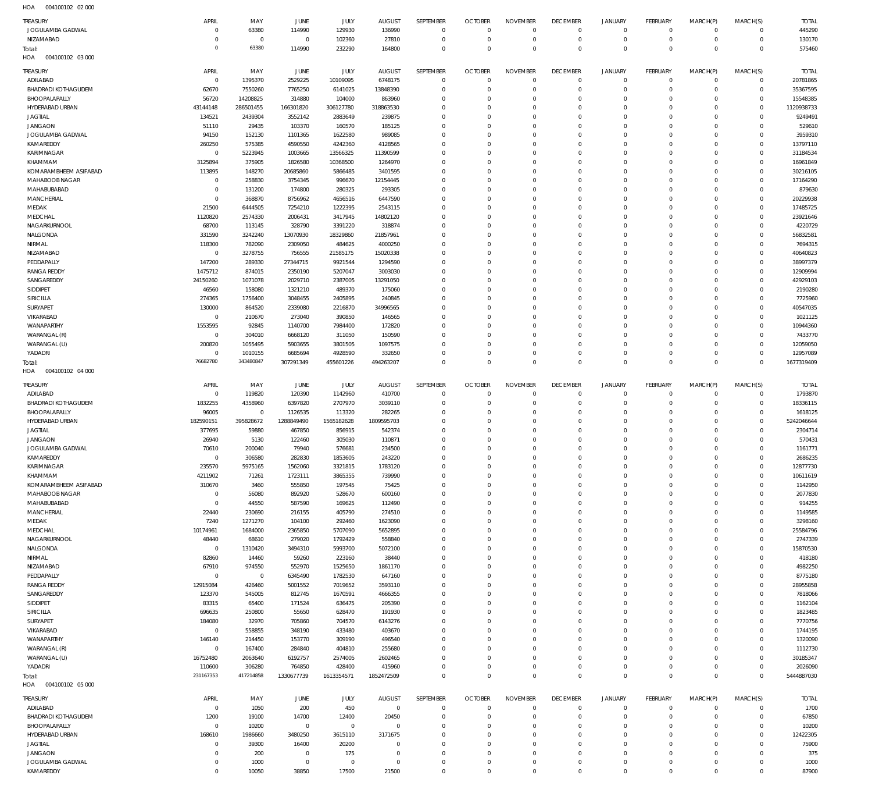004100102 02 000 HOA

| <b>TREASURY</b>                        | APRIL                      | MAY                      | JUNE                  | <b>JULY</b>          | <b>AUGUST</b>       | SEPTEMBER                     | <b>OCTOBER</b>                   | <b>NOVEMBER</b>             | <b>DECEMBER</b>            | <b>JANUARY</b>             | <b>FEBRUARY</b>                  | MARCH(P)                   | MARCH(S)                         | <b>TOTAL</b>           |
|----------------------------------------|----------------------------|--------------------------|-----------------------|----------------------|---------------------|-------------------------------|----------------------------------|-----------------------------|----------------------------|----------------------------|----------------------------------|----------------------------|----------------------------------|------------------------|
| JOGULAMBA GADWAL<br>NIZAMABAD          | $\mathbf 0$<br>$\mathbf 0$ | 63380<br>$\overline{0}$  | 114990<br>$\mathbf 0$ | 129930<br>102360     | 136990<br>27810     | $\overline{0}$<br>$\mathbf 0$ | $\overline{0}$<br>$\overline{0}$ | $\mathbf 0$<br>$\mathbb O$  | $^{\circ}$<br>$^{\circ}$   | $\mathbf 0$<br>$\mathbf 0$ | $\overline{0}$<br>$\overline{0}$ | $\mathbf 0$<br>$\mathbf 0$ | $\overline{0}$<br>$\overline{0}$ | 445290<br>130170       |
| Total:                                 | $\Omega$                   | 63380                    | 114990                | 232290               | 164800              | $\mathbf 0$                   | $\Omega$                         | $\mathbf 0$                 | $\mathbf{0}$               | $\mathbf 0$                | $\overline{0}$                   | $\mathbf 0$                | $\mathbf{0}$                     | 575460                 |
| 004100102 03 000<br>HOA                |                            |                          |                       |                      |                     |                               |                                  |                             |                            |                            |                                  |                            |                                  |                        |
| TREASURY                               | APRIL                      | MAY                      | JUNE                  | JULY                 | AUGUST              | SEPTEMBER                     | <b>OCTOBER</b>                   | <b>NOVEMBER</b>             | <b>DECEMBER</b>            | <b>JANUARY</b>             | <b>FEBRUARY</b>                  | MARCH(P)                   | MARCH(S)                         | <b>TOTAL</b>           |
| ADILABAD                               | $\mathbf 0$                | 1395370                  | 2529225               | 10109095             | 6748175             | $\mathbf 0$                   | $\overline{0}$                   | $\mathbb O$                 | $\mathbf{0}$               | $\mathsf{O}$               | $\overline{0}$                   | $\mathbf 0$                | $\overline{0}$                   | 20781865               |
| <b>BHADRADI KOTHAGUDEM</b>             | 62670                      | 7550260                  | 7765250               | 6141025              | 13848390            | $\mathbf 0$                   | $\overline{0}$                   | $\mathbb O$                 | $\overline{0}$             | $\mathbf 0$                | $^{\circ}$                       | $\mathbf 0$                | $\overline{0}$                   | 35367595               |
| BHOOPALAPALLY<br>HYDERABAD URBAN       | 56720<br>43144148          | 14208825<br>286501455    | 314880<br>166301820   | 104000<br>306127780  | 863960<br>318863530 | $\mathbf 0$<br>$\mathbf 0$    | $\Omega$<br>$\Omega$             | $\mathbf 0$<br>$\mathbf 0$  | $\mathbf 0$<br>0           | $\mathbf 0$<br>$\mathbf 0$ | $^{\circ}$<br>$^{\circ}$         | $\Omega$<br>$\Omega$       | $\overline{0}$<br>$\mathbf 0$    | 15548385<br>1120938733 |
| <b>JAGTIAL</b>                         | 134521                     | 2439304                  | 3552142               | 2883649              | 239875              | $\mathbf 0$                   | $\Omega$                         | $\mathbf 0$                 | 0                          | $\mathbf 0$                | $^{\circ}$                       | $\Omega$                   | $\overline{0}$                   | 9249491                |
| <b>JANGAON</b>                         | 51110                      | 29435                    | 103370                | 160570               | 185125              | $\mathbf 0$                   | $\Omega$                         | $\mathbf 0$                 | 0                          | $\mathbf 0$                | $^{\circ}$                       | $\Omega$                   | $\mathbf 0$                      | 529610                 |
| JOGULAMBA GADWAL                       | 94150                      | 152130                   | 1101365               | 1622580              | 989085              | $\mathbf 0$                   | 0                                | $\mathbf 0$                 | 0                          | $\mathbf 0$                | $^{\circ}$                       | 0                          | $\mathbf 0$                      | 3959310                |
| KAMAREDDY                              | 260250                     | 575385                   | 4590550               | 4242360              | 4128565             | $\Omega$                      | $\Omega$                         | $\mathbf 0$                 | $\Omega$                   | $\mathbf 0$                | $^{\circ}$                       | $\Omega$                   | $\mathbf 0$                      | 13797110               |
| KARIMNAGAR                             | $\mathbf 0$                | 5223945                  | 1003665               | 13566325             | 11390599            | $\mathbf 0$                   | 0                                | $\mathbf 0$                 | 0                          | $\mathbf 0$                | $^{\circ}$                       | $\Omega$                   | $\mathbf 0$                      | 31184534               |
| KHAMMAM<br>KOMARAMBHEEM ASIFABAD       | 3125894<br>113895          | 375905<br>148270         | 1826580<br>20685860   | 10368500<br>5866485  | 1264970<br>3401595  | $\mathbf 0$<br>$\mathbf 0$    | $\Omega$<br>0                    | $\mathbf 0$<br>$\mathbf 0$  | 0<br>0                     | $\mathbf 0$<br>$\mathbf 0$ | $^{\circ}$<br>$^{\circ}$         | $\Omega$<br>$\Omega$       | $\mathbf 0$<br>$\mathbf 0$       | 16961849<br>30216105   |
| MAHABOOB NAGAR                         | $\mathbf 0$                | 258830                   | 3754345               | 996670               | 12154445            | $\mathbf 0$                   | $\Omega$                         | $\mathbf 0$                 | 0                          | $\mathbf 0$                | $^{\circ}$                       | $\Omega$                   | $\mathbf 0$                      | 17164290               |
| MAHABUBABAD                            | $\mathbf 0$                | 131200                   | 174800                | 280325               | 293305              | $\mathbf 0$                   | $\Omega$                         | $\mathbf 0$                 | 0                          | $\mathbf 0$                | $^{\circ}$                       | $\Omega$                   | $\mathbf 0$                      | 879630                 |
| MANCHERIAL                             | $\mathbf 0$                | 368870                   | 8756962               | 4656516              | 6447590             | $\mathbf 0$                   | $^{\circ}$                       | $\mathbf 0$                 | 0                          | $\mathbf 0$                | $^{\circ}$                       | $\Omega$                   | $\mathbf 0$                      | 20229938               |
| MEDAK                                  | 21500                      | 6444505                  | 7254210               | 1222395              | 2543115             | $\mathbf 0$                   | $\Omega$                         | $\mathbf 0$                 | 0                          | $\mathbf 0$                | $^{\circ}$                       | $\Omega$                   | $\mathbf 0$                      | 17485725               |
| MEDCHAL                                | 1120820                    | 2574330                  | 2006431               | 3417945              | 14802120            | $\mathbf 0$                   | 0                                | $\mathbf 0$                 | 0                          | $\mathbf 0$                | $^{\circ}$                       | $\Omega$                   | $\mathbf 0$                      | 23921646               |
| NAGARKURNOOL<br>NALGONDA               | 68700<br>331590            | 113145<br>3242240        | 328790<br>13070930    | 3391220<br>18329860  | 318874<br>21857961  | $\mathbf 0$<br>$\mathbf 0$    | $\Omega$<br>$^{\circ}$           | $\mathbf 0$<br>$\mathbf 0$  | 0<br>0                     | $\mathbf 0$<br>$\mathbf 0$ | $^{\circ}$<br>$^{\circ}$         | $\Omega$<br>$\Omega$       | $\mathbf 0$<br>$\mathbf 0$       | 4220729<br>56832581    |
| NIRMAL                                 | 118300                     | 782090                   | 2309050               | 484625               | 4000250             | $\mathbf 0$                   | $\Omega$                         | $\mathbf 0$                 | 0                          | $\mathbf 0$                | $^{\circ}$                       | $\Omega$                   | $\mathbf 0$                      | 7694315                |
| NIZAMABAD                              | $\mathbf 0$                | 3278755                  | 756555                | 21585175             | 15020338            | $\mathbf 0$                   | $\Omega$                         | $\mathbf 0$                 | 0                          | $\mathbf 0$                | $^{\circ}$                       | $\Omega$                   | $\mathbf 0$                      | 40640823               |
| PEDDAPALLY                             | 147200                     | 289330                   | 27344715              | 9921544              | 1294590             | $\mathbf 0$                   | $\Omega$                         | $\mathbf 0$                 | 0                          | $\mathbf 0$                | $^{\circ}$                       | $\Omega$                   | $\mathbf 0$                      | 38997379               |
| <b>RANGA REDDY</b>                     | 1475712                    | 874015                   | 2350190               | 5207047              | 3003030             | $\mathbf 0$                   | $\Omega$                         | $\mathbf 0$                 | 0                          | $\mathbf 0$                | $^{\circ}$                       | $\Omega$                   | $\mathbf 0$                      | 12909994               |
| SANGAREDDY                             | 24150260                   | 1071078                  | 2029710               | 2387005              | 13291050            | $\mathbf 0$                   | $\Omega$                         | $\mathbf 0$                 | 0                          | $\mathbf 0$                | $^{\circ}$                       | $\Omega$                   | $\mathbf 0$                      | 42929103               |
| SIDDIPET<br>SIRICILLA                  | 46560<br>274365            | 158080<br>1756400        | 1321210<br>3048455    | 489370<br>2405895    | 175060<br>240845    | $\mathbf 0$<br>$\mathbf 0$    | $\Omega$<br>0                    | $\mathbf 0$<br>$\mathbf 0$  | $\Omega$<br>0              | $\mathbf 0$<br>$\mathbf 0$ | $^{\circ}$<br>$^{\circ}$         | $\Omega$<br>$\Omega$       | $\mathbf 0$<br>$\mathbf 0$       | 2190280<br>7725960     |
| SURYAPET                               | 130000                     | 864520                   | 2339080               | 2216870              | 34996565            | $\Omega$                      | $\Omega$                         | $\mathbf 0$                 | 0                          | $\mathbf 0$                | $^{\circ}$                       | $\Omega$                   | $\mathbf 0$                      | 40547035               |
| VIKARABAD                              | $\mathbf 0$                | 210670                   | 273040                | 390850               | 146565              | $\mathbf 0$                   | 0                                | $\mathbf 0$                 | 0                          | $\mathbf 0$                | $^{\circ}$                       | $\Omega$                   | $\mathbf 0$                      | 1021125                |
| WANAPARTHY                             | 1553595                    | 92845                    | 1140700               | 7984400              | 172820              | $\Omega$                      | $\Omega$                         | $\mathbf 0$                 | 0                          | $\mathbf 0$                | $^{\circ}$                       | $\Omega$                   | $\mathbf 0$                      | 10944360               |
| WARANGAL (R)                           | $\mathbf 0$                | 304010                   | 6668120               | 311050               | 150590              | $\mathbf 0$                   | $\Omega$                         | $\mathbf 0$                 | 0                          | $\mathbf 0$                | $^{\circ}$                       | $\Omega$                   | $\mathbf 0$                      | 7433770                |
| WARANGAL (U)                           | 200820                     | 1055495                  | 5903655               | 3801505              | 1097575             | $\mathbf 0$                   | $\Omega$                         | $\mathbf 0$                 | $\mathbf 0$                | $\mathbf 0$                | $^{\circ}$                       | $\Omega$                   | $\mathbf 0$                      | 12059050               |
| YADADRI                                | $^{\circ}$<br>76682780     | 1010155<br>343480847     | 6685694<br>307291349  | 4928590<br>455601226 | 332650<br>494263207 | $\mathbf 0$<br>$\mathbf 0$    | $\mathbf 0$<br>$\mathbf 0$       | $\mathbb O$<br>$\mathbf 0$  | $^{\circ}$<br>$\mathbf 0$  | $\mathbf 0$<br>$\mathsf 0$ | $^{\circ}$<br>$\overline{0}$     | 0<br>$\mathbf 0$           | $\mathbf 0$<br>$\overline{0}$    | 12957089<br>1677319409 |
| Total:<br>004100102 04 000<br>HOA      |                            |                          |                       |                      |                     |                               |                                  |                             |                            |                            |                                  |                            |                                  |                        |
|                                        |                            |                          |                       |                      |                     |                               |                                  |                             |                            |                            |                                  |                            |                                  |                        |
| TREASURY                               | APRIL                      | MAY                      | JUNE                  | JULY                 | <b>AUGUST</b>       | SEPTEMBER                     | <b>OCTOBER</b>                   | <b>NOVEMBER</b>             | <b>DECEMBER</b>            | <b>JANUARY</b>             | FEBRUARY                         | MARCH(P)                   | MARCH(S)                         | <b>TOTAL</b>           |
|                                        |                            |                          |                       |                      |                     |                               |                                  |                             |                            |                            |                                  |                            |                                  |                        |
| ADILABAD<br><b>BHADRADI KOTHAGUDEM</b> | $\mathbf 0$<br>1832255     | 119820<br>4358960        | 120390<br>6397820     | 1142960<br>2707970   | 410700<br>3039110   | $\mathbf 0$<br>$\mathbf 0$    | $\Omega$<br>$\overline{0}$       | $\mathbf 0$<br>$\mathbf{0}$ | $^{\circ}$<br>$^{\circ}$   | $\mathbf 0$<br>$\mathbf 0$ | $\overline{0}$<br>$\overline{0}$ | $\mathbf 0$<br>$\mathbf 0$ | $\overline{0}$<br>$\mathbf 0$    | 1793870<br>18336115    |
| BHOOPALAPALLY                          | 96005                      | $\overline{0}$           | 1126535               | 113320               | 282265              | $\mathbf 0$                   | $\Omega$                         | $\mathbf 0$                 | $^{\circ}$                 | $\mathbf 0$                | $^{\circ}$                       | $\Omega$                   | $\mathbf 0$                      | 1618125                |
| HYDERABAD URBAN                        | 182590151                  | 395828672                | 1288849490            | 1565182628           | 1809595703          | $\mathbf 0$                   | 0                                | $\mathbb O$                 | $\mathbf 0$                | $\mathbf 0$                | $^{\circ}$                       | $\Omega$                   | $\overline{0}$                   | 5242046644             |
| <b>JAGTIAL</b>                         | 377695                     | 59880                    | 467850                | 856915               | 542374              | $\mathbf 0$                   | $\Omega$                         | $\mathbf 0$                 | $\mathbf 0$                | $\mathbf 0$                | $^{\circ}$                       | $\Omega$                   | $\mathbf 0$                      | 2304714                |
| <b>JANGAON</b>                         | 26940                      | 5130                     | 122460                | 305030               | 110871              | $\mathbf 0$                   | 0                                | $\mathbb O$                 | $\mathbf 0$                | $\mathbf 0$                | $^{\circ}$                       | $\Omega$                   | $\mathbf 0$                      | 570431                 |
| JOGULAMBA GADWAL                       | 70610                      | 200040                   | 79940                 | 576681               | 234500              | $\mathbf 0$<br>$\Omega$       | $\Omega$<br>$\Omega$             | $\mathbf 0$                 | 0<br>$\Omega$              | $\mathbf 0$                | $^{\circ}$<br>$\Omega$           | $\Omega$<br>$\Omega$       | $\mathbf 0$<br>$\Omega$          | 1161771                |
| KAMAREDDY<br>KARIMNAGAR                | $\mathbf 0$<br>235570      | 306580<br>5975165        | 282830<br>1562060     | 1853605<br>3321815   | 243220<br>1783120   |                               |                                  | $\mathbf 0$                 |                            | $\circ$<br>0               |                                  |                            |                                  | 2686235<br>12877730    |
| KHAMMAM                                | 4211902                    | 71261                    | 1723111               | 3865355              | 739990              | $\mathbf 0$                   | $\mathbf 0$                      | $\mathbf 0$                 | $\mathbf 0$                | $\mathbf 0$                | $^{\circ}$                       | $\mathbf 0$                | $\mathbf 0$                      | 10611619               |
| KOMARAMBHEEM ASIFABAD                  | 310670                     | 3460                     | 555850                | 197545               | 75425               | $\mathbf 0$                   | $^{\circ}$                       | $\mathbb O$                 | 0                          | $\mathbf 0$                | $^{\circ}$                       | $\mathbf 0$                | $\mathbf 0$                      | 1142950                |
| MAHABOOB NAGAR                         | $\mathbf 0$                | 56080                    | 892920                | 528670               | 600160              | $\mathbf 0$                   | $\Omega$                         | $\mathbf 0$                 | $\mathbf 0$                | $\mathbf 0$                | $^{\circ}$                       | $\Omega$                   | $\Omega$                         | 2077830                |
| MAHABUBABAD                            | $\mathbf 0$                | 44550                    | 587590                | 169625               | 112490              | $\mathbf 0$                   | $^{\circ}$                       | $\mathbf 0$                 | 0                          | $\mathbf 0$                | $^{\circ}$                       | $\Omega$                   | $\mathbf 0$                      | 914255                 |
| MANCHERIAL<br>MEDAK                    | 22440<br>7240              | 230690                   | 216155                | 405790               | 274510              | $\mathbf 0$<br>$\mathbf 0$    | $\Omega$<br>$\Omega$             | $\mathbf 0$<br>$\mathbf 0$  | $\mathbf 0$<br>0           | $\mathbf 0$<br>$\mathbf 0$ | $^{\circ}$<br>$^{\circ}$         | $\Omega$<br>$\Omega$       | $\mathbf 0$<br>$\mathbf 0$       | 1149585                |
| MEDCHAL                                | 10174961                   | 1271270<br>1684000       | 104100<br>2365850     | 292460<br>5707090    | 1623090<br>5652895  | $\mathbf 0$                   | 0                                | $\mathbf 0$                 | 0                          | $\mathbf 0$                | $^{\circ}$                       | $\Omega$                   | $\mathbf 0$                      | 3298160<br>25584796    |
| NAGARKURNOOL                           | 48440                      | 68610                    | 279020                | 1792429              | 558840              | $\mathbf 0$                   | $\Omega$                         | $\mathbf 0$                 | 0                          | $\mathbf 0$                | $^{\circ}$                       | $\Omega$                   | $\mathbf 0$                      | 2747339                |
| NALGONDA                               | $\mathbf 0$                | 1310420                  | 3494310               | 5993700              | 5072100             | $\mathbf 0$                   | 0                                | $\mathbf 0$                 | 0                          | $\mathbf 0$                | $^{\circ}$                       | 0                          | $\mathbf 0$                      | 15870530               |
| NIRMAL                                 | 82860                      | 14460                    | 59260                 | 223160               | 38440               | $\mathbf 0$                   | $\Omega$                         | $\mathbf 0$                 | 0                          | $\mathbf 0$                | $^{\circ}$                       | $\Omega$                   | $\mathbf 0$                      | 418180                 |
| NIZAMABAD                              | 67910                      | 974550                   | 552970                | 1525650              | 1861170             | $\mathbf 0$                   | 0                                | $\mathbf 0$                 | 0                          | $\mathbf 0$                | $^{\circ}$                       | 0                          | $\mathbf 0$                      | 4982250                |
| PEDDAPALLY<br><b>RANGA REDDY</b>       | $\mathbf 0$<br>12915084    | $\overline{0}$<br>426460 | 6345490<br>5001552    | 1782530<br>7019652   | 647160<br>3593110   | $\mathbf 0$<br>$\mathbf 0$    | $\Omega$<br>0                    | $\mathbf 0$<br>$\mathbf 0$  | 0<br>$\mathbf 0$           | $\mathbf 0$<br>$\mathbf 0$ | $^{\circ}$<br>$^{\circ}$         | $\Omega$<br>$\Omega$       | $\mathbf 0$<br>$\mathbf 0$       | 8775180<br>28955858    |
| SANGAREDDY                             | 123370                     | 545005                   | 812745                | 1670591              | 4666355             | $\mathbf 0$                   | $\Omega$                         | $\mathbf 0$                 | 0                          | $\mathbf 0$                | $^{\circ}$                       | $\Omega$                   | $\mathbf 0$                      | 7818066                |
| SIDDIPET                               | 83315                      | 65400                    | 171524                | 636475               | 205390              | $\mathbf 0$                   | 0                                | $\mathbf 0$                 | $\mathbf 0$                | $\mathbf 0$                | $^{\circ}$                       | $\Omega$                   | $\mathbf 0$                      | 1162104                |
| <b>SIRICILLA</b>                       | 696635                     | 250800                   | 55650                 | 628470               | 191930              | $\mathbf 0$                   | $\Omega$                         | $\mathbf 0$                 | 0                          | $\mathbf 0$                | $^{\circ}$                       | $\Omega$                   | $\mathbf 0$                      | 1823485                |
| SURYAPET                               | 184080                     | 32970                    | 705860                | 704570               | 6143276             | $\mathbf 0$                   | $\Omega$                         | $\mathbf 0$                 | $\mathbf 0$                | $\mathbf 0$                | $^{\circ}$                       | $\Omega$                   | $\mathbf 0$                      | 7770756                |
| VIKARABAD                              | $\mathbf 0$                | 558855                   | 348190                | 433480               | 403670              | $\mathbf 0$                   | 0<br>$\Omega$                    | $\mathbf 0$                 | 0                          | $\mathbf 0$                | $^{\circ}$                       | $\Omega$<br>$\Omega$       | $\mathbf 0$                      | 1744195                |
| WANAPARTHY<br>WARANGAL (R)             | 146140<br>$\mathbf 0$      | 214450<br>167400         | 153770<br>284840      | 309190<br>404810     | 496540<br>255680    | $\mathbf 0$<br>$\mathbf 0$    | $\Omega$                         | $\mathbf 0$<br>$\mathbf 0$  | $\mathbf 0$<br>0           | $\mathbf 0$<br>$\mathbf 0$ | $^{\circ}$<br>$^{\circ}$         | $\Omega$                   | $\mathbf 0$<br>$\mathbf 0$       | 1320090<br>1112730     |
| WARANGAL (U)                           | 16752480                   | 2063640                  | 6192757               | 2574005              | 2602465             | $\mathbf 0$                   | $\Omega$                         | $\mathbf 0$                 | $\mathbf 0$                | $\mathbf 0$                | $^{\circ}$                       | $\Omega$                   | $\mathbf 0$                      | 30185347               |
| YADADRI                                | 110600                     | 306280                   | 764850                | 428400               | 415960              | $\mathbf 0$                   | $\mathbf 0$                      | $\mathbb O$                 | $^{\circ}$                 | $\mathbf 0$                | $^{\circ}$                       | $\mathbf 0$                | $\mathbf 0$                      | 2026090                |
| Total:                                 | 231167353                  | 417214858                | 1330677739            | 1613354571           | 1852472509          | $\mathbf 0$                   | $\Omega$                         | $\mathbf 0$                 | $\mathbf 0$                | $\mathsf 0$                | $\overline{0}$                   | $\mathbf 0$                | $\Omega$                         | 5444887030             |
| 004100102 05 000<br>HOA                |                            |                          |                       |                      |                     |                               |                                  |                             |                            |                            |                                  |                            |                                  |                        |
| TREASURY                               | APRIL                      | MAY                      | JUNE                  | JULY                 | AUGUST              | SEPTEMBER                     | <b>OCTOBER</b>                   | <b>NOVEMBER</b>             | <b>DECEMBER</b>            | <b>JANUARY</b>             | FEBRUARY                         | MARCH(P)                   | MARCH(S)                         | <b>TOTAL</b>           |
| ADILABAD                               | $\mathbf 0$                | 1050                     | 200                   | 450                  | $\mathbf 0$         | $\mathbf 0$                   | $\overline{0}$                   | $\mathbb O$                 | $^{\circ}$                 | $\mathbf 0$                | $^{\circ}$                       | $\mathbf 0$                | $\overline{0}$                   | 1700                   |
| <b>BHADRADI KOTHAGUDEM</b>             | 1200                       | 19100                    | 14700                 | 12400                | 20450               | $\mathbf 0$                   | 0                                | $\mathbf{0}$                | $\mathbf 0$                | $\mathsf{O}$               | $^{\circ}$                       | $\mathbf 0$                | $\mathbf 0$                      | 67850                  |
| BHOOPALAPALLY                          | $\mathbf 0$                | 10200                    | $^{\circ}$            | $\mathbf{0}$         | $^{\circ}$          | $\mathbf 0$<br>$\mathbf 0$    | 0<br>0                           | $\mathbf 0$<br>$\mathbf 0$  | 0<br>0                     | $\mathbf 0$<br>$\mathbf 0$ | $^{\circ}$<br>0                  | $\mathbf 0$<br>0           | $\mathbf 0$<br>$\mathbf 0$       | 10200                  |
| HYDERABAD URBAN<br><b>JAGTIAL</b>      | 168610<br>$\overline{0}$   | 1986660<br>39300         | 3480250<br>16400      | 3615110<br>20200     | 3171675<br>$\Omega$ | $\Omega$                      | $\Omega$                         | $\mathbf 0$                 | 0                          | $\mathbf 0$                | $^{\circ}$                       | $\Omega$                   | $\mathbf 0$                      | 12422305<br>75900      |
| <b>JANGAON</b>                         | $\mathbf 0$                | 200                      | $\circ$               | 175                  | 0                   | $\mathbf 0$                   | 0                                | $\mathbb O$                 | 0                          | $\mathbf 0$                | 0                                | 0                          | $\mathbf 0$                      | 375                    |
| JOGULAMBA GADWAL<br>KAMAREDDY          | $\mathbf 0$<br>$\mathbf 0$ | 1000<br>10050            | $^{\circ}$<br>38850   | $^{\circ}$<br>17500  | $\Omega$<br>21500   | $\mathbf 0$<br>$\mathbf 0$    | 0<br>$\Omega$                    | $\mathbb O$<br>$\mathbb O$  | $\mathbf 0$<br>$\mathbf 0$ | $\mathbf 0$<br>$\mathbf 0$ | $^{\circ}$<br>$\mathbf 0$        | 0<br>$\mathbf 0$           | $\mathbf 0$<br>$\overline{0}$    | 1000<br>87900          |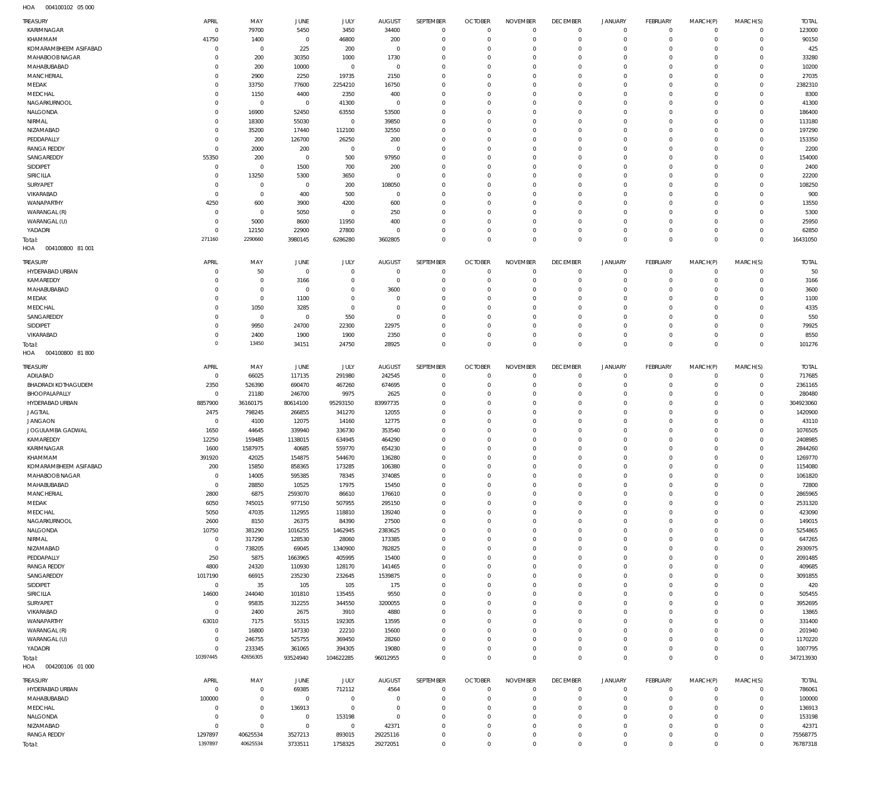004100102 05 000 HOA

| TREASURY                    | APRIL<br>$\mathbf 0$       | MAY<br>79700               | <b>JUNE</b><br>5450           | JULY<br>3450        | <b>AUGUST</b>        | SEPTEMBER<br>$\mathbf 0$   | <b>OCTOBER</b><br>$\overline{0}$ | <b>NOVEMBER</b><br>$\mathbf 0$ | <b>DECEMBER</b><br>$\mathbf 0$ | <b>JANUARY</b><br>$\overline{0}$   | FEBRUARY<br>$\mathbf{0}$      | MARCH(P)<br>$\mathbf 0$    | MARCH(S)<br>$\mathbf{0}$   | <b>TOTAL</b><br>123000 |
|-----------------------------|----------------------------|----------------------------|-------------------------------|---------------------|----------------------|----------------------------|----------------------------------|--------------------------------|--------------------------------|------------------------------------|-------------------------------|----------------------------|----------------------------|------------------------|
| KARIMNAGAR<br>KHAMMAM       | 41750                      | 1400                       | $\circ$                       | 46800               | 34400<br>200         | 0                          | $\mathbf 0$                      | $\mathbf 0$                    | $\mathbf 0$                    | $\mathbf 0$                        | $\mathbf{0}$                  | $\mathbf 0$                | $\mathbf{0}$               | 90150                  |
| KOMARAMBHEEM ASIFABAD       | $^{\circ}$                 | $\mathbb O$                | 225                           | 200                 | $\overline{0}$       | $\mathbf 0$                | $\mathbf 0$                      | $\mathbf 0$                    | $\mathbf 0$                    | $\mathbf 0$                        | $\mathbf 0$                   | $\Omega$                   | $\mathbf 0$                | 425                    |
| MAHABOOB NAGAR              | 0                          | 200                        | 30350                         | 1000                | 1730                 | $\mathbf 0$                | $\mathbf 0$                      | $\mathbf 0$                    | $\mathbf 0$                    | $\mathbf 0$                        | $\mathbf 0$                   | 0                          | $\mathbf 0$                | 33280                  |
| MAHABUBABAD                 | 0                          | 200                        | 10000                         | $\mathbf 0$         | $^{\circ}$           | $\mathbf 0$                | $\mathbf 0$                      | $\mathbf 0$                    | $\mathbf 0$                    | $\mathbf 0$                        | $\mathbf 0$                   | 0                          | $\mathbf 0$                | 10200                  |
| MANCHERIAL                  | 0                          | 2900                       | 2250                          | 19735               | 2150                 | $\mathbf 0$                | $\mathbf 0$                      | $\mathbf 0$                    | $\mathbf 0$                    | $\mathbf 0$                        | $\mathbf 0$                   | $\Omega$                   | $\mathbf 0$                | 27035                  |
| MEDAK                       | $\mathbf 0$                | 33750                      | 77600                         | 2254210             | 16750                | $\mathbf 0$                | $\mathbf 0$                      | $\mathbf 0$                    | $\mathbf 0$                    | $\mathbf 0$                        | $\mathbf 0$                   | 0                          | $\mathbf 0$                | 2382310                |
| MEDCHAL                     | 0                          | 1150                       | 4400                          | 2350                | 400                  | $\mathbf 0$                | $\mathbf 0$                      | $\mathbf 0$                    | $\mathbf 0$                    | $\mathbf 0$                        | $\mathbf 0$                   | $\Omega$                   | $\mathbf 0$                | 8300                   |
| NAGARKURNOOL                | $\mathbf 0$                | $\mathbb O$                | $\circ$                       | 41300               | $\overline{0}$       | $\mathbf 0$                | $\mathbf 0$                      | $\mathbf 0$                    | $\mathbf 0$                    | $\mathbf 0$                        | $\mathbf 0$                   | 0                          | $\mathbf 0$                | 41300                  |
| NALGONDA                    | $\mathbf 0$                | 16900                      | 52450                         | 63550               | 53500                | $\mathbf 0$                | $\mathbf 0$                      | $\mathbf 0$                    | $\mathbf 0$                    | $\mathbf 0$                        | $\mathbf 0$                   | $\Omega$                   | $\mathbf 0$                | 186400                 |
| NIRMAL                      | 0                          | 18300                      | 55030                         | $\mathbf 0$         | 39850                | $\mathbf 0$                | $\mathbf 0$                      | $\mathbf 0$                    | $\mathbf 0$                    | $\mathbf 0$                        | $\mathbf 0$                   | 0                          | $\mathbf 0$                | 113180                 |
| NIZAMABAD                   | 0                          | 35200                      | 17440                         | 112100              | 32550                | $\mathbf 0$                | $\mathbf 0$                      | $\mathbf 0$                    | $\mathbf 0$                    | $\mathbf 0$                        | $\mathbf 0$                   | $\Omega$                   | $\mathbf 0$                | 197290                 |
| PEDDAPALLY                  | $\mathbf 0$                | 200                        | 126700                        | 26250               | 200                  | $\mathbf 0$                | $\mathbf 0$                      | $\mathbf 0$                    | $\mathbf 0$                    | $\mathbf 0$                        | $\mathbf 0$                   | $\Omega$                   | $\mathbf 0$                | 153350                 |
| <b>RANGA REDDY</b>          | $\mathbf 0$                | 2000                       | 200                           | $\mathbf 0$         | $\overline{0}$       | $\mathbf 0$                | $\mathbf 0$                      | $\mathbf 0$                    | $\mathbf 0$                    | $\mathbf 0$                        | $\mathbf 0$                   | 0                          | $\mathbf 0$                | 2200                   |
| SANGAREDDY                  | 55350                      | 200                        | $\circ$                       | 500                 | 97950                | $\mathbf 0$                | $\mathbf 0$                      | $\mathbf 0$                    | $\mathbf 0$                    | $\mathbf 0$                        | $\mathbf 0$                   | $\Omega$                   | $\mathbf 0$                | 154000                 |
| SIDDIPET                    | $^{\circ}$                 | $\mathbf 0$                | 1500                          | 700                 | 200                  | $\mathbf 0$                | $\mathbf 0$                      | $\mathbf 0$                    | $\mathbf 0$                    | $\mathbf 0$                        | $\mathbf 0$                   | 0                          | $\mathbf 0$                | 2400                   |
| SIRICILLA                   | $^{\circ}$                 | 13250                      | 5300                          | 3650                | $^{\circ}$           | $\mathbf 0$                | $\mathbf 0$                      | $\mathbf 0$                    | $\mathbf 0$                    | $\mathbf 0$                        | $\mathbf 0$                   | $\Omega$                   | $\mathbf 0$                | 22200                  |
| SURYAPET                    | 0<br>$^{\circ}$            | $\mathbf 0$<br>$\mathbb O$ | $\circ$                       | 200<br>500          | 108050<br>$^{\circ}$ | $\mathbf 0$<br>$\mathbf 0$ | $\mathbf 0$<br>$\mathbf 0$       | $\mathbf 0$<br>$\mathbf 0$     | $\mathbf 0$<br>$\mathbf 0$     | $\mathbf 0$<br>$\mathbf 0$         | $\mathbf 0$<br>$\mathbf 0$    | 0<br>0                     | $\mathbf 0$<br>$\mathbf 0$ | 108250<br>900          |
| VIKARABAD<br>WANAPARTHY     | 4250                       | 600                        | 400<br>3900                   | 4200                | 600                  | $\mathbf 0$                | $\mathbf 0$                      | $\mathbf 0$                    | $\mathbf 0$                    | $\mathbf 0$                        | $\mathbf 0$                   | $\Omega$                   | $\mathbf 0$                | 13550                  |
| WARANGAL (R)                | $\mathbf 0$                | $\mathbb O$                | 5050                          | $\mathbf 0$         | 250                  | $\mathbf 0$                | $\mathbf 0$                      | $\mathbf 0$                    | $\mathbf 0$                    | $\mathbf 0$                        | $\mathbf 0$                   | 0                          | $\mathbf 0$                | 5300                   |
| WARANGAL (U)                | $\mathbf 0$                | 5000                       | 8600                          | 11950               | 400                  | $\mathbf 0$                | $\mathbf 0$                      | $\mathbf 0$                    | $\mathbf 0$                    | $\mathbf 0$                        | $\mathbf 0$                   | $\Omega$                   | $\mathbf 0$                | 25950                  |
| YADADRI                     | $^{\circ}$                 | 12150                      | 22900                         | 27800               | $^{\circ}$           | $\mathbf 0$                | $\mathbf 0$                      | $\mathbf 0$                    | $\mathbf 0$                    | $\mathbf 0$                        | $\mathbf 0$                   | $\mathbf 0$                | $\mathbf{0}$               | 62850                  |
| Total:                      | 271160                     | 2290660                    | 3980145                       | 6286280             | 3602805              | $\mathbf 0$                | $\mathbf 0$                      | $\mathbf 0$                    | $\mathbf 0$                    | $\mathbf 0$                        | $\overline{0}$                | $\mathbf 0$                | $\overline{0}$             | 16431050               |
| HOA<br>004100800 81 001     |                            |                            |                               |                     |                      |                            |                                  |                                |                                |                                    |                               |                            |                            |                        |
|                             | APRIL                      |                            |                               |                     |                      |                            |                                  | <b>NOVEMBER</b>                |                                |                                    |                               |                            |                            |                        |
| TREASURY<br>HYDERABAD URBAN |                            | MAY<br>50                  | <b>JUNE</b><br>$\overline{0}$ | JULY<br>$\mathbf 0$ | AUGUST<br>$^{\circ}$ | SEPTEMBER<br>$\mathbf 0$   | <b>OCTOBER</b><br>$\overline{0}$ | $\mathbf 0$                    | <b>DECEMBER</b><br>$\mathbf 0$ | <b>JANUARY</b><br>$\mathbf 0$      | FEBRUARY<br>$\mathbf{0}$      | MARCH(P)<br>$\mathbf 0$    | MARCH(S)<br>$\mathbf{0}$   | <b>TOTAL</b><br>50     |
| KAMAREDDY                   | 0<br>0                     | $\mathbb O$                | 3166                          | $\mathbf 0$         | $^{\circ}$           | $\mathbf 0$                | $\mathbf 0$                      | $\mathbf 0$                    | $\mathbf 0$                    | $\mathbf 0$                        | $\mathbf 0$                   | $\mathbf 0$                | $\mathbf{0}$               | 3166                   |
| MAHABUBABAD                 | 0                          | $\mathbf 0$                | $^{\circ}$                    | $\mathbf 0$         | 3600                 | $\mathbf 0$                | $\mathbf 0$                      | $\mathbf 0$                    | $\mathbf 0$                    | $\mathbf 0$                        | $\mathbf{0}$                  | $\Omega$                   | $\mathbf 0$                | 3600                   |
| MEDAK                       | 0                          | $\mathbb O$                | 1100                          | $\mathbf 0$         | 0                    | $\mathbf 0$                | $\mathbf 0$                      | $\mathbf 0$                    | $\mathbf 0$                    | $\mathbf 0$                        | $\mathbf 0$                   | $\Omega$                   | $\mathbf 0$                | 1100                   |
| MEDCHAL                     | 0                          | 1050                       | 3285                          | $\mathbf 0$         | $^{\circ}$           | $\mathbf 0$                | $\mathbf 0$                      | $\mathbf 0$                    | $\mathbf 0$                    | $\mathbf 0$                        | $\mathbf 0$                   | $\Omega$                   | $\mathbf 0$                | 4335                   |
| SANGAREDDY                  | 0                          | $\mathbb O$                | $^{\circ}$                    | 550                 | $^{\circ}$           | $\mathbf 0$                | $\mathbf 0$                      | $\mathbf 0$                    | $\mathbf 0$                    | $\mathbf 0$                        | $\mathbf 0$                   | $\mathbf 0$                | $\mathbf 0$                | 550                    |
| SIDDIPET                    | 0                          | 9950                       | 24700                         | 22300               | 22975                | $\mathbf 0$                | $\mathbf 0$                      | $\mathbf 0$                    | $\mathbf 0$                    | $\mathbf 0$                        | $\mathbf 0$                   | $\Omega$                   | $\mathbf 0$                | 79925                  |
| VIKARABAD                   | $^{\circ}$                 | 2400                       | 1900                          | 1900                | 2350                 | $\mathbf 0$                | $\mathbf 0$                      | $\mathbf 0$                    | $\mathbf 0$                    | $\mathbf 0$                        | $\mathbf 0$                   | $\mathbf 0$                | $\mathbf{0}$               | 8550                   |
| Total:                      | $\overline{0}$             | 13450                      | 34151                         | 24750               | 28925                | $\mathbf 0$                | $\mathbf 0$                      | $\mathbf 0$                    | $\mathbf 0$                    | $\mathbf 0$                        | $\overline{0}$                | $\Omega$                   | $\overline{0}$             | 101276                 |
| 004100800 81 800<br>HOA     |                            |                            |                               |                     |                      |                            |                                  |                                |                                |                                    |                               |                            |                            |                        |
| TREASURY                    | APRIL                      | MAY                        | JUNE                          | JULY                | AUGUST               | SEPTEMBER                  | <b>OCTOBER</b>                   | <b>NOVEMBER</b>                | <b>DECEMBER</b>                | <b>JANUARY</b>                     | FEBRUARY                      | MARCH(P)                   | MARCH(S)                   | <b>TOTAL</b>           |
| ADILABAD                    | $^{\circ}$                 | 66025                      | 117135                        | 291980              | 242545               | 0                          | $\mathbf 0$                      | $\mathbf 0$                    | $\mathbf 0$                    | 0                                  | $\mathbf{0}$                  | $\mathbf 0$                | $\mathbf{0}$               | 717685                 |
| <b>BHADRADI KOTHAGUDEM</b>  | 2350                       | 526390                     | 690470                        | 467260              | 674695               | 0                          | $\mathbf 0$                      | $\mathbf 0$                    | $\mathbf 0$                    | $\mathbf 0$                        | $\mathbf{0}$                  | $\mathbf 0$                | $\mathbf{0}$               | 2361165                |
| BHOOPALAPALLY               | $^{\circ}$                 | 21180                      | 246700                        | 9975                | 2625                 | $\mathbf 0$                | $\mathbf 0$                      | $\mathbf 0$                    | $\mathbf 0$                    | $\mathbf 0$                        | $\mathbf 0$                   | $\Omega$                   | $\mathbf{0}$               | 280480                 |
| HYDERABAD URBAN             | 8857900                    | 36160175                   | 80614100                      | 95293150            | 83997735             | $\mathbf 0$                | $\mathbf 0$                      | $\mathbf 0$                    | $\mathbf 0$                    | $\mathbf 0$                        | $^{\circ}$                    | $\Omega$                   | $\mathbf{0}$               | 304923060              |
| <b>JAGTIAL</b>              | 2475                       | 798245                     | 266855                        | 341270              | 12055                | $\mathbf 0$                | $\mathbf 0$                      | $\mathbf 0$                    | $\mathbf 0$                    | $\mathbf 0$                        | $^{\circ}$                    | 0                          | $\mathbf 0$                | 1420900                |
| <b>JANGAON</b>              | $^{\circ}$                 | 4100                       | 12075                         | 14160               | 12775                | $\mathbf 0$                | $\mathbf 0$                      | $\mathbf 0$                    | $\mathbf 0$                    | $\mathbf 0$                        | $\mathbf 0$                   | $\Omega$                   | $\mathbf 0$                | 43110                  |
| JOGULAMBA GADWAL            | 1650                       | 44645                      | 339940                        | 336730              | 353540               | $\mathbf 0$                | 0                                | $\mathbf 0$                    | $\mathbf 0$                    | $\mathbf 0$                        | $\mathbf 0$                   | 0                          | $\mathbf 0$                | 1076505                |
| KAMAREDDY                   | 12250                      | 159485                     | 1138015                       | 634945              | 464290               | $\mathbf 0$                | $\mathbf 0$                      | $\mathbf 0$                    | $\mathbf 0$                    | $\mathbf 0$                        | $^{\circ}$                    | $\Omega$                   | $\mathbf 0$                | 2408985                |
| KARIMNAGAR                  | 1600                       | 1587975                    | 40685                         | 559770              | 654230               | $\mathbf 0$                | 0                                | $\mathbf 0$                    | $\mathbf 0$                    | $\mathbf 0$                        | $^{\circ}$                    | 0                          | $\mathbf 0$                | 2844260                |
| KHAMMAM                     | 391920                     | 42025                      | 154875                        | 544670              | 136280               | $\mathbf 0$                | $\mathbf 0$                      | $\mathbf 0$                    | $\mathbf 0$                    | $\mathbf 0$                        | $\circ$                       | $\Omega$                   | $\mathbf 0$                | 1269770                |
| KOMARAMBHEEM ASIFABAD       | 200                        | 15850                      | 858365                        | 173285              | 106380               | 0                          | 0                                | 0                              | 0                              | 0                                  | $\circ$                       | 0                          | $\circ$                    | 1154080                |
| MAHABOOB NAGAR              | $\mathbf 0$                | 14005                      | 595385                        | 78345               | 374085               | $\mathbb O$                | $\mathbf 0$                      | $\mathbf 0$                    | $\mathbf 0$                    | $\mathbf 0$                        | $\mathbf 0$                   | $\mathbf 0$                | $\mathbf{0}$               | 1061820                |
| MAHABUBABAD                 | $\mathbf 0$                | 28850                      | 10525                         | 17975               | 15450                | $\mathbf 0$                | $\mathbf 0$                      | $\mathbf 0$                    | $\mathbf 0$                    | $\mathbf 0$                        | $\mathbf{0}$                  | $\mathbf 0$                | $\mathbf{0}$               | 72800                  |
| MANCHERIAL                  | 2800                       | 6875                       | 2593070                       | 86610               | 176610               | $\mathbf 0$                | $\mathbf 0$                      | $\mathbf 0$                    | $\mathbf 0$                    | $\mathbf 0$                        | $\mathbf 0$                   | $\Omega$                   | $\mathbf 0$                | 2865965                |
| MEDAK                       | 6050                       | 745015                     | 977150                        | 507955              | 295150               | $\mathbf 0$                | $\mathbf 0$                      | $\mathbf 0$                    | $\mathbf 0$                    | $\mathbf 0$                        | $\mathbf 0$                   | $\Omega$                   | $\mathbf 0$                | 2531320                |
| MEDCHAL                     | 5050                       | 47035                      | 112955                        | 118810              | 139240               | $\mathbf 0$                | $\mathbf 0$                      | $\mathbf 0$                    | $\mathbf 0$                    | $\mathbf 0$                        | $\mathbf 0$                   | $\Omega$                   | $\mathbf 0$                | 423090                 |
| NAGARKURNOOL                | 2600                       | 8150                       | 26375                         | 84390               | 27500                | $\mathbf 0$<br>$\mathbf 0$ | $\mathbf 0$                      | $\mathbf 0$                    | $\mathbf 0$                    | $\mathbf 0$<br>$\mathbf 0$         | $\mathbf 0$<br>$\mathbf 0$    | $\Omega$<br>$\Omega$       | $\mathbf 0$<br>$\mathbf 0$ | 149015                 |
| NALGONDA                    | 10750                      | 381290                     | 1016255                       | 1462945             | 2383625              |                            | $\mathbf 0$                      | $\mathbf 0$                    | $\mathbf 0$                    |                                    |                               |                            |                            | 5254865                |
| NIRMAL<br>NIZAMABAD         | $\mathbb O$<br>$\mathbf 0$ | 317290<br>738205           | 128530<br>69045               | 28060<br>1340900    | 173385<br>782825     | $\mathbb O$<br>$\mathbf 0$ | $\mathbf 0$<br>$\mathbf 0$       | $\mathbf 0$<br>$\mathbf 0$     | $\mathbf 0$<br>$\mathbf 0$     | $\mathbf 0$<br>$\mathbf 0$         | $\mathbf 0$<br>$\mathbf 0$    | $\Omega$<br>$\Omega$       | $\mathbf 0$<br>$\mathbf 0$ | 647265<br>2930975      |
| PEDDAPALLY                  | 250                        | 5875                       | 1663965                       | 405995              | 15400                | $\mathbb O$                | $\mathbf 0$                      | $\mathbf 0$                    | $\mathbf 0$                    | $\mathbf 0$                        | $\mathbf 0$                   | $\Omega$                   | $\mathbf 0$                | 2091485                |
| <b>RANGA REDDY</b>          | 4800                       | 24320                      | 110930                        | 128170              | 141465               | $\mathbf 0$                | $\mathbf 0$                      | $\mathbf 0$                    | $\mathbf 0$                    | $\mathbf 0$                        | $\mathbf 0$                   | $\Omega$                   | $\mathbf 0$                | 409685                 |
| SANGAREDDY                  | 1017190                    | 66915                      | 235230                        | 232645              | 1539875              | $\mathbf 0$                | $\mathbf 0$                      | $\mathbf 0$                    | $\mathbf 0$                    | $\mathbf 0$                        | $\mathbf 0$                   | $\mathbf 0$                | $\mathbf 0$                | 3091855                |
| SIDDIPET                    | $\mathbb O$                | 35                         | 105                           | 105                 | 175                  | $\mathbf 0$                | $\mathbf 0$                      | $\mathbf 0$                    | $\mathbf 0$                    | $\mathbf 0$                        | $\mathbf 0$                   | $\Omega$                   | $\mathbf 0$                | 420                    |
| SIRICILLA                   | 14600                      | 244040                     | 101810                        | 135455              | 9550                 | $\mathbf 0$                | $\mathbf 0$                      | $\mathbf 0$                    | $\mathbf 0$                    | $\mathbf 0$                        | $\mathbf 0$                   | $\Omega$                   | $\mathbf{0}$               | 505455                 |
| SURYAPET                    | $\mathbf 0$                | 95835                      | 312255                        | 344550              | 3200055              | $\mathbf 0$                | $\mathbf 0$                      | $\mathbf 0$                    | $\mathbf 0$                    | $\mathbf 0$                        | $\mathbf 0$                   | $\Omega$                   | $\mathbf 0$                | 3952695                |
| VIKARABAD                   | $\mathbf 0$                | 2400                       | 2675                          | 3910                | 4880                 | $\mathbf 0$                | $\mathbf 0$                      | $\mathbf 0$                    | $\mathbf 0$                    | $\mathbf 0$                        | $\mathbf 0$                   | $\Omega$                   | $\mathbf 0$                | 13865                  |
| WANAPARTHY                  | 63010                      | 7175                       | 55315                         | 192305              | 13595                | $\mathbf 0$                | $\mathbf 0$                      | $\mathbf 0$                    | $\mathbf 0$                    | $\mathbf 0$                        | $\mathbf 0$                   | $\Omega$                   | $\mathbf 0$                | 331400                 |
| WARANGAL (R)                | $\mathbf 0$                | 16800                      | 147330                        | 22210               | 15600                | $\mathbf 0$                | $\mathbf 0$                      | $\mathbf 0$                    | $\mathbf 0$                    | $\mathbf 0$                        | $\mathbf 0$                   | $\Omega$                   | $\mathbf 0$                | 201940                 |
| WARANGAL (U)                | $\mathbf 0$                | 246755                     | 525755                        | 369450              | 28260                | $\mathbf 0$                | $\mathbf 0$                      | $\mathbf 0$                    | $\mathbf 0$                    | $\mathbf 0$                        | $\mathbf 0$                   | $\mathbf 0$                | $\mathbf{0}$               | 1170220                |
| YADADRI                     | $\mathbf 0$                | 233345                     | 361065                        | 394305              | 19080                | $\mathbb O$                | $\mathbf 0$                      | $\mathbf 0$                    | $\mathbf 0$                    | $\mathbf 0$                        | $\mathbf 0$                   | $\mathbf 0$                | $\mathbf{0}$               | 1007795                |
| Total:                      | 10397445                   | 42656305                   | 93524940                      | 104622285           | 96012955             | $\mathbf 0$                | $\mathbf{0}$                     | $\mathbf 0$                    | $\mathbf{0}$                   | $\mathbf 0$                        | $\overline{0}$                | $\mathbf 0$                | $\overline{0}$             | 347213930              |
| HOA   004200106   01   000  |                            |                            |                               |                     |                      |                            |                                  |                                |                                |                                    |                               |                            |                            |                        |
| TREASURY                    | APRIL                      | MAY                        | JUNE                          | JULY                | <b>AUGUST</b>        | SEPTEMBER                  | <b>OCTOBER</b>                   | <b>NOVEMBER</b>                | <b>DECEMBER</b>                | <b>JANUARY</b>                     | FEBRUARY                      | MARCH(P)                   | MARCH(S)                   | <b>TOTAL</b>           |
| HYDERABAD URBAN             | $\mathbf 0$                | $\mathbb O$                | 69385                         | 712112              | 4564                 | 0                          | $\overline{0}$                   | $\mathbf 0$                    | $\overline{0}$                 | $\overline{0}$                     | $\mathbf{0}$                  | $\mathbf 0$                | $\circ$                    | 786061                 |
| MAHABUBABAD                 | 100000                     | $\mathbf 0$                | $^{\circ}$                    | $\mathbf 0$         | $\mathbf{0}$         | $\mathbf 0$                | $\mathbf 0$                      | $\mathbf 0$                    | $\mathbf 0$                    | $\mathbf 0$                        | $\mathbf{0}$                  | $\mathbf 0$                | $\mathbf{0}$               | 100000                 |
|                             |                            |                            |                               |                     |                      |                            |                                  |                                |                                |                                    |                               |                            |                            |                        |
| MEDCHAL                     | $\mathbf 0$                | $\mathbf 0$                | 136913                        | $\mathbb O$         | $^{\circ}$           | $\mathbf 0$                | $\mathbf 0$                      | $\mathbf 0$                    | $\mathbf 0$                    | $\mathbf 0$                        | $\mathbf{0}$                  | $\mathbf 0$                | $\mathbf 0$                | 136913                 |
| NALGONDA                    | $\mathbf 0$                | $\mathsf 0$                | $\mathbf 0$                   | 153198              | $\mathbf{0}$         | $\mathbf 0$                | $\mathbf 0$                      | $\mathbf 0$                    | $\mathbf 0$                    | $\mathbf 0$                        | $\mathbf 0$                   | $\Omega$                   | $\mathbf{0}$               | 153198                 |
| NIZAMABAD                   | $\mathbf 0$                | $\mathsf 0$                | $\overline{0}$                | $\mathbf 0$         | 42371                | $\mathbf 0$                | $\mathbf 0$                      | $\mathbf 0$                    | $\mathbf 0$                    | $\mathbf 0$                        | $\mathbf 0$                   | $\mathbf 0$                | $\mathbf{0}$               | 42371                  |
| <b>RANGA REDDY</b>          | 1297897<br>1397897         | 40625534<br>40625534       | 3527213                       | 893015<br>1758325   | 29225116<br>29272051 | $\mathbb O$<br>$\mathbf 0$ | 0                                | $\mathbf 0$<br>$\mathbf 0$     | $\bf 0$<br>$\mathbf 0$         | $\mathsf{O}\xspace$<br>$\mathbf 0$ | $\mathbf 0$<br>$\overline{0}$ | $\mathbf 0$<br>$\mathbf 0$ | $\mathbf{0}$               | 75568775<br>76787318   |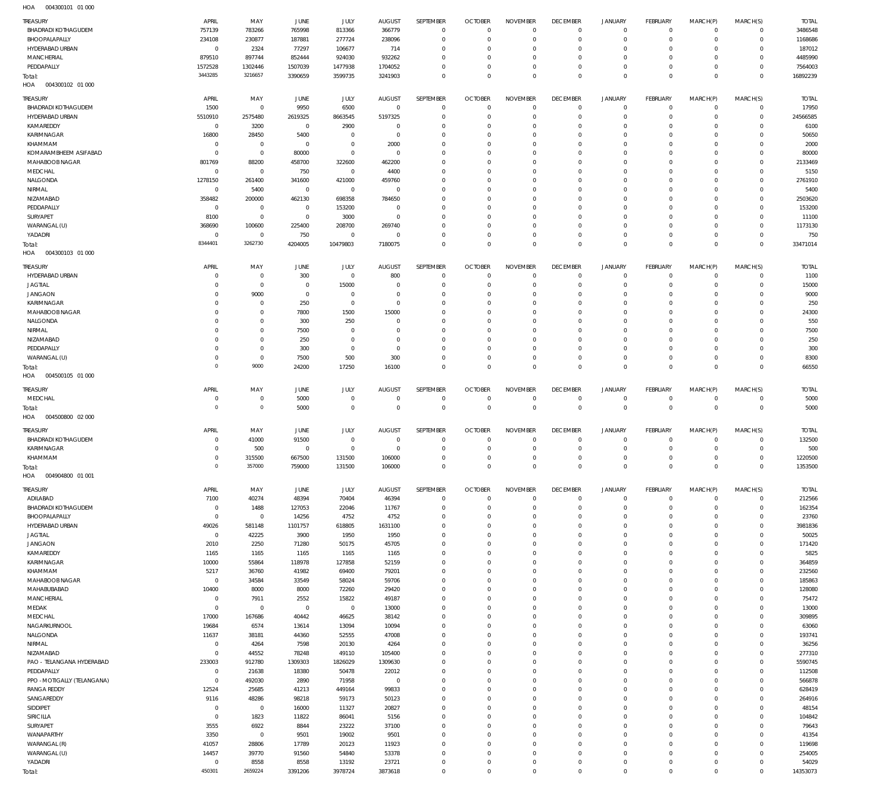| <b>TREASURY</b>                   | APRIL                    | MAY                        | JUNE                | JULY               | <b>AUGUST</b>            | SEPTEMBER                  | <b>OCTOBER</b>             | <b>NOVEMBER</b>            | <b>DECEMBER</b>            | <b>JANUARY</b>   | <b>FEBRUARY</b>            | MARCH(P)             | MARCH(S)                      | <b>TOTAL</b>      |
|-----------------------------------|--------------------------|----------------------------|---------------------|--------------------|--------------------------|----------------------------|----------------------------|----------------------------|----------------------------|------------------|----------------------------|----------------------|-------------------------------|-------------------|
| <b>BHADRADI KOTHAGUDEM</b>        | 757139                   | 783266                     | 765998              | 813366             | 366779                   | $\mathbf 0$                | $\overline{0}$             | $\Omega$                   | $\mathbf 0$                | $\mathbf 0$      | $\overline{0}$             | $\mathbf 0$          | $\mathbf 0$                   | 3486548           |
| BHOOPALAPALLY                     | 234108                   | 230877                     | 187881              | 277724             | 238096                   | $\mathbf 0$                | $\mathbf 0$                | $\mathbf 0$                | $\mathbf 0$                | $\mathbf 0$      | $\overline{0}$             | $\mathbf 0$          | $\mathbf 0$                   | 1168686           |
| HYDERABAD URBAN                   | $^{\circ}$               | 2324                       | 77297               | 106677             | 714                      | $\mathbf 0$                | $\mathbf 0$                | 0                          | $\mathbf 0$                | 0                | $^{\circ}$                 | $\Omega$             | $\mathbf 0$                   | 187012            |
| <b>MANCHERIAL</b>                 | 879510                   | 897744                     | 852444              | 924030             | 932262                   | $\mathbf 0$                | $\mathbf 0$                | $\mathbf 0$                | $\mathbf 0$                | 0                | $^{\circ}$                 | 0                    | $\mathbf 0$                   | 4485990           |
| PEDDAPALLY                        | 1572528                  | 1302446                    | 1507039             | 1477938            | 1704052                  | $\mathbf 0$                | $\mathbf 0$                | $\mathbf 0$                | $\mathbf 0$                | 0                | $\mathbf{0}$               | 0                    | $\mathbf 0$                   | 7564003           |
| Total:<br>004300102 01 000<br>HOA | 3443285                  | 3216657                    | 3390659             | 3599735            | 3241903                  | $\mathbf 0$                | $\mathbf 0$                | $\mathbf 0$                | $\overline{0}$             | $\mathbf 0$      | $\overline{0}$             | $\mathbf 0$          | $\overline{0}$                | 16892239          |
|                                   |                          |                            |                     |                    |                          |                            |                            |                            |                            |                  |                            |                      |                               |                   |
| TREASURY                          | APRIL                    | MAY                        | JUNE                | <b>JULY</b>        | <b>AUGUST</b>            | SEPTEMBER                  | <b>OCTOBER</b>             | <b>NOVEMBER</b>            | <b>DECEMBER</b>            | <b>JANUARY</b>   | FEBRUARY                   | MARCH(P)             | MARCH(S)                      | <b>TOTAL</b>      |
| <b>BHADRADI KOTHAGUDEM</b>        | 1500                     | $^{\circ}$                 | 9950                | 6500               | $\overline{0}$           | $\mathbf 0$                | $\mathbf 0$                | $\mathbf 0$                | $^{\circ}$                 | $\mathbf 0$      | $\mathbf{0}$               | $\mathbf 0$          | $\mathbf 0$                   | 17950             |
| HYDERABAD URBAN                   | 5510910                  | 2575480                    | 2619325             | 8663545            | 5197325                  | $\mathbf 0$                | $\mathbf 0$                | $\mathbf 0$                | $\mathbf 0$                | 0                | $\mathbf{0}$               | 0                    | $\mathbf 0$                   | 24566585          |
| KAMAREDDY<br>KARIMNAGAR           | $^{\circ}$               | 3200<br>28450              | $\mathbf 0$<br>5400 | 2900<br>$^{\circ}$ | $^{\circ}$<br>$^{\circ}$ | $\mathbf 0$<br>$\mathbf 0$ | $\mathbf 0$<br>$\mathbf 0$ | 0<br>$\Omega$              | $\mathbf 0$<br>$\mathbf 0$ | 0<br>0           | $^{\circ}$<br>$^{\circ}$   | $\Omega$<br>0        | 0<br>$\mathbf 0$              | 6100<br>50650     |
| KHAMMAM                           | 16800<br>0               | $\mathbf 0$                | $\mathbf 0$         | $\mathbf 0$        | 2000                     | $\mathbf 0$                | $\mathbf 0$                | $\Omega$                   | $\mathbf 0$                | 0                | $^{\circ}$                 | $\Omega$             | $\mathbf 0$                   | 2000              |
| KOMARAMBHEEM ASIFABAD             | 0                        | $\mathbf 0$                | 80000               | $\mathbf 0$        | $^{\circ}$               | $\mathbf 0$                | $\mathbf 0$                | $\Omega$                   | $\mathbf 0$                | 0                | $^{\circ}$                 | $\Omega$             | 0                             | 80000             |
| MAHABOOB NAGAR                    | 801769                   | 88200                      | 458700              | 322600             | 462200                   | $\mathbf 0$                | $\mathbf 0$                | $\Omega$                   | $\mathbf 0$                | 0                | $^{\circ}$                 | 0                    | $\mathbf 0$                   | 2133469           |
| MEDCHAL                           | $\overline{0}$           | $\mathbf{0}$               | 750                 | $\mathbf 0$        | 4400                     | $\mathbf 0$                | $\mathbf 0$                | $\Omega$                   | $\mathbf 0$                | 0                | $^{\circ}$                 | $\Omega$             | 0                             | 5150              |
| NALGONDA                          | 1278150                  | 261400                     | 341600              | 421000             | 459760                   | $\mathbf 0$                | $\mathbf 0$                | $\Omega$                   | $\Omega$                   | 0                | $^{\circ}$                 | 0                    | $\Omega$                      | 2761910           |
| NIRMAL                            | $^{\circ}$               | 5400                       | $\mathbf 0$         | $\mathbf 0$        | $\mathbf 0$              | $\mathbf 0$                | $\mathbf 0$                | $\Omega$                   | $\mathbf 0$                | 0                | $^{\circ}$                 | $\Omega$             | $\mathbf 0$                   | 5400              |
| NIZAMABAD                         | 358482                   | 200000                     | 462130              | 698358             | 784650                   | $\mathbf 0$                | $\mathbf 0$                | $\Omega$                   | $\mathbf 0$                | 0                | $^{\circ}$                 | 0                    | $\Omega$                      | 2503620           |
| PEDDAPALLY                        | $\overline{0}$           | $\mathbf 0$                | $\mathbf 0$         | 153200             | $^{\circ}$               | $\mathbf 0$                | $\mathbf 0$                | $\Omega$                   | $\mathbf 0$                | 0                | $^{\circ}$                 | $\Omega$             | $\mathbf 0$                   | 153200            |
| SURYAPET                          | 8100                     | $\mathbf 0$                | $\mathbf 0$         | 3000               | $^{\circ}$               | $\mathbf 0$                | $\mathbf 0$                | $\Omega$                   | $\mathbf 0$                | 0                | $\mathbf 0$                | $\Omega$             | $\mathbf 0$                   | 11100             |
| WARANGAL (U)                      | 368690                   | 100600                     | 225400              | 208700             | 269740                   | $\mathbf 0$                | $\mathbf 0$                | $\Omega$                   | $\mathbf 0$                | 0                | $\mathbf 0$                | $\Omega$             | $\mathbf 0$                   | 1173130           |
| YADADRI                           | $\overline{0}$           | $\mathbf{0}$               | 750                 | $\mathbf 0$        | $^{\circ}$               | $\mathbf 0$                | $\mathbf 0$                | $\mathbf 0$                | $\mathbf 0$                | 0                | $\mathbf{0}$               | 0                    | $\mathbf 0$                   | 750               |
| Total:                            | 8344401                  | 3262730                    | 4204005             | 10479803           | 7180075                  | $\mathbf 0$                | $\mathbf 0$                | $\mathbf 0$                | $\mathbf 0$                | $\mathbf 0$      | $\overline{0}$             | $\mathbf 0$          | $\overline{0}$                | 33471014          |
| HOA<br>004300103 01 000           |                          |                            |                     |                    |                          |                            |                            |                            |                            |                  |                            |                      |                               |                   |
| <b>TREASURY</b>                   | APRIL                    | MAY                        | JUNE                | <b>JULY</b>        | <b>AUGUST</b>            | SEPTEMBER                  | <b>OCTOBER</b>             | <b>NOVEMBER</b>            | <b>DECEMBER</b>            | <b>JANUARY</b>   | <b>FEBRUARY</b>            | MARCH(P)             | MARCH(S)                      | <b>TOTAL</b>      |
| HYDERABAD URBAN                   | - 0                      | $\mathbf{0}$               | 300                 | $\mathbf 0$        | 800                      | $\mathbf 0$                | $\mathbf 0$                | $\mathbf 0$                | $\mathbf 0$                | $\mathbf 0$      | $\overline{0}$             | $\mathbf 0$          | $\mathbf 0$                   | 1100              |
| <b>JAGTIAL</b>                    | $\Omega$                 | $\mathbf 0$                | 0                   | 15000              | $^{\circ}$               | $\mathbf 0$                | $\mathbf 0$                | $\mathbf 0$                | $\mathbf 0$                | 0                | $\mathbf{0}$               | 0                    | $\mathbf 0$                   | 15000             |
| <b>JANGAON</b>                    | $\Omega$                 | 9000                       | $^{\circ}$          | $\mathbf 0$        | $^{\circ}$               | $\mathbf 0$                | $\mathbf 0$                | $\mathbf 0$                | $\mathbf 0$                | 0                | $^{\circ}$                 | 0                    | $\mathbf 0$                   | 9000              |
| KARIMNAGAR                        | $\Omega$                 | $\mathbf{0}$               | 250                 | $\mathbf 0$        | $^{\circ}$               | $\mathbf 0$                | $\mathbf 0$                | $\mathbf 0$                | $\mathbf 0$                | 0                | $^{\circ}$                 | $\Omega$             | $\mathbf 0$                   | 250               |
| MAHABOOB NAGAR                    | $\Omega$                 | $\mathbf 0$                | 7800                | 1500               | 15000                    | $\mathbf 0$                | $\mathbf 0$                | $\Omega$                   | $\mathbf 0$                | 0                | $^{\circ}$                 | $\Omega$             | $\mathbf 0$                   | 24300             |
| NALGONDA                          | 0                        | $\mathbf{0}$               | 300                 | 250                | $^{\circ}$               | $\mathbf 0$                | $\mathbf 0$                | $\mathbf 0$                | $\mathbf 0$                | 0                | $^{\circ}$                 | $\Omega$             | $\mathbf 0$                   | 550               |
| NIRMAL                            | $\Omega$                 | $\mathbf 0$                | 7500                | $^{\circ}$         | $^{\circ}$               | $\mathbf 0$                | $\mathbf 0$                | $\mathbf 0$                | $\mathbf 0$                | 0                | $^{\circ}$                 | 0                    | $\mathbf 0$                   | 7500              |
| NIZAMABAD                         | 0                        | $\mathbf{0}$               | 250                 | $^{\circ}$         | $^{\circ}$               | $\mathbf 0$                | $\mathbf 0$                | $\Omega$                   | $\mathbf 0$                | 0                | $^{\circ}$<br>$\mathbf{0}$ | $\Omega$             | $\mathbf 0$<br>$\mathbf 0$    | 250               |
| PEDDAPALLY                        | 0<br>- 0                 | $\mathbf 0$<br>$\mathbf 0$ | 300<br>7500         | $\mathbf 0$<br>500 | $^{\circ}$<br>300        | $\mathbf 0$<br>$\mathbf 0$ | $\mathbf 0$<br>$\mathbf 0$ | $\mathbf 0$<br>$\mathbf 0$ | $\mathbf 0$<br>$\mathbf 0$ | 0<br>$\mathbf 0$ | $\mathbf{0}$               | 0<br>$\mathbf 0$     | $\mathbf 0$                   | 300<br>8300       |
| WARANGAL (U)                      | $^{\circ}$               | 9000                       | 24200               | 17250              | 16100                    | $\mathbf 0$                | $\mathbf 0$                | $\mathbf 0$                | $\overline{0}$             | $\mathbf 0$      | $\overline{0}$             | $\mathbf 0$          | $\overline{0}$                | 66550             |
| Total:<br>HOA<br>004500105 01 000 |                          |                            |                     |                    |                          |                            |                            |                            |                            |                  |                            |                      |                               |                   |
|                                   |                          |                            |                     |                    |                          |                            |                            |                            |                            |                  |                            |                      |                               |                   |
| TREASURY                          | APRIL                    | MAY                        | JUNE                | <b>JULY</b>        | <b>AUGUST</b>            | SEPTEMBER                  | <b>OCTOBER</b>             | <b>NOVEMBER</b>            | <b>DECEMBER</b>            | <b>JANUARY</b>   | FEBRUARY                   | MARCH(P)             | MARCH(S)                      | <b>TOTAL</b>      |
| MEDCHAL                           | - 0                      | $^{\circ}$                 | 5000                | $^{\circ}$         | $^{\circ}$               | $\mathbf 0$                | $\mathbf 0$                | $\mathbf 0$                | $\mathbf 0$                | $\mathbf 0$      | $\mathbf{0}$               | $\mathbf 0$          | $\mathbf 0$                   | 5000              |
|                                   |                          |                            |                     |                    |                          |                            |                            |                            |                            |                  |                            |                      |                               |                   |
| Total:                            | $\circ$                  | $\mathsf{O}\xspace$        | 5000                | $\mathbf 0$        | $^{\circ}$               | $\mathbf 0$                | $\overline{0}$             | $\mathbf 0$                | $\overline{0}$             | $\overline{0}$   | $\overline{0}$             | $\overline{0}$       | $\overline{0}$                | 5000              |
| 004500800 02 000<br>HOA           |                          |                            |                     |                    |                          |                            |                            |                            |                            |                  |                            |                      |                               |                   |
| <b>TREASURY</b>                   | APRIL                    | MAY                        | JUNE                | JULY               | <b>AUGUST</b>            | <b>SEPTEMBER</b>           | <b>OCTOBER</b>             | <b>NOVEMBER</b>            | <b>DECEMBER</b>            | <b>JANUARY</b>   | <b>FEBRUARY</b>            | MARCH(P)             | MARCH(S)                      | <b>TOTAL</b>      |
| <b>BHADRADI KOTHAGUDEM</b>        | - 0                      | 41000                      | 91500               | $^{\circ}$         | $^{\circ}$               | $\mathbf 0$                | $\mathbf 0$                | $\mathbf 0$                | $\mathbf 0$                | $\mathbf 0$      | $^{\circ}$                 | $\mathbf 0$          | $\mathbf 0$                   | 132500            |
| KARIMNAGAR                        | $\Omega$                 | 500                        | $^{\circ}$          | $\mathbf 0$        | $^{\circ}$               | $\mathbf 0$                | $\overline{0}$             | $\mathbf 0$                | $^{\circ}$                 | $\mathbf 0$      | $\overline{0}$             | $\mathbf 0$          | $\mathbf 0$                   | 500               |
| KHAMMAM                           | $\Omega$                 | 315500                     | 667500              | 131500             | 106000                   | $\mathbf 0$                | $\mathbf 0$                | $\mathbf 0$                | $\mathbf 0$                | $\mathbf 0$      | $\mathbf{0}$               | $\mathbf 0$          | $\mathbf 0$                   | 1220500           |
| Total:                            | 0                        | 357000                     | 759000              | 131500             | 106000                   | 0                          | 0                          | 0                          | 0                          | 0                | 0                          | 0                    | $\circ$                       | 1353500           |
| HOA<br>004904800 01 001           |                          |                            |                     |                    |                          |                            |                            |                            |                            |                  |                            |                      |                               |                   |
| TREASURY                          | APRIL                    | MAY                        | <b>JUNE</b>         | JULY               | <b>AUGUST</b>            | <b>SEPTEMBER</b>           | <b>OCTOBER</b>             | <b>NOVEMBER</b>            | <b>DECEMBER</b>            | <b>JANUARY</b>   | <b>FEBRUARY</b>            | MARCH(P)             | MARCH(S)                      | <b>TOTAL</b>      |
| ADILABAD                          | 7100                     | 40274                      | 48394               | 70404              | 46394                    | $\mathbf 0$                | $\overline{0}$             | $\mathbf 0$                | $\overline{0}$             | $\circ$          | $\overline{0}$             | $\mathbf 0$          | $\mathbf 0$                   | 212566            |
| <b>BHADRADI KOTHAGUDEM</b>        | $\overline{0}$           | 1488                       | 127053              | 22046              | 11767                    | $\mathbf 0$                | $\mathbf 0$                | $\mathbf 0$                | $\mathbf 0$                | $\mathbf 0$      | $\mathbf{0}$               | $\mathbf 0$          | $\mathbf 0$                   | 162354            |
| BHOOPALAPALLY                     | $^{\circ}$               | $\mathbf{0}$               | 14256               | 4752               | 4752                     | $\mathbf 0$                | $\mathbf 0$                | $\mathbf 0$                | $\mathbf 0$                | 0                | $^{\circ}$                 | 0                    | $\mathbf 0$                   | 23760             |
| HYDERABAD URBAN                   | 49026                    | 581148                     | 1101757             | 618805             | 1631100                  | $\mathbf 0$                | $\mathbf 0$                | $\Omega$                   | $\mathbf 0$                | 0                | $\mathbf 0$                | 0                    | $\mathbf 0$                   | 3981836           |
| <b>JAGTIAL</b>                    | $^{\circ}$               | 42225                      | 3900                | 1950               | 1950                     | $\mathbf 0$                | $\mathbf 0$                | $\mathbf 0$                | $\mathbf 0$                | 0                | $^{\circ}$                 | $\Omega$             | $\mathbf 0$                   | 50025             |
| <b>JANGAON</b>                    | 2010                     | 2250                       | 71280               | 50175              | 45705                    | $\mathbf 0$                | $\mathbf 0$                | 0                          | $\mathbf 0$                | 0                | $\mathbf 0$                | $\Omega$             | $\mathbf 0$                   | 171420            |
| KAMAREDDY                         | 1165                     | 1165                       | 1165                | 1165               | 1165                     | $\mathbf 0$                | $\mathbf 0$                | $\mathbf 0$                | $\mathbf 0$                | 0                | $^{\circ}$                 | $\Omega$             | $\mathbf 0$                   | 5825              |
| KARIMNAGAR                        | 10000                    | 55864                      | 118978              | 127858             | 52159                    | $\mathbf 0$                | $\mathbf 0$                | 0                          | $\mathbf 0$                | 0                | $\mathbf 0$                | $\Omega$             | $\mathbf 0$                   | 364859            |
| KHAMMAM                           | 5217                     | 36760                      | 41982               | 69400              | 79201                    | $\mathbf 0$                | $\mathbf 0$                | $\mathbf 0$                | $\mathbf 0$                | 0                | $\mathbf{0}$               | $\Omega$             | $\mathbf 0$                   | 232560            |
| MAHABOOB NAGAR                    | $^{\circ}$               | 34584                      | 33549               | 58024              | 59706                    | $\mathbf 0$                | $\mathbf 0$                | $\mathbf 0$                | $\mathbf 0$                | 0                | $\mathbf 0$                | $\Omega$             | $\mathbf 0$                   | 185863            |
| MAHABUBABAD                       | 10400                    | 8000                       | 8000                | 72260              | 29420                    | $\mathbf 0$                | $\mathbf 0$                | $\mathbf 0$                | $\mathbf 0$                | 0                | $\mathbf 0$                | $\Omega$             | $\mathbf 0$                   | 128080            |
| MANCHERIAL                        | $^{\circ}$               | 7911                       | 2552                | 15822              | 49187                    | $\mathbf 0$                | $\mathbf 0$                | $\Omega$                   | $\mathbf 0$                | 0                | $\mathbf 0$                | $\Omega$             | $\mathbf 0$                   | 75472             |
| MEDAK                             | $\overline{0}$           | $\mathbf{0}$               | $\mathbf 0$         | $\overline{0}$     | 13000                    | $\mathbf 0$                | $\mathbf 0$                | $\mathbf 0$                | $\mathbf 0$                | 0                | $\mathbf{0}$               | $\Omega$             | $\mathbf 0$                   | 13000             |
| MEDCHAL                           | 17000                    | 167686                     | 40442               | 46625              | 38142                    | $\mathbf 0$                | $\mathbf 0$                | $\Omega$                   | $\mathbf 0$                | 0                | $\mathbf 0$                | $\Omega$<br>$\Omega$ | $\mathbf 0$                   | 309895            |
| NAGARKURNOOL<br>NALGONDA          | 19684<br>11637           | 6574<br>38181              | 13614<br>44360      | 13094<br>52555     | 10094<br>47008           | $\mathbf 0$<br>$\mathbf 0$ | $\mathbf 0$<br>$\mathbf 0$ | $\mathbf 0$<br>$\Omega$    | $\mathbf 0$<br>$\mathbf 0$ | 0<br>$\mathbf 0$ | $^{\circ}$<br>$\mathbf 0$  | 0                    | $\mathbf 0$<br>$\mathbf 0$    | 63060<br>193741   |
| NIRMAL                            | $^{\circ}$               | 4264                       | 7598                | 20130              | 4264                     | $\mathbf 0$                | $\mathbf 0$                | $\mathbf 0$                | $\mathbf 0$                | 0                | $\mathbf{0}$               | $\Omega$             | $\mathbf 0$                   | 36256             |
| NIZAMABAD                         | $^{\circ}$               | 44552                      | 78248               | 49110              | 105400                   | $\mathbf 0$                | $\mathbf 0$                | $\mathbf 0$                | $\mathbf 0$                | 0                | $\mathbf 0$                | 0                    | $\mathbf 0$                   | 277310            |
| PAO - TELANGANA HYDERABAD         | 233003                   | 912780                     | 1309303             | 1826029            | 1309630                  | $\mathbf 0$                | $\mathbf 0$                | $\mathbf 0$                | $\mathbf 0$                | 0                | $^{\circ}$                 | $\Omega$             | $\mathbf 0$                   | 5590745           |
| PEDDAPALLY                        | $^{\circ}$               | 21638                      | 18380               | 50478              | 22012                    | $\overline{0}$             | $\mathbf 0$                | 0                          | $\mathbf 0$                | 0                | $\mathbf 0$                | $\Omega$             | $\mathbf 0$                   | 112508            |
| PPO - MOTIGALLY (TELANGANA)       | $\overline{0}$           | 492030                     | 2890                | 71958              | $\overline{0}$           | $\mathbf 0$                | $\mathbf 0$                | $\mathbf 0$                | $\mathbf 0$                | 0                | $\mathbf{0}$               | $\Omega$             | $\mathbf 0$                   | 566878            |
| <b>RANGA REDDY</b>                | 12524                    | 25685                      | 41213               | 449164             | 99833                    | $\mathbf 0$                | $\mathbf 0$                | $\mathbf 0$                | $\mathbf 0$                | 0                | $\mathbf 0$                | $\Omega$             | $\mathbf 0$                   | 628419            |
| SANGAREDDY                        | 9116                     | 48286                      | 98218               | 59173              | 50123                    | $\mathbf 0$                | $\mathbf 0$                | $\mathbf 0$                | $\mathbf 0$                | 0                | $\mathbf 0$                | $\Omega$             | $\mathbf 0$                   | 264916            |
| SIDDIPET                          | $\overline{0}$           | $\mathbf{0}$               | 16000               | 11327              | 20827                    | $\mathbf 0$                | $\mathbf 0$                | $\Omega$                   | $\mathbf 0$                | 0                | $\mathbf 0$                | $\Omega$             | $\mathbf 0$                   | 48154             |
| SIRICILLA                         | $\overline{0}$           | 1823                       | 11822               | 86041              | 5156                     | $\mathbf 0$                | $\mathbf 0$                | $\mathbf 0$                | $\mathbf 0$                | 0                | $\mathbf{0}$               | $\Omega$             | $\mathbf 0$                   | 104842            |
| SURYAPET                          | 3555                     | 6922                       | 8844                | 23222              | 37100                    | $\mathbf 0$                | $\mathbf 0$                | $\mathbf 0$                | $\mathbf 0$                | 0                | $\mathbf 0$                | $\Omega$             | $\mathbf 0$                   | 79643             |
| WANAPARTHY                        | 3350                     | $\mathbf{0}$               | 9501                | 19002              | 9501                     | $\mathbf 0$                | $\mathbf 0$                | $\mathbf 0$                | $\mathbf 0$                | 0                | $^{\circ}$                 | $\Omega$             | $\mathbf 0$                   | 41354             |
| WARANGAL (R)                      | 41057                    | 28806                      | 17789               | 20123              | 11923                    | $\mathbf 0$                | $\mathbf 0$                | $\Omega$                   | $\mathbf 0$                | $\mathbf 0$      | $\mathbf 0$                | $\Omega$             | $\mathbf 0$                   | 119698            |
| WARANGAL (U)                      | 14457                    | 39770                      | 91560               | 54840              | 53378                    | $\mathbf 0$                | $\mathbf 0$                | $\mathbf 0$                | $\mathbf 0$                | 0                | $^{\circ}$                 | $\Omega$             | $\mathbf 0$                   | 254005            |
| YADADRI<br>Total:                 | $\overline{0}$<br>450301 | 8558<br>2659224            | 8558<br>3391206     | 13192<br>3978724   | 23721<br>3873618         | $\mathbf 0$<br>$\mathbf 0$ | $\mathbf 0$<br>$\mathbf 0$ | $\mathbf 0$<br>$\mathbf 0$ | $\mathbf 0$<br>$\mathbf 0$ | 0<br>$\mathbf 0$ | $\mathbf 0$<br>$\mathbf 0$ | 0<br>$\mathbf 0$     | $\mathbf 0$<br>$\overline{0}$ | 54029<br>14353073 |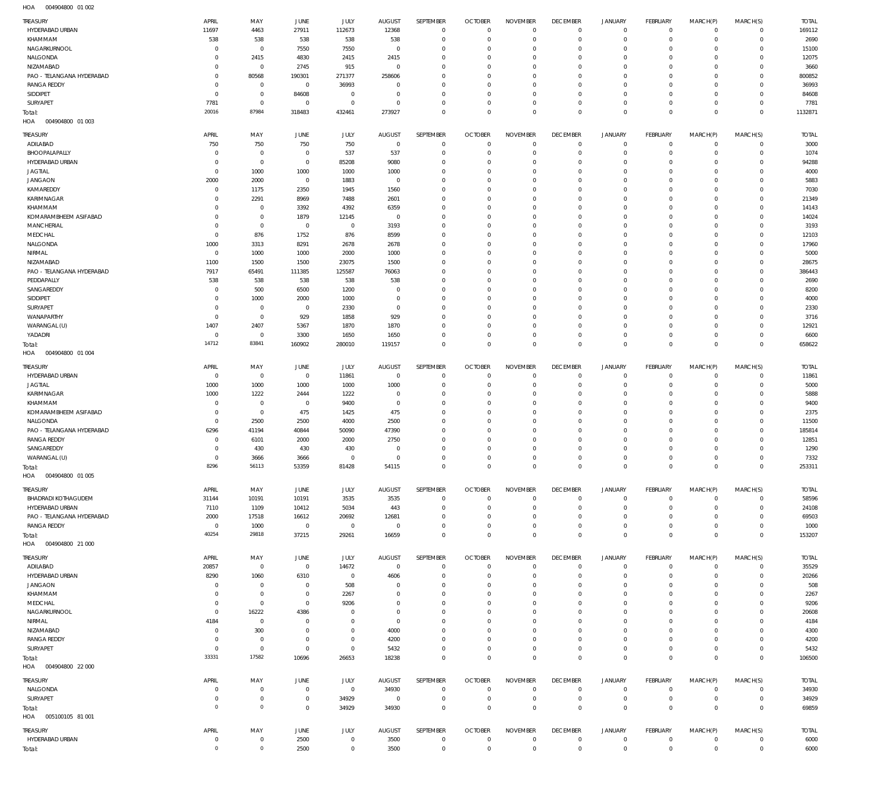004904800 01 002 HOA

|                                  | APRIL                    | MAY                        | <b>JUNE</b>             | JULY                       | <b>AUGUST</b>                    | <b>SEPTEMBER</b>           | <b>OCTOBER</b>                   | <b>NOVEMBER</b>            | <b>DECEMBER</b>            | <b>JANUARY</b>             | <b>FEBRUARY</b>              | MARCH(P)                | MARCH(S)                | <b>TOTAL</b>   |
|----------------------------------|--------------------------|----------------------------|-------------------------|----------------------------|----------------------------------|----------------------------|----------------------------------|----------------------------|----------------------------|----------------------------|------------------------------|-------------------------|-------------------------|----------------|
| HYDERABAD URBAN                  | 11697                    | 4463                       | 27911                   | 112673                     | 12368                            | $\mathbf 0$                | $\overline{0}$                   | $\mathbf 0$                | $\mathbf{0}$               | $\circ$                    | $\mathbf{0}$                 | $^{\circ}$              | $\mathbf 0$             | 169112         |
| KHAMMAM                          | 538                      | 538                        | 538                     | 538                        | 538                              | $\mathbf 0$                | $\overline{0}$                   | $\mathbf 0$                | $\overline{0}$             | $\mathbf 0$                | $\mathbf{0}$                 | $^{\circ}$              | $\mathbf 0$             | 2690           |
| NAGARKURNOOL                     | $^{\circ}$               | $\mathbf 0$                | 7550                    | 7550                       | $\overline{0}$                   | $\mathbf 0$                | $\overline{0}$                   | 0                          | $\mathbf 0$                | $\mathbf 0$                | $\mathbf{0}$                 | $\Omega$                | $\mathbf 0$             | 15100          |
| NALGONDA                         | $^{\circ}$               | 2415                       | 4830                    | 2415                       | 2415                             | $\mathbf 0$                | $\overline{0}$                   | $\mathbf 0$                | $\mathbf 0$                | $\mathbf 0$                | $\mathbf{0}$                 | $\Omega$                | $\Omega$                | 12075          |
| NIZAMABAD                        | 0                        | $\mathbf 0$                | 2745                    | 915                        | $\overline{0}$                   | $\mathbf 0$                | $\mathbf 0$                      | 0                          | $\mathbf 0$                | $\mathbf 0$                | $\mathbf{0}$                 | $\Omega$                | $\mathbf 0$             | 3660           |
| PAO - TELANGANA HYDERABAD        | $^{\circ}$               | 80568                      | 190301                  | 271377                     | 258606                           | $\mathbf 0$                | $\mathbf 0$                      | $\mathbf 0$                | $\mathbf 0$                | $\mathbf 0$                | $\mathbf{0}$                 | $\Omega$                | $\Omega$                | 800852         |
| <b>RANGA REDDY</b>               | $^{\circ}$<br>$^{\circ}$ | $\mathbf 0$<br>$\mathbf 0$ | $\overline{0}$          | 36993<br>$\mathbf 0$       | $\overline{0}$<br>$\overline{0}$ | $\mathbf 0$<br>$\mathbf 0$ | $\mathbf 0$<br>$\mathbf 0$       | 0<br>$\mathbf 0$           | $\mathbf 0$<br>$\mathbf 0$ | $\mathbf 0$<br>$\mathbf 0$ | $\mathbf{0}$<br>$\mathbf{0}$ | $\Omega$<br>$\Omega$    | $\mathbf 0$<br>$\Omega$ | 36993<br>84608 |
| SIDDIPET<br>SURYAPET             | 7781                     | $\mathbf 0$                | 84608<br>$\overline{0}$ | $\mathbf 0$                | $\overline{0}$                   | $\mathbf 0$                | $\overline{0}$                   | $\mathbf 0$                | $^{\circ}$                 | $\mathbf 0$                | $\mathbf{0}$                 | $\Omega$                | $\mathbf 0$             | 7781           |
| Total:                           | 20016                    | 87984                      | 318483                  | 432461                     | 273927                           | $\mathbf 0$                | $\overline{0}$                   | $\mathbf 0$                | $\overline{0}$             | $\mathbf 0$                | $\mathbb O$                  | $\Omega$                | $\mathbf 0$             | 1132871        |
| 004904800 01 003<br>HOA          |                          |                            |                         |                            |                                  |                            |                                  |                            |                            |                            |                              |                         |                         |                |
|                                  |                          |                            |                         |                            |                                  |                            |                                  |                            |                            |                            |                              |                         |                         |                |
| TREASURY                         | APRIL                    | MAY                        | <b>JUNE</b>             | JULY                       | <b>AUGUST</b>                    | SEPTEMBER                  | <b>OCTOBER</b>                   | <b>NOVEMBER</b>            | <b>DECEMBER</b>            | <b>JANUARY</b>             | <b>FEBRUARY</b>              | MARCH(P)                | MARCH(S)                | <b>TOTAL</b>   |
| ADILABAD                         | 750                      | 750                        | 750<br>$\overline{0}$   | 750                        | $\overline{0}$                   | $^{\circ}$<br>$\mathbf 0$  | $\overline{0}$<br>$\overline{0}$ | $\mathbf 0$                | $\mathbf 0$<br>$\mathbf 0$ | $\circ$<br>$\mathbf 0$     | $\mathbf 0$<br>$\mathbf{0}$  | $^{\circ}$              | $\mathbf 0$             | 3000           |
| BHOOPALAPALLY<br>HYDERABAD URBAN | $^{\circ}$<br>0          | $^{\circ}$<br>$\mathbf 0$  | $\mathbf 0$             | 537<br>85208               | 537<br>9080                      | $\mathbf 0$                | $^{\circ}$                       | $\mathbf 0$<br>$\mathbf 0$ | $^{\circ}$                 | $\mathbf 0$                | $^{\circ}$                   | $\Omega$<br>$\Omega$    | $\mathbf 0$<br>$\Omega$ | 1074<br>94288  |
| <b>JAGTIAL</b>                   | $^{\circ}$               | 1000                       | 1000                    | 1000                       | 1000                             | $\mathbf 0$                | $^{\circ}$                       | 0                          | $\mathbf 0$                | 0                          | $^{\circ}$                   |                         | $\Omega$                | 4000           |
| <b>JANGAON</b>                   | 2000                     | 2000                       | $\overline{0}$          | 1883                       | $\overline{0}$                   | $\mathbf 0$                | $^{\circ}$                       | $\Omega$                   | $\mathbf 0$                | $\mathbf 0$                | $^{\circ}$                   |                         | $\Omega$                | 5883           |
| KAMAREDDY                        | $^{\circ}$               | 1175                       | 2350                    | 1945                       | 1560                             | $\mathbf 0$                | $^{\circ}$                       | 0                          | $\mathbf 0$                | 0                          | $^{\circ}$                   |                         | $\Omega$                | 7030           |
| KARIMNAGAR                       | 0                        | 2291                       | 8969                    | 7488                       | 2601                             | $\mathbf 0$                | $^{\circ}$                       | 0                          | $\mathbf 0$                | $\mathbf 0$                | $^{\circ}$                   |                         | $\Omega$                | 21349          |
| KHAMMAM                          | 0                        | $^{\circ}$                 | 3392                    | 4392                       | 6359                             | $\mathbf 0$                | $^{\circ}$                       | $\mathbf 0$                | $\mathbf 0$                | $\mathbf 0$                | $^{\circ}$                   | $\Omega$                | $\Omega$                | 14143          |
| KOMARAMBHEEM ASIFABAD            | 0                        | $\mathbf 0$                | 1879                    | 12145                      | $\overline{0}$                   | $\mathbf 0$                | $\overline{0}$                   | $\Omega$                   | 0                          | $\Omega$                   | $\Omega$                     |                         | $\Omega$                | 14024          |
| MANCHERIAL                       | $^{\circ}$               | $\mathbf 0$                | $^{\circ}$              | $\mathbf 0$                | 3193                             | $\mathbf 0$                | $\mathbf 0$                      | $\mathbf 0$                | $\mathbf 0$                | $\mathbf 0$                | $^{\circ}$                   | $\Omega$                | $\Omega$                | 3193           |
| MEDCHAL                          | $^{\circ}$               | 876                        | 1752                    | 876                        | 8599                             | $\mathbf 0$                | $\overline{0}$                   | 0                          | $\mathbf 0$                | $\mathbf 0$                | $^{\circ}$                   |                         | $\Omega$                | 12103          |
| NALGONDA                         | 1000                     | 3313                       | 8291                    | 2678                       | 2678                             | $\mathbf 0$                | $\mathbf 0$                      | $\mathbf 0$                | $\mathbf 0$                | $\mathbf 0$                | $^{\circ}$                   | $\Omega$                | $\Omega$                | 17960          |
| NIRMAL                           | $^{\circ}$               | 1000                       | 1000                    | 2000                       | 1000                             | $\mathbf 0$                | $\overline{0}$                   | $\Omega$                   | 0                          | $\mathbf 0$                | $^{\circ}$                   |                         | $\Omega$                | 5000           |
| NIZAMABAD                        | 1100                     | 1500                       | 1500                    | 23075                      | 1500                             | $\mathbf 0$                | $\mathbf 0$                      | $\mathbf 0$                | $\mathbf 0$                | $\mathbf 0$                | $^{\circ}$                   | $\Omega$                | $\Omega$                | 28675          |
| PAO - TELANGANA HYDERABAD        | 7917                     | 65491                      | 111385                  | 125587                     | 76063                            | $\mathbf 0$                | $\mathbf 0$                      | 0                          | $\mathbf 0$                | $\mathbf 0$                | $^{\circ}$                   |                         | $\Omega$<br>$\Omega$    | 386443         |
| PEDDAPALLY<br>SANGAREDDY         | 538<br>$^{\circ}$        | 538<br>500                 | 538<br>6500             | 538<br>1200                | 538<br>$\mathbf 0$               | $\mathbf 0$<br>$\mathbf 0$ | $\mathbf 0$<br>$\mathbf 0$       | 0<br>$\Omega$              | $\mathbf 0$<br>$\mathbf 0$ | 0<br>$\mathbf 0$           | $^{\circ}$<br>$^{\circ}$     | $\Omega$                | $\Omega$                | 2690<br>8200   |
| SIDDIPET                         | $^{\circ}$               | 1000                       | 2000                    | 1000                       | $\mathbf 0$                      | $\mathbf 0$                | $\mathbf 0$                      | 0                          | $\mathbf 0$                | 0                          | $^{\circ}$                   |                         | $\Omega$                | 4000           |
| SURYAPET                         | 0                        | $\mathbf 0$                | $\overline{0}$          | 2330                       | $\overline{0}$                   | $\mathbf 0$                | $\mathbf 0$                      | $\mathbf 0$                | $\mathbf 0$                | 0                          | $^{\circ}$                   | $\Omega$                | $\Omega$                | 2330           |
| WANAPARTHY                       | $^{\circ}$               | $\mathbf 0$                | 929                     | 1858                       | 929                              | $\mathbf 0$                | $^{\circ}$                       | 0                          | $\mathbf 0$                | 0                          | $^{\circ}$                   |                         | $\Omega$                | 3716           |
| WARANGAL (U)                     | 1407                     | 2407                       | 5367                    | 1870                       | 1870                             | $\mathbf 0$                | $^{\circ}$                       | 0                          | $\mathbf 0$                | $\mathbf 0$                | $\mathbf{0}$                 | $\Omega$                | $\Omega$                | 12921          |
| YADADRI                          | $^{\circ}$               | $^{\circ}$                 | 3300                    | 1650                       | 1650                             | $\mathbf 0$                | $\mathbf 0$                      | $\mathbf 0$                | $\mathbf 0$                | $\mathbf 0$                | $\mathbf{0}$                 | $\Omega$                | $\Omega$                | 6600           |
| Total:                           | 14712                    | 83841                      | 160902                  | 280010                     | 119157                           | $\mathbf 0$                | $\overline{0}$                   | $\Omega$                   | $\mathbf{0}$               | $\mathbf 0$                | $\mathbb O$                  | $\Omega$                | $\mathbf{0}$            | 658622         |
| HOA<br>004904800 01 004          |                          |                            |                         |                            |                                  |                            |                                  |                            |                            |                            |                              |                         |                         |                |
| TREASURY                         | APRIL                    | MAY                        | JUNE                    | JULY                       | <b>AUGUST</b>                    | SEPTEMBER                  | <b>OCTOBER</b>                   | <b>NOVEMBER</b>            | <b>DECEMBER</b>            | <b>JANUARY</b>             | FEBRUARY                     | MARCH(P)                | MARCH(S)                | <b>TOTAL</b>   |
| HYDERABAD URBAN                  | $^{\circ}$               | $\mathbf 0$                | $\overline{0}$          | 11861                      | $\overline{0}$                   | $\mathbf 0$                | $\overline{0}$                   | 0                          | $^{\circ}$                 | $\circ$                    | $^{\circ}$                   | $\Omega$                | $\mathbf 0$             | 11861          |
| <b>JAGTIAL</b>                   | 1000                     | 1000                       | 1000                    | 1000                       | 1000                             | $\mathbf 0$                | $\overline{0}$                   | $\mathbf 0$                | $\overline{0}$             | $\mathbf 0$                | $\mathbf{0}$                 | $\Omega$                | $\mathbf 0$             | 5000           |
| KARIMNAGAR                       | 1000                     | 1222                       | 2444                    | 1222                       | $\overline{0}$                   | $\mathbf 0$                | $\overline{0}$                   | $\mathbf 0$                | $\mathbf{0}$               | $\circ$                    | $\mathbf{0}$                 | $\Omega$                | $\mathbf 0$             | 5888           |
|                                  |                          |                            |                         |                            |                                  |                            |                                  |                            |                            |                            |                              |                         |                         |                |
| KHAMMAM                          | $^{\circ}$               | $^{\circ}$                 | $\overline{0}$          | 9400                       | $\overline{0}$                   | $\mathbf 0$                | $\mathbf 0$                      | 0                          | $\overline{0}$             | $\mathbf 0$                | $\mathbf{0}$                 | $\Omega$                | $\Omega$                | 9400           |
| KOMARAMBHEEM ASIFABAD            | $^{\circ}$               | $\mathbf 0$                | 475                     | 1425                       | 475                              | $\mathbf 0$                | $\overline{0}$                   | 0                          | $\mathbf 0$                | $\mathbf 0$                | $\mathbf{0}$                 | $\Omega$                | $\mathbf 0$             | 2375           |
| NALGONDA                         | $^{\circ}$               | 2500                       | 2500                    | 4000                       | 2500                             | $\mathbf 0$                | $\mathbf 0$                      | 0                          | $\mathbf 0$                | $\mathbf 0$                | $\mathbf{0}$                 | $\Omega$                | $\Omega$                | 11500          |
| PAO - TELANGANA HYDERABAD        | 6296                     | 41194                      | 40844                   | 50090                      | 47390                            | $\mathbf 0$                | $\overline{0}$                   | $\mathbf 0$                | $^{\circ}$                 | $\mathbf 0$                | $\mathbf{0}$                 | $\Omega$                | $\mathbf 0$             | 185814         |
| <b>RANGA REDDY</b>               | $^{\circ}$               | 6101                       | 2000                    | 2000                       | 2750                             | $\mathbf 0$                | $\mathbf 0$                      | 0                          | $\mathbf 0$                | $\mathbf 0$                | $^{\circ}$                   | $\Omega$                | $\Omega$                | 12851          |
| SANGAREDDY                       | 0                        | 430                        | 430                     | 430                        | $\overline{0}$                   | $\mathbf 0$                | $\overline{0}$                   | $\mathbf 0$                | $\overline{0}$             | $\mathbf 0$                | $\mathbf{0}$                 | $\Omega$                | $\mathbf 0$             | 1290           |
| WARANGAL (U)                     | $\Omega$                 | 3666                       | 3666                    | $\mathbf 0$                | $\overline{0}$                   | $\mathbf 0$                | $\mathbf 0$                      | $\mathbf 0$                | $\overline{0}$             | $\mathbf 0$                | $\mathbf{0}$                 | $\Omega$                | $\mathbf 0$             | 7332           |
| Total:                           | 8296                     | 56113                      | 53359                   | 81428                      | 54115                            | 0                          | 0                                | 0                          | 0                          | 0                          | 0                            | 0                       | $\mathbf{0}$            | 253311         |
| HOA<br>004904800 01 005          |                          |                            |                         |                            |                                  |                            |                                  |                            |                            |                            |                              |                         |                         |                |
| TREASURY                         | APRIL                    | MAY                        | JUNE                    | JULY                       | <b>AUGUST</b>                    | SEPTEMBER                  | <b>OCTOBER</b>                   | <b>NOVEMBER</b>            | <b>DECEMBER</b>            | <b>JANUARY</b>             | <b>FEBRUARY</b>              | MARCH(P)                | MARCH(S)                | <b>TOTAL</b>   |
| <b>BHADRADI KOTHAGUDEM</b>       | 31144                    | 10191                      | 10191                   | 3535                       | 3535                             | $\mathbf 0$                | $\overline{0}$                   | $\mathbf 0$                | $\mathbf 0$                | 0                          | $\mathbf 0$                  | $\circ$                 | $\mathbf 0$             | 58596          |
| HYDERABAD URBAN                  | 7110                     | 1109                       | 10412                   | 5034                       | 443                              | $\mathbf 0$                | $\overline{0}$                   | $\mathbf 0$                | $\mathbf 0$                | $\mathbf 0$                | $\mathbf{0}$                 | $\Omega$                | $\mathbf 0$             | 24108          |
| PAO - TELANGANA HYDERABAD        | 2000                     | 17518                      | 16612                   | 20692                      | 12681                            | $\mathbf 0$                | $^{\circ}$                       | $\mathbf 0$                | $^{\circ}$                 | $\mathbf 0$                | $\mathbf 0$                  | $\Omega$                | $\mathbf 0$             | 69503          |
| <b>RANGA REDDY</b>               | $^{\circ}$               | 1000                       | $\overline{0}$          | $\bf 0$                    | $\overline{0}$                   | $\mathbf 0$                | $\mathbf 0$                      | $\mathbf 0$                | $\mathbf 0$                | $\mathbf 0$                | $\mathbf{0}$                 | $\Omega$                | $\Omega$                | 1000           |
| Total:                           | 40254                    | 29818                      | 37215                   | 29261                      | 16659                            | $\mathbf 0$                | $\overline{0}$                   | $\mathbf 0$                | $\mathbb O$                | $\mathbf 0$                | $\mathbb O$                  | $^{\circ}$              | $\mathbf 0$             | 153207         |
| HOA<br>004904800 21 000          |                          |                            |                         |                            |                                  |                            |                                  |                            |                            |                            |                              |                         |                         |                |
| TREASURY                         | APRIL                    | MAY                        | <b>JUNE</b>             | JULY                       | <b>AUGUST</b>                    | SEPTEMBER                  | <b>OCTOBER</b>                   | <b>NOVEMBER</b>            | <b>DECEMBER</b>            | JANUARY                    | FEBRUARY                     | MARCH(P)                | MARCH(S)                | <b>TOTAL</b>   |
| ADILABAD                         | 20857                    | $\mathbf 0$                | $\overline{0}$          | 14672                      | $\overline{0}$                   | $\mathbf 0$                | $\overline{0}$                   | $\mathbf 0$                | $\mathbf 0$                | 0                          | $\circ$                      | $^{\circ}$              | $\mathbf 0$             | 35529          |
| HYDERABAD URBAN                  | 8290                     | 1060                       | 6310                    | $\mathbf 0$                | 4606                             | $\mathbf 0$                | $\overline{0}$                   | 0                          | $\mathbf 0$                | $\circ$                    | $\mathbf{0}$                 | $\Omega$                | $\mathbf 0$             | 20266          |
| <b>JANGAON</b>                   | $^{\circ}$               | $\mathbf 0$                | $\mathbf 0$             | 508                        | $\overline{0}$                   | $\mathbf 0$                | $^{\circ}$                       | 0                          | $\mathbf 0$                | $\mathbf 0$                | $^{\circ}$                   | $\Omega$                | $\mathbf 0$             | 508            |
| KHAMMAM                          | 0                        | $\mathbf{0}$               | $\overline{0}$          | 2267                       | $\mathbf 0$                      | $\mathbf 0$                | $^{\circ}$                       | $\mathbf 0$                | $^{\circ}$                 | $\mathbf 0$                | $^{\circ}$                   | $\Omega$                | $\mathbf 0$             | 2267           |
| MEDCHAL                          | $^{\circ}$               | $\mathbf 0$                | $\mathbf 0$             | 9206                       | $\mathbf 0$                      | $\mathbf 0$                | $\mathbf 0$                      | $\mathbf 0$                | $\mathbf 0$                | $\mathbf 0$                | $^{\circ}$                   | $\Omega$                | $\Omega$                | 9206           |
| NAGARKURNOOL                     | $^{\circ}$               | 16222<br>$\mathbf 0$       | 4386<br>$\overline{0}$  | $\mathbf 0$<br>$\mathbf 0$ | $\overline{0}$<br>$\overline{0}$ | $\mathbf 0$<br>$\mathbf 0$ | $\overline{0}$<br>$\mathbf 0$    | 0<br>$\mathbf 0$           | $\mathbf 0$<br>$\mathbf 0$ | $\mathbf 0$<br>$\mathbf 0$ | $\mathbf{0}$<br>$^{\circ}$   | $\Omega$<br>$\Omega$    | $\mathbf 0$<br>$\Omega$ | 20608          |
| NIRMAL<br>NIZAMABAD              | 4184<br>$^{\circ}$       | 300                        | $\overline{0}$          | $\mathbf 0$                | 4000                             | $\mathbf 0$                | $\mathbf 0$                      | 0                          | $\mathbf 0$                | $\mathbf 0$                | $^{\circ}$                   | $\Omega$                | $\Omega$                | 4184<br>4300   |
| <b>RANGA REDDY</b>               | $^{\circ}$               | $\mathbf 0$                | $\overline{0}$          | $\mathbf 0$                | 4200                             | $\mathbf 0$                | $\mathbf 0$                      | $\mathbf 0$                | $\mathbf 0$                | $\mathbf 0$                | $^{\circ}$                   | $\Omega$                | $\Omega$                | 4200           |
| SURYAPET                         | $^{\circ}$               | $\mathbf 0$                | $\mathbf 0$             | $\mathbf 0$                | 5432                             | $\mathbf 0$                | $\overline{0}$                   | $\mathbf 0$                | $\mathbf{0}$               | $\mathbf 0$                | $\mathbf 0$                  | $\Omega$                | $\mathbf 0$             | 5432           |
| Total:                           | 33331                    | 17582                      | 10696                   | 26653                      | 18238                            | $\mathbf 0$                | $\overline{0}$                   | $\mathbf 0$                | $\overline{0}$             | $\mathbf 0$                | $\mathbb O$                  | $\mathbf 0$             | $\mathbb O$             | 106500         |
| HOA   004904800   22   000       |                          |                            |                         |                            |                                  |                            |                                  |                            |                            |                            |                              |                         |                         |                |
| TREASURY                         | APRIL                    | MAY                        | <b>JUNE</b>             |                            | AUGUST                           | SEPTEMBER                  | <b>OCTOBER</b>                   | <b>NOVEMBER</b>            | <b>DECEMBER</b>            | JANUARY                    | <b>FEBRUARY</b>              |                         | MARCH(S)                | <b>TOTAL</b>   |
| NALGONDA                         | $^{\circ}$               | $\mathbf 0$                | $\mathbf 0$             | <b>JULY</b><br>$\mathbf 0$ | 34930                            | $\mathbf 0$                | $\overline{0}$                   | $\mathbf 0$                | $\mathbf 0$                | 0                          | $^{\circ}$                   | MARCH(P)<br>$^{\circ}$  | $\mathbf 0$             | 34930          |
| SURYAPET                         | 0                        | $\mathbf{0}$               | $\mathbf 0$             | 34929                      | $\overline{0}$                   | $\mathbf 0$                | $\overline{0}$                   | $\mathbf 0$                | $\mathbf{0}$               | $\mathbf 0$                | $\mathbf 0$                  | $^{\circ}$              | $\mathbf 0$             | 34929          |
| Total:                           | $\overline{0}$           | $\circ$                    | $\mathbf 0$             | 34929                      | 34930                            | $\mathbf 0$                | $\overline{0}$                   | $\mathbf 0$                | $\overline{0}$             | $\mathbf 0$                | $\mathbf 0$                  | $^{\circ}$              | $\mathbf{0}$            | 69859          |
| HOA   005100105   81   001       |                          |                            |                         |                            |                                  |                            |                                  |                            |                            |                            |                              |                         |                         |                |
| TREASURY                         | APRIL                    | MAY                        | <b>JUNE</b>             |                            | <b>AUGUST</b>                    | SEPTEMBER                  | <b>OCTOBER</b>                   | <b>NOVEMBER</b>            | <b>DECEMBER</b>            | <b>JANUARY</b>             | FEBRUARY                     |                         |                         | <b>TOTAL</b>   |
| HYDERABAD URBAN                  | $\mathbf 0$              | $\overline{0}$             | 2500                    | <b>JULY</b><br>$\mathbf 0$ | 3500                             | $\mathbf 0$                | $\overline{0}$                   | $\mathbf{0}$               | $\overline{0}$             | 0                          | $\mathbf 0$                  | MARCH(P)<br>$\mathbf 0$ | MARCH(S)<br>$\mathbf 0$ | 6000           |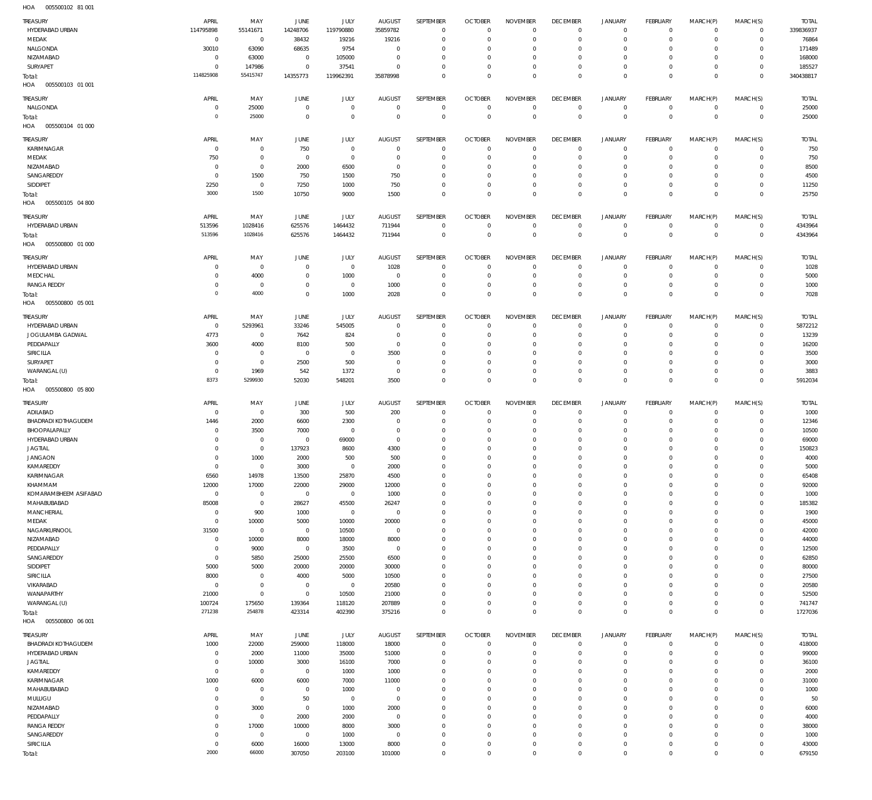| HOA<br>005500102 81 001                       |                            |                                  |                         |                         |                     |                            |                            |                              |                                  |                            |                            |                          |                               |                 |
|-----------------------------------------------|----------------------------|----------------------------------|-------------------------|-------------------------|---------------------|----------------------------|----------------------------|------------------------------|----------------------------------|----------------------------|----------------------------|--------------------------|-------------------------------|-----------------|
| TREASURY                                      | APRIL                      | MAY                              | JUNE                    | JULY                    | <b>AUGUST</b>       | SEPTEMBER                  | <b>OCTOBER</b>             | <b>NOVEMBER</b>              | <b>DECEMBER</b>                  | <b>JANUARY</b>             | FEBRUARY                   | MARCH(P)                 | MARCH(S)                      | <b>TOTAL</b>    |
| HYDERABAD URBAN                               | 114795898                  | 55141671                         | 14248706                | 119790880               | 35859782            | $\overline{0}$             | $\mathbf 0$                | $\Omega$                     | $\overline{0}$                   | $\circ$                    | $\circ$                    | $\Omega$                 | $\overline{0}$                | 339836937       |
| MEDAK                                         | $\overline{0}$             | $\overline{0}$                   | 38432                   | 19216                   | 19216               | $\mathbb O$                | 0                          | $^{\circ}$                   | $\mathbf 0$                      | $\mathbf 0$                | $\mathbf 0$                | $\Omega$                 | $\mathbf 0$                   | 76864           |
| NALGONDA                                      | 30010                      | 63090                            | 68635                   | 9754                    | $\Omega$            | $\overline{0}$             | 0                          | $\Omega$                     | $\mathbf 0$                      | $\mathbf 0$                | $^{\circ}$                 | $\Omega$                 | $\Omega$                      | 171489          |
| NIZAMABAD                                     | $\mathbf 0$                | 63000                            | $\overline{0}$          | 105000                  | $\Omega$            | $\mathbf 0$                | 0                          | $\mathbf{0}$                 | $\mathbf 0$                      | $\mathbf 0$                | $^{\circ}$                 | $\Omega$                 | $\Omega$                      | 168000          |
| SURYAPET                                      | $\mathbf 0$                | 147986                           | $\mathbf 0$             | 37541                   | $\Omega$            | $\mathbb O$                | 0                          | $\mathbf{0}$                 | $\overline{0}$                   | $\mathbf 0$                | $\mathbf 0$                | $\Omega$                 | $\mathbf 0$                   | 185527          |
| Total:                                        | 114825908                  | 55415747                         | 14355773                | 119962391               | 35878998            | $\circ$                    | $\Omega$                   | $\mathbf 0$                  | $\mathbf 0$                      | $\mathbf 0$                | $\mathbf 0$                | $\Omega$                 | $\Omega$                      | 340438817       |
| HOA<br>005500103 01 001                       |                            |                                  |                         |                         |                     |                            |                            |                              |                                  |                            |                            |                          |                               |                 |
| TREASURY                                      | APRIL                      | MAY                              | JUNE                    | JULY                    | <b>AUGUST</b>       | SEPTEMBER                  | <b>OCTOBER</b>             | <b>NOVEMBER</b>              | <b>DECEMBER</b>                  | <b>JANUARY</b>             | FEBRUARY                   | MARCH(P)                 | MARCH(S)                      | <b>TOTAL</b>    |
| NALGONDA                                      | $\mathbf 0$                | 25000                            | $\overline{0}$          | $\mathbf{0}$            | $^{\circ}$          | $\,0\,$                    | $\mathbf 0$                | $\mathbf 0$                  | $\overline{0}$                   | $\circ$                    | $\mathbb O$                | $\mathbf 0$              | $\overline{0}$                | 25000           |
| Total:                                        | $\mathbf 0$                | 25000                            | $\mathbf 0$             | $\mathbf{0}$            | $\Omega$            | $\,0\,$                    | $\mathbf 0$                | $\mathbf 0$                  | $\overline{0}$                   | $\mathbf 0$                | $\mathbb O$                | $^{\circ}$               | $\mathbf{0}$                  | 25000           |
| HOA<br>005500104 01 000                       |                            |                                  |                         |                         |                     |                            |                            |                              |                                  |                            |                            |                          |                               |                 |
| TREASURY                                      | APRIL                      | MAY                              | JUNE                    | JULY                    | <b>AUGUST</b>       | SEPTEMBER                  | <b>OCTOBER</b>             | <b>NOVEMBER</b>              | <b>DECEMBER</b>                  | <b>JANUARY</b>             | FEBRUARY                   | MARCH(P)                 | MARCH(S)                      | <b>TOTAL</b>    |
| KARIMNAGAR                                    | $\mathbf 0$                | $\overline{0}$                   | 750                     | $^{\circ}$              | $\Omega$            | $\overline{0}$             | $^{\circ}$                 | $^{\circ}$                   | $\overline{0}$                   | $\circ$                    | $\circ$                    | $\Omega$                 | $\Omega$                      | 750             |
| MEDAK                                         | 750                        | $\overline{0}$                   | $\overline{0}$          | $\overline{0}$          | $\Omega$            | $\overline{0}$             | 0                          | $\Omega$                     | $\mathbf 0$                      | $\mathbf 0$                | $\mathbf{0}$               | $\Omega$                 | $\mathbf 0$                   | 750             |
| NIZAMABAD                                     | $\mathbf 0$                | $\overline{0}$                   | 2000                    | 6500                    | $\Omega$            | $\overline{0}$             | 0                          | $^{\circ}$                   | $\mathbf 0$                      | $\mathbf 0$                | $^{\circ}$                 | $\Omega$                 | $\Omega$                      | 8500            |
| SANGAREDDY                                    | $\mathbf 0$                | 1500                             | 750                     | 1500                    | 750                 | $\overline{0}$             | $\Omega$                   | $\Omega$                     | $\mathbf 0$                      | $\mathbf 0$                | $\circ$                    | $\Omega$                 | $\Omega$                      | 4500            |
| SIDDIPET                                      | 2250<br>3000               | $\overline{0}$<br>1500           | 7250<br>10750           | 1000<br>9000            | 750<br>1500         | $\mathbb O$<br>$\mathbb O$ | 0<br>$\Omega$              | $\mathbf{0}$<br>$\Omega$     | $\mathbf 0$<br>$\overline{0}$    | $\mathbf 0$<br>$\mathbf 0$ | $\mathbf 0$<br>$\mathbf 0$ | $\Omega$<br>$\Omega$     | $\Omega$<br>$\mathbf 0$       | 11250<br>25750  |
| Total:<br>HOA<br>005500105 04 800             |                            |                                  |                         |                         |                     |                            |                            |                              |                                  |                            |                            |                          |                               |                 |
|                                               |                            |                                  |                         |                         |                     |                            |                            |                              |                                  |                            |                            |                          |                               |                 |
| TREASURY                                      | APRIL                      | MAY                              | JUNE                    | <b>JULY</b>             | <b>AUGUST</b>       | SEPTEMBER                  | <b>OCTOBER</b>             | <b>NOVEMBER</b>              | <b>DECEMBER</b>                  | <b>JANUARY</b>             | FEBRUARY                   | MARCH(P)                 | MARCH(S)                      | <b>TOTAL</b>    |
| HYDERABAD URBAN                               | 513596<br>513596           | 1028416<br>1028416               | 625576                  | 1464432                 | 711944              | $\,0\,$                    | $^{\circ}$                 | $\overline{0}$               | $\overline{0}$                   | 0                          | 0                          | $\circ$                  | $\mathbf 0$                   | 4343964         |
| Total:<br>HOA<br>005500800 01 000             |                            |                                  | 625576                  | 1464432                 | 711944              | $\,0\,$                    | $\overline{0}$             | $\mathbf 0$                  | $\overline{0}$                   | $\overline{0}$             | $\,0\,$                    | $\overline{0}$           | $\overline{0}$                | 4343964         |
|                                               |                            |                                  |                         |                         |                     |                            |                            |                              |                                  |                            |                            |                          |                               |                 |
| <b>TREASURY</b>                               | <b>APRIL</b>               | MAY                              | JUNE                    | <b>JULY</b>             | <b>AUGUST</b>       | SEPTEMBER                  | <b>OCTOBER</b>             | <b>NOVEMBER</b>              | <b>DECEMBER</b>                  | <b>JANUARY</b>             | <b>FEBRUARY</b>            | MARCH(P)                 | MARCH(S)                      | <b>TOTAL</b>    |
| HYDERABAD URBAN                               | $\mathbf 0$                | $\overline{0}$                   | $\overline{0}$          | $\overline{0}$          | 1028                | $\overline{0}$             | $^{\circ}$                 | $\Omega$                     | $\overline{0}$                   | $\mathbf 0$                | $^{\circ}$                 | $\Omega$                 | $\Omega$                      | 1028            |
| MEDCHAL                                       | $\mathbf 0$                | 4000                             | $\overline{0}$          | 1000                    | 0                   | $\mathbf 0$                | 0                          | $^{\circ}$                   | $\mathbf 0$                      | $\mathbf 0$                | $^{\circ}$                 | $\Omega$                 | $\Omega$                      | 5000            |
| <b>RANGA REDDY</b>                            | $\mathbf 0$<br>$\mathbf 0$ | $\overline{0}$<br>4000           | $\overline{0}$          | $\overline{0}$          | 1000                | $\mathbf 0$                | $\mathbf 0$                | $\mathbf{0}$<br>$\mathbf 0$  | $\overline{0}$<br>$\overline{0}$ | $\mathbf 0$<br>$\mathbf 0$ | $\mathbf 0$                | $^{\circ}$<br>$\Omega$   | $\mathbf 0$<br>$\Omega$       | 1000            |
| Total:<br>HOA<br>005500800 05 001             |                            |                                  | $\mathbf 0$             | 1000                    | 2028                | $\mathbf 0$                | $\mathbf 0$                |                              |                                  |                            | $\mathbf 0$                |                          |                               | 7028            |
|                                               |                            |                                  |                         |                         |                     |                            |                            |                              |                                  |                            |                            |                          |                               |                 |
| TREASURY                                      | APRIL                      | MAY                              | <b>JUNE</b>             | <b>JULY</b>             | <b>AUGUST</b>       | SEPTEMBER                  | <b>OCTOBER</b>             | <b>NOVEMBER</b>              | <b>DECEMBER</b>                  | <b>JANUARY</b>             | FEBRUARY                   | MARCH(P)                 | MARCH(S)                      | <b>TOTAL</b>    |
| HYDERABAD URBAN                               | $\overline{0}$             | 5293961                          | 33246                   | 545005                  | $^{\circ}$          | $\,0\,$                    | $^{\circ}$                 | $^{\circ}$                   | $\overline{0}$                   | $\mathbf 0$                | $\mathbf 0$                | $\circ$                  | $\mathbf 0$                   | 5872212         |
| JOGULAMBA GADWAL                              | 4773                       | $\overline{0}$                   | 7642                    | 824                     | $\Omega$            | $\mathbf 0$                | 0                          | $^{\circ}$                   | $\mathbf 0$                      | 0                          | $\mathbf{0}$               | - 0                      | $\mathbf 0$<br>$\Omega$       | 13239           |
| PEDDAPALLY<br><b>SIRICILLA</b>                | 3600<br>$\mathbf 0$        | 4000<br>$\overline{0}$           | 8100<br>$\mathbf 0$     | 500<br>$^{\circ}$       | $\mathbf 0$<br>3500 | $\mathbf 0$<br>$\mathbf 0$ | 0<br>0                     | $\mathbf{0}$<br>$\mathbf{0}$ | $\overline{0}$<br>$\overline{0}$ | 0<br>0                     | $^{\circ}$<br>$\mathbf{0}$ | $\Omega$<br>- 0          | $\Omega$                      | 16200<br>3500   |
| SURYAPET                                      | $\mathbf 0$                | $\overline{0}$                   | 2500                    | 500                     | $\overline{0}$      | $\mathbf 0$                | $\mathbf 0$                | $\mathbf{0}$                 | $\overline{0}$                   | $\mathbf 0$                | $\mathbf 0$                | $\Omega$                 | $\Omega$                      | 3000            |
| WARANGAL (U)                                  | $\mathbf 0$                | 1969                             | 542                     | 1372                    | $\overline{0}$      | $\mathbf 0$                | $^{\circ}$                 | $\mathbf{0}$                 | $\overline{0}$                   | $\mathbf 0$                | $\mathbf 0$                | $\Omega$                 | $\mathbf 0$                   | 3883            |
| Total:                                        | 8373                       | 5299930                          | 52030                   | 548201                  | 3500                | $\mathbf 0$                | $\mathbf 0$                | $\mathbf 0$                  | $\overline{0}$                   | $\mathbf 0$                | $\,0\,$                    | $\overline{0}$           | $\mathbf 0$                   | 5912034         |
| HOA<br>005500800 05800                        |                            |                                  |                         |                         |                     |                            |                            |                              |                                  |                            |                            |                          |                               |                 |
| <b>TREASURY</b>                               | APRIL                      | MAY                              | JUNE                    | <b>JULY</b>             | <b>AUGUST</b>       | SEPTEMBER                  | <b>OCTOBER</b>             | <b>NOVEMBER</b>              | <b>DECEMBER</b>                  | <b>JANUARY</b>             | <b>FEBRUARY</b>            | MARCH(P)                 | MARCH(S)                      | <b>TOTAL</b>    |
| ADILABAD                                      | $^{\circ}$                 | $\overline{0}$                   | 300                     | 500                     | 200                 | $\overline{0}$             | $^{\circ}$                 | $\Omega$                     | $\overline{0}$                   | $\mathbf 0$                | $^{\circ}$                 | $\Omega$                 | $\mathbf 0$                   | 1000            |
| <b>BHADRADI KOTHAGUDEM</b>                    | 1446                       | 2000                             | 6600                    | 2300                    | $\Omega$            | $\overline{0}$             | 0                          | $^{\circ}$                   | $\mathbf 0$                      | $\mathbf 0$                | $^{\circ}$                 | $\Omega$                 | $\mathbf 0$                   | 12346           |
| BHOOPALAPALLY                                 | $\mathbf 0$                | 3500                             | 7000                    | $\circ$                 | $\Omega$            | $\overline{0}$             | 0                          | $\Omega$                     | $\mathbf 0$                      | $\mathbf 0$                | $\circ$                    | $\Omega$                 | $\Omega$                      | 10500           |
| HYDERABAD URBAN                               | $\mathbf 0$                | $\overline{0}$                   | - 0                     | 69000                   | $\Omega$            | $\overline{0}$             | 0                          | $\mathbf{0}$                 | $\mathbf 0$                      | $\mathbf 0$                | $^{\circ}$                 | $\Omega$                 | $\Omega$                      | 69000           |
| <b>JAGTIAL</b>                                | $\Omega$                   | $\overline{0}$                   | 137923                  | 8600                    | 4300                | $\overline{0}$             | $\Omega$                   | $\Omega$                     | $\overline{0}$                   | $\mathbf 0$                | $\circ$                    | $\Omega$                 | $\Omega$                      | 150823          |
| <b>JANGAON</b>                                | $\mathbf 0$                | 1000                             | 2000                    | 500                     | 500                 | $\Omega$                   | $\Omega$                   | $\Omega$                     | $\mathbf 0$                      | 0                          | $\circ$                    | 0                        | $\mathbf 0$                   | 4000            |
| KAMAREDDY                                     | $\overline{0}$             | $\overline{0}$                   | 3000                    | $\overline{0}$          | 2000                | $\,0\,$                    | $\mathbf 0$                | $\mathbf 0$                  | $\mathbf 0$                      | $\mathbf 0$                | $\mathbf 0$                | $\Omega$                 | $\Omega$                      | 5000            |
| KARIMNAGAR<br>KHAMMAM                         | 6560                       | 14978                            | 13500                   | 25870                   | 4500                | $\mathbf 0$<br>$\mathbf 0$ | $\mathbf 0$<br>$\mathbf 0$ | $\mathbf 0$<br>$\Omega$      | $\mathbf 0$<br>$\mathbf 0$       | $\mathbf 0$<br>$\mathbf 0$ | $\mathbf 0$<br>$\mathbf 0$ | $\Omega$<br>$\Omega$     | $\Omega$<br>$\Omega$          | 65408<br>92000  |
| KOMARAMBHEEM ASIFABAD                         | 12000<br>$\overline{0}$    | 17000<br>$\overline{0}$          | 22000<br>$\overline{0}$ | 29000<br>$\overline{0}$ | 12000<br>1000       | $\mathbf 0$                | $^{\circ}$                 | $\mathbf 0$                  | $\mathbf 0$                      | $\mathbf 0$                | $\mathbf 0$                | $\Omega$                 | $\Omega$                      | 1000            |
| MAHABUBABAD                                   | 85008                      | $\overline{0}$                   | 28627                   | 45500                   | 26247               | $\mathbf 0$                | $\Omega$                   | $\Omega$                     | $\mathbf 0$                      | $\mathbf 0$                | $\mathbf 0$                | $\Omega$                 | $\Omega$                      | 185382          |
| MANCHERIAL                                    | $\mathbf 0$                | 900                              | 1000                    | $\overline{0}$          | $\overline{0}$      | $\mathbf 0$                | $^{\circ}$                 | $\mathbf 0$                  | $\mathbf 0$                      | $\mathbf 0$                | $\mathbf 0$                | $\Omega$                 | $\Omega$                      | 1900            |
| MEDAK                                         | $\overline{0}$             | 10000                            | 5000                    | 10000                   | 20000               | $\mathbb O$                | $\Omega$                   | $\Omega$                     | $\mathbf 0$                      | $\mathbf 0$                | $\mathbf 0$                | $\Omega$                 | $\Omega$                      | 45000           |
| NAGARKURNOOL                                  | 31500                      | $\overline{0}$                   | $\overline{0}$          | 10500                   | $\overline{0}$      | $\mathbb O$                | $^{\circ}$                 | $\mathbf 0$                  | $\mathbf 0$                      | $\mathbf 0$                | $\mathbf 0$                | $\Omega$                 | $\Omega$                      | 42000           |
| NIZAMABAD                                     | $\overline{0}$             | 10000                            | 8000                    | 18000                   | 8000                | $\mathbb O$                | $\Omega$                   | $\Omega$                     | $\mathbf 0$                      | $\mathbf 0$                | $\mathbf 0$                | $\Omega$                 | $\Omega$                      | 44000           |
| PEDDAPALLY                                    | $\mathbf 0$                | 9000                             | $\overline{0}$          | 3500                    | $\overline{0}$      | $\mathbb O$                | $^{\circ}$                 | $\mathbf 0$                  | $\mathbf 0$                      | $\mathbf 0$                | $\mathbf 0$                | $\Omega$                 | $\Omega$                      | 12500           |
| SANGAREDDY                                    | $\mathbf 0$                | 5850                             | 25000                   | 25500                   | 6500                | $\mathbb O$                | $\Omega$                   | $\Omega$                     | $\mathbf 0$                      | $\mathbf 0$                | $\mathbf 0$                | $\Omega$                 | $\Omega$                      | 62850           |
| SIDDIPET                                      | 5000                       | 5000                             | 20000                   | 20000                   | 30000               | $\mathbb O$                | $^{\circ}$                 | $\mathbf 0$                  | $\mathbf 0$                      | $\mathbf 0$                | $\mathbf 0$                | $\Omega$                 | $\Omega$                      | 80000           |
| SIRICILLA<br>VIKARABAD                        | 8000<br>$\mathbf 0$        | $\overline{0}$<br>$\overline{0}$ | 4000<br>$\overline{0}$  | 5000<br>$\overline{0}$  | 10500<br>20580      | $\mathbb O$<br>$\mathbb O$ | $\Omega$<br>$^{\circ}$     | $\Omega$<br>$\mathbf 0$      | $\mathbf 0$<br>$\mathbf 0$       | $\mathbf 0$<br>$\mathbf 0$ | $\mathbf 0$<br>$\mathbf 0$ | $\Omega$<br>$\Omega$     | $\Omega$<br>$\Omega$          | 27500<br>20580  |
| WANAPARTHY                                    | 21000                      | $\mathbf 0$                      | $\mathbf 0$             | 10500                   | 21000               | $\mathbb O$                | $\Omega$                   | $\Omega$                     | $\mathbf 0$                      | $\mathbf 0$                | $\mathbf 0$                | $\Omega$                 | $\Omega$                      | 52500           |
|                                               |                            |                                  |                         |                         |                     |                            | $^{\circ}$                 | $\mathbf 0$                  | $\mathbf 0$                      | $\mathbf 0$                | $\mathbf 0$                | $\Omega$                 | $\Omega$                      | 741747          |
|                                               |                            |                                  |                         |                         |                     |                            |                            |                              |                                  |                            |                            |                          |                               |                 |
| WARANGAL (U)                                  | 100724<br>271238           | 175650<br>254878                 | 139364<br>423314        | 118120<br>402390        | 207889<br>375216    | $\mathbb O$<br>$\mathbb O$ | $\Omega$                   | $\mathbf 0$                  | $\overline{0}$                   | $\overline{0}$             | $\mathbb O$                | $\overline{0}$           | $\mathbf{0}$                  | 1727036         |
| Total:<br>HOA<br>005500800 06 001             |                            |                                  |                         |                         |                     |                            |                            |                              |                                  |                            |                            |                          |                               |                 |
|                                               |                            |                                  |                         |                         |                     |                            |                            |                              |                                  |                            |                            |                          |                               |                 |
| TREASURY                                      | APRIL                      | MAY                              | JUNE                    | <b>JULY</b>             | <b>AUGUST</b>       | SEPTEMBER                  | <b>OCTOBER</b>             | <b>NOVEMBER</b>              | <b>DECEMBER</b>                  | <b>JANUARY</b>             | FEBRUARY                   | MARCH(P)                 | MARCH(S)                      | <b>TOTAL</b>    |
| <b>BHADRADI KOTHAGUDEM</b><br>HYDERABAD URBAN | 1000<br>$\overline{0}$     | 22000<br>2000                    | 259000<br>11000         | 118000<br>35000         | 18000<br>51000      | $\mathbb O$<br>$\mathbb O$ | $\circ$<br>$\mathbf 0$     | $\mathbf 0$<br>$\mathbf 0$   | $\overline{0}$<br>$\overline{0}$ | $\circ$<br>$\mathbf 0$     | $\mathbb O$<br>$\mathbb O$ | $^{\circ}$<br>$^{\circ}$ | $\mathbf 0$<br>$\overline{0}$ | 418000<br>99000 |
| <b>JAGTIAL</b>                                | $\mathbf 0$                | 10000                            | 3000                    | 16100                   | 7000                | $\mathbb O$                | $^{\circ}$                 | $\mathbf 0$                  | $\overline{0}$                   | $\mathbf 0$                | $\mathbf 0$                | $\Omega$                 | $\circ$                       | 36100           |
| KAMAREDDY                                     | $\mathbf 0$                | $\overline{0}$                   | $\overline{0}$          | 1000                    | 1000                | $\mathbb O$                | $\mathbf 0$                | $\mathbf 0$                  | $\overline{0}$                   | $\mathbf 0$                | $\mathbf 0$                | $\Omega$                 | $\Omega$                      | 2000            |
| KARIMNAGAR                                    | 1000                       | 6000                             | 6000                    | 7000                    | 11000               | $\mathbb O$                | $^{\circ}$                 | $\mathbf 0$                  | $\overline{0}$                   | 0                          | $\mathbf 0$                | $\Omega$                 | $\Omega$                      | 31000           |
| MAHABUBABAD                                   | $\overline{0}$             | $\overline{0}$                   | $\overline{0}$          | 1000                    | $\overline{0}$      | $\mathbb O$                | $\mathbf 0$                | $\mathbf 0$                  | $\overline{0}$                   | $\mathbf 0$                | $\mathbf 0$                | $\Omega$                 | $\Omega$                      | 1000            |
| MULUGU                                        | $\mathbf 0$                | $\mathbf 0$                      | 50                      | $\overline{0}$          | $\mathbf 0$         | $\mathbb O$                | $^{\circ}$                 | $\mathbf 0$                  | $\overline{0}$                   | 0                          | $\mathbf 0$                | $\Omega$                 | $\Omega$                      | 50              |
| NIZAMABAD                                     | 0                          | 3000                             | $\overline{0}$          | 1000                    | 2000                | $\mathbb O$                | $\mathbf 0$                | $\mathbf 0$                  | $\overline{0}$                   | $\mathbf 0$                | $\mathbf 0$                | $\Omega$                 | $\Omega$                      | 6000            |
| PEDDAPALLY                                    | $\mathbf 0$                | $\mathbf 0$                      | 2000                    | 2000                    | $\mathbf 0$         | $\mathbb O$                | $^{\circ}$                 | $\mathbf 0$                  | $\overline{0}$                   | $\mathbf 0$                | $\mathbf 0$                | $\Omega$                 | $\Omega$                      | 4000            |
| <b>RANGA REDDY</b>                            | $\mathbf 0$                | 17000                            | 10000                   | 8000                    | 3000                | $\mathbb O$                | $\mathbf 0$                | $\mathbf 0$                  | $\overline{0}$                   | $\mathbf 0$                | $\mathbf 0$                | $\Omega$                 | $\circ$                       | 38000           |
| SANGAREDDY                                    | $\mathbf 0$                | $\overline{0}$                   | $\overline{0}$          | 1000                    | $\mathbf 0$         | $\mathbb O$                | $^{\circ}$                 | $\mathbf 0$                  | $\overline{0}$                   | $\mathbf 0$                | $\mathbf 0$                | $\Omega$<br>$^{\circ}$   | $\circ$<br>$\mathbf 0$        | 1000            |
| SIRICILLA<br>Total:                           | $\mathbf 0$<br>2000        | 6000<br>66000                    | 16000<br>307050         | 13000<br>203100         | 8000<br>101000      | $\mathbb O$<br>$\mathbb O$ | $\mathbf 0$<br>$\mathbf 0$ | $\mathbb O$<br>$\mathbf 0$   | $\overline{0}$<br>$\mathbf 0$    | $\mathbf 0$<br>$\mathbf 0$ | $\mathbb O$<br>$\mathbb O$ | $\mathbf 0$              | $\mathbf{0}$                  | 43000<br>679150 |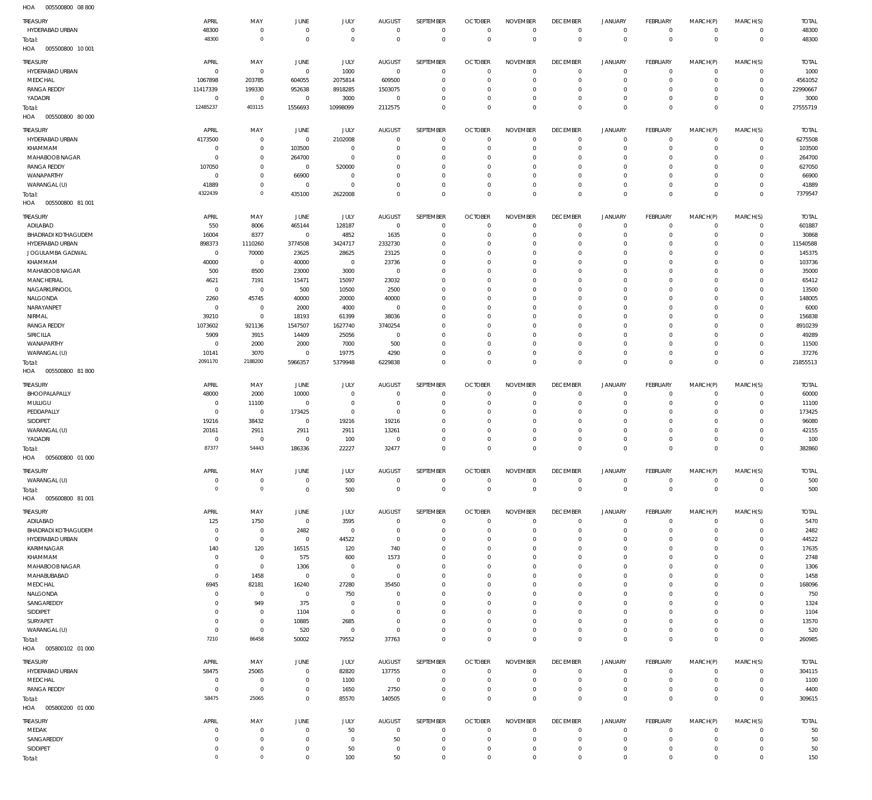| HOA<br>005500800 08 800           |                     |                                |                        |                |                                 |                             |                                  |                                |                                   |                                       |                                |                                 |                |                      |
|-----------------------------------|---------------------|--------------------------------|------------------------|----------------|---------------------------------|-----------------------------|----------------------------------|--------------------------------|-----------------------------------|---------------------------------------|--------------------------------|---------------------------------|----------------|----------------------|
| TREASURY                          | APRIL               | MAY                            | JUNE                   | <b>JULY</b>    | <b>AUGUST</b>                   | SEPTEMBER                   | <b>OCTOBER</b>                   | <b>NOVEMBER</b>                | <b>DECEMBER</b>                   | <b>JANUARY</b>                        | FEBRUARY                       | MARCH(P)                        | MARCH(S)       | <b>TOTAL</b>         |
| HYDERABAD URBAN                   | 48300               | $\overline{0}$                 | $\mathbf 0$            | $\mathbf 0$    | $\overline{0}$                  | $\overline{0}$              | $\mathbf 0$                      | $\mathbf 0$                    | $\overline{0}$                    | 0                                     | $\circ$                        | $\mathbf 0$                     | $\circ$        | 48300                |
| Total:                            | 48300               | $\mathbf{0}$                   | $\mathbf 0$            | $\mathbf 0$    | $\overline{0}$                  | $\mathbb O$                 | $\mathbf 0$                      | $\mathbf 0$                    | $\mathbb O$                       | $\mathbb O$                           | $\mathbb O$                    | $\mathbb O$                     | $\mathbb O$    | 48300                |
| HOA<br>005500800 10 001           |                     |                                |                        |                |                                 |                             |                                  |                                |                                   |                                       |                                |                                 |                |                      |
|                                   |                     |                                |                        |                |                                 |                             |                                  |                                |                                   |                                       |                                |                                 |                |                      |
| TREASURY<br>HYDERABAD URBAN       | APRIL<br>$^{\circ}$ | MAY<br>$\overline{0}$          | JUNE<br>$\overline{0}$ | JULY<br>1000   | <b>AUGUST</b><br>$\overline{0}$ | SEPTEMBER<br>$\overline{0}$ | <b>OCTOBER</b><br>$\overline{0}$ | <b>NOVEMBER</b><br>$\mathbf 0$ | <b>DECEMBER</b><br>$\overline{0}$ | <b>JANUARY</b><br>$\mathsf{O}\xspace$ | <b>FEBRUARY</b><br>$\mathbf 0$ | MARCH(P)<br>$\mathsf{O}\xspace$ | MARCH(S)       | <b>TOTAL</b><br>1000 |
| MEDCHAL                           | 1067898             | 203785                         | 604055                 | 2075814        | 609500                          | $\overline{0}$              | $\Omega$                         | $\mathbf 0$                    | $\overline{0}$                    | $\mathsf{O}\xspace$                   | $\Omega$                       | $\circ$                         | 0<br>$\circ$   | 4561052              |
| <b>RANGA REDDY</b>                | 11417339            | 199330                         | 952638                 | 8918285        | 1503075                         | $\mathbf 0$                 | $^{\circ}$                       | $\mathbf 0$                    | $\mathbf 0$                       | $\mathsf{O}\xspace$                   | 0                              | $\circ$                         | $\mathbf 0$    | 22990667             |
| YADADRI                           | $\overline{0}$      | $\overline{0}$                 | $\overline{0}$         | 3000           | $\overline{0}$                  | $\mathbf 0$                 | $\Omega$                         | $\mathbf 0$                    | $\overline{0}$                    | $\mathsf{O}\xspace$                   | $\Omega$                       | $\mathbf 0$                     | $\mathbf 0$    | 3000                 |
|                                   | 12485237            | 403115                         | 1556693                | 10998099       | 2112575                         | $\mathbf 0$                 | $\Omega$                         | $\mathbf 0$                    | $\mathbf 0$                       | $\mathbf 0$                           | $\overline{0}$                 | $\mathbf 0$                     | $\overline{0}$ | 27555719             |
| Total:<br>HOA<br>005500800 80 000 |                     |                                |                        |                |                                 |                             |                                  |                                |                                   |                                       |                                |                                 |                |                      |
|                                   |                     |                                |                        |                |                                 |                             |                                  |                                |                                   |                                       |                                |                                 |                |                      |
| TREASURY                          | APRIL               | MAY                            | JUNE                   | JULY           | <b>AUGUST</b>                   | SEPTEMBER                   | <b>OCTOBER</b>                   | <b>NOVEMBER</b>                | <b>DECEMBER</b>                   | <b>JANUARY</b>                        | FEBRUARY                       | MARCH(P)                        | MARCH(S)       | <b>TOTAL</b>         |
| HYDERABAD URBAN                   | 4173500             | $\overline{0}$                 | $\mathbf 0$            | 2102008        | $\Omega$                        | $\overline{0}$              | $\Omega$                         | $\overline{0}$                 | $\overline{0}$                    | 0                                     | $\mathbf 0$                    | $\circ$                         | $\circ$        | 6275508              |
| KHAMMAM                           | $\overline{0}$      | $\overline{0}$                 | 103500                 | $\overline{0}$ | $\Omega$                        | $\mathbf 0$                 | $\Omega$                         | $\mathbf 0$                    | $\overline{0}$                    | $\mathsf{O}\xspace$                   | $\mathbf 0$                    | $\circ$                         | $\circ$        | 103500               |
| MAHABOOB NAGAR                    | $^{\circ}$          | $\overline{0}$                 | 264700                 | $\mathbf 0$    | $\Omega$                        | $\mathbf 0$                 | $\Omega$                         | $\overline{0}$                 | 0                                 | $\circ$                               | 0                              | $\Omega$                        | $\Omega$       | 264700               |
| <b>RANGA REDDY</b>                | 107050              | $\mathbf 0$                    | $\overline{0}$         | 520000         | $\Omega$                        | $\overline{0}$              | $\Omega$                         | $\mathbf 0$                    | $\Omega$                          | $\circ$                               | $\Omega$                       | $\circ$                         | $\Omega$       | 627050               |
| WANAPARTHY                        | $^{\circ}$          | $\overline{0}$                 | 66900                  | $\overline{0}$ | $\Omega$                        | $\overline{0}$              | $\Omega$                         | $\overline{0}$                 | $\Omega$                          | $\mathbf 0$                           | $\Omega$                       | $\circ$                         | 0              | 66900                |
| WARANGAL (U)                      | 41889               | $\overline{0}$<br>$\mathbf{0}$ | $^{\circ}$             | $\mathbf 0$    | $\Omega$                        | $\mathbf 0$                 | $\Omega$                         | $\mathbf 0$                    | $\overline{0}$                    | $\mathsf{O}\xspace$                   | 0                              | $\circ$                         | $\circ$        | 41889                |
| Total:<br>HOA<br>005500800 81 001 | 4322439             |                                | 435100                 | 2622008        | $\Omega$                        | $\mathbf 0$                 | $\Omega$                         | $\overline{0}$                 | $\overline{0}$                    | $\mathbb O$                           | $\overline{0}$                 | $\overline{0}$                  | $\overline{0}$ | 7379547              |
|                                   |                     |                                |                        |                |                                 |                             |                                  |                                |                                   |                                       |                                |                                 |                |                      |
| TREASURY                          | APRIL               | MAY                            | JUNE                   | JULY           | <b>AUGUST</b>                   | SEPTEMBER                   | <b>OCTOBER</b>                   | <b>NOVEMBER</b>                | <b>DECEMBER</b>                   | <b>JANUARY</b>                        | <b>FEBRUARY</b>                | MARCH(P)                        | MARCH(S)       | <b>TOTAL</b>         |
| ADILABAD                          | 550                 | 8006                           | 465144                 | 128187         | $\overline{0}$                  | $\overline{0}$              | $\overline{0}$                   | $^{\circ}$                     | $\overline{0}$                    | $\mathsf{O}\xspace$                   | $\mathbf 0$                    | $\mathbf 0$                     | 0              | 601887               |
| <b>BHADRADI KOTHAGUDEM</b>        | 16004               | 8377                           | $\overline{0}$         | 4852           | 1635                            | $\mathbf 0$                 | $\Omega$                         | $\mathbf 0$                    | $\overline{0}$                    | $\mathbf 0$                           | $\mathbf 0$                    | $\mathbf 0$                     | $\circ$        | 30868                |
| HYDERABAD URBAN                   | 898373              | 1110260                        | 3774508                | 3424717        | 2332730                         | $\overline{0}$              | $\Omega$                         | $\overline{0}$                 | 0                                 | $\mathsf{O}\xspace$                   | $\Omega$                       | $\circ$                         | $\mathbf 0$    | 11540588             |
| JOGULAMBA GADWAL                  | $^{\circ}$          | 70000                          | 23625                  | 28625          | 23125                           | $\mathbf 0$                 | $\Omega$                         | $\mathbf 0$                    | $\Omega$                          | $\mathbf 0$                           | $\Omega$                       | $\circ$                         | $\Omega$       | 145375               |
| KHAMMAM                           | 40000               | $\overline{0}$                 | 40000                  | $\overline{0}$ | 23736                           | $\mathbf 0$                 | $\Omega$                         | $\mathbf 0$                    | $\Omega$                          | $\mathbf 0$                           | $\Omega$                       | $\circ$                         | 0              | 103736               |
| MAHABOOB NAGAR                    | 500                 | 8500                           | 23000                  | 3000           | $\overline{0}$                  | $\mathbf 0$                 | $\Omega$                         | $\mathbf 0$                    | $\Omega$                          | $\mathbf 0$                           | $\Omega$                       | $\circ$                         | $\Omega$       | 35000                |
| MANCHERIAL                        | 4621                | 7191                           | 15471                  | 15097          | 23032                           | $\mathbf 0$                 | $\Omega$                         | $\mathbf 0$                    | $\Omega$                          | $\mathbf 0$                           | $\Omega$                       | $\circ$                         | 0              | 65412                |
| NAGARKURNOOL                      | $^{\circ}$          | $\overline{0}$                 | 500                    | 10500          | 2500                            | $\mathbf 0$                 | $\Omega$                         | $\mathbf 0$                    | $\Omega$                          | $\mathbf 0$                           | $\Omega$                       | $\circ$                         | $\Omega$       | 13500                |
| NALGONDA                          | 2260                | 45745                          | 40000                  | 20000          | 40000                           | $\mathbf 0$                 | $\Omega$                         | $\mathbf 0$                    | $\Omega$                          | $\mathbf 0$                           | $\Omega$                       | $\circ$                         | 0              | 148005               |
| NARAYANPET                        | $^{\circ}$          | $\overline{0}$                 | 2000                   | 4000           | $^{\circ}$                      | $\mathbf 0$                 | $\Omega$                         | $\overline{0}$                 | $\Omega$                          | $\mathbf 0$                           | $\Omega$                       | $\circ$                         | $\Omega$       | 6000                 |
| NIRMAL                            | 39210               | $\overline{0}$                 | 18193                  | 61399          | 38036                           | $\mathbf 0$                 | $\Omega$                         | $\mathbf 0$                    | 0                                 | $\mathsf{O}\xspace$                   | $\Omega$                       | $\circ$                         | 0              | 156838               |
| <b>RANGA REDDY</b>                | 1073602             | 921136                         | 1547507                | 1627740        | 3740254                         | $\mathbf 0$                 | $\Omega$                         | $\mathbf 0$                    | $\Omega$                          | $\mathbf 0$                           | $\Omega$                       | $\circ$                         | $\Omega$       | 8910239              |
| SIRICILLA                         | 5909                | 3915                           | 14409                  | 25056          | $\mathbf 0$                     | $\mathbf 0$                 | $\Omega$                         | $\mathbf 0$                    | 0                                 | $\mathbf 0$                           | $\Omega$                       | $\circ$                         | 0              | 49289                |
| WANAPARTHY                        | 0                   | 2000                           | 2000                   | 7000           | 500                             | $\mathbf 0$                 | $\Omega$                         | $\mathbf 0$                    | $\Omega$                          | $\mathbf 0$                           | $\Omega$                       | $\mathbf 0$                     | $\mathbf 0$    | 11500                |
| WARANGAL (U)                      | 10141<br>2091170    | 3070<br>2188200                | $\overline{0}$         | 19775          | 4290                            | $\mathbf 0$                 | $\Omega$<br>$\Omega$             | $\mathbf 0$                    | $\overline{0}$                    | $\mathsf{O}\xspace$<br>$\mathbb O$    | $\Omega$<br>$\overline{0}$     | $\mathbf 0$                     | $\circ$        | 37276                |
| Total:<br>HOA<br>005500800 81 800 |                     |                                | 5966357                | 5379948        | 6229838                         | $\mathbf 0$                 |                                  | $\mathbf 0$                    | $\mathbb O$                       |                                       |                                | $\mathbb O$                     | $\mathbb O$    | 21855513             |
|                                   |                     |                                |                        |                |                                 |                             |                                  |                                |                                   |                                       |                                |                                 |                |                      |
| TREASURY                          | APRIL               | MAY                            | JUNE                   | <b>JULY</b>    | <b>AUGUST</b>                   | SEPTEMBER                   | <b>OCTOBER</b>                   | <b>NOVEMBER</b>                | <b>DECEMBER</b>                   | <b>JANUARY</b>                        | FEBRUARY                       | MARCH(P)                        | MARCH(S)       | <b>TOTAL</b>         |
| BHOOPALAPALLY                     | 48000               | 2000                           | 10000                  | $\overline{0}$ | $\Omega$                        | $\overline{0}$              | $\Omega$                         | $\Omega$                       | $\overline{0}$                    | $\circ$                               | $\mathbf 0$                    | $\mathbf 0$                     | $\circ$        | 60000                |
| MULUGU                            | $\Omega$            | 11100                          | $\overline{0}$         | $\overline{0}$ | $\overline{0}$                  | $\mathbf 0$                 | $^{\circ}$                       | $\mathbf 0$                    | $\overline{0}$                    | $\mathsf{O}\xspace$                   | $\mathbf 0$                    | $\circ$                         | $\circ$        | 11100                |
| PEDDAPALLY                        | $\Omega$            | $\overline{0}$                 | 173425                 | $\mathbf 0$    | $^{\circ}$                      | $\mathbf 0$                 | $\Omega$                         | $\mathbf 0$                    | 0                                 | $\circ$                               | $\Omega$                       | $\Omega$                        | 0              | 173425               |
| SIDDIPET                          | 19216               | 38432                          | $\mathbf 0$            | 19216          | 19216                           | $\mathbf 0$                 | $\Omega$                         | $\mathbf 0$                    | $\mathbf{0}$                      | $\mathbf 0$                           | $\Omega$                       | $\circ$                         | $\circ$        | 96080                |
| WARANGAL (U)                      | 20161               | 2911                           | 2911                   | 2911           | 13261                           | $\mathbf 0$                 | $\Omega$                         | $\overline{0}$                 | $\Omega$                          | $\circ$                               | $\Omega$                       | $\mathbf 0$                     | 0              | 42155                |
| YADADRI                           | $\Omega$            | $\Omega$                       | $\Omega$               | 100            | $\Omega$                        | $^{\circ}$                  | $\Omega$                         | $^{\circ}$                     | $\Omega$                          | $\mathbf 0$                           | $\Omega$                       | $\circ$                         | $\Omega$       | 100                  |
| Total:                            | 87377               | 54443                          | 186336                 | 22227          | 32477                           | $\overline{0}$              | $^{\circ}$                       | $\overline{0}$                 | $\overline{0}$                    | $\mathbf 0$                           | $\Omega$                       | $\overline{0}$                  | $\overline{0}$ | 382860               |
| HOA<br>005600800 01 000           |                     |                                |                        |                |                                 |                             |                                  |                                |                                   |                                       |                                |                                 |                |                      |
| TREASURY                          | APRIL               | MAY                            | JUNE                   | JULY           | <b>AUGUST</b>                   | SEPTEMBER                   | <b>OCTOBER</b>                   | <b>NOVEMBER</b>                | <b>DECEMBER</b>                   | <b>JANUARY</b>                        | <b>FEBRUARY</b>                | MARCH(P)                        | MARCH(S)       | <b>TOTAL</b>         |
| WARANGAL (U)                      | 0                   | $\overline{0}$                 | $\overline{0}$         | 500            | $\mathbf 0$                     | $\overline{0}$              | $\overline{0}$                   | $\mathbf 0$                    | $\,0\,$                           | $\mathsf{O}\xspace$                   | $\mathbf 0$                    | $\mathsf{O}\xspace$             | $\mathbf 0$    | 500                  |
| Total:                            | $\Omega$            | $\mathbf{0}$                   | $\mathbf 0$            | 500            | $\Omega$                        | $\mathbb O$                 | $\overline{0}$                   | $\mathbb O$                    | $\mathbf 0$                       | $\mathbb O$                           | $\mathbb O$                    | $\mathbb O$                     | $\mathbb O$    | 500                  |
| HOA<br>005600800 81 001           |                     |                                |                        |                |                                 |                             |                                  |                                |                                   |                                       |                                |                                 |                |                      |
| TREASURY                          | APRIL               | MAY                            | JUNE                   | JULY           | <b>AUGUST</b>                   | SEPTEMBER                   | <b>OCTOBER</b>                   | <b>NOVEMBER</b>                | <b>DECEMBER</b>                   | <b>JANUARY</b>                        | FEBRUARY                       | MARCH(P)                        | MARCH(S)       | <b>TOTAL</b>         |
| ADILABAD                          | 125                 | 1750                           | $\overline{0}$         | 3595           | $\mathbf 0$                     | $\overline{0}$              | $\Omega$                         | $\overline{0}$                 | $\overline{0}$                    | 0                                     | $\mathbf 0$                    | $\mathbf 0$                     | $\circ$        | 5470                 |
| BHADRADI KOTHAGUDEM               | $\Omega$            | $\overline{0}$                 | 2482                   | $\mathbf 0$    | $\Omega$                        | $\mathbf 0$                 | $\Omega$                         | $\Omega$                       | $\Omega$                          | $\mathbf 0$                           | $\mathbf 0$                    | $\circ$                         | $\circ$        | 2482                 |
| HYDERABAD URBAN                   | $\overline{0}$      | $\mathbf 0$                    | $\mathbf 0$            | 44522          | $\mathbf 0$                     | $\overline{0}$              | $\Omega$                         | $^{\circ}$                     | $\Omega$                          | $\circ$                               | $\Omega$                       | $\Omega$                        | $\Omega$       | 44522                |
| KARIMNAGAR                        | 140                 | 120                            | 16515                  | 120            | 740                             | $\overline{0}$              | $\Omega$                         | $\Omega$                       | $\Omega$                          | $\circ$                               | $\Omega$                       | $\Omega$                        | $\Omega$       | 17635                |
| KHAMMAM                           | $^{\circ}$          | $\overline{0}$                 | 575                    | 600            | 1573                            | $\overline{0}$              | $\Omega$                         | $\Omega$                       | $\Omega$                          | $\circ$                               | $\Omega$                       | $\Omega$                        | $\Omega$       | 2748                 |
| MAHABOOB NAGAR                    | $\overline{0}$      | $\mathbf 0$                    | 1306                   | $\overline{0}$ | $^{\circ}$                      | $\overline{0}$              | $\Omega$                         | $^{\circ}$                     | $\Omega$                          | $\mathbf 0$                           | $\Omega$                       | $\circ$                         | 0              | 1306                 |
| MAHABUBABAD                       | $\overline{0}$      | 1458                           | $\mathbf 0$            | $\mathbf 0$    | $^{\circ}$                      | $\Omega$                    | $\Omega$                         | $\Omega$                       | $\Omega$                          | $\mathbf 0$                           | $\Omega$                       | $\Omega$                        | $\Omega$       | 1458                 |
| MEDCHAL                           | 6945                | 82181                          | 16240                  | 27280          | 35450                           | $\overline{0}$              | $\Omega$                         | $^{\circ}$                     | $\Omega$                          | $\circ$                               | $\Omega$                       | $\Omega$                        | $\Omega$       | 168096               |
| NALGONDA                          | $\Omega$            | $\mathbf 0$                    | $\mathbf 0$            | 750            | $\Omega$                        | $\mathbf 0$                 | $\Omega$                         | $\Omega$                       | $\Omega$                          | $\mathbf 0$                           | $\Omega$                       | $\Omega$                        | $\Omega$       | 750                  |
| SANGAREDDY                        | $\Omega$            | 949                            | 375                    | $\overline{0}$ | $\Omega$                        | $\overline{0}$              | $\Omega$                         | $^{\circ}$                     | $\mathbf{0}$                      | $\mathbf 0$                           | $\Omega$                       | $\circ$                         | $\Omega$       | 1324                 |
| SIDDIPET                          | $\Omega$            | $\mathbf 0$                    | 1104                   | $\mathbf 0$    | $\Omega$                        | $\mathbf 0$                 | $\Omega$                         | $\Omega$                       | $\Omega$                          | $\circ$                               | $\Omega$                       | $\Omega$                        | $\Omega$       | 1104                 |
| SURYAPET                          | $\Omega$            | $\overline{0}$                 | 10885                  | 2685           | $\Omega$                        | $^{\circ}$                  | $\Omega$                         | $^{\circ}$                     | $\Omega$                          | $\circ$                               | $\Omega$                       | $\Omega$                        | $\Omega$       | 13570                |
| WARANGAL (U)                      | $^{\circ}$          | $\overline{0}$                 | 520                    | $\mathbf 0$    | $\overline{0}$                  | $\mathbf 0$                 | $\Omega$                         | $\mathbf 0$                    | $\overline{0}$                    | $\mathbf 0$                           | $\mathbf 0$                    | $\circ$                         | 0              | 520                  |
| Total:                            | 7210                | 86458                          | 50002                  | 79552          | 37763                           | $\mathbf 0$                 | $\Omega$                         | $\overline{0}$                 | $\circ$                           | $\mathbb O$                           | $\circ$                        | $\circ$                         | $\circ$        | 260985               |
| HOA<br>005800102 01 000           |                     |                                |                        |                |                                 |                             |                                  |                                |                                   |                                       |                                |                                 |                |                      |
| TREASURY                          | APRIL               | MAY                            | <b>JUNE</b>            | JULY           | <b>AUGUST</b>                   | SEPTEMBER                   | <b>OCTOBER</b>                   | <b>NOVEMBER</b>                | <b>DECEMBER</b>                   | JANUARY                               | FEBRUARY                       | MARCH(P)                        | MARCH(S)       | <b>TOTAL</b>         |
| HYDERABAD URBAN                   | 58475               | 25065                          | $\overline{0}$         | 82820          | 137755                          | $\overline{0}$              | $^{\circ}$                       | $\mathbf 0$                    | $\overline{0}$                    | $\mathsf{O}\xspace$                   | $\mathbf 0$                    | $\circ$                         | $\circ$        | 304115               |
| MEDCHAL                           | 0                   | $\overline{0}$                 | $\mathbf 0$            | 1100           | $\mathbf 0$                     | $\overline{0}$              | $\overline{0}$                   | $\overline{0}$                 | $\overline{0}$                    | $\mathsf{O}\xspace$                   | 0                              | $\circ$                         | $\mathbf 0$    | 1100                 |
| <b>RANGA REDDY</b>                | $\Omega$            | $\overline{0}$                 | $\mathbf 0$            | 1650           | 2750                            | $\mathbf 0$                 | $^{\circ}$                       | $\mathbf 0$                    | $\overline{0}$                    | $\mathsf{O}\xspace$                   | $\mathbf 0$                    | $\mathbf 0$                     | $\mathbf 0$    | 4400                 |
| Total:                            | 58475               | 25065                          | $\mathbf 0$            | 85570          | 140505                          | $\mathbf 0$                 | $\Omega$                         | $\mathbf 0$                    | $\mathbb O$                       | $\mathbb O$                           | $\circ$                        | $\mathbb O$                     | $\mathbf 0$    | 309615               |
| HOA<br>005800200 01 000           |                     |                                |                        |                |                                 |                             |                                  |                                |                                   |                                       |                                |                                 |                |                      |
| TREASURY                          | APRIL               | MAY                            | <b>JUNE</b>            | <b>JULY</b>    | <b>AUGUST</b>                   | SEPTEMBER                   | <b>OCTOBER</b>                   | <b>NOVEMBER</b>                | <b>DECEMBER</b>                   | <b>JANUARY</b>                        | <b>FEBRUARY</b>                | MARCH(P)                        | MARCH(S)       | <b>TOTAL</b>         |
| MEDAK                             | $\Omega$            | $\overline{0}$                 | $\overline{0}$         | 50             | $\overline{0}$                  | $\overline{0}$              | $^{\circ}$                       | $^{\circ}$                     | $\overline{0}$                    | 0                                     | $\mathbf 0$                    | 0                               | $\circ$        | 50                   |
| SANGAREDDY                        | $\Omega$            | $\mathbf 0$                    | $\overline{0}$         | $\mathbf 0$    | 50                              | $\overline{0}$              | $^{\circ}$                       | $\mathbf 0$                    | $\overline{0}$                    | $\mathsf{O}\xspace$                   | $\mathbf 0$                    | $\mathbf 0$                     | $\circ$        | 50                   |
| SIDDIPET                          | $\overline{0}$      | $\overline{0}$                 | $\overline{0}$         | 50             | $\overline{0}$                  | $\overline{0}$              | $\overline{0}$                   | $\overline{0}$                 | $\overline{0}$                    | $\mathsf{O}\xspace$                   | $\circ$                        | $\mathbf 0$                     | 0              | 50                   |
| Total:                            | $\mathbf{0}$        | $\mathbf{0}$                   | $\mathbf 0$            | 100            | 50                              | $\mathbf 0$                 | $\mathbf 0$                      | $\mathbf 0$                    | $\mathbf 0$                       | $\mathbf 0$                           | $\mathbf 0$                    | $\mathbf 0$                     | $\mathbf 0$    | 150                  |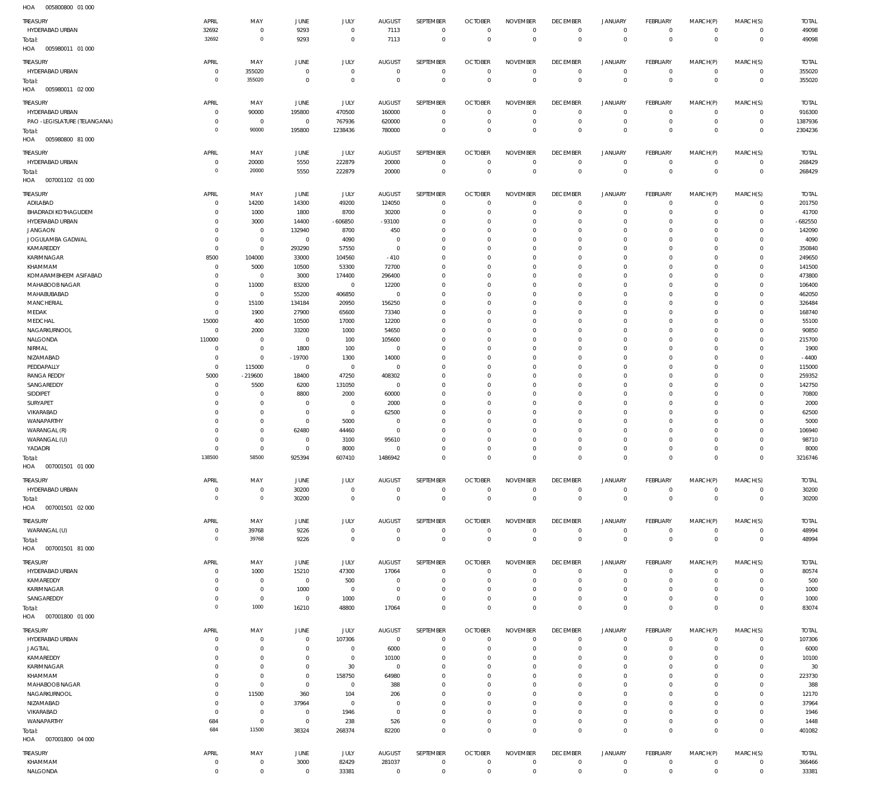005800800 01 000 HOA 005980011 01 000 HOA 005980011 02 000 HOA 005980800 81 000 HOA 007001102 01 000 007001501 01 000 HOA 007001501 02 000 HOA 007001501 81 000 HOA 007001800 01 000 HOA 007001800 04 000 HOA HOA  $\Omega$  $\overline{0}$   $\overline{0}$   $\Omega$   $\Omega$  $\overline{0}$   $\Omega$  $\overline{0}$   $\overline{0}$   $\mathbf 0$   $\boldsymbol{0}$   $\overline{0}$  HYDERABAD URBAN HYDERABAD URBAN HYDERABAD URBAN PAO -LEGISLATURE (TELANGANA) HYDERABAD URBAN ADILABAD BHADRADI KOTHAGUDEM HYDERABAD URBAN JANGAON JOGULAMBA GADWAL KAMAREDDY KARIMNAGAR KHAMMAM KOMARAMBHEEM ASIFABAD MAHABOOB NAGAR MAHABUBABAD **MANCHERIAL** MEDAK **MEDCHAL** NAGARKURNOOL NALGONDA NIRMAL NIZAMABAD **PEDDAPALLY** RANGA REDDY SANGAREDDY SIDDIPET SURYAPET VIKARABAD WANAPARTHY WARANGAL (R) WARANGAL (U) YADADRI HYDERABAD URBAN WARANGAL (U) HYDERABAD URBAN KAMAREDDY KARIMNAGAR **SANGAREDDY** HYDERABAD URBAN JAGTIAL KAMAREDDY KARIMNAGAR KHAMMAM MAHABOOB NAGAR NAGARKURNOOL NIZAMABAD VIKARABAD WANAPARTHY KHAMMAM TREASURY TREASURY TREASURY TREASURY TREASURY TREASURY **TREASURY** TREASURY TREASURY TREASURY  $\overline{0}$   $\Omega$   $\Omega$  $\overline{0}$   $\overline{0}$  $\Omega$   $\Omega$   $\overline{0}$   $\Omega$  $\overline{0}$   $\overline{0}$   $\Omega$   $\Omega$  $\overline{0}$  $\Omega$   $\Omega$  $\overline{0}$  $\Omega$  APRIL APRIL APRIL APRIL APRIL APRIL APRIL APRIL APRIL APRIL  $\sqrt{0}$   $\,$  0  $\,$   $\Omega$   $\mathbf 0$  -219600  $\Omega$   $\Omega$  $\,$  0  $\,$   $\Omega$   $\Omega$   $\Omega$  $\,$  0  $\,$ MAY MAY MAY MAY MAY MAY MAY MAY MAY MAY  $\sqrt{0}$  -19700  $\Omega$   $\Omega$   $\Omega$   $\boldsymbol{0}$  $\Omega$   $\sqrt{0}$  JUNE JUNE **JUNE** JUNE JUNE JUNE **JUNE** JUNE JUNE JUNE -606850  $\Omega$   $\Omega$   $\Omega$  JULY JULY JULY JULY JULY JULY JULY JULY JULY JULY -93100 -410  $\Omega$   $\Omega$   $\Omega$  AUGUST AUGUST AUGUST AUGUST AUGUST AUGUST **AUGUST** AUGUST AUGUST AUGUST  $\Omega$  $\,$  0  $\,$   $\Omega$   $\Omega$   $\Omega$   $\Omega$   $\Omega$   $\Omega$   $\Omega$   $\Omega$   $\Omega$   $\Omega$   $\Omega$  $\,$  0  $\,$ SEPTEMBER SEPTEMBER SEPTEMBER SEPTEMBER SEPTEMBER SEPTEMBER **SEPTEMBER** SEPTEMBER SEPTEMBER SEPTEMBER  $\Omega$   $\Omega$   $\Omega$  $\Omega$   $\Omega$   $\Omega$   $\Omega$   $\Omega$   $\Omega$   $\Omega$  $\overline{0}$   $\Omega$   $\Omega$  $\Omega$  $\overline{0}$  $\Omega$   $\Omega$  OCTOBER **OCTOBER OCTOBER OCTOBER** OCTOBER OCTOBER OCTOBER OCTOBER **OCTOBER OCTOBER**   $\Omega$   $\Omega$   $\Omega$   $\Omega$   $\Omega$   $\Omega$   $\Omega$   $\Omega$  $\overline{0}$   $\Omega$   $\Omega$   $\Omega$   $\Omega$   $\Omega$   $\Omega$  NOVEMBER NOVEMBER NOVEMBER NOVEMBER NOVEMBER NOVEMBER NOVEMBER NOVEMBER NOVEMBER NOVEMBER  $\Omega$   $\Omega$  $\overline{0}$   $\Omega$  $\overline{0}$  $\Omega$   $\Omega$   $\Omega$  $\overline{0}$  $\Omega$  $\overline{0}$   $\Omega$  $\overline{0}$   $\Omega$   $\Omega$   $\Omega$  $\overline{0}$  $\Omega$   $\Omega$  DECEMBER DECEMBER **DECEMBER** DECEMBER DECEMBER DECEMBER **DECEMBER** DECEMBER DECEMBER DECEMBER  $\Omega$   $\Omega$   $\Omega$   $\Omega$   $\Omega$   $\Omega$   $\Omega$   $\Omega$   $\Omega$   $\Omega$  JANUARY JANUARY JANUARY JANUARY JANUARY JANUARY JANUARY JANUARY JANUARY JANUARY  $\Omega$   $\Omega$   $\Omega$   $\Omega$   $\Omega$   $\Omega$  $\overline{0}$   $\Omega$   $\Omega$   $\Omega$   $\Omega$   $\Omega$  FEBRUARY FEBRUARY FEBRUARY FEBRUARY FEBRUARY FEBRUARY **FFBRUARY** FEBRUARY FEBRUARY FEBRUARY  $\Omega$   $\Omega$   $\Omega$  $\Omega$   $\Omega$   $\Omega$   $\Omega$   $\Omega$  $\overline{0}$   $\Omega$   $\Omega$   $\Omega$   $\Omega$   $\Omega$   $\Omega$  MARCH(P) MARCH(P) MARCH(P) MARCH(P) MARCH(P) MARCH(P) MARCH(P) MARCH(P) MARCH(P) MARCH(P)  $\Omega$   $\Omega$   $\Omega$  $\Omega$   $\Omega$   $\Omega$   $\Omega$   $\Omega$   $\Omega$   $\Omega$   $\Omega$   $\Omega$   $\Omega$   $\Omega$   $\Omega$  MARCH(S) MARCH(S) MARCH(S) MARCH(S) MARCH(S) MARCH(S) MARCH(S) MARCH(S) MARCH(S) MARCH(S) -682550 -4400 TOTAL TOTAL TOTAL TOTAL TOTAL TOTAL TOTAL TOTAL TOTAL TOTAL Total: Total: Total: Total: Total: Total: Total: Total: Total:

NALGONDA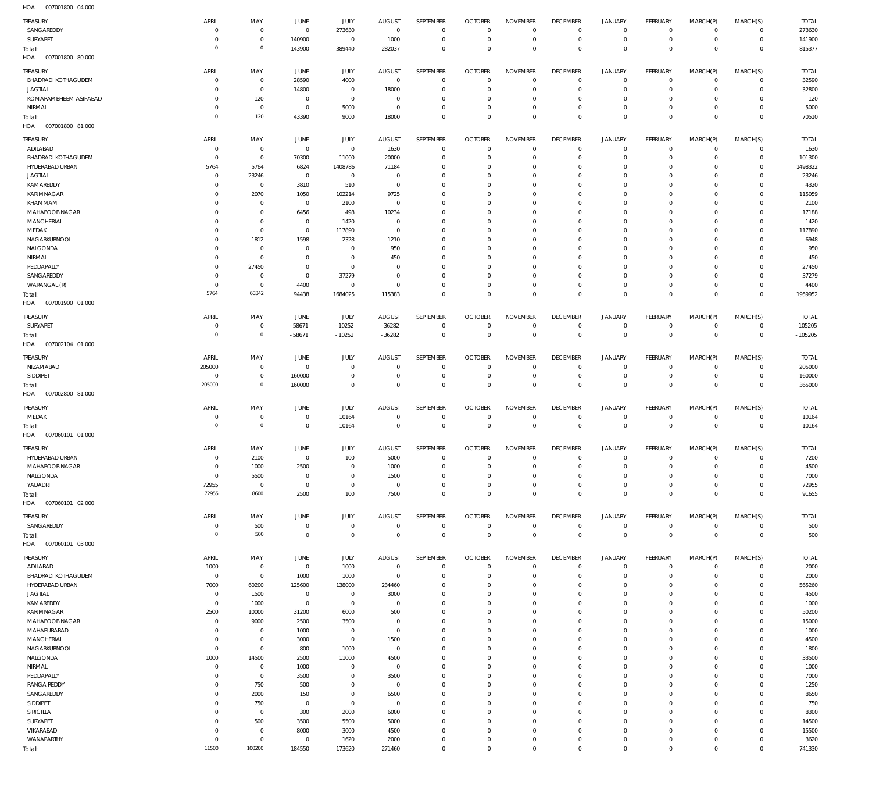007001800 04 000 HOA

| TREASURY                                      | APRIL                       | MAY                              | <b>JUNE</b>                   | JULY                       | <b>AUGUST</b>              | SEPTEMBER                        | <b>OCTOBER</b>                   | <b>NOVEMBER</b>                  | <b>DECEMBER</b>               | <b>JANUARY</b>                 | FEBRUARY                         | MARCH(P)                   | MARCH(S)                         | <b>TOTAL</b>     |
|-----------------------------------------------|-----------------------------|----------------------------------|-------------------------------|----------------------------|----------------------------|----------------------------------|----------------------------------|----------------------------------|-------------------------------|--------------------------------|----------------------------------|----------------------------|----------------------------------|------------------|
| SANGAREDDY<br>SURYAPET                        | $\mathbf 0$<br>$\mathbf 0$  | $\overline{0}$<br>$\overline{0}$ | $\mathbf 0$<br>140900         | 273630<br>$\,0\,$          | $\overline{0}$<br>1000     | $\mathbf 0$<br>$\mathbf 0$       | $\Omega$<br>$^{\circ}$           | $\mathbf 0$<br>$\,0\,$           | $^{\circ}$<br>$\mathbf 0$     | 0<br>$\mathsf{O}$              | $\overline{0}$<br>$\overline{0}$ | $\mathbf 0$<br>$\circ$     | $\circ$<br>$\overline{0}$        | 273630<br>141900 |
| Total:<br>HOA<br>007001800 80 000             | $\mathbf 0$                 | $\overline{0}$                   | 143900                        | 389440                     | 282037                     | $\overline{0}$                   | $\Omega$                         | $\mathbb O$                      | $\mathbf 0$                   | $\mathbf 0$                    | $\overline{0}$                   | $\mathbf 0$                | $\overline{0}$                   | 815377           |
| TREASURY                                      | APRIL                       | MAY                              | <b>JUNE</b>                   | JULY                       | <b>AUGUST</b>              | SEPTEMBER                        | <b>OCTOBER</b>                   | <b>NOVEMBER</b>                  | <b>DECEMBER</b>               | <b>JANUARY</b>                 | FEBRUARY                         | MARCH(P)                   | MARCH(S)                         | <b>TOTAL</b>     |
| <b>BHADRADI KOTHAGUDEM</b>                    | $\mathbf 0$                 | $\overline{0}$                   | 28590                         | 4000                       | $\overline{0}$             | $^{\circ}$                       | $\Omega$                         | $\overline{0}$                   | $\mathbf{0}$                  | 0                              | $\mathbf 0$                      | $\mathbf 0$                | $\overline{0}$                   | 32590            |
| <b>JAGTIAL</b>                                | $\mathbf 0$                 | $\overline{0}$                   | 14800                         | $\overline{0}$             | 18000                      | $^{\circ}$                       | $\Omega$                         | $\Omega$                         | $\circ$                       | $\mathbf 0$                    | $^{\circ}$                       | $\Omega$                   | $\circ$                          | 32800            |
| KOMARAMBHEEM ASIFABAD                         | $\mathbf 0$                 | 120                              | $\mathbf 0$                   | $\mathbf 0$                | $\mathbf 0$                | $^{\circ}$                       | $\Omega$                         | $\overline{0}$                   | $\circ$                       | $\mathsf{O}$                   | $^{\circ}$                       | $\mathbf 0$                | $\mathbf{0}$                     | 120              |
| NIRMAL                                        | $\mathbf 0$<br>$\mathbf 0$  | $\overline{0}$<br>120            | $\overline{0}$<br>43390       | 5000<br>9000               | $\overline{0}$<br>18000    | $^{\circ}$<br>$\mathbf 0$        | $\Omega$<br>$\Omega$             | $\overline{0}$<br>$\mathbb O$    | $\circ$<br>$\mathbf 0$        | $\mathbf 0$<br>$\mathbf 0$     | $^{\circ}$<br>$\mathbf 0$        | $\mathbf 0$<br>$\mathbf 0$ | $\mathbf{0}$<br>$\overline{0}$   | 5000<br>70510    |
| Total:<br>HOA<br>007001800 81 000             |                             |                                  |                               |                            |                            |                                  |                                  |                                  |                               |                                |                                  |                            |                                  |                  |
| TREASURY                                      | <b>APRIL</b><br>$\mathbf 0$ | MAY                              | JUNE                          | <b>JULY</b>                | <b>AUGUST</b>              | SEPTEMBER<br>$^{\circ}$          | <b>OCTOBER</b><br>$\Omega$       | <b>NOVEMBER</b><br>$\mathbb O$   | <b>DECEMBER</b><br>$^{\circ}$ | <b>JANUARY</b><br>$\mathsf{O}$ | FEBRUARY<br>$\overline{0}$       | MARCH(P)<br>$\mathbf 0$    | MARCH(S)                         | <b>TOTAL</b>     |
| ADILABAD<br><b>BHADRADI KOTHAGUDEM</b>        | $\mathbf 0$                 | $\overline{0}$<br>$\overline{0}$ | $\overline{0}$<br>70300       | $\,0\,$<br>11000           | 1630<br>20000              | $^{\circ}$                       | $\sqrt{ }$                       | $\overline{0}$                   | 0                             | $\mathbf 0$                    | $\mathbf 0$                      | $\mathbf 0$                | $\overline{0}$<br>$\circ$        | 1630<br>101300   |
| HYDERABAD URBAN                               | 5764                        | 5764                             | 6824                          | 1408786                    | 71184                      | $^{\circ}$                       | $\Omega$                         | $\overline{0}$                   | $\Omega$                      | $\mathsf{O}$                   | $^{\circ}$                       | $\mathbf 0$                | $\mathbf{0}$                     | 1498322          |
| <b>JAGTIAL</b>                                | $\mathbf 0$                 | 23246                            | $\overline{0}$                | $\,0\,$                    | - 0                        | $^{\circ}$                       | n                                | $\overline{0}$                   | 0                             | 0                              | $^{\circ}$                       | $\Omega$                   | $\circ$                          | 23246            |
| KAMAREDDY                                     | $\mathbf 0$                 | $\overline{0}$                   | 3810                          | 510                        | - 0                        | $^{\circ}$                       | $\Omega$                         | $\overline{0}$                   | $\Omega$                      | $\mathbf 0$                    | $^{\circ}$                       | $\Omega$                   | $\mathbf{0}$                     | 4320             |
| KARIMNAGAR<br>KHAMMAM                         | $\mathbf 0$<br>$\mathbf 0$  | 2070<br>$\overline{0}$           | 1050<br>$\mathbf{0}$          | 102214<br>2100             | 9725<br>$^{\circ}$         | $\mathbf{0}$<br>$\Omega$         | $\Omega$<br>$\Omega$             | $\overline{0}$<br>$\overline{0}$ | 0<br>$\Omega$                 | 0<br>$\mathbf 0$               | $^{\circ}$<br>$^{\circ}$         | $\Omega$<br>$\Omega$       | $\mathbf{0}$<br>$\mathbf{0}$     | 115059<br>2100   |
| MAHABOOB NAGAR                                | $\mathbf 0$                 | $\overline{0}$                   | 6456                          | 498                        | 10234                      | $\mathbf{0}$                     | $\Omega$                         | $\overline{0}$                   | $\circ$                       | 0                              | $^{\circ}$                       | $\Omega$                   | $\mathbf{0}$                     | 17188            |
| MANCHERIAL                                    | $\mathbf 0$                 | $\overline{0}$                   | $\mathbf 0$                   | 1420                       | $^{\circ}$                 | $\Omega$                         | $\Omega$                         | $\mathbb O$                      | $\Omega$                      | $\mathbf 0$                    | $^{\circ}$                       | $\Omega$                   | $\mathbf{0}$                     | 1420             |
| MEDAK                                         | $\mathbf 0$                 | $\overline{0}$                   | $\mathbf 0$                   | 117890                     | $\overline{0}$             | $\mathbf{0}$                     | $\Omega$                         | $\overline{0}$                   | $\circ$                       | 0                              | $^{\circ}$                       | 0                          | $\mathbf{0}$                     | 117890           |
| NAGARKURNOOL<br>NALGONDA                      | $\mathbf 0$<br>$\mathbf 0$  | 1812<br>$\overline{0}$           | 1598<br>$\mathbf 0$           | 2328<br>$\overline{0}$     | 1210<br>950                | $\Omega$<br>$^{\circ}$           | $\Omega$<br>$\Omega$             | $\mathbb O$<br>$\overline{0}$    | $\Omega$<br>$\circ$           | $\mathbf 0$<br>0               | $^{\circ}$<br>$^{\circ}$         | $\Omega$<br>0              | $\mathbf{0}$<br>$\mathbf{0}$     | 6948<br>950      |
| NIRMAL                                        | $\mathbf 0$                 | $\overline{0}$                   | $\mathbf 0$                   | $\mathbf 0$                | 450                        | $\Omega$                         | $\Omega$                         | $\mathbb O$                      | $\Omega$                      | $\mathbf 0$                    | $^{\circ}$                       | $\Omega$                   | $\mathbf 0$                      | 450              |
| PEDDAPALLY                                    | $\mathbf 0$                 | 27450                            | $\mathbf 0$                   | $\,0\,$                    | - 0                        | $^{\circ}$                       | $\Omega$                         | $\overline{0}$                   | $\circ$                       | 0                              | $^{\circ}$                       | 0                          | $\mathbf{0}$                     | 27450            |
| SANGAREDDY                                    | $\mathbf 0$                 | $\overline{0}$                   | $\mathbf{0}$                  | 37279                      | $\Omega$                   | $\Omega$                         | $\Omega$                         | $\mathbb O$                      | $\Omega$                      | $\mathbf 0$                    | $^{\circ}$                       | $\mathbf 0$                | $\mathbf{0}$                     | 37279            |
| WARANGAL (R)                                  | $\mathbf 0$                 | $\overline{0}$                   | 4400                          | $\,0\,$                    | $\overline{0}$             | $\mathbf{0}$                     | $\Omega$                         | $\mathbb O$                      | $^{\circ}$                    | $\mathsf{O}$                   | $\mathbf 0$                      | $\mathbf 0$                | $\circ$                          | 4400             |
| Total:<br>HOA<br>007001900 01 000             | 5764                        | 60342                            | 94438                         | 1684025                    | 115383                     | $\Omega$                         | $\Omega$                         | $\mathbb O$                      | $^{\circ}$                    | $\mathbf 0$                    | $\overline{0}$                   | $\mathbf 0$                | $\overline{0}$                   | 1959952          |
| TREASURY                                      | APRIL                       | MAY                              | <b>JUNE</b>                   | JULY                       | <b>AUGUST</b>              | SEPTEMBER                        | <b>OCTOBER</b>                   | <b>NOVEMBER</b>                  | <b>DECEMBER</b>               | <b>JANUARY</b>                 | FEBRUARY                         | MARCH(P)                   | MARCH(S)                         | <b>TOTAL</b>     |
| SURYAPET                                      | $\mathbf 0$                 | $\overline{0}$                   | $-58671$                      | $-10252$                   | $-36282$                   | $^{\circ}$                       | $\overline{0}$                   | $\overline{0}$                   | $^{\circ}$                    | 0                              | $\mathbf 0$                      | $\mathbf 0$                | $\overline{0}$                   | $-105205$        |
| Total:<br>HOA<br>007002104 01 000             | $\mathbf 0$                 | $\overline{0}$                   | $-58671$                      | $-10252$                   | $-36282$                   | $\overline{0}$                   | $\mathbf 0$                      | $\mathbf 0$                      | $\mathbf 0$                   | $\mathbf 0$                    | $\mathbf{0}$                     | $\mathbf 0$                | $\overline{0}$                   | $-105205$        |
| TREASURY                                      | APRIL                       | MAY                              | <b>JUNE</b>                   | JULY                       | <b>AUGUST</b>              | SEPTEMBER                        | <b>OCTOBER</b>                   | <b>NOVEMBER</b>                  | <b>DECEMBER</b>               | <b>JANUARY</b>                 | FEBRUARY                         | MARCH(P)                   | MARCH(S)                         | <b>TOTAL</b>     |
| NIZAMABAD                                     | 205000                      | $\overline{0}$                   | $\mathbf 0$                   | $\mathbf 0$                | $^{\circ}$                 | $^{\circ}$                       | $\Omega$                         | $\overline{0}$                   | 0                             | 0                              | $\mathbf 0$                      | 0                          | $\overline{0}$                   | 205000           |
| SIDDIPET                                      | $\overline{0}$              | $\overline{0}$                   | 160000                        | $\mathbf 0$                | $^{\circ}$                 | $^{\circ}$                       | $\Omega$                         | $\,0\,$                          | $\overline{0}$                | $\mathsf{O}$                   | $\overline{0}$                   | 0                          | $\overline{0}$                   | 160000           |
| Total:<br>HOA<br>007002800 81 000             | 205000                      | $\overline{0}$                   | 160000                        | $\mathbf 0$                | $^{\circ}$                 | $\mathbf 0$                      | $\overline{0}$                   | $\mathbf 0$                      | $^{\circ}$                    | $\mathbf 0$                    | $\mathbf 0$                      | $\mathbf 0$                | $\overline{0}$                   | 365000           |
| TREASURY                                      | APRIL                       | MAY                              | <b>JUNE</b>                   | JULY                       | <b>AUGUST</b>              | SEPTEMBER                        | <b>OCTOBER</b>                   | <b>NOVEMBER</b>                  | <b>DECEMBER</b>               | <b>JANUARY</b>                 | FEBRUARY                         | MARCH(P)                   | MARCH(S)                         | <b>TOTAL</b>     |
| MEDAK                                         | $\mathbf 0$                 | $\overline{0}$                   | $\mathbf 0$                   | 10164                      | $\overline{0}$             | $^{\circ}$                       | $\overline{0}$                   | $\overline{0}$                   | $\mathbf 0$                   | 0                              | $\overline{0}$                   | $\mathbf 0$                | $\overline{0}$                   | 10164            |
| Total:<br>HOA<br>007060101 01 000             | $\circ$                     | $\overline{0}$                   | $\mathbf 0$                   | 10164                      | $\mathbf 0$                | $\overline{0}$                   | $\overline{0}$                   | $\mathbf 0$                      | $\mathbf{0}$                  | $\mathbf 0$                    | $\mathbf{0}$                     | $\mathbf 0$                | $\overline{0}$                   | 10164            |
| TREASURY                                      | APRIL                       | MAY                              | <b>JUNE</b>                   | <b>JULY</b>                | <b>AUGUST</b>              | SEPTEMBER                        | <b>OCTOBER</b>                   | <b>NOVEMBER</b>                  | <b>DECEMBER</b>               | <b>JANUARY</b>                 | FEBRUARY                         | MARCH(P)                   | MARCH(S)                         | <b>TOTAL</b>     |
| HYDERABAD URBAN                               | $\mathbf 0$                 | 2100                             | $\mathbf{0}$                  | 100                        | 5000                       | $\mathbf 0$                      | $\mathbf 0$                      | $\mathbb O$                      | $\mathbf 0$                   | $\mathsf{O}$                   | $\mathbf 0$                      | $\circ$                    | $\overline{0}$                   | 7200             |
| MAHABOOB NAGAR                                | $\mathbf 0$                 | 1000                             | 2500                          | $\,0\,$                    | 1000                       | $\mathbf{0}$                     | n                                | $\mathbf 0$                      | 0                             | 0                              | 0                                | 0                          | $\mathbf 0$                      | 4500             |
| NALGONDA<br>YADADRI                           | $\bf 0$<br>72955            | 5500<br>$\overline{0}$           | $\overline{0}$<br>$\mathbf 0$ | $\mathbf 0$<br>$\,0\,$     | 1500<br>$\overline{0}$     | $\mathbf 0$<br>$\overline{0}$    | $\mathbf 0$<br>$\Omega$          | $\mathbb O$<br>$\mathbb O$       | $^{\circ}$<br>$\mathbf 0$     | $\mathbf 0$<br>$\mathbf 0$     | $\mathbf 0$<br>$\overline{0}$    | $\mathbf 0$<br>$\mathbf 0$ | $\circ$<br>$\overline{0}$        | 7000<br>72955    |
| Total:                                        | 72955                       | 8600                             | 2500                          | 100                        | 7500                       | $\mathbf 0$                      | $\mathbf 0$                      | $\mathbb O$                      | $\mathbf 0$                   | $\mathsf 0$                    | $\mathbf{0}$                     | $\mathbf 0$                | $\overline{0}$                   | 91655            |
| HOA<br>007060101 02 000                       |                             |                                  |                               |                            |                            |                                  |                                  |                                  |                               |                                |                                  |                            |                                  |                  |
| TREASURY                                      | APRIL                       | MAY                              | JUNE                          | JULY                       | <b>AUGUST</b>              | SEPTEMBER                        | <b>OCTOBER</b>                   | <b>NOVEMBER</b>                  | <b>DECEMBER</b>               | <b>JANUARY</b>                 | FEBRUARY                         | MARCH(P)                   | MARCH(S)                         | <b>TOTAL</b>     |
| SANGAREDDY                                    | $\mathbf 0$<br>$\circ$      | 500<br>500                       | $\mathbf 0$<br>$\mathbf 0$    | $\,0\,$<br>$\mathbf 0$     | $\mathbf 0$<br>$\mathbf 0$ | $\overline{0}$<br>$\overline{0}$ | $\overline{0}$<br>$\overline{0}$ | $\mathbb O$<br>$\mathbb O$       | $\mathbf 0$<br>$\mathbf 0$    | $\mathsf{O}$<br>$\mathsf 0$    | $\mathbf 0$<br>$\mathbf{0}$      | $\mathbf 0$<br>$\mathbf 0$ | $\overline{0}$<br>$\overline{0}$ | 500<br>500       |
| Total:<br>HOA<br>007060101 03 000             |                             |                                  |                               |                            |                            |                                  |                                  |                                  |                               |                                |                                  |                            |                                  |                  |
| TREASURY                                      | APRIL                       | MAY                              | JUNE                          | JULY                       | <b>AUGUST</b>              | SEPTEMBER                        | <b>OCTOBER</b>                   | <b>NOVEMBER</b>                  | <b>DECEMBER</b>               | <b>JANUARY</b>                 | FEBRUARY                         | MARCH(P)                   | MARCH(S)                         | <b>TOTAL</b>     |
| ADILABAD                                      | 1000                        | $\overline{0}$                   | $\overline{0}$                | 1000                       | $\overline{0}$             | $\overline{0}$                   | $\mathbf 0$                      | $\mathbb O$                      | $\mathbf 0$                   | $\mathsf{O}$                   | $\overline{0}$                   | $\circ$                    | $\overline{0}$                   | 2000             |
| <b>BHADRADI KOTHAGUDEM</b><br>HYDERABAD URBAN | $\overline{0}$<br>7000      | $\overline{0}$<br>60200          | 1000<br>125600                | 1000<br>138000             | $\mathbf 0$<br>234460      | $\overline{0}$<br>$\mathbf 0$    | $\Omega$<br>$\Omega$             | $\mathbb O$<br>$\mathbb O$       | $\overline{0}$<br>$^{\circ}$  | $\mathsf{O}$<br>$\mathsf{O}$   | $\overline{0}$<br>$^{\circ}$     | $\mathbf 0$<br>$\mathbf 0$ | $\circ$<br>$\mathbf{0}$          | 2000<br>565260   |
| <b>JAGTIAL</b>                                | $\overline{0}$              | 1500                             | $\mathbf 0$                   | $\,0\,$                    | 3000                       | $\mathbf 0$                      | $\Omega$                         | $\mathbb O$                      | $^{\circ}$                    | $\mathsf{O}$                   | $^{\circ}$                       | $\mathbf 0$                | $\mathbf{0}$                     | 4500             |
| KAMAREDDY                                     | $\mathbf 0$                 | 1000                             | $\mathbf 0$                   | $\,0\,$                    | $\mathbf 0$                | $\mathbf 0$                      | $\Omega$                         | $\mathbb O$                      | $^{\circ}$                    | $\mathbf 0$                    | $^{\circ}$                       | $\mathbf 0$                | $\mathbf{0}$                     | 1000             |
| KARIMNAGAR                                    | 2500                        | 10000                            | 31200                         | 6000                       | 500                        | $\mathbf 0$                      | $\Omega$                         | $\mathbb O$                      | $^{\circ}$                    | $\mathsf{O}$                   | $^{\circ}$                       | $\mathbf 0$                | $\mathbf{0}$                     | 50200            |
| MAHABOOB NAGAR                                | $\mathbf 0$                 | 9000                             | 2500                          | 3500                       | $\overline{0}$             | $\mathbf 0$                      | $\Omega$                         | $\mathbb O$                      | $\Omega$                      | $\mathbf 0$                    | $\mathbf 0$                      | $\mathbf 0$                | $\mathbf{0}$<br>$\mathbf{0}$     | 15000            |
| MAHABUBABAD<br>MANCHERIAL                     | $\mathbf 0$<br>$\mathbf 0$  | $\overline{0}$<br>$\overline{0}$ | 1000<br>3000                  | $\,0\,$<br>$\,0\,$         | $\overline{0}$<br>1500     | $\mathbf 0$<br>$\mathbf 0$       | $\Omega$<br>$\Omega$             | $\mathbb O$<br>$\mathbb O$       | $^{\circ}$<br>$^{\circ}$      | $\mathsf{O}$<br>$\mathbf 0$    | $^{\circ}$<br>$\mathbf 0$        | $\mathbf 0$<br>$\mathbf 0$ | $\mathbf{0}$                     | 1000<br>4500     |
| NAGARKURNOOL                                  | $\bf 0$                     | $\overline{0}$                   | 800                           | 1000                       | $\overline{0}$             | $\mathbf 0$                      | $\Omega$                         | $\mathbb O$                      | $^{\circ}$                    | $\mathsf{O}$                   | $^{\circ}$                       | $\mathbf 0$                | $\mathbf{0}$                     | 1800             |
| NALGONDA                                      | 1000                        | 14500                            | 2500                          | 11000                      | 4500                       | $\mathbf 0$                      | $\Omega$                         | $\mathbb O$                      | $\Omega$                      | $\mathbf 0$                    | $\mathbf 0$                      | $\Omega$                   | $\mathbf{0}$                     | 33500            |
| NIRMAL                                        | $\mathbf 0$                 | $\overline{0}$                   | 1000                          | $\mathbf 0$                | $\overline{0}$             | $\mathbf 0$                      | $\Omega$                         | $\mathbf 0$                      | $^{\circ}$                    | $\mathsf{O}$                   | $^{\circ}$                       | $\mathbf 0$                | $\mathbf{0}$                     | 1000             |
| PEDDAPALLY<br><b>RANGA REDDY</b>              | $\mathbf 0$<br>$\bf 0$      | $\overline{0}$<br>750            | 3500<br>500                   | $\mathbf 0$<br>$\mathbf 0$ | 3500<br>$\overline{0}$     | $\mathbf 0$<br>$\mathbf 0$       | $\Omega$<br>$\Omega$             | $\mathbf 0$<br>$\mathbf 0$       | $^{\circ}$<br>$^{\circ}$      | $\mathbf 0$<br>$\mathsf{O}$    | $\mathbf 0$<br>$^{\circ}$        | $\mathbf 0$<br>$\mathbf 0$ | $\mathbf{0}$<br>$\circ$          | 7000<br>1250     |
| SANGAREDDY                                    | $\mathbf 0$                 | 2000                             | 150                           | $\mathbf 0$                | 6500                       | $\mathbf 0$                      | $\Omega$                         | $\mathbf 0$                      | $\Omega$                      | $\mathbf 0$                    | $\mathbf 0$                      | $\Omega$                   | $\mathbf{0}$                     | 8650             |
| SIDDIPET                                      | $\mathbf 0$                 | 750                              | $\overline{0}$                | $\,0\,$                    | $\overline{0}$             | $\mathbf 0$                      | $\Omega$                         | $\mathbf 0$                      | $^{\circ}$                    | $\mathsf{O}$                   | $^{\circ}$                       | $\mathbf 0$                | $\mathbf{0}$                     | 750              |
| SIRICILLA                                     | $\mathbf 0$                 | $\overline{0}$                   | 300                           | 2000                       | 6000                       | $\mathbf 0$                      | $\Omega$                         | $\mathbf 0$                      | $\Omega$                      | $\mathbf 0$                    | $^{\circ}$                       | $\Omega$                   | $\mathbf{0}$                     | 8300             |
| SURYAPET                                      | $\bf 0$                     | 500                              | 3500                          | 5500                       | 5000                       | $\mathbf 0$                      | $\Omega$                         | $\mathbf 0$                      | $^{\circ}$                    | $\mathsf{O}$                   | $^{\circ}$                       | $\mathbf 0$                | $\mathbf{0}$                     | 14500            |
| VIKARABAD<br>WANAPARTHY                       | $\mathbf 0$<br>$\bf 0$      | $\overline{0}$<br>$\overline{0}$ | 8000<br>$\bf 0$               | 3000<br>1620               | 4500<br>2000               | $\mathbf 0$<br>$\overline{0}$    | $\Omega$<br>$\Omega$             | $\mathbf 0$<br>$\,0\,$           | $\Omega$<br>$\mathbf 0$       | $\mathbf 0$<br>$\mathbf 0$     | $\mathbf 0$<br>$\mathbf 0$       | $\mathbf 0$<br>$\mathbf 0$ | $\mathbf{0}$<br>$\circ$          | 15500<br>3620    |
| Total:                                        | 11500                       | 100200                           | 184550                        | 173620                     | 271460                     | $\mathbf 0$                      | $\Omega$                         | $\mathbf 0$                      | $\mathbf 0$                   | $\mathsf 0$                    | $\mathbf 0$                      | $\mathbf 0$                | $\overline{0}$                   | 741330           |
|                                               |                             |                                  |                               |                            |                            |                                  |                                  |                                  |                               |                                |                                  |                            |                                  |                  |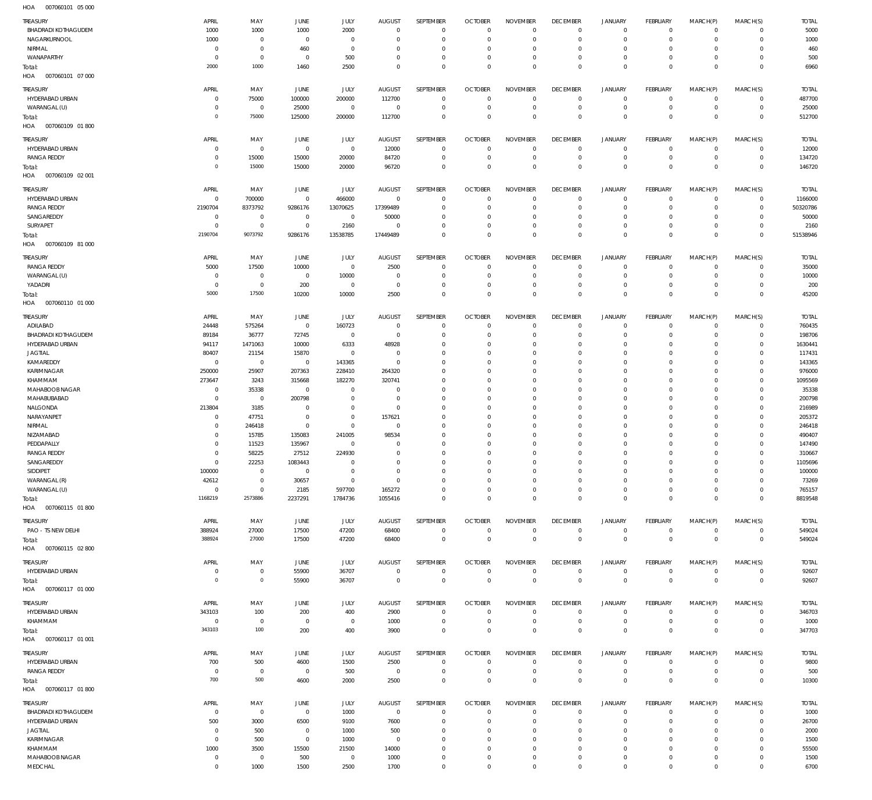007060101 05 000 HOA

| TREASURY<br><b>BHADRADI KOTHAGUDEM</b><br>NAGARKURNOOL | APRIL<br>1000<br>1000     | MAY<br>1000<br>$\mathbf 0$ | <b>JUNE</b><br>1000<br>$\overline{0}$ | JULY<br>2000<br>$\mathbf 0$ | <b>AUGUST</b><br>$\overline{0}$<br>$\overline{0}$ | SEPTEMBER<br>$\overline{0}$<br>$\mathbf 0$ | <b>OCTOBER</b><br>$\overline{0}$<br>$\overline{0}$ | <b>NOVEMBER</b><br>$^{\circ}$<br>$\mathbf 0$ | <b>DECEMBER</b><br>$\overline{0}$<br>$\mathbf{0}$ | <b>JANUARY</b><br>$\circ$<br>$\mathbf 0$ | <b>FEBRUARY</b><br>$\mathbf 0$<br>$\mathbf{0}$ | MARCH(P)<br>$\Omega$<br>$\Omega$ | MARCH(S)<br>$\Omega$<br>$\Omega$ | <b>TOTAL</b><br>5000<br>1000 |
|--------------------------------------------------------|---------------------------|----------------------------|---------------------------------------|-----------------------------|---------------------------------------------------|--------------------------------------------|----------------------------------------------------|----------------------------------------------|---------------------------------------------------|------------------------------------------|------------------------------------------------|----------------------------------|----------------------------------|------------------------------|
| NIRMAL                                                 | $^{\circ}$                | $\mathbf 0$                | 460                                   | $\mathbf 0$                 | $\Omega$                                          | $\Omega$                                   | $\overline{0}$                                     | $\Omega$                                     | $\mathbf{0}$                                      | $\circ$                                  | $\mathbf 0$                                    | $\Omega$                         | $\Omega$                         | 460                          |
| WANAPARTHY                                             | $^{\circ}$<br>2000        | $\mathbb O$<br>1000        | $\overline{0}$<br>1460                | 500<br>2500                 | $\Omega$<br>$\Omega$                              | $\mathbf 0$<br>$\Omega$                    | $\overline{0}$<br>$\Omega$                         | $\mathbf 0$<br>$\Omega$                      | $\mathbf{0}$<br>$\Omega$                          | $\mathbf 0$<br>$\mathbf 0$               | $\mathbf 0$<br>$\Omega$                        | $\Omega$<br>$\Omega$             | $\Omega$<br>$\overline{0}$       | 500<br>6960                  |
| Total:<br>HOA<br>007060101 07 000                      |                           |                            |                                       |                             |                                                   |                                            |                                                    |                                              |                                                   |                                          |                                                |                                  |                                  |                              |
| TREASURY                                               | APRIL                     | MAY                        | JUNE                                  | JULY                        | <b>AUGUST</b>                                     | SEPTEMBER                                  | <b>OCTOBER</b>                                     | <b>NOVEMBER</b>                              | <b>DECEMBER</b>                                   | <b>JANUARY</b>                           | <b>FEBRUARY</b>                                | MARCH(P)                         | MARCH(S)                         | <b>TOTAL</b>                 |
| HYDERABAD URBAN                                        | $^{\circ}$                | 75000                      | 100000                                | 200000                      | 112700                                            | $\mathbf 0$                                | $\overline{0}$                                     | $\mathbf 0$                                  | $\mathbf 0$                                       | 0                                        | $\mathbf 0$                                    | $\Omega$                         | $\circ$                          | 487700                       |
| WARANGAL (U)                                           | $\Omega$                  | $^{\circ}$                 | 25000                                 | $\mathbf 0$                 | $\overline{0}$                                    | $\mathbf 0$                                | $\overline{0}$                                     | $\mathbf 0$                                  | $\mathbf{0}$                                      | $\mathbf 0$                              | $\mathbf 0$                                    | $\Omega$                         | $\circ$                          | 25000                        |
| Total:                                                 | $\circ$                   | 75000                      | 125000                                | 200000                      | 112700                                            | $\mathbf 0$                                | $\overline{0}$                                     | $\Omega$                                     | $\mathbf{0}$                                      | $\mathbf 0$                              | $\mathbf 0$                                    | $\Omega$                         | $\mathbf 0$                      | 512700                       |
| HOA<br>007060109 01 800                                |                           |                            |                                       |                             |                                                   |                                            |                                                    |                                              |                                                   |                                          |                                                |                                  |                                  |                              |
| TREASURY                                               | APRIL                     | MAY                        | JUNE                                  | <b>JULY</b>                 | <b>AUGUST</b>                                     | SEPTEMBER                                  | <b>OCTOBER</b>                                     | <b>NOVEMBER</b>                              | <b>DECEMBER</b>                                   | <b>JANUARY</b>                           | <b>FEBRUARY</b>                                | MARCH(P)                         | MARCH(S)                         | <b>TOTAL</b>                 |
| HYDERABAD URBAN                                        | $^{\circ}$                | $\mathbf 0$                | $\overline{0}$                        | $\mathsf{O}\xspace$         | 12000                                             | $\overline{0}$                             | $\overline{0}$                                     | $\mathbf{0}$                                 | $\overline{0}$                                    | $\circ$                                  | $\mathbf 0$                                    | $\Omega$                         | $\Omega$                         | 12000                        |
| <b>RANGA REDDY</b><br>Total:                           | $\Omega$<br>$\circ$       | 15000<br>15000             | 15000<br>15000                        | 20000<br>20000              | 84720<br>96720                                    | $\mathbf 0$<br>$\mathbf 0$                 | $\overline{0}$<br>$\overline{0}$                   | $\mathbf 0$<br>$\mathbf 0$                   | $\mathbf{0}$<br>$\overline{0}$                    | $\mathbf 0$<br>$\mathbf 0$               | $\mathbf 0$<br>$\overline{0}$                  | $\Omega$<br>$\Omega$             | $\mathbf 0$<br>$\mathbb O$       | 134720<br>146720             |
| HOA<br>007060109 02 001                                |                           |                            |                                       |                             |                                                   |                                            |                                                    |                                              |                                                   |                                          |                                                |                                  |                                  |                              |
| TREASURY                                               | APRIL                     | MAY                        | JUNE                                  | JULY                        | <b>AUGUST</b>                                     | SEPTEMBER                                  | <b>OCTOBER</b>                                     | <b>NOVEMBER</b>                              | <b>DECEMBER</b>                                   | <b>JANUARY</b>                           | <b>FEBRUARY</b>                                | MARCH(P)                         | MARCH(S)                         | <b>TOTAL</b>                 |
| HYDERABAD URBAN                                        | $^{\circ}$                | 700000                     | $\overline{0}$                        | 466000                      | $\overline{0}$                                    | $^{\circ}$                                 | $\overline{0}$                                     | $\mathbf 0$                                  | $^{\circ}$                                        | $\circ$                                  | $^{\circ}$                                     | $\Omega$                         | $\mathbf 0$                      | 1166000                      |
| <b>RANGA REDDY</b>                                     | 2190704                   | 8373792                    | 9286176                               | 13070625                    | 17399489                                          | $\Omega$                                   | $\overline{0}$                                     | $\Omega$                                     | $\mathbf{0}$                                      | $\circ$                                  | $\mathbf{0}$                                   | $\Omega$                         | $\circ$                          | 50320786                     |
| SANGAREDDY                                             | $^{\circ}$                | $^{\circ}$                 | $\overline{0}$                        | $\mathbf 0$                 | 50000                                             | $\mathbf 0$                                | $\overline{0}$                                     | $\Omega$                                     | $\mathbf{0}$                                      | $^{\circ}$                               | $\mathbf 0$                                    | $\Omega$                         | $\circ$                          | 50000                        |
| SURYAPET                                               | $\Omega$<br>2190704       | $\mathbf 0$<br>9073792     | $\overline{0}$<br>9286176             | 2160<br>13538785            | $\mathbf 0$<br>17449489                           | $\Omega$<br>$\Omega$                       | $\mathbf 0$<br>$\Omega$                            | $\Omega$<br>$\Omega$                         | $\mathbf{0}$<br>$\Omega$                          | $\mathbf 0$<br>$\mathbf 0$               | $\mathbf 0$<br>$\mathbf 0$                     | $\Omega$<br>$\Omega$             | $\Omega$<br>$\overline{0}$       | 2160<br>51538946             |
| Total:<br>HOA<br>007060109 81 000                      |                           |                            |                                       |                             |                                                   |                                            |                                                    |                                              |                                                   |                                          |                                                |                                  |                                  |                              |
| TREASURY                                               | APRIL                     | MAY                        | JUNE                                  | JULY                        | <b>AUGUST</b>                                     | SEPTEMBER                                  | <b>OCTOBER</b>                                     | <b>NOVEMBER</b>                              | <b>DECEMBER</b>                                   | <b>JANUARY</b>                           | <b>FEBRUARY</b>                                | MARCH(P)                         | MARCH(S)                         | <b>TOTAL</b>                 |
| <b>RANGA REDDY</b>                                     | 5000                      | 17500                      | 10000                                 | $\bf 0$                     | 2500                                              | $\mathbf 0$                                | $\overline{0}$                                     | $\mathbf 0$                                  | $\mathbf 0$                                       | 0                                        | $^{\circ}$                                     | $\Omega$                         | $\mathbf 0$                      | 35000                        |
| WARANGAL (U)                                           | $^{\circ}$                | $\mathbf 0$                | $\overline{0}$                        | 10000                       | $\overline{0}$                                    | $\mathbf 0$                                | $\overline{0}$                                     | $\mathbf 0$                                  | $\overline{0}$                                    | $\mathbf 0$                              | $\mathbf 0$                                    | $\Omega$                         | $\circ$                          | 10000                        |
| YADADRI                                                | $^{\circ}$                | $\mathbb O$                | 200                                   | $\mathbf 0$                 | $\overline{0}$                                    | $\mathbf 0$                                | $\overline{0}$                                     | $\mathbf 0$                                  | $\mathbf 0$                                       | $\mathbf 0$                              | $\mathbf 0$                                    | $\Omega$                         | $\Omega$                         | 200                          |
| Total:<br>HOA<br>007060110 01 000                      | 5000                      | 17500                      | 10200                                 | 10000                       | 2500                                              | $\mathbf 0$                                | $\overline{0}$                                     | $\Omega$                                     | $\overline{0}$                                    | $\mathbf 0$                              | $\mathbb O$                                    | $\Omega$                         | $\mathbf 0$                      | 45200                        |
|                                                        |                           |                            |                                       |                             |                                                   |                                            |                                                    |                                              |                                                   |                                          |                                                |                                  |                                  |                              |
| TREASURY<br>ADILABAD                                   | APRIL<br>24448            | MAY<br>575264              | JUNE<br>$\mathbf 0$                   | JULY<br>160723              | <b>AUGUST</b><br>$\overline{0}$                   | SEPTEMBER<br>$\mathbf 0$                   | <b>OCTOBER</b><br>$\overline{0}$                   | <b>NOVEMBER</b><br>$\mathbf 0$               | <b>DECEMBER</b><br>$^{\circ}$                     | <b>JANUARY</b><br>$\circ$                | <b>FEBRUARY</b><br>$^{\circ}$                  | MARCH(P)<br>$\Omega$             | MARCH(S)<br>$\mathbf 0$          | <b>TOTAL</b><br>760435       |
| <b>BHADRADI KOTHAGUDEM</b>                             | 89184                     | 36777                      | 72745                                 | $\mathbf 0$                 | $\overline{0}$                                    | $\mathbf 0$                                | $\overline{0}$                                     | $\Omega$                                     | $\mathbf{0}$                                      | $\mathbf 0$                              | $\mathbf 0$                                    | $\Omega$                         | $\Omega$                         | 198706                       |
| HYDERABAD URBAN                                        | 94117                     | 1471063                    | 10000                                 | 6333                        | 48928                                             | $\mathbf 0$                                | $\mathbf 0$                                        | $\Omega$                                     | $^{\circ}$                                        | $\Omega$                                 | $^{\circ}$                                     | $\Omega$                         | $\Omega$                         | 1630441                      |
| <b>JAGTIAL</b>                                         | 80407                     | 21154                      | 15870                                 | $\mathbf 0$                 | $\Omega$                                          | $\Omega$                                   | $\Omega$                                           | $\Omega$                                     | $\Omega$                                          | $\Omega$                                 | $\Omega$                                       | $\Omega$                         | $\Omega$                         | 117431                       |
| KAMAREDDY<br>KARIMNAGAR                                | $\mathbf 0$<br>250000     | $^{\circ}$<br>25907        | $\overline{0}$<br>207363              | 143365<br>228410            | $\overline{0}$<br>264320                          | $\Omega$<br>$\Omega$                       | $\mathbf 0$<br>$\Omega$                            | $\Omega$<br>$\Omega$                         | $\Omega$<br>$\Omega$                              | $\Omega$<br>$\Omega$                     | $\Omega$<br>$\Omega$                           | $\Omega$<br>$\Omega$             | $\Omega$<br>$\Omega$             | 143365<br>976000             |
| KHAMMAM                                                | 273647                    | 3243                       | 315668                                | 182270                      | 320741                                            | $\Omega$                                   | $\mathbf 0$                                        | $\Omega$                                     | $\Omega$                                          | $\Omega$                                 | $\Omega$                                       | $\Omega$                         | $\Omega$                         | 1095569                      |
| MAHABOOB NAGAR                                         | $^{\circ}$                | 35338                      | $\mathbf 0$                           | $\mathbf 0$                 | $\mathbf 0$                                       | $\Omega$                                   | $\mathbf 0$                                        | $\Omega$                                     | $\Omega$                                          | $\Omega$                                 | $\Omega$                                       | $\Omega$                         | $\Omega$                         | 35338                        |
| MAHABUBABAD                                            | $^{\circ}$                | $\mathbf 0$                | 200798                                | $\Omega$                    | $\overline{0}$                                    | $\Omega$                                   | $\Omega$                                           | $\Omega$                                     | $\Omega$                                          | $\Omega$                                 | $\Omega$                                       | $\Omega$                         | $\Omega$                         | 200798                       |
| NALGONDA<br>NARAYANPET                                 | 213804<br>$\Omega$        | 3185<br>47751              | $\mathbf 0$<br>$\overline{0}$         | $\mathbf 0$<br>$\Omega$     | $\overline{0}$<br>157621                          | $\Omega$<br>$\Omega$                       | $\mathbf 0$<br>$\Omega$                            | $\Omega$<br>$\Omega$                         | $\mathbf 0$<br>$\Omega$                           | $\Omega$<br>$\Omega$                     | $^{\circ}$<br>$\Omega$                         | $\Omega$<br>$\Omega$             | $\Omega$<br>$\Omega$             | 216989<br>205372             |
| NIRMAL                                                 | $\Omega$                  | 246418                     | $\mathbf 0$                           | $\mathbf 0$                 | $\overline{0}$                                    | $\Omega$                                   | $\mathbf 0$                                        | $\Omega$                                     | $\mathbf 0$                                       | $\Omega$                                 | $^{\circ}$                                     | $\Omega$                         | $\Omega$                         | 246418                       |
| NIZAMABAD                                              | $\Omega$                  | 15785                      | 135083                                | 241005                      | 98534                                             | $\Omega$                                   | $\Omega$                                           | $\Omega$                                     | $\Omega$                                          | $\Omega$                                 | $\Omega$                                       | $\Omega$                         | $\Omega$                         | 490407                       |
| PEDDAPALLY                                             | $\Omega$                  | 11523                      | 135967                                | $\Omega$                    | $\Omega$                                          | $\Omega$                                   | $\mathbf 0$                                        | $\Omega$                                     | $^{\circ}$                                        | $\Omega$                                 | $\Omega$                                       | $\Omega$                         | $\Omega$                         | 147490                       |
| <b>RANGA REDDY</b><br>SANGAREDDY                       | $\Omega$<br>$\Omega$      | 58225<br>22253             | 27512<br>1083443                      | 224930<br>$\Omega$          | $\Omega$<br>$\Omega$                              | $\Omega$<br>$\Omega$                       | $\Omega$<br>$\Omega$                               | $\Omega$<br>$\Omega$                         | $\Omega$<br>$\Omega$                              | $\Omega$<br>$\Omega$                     | $\Omega$<br>$\Omega$                           | $\Omega$<br>$\mathbf{0}$         | $\circ$<br>$\circ$               | 310667<br>1105696            |
| SIDDIPET                                               | 100000                    | $\mathbf 0$                | $\mathbf{0}$                          | $\mathbf 0$                 | $\overline{0}$                                    | $\mathbf 0$                                | $\overline{0}$                                     | $\mathbf 0$                                  | $\mathbf 0$                                       | $\mathbf 0$                              | $^{\circ}$                                     | $\Omega$                         | $\Omega$                         | 100000                       |
| WARANGAL (R)                                           | 42612                     | $\mathbf 0$                | 30657                                 | $\mathbf 0$                 | $\overline{0}$                                    | $\mathbf 0$                                | $\overline{0}$                                     | $\mathbf 0$                                  | $\mathbf{0}$                                      | $\mathbf 0$                              | $\mathbf 0$                                    | $\Omega$                         | $\Omega$                         | 73269                        |
| WARANGAL (U)                                           | $\mathbf 0$               | $\mathbf 0$                | 2185                                  | 597700                      | 165272                                            | $\mathbf 0$                                | $\overline{0}$                                     | $\mathbf 0$                                  | $\mathbf 0$                                       | $\mathbf 0$                              | $\mathbf 0$                                    | $\Omega$                         | $\mathbf 0$                      | 765157                       |
| Total:<br>HOA   007060115   01   800                   | 1168219                   | 2573886                    | 2237291                               | 1784736                     | 1055416                                           | $\Omega$                                   | $\overline{0}$                                     | $\mathbf 0$                                  | $\mathbf{0}$                                      | $\mathbf 0$                              | $\mathbf 0$                                    | $\overline{0}$                   | $\mathbf 0$                      | 8819548                      |
|                                                        |                           |                            |                                       |                             |                                                   |                                            |                                                    |                                              |                                                   |                                          |                                                |                                  |                                  |                              |
| TREASURY<br>PAO - TS NEW DELHI                         | APRIL<br>388924           | MAY<br>27000               | JUNE<br>17500                         | <b>JULY</b><br>47200        | <b>AUGUST</b><br>68400                            | SEPTEMBER<br>$\mathbf 0$                   | <b>OCTOBER</b><br>$\overline{0}$                   | <b>NOVEMBER</b><br>$\mathbf 0$               | <b>DECEMBER</b><br>$\overline{0}$                 | <b>JANUARY</b><br>$\mathbb O$            | <b>FEBRUARY</b><br>$\mathbf 0$                 | MARCH(P)<br>0                    | MARCH(S)<br>$\mathbf 0$          | <b>TOTAL</b><br>549024       |
| Total:                                                 | 388924                    | 27000                      | 17500                                 | 47200                       | 68400                                             | $\mathbf 0$                                | $\overline{0}$                                     | $\mathbf 0$                                  | $\,0\,$                                           | $\,0\,$                                  | $\mathbb O$                                    | $\mathbf 0$                      | $\mathbb O$                      | 549024                       |
| 007060115 02 800<br>HOA                                |                           |                            |                                       |                             |                                                   |                                            |                                                    |                                              |                                                   |                                          |                                                |                                  |                                  |                              |
| TREASURY                                               | APRIL                     | MAY                        | JUNE                                  | JULY                        | <b>AUGUST</b>                                     | SEPTEMBER                                  | <b>OCTOBER</b>                                     | <b>NOVEMBER</b>                              | <b>DECEMBER</b>                                   | <b>JANUARY</b>                           | <b>FEBRUARY</b>                                | MARCH(P)                         | MARCH(S)                         | <b>TOTAL</b>                 |
| HYDERABAD URBAN                                        | $^{\circ}$                | $\mathbb O$                | 55900                                 | 36707                       | $\overline{0}$                                    | $\mathbf 0$                                | $\overline{0}$                                     | $\mathbf 0$                                  | $\overline{0}$                                    | $\mathbb O$                              | $\mathbf 0$                                    | $\mathbf 0$                      | $\mathbf 0$                      | 92607                        |
| Total:<br>HOA   007060117   01   000                   | $\circ$                   | $\circ$                    | 55900                                 | 36707                       | $\overline{0}$                                    | $\overline{0}$                             | $\overline{0}$                                     | $\overline{0}$                               | $\mathbf 0$                                       | $\mathbb O$                              | $\mathbb O$                                    | $\mathbf 0$                      | $\mathbb O$                      | 92607                        |
|                                                        |                           |                            |                                       |                             |                                                   |                                            |                                                    |                                              |                                                   |                                          |                                                |                                  |                                  |                              |
| TREASURY<br>HYDERABAD URBAN                            | APRIL<br>343103           | MAY<br>100                 | JUNE<br>200                           | JULY<br>400                 | <b>AUGUST</b><br>2900                             | SEPTEMBER<br>$\mathbf 0$                   | <b>OCTOBER</b><br>$\overline{0}$                   | <b>NOVEMBER</b><br>0                         | <b>DECEMBER</b><br>$\mathbf 0$                    | JANUARY<br>0                             | <b>FEBRUARY</b><br>0                           | MARCH(P)<br>$\Omega$             | MARCH(S)<br>$\mathbf 0$          | <b>TOTAL</b><br>346703       |
| KHAMMAM                                                | $\mathbf 0$               | $\overline{0}$             | $\overline{0}$                        | $\mathbf 0$                 | 1000                                              | $\mathbf 0$                                | $\mathbf 0$                                        | $\mathbf 0$                                  | $\mathbf 0$                                       | $\mathbb O$                              | $\mathbf 0$                                    | $^{\circ}$                       | $\mathbf 0$                      | 1000                         |
| Total:                                                 | 343103                    | 100                        | 200                                   | 400                         | 3900                                              | $\mathbf 0$                                | $\overline{0}$                                     | $\mathbf 0$                                  | $\overline{0}$                                    | $\,0\,$                                  | $\mathbb O$                                    | $\overline{0}$                   | $\mathbb O$                      | 347703                       |
| HOA<br>007060117 01 001                                |                           |                            |                                       |                             |                                                   |                                            |                                                    |                                              |                                                   |                                          |                                                |                                  |                                  |                              |
| TREASURY                                               | APRIL                     | MAY                        | <b>JUNE</b>                           | JULY                        | <b>AUGUST</b>                                     | SEPTEMBER                                  | <b>OCTOBER</b>                                     | <b>NOVEMBER</b>                              | <b>DECEMBER</b>                                   | <b>JANUARY</b>                           | <b>FEBRUARY</b>                                | MARCH(P)                         | MARCH(S)                         | <b>TOTAL</b>                 |
| HYDERABAD URBAN                                        | 700<br>$\mathbf 0$        | 500                        | 4600<br>$\overline{0}$                | 1500<br>500                 | 2500<br>$\overline{0}$                            | $\mathbf 0$<br>$\mathbf 0$                 | $\overline{0}$<br>$\overline{0}$                   | $\mathbf 0$<br>$\mathbf 0$                   | $\mathbf 0$<br>$\overline{0}$                     | 0<br>$\mathbb O$                         | $\mathbf 0$<br>$\mathbf 0$                     | $\Omega$<br>$^{\circ}$           | $\mathbf 0$<br>$\mathbf 0$       | 9800<br>500                  |
| <b>RANGA REDDY</b><br>Total:                           | 700                       | $\mathbf 0$<br>500         | 4600                                  | 2000                        | 2500                                              | $\mathbf 0$                                | $\overline{0}$                                     | $\mathbf 0$                                  | $\mathbf 0$                                       | $\mathbf 0$                              | $\mathbb O$                                    | $\overline{0}$                   | $\mathbb O$                      | 10300                        |
| HOA   007060117   01   800                             |                           |                            |                                       |                             |                                                   |                                            |                                                    |                                              |                                                   |                                          |                                                |                                  |                                  |                              |
| TREASURY                                               | APRIL                     | MAY                        | JUNE                                  | <b>JULY</b>                 | <b>AUGUST</b>                                     | SEPTEMBER                                  | <b>OCTOBER</b>                                     | <b>NOVEMBER</b>                              | <b>DECEMBER</b>                                   | <b>JANUARY</b>                           | <b>FEBRUARY</b>                                | MARCH(P)                         | MARCH(S)                         | <b>TOTAL</b>                 |
| <b>BHADRADI KOTHAGUDEM</b>                             | $\mathbf 0$               | $\overline{0}$             | $\overline{0}$                        | 1000                        | $\overline{0}$                                    | $\mathbf 0$                                | $\overline{0}$                                     | $\mathbf 0$                                  | $\mathbf 0$                                       | 0                                        | $\mathbf 0$                                    | $^{\circ}$                       | $\mathbf 0$                      | 1000                         |
| HYDERABAD URBAN                                        | 500                       | 3000                       | 6500                                  | 9100                        | 7600                                              | $\mathbf 0$                                | $\overline{0}$                                     | 0                                            | $\mathbf 0$                                       | $\mathbb O$                              | $\circ$                                        | $\Omega$                         | $\mathbf 0$                      | 26700                        |
| <b>JAGTIAL</b><br>KARIMNAGAR                           | $^{\circ}$<br>$\mathbf 0$ | 500<br>500                 | $\overline{0}$<br>$\overline{0}$      | 1000<br>1000                | 500<br>$\overline{0}$                             | $\mathbf 0$<br>$\mathbf 0$                 | $\overline{0}$<br>$\overline{0}$                   | $\mathbf 0$<br>$\mathbf 0$                   | $\mathbf{0}$<br>$\mathbf 0$                       | $\circ$<br>0                             | $\mathbf 0$<br>$\mathbf 0$                     | $\Omega$<br>$\Omega$             | $\Omega$<br>$\Omega$             | 2000<br>1500                 |
| KHAMMAM                                                | 1000                      | 3500                       | 15500                                 | 21500                       | 14000                                             | $\mathbf 0$                                | $\overline{0}$                                     | $\mathbf 0$                                  | $\mathbf{0}$                                      | $\circ$                                  | $\mathbf 0$                                    | $\Omega$                         | $\Omega$                         | 55500                        |
| MAHABOOB NAGAR                                         | $\mathbf 0$               | $\overline{0}$             | 500                                   | $\mathbf 0$                 | 1000                                              | 0                                          | $\overline{0}$                                     | 0                                            | $\mathbf 0$                                       | 0                                        | $\mathbf 0$                                    | $\Omega$                         | $\mathbf 0$                      | 1500                         |
| MEDCHAL                                                | $\mathbf 0$               | 1000                       | 1500                                  | 2500                        | 1700                                              | $\mathbf 0$                                | $\mathbf 0$                                        | $\mathbf 0$                                  | $\overline{0}$                                    | $\mathbf 0$                              | $\mathbb O$                                    | $\Omega$                         | $\mathbf 0$                      | 6700                         |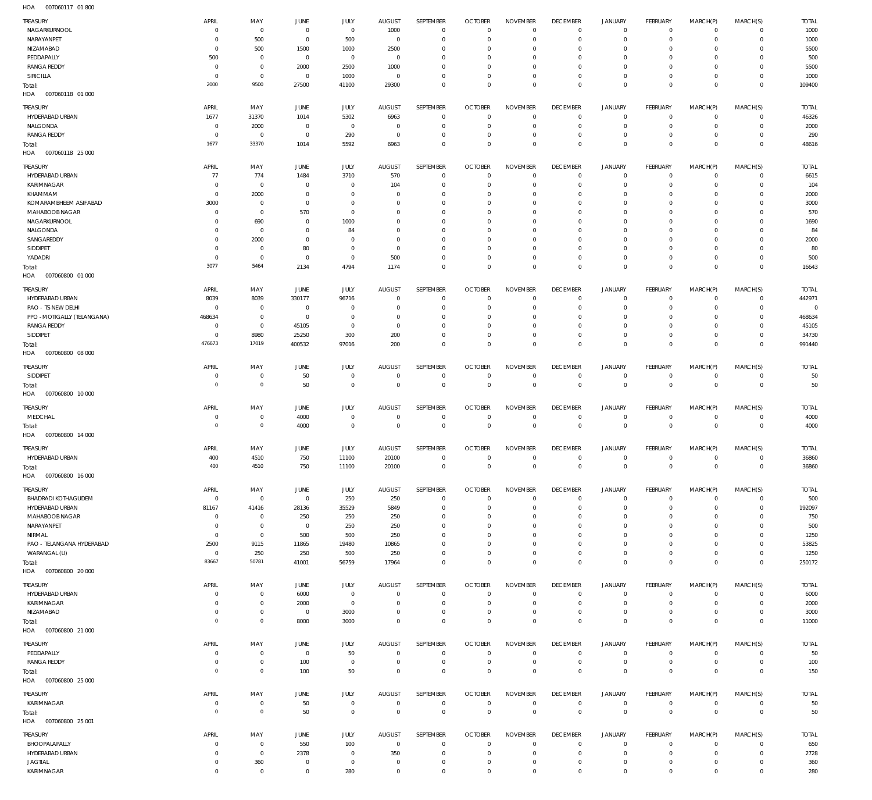007060117 01 800 HOA

| <b>TREASURY</b><br>NAGARKURNOOL<br>NARAYANPET | APRIL<br>$\Omega$<br>$\Omega$ | MAY<br>$\overline{0}$<br>500     | JUNE<br>$^{\circ}$<br>$^{\circ}$ | JULY<br>$\mathbf 0$              | <b>AUGUST</b><br>1000<br>$^{\circ}$ | SEPTEMBER<br>$\mathbf{0}$    | <b>OCTOBER</b><br>$\overline{0}$<br>0 | <b>NOVEMBER</b><br>$^{\circ}$<br>$^{\circ}$ | <b>DECEMBER</b><br>$^{\circ}$<br>$^{\circ}$ | <b>JANUARY</b><br>$\mathbf 0$<br>$\mathbf 0$ | <b>FEBRUARY</b><br>$\mathbf 0$<br>$^{\circ}$ | MARCH(P)<br>$\mathbf 0$<br>$\mathbf 0$ | MARCH(S)<br>$\mathbf{0}$<br>$\mathbf{0}$ | <b>TOTAL</b><br>1000  |
|-----------------------------------------------|-------------------------------|----------------------------------|----------------------------------|----------------------------------|-------------------------------------|------------------------------|---------------------------------------|---------------------------------------------|---------------------------------------------|----------------------------------------------|----------------------------------------------|----------------------------------------|------------------------------------------|-----------------------|
| NIZAMABAD                                     | $\Omega$                      | 500                              | 1500                             | 500<br>1000                      | 2500                                | $\mathbf{0}$<br>$\mathbf{0}$ | - 0                                   | $^{\circ}$                                  | $^{\circ}$                                  | $\mathbf 0$                                  | $\mathbf 0$                                  | $\Omega$                               | $\mathbf 0$                              | 1000<br>5500          |
| PEDDAPALLY<br><b>RANGA REDDY</b>              | 500<br>$^{\circ}$             | $\overline{0}$<br>$\overline{0}$ | $\overline{0}$<br>2000           | $\overline{0}$<br>2500           | $^{\circ}$<br>1000                  | $\mathbf{0}$<br>$\mathbf{0}$ | - 0<br>0                              | $\mathbf 0$<br>$^{\circ}$                   | $^{\circ}$<br>$^{\circ}$                    | $\mathbf 0$<br>$\mathbf 0$                   | $\mathbf 0$<br>$\mathbf 0$                   | $\mathbf 0$<br>$\Omega$                | $\mathbf 0$<br>$\mathbf 0$               | 500<br>5500           |
| <b>SIRICILLA</b>                              | $\Omega$                      | $\mathbf 0$                      | $^{\circ}$                       | 1000                             | $\overline{0}$                      | $\mathbf{0}$                 | $\overline{0}$                        | $\mathbf 0$                                 | $\mathbf 0$                                 | $\mathbf 0$                                  | $\mathbf 0$                                  | $\mathbf 0$                            | $\mathbf 0$                              | 1000                  |
| Total:<br>007060118 01 000<br>HOA             | 2000                          | 9500                             | 27500                            | 41100                            | 29300                               | $\mathbf 0$                  | $\overline{0}$                        | $\mathbf 0$                                 | $\mathbf 0$                                 | $\mathbf 0$                                  | $\mathbf 0$                                  | $\mathbf 0$                            | $\overline{0}$                           | 109400                |
| TREASURY                                      | APRIL                         | MAY                              | JUNE                             | JULY                             | <b>AUGUST</b>                       | SEPTEMBER                    | <b>OCTOBER</b>                        | <b>NOVEMBER</b>                             | <b>DECEMBER</b>                             | JANUARY                                      | <b>FEBRUARY</b>                              | MARCH(P)                               | MARCH(S)                                 | <b>TOTAL</b>          |
| HYDERABAD URBAN<br>NALGONDA                   | 1677<br>$\circ$               | 31370<br>2000                    | 1014<br>$^{\circ}$               | 5302<br>$\overline{0}$           | 6963<br>$^{\circ}$                  | $\mathbf{0}$<br>$^{\circ}$   | $\overline{0}$<br>0                   | $\mathbf 0$<br>$\mathbf 0$                  | $\mathbf 0$<br>$^{\circ}$                   | $^{\circ}$<br>$\mathbf 0$                    | $\mathbf 0$<br>$\mathbf 0$                   | $\mathbf 0$<br>$\mathbf 0$             | $\mathbf 0$<br>$\mathbf 0$               | 46326<br>2000         |
| <b>RANGA REDDY</b>                            | $\Omega$                      | $\overline{0}$                   | $^{\circ}$                       | 290                              | $\overline{0}$                      | $^{\circ}$                   | - 0                                   | $\mathbf 0$                                 | $^{\circ}$                                  | $\mathbf 0$                                  | $\mathbf 0$                                  | $\mathbf 0$                            | $\mathbf 0$                              | 290                   |
| Total:<br>HOA<br>007060118 25 000             | 1677                          | 33370                            | 1014                             | 5592                             | 6963                                | $\mathbf 0$                  | $\overline{0}$                        | $\mathbf 0$                                 | $\mathbf 0$                                 | $\mathbf 0$                                  | $\mathbf 0$                                  | $\mathbf 0$                            | $\overline{0}$                           | 48616                 |
| <b>TREASURY</b>                               | APRIL                         | MAY                              | JUNE                             | <b>JULY</b>                      | <b>AUGUST</b>                       | SEPTEMBER                    | <b>OCTOBER</b>                        | <b>NOVEMBER</b>                             | <b>DECEMBER</b>                             | <b>JANUARY</b>                               | <b>FEBRUARY</b>                              | MARCH(P)                               | MARCH(S)                                 | <b>TOTAL</b>          |
| HYDERABAD URBAN                               | 77                            | 774                              | 1484                             | 3710                             | 570                                 | $\mathbf{0}$                 | 0                                     | $\mathbf 0$                                 | $^{\circ}$                                  | $^{\circ}$                                   | $\mathbf 0$                                  | $\mathbf 0$                            | $^{\circ}$                               | 6615                  |
| KARIMNAGAR<br>KHAMMAM                         | $\circ$<br>$\Omega$           | $\overline{0}$<br>2000           | $^{\circ}$<br>$^{\circ}$         | $\overline{0}$<br>$^{\circ}$     | 104<br>$\overline{0}$               | $\mathbf{0}$<br>$\mathbf{0}$ | 0<br>- 0                              | $\mathbf 0$<br>$\mathbf 0$                  | $^{\circ}$<br>$^{\circ}$                    | $\mathbf 0$<br>$\mathbf 0$                   | $\mathbf 0$<br>$\mathbf 0$                   | $\mathbf 0$<br>$\Omega$                | $\mathbf{0}$<br>$\mathbf 0$              | 104                   |
| KOMARAMBHEEM ASIFABAD                         | 3000                          | $\overline{0}$                   | $^{\circ}$                       | $\overline{0}$                   | 0                                   | $\mathbf{0}$                 | - 0                                   | $\mathbf 0$                                 | $^{\circ}$                                  | $\mathbf 0$                                  | $\mathbf 0$                                  | $\mathbf 0$                            | $\mathbf 0$                              | 2000<br>3000          |
| MAHABOOB NAGAR                                | $\Omega$                      | $\overline{0}$                   | 570                              | $\overline{0}$                   | $\Omega$                            | $\mathbf{0}$                 | 0                                     | $\mathbf 0$                                 | $^{\circ}$                                  | $\mathbf 0$                                  | $\mathbf 0$                                  | $\Omega$                               | $\mathbf 0$                              | 570                   |
| NAGARKURNOOL                                  | $\Omega$                      | 690                              | 0                                | 1000                             | $\Omega$                            | $\mathbf{0}$                 | - 0                                   | $\mathbf 0$                                 | $^{\circ}$                                  | $\mathbf 0$                                  | $\mathbf 0$                                  | $\mathbf 0$                            | $\mathbf 0$                              | 1690                  |
| NALGONDA<br>SANGAREDDY                        | $\Omega$<br>$\Omega$          | $\mathbf 0$<br>2000              | 0<br>$^{\circ}$                  | 84<br>$\overline{0}$             | $\Omega$<br>$\Omega$                | $\mathbf 0$<br>$\mathbf 0$   | - 0<br>- 0                            | $\mathbf 0$<br>$\mathbf 0$                  | $^{\circ}$<br>$^{\circ}$                    | $\mathbf 0$<br>$\mathbf 0$                   | $\mathbf 0$<br>$\mathbf 0$                   | 0<br>$\Omega$                          | $\mathbf 0$<br>$\mathbf 0$               | 84<br>2000            |
| SIDDIPET                                      | $\Omega$                      | $\overline{0}$                   | 80                               | $\overline{0}$                   | $^{\circ}$                          | $\mathbf 0$                  | - 0                                   | $\mathbf 0$                                 | $^{\circ}$                                  | $\mathbf 0$                                  | $\mathbf 0$                                  | $\mathbf 0$                            | $\mathbf 0$                              | 80                    |
| YADADRI                                       | $\Omega$<br>3077              | $\overline{0}$<br>5464           | $^{\circ}$                       | $\overline{0}$                   | 500                                 | $\mathbf 0$                  | 0                                     | $\mathbf 0$                                 | $\mathbf 0$                                 | $^{\circ}$                                   | $\mathbf 0$                                  | $\mathbf 0$                            | $\mathbf 0$                              | 500                   |
| Total:<br>007060800 01 000<br>HOA             |                               |                                  | 2134                             | 4794                             | 1174                                | $\mathbf 0$                  | $\overline{0}$                        | $\mathbf 0$                                 | $\mathbf 0$                                 | $\mathbf 0$                                  | $\overline{0}$                               | $\mathbf 0$                            | $\overline{0}$                           | 16643                 |
| TREASURY                                      | APRIL                         | MAY                              | JUNE                             | <b>JULY</b>                      | <b>AUGUST</b>                       | SEPTEMBER                    | <b>OCTOBER</b>                        | <b>NOVEMBER</b>                             | <b>DECEMBER</b>                             | <b>JANUARY</b>                               | <b>FEBRUARY</b>                              | MARCH(P)                               | MARCH(S)                                 | <b>TOTAL</b>          |
| HYDERABAD URBAN<br>PAO - TS NEW DELHI         | 8039<br>$\Omega$              | 8039<br>$\overline{0}$           | 330177<br>$\overline{0}$         | 96716<br>$^{\circ}$              | $^{\circ}$<br>0                     | $^{\circ}$<br>$^{\circ}$     | 0<br>- 0                              | $^{\circ}$<br>$\mathbf 0$                   | $\mathbf 0$<br>$^{\circ}$                   | $^{\circ}$<br>$^{\circ}$                     | $\mathbf 0$<br>$\mathbf 0$                   | $\mathbf 0$<br>$\mathbf 0$             | $\mathbf 0$<br>$\mathbf 0$               | 442971<br>$\mathbf 0$ |
| PPO - MOTIGALLY (TELANGANA)                   | 468634                        | $\overline{0}$                   | 0                                | $^{\circ}$                       | $\Omega$                            | $^{\circ}$                   | 0                                     | $^{\circ}$                                  | $^{\circ}$                                  | $^{\circ}$                                   | 0                                            | 0                                      | $\circ$                                  | 468634                |
| <b>RANGA REDDY</b>                            | $\Omega$                      | $\overline{0}$                   | 45105                            | $\overline{0}$                   | $^{\circ}$                          | $^{\circ}$                   | - 0                                   | $\mathbf 0$                                 | $\mathbf 0$                                 | $^{\circ}$                                   | $\mathbf 0$                                  | $\mathbf 0$                            | $\circ$                                  | 45105                 |
| SIDDIPET                                      | $\Omega$<br>476673            | 8980<br>17019                    | 25250                            | 300                              | 200                                 | $^{\circ}$                   | 0                                     | $\mathbf 0$                                 | $\mathbf 0$                                 | $\mathbf 0$                                  | $\mathbf 0$                                  | $\mathbf 0$                            | $\mathbf 0$                              | 34730                 |
| Total:<br>HOA<br>007060800 08 000             |                               |                                  | 400532                           | 97016                            | 200                                 | $\mathbf 0$                  | $\overline{0}$                        | $\mathbf 0$                                 | $\mathbf 0$                                 | $\mathbf 0$                                  | $\mathbf 0$                                  | $\mathbf 0$                            | $\overline{0}$                           | 991440                |
| TREASURY                                      | APRIL                         | MAY                              | JUNE                             | <b>JULY</b>                      | <b>AUGUST</b>                       | SEPTEMBER                    | <b>OCTOBER</b>                        | <b>NOVEMBER</b>                             | <b>DECEMBER</b>                             | <b>JANUARY</b>                               | <b>FEBRUARY</b>                              | MARCH(P)                               | MARCH(S)                                 | <b>TOTAL</b>          |
| SIDDIPET                                      | $\Omega$                      | $\overline{0}$                   | 50                               | $\overline{0}$                   | $\overline{0}$                      | $^{\circ}$                   | 0                                     | $^{\circ}$                                  | $^{\circ}$                                  | $^{\circ}$                                   | $^{\circ}$                                   | $\mathbf 0$                            | $\mathbf 0$                              | 50                    |
| Total:<br>HOA<br>007060800 10 000             | $\circ$                       | $\,0\,$                          | 50                               | $\mathbf 0$                      | $\mathbf 0$                         | $\mathbb O$                  | $\mathbf 0$                           | $\mathbf 0$                                 | $\mathbf 0$                                 | $\mathbf 0$                                  | $\overline{0}$                               | $\mathbf 0$                            | $\overline{0}$                           | 50                    |
| TREASURY                                      | APRIL                         | MAY                              | JUNE                             | <b>JULY</b>                      | <b>AUGUST</b>                       | <b>SEPTEMBER</b>             | <b>OCTOBER</b>                        | <b>NOVEMBER</b>                             | <b>DECEMBER</b>                             | <b>JANUARY</b>                               | <b>FEBRUARY</b>                              | MARCH(P)                               | MARCH(S)                                 | <b>TOTAL</b>          |
| MEDCHAL                                       | $\Omega$                      | $\overline{0}$                   | 4000                             | $\overline{0}$                   | $^{\circ}$                          | $^{\circ}$                   | $\overline{0}$                        | $\mathbf 0$                                 | $\mathbf 0$                                 | $^{\circ}$                                   | $^{\circ}$                                   | $\mathbf 0$                            | $\mathbf 0$                              | 4000                  |
| Total:<br>HOA<br>007060800 14 000             | $\Omega$                      | $\,0\,$                          | 4000                             | $\mathbf 0$                      | $^{\circ}$                          | $\mathbf 0$                  | $\overline{0}$                        | $\mathbf 0$                                 | $\mathbf 0$                                 | $\mathbf 0$                                  | $\overline{0}$                               | $\mathbf 0$                            | $\overline{0}$                           | 4000                  |
| <b>TREASURY</b>                               |                               |                                  |                                  |                                  |                                     |                              |                                       |                                             |                                             |                                              |                                              |                                        | MARCH(S)                                 | <b>TOTAL</b>          |
| HYDERABAD URBAN                               | APRIL                         | MAY                              | JUNE                             | JULY                             | <b>AUGUST</b>                       | <b>SEPTEMBER</b>             | <b>OCTOBER</b>                        | <b>NOVEMBER</b>                             | <b>DECEMBER</b>                             | <b>JANUARY</b>                               | <b>FEBRUARY</b>                              | MARCH(P)                               |                                          |                       |
|                                               | 400                           | 4510                             | 750                              | 11100                            | 20100                               | $\mathbf 0$                  | $^{\circ}$                            | $\mathbf 0$                                 | $^{\circ}$                                  | $\mathbf 0$                                  | $\mathbf 0$                                  | $\mathbf 0$                            | $\mathbf{0}$                             | 36860                 |
| Total:<br>HOA<br>007060800 16 000             | 400                           | 4510                             | 750                              | 11100                            | 20100                               | $\overline{0}$               | $\circ$                               | $\mathbf{0}$                                | 0                                           | 0                                            | 0                                            | 0                                      | $\overline{0}$                           | 36860                 |
| <b>TREASURY</b>                               | APRIL                         | MAY                              | JUNE                             | JULY                             | <b>AUGUST</b>                       | SEPTEMBER                    | <b>OCTOBER</b>                        | <b>NOVEMBER</b>                             | <b>DECEMBER</b>                             | <b>JANUARY</b>                               | <b>FEBRUARY</b>                              | MARCH(P)                               | MARCH(S)                                 | <b>TOTAL</b>          |
| <b>BHADRADI KOTHAGUDEM</b>                    | $^{\circ}$                    | $\mathbf 0$                      | $\mathbf 0$                      | 250                              | 250                                 | $\mathbf{0}$                 | $\overline{0}$                        | $^{\circ}$                                  | $\mathbf 0$                                 | $\mathbf 0$                                  | $^{\circ}$                                   | $\mathbf 0$                            | $\mathbf 0$                              | 500                   |
| HYDERABAD URBAN                               | 81167                         | 41416                            | 28136                            | 35529                            | 5849                                | $^{\circ}$                   | 0                                     | $^{\circ}$                                  | $^{\circ}$                                  | $\mathbf 0$                                  | $\mathbf 0$                                  | $\mathbf 0$                            | $\mathbf 0$                              | 192097                |
| MAHABOOB NAGAR<br>NARAYANPET                  | $\circ$<br>$\Omega$           | $\overline{0}$<br>$\overline{0}$ | 250<br>$\overline{0}$            | 250<br>250                       | 250<br>250                          | $\mathbf{0}$<br>$\mathbf 0$  | 0<br>0                                | $^{\circ}$<br>$^{\circ}$                    | $^{\circ}$<br>$^{\circ}$                    | $\mathbf 0$<br>$\mathbf 0$                   | $\mathbf 0$<br>$\mathbf 0$                   | $\mathbf 0$<br>0                       | $\circ$<br>$\circ$                       | 750<br>500            |
| NIRMAL                                        | $\circ$                       | $\overline{0}$                   | 500                              | 500                              | 250                                 | $\mathbf{0}$                 | 0                                     | $^{\circ}$                                  | $^{\circ}$                                  | $\mathbf 0$                                  | $\mathbf 0$                                  | $\mathbf 0$                            | $\circ$                                  | 1250                  |
| PAO - TELANGANA HYDERABAD                     | 2500                          | 9115                             | 11865                            | 19480                            | 10865                               | $\mathbf 0$                  | 0                                     | 0                                           | $^{\circ}$                                  | $\mathbf 0$                                  | $\mathbf 0$                                  | $\Omega$                               | $\circ$                                  | 53825                 |
| WARANGAL (U)<br>Total:                        | $^{\circ}$<br>83667           | 250<br>50781                     | 250<br>41001                     | 500<br>56759                     | 250<br>17964                        | $\mathbf{0}$<br>$\mathbf 0$  | 0<br>$\overline{0}$                   | $\mathbf 0$<br>$\mathbf 0$                  | $\mathbf 0$<br>$\mathbf 0$                  | $\mathbf 0$<br>$\mathbf 0$                   | $\mathbf 0$<br>$\mathbf 0$                   | $\mathbf 0$<br>$\mathbf 0$             | $\mathbf 0$<br>$\overline{0}$            | 1250<br>250172        |
| HOA  007060800  20 000                        |                               |                                  |                                  |                                  |                                     |                              |                                       |                                             |                                             |                                              |                                              |                                        |                                          |                       |
| TREASURY                                      | APRIL<br>$\Omega$             | MAY<br>$\overline{0}$            | JUNE                             | JULY<br>$\mathbf 0$              | <b>AUGUST</b><br>$^{\circ}$         | SEPTEMBER<br>$\mathbf{0}$    | <b>OCTOBER</b><br>$\overline{0}$      | <b>NOVEMBER</b><br>$\mathbf 0$              | <b>DECEMBER</b><br>$^{\circ}$               | <b>JANUARY</b><br>$\mathbf 0$                | <b>FEBRUARY</b><br>$\mathbf 0$               | MARCH(P)<br>$\mathbf 0$                | MARCH(S)<br>$\mathbf{0}$                 | <b>TOTAL</b>          |
| HYDERABAD URBAN<br>KARIMNAGAR                 | $\Omega$                      | $\overline{0}$                   | 6000<br>2000                     | $\mathbf 0$                      | $^{\circ}$                          | $\mathbf{0}$                 | $\overline{0}$                        | $^{\circ}$                                  | $^{\circ}$                                  | $\mathbf 0$                                  | $^{\circ}$                                   | $\mathbf 0$                            | $\mathbf{0}$                             | 6000<br>2000          |
| NIZAMABAD                                     | $\Omega$                      | $\overline{0}$                   | $\overline{0}$                   | 3000                             | $\mathbf 0$                         | $\mathbf{0}$                 | $\overline{0}$                        | $\mathbf 0$                                 | $^{\circ}$                                  | $\mathbf 0$                                  | $^{\circ}$                                   | $\mathbf 0$                            | $\mathbf{0}$                             | 3000                  |
| Total:<br>HOA<br>007060800 21 000             | $\mathbf{0}$                  | $\mathbb O$                      | 8000                             | 3000                             | $\mathbf 0$                         | $\mathbf 0$                  | $^{\circ}$                            | $\mathbf 0$                                 | $\mathbf 0$                                 | $\mathbf 0$                                  | $\mathbf{0}$                                 | $\mathbf 0$                            | $\overline{0}$                           | 11000                 |
| TREASURY                                      | APRIL                         | MAY                              | JUNE                             | JULY                             | <b>AUGUST</b>                       | SEPTEMBER                    | <b>OCTOBER</b>                        | <b>NOVEMBER</b>                             | <b>DECEMBER</b>                             | <b>JANUARY</b>                               | FEBRUARY                                     | MARCH(P)                               | MARCH(S)                                 | <b>TOTAL</b>          |
| PEDDAPALLY                                    | $\Omega$                      | $\overline{0}$                   | $\overline{0}$                   | 50                               | $^{\circ}$                          | $\mathbf{0}$                 | $\overline{0}$                        | $^{\circ}$                                  | $^{\circ}$                                  | $\mathbf 0$                                  | $\mathbf 0$                                  | $\mathbf 0$                            | $\mathbf 0$                              | 50                    |
| <b>RANGA REDDY</b>                            | $\Omega$<br>$^{\circ}$        | $\overline{0}$<br>$\,0\,$        | 100<br>100                       | $\overline{0}$<br>50             | $^{\circ}$<br>$\mathbf 0$           | $\mathbf 0$<br>$\mathbf 0$   | $\overline{0}$<br>$^{\circ}$          | $^{\circ}$<br>$\mathbf 0$                   | $^{\circ}$<br>$\mathbf 0$                   | $\mathbf 0$<br>$\mathbf 0$                   | $^{\circ}$<br>$\mathbf{0}$                   | $\mathbf 0$<br>$\mathbf 0$             | $\mathbf{0}$<br>$\overline{0}$           | 100<br>150            |
| Total:<br>HOA  007060800  25 000              |                               |                                  |                                  |                                  |                                     |                              |                                       |                                             |                                             |                                              |                                              |                                        |                                          |                       |
| TREASURY                                      | APRIL                         | MAY                              | JUNE                             | JULY                             | AUGUST                              | SEPTEMBER                    | <b>OCTOBER</b>                        | <b>NOVEMBER</b>                             | <b>DECEMBER</b>                             | <b>JANUARY</b>                               | <b>FEBRUARY</b>                              | MARCH(P)                               | MARCH(S)                                 | <b>TOTAL</b>          |
| KARIMNAGAR                                    | $\circ$                       | $\overline{0}$                   | 50                               | $\mathbf 0$                      | $^{\circ}$                          | $\mathbf{0}$                 | $\overline{0}$                        | $\mathbf 0$                                 | $^{\circ}$                                  | $\mathbf 0$                                  | $\mathbf 0$                                  | $\mathbf 0$                            | $\mathbf{0}$                             | 50                    |
| Total:<br>HOA   007060800   25 001            | $^{\circ}$                    | $\,0\,$                          | 50                               | $\mathbf 0$                      | $^{\circ}$                          | $\mathbb O$                  | $^{\circ}$                            | $\mathbf 0$                                 | $\mathbf 0$                                 | $\mathbf 0$                                  | $\overline{0}$                               | $\mathbf 0$                            | $\overline{0}$                           | 50                    |
| TREASURY                                      | APRIL                         | MAY                              | JUNE                             | JULY                             | <b>AUGUST</b>                       | SEPTEMBER                    | <b>OCTOBER</b>                        | <b>NOVEMBER</b>                             | <b>DECEMBER</b>                             | <b>JANUARY</b>                               | <b>FEBRUARY</b>                              | MARCH(P)                               | MARCH(S)                                 | <b>TOTAL</b>          |
| BHOOPALAPALLY                                 | $\Omega$                      | $\overline{0}$                   | 550                              | 100                              | $\overline{0}$                      | $\mathbf{0}$                 | $\overline{0}$                        | $^{\circ}$                                  | $^{\circ}$                                  | $^{\circ}$                                   | $^{\circ}$                                   | $\mathbf 0$                            | $\mathbf 0$                              | 650                   |
| HYDERABAD URBAN<br><b>JAGTIAL</b>             | $\Omega$<br>$\circ$           | $\overline{0}$<br>360            | 2378<br>$\overline{0}$           | $\overline{0}$<br>$\overline{0}$ | 350<br>$^{\circ}$                   | $\mathbf{0}$<br>$\mathbf{0}$ | $\overline{0}$<br>$\circ$             | $^{\circ}$<br>$\mathbf 0$                   | $^{\circ}$<br>$\mathbf 0$                   | $\mathbf 0$<br>$\mathbf 0$                   | $^{\circ}$<br>$^{\circ}$                     | $\mathbf 0$<br>$\mathbf 0$             | $\mathbf 0$<br>$\mathbf 0$               | 2728<br>360           |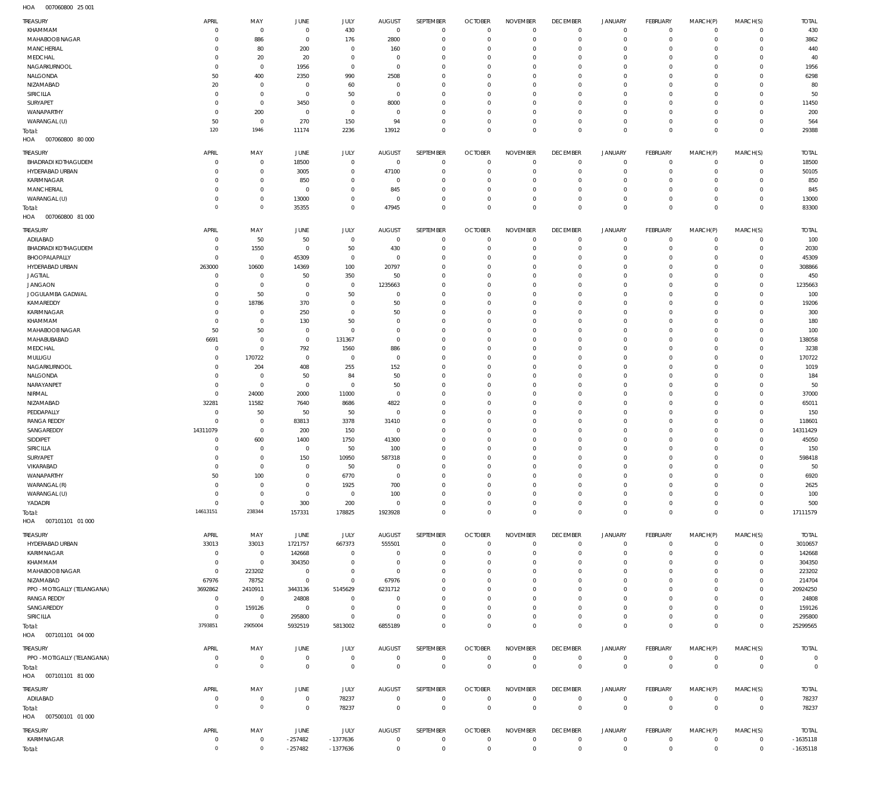007060800 25 001 HOA

| TREASURY<br>KHAMMAM                        | APRIL<br>$\Omega$    | MAY<br>$\overline{0}$            | JUNE<br>$\mathbf 0$           | JULY<br>430                | <b>AUGUST</b><br>$\mathbf 0$ | SEPTEMBER<br>$\mathbf 0$        | <b>OCTOBER</b><br>$\mathbf 0$ | <b>NOVEMBER</b><br>$\mathbf 0$ | <b>DECEMBER</b><br>$\mathbf 0$ | <b>JANUARY</b><br>$\mathbf 0$ | FEBRUARY<br>$\mathbf 0$       | MARCH(P)<br>$\mathbf 0$    | MARCH(S)<br>$\mathbf{0}$       | <b>TOTAL</b><br>430     |
|--------------------------------------------|----------------------|----------------------------------|-------------------------------|----------------------------|------------------------------|---------------------------------|-------------------------------|--------------------------------|--------------------------------|-------------------------------|-------------------------------|----------------------------|--------------------------------|-------------------------|
| <b>MAHABOOB NAGAR</b><br><b>MANCHERIAL</b> | $\Omega$<br>$\Omega$ | 886<br>80                        | $\Omega$<br>200               | 176<br>$^{\circ}$          | 2800<br>160                  | $\Omega$<br>$\Omega$            | $\Omega$<br>$\Omega$          | $\Omega$<br>$\Omega$           | $\Omega$<br>$\Omega$           | $\mathbf 0$<br>$\mathbf 0$    | $\mathbf 0$<br>$\mathbf 0$    | $\Omega$<br>$\Omega$       | $\mathbf 0$<br>$\mathbf 0$     | 3862<br>440             |
| MEDCHAL                                    | $\Omega$             | 20                               | 20                            | $\Omega$                   | $\Omega$                     | $\Omega$                        | $\Omega$                      | $\Omega$                       | $\Omega$                       | $\Omega$                      | $\Omega$                      | $\Omega$                   | $\Omega$                       | 40                      |
| NAGARKURNOOL                               | $\Omega$             | $\mathbf 0$                      | 1956                          | $\mathbf 0$                | $\Omega$                     | $\Omega$                        | $\Omega$                      | $\Omega$                       | $\Omega$                       | $\Omega$                      | $\Omega$                      | $\Omega$                   | $\Omega$                       | 1956                    |
| NALGONDA<br>NIZAMABAD                      | 50<br>20             | 400<br>$\overline{0}$            | 2350<br>$\Omega$              | 990<br>60                  | 2508<br>$\Omega$             | $\Omega$<br>$\Omega$            | $\Omega$<br>$\Omega$          | $\Omega$<br>$\Omega$           | $\Omega$<br>$\Omega$           | $\Omega$<br>$\Omega$          | $\Omega$<br>$\Omega$          | $\Omega$<br>$\Omega$       | $\Omega$<br>$\Omega$           | 6298<br>80              |
| <b>SIRICILLA</b>                           | $\Omega$             | $\overline{0}$                   | $\Omega$                      | 50                         | $\Omega$                     | $\Omega$                        | $\Omega$                      | $\Omega$                       | $\Omega$                       | $\Omega$                      | $\Omega$                      | $\Omega$                   | $\Omega$                       | 50                      |
| SURYAPET                                   | $\Omega$             | $\overline{0}$                   | 3450                          | $\mathbf{0}$               | 8000                         | $\Omega$                        | $\Omega$                      | $\Omega$                       | $\Omega$                       | $\Omega$                      | $\Omega$                      | $\Omega$                   | $\Omega$                       | 11450                   |
| WANAPARTHY                                 | $\Omega$<br>50       | 200<br>$\overline{0}$            | $^{\circ}$                    | $\mathbf{0}$               | $\Omega$<br>94               | $\Omega$<br>$\Omega$            | $\Omega$<br>$\Omega$          | $\Omega$<br>$\Omega$           | $^{\circ}$<br>$\Omega$         | $\mathbf 0$<br>$\Omega$       | $\Omega$<br>$\Omega$          | $\Omega$<br>$\Omega$       | $\Omega$<br>$\Omega$           | 200                     |
| WARANGAL (U)<br>Total:                     | 120                  | 1946                             | 270<br>11174                  | 150<br>2236                | 13912                        | $\mathbf 0$                     | $\Omega$                      | $\Omega$                       | $\Omega$                       | $\Omega$                      | $\Omega$                      | $\Omega$                   | $\overline{0}$                 | 564<br>29388            |
| HOA<br>007060800 80 000                    |                      |                                  |                               |                            |                              |                                 |                               |                                |                                |                               |                               |                            |                                |                         |
| <b>TREASURY</b>                            | APRIL                | MAY                              | JUNE                          | JULY                       | <b>AUGUST</b>                | SEPTEMBER                       | <b>OCTOBER</b>                | <b>NOVEMBER</b>                | <b>DECEMBER</b>                | <b>JANUARY</b>                | FEBRUARY                      | MARCH(P)                   | MARCH(S)                       | <b>TOTAL</b>            |
| <b>BHADRADI KOTHAGUDEM</b>                 | $\Omega$             | $\overline{0}$                   | 18500                         | $\mathbf 0$                | $\mathbf 0$                  | $\circ$                         | $\circ$                       | $\mathbf 0$                    | $\mathbf 0$                    | $\mathbf 0$                   | $\mathbf 0$                   | $\mathbf 0$                | $\mathbf{0}$                   | 18500                   |
| HYDERABAD URBAN<br>KARIMNAGAR              | $\Omega$<br>$\Omega$ | $\mathbf 0$<br>$\overline{0}$    | 3005<br>850                   | $\mathbf 0$<br>$\mathbf 0$ | 47100<br>$^{\circ}$          | $\mathbf 0$<br>$\mathbf 0$      | $\circ$<br>$\Omega$           | $\mathbf 0$<br>$^{\circ}$      | $^{\circ}$<br>$^{\circ}$       | $\mathbf 0$<br>$\mathbf 0$    | $\mathbf 0$<br>$\mathbf 0$    | $\mathbf 0$<br>$\Omega$    | $\mathbf{0}$<br>$\mathbf 0$    | 50105<br>850            |
| <b>MANCHERIAL</b>                          | $\Omega$             | $\overline{0}$                   | $^{\circ}$                    | $\mathbf 0$                | 845                          | $\mathbf 0$                     | $\Omega$                      | $\mathbf 0$                    | $^{\circ}$                     | $\mathbf 0$                   | $^{\circ}$                    | $\Omega$                   | $\mathbf{0}$                   | 845                     |
| WARANGAL (U)                               | $\Omega$             | $\overline{0}$                   | 13000                         | $\mathbf 0$                | $^{\circ}$                   | $\mathbf 0$                     | $\circ$                       | $\mathbf 0$                    | $^{\circ}$                     | $\mathbf 0$                   | $\mathbf 0$                   | $\mathbf 0$                | $\mathbf 0$                    | 13000                   |
| Total:                                     | $\Omega$             | $\mathbb O$                      | 35355                         | $\mathbf 0$                | 47945                        | $\mathbf 0$                     | $\Omega$                      | $\mathbf 0$                    | $\mathbf 0$                    | $\mathbf 0$                   | $\Omega$                      | $\Omega$                   | $\overline{0}$                 | 83300                   |
| HOA<br>007060800 81 000                    |                      |                                  |                               |                            |                              |                                 |                               |                                |                                |                               |                               |                            |                                |                         |
| <b>TREASURY</b><br>ADILABAD                | APRIL<br>$\Omega$    | MAY<br>50                        | JUNE<br>50                    | JULY<br>$^{\circ}$         | <b>AUGUST</b><br>$\mathbf 0$ | SEPTEMBER<br>$^{\circ}$         | <b>OCTOBER</b><br>$\Omega$    | <b>NOVEMBER</b><br>$^{\circ}$  | <b>DECEMBER</b><br>$\mathbf 0$ | <b>JANUARY</b><br>$\mathbf 0$ | FEBRUARY<br>$\mathbf 0$       | MARCH(P)<br>$\mathbf 0$    | MARCH(S)<br>$\mathbf 0$        | <b>TOTAL</b><br>100     |
| <b>BHADRADI KOTHAGUDEM</b>                 | $\Omega$             | 1550                             | $\overline{0}$                | 50                         | 430                          | $\mathbf 0$                     | $\circ$                       | $\Omega$                       | $\Omega$                       | $\mathbf 0$                   | $\mathbf 0$                   | $\Omega$                   | $\mathbf 0$                    | 2030                    |
| BHOOPALAPALLY                              | $\Omega$             | $\overline{0}$                   | 45309                         | $^{\circ}$                 | $^{\circ}$                   | $^{\circ}$                      | $\Omega$                      | $\Omega$                       | $^{\circ}$                     | $\mathbf 0$                   | $\mathbf 0$                   | $\Omega$                   | $\mathbf 0$                    | 45309                   |
| HYDERABAD URBAN                            | 263000               | 10600                            | 14369                         | 100                        | 20797                        | $\Omega$                        | $\Omega$                      | $\Omega$                       | $\Omega$                       | $\Omega$                      | $\Omega$                      | $\Omega$                   | $\Omega$                       | 308866                  |
| <b>JAGTIAL</b><br><b>JANGAON</b>           | $\Omega$<br>$\Omega$ | $\overline{0}$<br>$\overline{0}$ | 50<br>$\Omega$                | 350<br>$\mathbf 0$         | 50<br>1235663                | $\Omega$<br>$\Omega$            | $\Omega$<br>$\Omega$          | $\Omega$<br>$\Omega$           | $\mathbf 0$<br>$\Omega$        | $\Omega$<br>$\Omega$          | $\Omega$<br>$\Omega$          | $\Omega$<br>$\Omega$       | $\Omega$<br>$\Omega$           | 450<br>1235663          |
| JOGULAMBA GADWAL                           | $\Omega$             | 50                               | $\Omega$                      | 50                         | $\Omega$                     | $\Omega$                        | $\Omega$                      | $\Omega$                       | $\Omega$                       | $\Omega$                      | $\Omega$                      | $\Omega$                   | $\Omega$                       | 100                     |
| KAMAREDDY                                  | $\Omega$             | 18786                            | 370                           | $\Omega$                   | 50                           | $\Omega$                        | $\Omega$                      | $\Omega$                       | $\Omega$                       | $\Omega$                      | $\Omega$                      | $\Omega$                   | $\Omega$                       | 19206                   |
| KARIMNAGAR<br>KHAMMAM                      | $\Omega$<br>$\Omega$ | $\overline{0}$<br>$\overline{0}$ | 250<br>130                    | $\circ$<br>50              | 50<br>$\Omega$               | $\Omega$<br>$\Omega$            | $\Omega$<br>$\Omega$          | $\Omega$<br>$\Omega$           | $\Omega$<br>$\Omega$           | $\Omega$<br>$\Omega$          | $\Omega$<br>$\Omega$          | $\Omega$<br>$\Omega$       | $\Omega$<br>$\Omega$           | 300<br>180              |
| MAHABOOB NAGAR                             | 50                   | 50                               | $\Omega$                      | $\Omega$                   | $\Omega$                     | $\Omega$                        | $\Omega$                      | $\Omega$                       | $\Omega$                       | $\Omega$                      | $\Omega$                      | $\Omega$                   | $\Omega$                       | 100                     |
| MAHABUBABAD                                | 6691                 | $\overline{0}$                   | $\Omega$                      | 131367                     | $\Omega$                     | $\Omega$                        | $\Omega$                      | $\Omega$                       | $\Omega$                       | $\Omega$                      | $\Omega$                      | $\Omega$                   | $\Omega$                       | 138058                  |
| MEDCHAL                                    | $\Omega$             | $\overline{0}$                   | 792                           | 1560                       | 886                          | $\Omega$                        | $\Omega$                      | $\Omega$                       | $\Omega$                       | $\Omega$                      | $\Omega$                      | $\Omega$                   | $\Omega$                       | 3238                    |
| MULUGU<br>NAGARKURNOOL                     | $\Omega$<br>$\Omega$ | 170722<br>204                    | $\Omega$<br>408               | $\mathbf 0$<br>255         | $\Omega$<br>152              | $\Omega$<br>$\Omega$            | $\Omega$<br>$\Omega$          | $\Omega$<br>$\Omega$           | $\Omega$<br>$\Omega$           | $\Omega$<br>$\Omega$          | $\Omega$<br>$\Omega$          | $\Omega$<br>$\Omega$       | $\Omega$<br>$\Omega$           | 170722<br>1019          |
| NALGONDA                                   | $\Omega$             | $\overline{0}$                   | 50                            | 84                         | 50                           | $\Omega$                        | $\Omega$                      | $\Omega$                       | $\Omega$                       | $\Omega$                      | $\Omega$                      | $\Omega$                   | $\Omega$                       | 184                     |
| NARAYANPET                                 | $\Omega$             | $\overline{0}$                   | $\Omega$                      | $\Omega$                   | 50                           | $\Omega$                        | $\Omega$                      | $\Omega$                       | $\Omega$                       | $\Omega$                      | $\Omega$                      | $\Omega$                   | $\Omega$                       | 50                      |
| NIRMAL<br>NIZAMABAD                        | $\Omega$             | 24000<br>11582                   | 2000<br>7640                  | 11000                      | $\mathbf 0$                  | $\Omega$<br>$\Omega$            | $\Omega$<br>$\Omega$          | $\Omega$<br>$\Omega$           | $\Omega$<br>$\Omega$           | $\Omega$<br>$\Omega$          | $\Omega$<br>$\Omega$          | $\Omega$<br>$\Omega$       | $\Omega$<br>$\Omega$           | 37000<br>65011          |
| PEDDAPALLY                                 | 32281<br>$\Omega$    | 50                               | 50                            | 8686<br>50                 | 4822<br>$\Omega$             | $\Omega$                        | $\Omega$                      | $\Omega$                       | $\Omega$                       | $\Omega$                      | $\Omega$                      | $\Omega$                   | $\Omega$                       | 150                     |
| <b>RANGA REDDY</b>                         | $\Omega$             | $\overline{0}$                   | 83813                         | 3378                       | 31410                        | $\Omega$                        | $\Omega$                      | $\Omega$                       | $\mathbf 0$                    | $\Omega$                      | $\Omega$                      | $\Omega$                   | $\mathbf 0$                    | 118601                  |
| SANGAREDDY                                 | 14311079             | $\mathbf 0$                      | 200                           | 150                        | $^{\circ}$                   | $\Omega$                        | $\Omega$                      | $\Omega$                       | $\Omega$                       | $\Omega$                      | $\Omega$                      | $\Omega$                   | $\Omega$                       | 14311429                |
| SIDDIPET<br><b>SIRICILLA</b>               | $\Omega$             | 600<br>$\overline{0}$            | 1400<br>$\Omega$              | 1750<br>50                 | 41300<br>100                 | $\Omega$<br>$\Omega$            | $\Omega$<br>$\Omega$          | $\Omega$<br>$\Omega$           | $\Omega$<br>$\Omega$           | $\Omega$<br>$\Omega$          | $\Omega$<br>$\Omega$          | $\Omega$<br>$\Omega$       | $\Omega$<br>$\Omega$           | 45050<br>150            |
| SURYAPET                                   | $\Omega$             | $\overline{0}$                   | 150                           | 10950                      | 587318                       | $\circ$                         | $\Omega$                      | $\Omega$                       | $\Omega$                       | $\Omega$                      | $\Omega$                      | $\Omega$                   | $\Omega$                       | 598418                  |
| VIKARABAD                                  |                      |                                  |                               | 50                         |                              |                                 |                               |                                |                                |                               |                               |                            |                                | 50                      |
| WANAPARTHY<br>WARANGAL (R)                 | 50<br>$\Omega$       | 100<br>$\overline{0}$            | $\overline{0}$<br>$^{\circ}$  | 6770<br>1925               | $\circ$<br>700               | $\circ$<br>$\mathbf 0$          | $\mathbf 0$<br>$\mathbf 0$    | $^{\circ}$<br>$^{\circ}$       | $\mathbf 0$<br>$\mathbf 0$     | $\mathbf 0$<br>$\mathbf 0$    | $\mathbf 0$<br>$\mathbf 0$    | $\mathbf 0$<br>$\mathbf 0$ | $\mathbf 0$<br>$\mathbf 0$     | 6920<br>2625            |
| WARANGAL (U)                               | $\Omega$             | $\overline{0}$                   | $\overline{0}$                | $\mathbf 0$                | 100                          | $\Omega$                        | $\Omega$                      | $\mathbf 0$                    | $\mathbf 0$                    | $\mathbf 0$                   | $\mathbf 0$                   | $\Omega$                   | $\Omega$                       | 100                     |
| YADADRI                                    | $\Omega$             | $\overline{0}$                   | 300                           | 200                        | $\mathbf 0$                  | $\mathbf 0$                     | $\mathbf 0$                   | $\mathbf 0$                    | $\mathbf 0$                    | $\mathbf 0$                   | $^{\circ}$                    | $\mathbf 0$                | $\mathbf 0$                    | 500                     |
| Total:                                     | 14613151             | 238344                           | 157331                        | 178825                     | 1923928                      | $\mathbf{0}$                    | $\Omega$                      | $\mathbf 0$                    | $\mathbf 0$                    | $\mathbf 0$                   | $\mathbf 0$                   | $\Omega$                   | $\mathbf{0}$                   | 17111579                |
|                                            |                      |                                  |                               |                            |                              |                                 |                               |                                |                                |                               |                               |                            |                                |                         |
| TREASURY<br>HYDERABAD URBAN                | APRIL<br>33013       | MAY<br>33013                     | JUNE<br>1721757               | JULY<br>667373             | AUGUST<br>555501             | <b>SEPTEMBER</b><br>$\mathbf 0$ | <b>OCTOBER</b><br>$\circ$     | <b>NOVEMBER</b><br>$\mathbf 0$ | <b>DECEMBER</b><br>$\mathbf 0$ | <b>JANUARY</b><br>$\mathbf 0$ | FEBRUARY<br>$\overline{0}$    | MARCH(P)<br>$\mathbf 0$    | MARCH(S)<br>$\overline{0}$     | <b>TOTAL</b><br>3010657 |
| KARIMNAGAR                                 | $\Omega$             | $\mathbf 0$                      | 142668                        | $\mathbf 0$                | $\mathbf 0$                  | $\mathbf 0$                     | $\circ$                       | $\mathbf 0$                    | $\mathbf 0$                    | $\mathbf 0$                   | $\mathbf 0$                   | $\mathbf 0$                | $\mathbf{0}$                   | 142668                  |
| KHAMMAM                                    | $\overline{0}$       | $\overline{0}$                   | 304350                        | $\mathbf 0$                | $\mathbf 0$                  | $\mathsf{O}$                    | $\circ$                       | $\mathbf 0$                    | $^{\circ}$                     | $\mathbf 0$                   | $\mathbf 0$                   | $\mathbf 0$                | $\mathbf{0}$                   | 304350                  |
| MAHABOOB NAGAR                             | $\overline{0}$       | 223202                           | $\mathbf 0$                   | $\mathbf 0$                | $\mathbf 0$                  | $\mathsf{O}$                    | $\circ$                       | $\mathbf 0$                    | $^{\circ}$                     | $\mathbf 0$                   | $\mathbf 0$                   | $\Omega$                   | $\mathbf{0}$                   | 223202                  |
| NIZAMABAD<br>PPO - MOTIGALLY (TELANGANA)   | 67976<br>3692862     | 78752<br>2410911                 | $\mathbf 0$<br>3443136        | $\mathbf 0$<br>5145629     | 67976<br>6231712             | $\circ$<br>$\circ$              | $\circ$<br>$\circ$            | $\mathbf 0$<br>$\mathbf 0$     | $\mathbf 0$<br>$^{\circ}$      | $\mathbf 0$<br>$\mathbf 0$    | $^{\circ}$<br>$\mathbf 0$     | $\Omega$<br>$\Omega$       | $\mathbf{0}$<br>$\mathbf{0}$   | 214704<br>20924250      |
| <b>RANGA REDDY</b>                         | $\overline{0}$       | $\mathbf 0$                      | 24808                         | $\mathbf 0$                | $\mathbf 0$                  | $\circ$                         | $\Omega$                      | $\mathbf 0$                    | $\mathbf 0$                    | $\mathbf 0$                   | $\mathbf 0$                   | $\Omega$                   | $\mathbf{0}$                   | 24808                   |
| SANGAREDDY                                 | $\overline{0}$       | 159126                           | $\mathbf 0$                   | $\mathbf 0$                | $^{\circ}$                   | $\mathsf{O}$                    | $\circ$                       | $\mathbf 0$                    | $\mathbf 0$                    | $\mathbf 0$                   | $^{\circ}$                    | $\Omega$                   | $\mathbf{0}$                   | 159126                  |
| SIRICILLA                                  | $\Omega$<br>3793851  | $\mathbf 0$<br>2905004           | 295800<br>5932519             | $\mathbf 0$<br>5813002     | $\mathbf 0$<br>6855189       | $\mathsf{O}$<br>$\mathbf 0$     | $\mathbf 0$<br>$\overline{0}$ | $\mathsf{O}$<br>$\mathbf 0$    | $\mathbf 0$<br>$\mathbf 0$     | $\mathbf 0$<br>$\mathbf 0$    | $\mathbf 0$<br>$\overline{0}$ | $\mathbf 0$<br>$\mathbf 0$ | $\mathbf{0}$<br>$\overline{0}$ | 295800<br>25299565      |
| Total:<br>HOA<br>007101101 04 000          |                      |                                  |                               |                            |                              |                                 |                               |                                |                                |                               |                               |                            |                                |                         |
| TREASURY                                   | APRIL                | MAY                              | JUNE                          | JULY                       | <b>AUGUST</b>                | SEPTEMBER                       | <b>OCTOBER</b>                | <b>NOVEMBER</b>                | <b>DECEMBER</b>                | <b>JANUARY</b>                | FEBRUARY                      | MARCH(P)                   | MARCH(S)                       | <b>TOTAL</b>            |
| PPO - MOTIGALLY (TELANGANA)                | $\Omega$             | $\overline{0}$                   | $\mathbf 0$                   | $\mathbf 0$                | $\mathbf 0$                  | $\mathsf{O}$                    | $\mathbf 0$                   | $\mathbf 0$                    | $\mathbf 0$                    | $\mathbf 0$                   | $\overline{0}$                | $\mathbf 0$                | $\circ$                        | $\mathbf 0$             |
| Total:                                     | $\Omega$             | $\,0\,$                          | $\mathbf 0$                   | $\mathbf 0$                | $\mathbf 0$                  | $\mathbf 0$                     | $\mathbf 0$                   | $\mathbf 0$                    | $\mathbf 0$                    | $\mathbf 0$                   | $\overline{0}$                | $\mathbf 0$                | $\,0\,$                        | $\mathbf 0$             |
| HOA<br>007101101 81 000                    |                      |                                  |                               |                            |                              |                                 |                               |                                |                                |                               |                               |                            |                                |                         |
| TREASURY                                   | APRIL                | MAY                              | JUNE                          | JULY                       | AUGUST                       | SEPTEMBER                       | <b>OCTOBER</b>                | <b>NOVEMBER</b>                | <b>DECEMBER</b>                | JANUARY                       | FEBRUARY                      | MARCH(P)                   | MARCH(S)                       | <b>TOTAL</b>            |
| ADILABAD<br>Total:                         | $\Omega$<br>$\circ$  | $\overline{0}$<br>$\,0\,$        | $\overline{0}$<br>$\mathbf 0$ | 78237<br>78237             | $^{\circ}$<br>$\mathbb O$    | $\mathbf 0$<br>$\mathbf 0$      | $\circ$<br>$\,0\,$            | $\mathbf 0$<br>$\mathsf 0$     | $\mathbf 0$<br>$\overline{0}$  | $\mathbf 0$<br>$\mathsf 0$    | $\overline{0}$<br>$\mathbf 0$ | $\mathbf 0$<br>$\mathbf 0$ | $\circ$<br>$\overline{0}$      | 78237<br>78237          |
| HOA<br>007500101 01 000                    |                      |                                  |                               |                            |                              |                                 |                               |                                |                                |                               |                               |                            |                                |                         |
| TREASURY                                   | APRIL                | MAY                              | JUNE                          | JULY                       | <b>AUGUST</b>                | SEPTEMBER                       | <b>OCTOBER</b>                | <b>NOVEMBER</b>                | <b>DECEMBER</b>                | <b>JANUARY</b>                | FEBRUARY                      | MARCH(P)                   | MARCH(S)                       | <b>TOTAL</b>            |
| KARIMNAGAR                                 | $\overline{0}$       | $\mathbf 0$                      | $-257482$                     | $-1377636$                 | $\mathbf 0$                  | $\mathbf 0$                     | $\mathbf 0$                   | $\mathbf 0$                    | $\mathbf 0$                    | $\mathbf 0$                   | $\overline{0}$                | $\mathbf 0$                | $\circ$                        | $-1635118$              |
| Total:                                     | $\circ$              | $\,0\,$                          | $-257482$                     | $-1377636$                 | $\overline{0}$               | $\mathbf 0$                     | $\mathbf{0}$                  | $\mathbf 0$                    | $\mathbf 0$                    | $\mathbf 0$                   | $\mathbf 0$                   | $\mathbf 0$                | $\mathbf 0$                    | $-1635118$              |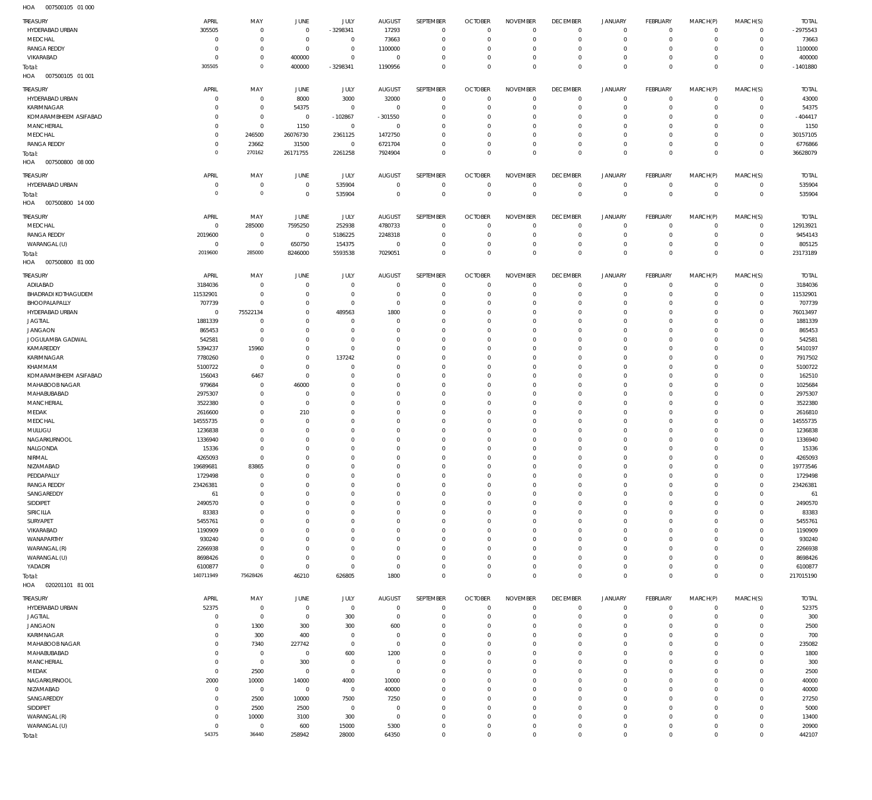| TREASURY                                   | APRIL                | MAY                           | JUNE                 | <b>JULY</b>                      | <b>AUGUST</b>           | SEPTEMBER                    | <b>OCTOBER</b>                   | <b>NOVEMBER</b>            | <b>DECEMBER</b>            | <b>JANUARY</b>             | <b>FEBRUARY</b>            | MARCH(P)                   | MARCH(S)                     | <b>TOTAL</b>        |
|--------------------------------------------|----------------------|-------------------------------|----------------------|----------------------------------|-------------------------|------------------------------|----------------------------------|----------------------------|----------------------------|----------------------------|----------------------------|----------------------------|------------------------------|---------------------|
| HYDERABAD URBAN                            | 305505               | $\mathbf 0$                   | $^{\circ}$           | $-3298341$                       | 17293                   | $\mathbf 0$                  | 0                                | $\mathbf 0$                | $^{\circ}$                 | $\mathbf 0$                | $\overline{0}$             | $\mathbf 0$                | $\overline{0}$               | $-2975543$          |
| MEDCHAL                                    | $\Omega$             | $\overline{0}$                | $\overline{0}$       | $\overline{0}$                   | 73663                   | $\mathbf 0$                  | $\Omega$                         | $\mathbf 0$                | $\circ$                    | $\mathbf 0$                | $\mathbf 0$                | $\mathbf 0$                | $\mathbf{0}$                 | 73663               |
| <b>RANGA REDDY</b>                         | $\Omega$             | $\overline{0}$                | $\mathbf 0$          | $\mathbf 0$                      | 1100000                 | $\mathbf{0}$                 | $\Omega$                         | $\mathbf 0$                | $^{\circ}$                 | $\mathbf 0$                | $\mathbf 0$                | $\Omega$                   | $\mathbf{0}$                 | 1100000             |
| VIKARABAD                                  | - 0                  | $\overline{0}$                | 400000               | $\mathbf 0$                      | $\mathbf{0}$            | $\mathbf 0$                  | 0                                | $\mathbf 0$                | $^{\circ}$                 | $\mathbf 0$                | $\mathbf 0$                | $\mathbf 0$                | $\mathbf{0}$                 | 400000              |
| Total:                                     | 305505               | $\circ$                       | 400000               | $-3298341$                       | 1190956                 | $\mathbf 0$                  | $\Omega$                         | $\mathbf 0$                | $\mathbf 0$                | $\mathbf 0$                | $\Omega$                   | $\Omega$                   | $\Omega$                     | $-1401880$          |
| HOA<br>007500105 01 001                    |                      |                               |                      |                                  |                         |                              |                                  |                            |                            |                            |                            |                            |                              |                     |
| TREASURY                                   | APRIL                | MAY                           | JUNE                 | <b>JULY</b>                      | <b>AUGUST</b>           | SEPTEMBER                    | <b>OCTOBER</b>                   | <b>NOVEMBER</b>            | <b>DECEMBER</b>            | <b>JANUARY</b>             | <b>FEBRUARY</b>            | MARCH(P)                   | MARCH(S)                     | <b>TOTAL</b>        |
| HYDERABAD URBAN                            | $\Omega$             | $\overline{0}$                | 8000                 | 3000                             | 32000                   | $^{\circ}$                   | $\Omega$                         | $^{\circ}$                 | $\mathbf 0$                | $\mathbf 0$                | $^{\circ}$                 | $\mathbf 0$                | $\mathbf 0$                  | 43000               |
| KARIMNAGAR                                 | $\Omega$             | $\overline{0}$                | 54375                | $\mathbf 0$                      | $\mathbb O$             | $\mathbf{0}$                 | $\Omega$                         | $\Omega$                   | $\Omega$                   | $\mathbf 0$                | $\mathbf 0$                | $\Omega$                   | $\mathbf 0$                  | 54375               |
| KOMARAMBHEEM ASIFABAD<br><b>MANCHERIAL</b> | $\Omega$<br>$\Omega$ | $\mathbf 0$<br>$\overline{0}$ | $^{\circ}$<br>1150   | $-102867$<br>$\mathbf 0$         | $-301550$<br>$^{\circ}$ | $^{\circ}$<br>$\Omega$       | $\Omega$<br>$\Omega$             | $\Omega$<br>$\Omega$       | $^{\circ}$<br>$\Omega$     | $^{\circ}$<br>$\Omega$     | $\mathbf 0$<br>$\Omega$    | $\Omega$<br>$\Omega$       | $\mathbf 0$<br>$\Omega$      | $-404417$<br>1150   |
| MEDCHAL                                    | $\Omega$             | 246500                        | 26076730             | 2361125                          | 1472750                 | $\Omega$                     | $\Omega$                         | $\Omega$                   | $^{\circ}$                 | $\mathbf 0$                | $\Omega$                   | $\Omega$                   | $\mathbf 0$                  | 30157105            |
| <b>RANGA REDDY</b>                         | $\Omega$             | 23662                         | 31500                | $\mathbf 0$                      | 6721704                 | $\Omega$                     | $\Omega$                         | $\Omega$                   | $^{\circ}$                 | $\mathbf 0$                | $\mathbf 0$                | $\Omega$                   | $\Omega$                     | 6776866             |
| Total:                                     | $\Omega$             | 270162                        | 26171755             | 2261258                          | 7924904                 | $\mathbf{0}$                 | $\Omega$                         | $\Omega$                   | $\Omega$                   | $\Omega$                   | $\Omega$                   | $\Omega$                   | $\Omega$                     | 36628079            |
| HOA<br>007500800 08 000                    |                      |                               |                      |                                  |                         |                              |                                  |                            |                            |                            |                            |                            |                              |                     |
| TREASURY                                   | APRIL                | MAY                           | JUNE                 | JULY                             | <b>AUGUST</b>           | SEPTEMBER                    | <b>OCTOBER</b>                   | <b>NOVEMBER</b>            | <b>DECEMBER</b>            | <b>JANUARY</b>             | <b>FEBRUARY</b>            | MARCH(P)                   | MARCH(S)                     | <b>TOTAL</b>        |
| HYDERABAD URBAN                            | $\Omega$             | $\overline{0}$                | $^{\circ}$           | 535904                           | $\overline{0}$          | $\mathbf 0$                  | $\overline{0}$                   | $\mathbf 0$                | $\circ$                    | $\mathbf 0$                | $\overline{0}$             | $\mathbf 0$                | $\circ$                      | 535904              |
| Total:                                     | $^{\circ}$           | $\mathbb O$                   | $\mathbf 0$          | 535904                           | $\Omega$                | $\mathbb O$                  | $\overline{0}$                   | $\mathbf 0$                | $\mathbf 0$                | $\mathbf 0$                | $\overline{0}$             | $\mathbf 0$                | $\overline{0}$               | 535904              |
| HOA<br>007500800 14 000                    |                      |                               |                      |                                  |                         |                              |                                  |                            |                            |                            |                            |                            |                              |                     |
| TREASURY                                   | APRIL                | MAY                           | JUNE                 | <b>JULY</b>                      | <b>AUGUST</b>           | <b>SEPTEMBER</b>             | <b>OCTOBER</b>                   | <b>NOVEMBER</b>            | <b>DECEMBER</b>            | <b>JANUARY</b>             | <b>FEBRUARY</b>            | MARCH(P)                   | MARCH(S)                     | <b>TOTAL</b>        |
| MEDCHAL                                    | $\Omega$             | 285000                        | 7595250              | 252938                           | 4780733                 | $^{\circ}$                   | $\Omega$                         | $^{\circ}$                 | $\mathbf 0$                | $^{\circ}$                 | $\mathbf 0$                | $\Omega$                   | $\mathbf 0$                  | 12913921            |
| <b>RANGA REDDY</b>                         | 2019600              | $\overline{0}$                | $\mathbf 0$          | 5186225                          | 2248318                 | $^{\circ}$                   | $\overline{0}$                   | $\Omega$                   | $^{\circ}$                 | $\mathbf 0$                | $\mathbf 0$                | $\Omega$                   | $\mathbf{0}$                 | 9454143             |
| WARANGAL (U)                               | $\Omega$             | $\overline{0}$                | 650750               | 154375                           | $^{\circ}$              | $^{\circ}$                   | - 0                              | $^{\circ}$                 | $^{\circ}$                 | $\mathbf 0$                | $\mathbf 0$                | $\mathbf 0$                | $\mathbf 0$                  | 805125              |
| Total:                                     | 2019600              | 285000                        | 8246000              | 5593538                          | 7029051                 | $\mathbf 0$                  | $\Omega$                         | $\mathbf 0$                | $\mathbf 0$                | $\mathbf 0$                | $\mathbf 0$                | $\Omega$                   | $\overline{0}$               | 23173189            |
| HOA<br>007500800 81 000                    |                      |                               |                      |                                  |                         |                              |                                  |                            |                            |                            |                            |                            |                              |                     |
| TREASURY                                   | APRIL                | MAY                           | JUNE                 | <b>JULY</b>                      | <b>AUGUST</b>           | SEPTEMBER                    | <b>OCTOBER</b>                   | <b>NOVEMBER</b>            | <b>DECEMBER</b>            | <b>JANUARY</b>             | <b>FEBRUARY</b>            | MARCH(P)                   | MARCH(S)                     | <b>TOTAL</b>        |
| ADILABAD                                   | 3184036              | $\overline{0}$                | $\Omega$             | $\mathbf 0$                      | $\overline{0}$          | $^{\circ}$                   | 0                                | $\mathbf 0$                | 0                          | $\mathbf 0$                | $\mathbf 0$                | $\mathbf 0$                | $\mathbf{0}$                 | 3184036             |
| <b>BHADRADI KOTHAGUDEM</b>                 | 11532901             | $\overline{0}$                | $\Omega$             | $\mathbf 0$                      | $\Omega$                | $\mathbf 0$                  | $\Omega$                         | $\mathbf 0$                | $^{\circ}$                 | $\mathbf 0$                | $\mathbf 0$                | $\mathbf 0$                | $\mathbf{0}$                 | 11532901            |
| BHOOPALAPALLY                              | 707739               | $\overline{0}$                | $\Omega$             | $\mathbf 0$                      | $^{\circ}$              | $\mathbf{0}$                 | $\Omega$                         | $\mathbf 0$                | $^{\circ}$                 | $\mathbf 0$                | $\mathbf 0$                | $\Omega$                   | $\mathbf{0}$                 | 707739              |
| HYDERABAD URBAN                            | $\overline{0}$       | 75522134<br>$\overline{0}$    | $\Omega$<br>$\Omega$ | 489563                           | 1800<br>$\Omega$        | $\mathbf{0}$                 | $\Omega$<br>$\Omega$             | $\mathbf 0$<br>$\mathbf 0$ | $\Omega$<br>$^{\circ}$     | $\mathbf 0$<br>$\mathbf 0$ | $\mathbf 0$<br>$\mathbf 0$ | $\Omega$<br>$\Omega$       | $\mathbf{0}$<br>$\mathbf{0}$ | 76013497            |
| <b>JAGTIAL</b><br><b>JANGAON</b>           | 1881339<br>865453    | $\overline{0}$                | $\Omega$             | $\overline{0}$<br>$\overline{0}$ | $\Omega$                | $\mathbf{0}$<br>$\mathbf{0}$ | $\Omega$                         | $\mathbf 0$                | $\Omega$                   | $\mathbf 0$                | $\mathbf 0$                | $\Omega$                   | $\Omega$                     | 1881339<br>865453   |
| JOGULAMBA GADWAL                           | 542581               | $\mathbf 0$                   | $\Omega$             | $\mathbf 0$                      | $\Omega$                | $\mathbf 0$                  | $\Omega$                         | $\mathbf 0$                | $\Omega$                   | $\mathbf 0$                | $\mathbf 0$                | $\Omega$                   | $\mathbf 0$                  | 542581              |
| KAMAREDDY                                  | 5394237              | 15960                         | $\Omega$             | $\mathbf 0$                      | $\Omega$                | $\mathbf{0}$                 | $\Omega$                         | $\mathbf 0$                | $\Omega$                   | $\mathbf 0$                | $\mathbf 0$                | $\Omega$                   | $\Omega$                     | 5410197             |
| KARIMNAGAR                                 | 7780260              | $\mathbf 0$                   | $\Omega$             | 137242                           | $\Omega$                | $\mathbf{0}$                 | $\Omega$                         | $\mathbf 0$                | $\Omega$                   | $\mathbf 0$                | $\Omega$                   | $\Omega$                   | $\Omega$                     | 7917502             |
| KHAMMAM                                    | 5100722              | $\mathbf 0$                   | $\Omega$             | $\mathbf 0$                      | $\Omega$                | $\mathbf 0$                  | $\Omega$                         | $\mathbf 0$                | $^{\circ}$                 | $\mathbf 0$                | $\mathbf 0$                | $\Omega$                   | $\mathbf 0$                  | 5100722             |
| KOMARAMBHEEM ASIFABAD                      | 156043               | 6467                          | $\Omega$             | $\overline{0}$                   | $\Omega$                | $\mathbf{0}$                 | $\Omega$                         | $\Omega$                   | $\Omega$                   | $\mathbf 0$                | $\Omega$                   | $\Omega$                   | $\mathbf 0$                  | 162510              |
| MAHABOOB NAGAR                             | 979684               | $\overline{0}$                | 46000                | $^{\circ}$                       | $\Omega$                | $\mathbf 0$                  | $\Omega$                         | $\mathbf 0$                | $\Omega$                   | $\mathbf 0$                | $\mathbf 0$                | $\Omega$                   | $\mathbf 0$                  | 1025684             |
| MAHABUBABAD                                | 2975307              | $\mathbf 0$                   | $\Omega$             | $^{\circ}$                       | $\Omega$                | $\mathbf{0}$                 | -0                               | $\mathbf 0$                | $\Omega$                   | $\mathbf 0$                | $\Omega$                   | $\Omega$                   | $\Omega$                     | 2975307             |
| <b>MANCHERIAL</b><br>MEDAK                 | 3522380<br>2616600   | $\overline{0}$<br>$\mathbf 0$ | $^{\circ}$<br>210    | $^{\circ}$<br>$\Omega$           | $\Omega$<br>$\Omega$    | $\mathbf{0}$<br>$\mathbf 0$  | $\Omega$<br>$\Omega$             | $\mathbf 0$<br>$\mathbf 0$ | $\Omega$<br>$^{\circ}$     | $\mathbf 0$<br>$\mathbf 0$ | $\mathbf 0$<br>$\mathbf 0$ | $\Omega$<br>$\Omega$       | $\mathbf 0$<br>$\mathbf 0$   | 3522380<br>2616810  |
| MEDCHAL                                    | 14555735             | $\overline{0}$                | $\Omega$             | $^{\circ}$                       | $\Omega$                | $\mathbf{0}$                 | $\Omega$                         | $\mathbf 0$                | $\Omega$                   | $\mathbf 0$                | $\mathbf 0$                | $\Omega$                   | $\mathbf{0}$                 | 14555735            |
| MULUGU                                     | 1236838              | $\mathbf 0$                   | $\Omega$             | $\overline{0}$                   | $\Omega$                | $\mathbf{0}$                 | -0                               | $\mathbf 0$                | $^{\circ}$                 | $\mathbf 0$                | $\mathbf 0$                | $\Omega$                   | $\mathbf 0$                  | 1236838             |
| NAGARKURNOOL                               | 1336940              | $\overline{0}$                | $\Omega$             | $^{\circ}$                       | $\Omega$                | $\mathbf{0}$                 | $\Omega$                         | $\mathbf 0$                | $\Omega$                   | $\Omega$                   | $\Omega$                   | $\Omega$                   | $\Omega$                     | 1336940             |
| NALGONDA                                   | 15336                | $\overline{0}$                | $\Omega$             | $\overline{0}$                   | $\Omega$                | $\mathbf{0}$                 | $\Omega$                         | $\mathbf 0$                | $\Omega$                   | $\mathbf 0$                | $\mathbf 0$                | $\Omega$                   | $\mathbf{0}$                 | 15336               |
| NIRMAL                                     | 4265093              | $\overline{0}$                | $\Omega$             | $\overline{0}$                   | $\Omega$                | $\mathbf{0}$                 | $\Omega$                         | $\mathbf 0$                | $\Omega$                   | $\Omega$                   | $\Omega$                   | $\Omega$                   | $\Omega$                     | 4265093             |
| NIZAMABAD                                  | 19689681             | 83865                         |                      | $\Omega$                         | -0                      | $\Omega$                     | -0                               | $\Omega$                   | -0                         | $\Omega$                   | $\Omega$                   | $\Omega$                   | $\mathbf 0$                  | 19773546            |
| PEDDAPALLY<br><b>RANGA REDDY</b>           | 1729498<br>23426381  | $\mathbf 0$<br>$\overline{0}$ | $\Omega$<br>$\Omega$ | $\overline{0}$<br>$\mathbf 0$    | $\Omega$<br>$\Omega$    | $\mathbf 0$<br>$\mathbf 0$   | $\overline{0}$<br>$\overline{0}$ | $\mathbf 0$<br>$\mathbf 0$ | $^{\circ}$<br>$\mathbf 0$  | $\mathbf 0$<br>$\mathbf 0$ | $\mathbf 0$<br>$\mathbf 0$ | $\mathbf 0$<br>$\mathbf 0$ | $\mathbf{0}$<br>$\mathbf{0}$ | 1729498<br>23426381 |
| SANGAREDDY                                 | 61                   | $\mathbf 0$                   | $\Omega$             | $\Omega$                         | $\Omega$                | $\mathbf 0$                  | $\Omega$                         | $\mathbf 0$                | $^{\circ}$                 | $\mathbf 0$                | $\mathbf 0$                | $\Omega$                   | $\mathbf 0$                  | 61                  |
| SIDDIPET                                   | 2490570              | $\overline{0}$                | $\Omega$             | $^{\circ}$                       | $\Omega$                | $\mathbf{0}$                 | $\Omega$                         | $\mathbf 0$                | $\mathbf 0$                | $\mathbf 0$                | $\mathbf 0$                | $\Omega$                   | $\mathbf{0}$                 | 2490570             |
| <b>SIRICILLA</b>                           | 83383                | $\overline{0}$                | $\Omega$             | $^{\circ}$                       | $\Omega$                | $\mathbf 0$                  | $\Omega$                         | $\mathbf 0$                | $^{\circ}$                 | $\mathbf 0$                | $\mathbf 0$                | $\Omega$                   | $\mathbf 0$                  | 83383               |
| SURYAPET                                   | 5455761              | $\overline{0}$                | $\Omega$             | $^{\circ}$                       | $\Omega$                | $\mathbf{0}$                 | $\Omega$                         | $\mathbf 0$                | $\Omega$                   | $\mathbf 0$                | $\mathbf 0$                | $\Omega$                   | $\Omega$                     | 5455761             |
| VIKARABAD                                  | 1190909              | $\overline{0}$                | $\Omega$             | $\Omega$                         | $\Omega$                | $\mathbf{0}$                 | $\Omega$                         | $\mathbf 0$                | $\mathbf 0$                | $\mathbf 0$                | $\mathbf 0$                | $\Omega$                   | $\mathbf 0$                  | 1190909             |
| WANAPARTHY                                 | 930240               | $\overline{0}$                | $\Omega$             | $\overline{0}$                   | $\Omega$                | $\mathbf{0}$                 | $\Omega$                         | $\mathbf 0$                | $^{\circ}$                 | $\mathbf 0$                | $\mathbf 0$                | $\Omega$                   | $\mathbf 0$                  | 930240              |
| WARANGAL (R)                               | 2266938              | $\overline{0}$<br>$\mathbf 0$ | $\Omega$<br>$\Omega$ | $\overline{0}$<br>$\mathbf 0$    | $\Omega$<br>$\Omega$    | $\mathbf{0}$                 | $\Omega$<br>-0                   | $\mathbf 0$<br>$\mathbf 0$ | $\mathbf 0$<br>$\mathbf 0$ | $\mathbf 0$<br>$\mathbf 0$ | $\mathbf 0$<br>$\mathbf 0$ | $\Omega$<br>$\Omega$       | $\mathbf{0}$<br>$\mathbf 0$  | 2266938             |
| WARANGAL (U)<br>YADADRI                    | 8698426<br>6100877   | $\mathbf 0$                   | $^{\circ}$           | $\mathbf 0$                      | $^{\circ}$              | $\mathbf{0}$<br>$\mathbf 0$  | $\overline{0}$                   | $\mathbb O$                | $\mathbf 0$                | $\mathbf 0$                | $\mathbf 0$                | $\mathbf 0$                | $\mathbf{0}$                 | 8698426<br>6100877  |
| Total:                                     | 140711949            | 75628426                      | 46210                | 626805                           | 1800                    | $\mathbf 0$                  | $\Omega$                         | $\mathbf 0$                | $\mathbf 0$                | $\mathbf 0$                | $\mathbf 0$                | $\mathbf 0$                | $\overline{0}$               | 217015190           |
| 020201101 81 001<br>HOA                    |                      |                               |                      |                                  |                         |                              |                                  |                            |                            |                            |                            |                            |                              |                     |
| <b>TREASURY</b>                            | APRIL                | MAY                           | JUNE                 | <b>JULY</b>                      | <b>AUGUST</b>           | SEPTEMBER                    | <b>OCTOBER</b>                   | <b>NOVEMBER</b>            | <b>DECEMBER</b>            | <b>JANUARY</b>             | <b>FEBRUARY</b>            | MARCH(P)                   | MARCH(S)                     | <b>TOTAL</b>        |
| HYDERABAD URBAN                            | 52375                | $\mathbf 0$                   | $\overline{0}$       | $\mathbf 0$                      | $^{\circ}$              | $\mathbf{0}$                 | $\Omega$                         | $\mathbf 0$                | $\mathbf 0$                | $\mathbf 0$                | $\mathbf 0$                | $\mathbf 0$                | $\mathbf 0$                  | 52375               |
| <b>JAGTIAL</b>                             | $\Omega$             | $\mathbf 0$                   | $\overline{0}$       | 300                              | $^{\circ}$              | $^{\circ}$                   | $\Omega$                         | $\circ$                    | $^{\circ}$                 | $\mathbf 0$                | $\mathbf 0$                | $\Omega$                   | $\mathbf 0$                  | 300                 |
| <b>JANGAON</b>                             | $\Omega$             | 1300                          | 300                  | 300                              | 600                     | $\mathbf{0}$                 | $\Omega$                         | $\Omega$                   | $\mathbf 0$                | $\mathbf 0$                | $\mathbf 0$                | $\Omega$                   | $\mathbf 0$                  | 2500                |
| KARIMNAGAR                                 | $\Omega$             | 300                           | 400                  | $\overline{0}$                   | $\Omega$                | $\Omega$                     | $\Omega$                         | $\Omega$                   | $\Omega$                   | $^{\circ}$                 | $\mathbf 0$                | $\Omega$                   | $\mathbf 0$                  | 700                 |
| MAHABOOB NAGAR                             | $\Omega$             | 7340                          | 227742               | $\mathbf 0$                      | $\Omega$                | $\mathbf{0}$                 | $\Omega$                         | $\Omega$                   | $\Omega$                   | $\Omega$                   | $\Omega$                   | $\Omega$                   | $\mathbf 0$                  | 235082              |
| MAHABUBABAD                                | $\Omega$             | $\mathbf 0$                   | $^{\circ}$           | 600                              | 1200                    | $\Omega$                     | $\Omega$                         | $\Omega$                   | $\Omega$                   | $^{\circ}$                 | $\mathbf 0$                | $\Omega$                   | $\circ$                      | 1800                |
| MANCHERIAL                                 | $\Omega$             | $\mathbf 0$                   | 300                  | $^{\circ}$                       | $^{\circ}$              | $\mathbf{0}$                 | $\Omega$                         | $\Omega$                   | $\Omega$                   | $\Omega$                   | $\Omega$                   | $\Omega$                   | $\Omega$                     | 300                 |
| MEDAK<br>NAGARKURNOOL                      | $\Omega$<br>2000     | 2500<br>10000                 | $\Omega$<br>14000    | $\mathbf 0$<br>4000              | $^{\circ}$<br>10000     | $\Omega$<br>$\mathbf{0}$     | $\Omega$<br>$\Omega$             | $\Omega$<br>$\Omega$       | $\Omega$<br>$\Omega$       | $\Omega$<br>$\mathbf 0$    | $\mathbf 0$<br>$\Omega$    | $\Omega$<br>$\Omega$       | $\mathbf 0$<br>$\Omega$      | 2500<br>40000       |
| NIZAMABAD                                  | $\Omega$             | $\overline{0}$                | $\mathbf 0$          | $\mathbf 0$                      | 40000                   | $\Omega$                     | $\Omega$                         | $\Omega$                   | $\Omega$                   | $\Omega$                   | $\mathbf 0$                | $\Omega$                   | $\Omega$                     | 40000               |
| SANGAREDDY                                 | $\Omega$             | 2500                          | 10000                | 7500                             | 7250                    | $^{\circ}$                   | $\Omega$                         | $\Omega$                   | $\Omega$                   | $\mathbf 0$                | $\Omega$                   | $\Omega$                   | $\mathbf 0$                  | 27250               |
| SIDDIPET                                   | $\Omega$             | 2500                          | 2500                 | $\mathbf 0$                      | $\Omega$                | $\Omega$                     | $\Omega$                         | $\Omega$                   | $\Omega$                   | $\Omega$                   | $\Omega$                   | $\Omega$                   | $\Omega$                     | 5000                |
| WARANGAL (R)                               | $\Omega$             | 10000                         | 3100                 | 300                              | $^{\circ}$              | $^{\circ}$                   | $\Omega$                         | $\Omega$                   | $\mathbf 0$                | $\mathbf 0$                | $\mathbf 0$                | $\Omega$                   | $\mathbf 0$                  | 13400               |
| WARANGAL (U)                               | $\Omega$             | $\mathbf 0$                   | 600                  | 15000                            | 5300                    | $\mathbf{0}$                 | $\Omega$                         | $\mathbf 0$                | $\mathbf 0$                | $\mathbf 0$                | $\mathbf 0$                | $\Omega$                   | $\mathbf 0$                  | 20900               |
| Total:                                     | 54375                | 36440                         | 258942               | 28000                            | 64350                   | $\mathbf 0$                  | $\overline{0}$                   | $\mathbf 0$                | $\mathbf 0$                | $\mathbf 0$                | $\mathbf 0$                | $\mathbf 0$                | $\mathbf 0$                  | 442107              |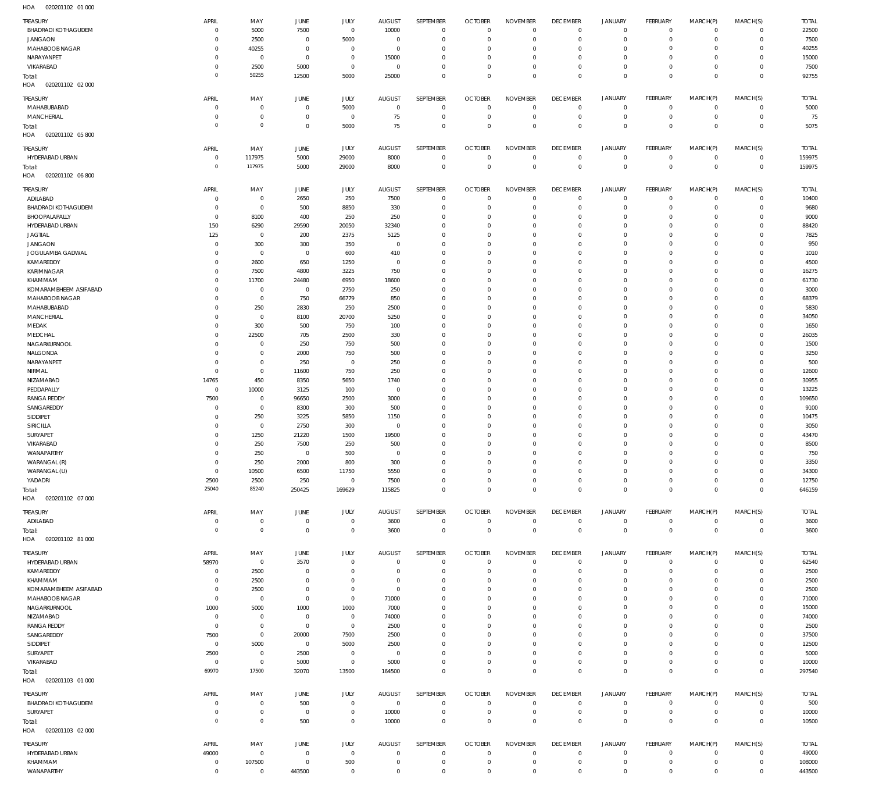| TREASURY<br><b>BHADRADI KOTHAGUDEM</b>      | APRIL<br>$^{\circ}$     | MAY<br>5000                | <b>JUNE</b><br>7500       | JULY<br>$\mathbb O$        | <b>AUGUST</b><br>10000          | SEPTEMBER<br>$\mathbf 0$   | <b>OCTOBER</b><br>$\overline{0}$ | <b>NOVEMBER</b><br>$\mathbf 0$ | <b>DECEMBER</b><br>$\overline{0}$ | <b>JANUARY</b><br>$\overline{0}$ | FEBRUARY<br>$\overline{0}$       | MARCH(P)<br>$\mathbf 0$    | MARCH(S)<br>$\overline{0}$       | <b>TOTAL</b><br>22500 |
|---------------------------------------------|-------------------------|----------------------------|---------------------------|----------------------------|---------------------------------|----------------------------|----------------------------------|--------------------------------|-----------------------------------|----------------------------------|----------------------------------|----------------------------|----------------------------------|-----------------------|
| <b>JANGAON</b>                              | $\Omega$                | 2500                       | $\circ$                   | 5000                       | $^{\circ}$                      | $\mathbf 0$                | $\mathbf 0$                      | $\mathbf 0$                    | $\mathbf 0$                       | $\mathbf 0$                      | $\mathbf{0}$                     | $\circ$                    | $\mathbf{0}$                     | 7500                  |
| MAHABOOB NAGAR<br>NARAYANPET                | $\Omega$<br>$^{\circ}$  | 40255<br>$\overline{0}$    | 0<br>$\circ$              | $\mathbf 0$<br>$\mathbb O$ | $\overline{0}$<br>15000         | $\mathbf 0$<br>$\mathbf 0$ | $\mathbf 0$<br>$\mathbf 0$       | $\Omega$<br>$\mathbf 0$        | $\mathbf 0$<br>$\mathbf 0$        | $\mathbf 0$<br>$\mathbf 0$       | $\mathbf{0}$<br>$\mathbf{0}$     | $\Omega$<br>$\Omega$       | $\mathbf{0}$<br>$\mathbf{0}$     | 40255<br>15000        |
| VIKARABAD                                   | $^{\circ}$              | 2500                       | 5000                      | $\mathbf 0$                | $\overline{0}$                  | $\mathbf 0$                | $\mathbf 0$                      | $\Omega$                       | $\mathbf 0$                       | $\mathbf 0$                      | $\mathbf{0}$                     | $\Omega$                   | $\mathbf{0}$                     | 7500                  |
| Total:<br>HOA<br>020201102 02 000           | $\circ$                 | 50255                      | 12500                     | 5000                       | 25000                           | $\mathbf 0$                | $\mathbf 0$                      | $\mathbf 0$                    | $\mathbf 0$                       | $\mathbf 0$                      | $\overline{0}$                   | $\mathbf 0$                | $\overline{0}$                   | 92755                 |
| TREASURY<br>MAHABUBABAD                     | APRIL<br>$\Omega$       | MAY<br>$^{\circ}$          | <b>JUNE</b><br>$\circ$    | <b>JULY</b><br>5000        | <b>AUGUST</b><br>$\overline{0}$ | SEPTEMBER<br>$\mathbf 0$   | <b>OCTOBER</b><br>$\mathbf 0$    | <b>NOVEMBER</b><br>$\Omega$    | <b>DECEMBER</b><br>$\mathbf 0$    | <b>JANUARY</b><br>$\mathbf 0$    | FEBRUARY<br>$\mathbf{0}$         | MARCH(P)<br>$\mathbf 0$    | MARCH(S)<br>$\mathbf{0}$         | <b>TOTAL</b><br>5000  |
| <b>MANCHERIAL</b>                           | $^{\circ}$              | $\mathbf 0$                | $\mathbf 0$               | $\mathbf 0$                | 75                              | $\mathbf 0$                | $\mathbf 0$                      | $\mathbf 0$                    | $\mathbf 0$                       | $\mathbf 0$                      | $\mathbf{0}$                     | $\mathbf 0$                | $\circ$                          | 75                    |
| Total:<br>HOA<br>020201102 05 800           | $\circ$                 | $\mathbf 0$                | $\mathbf 0$               | 5000                       | 75                              | $\mathbf 0$                | $\mathbf 0$                      | $\Omega$                       | $\mathbf 0$                       | $\overline{0}$                   | $\overline{0}$                   | $\Omega$                   | $\mathbf 0$                      | 5075                  |
| TREASURY                                    | APRIL                   | MAY                        | <b>JUNE</b>               | JULY                       | <b>AUGUST</b>                   | SEPTEMBER                  | <b>OCTOBER</b>                   | <b>NOVEMBER</b>                | <b>DECEMBER</b>                   | <b>JANUARY</b>                   | FEBRUARY                         | MARCH(P)                   | MARCH(S)                         | <b>TOTAL</b>          |
| HYDERABAD URBAN                             | $^{\circ}$<br>$\circ$   | 117975<br>117975           | 5000                      | 29000                      | 8000                            | $\mathbf 0$<br>$\bf 0$     | $\overline{0}$<br>$\overline{0}$ | $\mathbf 0$<br>$\bf 0$         | $\overline{0}$<br>$\overline{0}$  | $\mathbf 0$<br>$\bf 0$           | $\overline{0}$<br>$\overline{0}$ | $^{\circ}$<br>$\mathbf 0$  | $\overline{0}$<br>$\overline{0}$ | 159975                |
| Total:<br>HOA<br>020201102 06 800           |                         |                            | 5000                      | 29000                      | 8000                            |                            |                                  |                                |                                   |                                  |                                  |                            |                                  | 159975                |
| TREASURY                                    | APRIL                   | MAY                        | JUNE                      | JULY                       | <b>AUGUST</b>                   | SEPTEMBER                  | <b>OCTOBER</b>                   | <b>NOVEMBER</b>                | <b>DECEMBER</b>                   | <b>JANUARY</b>                   | FEBRUARY                         | MARCH(P)                   | MARCH(S)                         | <b>TOTAL</b>          |
| ADILABAD                                    | $\Omega$                | $^{\circ}$                 | 2650                      | 250                        | 7500                            | $\mathbf 0$                | $\overline{0}$                   | $\Omega$                       | $\mathbf 0$                       | $\mathbf 0$                      | $\mathbf{0}$                     | $\Omega$                   | $\mathbf{0}$                     | 10400                 |
| <b>BHADRADI KOTHAGUDEM</b><br>BHOOPALAPALLY | $\Omega$<br>$\Omega$    | $\mathbf 0$<br>8100        | 500<br>400                | 8850<br>250                | 330<br>250                      | $\mathbf 0$<br>$\Omega$    | $\mathbf 0$<br>$\Omega$          | $\Omega$<br>$\Omega$           | $\mathbf 0$<br>$\Omega$           | $\mathbf 0$<br>$\mathbf 0$       | $\mathbf 0$<br>$\mathbf 0$       | $\Omega$<br>$\Omega$       | $\mathbf 0$<br>$\mathbf 0$       | 9680<br>9000          |
| HYDERABAD URBAN                             | 150                     | 6290                       | 29590                     | 20050                      | 32340                           | $\mathbf 0$                | $\Omega$                         | $\Omega$                       | $\mathbf 0$                       | $\mathbf 0$                      | $\mathbf 0$                      | $\Omega$                   | $\mathbf 0$                      | 88420                 |
| <b>JAGTIAL</b>                              | 125                     | $^{\circ}$                 | 200                       | 2375                       | 5125                            | $\Omega$                   | $\Omega$                         | $\Omega$                       | $\Omega$                          | $\Omega$                         | $\Omega$                         | $\Omega$                   | $\Omega$                         | 7825                  |
| <b>JANGAON</b>                              | $\Omega$                | 300                        | 300                       | 350                        | $^{\circ}$                      | $\Omega$                   | $\Omega$                         | $\Omega$                       | $\Omega$                          | $\Omega$                         | $\Omega$                         | $\Omega$                   | $\Omega$                         | 950                   |
| JOGULAMBA GADWAL                            | $\Omega$                | $^{\circ}$                 | $\circ$                   | 600                        | 410                             | $\Omega$                   | $\Omega$                         | $\Omega$                       | $\Omega$                          | $\Omega$                         | $\Omega$                         | $\Omega$                   | $\mathbf 0$                      | 1010                  |
| KAMAREDDY                                   | $\Omega$                | 2600                       | 650                       | 1250                       | $^{\circ}$                      | $\Omega$                   | $\Omega$                         | $\Omega$                       | $\Omega$                          | $\Omega$                         | $\Omega$                         | $\Omega$                   | $\Omega$                         | 4500                  |
| KARIMNAGAR<br>KHAMMAM                       | $\Omega$<br>$\Omega$    | 7500<br>11700              | 4800<br>24480             | 3225<br>6950               | 750<br>18600                    | $\Omega$<br>$\Omega$       | $\Omega$<br>$\Omega$             | $\Omega$<br>$\Omega$           | $\Omega$<br>$\Omega$              | $\Omega$<br>$\Omega$             | $\mathbf 0$<br>$\Omega$          | $\Omega$<br>$\Omega$       | $\mathbf 0$<br>$\Omega$          | 16275<br>61730        |
| KOMARAMBHEEM ASIFABAD                       | $\Omega$                | $^{\circ}$                 | $^{\circ}$                | 2750                       | 250                             | $\Omega$                   | $\Omega$                         | $\Omega$                       | $\Omega$                          | $\Omega$                         | $\Omega$                         | $\Omega$                   | $\Omega$                         | 3000                  |
| MAHABOOB NAGAR                              | $\Omega$                | $\mathbf 0$                | 750                       | 66779                      | 850                             | $\mathbf 0$                | $\Omega$                         | $\Omega$                       | $\mathbf 0$                       | $\Omega$                         | $\Omega$                         | $\Omega$                   | $\Omega$                         | 68379                 |
| MAHABUBABAD                                 | $\Omega$                | 250                        | 2830                      | 250                        | 2500                            | $\Omega$                   | $\Omega$                         | $\Omega$                       | $\Omega$                          | $\Omega$                         | $\Omega$                         | $\Omega$                   | $\Omega$                         | 5830                  |
| MANCHERIAL                                  | $\Omega$                | $\mathbf 0$                | 8100                      | 20700                      | 5250                            | $\mathbf 0$                | $\Omega$                         | $\Omega$                       | $\mathbf 0$                       | $\Omega$                         | $\Omega$                         | $\Omega$                   | $\mathbf 0$                      | 34050                 |
| MEDAK                                       | $\Omega$                | 300                        | 500                       | 750                        | 100                             | $\Omega$                   | $\Omega$                         | $\Omega$                       | $\Omega$                          | $\Omega$                         | $\Omega$                         | $\Omega$                   | $\Omega$                         | 1650                  |
| MEDCHAL<br>NAGARKURNOOL                     | $\Omega$<br>$\Omega$    | 22500<br>$^{\circ}$        | 705<br>250                | 2500<br>750                | 330<br>500                      | $\mathbf 0$<br>$\Omega$    | $\Omega$<br>$\Omega$             | $\Omega$<br>$\Omega$           | $\mathbf 0$<br>$\Omega$           | $\Omega$<br>$\Omega$             | $\Omega$<br>$\Omega$             | $\Omega$<br>$\Omega$       | $\mathbf 0$<br>$\Omega$          | 26035<br>1500         |
| NALGONDA                                    | $\Omega$                | $\mathbf 0$                | 2000                      | 750                        | 500                             | $\Omega$                   | $\Omega$                         | $\Omega$                       | $\Omega$                          | $\Omega$                         | $\Omega$                         | $\Omega$                   | $\Omega$                         | 3250                  |
| NARAYANPET                                  | $\Omega$                | $\mathbf 0$                | 250                       | $^{\circ}$                 | 250                             | $\Omega$                   | $\Omega$                         | $\Omega$                       | $\Omega$                          | $\Omega$                         | $\Omega$                         | $\Omega$                   | $\Omega$                         | 500                   |
| NIRMAL                                      | $\Omega$                | $\mathbf 0$                | 11600                     | 750                        | 250                             | $\Omega$                   | $\Omega$                         | $\Omega$                       | $\Omega$                          | $\Omega$                         | $\Omega$                         | $\Omega$                   | $\Omega$                         | 12600                 |
| NIZAMABAD                                   | 14765                   | 450                        | 8350                      | 5650                       | 1740                            | $\Omega$                   | $\Omega$                         | $\Omega$                       | $\Omega$                          | $\Omega$                         | $\mathbf 0$                      | $\Omega$                   | $\Omega$                         | 30955                 |
| PEDDAPALLY                                  | $\Omega$                | 10000                      | 3125                      | 100                        | $^{\circ}$                      | $\Omega$                   | $\Omega$                         | $\Omega$                       | $\Omega$                          | $\Omega$                         | $\Omega$                         | $\Omega$                   | $\Omega$                         | 13225                 |
| <b>RANGA REDDY</b><br>SANGAREDDY            | 7500<br>$\Omega$        | $\mathbf 0$<br>$\mathbf 0$ | 96650<br>8300             | 2500<br>300                | 3000<br>500                     | $\Omega$<br>$\Omega$       | $\Omega$<br>$\Omega$             | $\Omega$<br>$\Omega$           | $\Omega$<br>$\mathbf 0$           | $\Omega$<br>$\Omega$             | $\Omega$<br>$\Omega$             | $\Omega$<br>$\Omega$       | $\Omega$<br>$\Omega$             | 109650<br>9100        |
| SIDDIPET                                    | $\Omega$                | 250                        | 3225                      | 5850                       | 1150                            | $\Omega$                   | $\Omega$                         | $\Omega$                       | $\Omega$                          | $\Omega$                         | $\Omega$                         | $\Omega$                   | $\Omega$                         | 10475                 |
| SIRICILLA                                   | $\Omega$                | $\mathbf 0$                | 2750                      | 300                        | $^{\circ}$                      | $\mathbf 0$                | $\mathbf 0$                      | $\Omega$                       | $\mathbf 0$                       | $\Omega$                         | $\Omega$                         | $\Omega$                   | $\mathbf 0$                      | 3050                  |
| SURYAPET                                    | $\Omega$                | 1250                       | 21220                     | 1500                       | 19500                           | $\Omega$                   | $\Omega$                         | $\Omega$                       | $\Omega$                          | $\Omega$                         | $\Omega$                         | $\Omega$                   | $\Omega$                         | 43470                 |
| VIKARABAD                                   | $\Omega$                | 250                        | 7500                      | 250                        | 500                             | $\mathbf 0$                | $\Omega$                         | $\Omega$                       | $\Omega$                          | $\Omega$                         | $\Omega$                         | $\Omega$                   | $\mathbf 0$                      | 8500                  |
| WANAPARTHY                                  | $\Omega$                | 250                        | $^{\circ}$                | 500                        | $\Omega$                        | $\Omega$                   | $\Omega$                         | $\Omega$                       | $\Omega$                          | $\Omega$                         | $\Omega$                         | $\Omega$                   | $\Omega$                         | 750                   |
| WARANGAL (R)                                | $\Omega$<br>$\mathbf 0$ | 250                        | 2000                      | 800<br>11750               | 300<br>5550                     | $\Omega$<br>$\mathbf 0$    | $\Omega$<br>$\mathbf 0$          | $\Omega$<br>$\mathbf 0$        | $\Omega$<br>$\mathbf 0$           | $\Omega$<br>$\mathbf 0$          | $\Omega$<br>$\mathbf 0$          | $\Omega$<br>$\mathbf 0$    | $\Omega$<br>$\mathbf 0$          | 3350                  |
| WARANGAL (U)<br>YADADRI                     | 2500                    | 10500<br>2500              | 6500<br>250               | $\mathbf 0$                | 7500                            | $\mathbf 0$                | $\mathbf 0$                      | $\mathbf 0$                    | $\mathbf 0$                       | $\mathbf 0$                      | $\mathbf{0}$                     | $\mathbf 0$                | $\mathbf{0}$                     | 34300<br>12750        |
| Total:                                      | 25040                   | 85240                      | 250425                    | 169629                     | 115825                          | $\mathbf 0$                | $\mathbf 0$                      | $\mathbf 0$                    | $\mathbf 0$                       | $\mathbf 0$                      | $\overline{0}$                   | $\mathbf 0$                | $\overline{0}$                   | 646159                |
| HOA<br>020201102 07 000                     |                         |                            |                           |                            |                                 |                            |                                  |                                |                                   |                                  |                                  |                            |                                  |                       |
| TREASURY                                    | APRIL                   | MAY                        | JUNE                      | JULY                       | <b>AUGUST</b>                   | SEPTEMBER                  | <b>OCTOBER</b>                   | <b>NOVEMBER</b>                | <b>DECEMBER</b>                   | <b>JANUARY</b>                   | FEBRUARY                         | MARCH(P)                   | MARCH(S)                         | <b>TOTAL</b>          |
| ADILABAD                                    | 0<br>$\circ$            | $\mathbf 0$<br>$\mathbb O$ | $\overline{0}$            | $\mathbb O$                | 3600                            | $\mathbb O$<br>$\bf 0$     | $\overline{0}$<br>$\overline{0}$ | $\mathbf 0$<br>$\mathbf 0$     | $\overline{0}$<br>$\overline{0}$  | $\circ$<br>$\bf 0$               | $\overline{0}$<br>$\overline{0}$ | $\mathbf 0$<br>$\mathbf 0$ | $\overline{0}$                   | 3600                  |
| Total:<br>HOA<br>020201102 81 000           |                         |                            | $\overline{0}$            | $\mathbf 0$                | 3600                            |                            |                                  |                                |                                   |                                  |                                  |                            | $\overline{0}$                   | 3600                  |
| TREASURY                                    | APRIL                   | MAY                        | JUNE                      | <b>JULY</b>                | <b>AUGUST</b>                   | SEPTEMBER                  | <b>OCTOBER</b>                   | <b>NOVEMBER</b>                | <b>DECEMBER</b>                   | <b>JANUARY</b>                   | FEBRUARY                         | MARCH(P)                   | MARCH(S)                         | <b>TOTAL</b>          |
| HYDERABAD URBAN                             | 58970                   | $\mathbf 0$                | 3570                      | $\mathbf 0$                | $\overline{0}$                  | $\mathbf 0$                | $\mathbf 0$                      | $\mathbf 0$                    | $\mathbf 0$                       | $\mathbf 0$                      | $\mathbf{0}$                     | $\mathbf 0$                | $\circ$                          | 62540                 |
| KAMAREDDY                                   | $^{\circ}$              | 2500                       | $^{\circ}$                | $\mathbf 0$                | $\mathbf{0}$                    | $\mathbf 0$                | $\mathbf 0$                      | $\mathbf 0$<br>$\Omega$        | $\mathbf 0$                       | $\mathbf 0$<br>$\mathbf 0$       | $\mathbf{0}$                     | $\mathbf 0$<br>$\Omega$    | $\mathbf{0}$                     | 2500                  |
| KHAMMAM<br>KOMARAMBHEEM ASIFABAD            | -0<br>0                 | 2500<br>2500               | $^{\circ}$<br>$\mathbf 0$ | $\mathbf 0$<br>$\mathbf 0$ | $^{\circ}$<br>$\mathbf{0}$      | $\mathbf 0$<br>$\mathbf 0$ | $\mathbf 0$<br>$\mathbf 0$       | $\Omega$                       | $\mathbf 0$<br>$\mathbf 0$        | $\mathbf 0$                      | $\mathbf 0$<br>$^{\circ}$        | $\Omega$                   | $\mathbf 0$<br>$^{\circ}$        | 2500<br>2500          |
| MAHABOOB NAGAR                              | $^{\circ}$              | $\mathbf 0$                | $^{\circ}$                | $\mathbf 0$                | 71000                           | $\mathbf 0$                | $\mathbf 0$                      | $\Omega$                       | $\mathbf 0$                       | $\mathbf 0$                      | $^{\circ}$                       | $\Omega$                   | $\mathbf 0$                      | 71000                 |
| NAGARKURNOOL                                | 1000                    | 5000                       | 1000                      | 1000                       | 7000                            | $\Omega$                   | $\mathbf 0$                      | $\Omega$                       | $\mathbf 0$                       | $\mathbf 0$                      | $^{\circ}$                       | $\Omega$                   | $\mathbf 0$                      | 15000                 |
| NIZAMABAD                                   | $^{\circ}$              | $\mathbf 0$                | $^{\circ}$                | $\mathbf 0$                | 74000                           | $\mathbf 0$                | $\mathbf 0$                      | $\Omega$                       | $\mathbf 0$                       | $\mathbf 0$                      | $^{\circ}$                       | $\Omega$                   | $^{\circ}$                       | 74000                 |
| <b>RANGA REDDY</b>                          | $^{\circ}$              | $\mathbf 0$                | $^{\circ}$                | $\mathbf 0$                | 2500                            | $\mathbf 0$                | $\mathbf 0$                      | $\Omega$                       | $\mathbf 0$                       | $\mathbf 0$                      | $\mathbf 0$                      | $\Omega$                   | $\mathbf 0$                      | 2500                  |
| SANGAREDDY                                  | 7500                    | $\mathbf 0$                | 20000                     | 7500                       | 2500                            | $\Omega$                   | $\mathbf 0$                      | $\Omega$                       | $\Omega$                          | $\mathbf 0$                      | $^{\circ}$                       | $\Omega$                   | $\mathbf 0$                      | 37500                 |
| SIDDIPET<br>SURYAPET                        | $^{\circ}$<br>2500      | 5000<br>$\mathbf 0$        | $\overline{0}$<br>2500    | 5000<br>$\mathbf 0$        | 2500<br>$\mathbf{0}$            | $\mathbf 0$<br>$\Omega$    | $\mathbf 0$<br>$\mathbf 0$       | $\mathbf 0$<br>$\Omega$        | $\mathbf 0$<br>$\mathbf 0$        | $\mathbf 0$<br>$\mathbf 0$       | $\mathbf 0$<br>$^{\circ}$        | $\Omega$<br>$\Omega$       | $\mathbf 0$<br>$\mathbf 0$       | 12500<br>5000         |
| VIKARABAD                                   | $^{\circ}$              | $\mathbb O$                | 5000                      | $\mathbb O$                | 5000                            | $\mathbf 0$                | $\mathbf 0$                      | $\mathbf 0$                    | $\mathbf 0$                       | $\mathsf{O}\xspace$              | $^{\circ}$                       | $\mathbf 0$                | $\mathbf{0}$                     | 10000                 |
| Total:<br>HOA<br>020201103 01 000           | 69970                   | 17500                      | 32070                     | 13500                      | 164500                          | $\mathbf 0$                | $\mathbf 0$                      | $\mathbf 0$                    | $\mathbf 0$                       | $\mathbf 0$                      | $\overline{0}$                   | $\mathbf 0$                | $\mathbf 0$                      | 297540                |
| TREASURY                                    | APRIL                   | MAY                        | JUNE                      | JULY                       | <b>AUGUST</b>                   | SEPTEMBER                  | <b>OCTOBER</b>                   | <b>NOVEMBER</b>                | <b>DECEMBER</b>                   | <b>JANUARY</b>                   | FEBRUARY                         | MARCH(P)                   | MARCH(S)                         | <b>TOTAL</b>          |
| BHADRADI KOTHAGUDEM                         | $^{\circ}$              | $\mathbf 0$                | 500                       | $\mathbb O$                | $\mathbf 0$                     | $\mathbb O$                | $\overline{0}$                   | $\mathbf 0$                    | $\overline{0}$                    | $\circ$                          | $\overline{0}$                   | $\mathbf 0$                | $\overline{0}$                   | 500                   |
| SURYAPET                                    | $^{\circ}$              | $\mathbf 0$                | $\overline{0}$            | $\mathbb O$                | 10000                           | $\mathbb O$                | $\overline{0}$                   | $\mathbf 0$                    | $\overline{0}$                    | $\mathbf 0$                      | $\overline{0}$                   | $\mathbf 0$                | $\overline{0}$                   | 10000                 |
| Total:<br>020201103 02 000<br>HOA           | $\circ$                 | $\mathsf{O}\xspace$        | 500                       | $\mathbf 0$                | 10000                           | $\mathbb O$                | $\overline{0}$                   | $\mathbf 0$                    | $\overline{0}$                    | $\mathbf 0$                      | $\overline{0}$                   | $\mathbf 0$                | $\overline{0}$                   | 10500                 |
| TREASURY                                    | APRIL                   | MAY                        | <b>JUNE</b>               | <b>JULY</b>                | <b>AUGUST</b>                   | SEPTEMBER                  | <b>OCTOBER</b>                   | <b>NOVEMBER</b>                | <b>DECEMBER</b>                   | <b>JANUARY</b>                   | FEBRUARY                         | MARCH(P)                   | MARCH(S)                         | <b>TOTAL</b>          |
| HYDERABAD URBAN                             | 49000                   | $\mathbf 0$                | $\overline{0}$            | $\mathbf 0$                | $\mathbf 0$                     | $\mathbf 0$                | $\overline{0}$                   | $\mathbf 0$                    | $\mathbf 0$                       | 0                                | $\circ$                          | $\mathbf 0$                | $\mathbf{0}$                     | 49000                 |
| KHAMMAM                                     | $\mathbf 0$             | 107500                     | $\overline{0}$            | 500                        | $\mathbf 0$                     | $\bf 0$                    | $\overline{0}$                   | $\mathbf 0$                    | $\mathbf 0$                       | $\mathbf 0$                      | $\overline{0}$                   | $\mathbf 0$                | $\circ$                          | 108000                |
| WANAPARTHY                                  | $^{\circ}$              | $\mathbb O$                | 443500                    | $\mathbf 0$                | $\mathbf 0$                     | $\mathbf 0$                | $\mathbf 0$                      | $\mathbf 0$                    | $\mathbf 0$                       | $\mathbf 0$                      | $\mathbf 0$                      | $\mathbf 0$                | $\mathbf 0$                      | 443500                |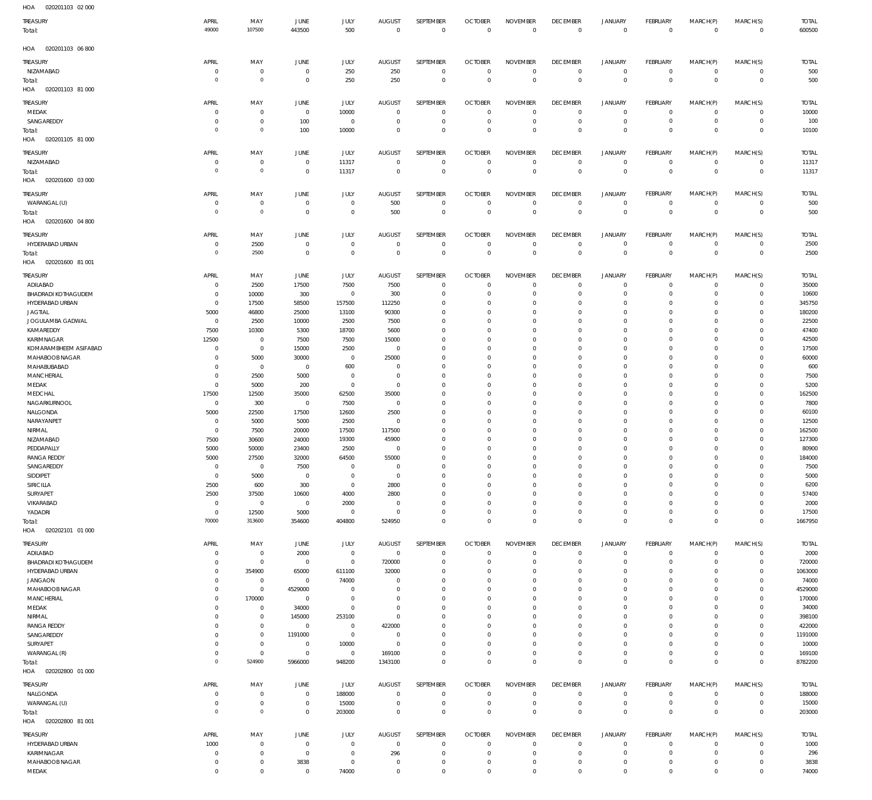020201103 02 000 HOA

| $\cdot$ .<br>ATATA LAA AT AAA<br>TREASURY      | APRIL                        | MAY                        | JUNE                             | <b>JULY</b>                | <b>AUGUST</b>                    | SEPTEMBER                  | <b>OCTOBER</b>                   | <b>NOVEMBER</b>                | <b>DECEMBER</b>                   | <b>JANUARY</b>                   | FEBRUARY                         | MARCH(P)                   | MARCH(S)                         | <b>TOTAL</b>      |
|------------------------------------------------|------------------------------|----------------------------|----------------------------------|----------------------------|----------------------------------|----------------------------|----------------------------------|--------------------------------|-----------------------------------|----------------------------------|----------------------------------|----------------------------|----------------------------------|-------------------|
| Total:                                         | 49000                        | 107500                     | 443500                           | 500                        | $\mathbb O$                      | $\mathbf 0$                | $\overline{0}$                   | $\mathbb O$                    | $\mathbb O$                       | $\mathbb O$                      | $\mathbb O$                      | $\mathbf 0$                | $\mathbf 0$                      | 600500            |
| HOA<br>020201103 06 800                        |                              |                            |                                  |                            |                                  |                            |                                  |                                |                                   |                                  |                                  |                            |                                  |                   |
| TREASURY                                       | APRIL                        | MAY                        | JUNE                             | <b>JULY</b>                | <b>AUGUST</b>                    | SEPTEMBER                  | <b>OCTOBER</b>                   | <b>NOVEMBER</b>                | <b>DECEMBER</b>                   | <b>JANUARY</b>                   | FEBRUARY                         | MARCH(P)                   | MARCH(S)                         | <b>TOTAL</b>      |
| NIZAMABAD<br>Total:<br>HOA<br>020201103 81 000 | $^{\circ}$<br>$\overline{0}$ | $\mathbb O$<br>$\mathbb O$ | $\circ$<br>$\overline{0}$        | 250<br>250                 | 250<br>250                       | $\bf 0$<br>$\mathbf 0$     | $\overline{0}$<br>$\overline{0}$ | $\mathbf 0$<br>$\bf 0$         | $\overline{0}$<br>$\overline{0}$  | $\overline{0}$<br>$\mathbf 0$    | $\overline{0}$<br>$\overline{0}$ | $\mathbf 0$<br>$\mathbf 0$ | $\circ$<br>$\overline{0}$        | 500<br>500        |
| TREASURY                                       | APRIL                        | MAY                        | <b>JUNE</b>                      | JULY                       | <b>AUGUST</b>                    | SEPTEMBER                  | <b>OCTOBER</b>                   | <b>NOVEMBER</b>                | <b>DECEMBER</b>                   | <b>JANUARY</b>                   | FEBRUARY                         | MARCH(P)                   | MARCH(S)                         | <b>TOTAL</b>      |
| MEDAK                                          | 0                            | $^{\circ}$                 | $\overline{0}$                   | 10000                      | $^{\circ}$                       | $\mathbf 0$                | $\mathbf 0$                      | $\Omega$                       | $\mathbf 0$                       | $\mathbf 0$                      | $\mathbf{0}$                     | $\mathbf 0$                | $\mathbf{0}$                     | 10000             |
| SANGAREDDY                                     | $\Omega$                     | $\mathbf 0$                | 100                              | $^{\circ}$                 | $^{\circ}$                       | $\mathbf 0$                | $\overline{0}$                   | $\mathbf 0$                    | $\mathbf 0$                       | $\mathbf 0$                      | $\mathbf{0}$                     | $\mathbf 0$                | $\circ$                          | 100               |
| Total:<br>HOA<br>020201105 81 000              | $\circ$                      | $\mathbf 0$                | 100                              | 10000                      | $\mathbf 0$                      | $\mathbf 0$                | $\mathbf 0$                      | $\mathbf 0$                    | $\mathbf 0$                       | $\mathbf 0$                      | $\overline{0}$                   | $\mathbf 0$                | $\mathbf 0$                      | 10100             |
| TREASURY                                       | APRIL                        | MAY                        | JUNE                             | JULY                       | <b>AUGUST</b>                    | SEPTEMBER                  | <b>OCTOBER</b>                   | <b>NOVEMBER</b>                | <b>DECEMBER</b>                   | <b>JANUARY</b>                   | FEBRUARY                         | MARCH(P)                   | MARCH(S)                         | <b>TOTAL</b>      |
| NIZAMABAD<br>Total:                            | $^{\circ}$<br>$\circ$        | $\mathbb O$<br>$\mathbb O$ | $\overline{0}$<br>$\overline{0}$ | 11317<br>11317             | $\overline{0}$<br>$\overline{0}$ | $\mathbf 0$<br>$\mathbf 0$ | $\overline{0}$<br>$\overline{0}$ | $\mathbf 0$<br>$\mathbf 0$     | $\overline{0}$<br>$\overline{0}$  | $\overline{0}$<br>$\bf 0$        | $\overline{0}$<br>$\overline{0}$ | $\mathbf 0$<br>$\mathbf 0$ | $\overline{0}$<br>$\overline{0}$ | 11317<br>11317    |
| HOA<br>020201600 03 000                        |                              |                            |                                  |                            |                                  |                            |                                  |                                |                                   |                                  |                                  |                            |                                  |                   |
| TREASURY                                       | APRIL                        | MAY                        | <b>JUNE</b>                      | <b>JULY</b>                | <b>AUGUST</b>                    | SEPTEMBER                  | <b>OCTOBER</b>                   | <b>NOVEMBER</b>                | <b>DECEMBER</b>                   | <b>JANUARY</b>                   | FEBRUARY                         | MARCH(P)                   | MARCH(S)                         | <b>TOTAL</b>      |
| WARANGAL (U)<br>Total:                         | $^{\circ}$<br>$\circ$        | $\mathbf 0$<br>$\mathbb O$ | $\overline{0}$<br>$\overline{0}$ | $\mathbf 0$<br>$\mathbf 0$ | 500<br>500                       | $\mathbf 0$<br>$\mathbf 0$ | $\overline{0}$<br>$\mathbf{0}$   | $\mathbf 0$<br>$\mathbf 0$     | $\overline{0}$<br>$\mathbf{0}$    | $\mathbf 0$<br>$\overline{0}$    | $\mathbf{0}$<br>$\overline{0}$   | $\mathbf 0$<br>$\mathbf 0$ | $\mathbf{0}$<br>$\overline{0}$   | 500<br>500        |
| HOA<br>020201600 04 800                        |                              |                            |                                  |                            |                                  |                            |                                  |                                |                                   |                                  |                                  |                            |                                  |                   |
| TREASURY                                       | APRIL                        | MAY                        | <b>JUNE</b>                      | JULY                       | <b>AUGUST</b>                    | SEPTEMBER                  | <b>OCTOBER</b>                   | <b>NOVEMBER</b>                | <b>DECEMBER</b>                   | <b>JANUARY</b>                   | FEBRUARY                         | MARCH(P)                   | MARCH(S)                         | <b>TOTAL</b>      |
| HYDERABAD URBAN                                | $^{\circ}$<br>$\circ$        | 2500<br>2500               | $\overline{0}$<br>$\overline{0}$ | $\mathbf 0$<br>$\mathbf 0$ | $\mathbf 0$<br>$\overline{0}$    | $\bf 0$<br>$\mathbf 0$     | $\overline{0}$<br>$\overline{0}$ | $\mathbf 0$<br>$\mathbf 0$     | $\overline{0}$<br>$\overline{0}$  | $\overline{0}$<br>$\overline{0}$ | $\overline{0}$<br>$\overline{0}$ | 0<br>$\mathbf 0$           | $\overline{0}$                   | 2500              |
| Total:<br>HOA<br>020201600 81 001              |                              |                            |                                  |                            |                                  |                            |                                  |                                |                                   |                                  |                                  |                            | $\overline{0}$                   | 2500              |
| TREASURY                                       | APRIL                        | MAY                        | <b>JUNE</b>                      | JULY                       | <b>AUGUST</b>                    | SEPTEMBER                  | <b>OCTOBER</b>                   | <b>NOVEMBER</b>                | <b>DECEMBER</b>                   | <b>JANUARY</b>                   | FEBRUARY                         | MARCH(P)                   | MARCH(S)                         | <b>TOTAL</b>      |
| ADILABAD<br><b>BHADRADI KOTHAGUDEM</b>         | $^{\circ}$<br>$\Omega$       | 2500<br>10000              | 17500<br>300                     | 7500<br>$\mathbf 0$        | 7500<br>300                      | $\mathbf 0$<br>$\mathbf 0$ | $\mathbf 0$<br>$\mathbf 0$       | $\Omega$<br>$\Omega$           | $\mathbf 0$<br>$\mathbf 0$        | $\mathbf 0$<br>$\mathbf 0$       | $\mathbf{0}$<br>$\mathbf{0}$     | $\mathbf 0$<br>$\Omega$    | $\mathbf{0}$<br>$\mathbf{0}$     | 35000<br>10600    |
| HYDERABAD URBAN                                | $^{\circ}$                   | 17500                      | 58500                            | 157500                     | 112250                           | $\mathbf 0$                | $\mathbf 0$                      | $\Omega$                       | $\mathbf 0$                       | $\mathbf 0$                      | $^{\circ}$                       | $\Omega$                   | $\mathbf 0$                      | 345750            |
| <b>JAGTIAL</b>                                 | 5000                         | 46800                      | 25000                            | 13100                      | 90300                            | $\Omega$                   | $\Omega$                         | $\Omega$                       | $\Omega$                          | $\Omega$                         | $^{\circ}$                       | $\Omega$                   | $\mathbf 0$                      | 180200            |
| JOGULAMBA GADWAL                               | $\mathbf 0$                  | 2500                       | 10000                            | 2500                       | 7500                             | $\mathbf 0$                | $\mathbf 0$                      | $\Omega$                       | $\mathbf 0$                       | $\mathbf 0$                      | $^{\circ}$                       | $\Omega$                   | $\mathbf 0$                      | 22500             |
| KAMAREDDY<br>KARIMNAGAR                        | 7500<br>12500                | 10300<br>$\mathbf 0$       | 5300<br>7500                     | 18700<br>7500              | 5600<br>15000                    | $\Omega$<br>$\Omega$       | $\Omega$<br>$\Omega$             | $\Omega$<br>$\Omega$           | $\Omega$<br>$\mathbf 0$           | $\Omega$<br>$\mathbf 0$          | $\Omega$<br>$^{\circ}$           | $\Omega$<br>$\Omega$       | $\Omega$<br>$\mathbf 0$          | 47400<br>42500    |
| KOMARAMBHEEM ASIFABAD                          | $\Omega$                     | $\mathbf 0$                | 15000                            | 2500                       | $^{\circ}$                       | $\Omega$                   | $\Omega$                         | $\Omega$                       | $\Omega$                          | $\Omega$                         | $\mathbf 0$                      | $\Omega$                   | $\mathbf 0$                      | 17500             |
| MAHABOOB NAGAR                                 | $\Omega$                     | 5000                       | 30000                            | $\mathbf 0$                | 25000                            | $\Omega$                   | $\Omega$                         | $\Omega$                       | $\Omega$                          | $\Omega$                         | $\mathbf 0$                      | $\Omega$                   | $\mathbf 0$                      | 60000             |
| MAHABUBABAD                                    | $\Omega$                     | $^{\circ}$                 | $\overline{0}$                   | 600                        | $^{\circ}$                       | $\Omega$                   | $\mathbf 0$                      | $\Omega$                       | $\mathbf 0$                       | $\mathbf 0$                      | $\mathbf 0$                      | $\Omega$                   | $\mathbf 0$                      | 600               |
| MANCHERIAL<br>MEDAK                            | $\Omega$<br>$^{\circ}$       | 2500<br>5000               | 5000<br>200                      | $^{\circ}$<br>$\mathbf 0$  | $\Omega$<br>$\mathbf{0}$         | $\Omega$<br>$\Omega$       | $\Omega$<br>$\Omega$             | $\Omega$<br>$\Omega$           | $\Omega$<br>$\Omega$              | $\Omega$<br>$\mathbf 0$          | $\Omega$<br>$\mathbf 0$          | $\Omega$<br>$\Omega$       | $\Omega$<br>$\mathbf 0$          | 7500<br>5200      |
| MEDCHAL                                        | 17500                        | 12500                      | 35000                            | 62500                      | 35000                            | $\Omega$                   | $\Omega$                         | $\Omega$                       | $\mathbf 0$                       | $\Omega$                         | $\Omega$                         | $\Omega$                   | $\Omega$                         | 162500            |
| NAGARKURNOOL                                   | $^{\circ}$                   | 300                        | $\overline{0}$                   | 7500                       | $^{\circ}$                       | $\Omega$                   | $\Omega$                         | $\Omega$                       | $\Omega$                          | $\Omega$                         | $\mathbf 0$                      | $\Omega$                   | $\mathbf 0$                      | 7800              |
| NALGONDA<br>NARAYANPET                         | 5000<br>$^{\circ}$           | 22500<br>5000              | 17500<br>5000                    | 12600<br>2500              | 2500<br>$^{\circ}$               | $\mathbf 0$<br>$\Omega$    | $\mathbf 0$<br>$\Omega$          | $\Omega$<br>$\Omega$           | $\mathbf 0$<br>$\Omega$           | $\mathbf 0$<br>$\Omega$          | $\mathbf 0$<br>$\mathbf 0$       | $\Omega$<br>$\Omega$       | $\mathbf 0$<br>$\mathbf 0$       | 60100<br>12500    |
| NIRMAL                                         | $^{\circ}$                   | 7500                       | 20000                            | 17500                      | 117500                           | $\Omega$                   | $\mathbf 0$                      | $\Omega$                       | $\mathbf 0$                       | $\mathbf 0$                      | $\mathbf 0$                      | $\Omega$                   | $\mathbf 0$                      | 162500            |
| NIZAMABAD                                      | 7500                         | 30600                      | 24000                            | 19300                      | 45900                            | $\Omega$                   | $\Omega$                         | $\Omega$                       | $\Omega$                          | $\Omega$                         | $\Omega$                         | $\Omega$                   | $\Omega$                         | 127300            |
| PEDDAPALLY                                     | 5000                         | 50000                      | 23400                            | 2500                       | $^{\circ}$                       | $\Omega$                   | $\Omega$                         | $\Omega$                       | $\Omega$                          | $\Omega$                         | $\Omega$                         | $\Omega$                   | $\mathbf 0$                      | 80900             |
| <b>RANGA REDDY</b><br>SANGAREDDY               | 5000<br>$\mathbf 0$          | 27500<br>$\mathbf 0$       | 32000<br>7500                    | 64500<br>$\mathbf 0$       | 55000<br>$\mathbf{0}$            | $\Omega$<br>$\mathbf 0$    | $\Omega$<br>$\mathbf 0$          | $\Omega$<br>$\mathbf 0$        | $\Omega$<br>$\mathbf 0$           | $\Omega$<br>0                    | $\Omega$<br>$^{\circ}$           | $\Omega$<br>$\mathbf 0$    | $\Omega$<br>$^{\circ}$           | 184000<br>7500    |
| SIDDIPET                                       | $^{\circ}$                   | 5000                       | 0                                | $\mathbf 0$                | $^{\circ}$                       | $\mathbf 0$                | $\mathbf 0$                      | $\Omega$                       | $\mathbf 0$                       | $\mathbf 0$                      | $\mathbf 0$                      | $\Omega$                   | $\mathbf 0$                      | 5000              |
| SIRICILLA                                      | 2500                         | 600                        | 300                              | $\mathbf 0$                | 2800                             | $\mathbf 0$                | $\mathbf 0$                      | $\Omega$                       | $\mathbf 0$                       | $\mathbf 0$                      | $\mathbf 0$                      | $\Omega$                   | $\mathbf 0$                      | 6200              |
| SURYAPET<br>VIKARABAD                          | 2500<br>$^{\circ}$           | 37500<br>$\mathbf 0$       | 10600<br>$\overline{0}$          | 4000                       | 2800<br>$^{\circ}$               | $\mathbf 0$<br>$\mathbf 0$ | $\mathbf 0$<br>$\mathbf 0$       | $\Omega$<br>$\Omega$           | $\mathbf 0$<br>$\mathbf 0$        | $\mathbf 0$<br>$\mathbf 0$       | $\mathbf 0$<br>$\Omega$          | $\Omega$<br>$\Omega$       | $\mathbf 0$<br>$\Omega$          | 57400             |
| YADADRI                                        | $^{\circ}$                   | 12500                      | 5000                             | 2000<br>$\mathbf 0$        | $^{\circ}$                       | $\mathbf 0$                | $\mathbf 0$                      | $\mathbf 0$                    | $\mathbf 0$                       | $\mathbf 0$                      | $\mathbf 0$                      | $\mathbf 0$                | $\mathbf 0$                      | 2000<br>17500     |
| Total:                                         | 70000                        | 313600                     | 354600                           | 404800                     | 524950                           | $\mathbf 0$                | $\mathbf 0$                      | $\mathbf 0$                    | $\mathbf 0$                       | $\mathbf 0$                      | $\overline{0}$                   | $\mathbf 0$                | $\mathbf 0$                      | 1667950           |
| 020202101 01 000<br>HOA                        |                              |                            |                                  |                            |                                  |                            |                                  |                                |                                   |                                  |                                  |                            |                                  |                   |
| TREASURY                                       | APRIL                        | MAY                        | JUNE                             | JULY                       | <b>AUGUST</b><br>$\overline{0}$  | SEPTEMBER<br>$\mathbb O$   | <b>OCTOBER</b><br>$\overline{0}$ | <b>NOVEMBER</b><br>$\mathbf 0$ | <b>DECEMBER</b><br>$\overline{0}$ | <b>JANUARY</b><br>$\overline{0}$ | FEBRUARY                         | MARCH(P)<br>$\mathbf 0$    | MARCH(S)                         | <b>TOTAL</b>      |
| ADILABAD<br>BHADRADI KOTHAGUDEM                | 0<br>$^{\circ}$              | $\mathbf 0$<br>$\mathbf 0$ | 2000<br>$\overline{0}$           | $\mathbf 0$<br>$\mathbb O$ | 720000                           | $\bf 0$                    | $\mathbf 0$                      | $\mathbf 0$                    | $\mathbf 0$                       | $\mathbf 0$                      | $\overline{0}$<br>$\circ$        | $\mathbf 0$                | $\overline{0}$<br>$\circ$        | 2000<br>720000    |
| HYDERABAD URBAN                                | $\mathbf 0$                  | 354900                     | 65000                            | 611100                     | 32000                            | $\mathbf 0$                | $\mathbf 0$                      | $\mathbf 0$                    | $\mathbf 0$                       | $\mathbf 0$                      | $\mathbf{0}$                     | $\mathbf 0$                | $\mathbf{0}$                     | 1063000           |
| <b>JANGAON</b>                                 | $\mathbf 0$                  | $\mathbf 0$                | $\overline{0}$                   | 74000                      | $^{\circ}$                       | $\mathbf 0$                | $\mathbf 0$                      | $\mathbf 0$                    | $\mathbf 0$                       | $\mathbf 0$                      | $\mathbf{0}$                     | $\Omega$                   | $\mathbf{0}$                     | 74000             |
| MAHABOOB NAGAR<br>MANCHERIAL                   | $\mathbf 0$<br>$\mathbf 0$   | $\mathbb O$<br>170000      | 4529000<br>$^{\circ}$            | $\mathbf 0$<br>$\mathbb O$ | $^{\circ}$<br>$^{\circ}$         | $\mathbf 0$<br>$\mathbf 0$ | $\mathbf 0$<br>$\mathbf 0$       | $\mathbf 0$<br>$\Omega$        | $\mathbf 0$<br>$\mathbf 0$        | $\mathbf 0$<br>$\mathbf 0$       | $\mathbf 0$<br>$\mathbf{0}$      | $\Omega$<br>$\Omega$       | $\mathbf 0$<br>$\mathbf{0}$      | 4529000<br>170000 |
| MEDAK                                          | $^{\circ}$                   | $\mathbb O$                | 34000                            | $\mathbb O$                | $^{\circ}$                       | $\mathbf 0$                | $\mathbf 0$                      | $\mathbf 0$                    | $\mathbf 0$                       | $\mathbf 0$                      | $\mathbf 0$                      | $\Omega$                   | $\mathbf 0$                      | 34000             |
| NIRMAL                                         | $\mathbf 0$                  | $\mathbf 0$                | 145000                           | 253100                     | $\mathbf{0}$                     | $\mathbf 0$                | $\mathbf 0$                      | $\Omega$                       | $\mathbf 0$                       | $\mathbf 0$                      | $\mathbf{0}$                     | $\Omega$                   | $\mathbf{0}$                     | 398100            |
| <b>RANGA REDDY</b><br>SANGAREDDY               | $^{\circ}$<br>$\mathbf 0$    | $\mathbb O$<br>$\mathbb O$ | $\circ$<br>1191000               | $\mathbf 0$<br>$\mathbb O$ | 422000<br>$^{\circ}$             | $\mathbf 0$<br>$\mathbf 0$ | $\mathbf 0$<br>$\mathbf 0$       | $\mathbf 0$<br>$\Omega$        | $\mathbf 0$<br>$\mathbf 0$        | $\mathbf 0$<br>$\mathbf 0$       | $\mathbf 0$<br>$\mathbf{0}$      | $\mathbf 0$<br>$\Omega$    | $\mathbf{0}$<br>$\mathbf{0}$     | 422000<br>1191000 |
| SURYAPET                                       | $\mathbf 0$                  | $\mathbf 0$                | $\overline{0}$                   | 10000                      | $\mathbf 0$                      | $\mathbf 0$                | $\mathbf 0$                      | $\mathbf 0$                    | $\overline{0}$                    | $\mathbf 0$                      | $\mathbf{0}$                     | $\mathbf 0$                | $\mathbf{0}$                     | 10000             |
| WARANGAL (R)                                   | $^{\circ}$                   | $\mathbf 0$                | $\overline{0}$                   | $\mathbf 0$                | 169100                           | $\bf 0$                    | $\mathbf 0$                      | $\mathbf 0$                    | $\mathbf 0$                       | $\mathbf 0$                      | $\mathbf{0}$                     | $\mathbf 0$                | $\circ$                          | 169100            |
| Total:<br>HOA<br>020202800 01 000              | $\circ$                      | 524900                     | 5966000                          | 948200                     | 1343100                          | $\mathbf 0$                | $\mathbf 0$                      | $\mathbf 0$                    | $\overline{0}$                    | $\mathbf 0$                      | $\overline{0}$                   | $\mathbf 0$                | $\overline{0}$                   | 8782200           |
| TREASURY                                       | APRIL                        | MAY                        | <b>JUNE</b>                      | JULY                       | <b>AUGUST</b>                    | SEPTEMBER                  | <b>OCTOBER</b>                   | <b>NOVEMBER</b>                | <b>DECEMBER</b>                   | <b>JANUARY</b>                   | FEBRUARY                         | MARCH(P)                   | MARCH(S)                         | <b>TOTAL</b>      |
| NALGONDA                                       | $^{\circ}$                   | $\mathbf 0$                | $\mathbf 0$                      | 188000                     | $\overline{0}$                   | 0                          | $\mathbf 0$                      | $\mathbf 0$                    | 0                                 | 0                                | $\mathbf{0}$                     | $\mathbf 0$                | $\circ$                          | 188000            |
| WARANGAL (U)                                   | $^{\circ}$<br>$\overline{0}$ | $\mathbb O$<br>$\mathbf 0$ | $\mathbf 0$                      | 15000                      | $\mathbf{0}$                     | $\mathbf 0$                | $\overline{0}$                   | $\mathbf 0$                    | $\mathbf 0$                       | $\mathbf 0$                      | $\mathbf{0}$                     | $\mathbf 0$                | $\circ$                          | 15000             |
| Total:<br>HOA  020202800  81  001              |                              |                            | $\mathbf 0$                      | 203000                     | $\mathbf 0$                      | $\mathbf 0$                | $\overline{0}$                   | $\mathbf 0$                    | $\mathbf 0$                       | $\bf 0$                          | $\overline{0}$                   | $\mathbf 0$                | $\mathbf 0$                      | 203000            |
| TREASURY                                       | APRIL                        | MAY                        | <b>JUNE</b>                      | JULY                       | <b>AUGUST</b>                    | SEPTEMBER                  | <b>OCTOBER</b>                   | <b>NOVEMBER</b>                | <b>DECEMBER</b>                   | <b>JANUARY</b>                   | FEBRUARY                         | MARCH(P)                   | MARCH(S)                         | <b>TOTAL</b>      |
| HYDERABAD URBAN                                | 1000                         | $\mathbf 0$                | $\overline{0}$                   | $\mathbb O$                | $\overline{0}$                   | $\bf 0$                    | $\overline{0}$                   | $\mathbf 0$                    | $\mathbf 0$                       | 0                                | $\mathbf{0}$                     | $\mathbf 0$                | $\circ$                          | 1000              |
| KARIMNAGAR<br>MAHABOOB NAGAR                   | $^{\circ}$<br>$^{\circ}$     | $\mathbf 0$<br>$\mathbf 0$ | $\overline{0}$<br>3838           | $\mathbb O$<br>$\mathbb O$ | 296<br>$\overline{0}$            | $\mathbb O$<br>$\mathbb O$ | $\overline{0}$<br>$\mathbf 0$    | $\mathbf 0$<br>$\bf 0$         | $\overline{0}$<br>$\mathbf 0$     | $\overline{0}$<br>$\mathbf 0$    | $\overline{0}$<br>$\overline{0}$ | $\mathbf 0$<br>$\mathbf 0$ | $\overline{0}$<br>$\circ$        | 296<br>3838       |
| MEDAK                                          | $\mathbf 0$                  | $\mathbf 0$                | $\mathbf 0$                      | 74000                      | $\mathbf{0}$                     | $\mathbf 0$                | $\mathbf 0$                      | $\mathbf 0$                    | $\mathbf 0$                       | $\mathbf 0$                      | $\mathbf{0}$                     | $\mathbf 0$                | $\mathbf{0}$                     | 74000             |
|                                                |                              |                            |                                  |                            |                                  |                            |                                  |                                |                                   |                                  |                                  |                            |                                  |                   |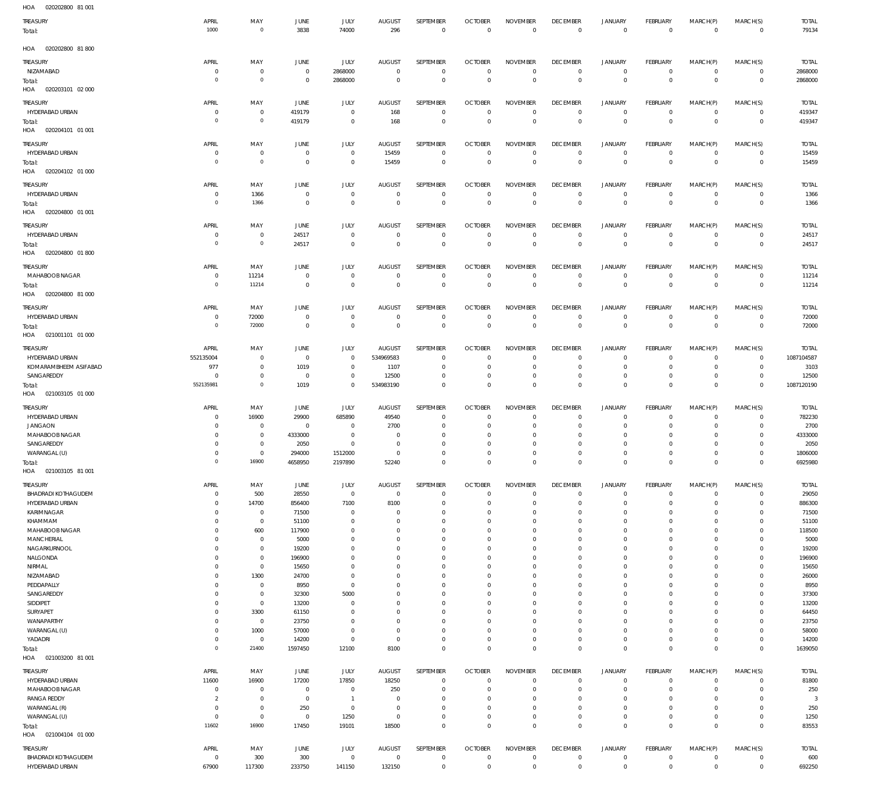| 020202800 81 001<br>HOA                              |                               |                               |                                  |                                |                               |                              |                                |                                   |                                  |                                  |                                |                             |                                    |                            |
|------------------------------------------------------|-------------------------------|-------------------------------|----------------------------------|--------------------------------|-------------------------------|------------------------------|--------------------------------|-----------------------------------|----------------------------------|----------------------------------|--------------------------------|-----------------------------|------------------------------------|----------------------------|
| TREASURY<br>Total:                                   | APRIL<br>1000                 | MAY<br>$\mathbb O$            | JUNE<br>3838                     | <b>JULY</b><br>74000           | AUGUST<br>296                 | SEPTEMBER<br>$\,0\,$         | <b>OCTOBER</b><br>$\mathbb O$  | NOVEMBER<br>$\overline{0}$        | <b>DECEMBER</b><br>$\mathbf 0$   | <b>JANUARY</b><br>$\overline{0}$ | <b>FEBRUARY</b><br>$\mathbf 0$ | MARCH(P)<br>$\mathbb O$     | MARCH(S)<br>$\mathbf 0$            | <b>TOTAL</b><br>79134      |
| HOA  020202800  81  800                              |                               |                               |                                  |                                |                               |                              |                                |                                   |                                  |                                  |                                |                             |                                    |                            |
| TREASURY                                             | APRIL                         | MAY                           | JUNE                             | <b>JULY</b>                    | <b>AUGUST</b>                 | SEPTEMBER                    | <b>OCTOBER</b>                 | <b>NOVEMBER</b>                   | <b>DECEMBER</b>                  | <b>JANUARY</b>                   | FEBRUARY                       | MARCH(P)                    | MARCH(S)                           | <b>TOTAL</b>               |
| NIZAMABAD                                            | $^{\circ}$                    | $\,0\,$                       | $\mathbf 0$                      | 2868000                        | $\mathbf 0$                   | $\mathbf 0$                  | $\mathbf 0$                    | $\mathbf 0$                       | $\mathbf 0$                      | $\mathbf 0$                      | $\mathbf 0$                    | $\mathbf 0$                 | $\mathsf{O}\xspace$                | 2868000                    |
| Total:<br>HOA<br>020203101 02 000                    | $\overline{0}$                | $\mathbb O$                   | $\mathbf 0$                      | 2868000                        | $\mathbf 0$                   | $\,0\,$                      | $\mathbf 0$                    | $\overline{0}$                    | $\overline{0}$                   | $\overline{0}$                   | $\mathbf 0$                    | $\mathbf 0$                 | $\,0\,$                            | 2868000                    |
| TREASURY<br>HYDERABAD URBAN                          | APRIL<br>0                    | MAY<br>$\mathbf 0$            | JUNE<br>419179                   | <b>JULY</b><br>$^{\circ}$      | <b>AUGUST</b><br>168          | SEPTEMBER<br>$\mathbf 0$     | <b>OCTOBER</b><br>$\mathbf 0$  | <b>NOVEMBER</b><br>$\overline{0}$ | <b>DECEMBER</b><br>$\mathbf 0$   | <b>JANUARY</b><br>$\mathbf 0$    | <b>FEBRUARY</b><br>$\mathbf 0$ | MARCH(P)<br>$\mathbf 0$     | MARCH(S)<br>0                      | <b>TOTAL</b><br>419347     |
| Total:                                               | $\overline{0}$                | $\mathbb O$                   | 419179                           | $\overline{0}$                 | 168                           | $\,0\,$                      | $\mathbb O$                    | $\overline{0}$                    | $\overline{0}$                   | $\overline{0}$                   | $\mathbf 0$                    | $\mathbf 0$                 | $\,0\,$                            | 419347                     |
| HOA  020204101  01  001                              |                               |                               |                                  |                                |                               |                              |                                |                                   |                                  |                                  |                                |                             |                                    |                            |
| TREASURY                                             | APRIL                         | MAY                           | JUNE                             | JULY                           | <b>AUGUST</b>                 | SEPTEMBER                    | <b>OCTOBER</b>                 | <b>NOVEMBER</b>                   | <b>DECEMBER</b>                  | <b>JANUARY</b>                   | FEBRUARY                       | MARCH(P)                    | MARCH(S)                           | <b>TOTAL</b>               |
| HYDERABAD URBAN<br>Total:<br>HOA<br>020204102 01 000 | 0<br>$\overline{0}$           | $\,0\,$<br>$\mathbb O$        | $\mathbf 0$<br>$\mathbf 0$       | $\mathbf{0}$<br>$\overline{0}$ | 15459<br>15459                | $\mathbf 0$<br>$\mathbb O$   | $\mathbf 0$<br>$\mathbf{0}$    | $\overline{0}$<br>$\overline{0}$  | $\overline{0}$<br>$\overline{0}$ | $\mathbf 0$<br>$\overline{0}$    | $\mathbf 0$<br>$\mathbf 0$     | $\mathbf 0$<br>$\mathbf{0}$ | $\mathsf{O}\xspace$<br>$\mathbb O$ | 15459<br>15459             |
| TREASURY                                             | APRIL                         | MAY                           | JUNE                             | JULY                           | <b>AUGUST</b>                 | SEPTEMBER                    | <b>OCTOBER</b>                 | <b>NOVEMBER</b>                   | <b>DECEMBER</b>                  | <b>JANUARY</b>                   | <b>FEBRUARY</b>                | MARCH(P)                    | MARCH(S)                           | <b>TOTAL</b>               |
| HYDERABAD URBAN                                      | 0                             | 1366                          | $\overline{0}$                   | $\overline{0}$                 | $\overline{0}$                | $\mathbf 0$                  | $\mathbf{0}$                   | $\overline{0}$                    | $\mathbf 0$                      | $\mathbf 0$                      | $\mathbf 0$                    | $\mathbf 0$                 | $\circ$                            | 1366                       |
| Total:<br>HOA  020204800  01  001                    | $\overline{0}$                | 1366                          | $\overline{0}$                   | $\mathbf 0$                    | $\mathbb O$                   | $\overline{0}$               | $\overline{0}$                 | $\overline{0}$                    | $\mathbf 0$                      | $\overline{0}$                   | $\mathbf 0$                    | $\mathbf 0$                 | $\mathbb O$                        | 1366                       |
| TREASURY                                             | APRIL                         | MAY                           | JUNE                             | <b>JULY</b>                    | <b>AUGUST</b>                 | SEPTEMBER                    | <b>OCTOBER</b>                 | <b>NOVEMBER</b>                   | <b>DECEMBER</b>                  | <b>JANUARY</b>                   | <b>FEBRUARY</b>                | MARCH(P)                    | MARCH(S)                           | <b>TOTAL</b>               |
| HYDERABAD URBAN                                      | 0                             | $\mathbb O$                   | 24517                            | $\mathbf 0$                    | $\overline{0}$                | $\overline{0}$               | 0                              | $\overline{0}$                    | $\mathbf 0$                      | $\mathbf 0$                      | 0                              | $\mathbf 0$                 | $\mathsf{O}\xspace$                | 24517                      |
| Total:<br>HOA  020204800  01  800                    | $\overline{0}$                | $\mathbb O$                   | 24517                            | $\overline{0}$                 | $\mathbb O$                   | $\mathbb O$                  | $\overline{0}$                 | $\overline{0}$                    | $\overline{0}$                   | $\overline{0}$                   | $\mathbf 0$                    | $\mathbf 0$                 | $\mathbb O$                        | 24517                      |
| TREASURY                                             | APRIL                         | MAY                           | JUNE                             | JULY                           | <b>AUGUST</b>                 | SEPTEMBER                    | <b>OCTOBER</b>                 | <b>NOVEMBER</b>                   | <b>DECEMBER</b>                  | JANUARY                          | FEBRUARY                       | MARCH(P)                    | MARCH(S)                           | <b>TOTAL</b>               |
| MAHABOOB NAGAR<br>Total:                             | 0<br>$^{\circ}$               | 11214<br>11214                | $\overline{0}$<br>$\overline{0}$ | $^{\circ}$<br>$\mathbf 0$      | $\mathbb O$<br>$\mathbb O$    | $\mathbf 0$<br>$\mathbb O$   | $\mathbf 0$<br>$\mathbf 0$     | $\overline{0}$<br>$\overline{0}$  | $\mathbf 0$<br>$\overline{0}$    | $\mathbf 0$<br>$\overline{0}$    | $\mathbf 0$<br>$\mathbf 0$     | $\mathbf 0$<br>$^{\circ}$   | $\circ$<br>$\,0\,$                 | 11214<br>11214             |
| HOA<br>020204800 81 000                              |                               |                               |                                  |                                |                               |                              |                                |                                   |                                  |                                  |                                |                             |                                    |                            |
| TREASURY                                             | APRIL                         | MAY                           | JUNE                             | JULY                           | <b>AUGUST</b>                 | SEPTEMBER                    | <b>OCTOBER</b>                 | <b>NOVEMBER</b>                   | <b>DECEMBER</b>                  | <b>JANUARY</b>                   | FEBRUARY                       | MARCH(P)                    | MARCH(S)                           | <b>TOTAL</b>               |
| HYDERABAD URBAN                                      | $\mathbf 0$<br>$\overline{0}$ | 72000<br>72000                | $\mathbf 0$<br>$\mathbf 0$       | $^{\circ}$<br>$\overline{0}$   | $\overline{0}$<br>$\mathbb O$ | $\,0\,$<br>$\overline{0}$    | $\mathbf 0$                    | $\overline{0}$<br>$\overline{0}$  | $\mathbf 0$<br>$\mathbf 0$       | $\overline{0}$<br>$\overline{0}$ | $\mathbf 0$<br>$\mathbf 0$     | $^{\circ}$<br>$\mathbf 0$   | $\mathsf{O}\xspace$<br>$\,0\,$     | 72000<br>72000             |
| Total:<br>HOA   021001101   01   000                 |                               |                               |                                  |                                |                               |                              | $\overline{0}$                 |                                   |                                  |                                  |                                |                             |                                    |                            |
| TREASURY<br>HYDERABAD URBAN                          | APRIL<br>552135004            | MAY<br>$\mathbf 0$            | JUNE<br>$\overline{0}$           | JULY<br>$^{\circ}$             | <b>AUGUST</b><br>534969583    | SEPTEMBER<br>$\mathbf 0$     | <b>OCTOBER</b><br>$\mathbf{0}$ | <b>NOVEMBER</b><br>$\overline{0}$ | <b>DECEMBER</b><br>$\mathbf 0$   | <b>JANUARY</b><br>$^{\circ}$     | FEBRUARY<br>$^{\circ}$         | MARCH(P)<br>$\mathbf 0$     | MARCH(S)<br>$\circ$                | <b>TOTAL</b><br>1087104587 |
| KOMARAMBHEEM ASIFABAD                                | 977                           | $\mathbf 0$                   | 1019                             | $\mathbf 0$                    | 1107                          | $^{\circ}$                   | $\mathbf 0$                    | $\mathbf 0$                       | $\mathbf 0$                      | $^{\circ}$                       | $^{\circ}$                     | 0                           | 0                                  | 3103                       |
| SANGAREDDY                                           | $\overline{0}$                | $\,0\,$                       | $\overline{0}$                   | $\mathbf 0$                    | 12500                         | $\mathbf 0$                  | $^{\circ}$                     | $\overline{0}$                    | $\bf 0$                          | $^{\circ}$                       | $\mathbf 0$                    | $\mathbf 0$                 | $\mathsf{O}\xspace$                | 12500                      |
| Total:<br>HOA 021003105 01 000                       | 552135981                     | $\mathbb O$                   | 1019                             | $\mathbf 0$                    | 534983190                     | $\mathbf 0$                  | $\mathbf{0}$                   | $\overline{0}$                    | $\mathbb O$                      | $\mathbf 0$                      | $\mathbf 0$                    | $\mathbf 0$                 | $\mathbb O$                        | 1087120190                 |
| TREASURY                                             | APRIL                         | MAY                           | JUNE                             | <b>JULY</b>                    | <b>AUGUST</b>                 | SEPTEMBER                    | <b>OCTOBER</b>                 | <b>NOVEMBER</b>                   | <b>DECEMBER</b>                  | <b>JANUARY</b>                   | <b>FEBRUARY</b>                | MARCH(P)                    | MARCH(S)                           | <b>TOTAL</b>               |
| HYDERABAD URBAN                                      | - 0                           | 16900                         | 29900                            | 685890                         | 49540                         | $^{\circ}$                   | 0                              | $\overline{0}$                    | 0                                | $\mathbf 0$                      | $^{\circ}$                     | 0                           | 0                                  | 782230                     |
| JANGAON<br>MAHABOOB NAGAR                            | 0<br>0                        | $\mathbf 0$<br>$\mathbf 0$    | $^{\circ}$<br>4333000            | $^{\circ}$<br>$^{\circ}$       | 2700<br>0                     | $^{\circ}$<br>$^{\circ}$     | $\mathbf 0$<br>0               | $^{\circ}$<br>$\mathbf 0$         | $\mathbf 0$<br>$\mathbf 0$       | $\mathbf 0$<br>0                 | $^{\circ}$<br>0                | 0<br>0                      | $\circ$<br>0                       | 2700<br>4333000            |
| SANGAREDDY                                           | 0                             | $\overline{0}$                | 2050                             | $\Omega$                       | 0                             | $^{\circ}$                   | 0                              | $\mathbf 0$                       | $\mathbf 0$                      | 0                                | $\mathbf 0$                    | 0                           | $\circ$                            | 2050                       |
| WARANGAL (U)                                         | $\Omega$<br>$\mathbf 0$       | $\Omega$<br>16900             | 294000                           | 1512000                        | $\Omega$                      | $\Omega$                     | $\Omega$<br>$\mathbf 0$        | $\Omega$<br>$\overline{0}$        | $\Omega$<br>$\bf 0$              | $\Omega$                         | $\Omega$                       | $\Omega$                    | $\Omega$                           | 1806000                    |
| Total:<br>HOA<br>021003105 81 001                    |                               |                               | 4658950                          | 2197890                        | 52240                         | $\mathbf 0$                  |                                |                                   |                                  | $\mathbf 0$                      | $\mathbf 0$                    | $\mathbf 0$                 | $\mathbb O$                        | 6925980                    |
| TREASURY                                             | APRIL                         | MAY                           | JUNE                             | <b>JULY</b>                    | <b>AUGUST</b>                 | SEPTEMBER                    | <b>OCTOBER</b>                 | <b>NOVEMBER</b>                   | <b>DECEMBER</b>                  | JANUARY                          | FEBRUARY                       | MARCH(P)                    | MARCH(S)                           | <b>TOTAL</b>               |
| <b>BHADRADI KOTHAGUDEM</b>                           | - 0                           | 500                           | 28550                            | $\overline{0}$                 | $\overline{0}$                | $\mathbf 0$                  | $\mathbf 0$                    | $\overline{0}$                    | 0                                | $\mathbf 0$                      | $\mathbf 0$                    | $\mathbf 0$                 | $\circ$                            | 29050                      |
| HYDERABAD URBAN<br>KARIMNAGAR                        | 0<br>0                        | 14700<br>$\mathbf 0$          | 856400<br>71500                  | 7100<br>$^{\circ}$             | 8100<br>0                     | $\overline{0}$<br>$^{\circ}$ | $\mathbf 0$<br>0               | $\overline{0}$<br>$^{\circ}$      | $\mathbf 0$<br>$\mathbf 0$       | $\mathbf 0$<br>0                 | $\mathbf 0$<br>0               | $\circ$<br>0                | $\mathbf 0$<br>$\circ$             | 886300<br>71500            |
| KHAMMAM                                              | 0                             | $\mathbb O$                   | 51100                            | $\Omega$                       | $\Omega$                      | $^{\circ}$                   | 0                              | $\mathbf 0$                       | $\mathbf 0$                      | 0                                | 0                              | 0                           | $\mathbf 0$                        | 51100                      |
| MAHABOOB NAGAR                                       | 0                             | 600                           | 117900                           | $\Omega$                       | 0                             | $^{\circ}$                   | 0                              | $\mathbf 0$                       | $\mathbf 0$                      | 0                                | 0                              | 0                           | $\circ$                            | 118500                     |
| MANCHERIAL<br>NAGARKURNOOL                           | 0<br>0                        | $\mathbf 0$<br>$\overline{0}$ | 5000<br>19200                    | $\Omega$<br>$\Omega$           | 0<br>0                        | $^{\circ}$<br>$^{\circ}$     | 0<br>0                         | $\mathbf 0$<br>$\mathbf 0$        | $\mathbf 0$<br>$\mathbf 0$       | 0<br>0                           | $\mathbf 0$<br>$\mathbf 0$     | 0<br>0                      | $\circ$<br>$\circ$                 | 5000<br>19200              |
| NALGONDA                                             | 0                             | $\mathbb O$                   | 196900                           | $\Omega$                       | 0                             | $^{\circ}$                   | 0                              | $\mathbf 0$                       | $\mathbf 0$                      | 0                                | $\mathbf 0$                    | 0                           | $\mathbf 0$                        | 196900                     |
| NIRMAL                                               | 0                             | $\,0\,$                       | 15650                            | $\Omega$                       | 0                             | $^{\circ}$                   | 0                              | $\mathbf 0$                       | $\mathbf 0$                      | 0                                | 0                              | 0                           | $\circ$                            | 15650                      |
| NIZAMABAD<br>PEDDAPALLY                              | 0<br>0                        | 1300<br>$\overline{0}$        | 24700<br>8950                    | $\Omega$<br>$^{\circ}$         | $\mathbf 0$<br>0              | $\overline{0}$<br>$^{\circ}$ | 0<br>0                         | $\mathbf 0$<br>$\mathbf 0$        | $\mathbf 0$<br>$\mathbf 0$       | $\mathbf 0$<br>0                 | $\mathbf 0$<br>$\mathbf 0$     | 0<br>0                      | $\mathbf 0$<br>$\circ$             | 26000<br>8950              |
| SANGAREDDY                                           | 0                             | $\overline{0}$                | 32300                            | 5000                           | 0                             | $^{\circ}$                   | 0                              | $^{\circ}$                        | $\mathbf 0$                      | 0                                | 0                              | 0                           | $\circ$                            | 37300                      |
| SIDDIPET                                             | 0                             | $\,0\,$                       | 13200                            | $\Omega$                       | 0                             | $^{\circ}$                   | 0                              | $^{\circ}$                        | $\mathbf 0$                      | 0                                | 0                              | 0                           | $\circ$                            | 13200                      |
| SURYAPET<br>WANAPARTHY                               | 0<br>0                        | 3300<br>$\,0\,$               | 61150<br>23750                   | $\Omega$<br>$\Omega$           | $^{\circ}$<br>0               | $\overline{0}$<br>$^{\circ}$ | 0<br>0                         | $\mathbf 0$<br>$^{\circ}$         | $\mathbf 0$<br>$\mathbf 0$       | $\mathbf 0$<br>0                 | $\mathbf 0$<br>0               | 0<br>0                      | $\mathbf 0$<br>$\circ$             | 64450<br>23750             |
| WARANGAL (U)                                         | 0                             | 1000                          | 57000                            | $\Omega$                       | 0                             | $^{\circ}$                   | 0                              | $\mathbf 0$                       | $\mathbf 0$                      | 0                                | $\mathbf 0$                    | 0                           | $\circ$                            | 58000                      |
| YADADRI                                              | 0                             | $\,0\,$                       | 14200                            | $\mathbf{0}$                   | $\overline{0}$                | $\overline{0}$               | 0                              | $\overline{0}$                    | $\mathbf 0$                      | $\mathbf 0$                      | $\mathbf 0$                    | $\circ$                     | $\mathbf 0$                        | 14200                      |
| Total:<br>021003200 81 001<br>HOA                    | $\Omega$                      | 21400                         | 1597450                          | 12100                          | 8100                          | $\mathbf 0$                  | $\mathbf 0$                    | $\overline{0}$                    | $\mathbf 0$                      | $\mathbf 0$                      | $\mathbf 0$                    | $\mathbf{0}$                | $\mathbb O$                        | 1639050                    |
| TREASURY                                             | APRIL                         | MAY                           | JUNE                             | <b>JULY</b>                    | <b>AUGUST</b>                 | SEPTEMBER                    | <b>OCTOBER</b>                 | <b>NOVEMBER</b>                   | <b>DECEMBER</b>                  | JANUARY                          | FEBRUARY                       | MARCH(P)                    | MARCH(S)                           | <b>TOTAL</b>               |
| HYDERABAD URBAN                                      | 11600                         | 16900                         | 17200                            | 17850                          | 18250                         | $^{\circ}$                   | $\mathbf 0$                    | $^{\circ}$                        | 0                                | 0                                | $\mathbf 0$                    | 0                           | 0                                  | 81800                      |
| MAHABOOB NAGAR                                       | 0                             | $\overline{0}$                | $^{\circ}$                       | $^{\circ}$                     | 250                           | $^{\circ}$                   | 0                              | 0                                 | $\mathbf 0$                      | $\mathbf 0$                      | $^{\circ}$                     | 0                           | $\mathsf{O}\xspace$                | 250                        |
| <b>RANGA REDDY</b><br>WARANGAL (R)                   | 2<br>- 0                      | $\mathbb O$<br>$\,0\,$        | $\overline{0}$<br>250            | $\overline{1}$<br>$^{\circ}$   | 0<br>0                        | $^{\circ}$<br>$^{\circ}$     | 0<br>0                         | $^{\circ}$<br>$^{\circ}$          | $\mathbf 0$<br>$\mathbf 0$       | 0<br>0                           | 0<br>0                         | 0<br>0                      | $\mathbf 0$                        | 3<br>250                   |
| WARANGAL (U)                                         | 0                             | $\,0\,$                       | $\mathbf 0$                      | 1250                           | $\overline{0}$                | $\overline{0}$               | 0                              | $\mathbf 0$                       | $\mathbf 0$                      | $\mathbf 0$                      | $\mathbf 0$                    | 0                           | 0<br>$\mathsf{O}\xspace$           | 1250                       |
| Total:<br>021004104 01 000<br>HOA                    | 11602                         | 16900                         | 17450                            | 19101                          | 18500                         | $\,0\,$                      | $\mathbf 0$                    | $\overline{0}$                    | $\mathbf 0$                      | $\mathbf{0}$                     | $\mathbf 0$                    | $\mathbf 0$                 | $\mathbb O$                        | 83553                      |
| <b>TREASURY</b>                                      | APRIL                         | MAY                           | JUNE                             | <b>JULY</b>                    | <b>AUGUST</b>                 | SEPTEMBER                    | <b>OCTOBER</b>                 | <b>NOVEMBER</b>                   | <b>DECEMBER</b>                  | <b>JANUARY</b>                   | FEBRUARY                       | MARCH(P)                    | MARCH(S)                           | <b>TOTAL</b>               |
| <b>BHADRADI KOTHAGUDEM</b><br>HYDERABAD URBAN        | $^{\circ}$<br>67900           | 300<br>117300                 | 300<br>233750                    | $\overline{0}$<br>141150       | $\mathbf 0$<br>132150         | $\mathbf 0$<br>$\mathbf 0$   | $\mathbf{0}$<br>$\overline{0}$ | $\overline{0}$<br>$\overline{0}$  | $\mathbf 0$<br>$\overline{0}$    | $\mathbf 0$<br>$\mathbf 0$       | $\mathbf 0$<br>$\circ$         | $\mathbf 0$<br>$\circ$      | $\mathbf 0$<br>$\mathbf 0$         | 600<br>692250              |
|                                                      |                               |                               |                                  |                                |                               |                              |                                |                                   |                                  |                                  |                                |                             |                                    |                            |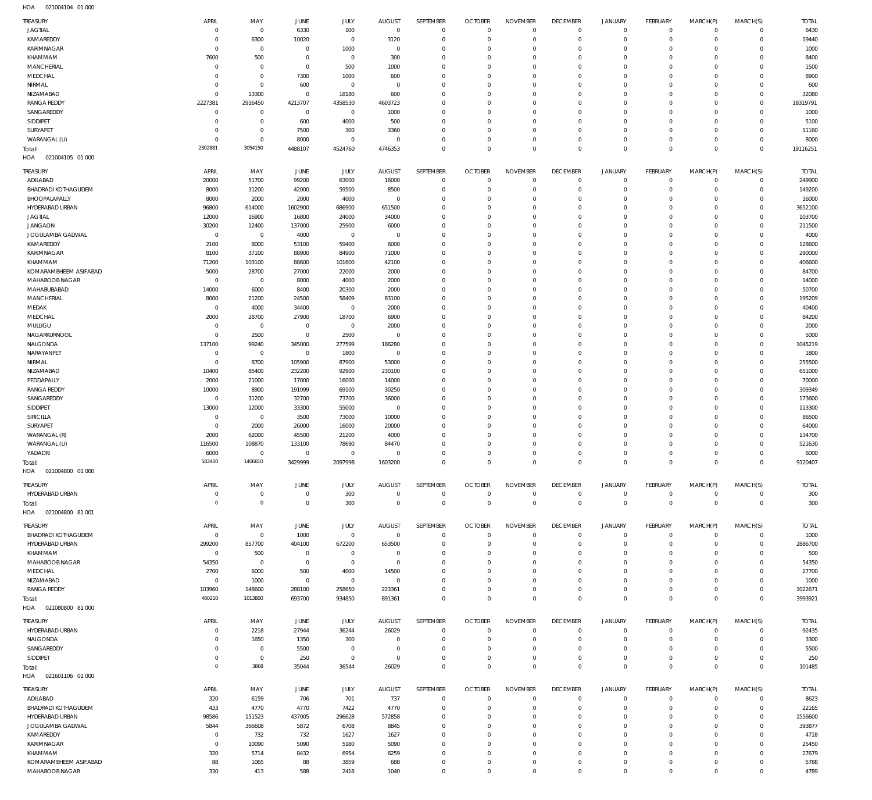| <b>TREASURY</b>                   | APRIL                 | MAY                   | JUNE                   | JULY                   | <b>AUGUST</b>          | SEPTEMBER                  | <b>OCTOBER</b>                   | <b>NOVEMBER</b>                   | <b>DECEMBER</b>                   | <b>JANUARY</b>                   | <b>FEBRUARY</b>                 | MARCH(P)                   | MARCH(S)                | <b>TOTAL</b>           |
|-----------------------------------|-----------------------|-----------------------|------------------------|------------------------|------------------------|----------------------------|----------------------------------|-----------------------------------|-----------------------------------|----------------------------------|---------------------------------|----------------------------|-------------------------|------------------------|
| <b>JAGTIAL</b>                    | $\overline{0}$        | $^{\circ}$            | 6330                   | 100                    | $\mathbf{0}$           | $\mathbf 0$                | $\overline{0}$                   | $\overline{0}$                    | $\mathbf{0}$                      | $\overline{0}$                   | $\mathbf 0$                     | $^{\circ}$                 | $\mathbf 0$             | 6430                   |
| KAMAREDDY                         | C                     | 6300                  | 10020                  | $\mathbf 0$            | 3120                   | $\mathbf 0$                | $\mathbf 0$                      | $\mathbf 0$                       | $\mathbf{0}$                      | $\mathbf 0$                      | $\mathbf{0}$                    | $\mathbf 0$                | $\mathbf 0$             | 19440                  |
| KARIMNAGAR                        | C                     | $^{\circ}$            | $^{\circ}$             | 1000                   | $\mathbf 0$            | $\mathbf 0$                | $^{\circ}$                       | 0                                 | $\mathbf 0$                       | 0                                | $\mathbf{0}$                    | $\Omega$                   | $\Omega$                | 1000                   |
| KHAMMAM                           | 7600                  | 500                   | $^{\circ}$             | $^{\circ}$             | 300                    | $\mathbf 0$                | $^{\circ}$                       | $\mathbf 0$                       | $\mathbf 0$                       | 0                                | $^{\circ}$                      | $\Omega$                   | $\Omega$                | 8400                   |
| <b>MANCHERIAL</b>                 | $\mathbf 0$           | $^{\circ}$            | $^{\circ}$             | 500                    | 1000                   | $\mathbf 0$                | 0                                | $\Omega$                          | $\mathbf 0$                       | 0                                | $^{\circ}$                      |                            | $\Omega$                | 1500                   |
| MEDCHAL                           | 0                     | $\mathbf{0}$          | 7300                   | 1000                   | 600                    | $\mathbf 0$                | $^{\circ}$                       | $\mathbf 0$                       | $\mathbf 0$                       | 0                                | $^{\circ}$                      | $\Omega$                   | $\Omega$                | 8900                   |
| NIRMAL                            | C                     | $\mathbf{0}$          | 600                    | $\mathbf 0$            | $\mathbf 0$            | $\mathbf 0$                | 0                                | $\Omega$                          | 0                                 | 0                                | $^{\circ}$                      |                            | $\Omega$                | 600                    |
| NIZAMABAD                         | $\mathbf 0$           | 13300                 | $^{\circ}$             | 18180                  | 600                    | $\mathbf 0$                | $^{\circ}$                       | $\mathbf 0$                       | $\mathbf 0$                       | 0                                | $^{\circ}$                      | $\Omega$                   | $\Omega$<br>$\Omega$    | 32080                  |
| <b>RANGA REDDY</b><br>SANGAREDDY  | 2227381<br>$^{\circ}$ | 2916450<br>$^{\circ}$ | 4213707<br>$^{\circ}$  | 4358530<br>$^{\circ}$  | 4603723<br>1000        | $\mathbf 0$<br>$\mathbf 0$ | 0<br>$^{\circ}$                  | $\mathbf 0$<br>$\mathbf 0$        | $\mathbf 0$<br>$\mathbf 0$        | 0<br>0                           | $^{\circ}$<br>$^{\circ}$        | $\Omega$                   | $\Omega$                | 18319791<br>1000       |
| SIDDIPET                          | C                     | $\mathbf{0}$          | 600                    | 4000                   | 500                    | $\mathbf 0$                | 0                                | 0                                 | $\mathbf 0$                       | 0                                | $^{\circ}$                      | $\Omega$                   | $\Omega$                | 5100                   |
| <b>SURYAPET</b>                   | 0                     | $\mathbf{0}$          | 7500                   | 300                    | 3360                   | $\mathbf 0$                | $\mathbf 0$                      | $\mathbf 0$                       | $\mathbf 0$                       | 0                                | $\mathbf{0}$                    | $\Omega$                   | $\Omega$                | 11160                  |
| WARANGAL (U)                      | $\overline{0}$        | $\mathbf 0$           | 8000                   | $\mathbf 0$            | $\mathbf 0$            | $\mathbf 0$                | $^{\circ}$                       | $\mathbf 0$                       | $\mathbf 0$                       | 0                                | $\mathbf{0}$                    | $\mathbf 0$                | $\mathbf 0$             | 8000                   |
| Total:                            | 2302881               | 3054150               | 4488107                | 4524760                | 4746353                | $\mathbf 0$                | $\overline{0}$                   | $\mathbf 0$                       | $\overline{0}$                    | $\mathbf 0$                      | $\,0\,$                         | $\Omega$                   | $\Omega$                | 19116251               |
| HOA<br>021004105 01 000           |                       |                       |                        |                        |                        |                            |                                  |                                   |                                   |                                  |                                 |                            |                         |                        |
|                                   |                       |                       |                        |                        |                        |                            |                                  |                                   |                                   |                                  |                                 |                            |                         |                        |
| TREASURY<br>ADILABAD              | APRIL<br>20000        | MAY<br>51700          | JUNE<br>99200          | JULY<br>63000          | <b>AUGUST</b><br>16000 | SEPTEMBER<br>$\mathbf 0$   | <b>OCTOBER</b><br>$\overline{0}$ | <b>NOVEMBER</b><br>$\overline{0}$ | <b>DECEMBER</b><br>$\overline{0}$ | <b>JANUARY</b><br>$\overline{0}$ | <b>FEBRUARY</b><br>$\mathbf{0}$ | MARCH(P)<br>$^{\circ}$     | MARCH(S)<br>$\mathbf 0$ | <b>TOTAL</b><br>249900 |
| BHADRADI KOTHAGUDEM               | 8000                  | 31200                 | 42000                  | 59500                  | 8500                   | $\mathbf 0$                | $\overline{0}$                   | $\mathbf 0$                       | $\mathbf 0$                       | $\mathbf 0$                      | $\mathbf{0}$                    | $\Omega$                   | $\mathbf 0$             | 149200                 |
| BHOOPALAPALLY                     | 8000                  | 2000                  | 2000                   | 4000                   | $\overline{0}$         | $\mathbf 0$                | $\mathbf 0$                      | $\mathbf 0$                       | $\mathbf 0$                       | $\mathbf 0$                      | $\mathbf{0}$                    | $\Omega$                   | $\mathbf 0$             | 16000                  |
| HYDERABAD URBAN                   | 96800                 | 614000                | 1602900                | 686900                 | 651500                 | $\mathbf 0$                | $\mathbf 0$                      | 0                                 | $\mathbf 0$                       | 0                                | $\mathbf{0}$                    | $\Omega$                   | $\mathbf 0$             | 3652100                |
| <b>JAGTIAL</b>                    | 12000                 | 16900                 | 16800                  | 24000                  | 34000                  | $\mathbf 0$                | $\mathbf 0$                      | $\mathbf 0$                       | $\mathbf 0$                       | 0                                | $\mathbf{0}$                    | $\Omega$                   | $\Omega$                | 103700                 |
| <b>JANGAON</b>                    | 30200                 | 12400                 | 137000                 | 25900                  | 6000                   | $\mathbf 0$                | $\mathbf 0$                      | 0                                 | $\mathbf 0$                       | 0                                | $\mathbf{0}$                    | $\Omega$                   | $\mathbf 0$             | 211500                 |
| <b>JOGULAMBA GADWAL</b>           | $\overline{0}$        | $^{\circ}$            | 4000                   | $\mathbf 0$            | $\overline{0}$         | $\mathbf 0$                | $\mathbf 0$                      | $\mathbf 0$                       | $\mathbf 0$                       | 0                                | $\mathbf{0}$                    | $\Omega$                   | $\Omega$                | 4000                   |
| KAMAREDDY                         | 2100                  | 8000                  | 53100                  | 59400                  | 6000                   | $\mathbf 0$                | $\mathbf 0$                      | 0                                 | $\mathbf 0$                       | 0                                | $\mathbf{0}$                    | $\Omega$                   | $\mathbf 0$             | 128600                 |
| KARIMNAGAR                        | 8100                  | 37100                 | 88900                  | 84900                  | 71000                  | $\mathbf 0$                | $\mathbf 0$                      | $\mathbf 0$                       | $\mathbf 0$                       | 0                                | $\mathbf{0}$                    | $\Omega$                   | $\Omega$                | 290000                 |
| KHAMMAM                           | 71200                 | 103100                | 88600                  | 101600                 | 42100                  | $\mathbf 0$                | $\mathbf 0$                      | $\mathbf 0$                       | $\mathbf 0$                       | 0                                | $\mathbf{0}$                    | $\Omega$                   | $\mathbf 0$             | 406600                 |
| KOMARAMBHEEM ASIFABAD             | 5000                  | 28700                 | 27000                  | 22000                  | 2000                   | $\mathbf 0$                | $\mathbf 0$                      | $\mathbf 0$                       | $\mathbf 0$                       | 0                                | $\mathbf{0}$                    | $\Omega$                   | $\Omega$                | 84700                  |
| MAHABOOB NAGAR                    | C                     | $^{\circ}$            | 8000                   | 4000                   | 2000                   | $\mathbf 0$                | $\mathbf 0$                      | $\mathbf 0$                       | $\mathbf 0$                       | 0                                | $\mathbf{0}$                    | $\Omega$                   | $\mathbf 0$             | 14000                  |
| MAHABUBABAD                       | 14000                 | 6000                  | 8400                   | 20300                  | 2000                   | $\mathbf 0$                | $\mathbf 0$                      | $\mathbf 0$                       | $\mathbf 0$                       | 0                                | $\mathbf{0}$                    | $\Omega$                   | $\Omega$                | 50700                  |
| <b>MANCHERIAL</b>                 | 8000                  | 21200                 | 24500                  | 58409                  | 83100                  | $\mathbf 0$                | $\mathbf 0$                      | $\mathbf 0$                       | $\mathbf 0$                       | 0                                | $\mathbf{0}$                    | $\Omega$                   | $\mathbf 0$             | 195209                 |
| MEDAK                             | $\overline{0}$        | 4000                  | 34400                  | $\mathbf 0$            | 2000                   | $\mathbf 0$                | $\mathbf 0$                      | $\mathbf 0$                       | $\mathbf 0$                       | 0                                | $\mathbf{0}$                    | $\Omega$                   | $\Omega$                | 40400                  |
| MEDCHAL                           | 2000                  | 28700                 | 27900                  | 18700                  | 6900                   | $\mathbf 0$                | $\mathbf 0$                      | $\mathbf 0$                       | $\mathbf 0$                       | 0                                | $\mathbf{0}$                    | $\Omega$                   | $\Omega$                | 84200                  |
| MULUGU                            | $\overline{0}$        | $^{\circ}$            | $\mathbf 0$            | $\mathbf 0$            | 2000                   | $\mathbf 0$                | $\mathbf 0$                      | $\mathbf 0$                       | $\mathbf 0$                       | 0                                | $\mathbf{0}$                    | $\Omega$                   | $\mathbf 0$             | 2000                   |
| NAGARKURNOOL                      | $\overline{0}$        | 2500                  | $\mathbf 0$            | 2500                   | $\mathbf 0$            | $\mathbf 0$                | $\mathbf 0$                      | $\mathbf 0$                       | $\mathbf 0$                       | 0                                | $\mathbf{0}$                    | $\Omega$                   | $\Omega$                | 5000                   |
| NALGONDA                          | 137100                | 99240                 | 345000                 | 277599                 | 186280                 | $\mathbf 0$                | $\mathbf 0$                      | $\mathbf 0$                       | $\mathbf 0$                       | 0                                | $\mathbf{0}$                    | $\Omega$                   | $\Omega$                | 1045219                |
| NARAYANPET                        | $\overline{0}$        | $\mathbf 0$           | $\mathbf 0$            | 1800                   | $\overline{0}$         | $\mathbf 0$                | $\mathbf 0$                      | 0                                 | $\mathbf 0$                       | 0                                | $\mathbf{0}$                    | $\Omega$                   | $\Omega$                | 1800                   |
| NIRMAL                            | $\overline{0}$        | 8700                  | 105900                 | 87900                  | 53000                  | $\mathbf 0$                | $\mathbf 0$                      | $\mathbf 0$                       | $\mathbf 0$                       | 0                                | $\mathbf{0}$                    | $\Omega$                   | $\Omega$                | 255500                 |
| NIZAMABAD                         | 10400                 | 85400                 | 232200                 | 92900                  | 230100                 | $\mathbf 0$                | $\mathbf 0$                      | $\mathbf 0$                       | $\mathbf 0$                       | 0                                | $\mathbf{0}$                    | $\Omega$                   | $\mathbf 0$             | 651000                 |
| PEDDAPALLY                        | 2000                  | 21000                 | 17000                  | 16000                  | 14000                  | $\mathbf 0$                | $\mathbf 0$                      | $\mathbf 0$                       | $\mathbf 0$                       | 0                                | $\mathbf{0}$                    | $\Omega$                   | $\Omega$                | 70000                  |
| <b>RANGA REDDY</b>                | 10000                 | 8900                  | 191099                 | 69100                  | 30250                  | $\mathbf 0$                | $\mathbf 0$                      | 0                                 | $\mathbf 0$                       | 0                                | $\mathbf{0}$                    | $\Omega$                   | $\mathbf 0$             | 309349                 |
| SANGAREDDY                        | $\overline{0}$        | 31200                 | 32700                  | 73700                  | 36000                  | $\mathbf 0$                | $\mathbf 0$                      | $\mathbf 0$                       | $\mathbf 0$                       | 0                                | $\mathbf{0}$                    | $\Omega$                   | $\Omega$                | 173600                 |
| SIDDIPET                          | 13000                 | 12000                 | 33300                  | 55000                  | $\overline{0}$         | $\mathbf 0$                | $\mathbf 0$                      | $\mathbf 0$                       | $\mathbf 0$                       | 0                                | $\mathbf{0}$                    | $\Omega$                   | $\mathbf 0$             | 113300                 |
| SIRICILLA                         | $\overline{0}$        | $\mathbf 0$           | 3500                   | 73000                  | 10000                  | $\mathbf 0$                | $\mathbf 0$                      | $\mathbf 0$                       | $\mathbf 0$                       | 0                                | $\mathbf{0}$                    | $\Omega$                   | $\Omega$                | 86500                  |
| <b>SURYAPET</b>                   | $\overline{0}$        | 2000                  | 26000                  | 16000                  | 20000                  | $\mathbf 0$                | $\mathbf 0$                      | $\mathbf 0$                       | $\mathbf 0$                       | 0                                | $\mathbf{0}$                    | $\Omega$                   | $\mathbf 0$             | 64000                  |
| WARANGAL (R)                      | 2000                  | 62000                 | 45500                  | 21200                  | 4000                   | $\mathbf 0$                | $\mathbf 0$                      | $\mathbf 0$                       | $\mathbf 0$                       | 0                                | $\mathbf{0}$                    | $\Omega$                   | $\Omega$                | 134700                 |
| WARANGAL (U)                      | 116500                | 108870                | 133100                 | 78690                  | 84470                  | $\mathbf 0$<br>$\mathbf 0$ | $\mathbf 0$<br>$\mathbf 0$       | $\mathbf 0$                       | $\mathbf 0$<br>$\mathbf 0$        | 0<br>$\mathbf 0$                 | $\mathbf{0}$<br>$\mathbf{0}$    | $\Omega$                   | $\mathbf 0$<br>$\Omega$ | 521630                 |
| YADADRI                           | 6000<br>582400        | $^{\circ}$<br>1406810 | $\mathbf 0$<br>3429999 | $\mathbf 0$<br>2097998 | $\mathbf 0$<br>1603200 | $\Omega$                   | $\Omega$                         | $\mathbf 0$<br>$\Omega$           | $\Omega$                          | $\Omega$                         | $\mathbf{0}$                    | $\Omega$<br>$\overline{0}$ | $\mathbf{0}$            | 6000<br>9120407        |
| Total:<br>HOA<br>021004800 01 000 |                       |                       |                        |                        |                        |                            |                                  |                                   |                                   |                                  |                                 |                            |                         |                        |
|                                   |                       |                       |                        |                        |                        |                            |                                  |                                   |                                   |                                  |                                 |                            |                         |                        |
| TREASURY                          | APRIL                 | MAY                   | JUNE                   | JULY                   | <b>AUGUST</b>          | SEPTEMBER                  | <b>OCTOBER</b>                   | <b>NOVEMBER</b>                   | <b>DECEMBER</b>                   | <b>JANUARY</b>                   | FEBRUARY                        | MARCH(P)                   | MARCH(S)                | <b>TOTAL</b>           |
| HYDERABAD URBAN                   | 0                     | $^{\circ}$            | $\mathbf 0$            | 300                    | $\mathbf 0$            | $\mathbf 0$                | $\mathbf 0$                      | $\mathbf 0$                       | $\mathbf 0$                       | $\overline{0}$                   | 0                               | $^{\circ}$                 | $\circ$                 | 300                    |
| Total:                            | $\mathbf 0$           | $\mathsf{O}\xspace$   | $\overline{0}$         | 300                    | $\mathbf 0$            | $\mathbf 0$                | $\overline{0}$                   | $\overline{0}$                    | $\mathbb O$                       | $\overline{0}$                   | $\,0\,$                         | $\mathbf 0$                | $\mathbf 0$             | 300                    |
| HOA<br>021004800 81 001           |                       |                       |                        |                        |                        |                            |                                  |                                   |                                   |                                  |                                 |                            |                         |                        |
| <b>TREASURY</b>                   | APRIL                 | MAY                   | JUNE                   | JULY                   | <b>AUGUST</b>          | SEPTEMBER                  | <b>OCTOBER</b>                   | <b>NOVEMBER</b>                   | <b>DECEMBER</b>                   | <b>JANUARY</b>                   | <b>FEBRUARY</b>                 | MARCH(P)                   | MARCH(S)                | <b>TOTAL</b>           |
| <b>BHADRADI KOTHAGUDEM</b>        | $\overline{0}$        | $^{\circ}$            | 1000                   | $\mathbf 0$            | $\mathbf 0$            | $^{\circ}$                 | $\overline{0}$                   | $\mathbf 0$                       | $\mathbf 0$                       | $\overline{0}$                   | $^{\circ}$                      | $^{\circ}$                 | $\mathbf 0$             | 1000                   |
| HYDERABAD URBAN                   | 299200                | 857700                | 404100                 | 672200                 | 653500                 | $\mathbf 0$                | $\overline{0}$                   | $\mathbf 0$                       | $\mathbf 0$                       | $\mathbf 0$                      | $\mathbf{0}$                    | $\Omega$                   | $\mathbf 0$             | 2886700                |
| KHAMMAM                           | $\overline{0}$        | 500                   | 0                      | $\mathbf 0$            | $\mathbf 0$            | $\mathbf 0$                | $^{\circ}$                       | 0                                 | $\mathbf 0$                       | $\mathbf 0$                      | $^{\circ}$                      | $\Omega$                   | $\mathbf 0$             | 500                    |
| MAHABOOB NAGAR                    | 54350                 | $^{\circ}$            | $^{\circ}$             | $\mathbf 0$            | $\overline{0}$         | $\mathbf 0$                | $\mathbf 0$                      | 0                                 | $\mathbf 0$                       | 0                                | $^{\circ}$                      | $\Omega$                   | $\Omega$                | 54350                  |
| MEDCHAL                           | 2700                  | 6000                  | 500                    | 4000                   | 14500                  | $\mathbf 0$                | $\mathbf 0$                      | $\mathbf 0$                       | $\mathbf 0$                       | $\mathbf 0$                      | $^{\circ}$                      | $\Omega$                   | $\mathbf 0$             | 27700                  |
| NIZAMABAD                         | C                     | 1000                  | $\circ$                | $\mathbf 0$            | $\mathbf 0$            | $\mathbf 0$                | $\mathbf 0$                      | $\mathbf 0$                       | $\mathbf 0$                       | 0                                | $^{\circ}$                      | $\Omega$                   | $\Omega$                | 1000                   |
| <b>RANGA REDDY</b>                | 103960                | 148600                | 288100                 | 258650                 | 223361                 | $\mathbf 0$                | $\overline{0}$                   | $\mathbf 0$                       | $\mathbf{0}$                      | $\mathbf 0$                      | $\mathbf 0$                     | $^{\circ}$                 | $\mathbf 0$             | 1022671                |
| Total:                            | 460210                | 1013800               | 693700                 | 934850                 | 891361                 | $\mathbf 0$                | $\overline{0}$                   | $\mathbf 0$                       | $\overline{0}$                    | $\mathbf 0$                      | $\mathbf 0$                     | $^{\circ}$                 | $\mathbf 0$             | 3993921                |
| HOA<br>021080800 81 000           |                       |                       |                        |                        |                        |                            |                                  |                                   |                                   |                                  |                                 |                            |                         |                        |
| TREASURY                          | APRIL                 | MAY                   | <b>JUNE</b>            | JULY                   | <b>AUGUST</b>          | SEPTEMBER                  | <b>OCTOBER</b>                   | <b>NOVEMBER</b>                   | <b>DECEMBER</b>                   | <b>JANUARY</b>                   | <b>FEBRUARY</b>                 | MARCH(P)                   | MARCH(S)                | <b>TOTAL</b>           |
| HYDERABAD URBAN                   | 0                     | 2218                  | 27944                  | 36244                  | 26029                  | $\mathbf 0$                | $\overline{0}$                   | $\mathbf 0$                       | $^{\circ}$                        | $\overline{0}$                   | $^{\circ}$                      | $^{\circ}$                 | $\mathbf 0$             | 92435                  |
| NALGONDA                          | -C                    | 1650                  | 1350                   | 300                    | $\mathbf 0$            | $\mathbf 0$                | $\mathbf 0$                      | 0                                 | $\mathbf 0$                       | 0                                | $^{\circ}$                      | 0                          | $\mathbf 0$             | 3300                   |
| SANGAREDDY                        | $\Omega$              | $^{\circ}$            | 5500                   | $\mathbf 0$            | $\mathbf 0$            | $\mathbf 0$                | $\mathbf 0$                      | $\mathbf 0$                       | $\mathbf 0$                       | $\mathbf 0$                      | $\circ$                         | $\Omega$                   | $\Omega$                | 5500                   |
| SIDDIPET                          | 0                     | $\mathbf{0}$          | 250                    | $\mathbf 0$            | $\mathbf 0$            | $\mathbf 0$                | $\mathbf 0$                      | $\mathbf 0$                       | $\mathbf{0}$                      | $\mathbf 0$                      | $\mathbf 0$                     | 0                          | $\mathbf 0$             | 250                    |
| Total:                            | $^{\circ}$            | 3868                  | 35044                  | 36544                  | 26029                  | $\mathbf 0$                | $\mathbf 0$                      | $\mathbf 0$                       | $\mathbf{0}$                      | $\mathbf 0$                      | $\mathbf 0$                     | $\mathbf 0$                | $\mathbf{0}$            | 101485                 |
| HOA<br>021601106 01 000           |                       |                       |                        |                        |                        |                            |                                  |                                   |                                   |                                  |                                 |                            |                         |                        |
| TREASURY                          | APRIL                 | MAY                   | JUNE                   | JULY                   | <b>AUGUST</b>          | SEPTEMBER                  | <b>OCTOBER</b>                   | <b>NOVEMBER</b>                   | <b>DECEMBER</b>                   | <b>JANUARY</b>                   | FEBRUARY                        | MARCH(P)                   | MARCH(S)                | TOTAL                  |
| ADILABAD                          | 320                   | 6159                  | 706                    | 701                    | 737                    | $\mathbf 0$                | $\circ$                          | 0                                 | $\mathbf 0$                       | $\mathbf 0$                      | $^{\circ}$                      | $\circ$                    | $\mathbf 0$             | 8623                   |
| <b>BHADRADI KOTHAGUDEM</b>        | 433                   | 4770                  | 4770                   | 7422                   | 4770                   | $\mathbf 0$                | $\overline{0}$                   | $\mathbf 0$                       | $\mathbf{0}$                      | $\mathbf 0$                      | $\mathbf{0}$                    | $^{\circ}$                 | $\mathbf 0$             | 22165                  |
| HYDERABAD URBAN                   | 98586                 | 151523                | 437005                 | 296628                 | 572858                 | $\mathbf 0$                | $^{\circ}$                       | $\mathbf 0$                       | $\mathbf 0$                       | $\mathbf 0$                      | $^{\circ}$                      | $\Omega$                   | $\mathbf 0$             | 1556600                |
| JOGULAMBA GADWAL                  | 5844                  | 366608                | 5872                   | 6708                   | 8845                   | $\mathbf 0$                | $\mathbf 0$                      | $\mathbf 0$                       | $\mathbf 0$                       | 0                                | $^{\circ}$                      | $\Omega$                   | $\mathbf 0$             | 393877                 |
| KAMAREDDY                         | C                     | 732                   | 732                    | 1627                   | 1627                   | $\mathbf 0$                | $^{\circ}$                       | $\mathbf 0$                       | $\mathbf 0$                       | $\mathbf 0$                      | $^{\circ}$                      | $\Omega$                   | $\mathbf 0$             | 4718                   |
| KARIMNAGAR                        | $\overline{0}$        | 10090                 | 5090                   | 5180                   | 5090                   | $\mathbf 0$                | $\mathbf 0$                      | $\mathbf 0$                       | $\mathbf 0$                       | 0                                | $^{\circ}$                      | $\Omega$                   | $\mathbf 0$             | 25450                  |
| KHAMMAM                           | 320                   | 5714                  | 8432                   | 6954                   | 6259                   | $\mathbf 0$                | $^{\circ}$                       | $\mathbf 0$                       | $^{\circ}$                        | $\mathbf 0$                      | $^{\circ}$                      | $\Omega$                   | $\mathbf 0$             | 27679                  |
| KOMARAMBHEEM ASIFABAD             | 88                    | 1065                  | 88                     | 3859                   | 688                    | $\mathbf 0$                | $\mathbf 0$                      | $\mathbf 0$                       | $\mathbf 0$                       | $\mathbf 0$                      | $^{\circ}$                      | 0                          | $\mathbf 0$             | 5788                   |
| MAHABOOB NAGAR                    | 330                   | 413                   | 588                    | 2418                   | 1040                   | $\mathbf 0$                | $\mathbf 0$                      | $\mathbf 0$                       | $\overline{0}$                    | $\mathbf 0$                      | $\mathbb O$                     | $\Omega$                   | $\mathbf 0$             | 4789                   |
|                                   |                       |                       |                        |                        |                        |                            |                                  |                                   |                                   |                                  |                                 |                            |                         |                        |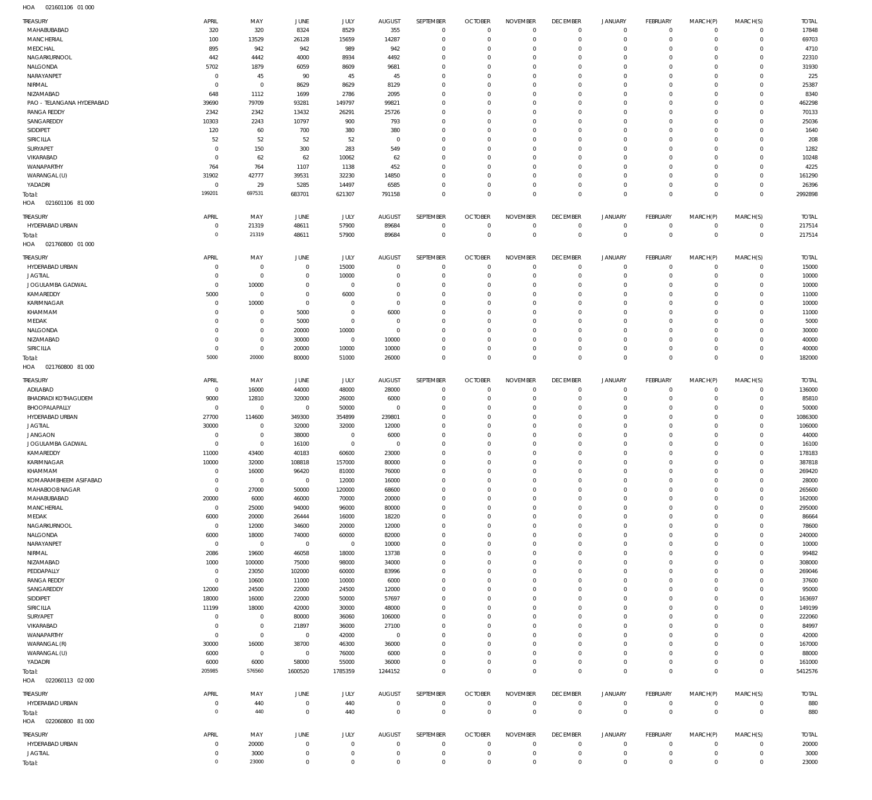| TREASURY                          | APRIL                      | MAY                  | <b>JUNE</b>     | JULY            | <b>AUGUST</b>  | SEPTEMBER                  | <b>OCTOBER</b>             | <b>NOVEMBER</b>            | <b>DECEMBER</b>               | <b>JANUARY</b>                | FEBRUARY                       | MARCH(P)             | MARCH(S)                       | <b>TOTAL</b>     |
|-----------------------------------|----------------------------|----------------------|-----------------|-----------------|----------------|----------------------------|----------------------------|----------------------------|-------------------------------|-------------------------------|--------------------------------|----------------------|--------------------------------|------------------|
| MAHABUBABAD                       | 320                        | 320                  | 8324            | 8529            | 355            | $\mathbf 0$                | $\overline{0}$             | $\mathbf 0$                | $\overline{0}$                | $\circ$                       | $\overline{0}$                 | $\mathbf 0$          | $\mathbf{0}$                   | 17848            |
| MANCHERIAL                        | 100                        | 13529                | 26128           | 15659           | 14287          | $\mathbf 0$                | $\mathbf 0$                | $\mathbf 0$                | $\mathbf 0$                   | $\mathbf 0$                   | $\mathbf{0}$                   | $\mathbf 0$          | $\mathbf{0}$                   | 69703            |
| MEDCHAL                           | 895                        | 942                  | 942             | 989             | 942            | $\mathbf 0$                | $\mathbf 0$                | $\mathbf 0$                | $\mathbf 0$                   | 0                             | $^{\circ}$                     | $\Omega$             | $\mathbf 0$                    | 4710             |
| NAGARKURNOOL                      | 442                        | 4442                 | 4000            | 8934            | 4492           | $\mathbf 0$                | $\mathbf 0$                | $\mathbf 0$                | $\mathbf 0$                   | 0                             | $^{\circ}$                     | $\Omega$             | $\mathbf 0$                    | 22310            |
| NALGONDA                          | 5702                       | 1879                 | 6059            | 8609            | 9681           | $\mathbf 0$                | $\mathbf 0$                | $\mathbf 0$                | $\mathbf 0$                   | 0                             | $^{\circ}$                     | $\Omega$             | $\mathbf 0$                    | 31930            |
| NARAYANPET<br>NIRMAL              | $\mathbf 0$<br>$\mathbf 0$ | 45<br>$\mathbf 0$    | 90<br>8629      | 45<br>8629      | 45<br>8129     | $\mathbf 0$<br>$\mathbf 0$ | $\mathbf 0$<br>$\mathbf 0$ | $\mathbf 0$<br>$\Omega$    | $\mathbf 0$<br>$\mathbf 0$    | 0<br>0                        | $^{\circ}$<br>$^{\circ}$       | $\Omega$<br>$\Omega$ | $\mathbf 0$<br>$\mathbf 0$     | 225<br>25387     |
| NIZAMABAD                         | 648                        | 1112                 | 1699            | 2786            | 2095           | $\mathbf 0$                | $^{\circ}$                 | $\mathbf 0$                | $\mathbf 0$                   | 0                             | $^{\circ}$                     | $\Omega$             | $\mathbf 0$                    | 8340             |
| PAO - TELANGANA HYDERABAD         | 39690                      | 79709                | 93281           | 149797          | 99821          | $\mathbf 0$                | 0                          | $\mathbf 0$                | $\mathbf 0$                   | 0                             | $^{\circ}$                     | $\Omega$             | $\mathbf 0$                    | 462298           |
| <b>RANGA REDDY</b>                | 2342                       | 2342                 | 13432           | 26291           | 25726          | $\mathbf 0$                | $^{\circ}$                 | $\mathbf 0$                | $\mathbf 0$                   | 0                             | $\mathbf 0$                    | $\Omega$             | $\mathbf 0$                    | 70133            |
| SANGAREDDY                        | 10303                      | 2243                 | 10797           | 900             | 793            | $\mathbf 0$                | $^{\circ}$                 | $\mathbf 0$                | $\mathbf 0$                   | 0                             | $^{\circ}$                     | $\Omega$             | $\mathbf 0$                    | 25036            |
| SIDDIPET                          | 120                        | 60                   | 700             | 380             | 380            | $\mathbf 0$                | $\mathbf 0$                | $\mathbf 0$                | $\mathbf 0$                   | 0                             | $^{\circ}$                     | $\Omega$             | $\mathbf 0$                    | 1640             |
| SIRICILLA                         | 52                         | 52                   | 52              | 52              | $\overline{0}$ | $\mathbf 0$                | $^{\circ}$                 | $\mathbf 0$                | $\mathbf 0$                   | 0                             | $^{\circ}$                     | $\Omega$             | $\mathbf 0$                    | 208              |
| SURYAPET                          | $\mathbf 0$                | 150                  | 300             | 283             | 549            | $\mathbf 0$                | $\mathbf 0$                | $\mathbf 0$                | $\mathbf 0$                   | 0                             | $^{\circ}$                     | $\Omega$             | $\mathbf 0$                    | 1282             |
| VIKARABAD                         | $^{\circ}$                 | 62                   | 62              | 10062           | 62             | $\mathbf 0$                | $\mathbf 0$                | $\mathbf 0$                | $\mathbf 0$                   | 0                             | $^{\circ}$                     | $\Omega$             | $\mathbf 0$                    | 10248            |
| WANAPARTHY                        | 764                        | 764                  | 1107            | 1138            | 452            | $\mathbf 0$                | $^{\circ}$                 | $\mathbf 0$                | $\mathbf 0$                   | 0                             | $^{\circ}$                     | 0                    | $\mathbf 0$                    | 4225             |
| WARANGAL (U)                      | 31902                      | 42777                | 39531           | 32230           | 14850          | $\mathbf 0$                | 0                          | $\mathbf 0$                | $\mathbf 0$                   | 0                             | $^{\circ}$                     | $\Omega$             | $\mathbf 0$                    | 161290           |
| YADADRI                           | $\mathbf 0$                | 29                   | 5285            | 14497           | 6585           | $\mathbf 0$                | $\mathbf 0$                | $\mathbf 0$                | $\mathbf 0$                   | $\mathbf 0$                   | $^{\circ}$                     | 0                    | $\mathbf{0}$                   | 26396            |
| Total:                            | 199201                     | 697531               | 683701          | 621307          | 791158         | $\mathbf 0$                | $\mathbf 0$                | $\mathbf 0$                | $\overline{0}$                | $\mathbf 0$                   | $\overline{0}$                 | $\mathbf 0$          | $\mathbf 0$                    | 2992898          |
| 021601106 81 000<br>HOA           |                            |                      |                 |                 |                |                            |                            |                            |                               |                               |                                |                      |                                |                  |
| TREASURY                          | APRIL                      | MAY                  | <b>JUNE</b>     | JULY            | <b>AUGUST</b>  | SEPTEMBER                  | <b>OCTOBER</b>             | <b>NOVEMBER</b>            | <b>DECEMBER</b>               | <b>JANUARY</b>                | FEBRUARY                       | MARCH(P)             | MARCH(S)                       | <b>TOTAL</b>     |
| HYDERABAD URBAN                   | $\mathbf 0$                | 21319                | 48611           | 57900           | 89684          | $\mathbf 0$                | $\overline{0}$             | $\mathbf 0$                | $\overline{0}$                | $\circ$                       | $\overline{0}$                 | $\mathbf 0$          | $\mathbf{0}$                   | 217514           |
| Total:                            | $\mathbf 0$                | 21319                | 48611           | 57900           | 89684          | $\mathbf 0$                | $\overline{0}$             | $\mathbf 0$                | $\overline{0}$                | $\overline{0}$                | $\overline{0}$                 | $\mathbf 0$          | $\overline{0}$                 | 217514           |
| HOA<br>021760800 01 000           |                            |                      |                 |                 |                |                            |                            |                            |                               |                               |                                |                      |                                |                  |
| TREASURY                          | APRIL                      | MAY                  | JUNE            | JULY            | <b>AUGUST</b>  | SEPTEMBER                  | <b>OCTOBER</b>             | <b>NOVEMBER</b>            | <b>DECEMBER</b>               | <b>JANUARY</b>                | FEBRUARY                       | MARCH(P)             | MARCH(S)                       | <b>TOTAL</b>     |
| HYDERABAD URBAN                   | $^{\circ}$                 | $\mathbf 0$          | $\mathbf 0$     | 15000           | $\mathbf 0$    | $\mathbf 0$                | $\overline{0}$             | $\mathbf 0$                | $\mathbf 0$                   | $^{\circ}$                    | $\mathbf{0}$                   | 0                    | $\mathbf{0}$                   | 15000            |
| <b>JAGTIAL</b>                    | $\mathbf 0$                | $\overline{0}$       | $\overline{0}$  | 10000           | $\mathbf 0$    | $\mathbf 0$                | $\overline{0}$             | $\mathbf 0$                | $\overline{0}$                | $\mathbf 0$                   | $^{\circ}$                     | $^{\circ}$           | $\mathbf{0}$                   | 10000            |
| JOGULAMBA GADWAL                  | $\mathbf 0$                | 10000                | $\mathbf 0$     | $\mathbf 0$     | $\mathbf 0$    | $\mathbf 0$                | 0                          | $\mathbf 0$                | $\mathbf 0$                   | 0                             | $^{\circ}$                     | $\Omega$             | $\mathbf 0$                    | 10000            |
| KAMAREDDY                         | 5000                       | $\mathbf 0$          | $\overline{0}$  | 6000            | $\mathbf 0$    | $\mathbf 0$                | $\mathbf 0$                | $\mathbf 0$                | $\mathbf 0$                   | 0                             | $^{\circ}$                     | $\Omega$             | $\mathbf 0$                    | 11000            |
| KARIMNAGAR                        | $\mathbf 0$                | 10000                | $\overline{0}$  | $\mathbf 0$     | $\overline{0}$ | $\mathbf 0$                | $\mathbf 0$                | $\mathbf 0$                | $\mathbf 0$                   | 0                             | $^{\circ}$                     | $\Omega$             | $\mathbf 0$                    | 10000            |
| KHAMMAM                           | $\mathbf 0$                | $\mathbf 0$          | 5000            | $\mathbf 0$     | 6000           | $\mathbf 0$                | $\mathbf 0$                | $\mathbf 0$                | $\mathbf 0$                   | 0                             | $^{\circ}$                     | $\Omega$             | $\mathbf 0$                    | 11000            |
| MEDAK                             | $\mathbf 0$                | $\mathbf 0$          | 5000            | $\mathbf 0$     | $\overline{0}$ | $\mathbf 0$                | $\mathbf 0$                | $\mathbf 0$                | $\mathbf 0$                   | 0                             | $^{\circ}$                     | $\Omega$             | $^{\circ}$                     | 5000             |
| NALGONDA                          | $\mathbf 0$                | $\mathbf 0$          | 20000           | 10000           | $^{\circ}$     | $\mathbf 0$                | 0                          | $\mathbf 0$                | $\mathbf 0$                   | 0                             | $^{\circ}$                     | 0                    | $\mathbf 0$                    | 30000            |
| NIZAMABAD                         | $\mathbf 0$                | $\mathbf 0$          | 30000           | $\mathbf 0$     | 10000          | $\mathbf 0$                | $\mathbf 0$                | $\mathbf 0$                | $\mathbf 0$                   | 0                             | $^{\circ}$                     | $\Omega$             | $\mathbf 0$                    | 40000            |
| SIRICILLA                         | $\mathbf 0$<br>5000        | $\mathbf 0$<br>20000 | 20000<br>80000  | 10000<br>51000  | 10000<br>26000 | $\mathbf 0$<br>$\mathbf 0$ | $\mathbf 0$<br>$\mathbf 0$ | $\mathbf 0$<br>$\mathbf 0$ | $\mathbf 0$<br>$\overline{0}$ | $\mathbf 0$<br>$\overline{0}$ | $\mathbf{0}$<br>$\overline{0}$ | 0<br>$\Omega$        | $\mathbf{0}$<br>$\overline{0}$ | 40000<br>182000  |
| Total:<br>HOA<br>021760800 81 000 |                            |                      |                 |                 |                |                            |                            |                            |                               |                               |                                |                      |                                |                  |
|                                   |                            |                      |                 |                 |                |                            |                            |                            |                               |                               |                                |                      |                                |                  |
| TREASURY                          | APRIL                      | MAY                  | <b>JUNE</b>     | JULY            | <b>AUGUST</b>  | SEPTEMBER                  | <b>OCTOBER</b>             | <b>NOVEMBER</b>            | <b>DECEMBER</b>               | <b>JANUARY</b>                | FEBRUARY                       | MARCH(P)             | MARCH(S)                       | <b>TOTAL</b>     |
|                                   |                            |                      |                 |                 |                |                            |                            |                            |                               |                               |                                |                      |                                |                  |
| ADILABAD                          | $\overline{0}$             | 16000                | 44000           | 48000           | 28000          | $\mathbf 0$                | $\overline{0}$             | $\mathbf 0$                | $\mathbf 0$                   | 0                             | $^{\circ}$                     | 0                    | $\mathbf{0}$                   | 136000           |
| <b>BHADRADI KOTHAGUDEM</b>        | 9000                       | 12810                | 32000           | 26000           | 6000           | $\mathbf 0$                | $\mathbf 0$                | $\mathbf 0$                | $\mathbf 0$                   | 0                             | $\mathbf{0}$                   | 0                    | $\mathbf{0}$                   | 85810            |
| BHOOPALAPALLY                     | $\overline{0}$             | $\mathbf 0$          | $\overline{0}$  | 50000           | $\overline{0}$ | $\mathbf 0$                | $\mathbf 0$                | $\mathbf 0$                | $^{\circ}$                    | 0                             | $^{\circ}$                     | $\Omega$             | $\mathbf{0}$                   | 50000            |
| HYDERABAD URBAN                   | 27700                      | 114600               | 349300          | 354899          | 239801         | $\mathbf 0$                | $^{\circ}$                 | $\mathbf 0$                | $^{\circ}$                    | 0                             | $^{\circ}$                     | 0                    | $\mathbf 0$                    | 1086300          |
| <b>JAGTIAL</b>                    | 30000                      | $\mathbf 0$          | 32000           | 32000           | 12000          | $\mathbf 0$                | $\mathbf 0$                | $\Omega$                   | $\mathbf 0$                   | 0                             | $^{\circ}$                     | $\Omega$             | $\mathbf 0$                    | 106000           |
| <b>JANGAON</b>                    | $\overline{0}$             | $\mathbf 0$          | 38000           | $\mathbf 0$     | 6000           | $\mathbf 0$                | $^{\circ}$                 | $\mathbf 0$                | $\mathbf 0$                   | 0                             | $^{\circ}$                     | $\Omega$             | $\mathbf 0$                    | 44000            |
| JOGULAMBA GADWAL                  | $\mathbf 0$                | $\mathbf 0$          | 16100           | $\mathbf 0$     | $\overline{0}$ | $\mathbf 0$                | 0<br>$\Omega$              | 0<br>$\Omega$              | $\mathbf 0$<br>$\Omega$       | 0<br>$\Omega$                 | $^{\circ}$<br>$\Omega$         | 0<br>$\Omega$        | $\mathbf 0$                    | 16100            |
| KAMAREDDY<br>KARIMNAGAR           | 11000<br>10000             | 43400<br>32000       | 40183<br>108818 | 60600<br>157000 | 23000<br>80000 | $\mathbf 0$<br>$\Omega$    | $\Omega$                   | $\Omega$                   | $\Omega$                      | $\Omega$                      | $\Omega$                       | $\Omega$             | $\mathbf 0$<br>$\Omega$        | 178183<br>387818 |
| KHAMMAM                           | $\mathbf 0$                | 16000                | 96420           | 81000           | 76000          | $\mathbf 0$                | $\mathbf 0$                | $\mathbf 0$                | $\mathbf 0$                   | $\mathbf 0$                   | $\mathbf{0}$                   | 0                    | $\mathbf 0$                    | 269420           |
| KOMARAMBHEEM ASIFABAD             | $\overline{0}$             | $\,0\,$              | $\overline{0}$  | 12000           | 16000          | $\mathbf 0$                | $\overline{0}$             | $\mathbf 0$                | $\mathbf 0$                   | $\mathbf 0$                   | $\mathbf{0}$                   | 0                    | $\mathbf{0}$                   | 28000            |
| MAHABOOB NAGAR                    | $\overline{0}$             | 27000                | 50000           | 120000          | 68600          | $\mathbf 0$                | $\mathbf 0$                | $\mathbf 0$                | $\mathbf 0$                   | 0                             | $\mathbf{0}$                   | 0                    | $\mathbf 0$                    | 265600           |
| MAHABUBABAD                       | 20000                      | 6000                 | 46000           | 70000           | 20000          | $\mathbf 0$                | $\mathbf 0$                | $\mathbf 0$                | $\mathbf 0$                   | 0                             | $\mathbf{0}$                   | $\Omega$             | $\mathbf{0}$                   | 162000           |
| MANCHERIAL                        | $\overline{0}$             | 25000                | 94000           | 96000           | 80000          | $\mathbf 0$                | $\mathbf 0$                | $\mathbf 0$                | $\mathbf 0$                   | 0                             | $^{\circ}$                     | 0                    | $\mathbf 0$                    | 295000           |
| MEDAK                             | 6000                       | 20000                | 26444           | 16000           | 18220          | $\mathbf 0$                | $\mathbf 0$                | $\mathbf 0$                | $\mathbf 0$                   | 0                             | $^{\circ}$                     | $\Omega$             | $\mathbf 0$                    | 86664            |
| NAGARKURNOOL                      | $\overline{0}$             | 12000                | 34600           | 20000           | 12000          | $\mathbf 0$                | $\mathbf 0$                | $\mathbf 0$                | $\mathbf 0$                   | 0                             | $\mathbf{0}$                   | 0                    | $\mathbf 0$                    | 78600            |
| NALGONDA                          | 6000                       | 18000                | 74000           | 60000           | 82000          | $\mathbf 0$                | $\mathbf 0$                | $\mathbf 0$                | $\mathbf 0$                   | 0                             | $\mathbf{0}$                   | 0                    | $\mathbf 0$                    | 240000           |
| NARAYANPET                        | $\overline{0}$             | $\mathbf 0$          | $\overline{0}$  | $\,0\,$         | 10000          | $\mathbf 0$                | $\mathbf 0$                | $\mathbf 0$                | $\mathbf 0$                   | 0                             | $\mathbf 0$                    | $\Omega$             | $\mathbf 0$                    | 10000            |
| NIRMAL                            | 2086                       | 19600                | 46058           | 18000           | 13738          | $\mathbf 0$                | $\mathbf 0$                | $\mathbf 0$                | $\mathbf 0$                   | 0                             | $^{\circ}$                     | 0                    | $\mathbf 0$                    | 99482            |
| NIZAMABAD                         | 1000                       | 100000               | 75000           | 98000           | 34000          | $\mathbf 0$                | $\mathbf 0$                | $\Omega$                   | $\mathbf 0$                   | $\mathbf 0$                   | $\mathbf 0$                    | $\Omega$             | $\mathbf 0$                    | 308000           |
| PEDDAPALLY                        | $\overline{0}$             | 23050                | 102000          | 60000           | 83996          | $\mathbf 0$                | $\mathbf 0$                | $\mathbf 0$                | $\mathbf 0$                   | 0                             | $\mathbf{0}$                   | 0                    | $\mathbf{0}$                   | 269046           |
| <b>RANGA REDDY</b>                | $\overline{0}$             | 10600                | 11000           | 10000           | 6000           | $\mathbf 0$<br>$\mathbf 0$ | $\mathbf 0$<br>$\mathbf 0$ | $\mathbf 0$<br>$\mathbf 0$ | $\mathbf 0$<br>$\mathbf 0$    | 0<br>0                        | $^{\circ}$<br>$\mathbf{0}$     | 0<br>0               | $\mathbf 0$<br>$\mathbf 0$     | 37600            |
| SANGAREDDY<br>SIDDIPET            | 12000<br>18000             | 24500<br>16000       | 22000<br>22000  | 24500<br>50000  | 12000<br>57697 | $\mathbf 0$                | $\mathbf 0$                | $\mathbf 0$                | $\mathbf 0$                   | 0                             | $\mathbf 0$                    | 0                    | $\mathbf 0$                    | 95000<br>163697  |
| SIRICILLA                         | 11199                      | 18000                | 42000           | 30000           | 48000          | $\mathbf 0$                | $\mathbf 0$                | $\mathbf 0$                | $\mathbf 0$                   | 0                             | $\mathbf{0}$                   | $\Omega$             | $\mathbf 0$                    | 149199           |
| SURYAPET                          | $\overline{0}$             | $\mathbf 0$          | 80000           | 36060           | 106000         | $\mathbf 0$                | $\mathbf 0$                | $\mathbf 0$                | $\mathbf 0$                   | 0                             | $\mathbf 0$                    | 0                    | $\mathbf 0$                    | 222060           |
| VIKARABAD                         | $\overline{0}$             | $\mathbf 0$          | 21897           | 36000           | 27100          | $\mathbf 0$                | $\mathbf 0$                | $\mathbf 0$                | $\mathbf 0$                   | 0                             | $^{\circ}$                     | 0                    | $\mathbf 0$                    | 84997            |
| WANAPARTHY                        | $\overline{0}$             | $\mathbf 0$          | $\overline{0}$  | 42000           | $\overline{0}$ | $\mathbf 0$                | $\mathbf 0$                | $\mathbf 0$                | $\mathbf 0$                   | 0                             | $\mathbf 0$                    | $\Omega$             | $\mathbf 0$                    | 42000            |
| WARANGAL (R)                      | 30000                      | 16000                | 38700           | 46300           | 36000          | $\mathbf 0$                | $\mathbf 0$                | $\mathbf 0$                | $\mathbf 0$                   | 0                             | $^{\circ}$                     | 0                    | $\mathbf{0}$                   | 167000           |
| WARANGAL (U)                      | 6000                       | $\overline{0}$       | $\overline{0}$  | 76000           | 6000           | $\mathbf 0$                | $\mathbf 0$                | $\mathbf 0$                | $\mathbf 0$                   | $\mathbf 0$                   | $\mathbf 0$                    | 0                    | $\mathbf 0$                    | 88000            |
| YADADRI                           | 6000                       | 6000                 | 58000           | 55000           | 36000          | $\mathbf 0$                | $\mathbf 0$                | $\mathbf 0$                | $\overline{0}$                | 0                             | $\mathbf{0}$                   | 0                    | $\mathbf{0}$                   | 161000           |
| Total:                            | 205985                     | 576560               | 1600520         | 1785359         | 1244152        | $\mathbf 0$                | $\overline{0}$             | $\mathbf 0$                | $\overline{0}$                | $\overline{0}$                | $\overline{0}$                 | $\mathbf 0$          | $\overline{0}$                 | 5412576          |
| HOA  022060113  02  000           |                            |                      |                 |                 |                |                            |                            |                            |                               |                               |                                |                      |                                |                  |
| TREASURY                          | APRIL                      | MAY                  | JUNE            | JULY            | AUGUST         | SEPTEMBER                  | <b>OCTOBER</b>             | <b>NOVEMBER</b>            | <b>DECEMBER</b>               | <b>JANUARY</b>                | FEBRUARY                       | MARCH(P)             | MARCH(S)                       | <b>TOTAL</b>     |
| HYDERABAD URBAN                   | $\overline{0}$             | 440                  | $\overline{0}$  | 440             | $\overline{0}$ | $\mathbb O$                | $\overline{0}$             | $\mathbf 0$                | $\overline{0}$                | $\circ$                       | $\overline{0}$                 | $\mathbf{0}$         | $\overline{0}$                 | 880              |
| Total:                            | $\mathbf 0$                | 440                  | $\overline{0}$  | 440             | $\overline{0}$ | $\mathbf 0$                | $\overline{0}$             | $\overline{0}$             | $\overline{0}$                | $\overline{0}$                | $\overline{0}$                 | $\mathbf 0$          | $\overline{0}$                 | 880              |
| 022060800 81 000<br>HOA           |                            |                      |                 |                 |                |                            |                            |                            |                               |                               |                                |                      |                                |                  |
| TREASURY                          | APRIL                      | MAY                  | JUNE            | JULY            | AUGUST         | SEPTEMBER                  | <b>OCTOBER</b>             | <b>NOVEMBER</b>            | <b>DECEMBER</b>               | <b>JANUARY</b>                | FEBRUARY                       | MARCH(P)             | MARCH(S)                       | <b>TOTAL</b>     |
| HYDERABAD URBAN                   | $\overline{0}$             | 20000                | $\overline{0}$  | $\mathbf 0$     | $\overline{0}$ | $\mathbf 0$                | $\overline{0}$             | $\mathbf 0$                | $\overline{0}$                | $\circ$                       | $\overline{0}$                 | $\mathbf 0$          | $\overline{0}$                 | 20000            |
| <b>JAGTIAL</b>                    | $\mathbf 0$                | 3000                 | $\overline{0}$  | $\mathbf 0$     | $\overline{0}$ | $\mathbf 0$                | $\overline{0}$             | $\mathbf 0$                | $\overline{0}$                | $\mathbf 0$                   | $\overline{0}$                 | $\mathbf 0$          | $\circ$                        | 3000             |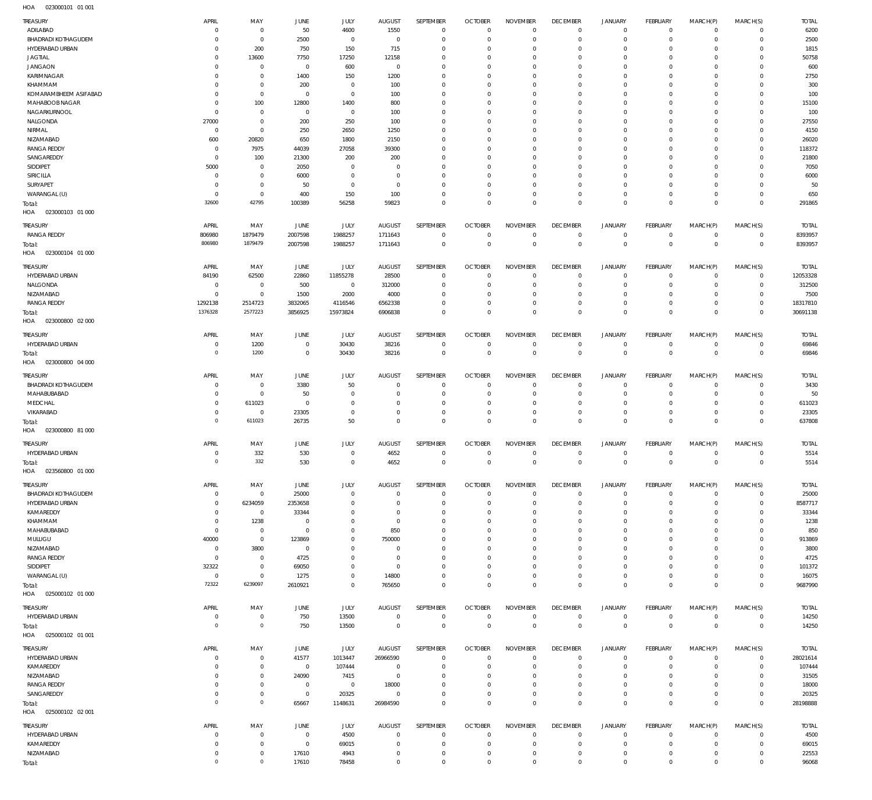023000101 01 001 HOA

| TREASURY                                      | APRIL                         | MAY                         | <b>JUNE</b>             | JULY                    | <b>AUGUST</b>                | SEPTEMBER               | <b>OCTOBER</b>                   | <b>NOVEMBER</b>                  | <b>DECEMBER</b>                  | <b>JANUARY</b>                | FEBRUARY                  | MARCH(P)             | MARCH(S)             | <b>TOTAL</b>    |
|-----------------------------------------------|-------------------------------|-----------------------------|-------------------------|-------------------------|------------------------------|-------------------------|----------------------------------|----------------------------------|----------------------------------|-------------------------------|---------------------------|----------------------|----------------------|-----------------|
| ADILABAD                                      | $\overline{0}$<br>$\Omega$    | $\mathbf 0$<br>$\mathbf 0$  | 50                      | 4600<br>$\mathbf{0}$    | 1550                         | $^{\circ}$<br>$\Omega$  | $\mathbf 0$<br>$\overline{0}$    | $\Omega$<br>$\Omega$             | $\overline{0}$<br>$\overline{0}$ | $\mathbf 0$                   | $\mathbf 0$<br>$\Omega$   | $\Omega$             | $\Omega$<br>$\Omega$ | 6200            |
| <b>BHADRADI KOTHAGUDEM</b><br>HYDERABAD URBAN | $\Omega$                      | 200                         | 2500<br>750             | 150                     | $\overline{0}$<br>715        | $\Omega$                | $\Omega$                         | $\Omega$                         | $\Omega$                         | $\mathbf{0}$<br>$\Omega$      | $\Omega$                  | $\Omega$<br>$\Omega$ | $\Omega$             | 2500<br>1815    |
| JAGTIAL                                       | $\Omega$                      | 13600                       | 7750                    | 17250                   | 12158                        | $\Omega$                | $\Omega$                         | $\Omega$                         | $\overline{0}$                   | $\Omega$                      | $\Omega$                  | $\Omega$             | $\Omega$             | 50758           |
| <b>JANGAON</b>                                | $\Omega$                      | $\mathbf{0}$                | $\overline{0}$          | 600                     | $\mathbf 0$                  | $\Omega$                | $\Omega$                         | $\Omega$                         | $^{\circ}$                       | $\Omega$                      | $\Omega$                  | $\Omega$             | $\Omega$             | 600             |
| <b>KARIMNAGAR</b>                             | $\mathbf 0$                   | $\mathbf 0$                 | 1400                    | 150                     | 1200                         | $\Omega$                | $\Omega$                         | $\Omega$                         | $^{\circ}$                       | $\Omega$                      | $\Omega$                  | $\Omega$             | $\Omega$             | 2750            |
| KHAMMAM                                       | $\Omega$                      | $\Omega$                    | 200                     | $\mathbf 0$             | 100                          | $\Omega$                | $\Omega$                         | $\Omega$                         | $\Omega$                         | $\Omega$                      | $\Omega$                  | $\Omega$             | $\Omega$             | 300             |
| KOMARAMBHEEM ASIFABAD                         | $\mathbf 0$                   | $\mathbf 0$                 | $\overline{0}$          | $^{\circ}$              | 100                          | $\Omega$                | $\overline{0}$                   | $\Omega$                         | $^{\circ}$                       | $\mathbf{0}$                  | $\Omega$                  | $\Omega$             | $\Omega$             | 100             |
| MAHABOOB NAGAR                                | $\Omega$                      | 100                         | 12800                   | 1400                    | 800                          | $\Omega$                | $\Omega$                         | $\Omega$                         | $^{\circ}$                       | $\Omega$                      | $\Omega$                  | $\Omega$             | $\Omega$             | 15100           |
| NAGARKURNOOL                                  | $\Omega$                      | $\mathbf{0}$                | $\overline{0}$          | $^{\circ}$              | 100                          | $\Omega$                | $\overline{0}$                   | $\Omega$                         | $^{\circ}$                       | $\Omega$                      | $\Omega$                  | $\Omega$             | $\Omega$             | 100             |
| NALGONDA                                      | 27000                         | $\mathbf 0$                 | 200                     | 250                     | 100                          | $\Omega$                | $\Omega$                         | $\Omega$                         | $\Omega$                         | $\Omega$                      | $\Omega$                  |                      | $\Omega$             | 27550           |
| NIRMAL<br>NIZAMABAD                           | $\overline{0}$<br>600         | $\mathbf 0$                 | 250<br>650              | 2650<br>1800            | 1250<br>2150                 | $\Omega$<br>$\Omega$    | $\overline{0}$<br>$\Omega$       | $\Omega$<br>$\Omega$             | $^{\circ}$<br>$\Omega$           | $\mathbf{0}$<br>$\Omega$      | $\Omega$<br>$\Omega$      | $\Omega$             | $\Omega$<br>$\Omega$ | 4150            |
| <b>RANGA REDDY</b>                            | $\Omega$                      | 20820<br>7975               | 44039                   | 27058                   | 39300                        | $\Omega$                | $\overline{0}$                   | $\Omega$                         | $^{\circ}$                       | $\Omega$                      | $\Omega$                  | $\Omega$             | $\Omega$             | 26020<br>118372 |
| SANGAREDDY                                    | $\overline{0}$                | 100                         | 21300                   | 200                     | 200                          | $\Omega$                | $\Omega$                         | $\Omega$                         | $\Omega$                         | $\Omega$                      | $\Omega$                  | $\Omega$             | $\Omega$             | 21800           |
| SIDDIPET                                      | 5000                          | $\mathbf{0}$                | 2050                    | $\Omega$                | $\Omega$                     | $\Omega$                | $\Omega$                         | $\Omega$                         | $^{\circ}$                       | $\Omega$                      | $\Omega$                  | $\Omega$             | $\Omega$             | 7050            |
| <b>SIRICILLA</b>                              | $\overline{0}$                | $\mathbf{0}$                | 6000                    | $\mathbf 0$             | $\overline{0}$               | $\Omega$                | $\Omega$                         | $\Omega$                         | $^{\circ}$                       | $\Omega$                      | $\Omega$                  | $\Omega$             | $\Omega$             | 6000            |
| SURYAPET                                      | $\Omega$                      | $\mathbf 0$                 | 50                      | $\Omega$                | $^{\circ}$                   | $\Omega$                | $\Omega$                         | $\Omega$                         | $\overline{0}$                   | $\Omega$                      | $\Omega$                  | $\Omega$             | $\Omega$             | 50              |
| WARANGAL (U)                                  | $\Omega$                      | $\mathbf 0$                 | 400                     | 150                     | 100                          | $\Omega$                | $\Omega$                         | $\Omega$                         | $\overline{0}$                   | $\mathbf{0}$                  | $\Omega$                  | $\Omega$             | $\Omega$             | 650             |
| Total:                                        | 32600                         | 42795                       | 100389                  | 56258                   | 59823                        | $\Omega$                | $\Omega$                         | $\Omega$                         | $\overline{0}$                   | $\overline{0}$                | $\overline{0}$            | $\Omega$             | $\overline{0}$       | 291865          |
| 023000103 01 000<br>HOA                       |                               |                             |                         |                         |                              |                         |                                  |                                  |                                  |                               |                           |                      |                      |                 |
| TREASURY                                      | APRIL                         | MAY                         | JUNE                    | <b>JULY</b>             | <b>AUGUST</b>                | SEPTEMBER               | <b>OCTOBER</b>                   | <b>NOVEMBER</b>                  | <b>DECEMBER</b>                  | <b>JANUARY</b>                | <b>FEBRUARY</b>           | MARCH(P)             | MARCH(S)             | <b>TOTAL</b>    |
| <b>RANGA REDDY</b>                            | 806980                        | 1879479                     | 2007598                 | 1988257                 | 1711643                      | $\mathbf 0$             | $\mathbf 0$                      | $\overline{0}$                   | $\overline{0}$                   | $\mathbf 0$                   | $\circ$                   | $\Omega$             | $\overline{0}$       | 8393957         |
| Total:                                        | 806980                        | 1879479                     | 2007598                 | 1988257                 | 1711643                      | $\mathbf 0$             | $\,0\,$                          | $\mathbf 0$                      | $\mathbb O$                      | $\mathbf 0$                   | $\mathbb O$               | $^{\circ}$           | $\mathbf 0$          | 8393957         |
| HOA<br>023000104 01 000                       |                               |                             |                         |                         |                              |                         |                                  |                                  |                                  |                               |                           |                      |                      |                 |
| TREASURY                                      | APRIL                         | MAY                         | JUNE                    | JULY                    | <b>AUGUST</b>                | SEPTEMBER               | <b>OCTOBER</b>                   | <b>NOVEMBER</b>                  | <b>DECEMBER</b>                  | <b>JANUARY</b>                | <b>FEBRUARY</b>           | MARCH(P)             | MARCH(S)             | <b>TOTAL</b>    |
| HYDERABAD URBAN                               | 84190                         | 62500                       | 22860                   | 11855278                | 28500                        | $^{\circ}$              | $\overline{0}$                   | $\Omega$                         | $\overline{0}$                   | $\mathbf 0$                   | $\Omega$                  | $\Omega$             | $\Omega$             | 12053328        |
| NALGONDA                                      | $\overline{0}$                | $\overline{0}$              | 500                     | $\overline{0}$          | 312000                       | $^{\circ}$              | $\mathbf 0$                      | $\Omega$                         | $\mathbf 0$                      | $\mathbf{0}$                  | $\mathbf 0$               | $\Omega$             | $\Omega$             | 312500          |
| NIZAMABAD                                     | $\overline{0}$                | $\mathbf 0$                 | 1500                    | 2000                    | 4000                         | $\Omega$                | $\overline{0}$                   | $\Omega$                         | $\mathbf 0$                      | $\mathbf{0}$                  | $\Omega$                  | $\Omega$             | $\Omega$             | 7500            |
| <b>RANGA REDDY</b>                            | 1292138                       | 2514723                     | 3832065                 | 4116546                 | 6562338                      | $\Omega$                | $\mathbf 0$                      | $\Omega$                         | $\overline{0}$                   | $\mathbf{0}$                  | $\circ$                   | $\Omega$             | $\Omega$             | 18317810        |
| Total:<br>023000800 02 000<br>HOA             | 1376328                       | 2577223                     | 3856925                 | 15973824                | 6906838                      | $\Omega$                | $\overline{0}$                   | $\Omega$                         | $\overline{0}$                   | $\overline{0}$                | $\overline{0}$            | $\Omega$             | $\overline{0}$       | 30691138        |
| TREASURY                                      | APRIL                         | MAY                         | <b>JUNE</b>             | <b>JULY</b>             | <b>AUGUST</b>                | SEPTEMBER               | <b>OCTOBER</b>                   | <b>NOVEMBER</b>                  | <b>DECEMBER</b>                  | <b>JANUARY</b>                | <b>FEBRUARY</b>           | MARCH(P)             | MARCH(S)             | <b>TOTAL</b>    |
| HYDERABAD URBAN                               | $\overline{0}$                | 1200                        | $\overline{0}$          | 30430                   | 38216                        | $\mathbf 0$             | $\mathbf 0$                      | $\overline{0}$                   | $\overline{0}$                   | $\mathbf 0$                   | $\circ$                   | $\Omega$             | $\overline{0}$       | 69846           |
| Total:                                        | $\overline{0}$                | 1200                        | $\mathbf 0$             | 30430                   | 38216                        | $\mathbf 0$             | $\,0\,$                          | $\mathbf 0$                      | $\mathbb O$                      | $\mathbf 0$                   | $\mathbb O$               | $^{\circ}$           | $\mathbf 0$          | 69846           |
| HOA<br>023000800 04 000                       |                               |                             |                         |                         |                              |                         |                                  |                                  |                                  |                               |                           |                      |                      |                 |
| TREASURY                                      | APRIL                         | MAY                         | <b>JUNE</b>             | JULY                    | <b>AUGUST</b>                | SEPTEMBER               | <b>OCTOBER</b>                   | <b>NOVEMBER</b>                  | <b>DECEMBER</b>                  | <b>JANUARY</b>                | <b>FEBRUARY</b>           | MARCH(P)             | MARCH(S)             | <b>TOTAL</b>    |
| <b>BHADRADI KOTHAGUDEM</b>                    | $\Omega$                      | $\mathbf{0}$                | 3380                    | 50                      | $^{\circ}$                   | $^{\circ}$              | $\overline{0}$                   | $\Omega$                         | $\overline{0}$                   | $\mathbf 0$                   | $\Omega$                  | $\Omega$             | $\Omega$             | 3430            |
| MAHABUBABAD                                   | $\overline{0}$                | $\mathbf 0$                 | 50                      | $\mathbf 0$             | $\Omega$                     | $^{\circ}$              | $\mathbf 0$                      | $\Omega$                         | $\mathbf 0$                      | $\mathbf 0$                   | $\mathbf 0$               | $\Omega$             | $\Omega$             | 50              |
| MEDCHAL                                       | $\mathbf 0$                   | 611023                      | $\overline{0}$          | $\Omega$                | $\Omega$                     | $\Omega$                | $\mathbf 0$                      | $\Omega$                         | $\mathbf 0$                      | $\mathbf{0}$                  | $\Omega$                  | $\Omega$             | $\Omega$             | 611023          |
| VIKARABAD                                     | $\overline{0}$                | $\mathbf 0$                 | 23305                   | $\Omega$                | $\Omega$                     | $\Omega$                | $\mathbf 0$                      | $\Omega$                         | $\overline{0}$                   | $\mathbf{0}$                  | $\circ$                   | $\Omega$             | $\Omega$             | 23305           |
| Total:<br>023000800 81 000<br>HOA             | $\mathbf{0}$                  | 611023                      | 26735                   | 50                      | $\Omega$                     | $\Omega$                | $\overline{0}$                   | $\overline{0}$                   | $\mathbf 0$                      | $\mathbf 0$                   | $\mathbf 0$               | $\Omega$             | $\overline{0}$       | 637808          |
|                                               |                               |                             |                         |                         |                              |                         |                                  |                                  |                                  |                               |                           |                      |                      |                 |
| TREASURY                                      | APRIL                         | MAY                         | <b>JUNE</b>             | <b>JULY</b>             | <b>AUGUST</b>                | SEPTEMBER               | <b>OCTOBER</b>                   | <b>NOVEMBER</b>                  | <b>DECEMBER</b>                  | <b>JANUARY</b>                | FEBRUARY                  | MARCH(P)<br>$\Omega$ | MARCH(S)<br>$\Omega$ | <b>TOTAL</b>    |
| HYDERABAD URBAN                               | $\overline{0}$<br>$\mathbb O$ | 332<br>332                  | 530<br>530              | $^{\circ}$<br>$\Omega$  | 4652<br>4652                 | $\mathbf 0$<br>$\Omega$ | $\mathbf 0$<br>$\mathbf{0}$      | $\overline{0}$<br>$\overline{0}$ | $\mathbf 0$<br>$\mathbf{0}$      | $\mathbf 0$<br>$\overline{0}$ | $\circ$<br>$\overline{0}$ | $\overline{0}$       | $\overline{0}$       | 5514<br>5514    |
| Total:<br>023560800 01 000<br>HOA             |                               |                             |                         |                         |                              |                         |                                  |                                  |                                  |                               |                           |                      |                      |                 |
|                                               |                               |                             |                         |                         |                              |                         |                                  |                                  |                                  |                               |                           |                      |                      |                 |
| TREASURY                                      | APRIL                         | MAY                         | JUNE                    | JULY                    | <b>AUGUST</b>                | SEPTEMBER               | <b>OCTOBER</b>                   | <b>NOVEMBER</b>                  | <b>DECEMBER</b>                  | <b>JANUARY</b>                | <b>FEBRUARY</b>           | MARCH(P)             | MARCH(S)             | <b>TOTAL</b>    |
| <b>BHADRADI KOTHAGUDEM</b>                    | $\overline{0}$                | $\mathbf{0}$                | 25000                   | $\mathbf 0$             | $^{\circ}$                   | $\overline{0}$          | $\overline{0}$                   | $\overline{0}$                   | $\overline{0}$                   | $\circ$                       | $\circ$                   | $\Omega$             | $\Omega$             | 25000           |
| HYDERABAD URBAN                               | $\overline{0}$<br>$\mathbf 0$ | 6234059<br>$\overline{0}$   | 2353658                 | $\mathbf 0$<br>$\Omega$ | $\overline{0}$<br>$^{\circ}$ | $^{\circ}$<br>$\Omega$  | $\mathbf 0$                      | $\Omega$<br>$\Omega$             | $\mathbf 0$<br>$^{\circ}$        | $\mathbf 0$<br>$\Omega$       | $\circ$<br>$\Omega$       | $\Omega$<br>$\Omega$ | $\Omega$<br>$\Omega$ | 8587717         |
| KAMAREDDY<br>KHAMMAM                          | $\overline{0}$                | 1238                        | 33344<br>$\overline{0}$ | $\Omega$                | $\overline{0}$               | $\Omega$                | $\overline{0}$<br>$\overline{0}$ | $\Omega$                         | $^{\circ}$                       | $\mathbf{0}$                  | $\mathbf 0$               | $\Omega$             | $\Omega$             | 33344<br>1238   |
| MAHABUBABAD                                   | $\overline{0}$                | $\mathbf{0}$                | $\overline{0}$          | 0                       | 850                          | $\Omega$                | $\overline{0}$                   | $\Omega$                         | $^{\circ}$                       | $\mathbf{0}$                  | $\Omega$                  | $\Omega$             | $\Omega$             | 850             |
| MULUGU                                        | 40000                         | $\mathbf 0$                 | 123869                  | $\Omega$                | 750000                       | $\Omega$                | $\overline{0}$                   | $\Omega$                         | $^{\circ}$                       | $\Omega$                      | $\Omega$                  | $\Omega$             | $\Omega$             | 913869          |
| NIZAMABAD                                     | $\overline{0}$                | 3800                        | $\overline{0}$          | 0                       | $^{\circ}$                   | $\Omega$                | $\overline{0}$                   | $\Omega$                         | $\overline{0}$                   | $\mathbf{0}$                  | $\Omega$                  | $\Omega$             | $\Omega$             | 3800            |
| <b>RANGA REDDY</b>                            | $\overline{0}$                | $\mathbf 0$                 | 4725                    | $\Omega$                | $\overline{0}$               | $\Omega$                | $\Omega$                         | $\Omega$                         | $^{\circ}$                       | $\Omega$                      | $\Omega$                  | $\Omega$             | $\Omega$             | 4725            |
| SIDDIPET                                      | 32322                         | $\mathbf 0$                 | 69050                   | 0                       | $\overline{0}$               | $\Omega$                | $\overline{0}$                   | $\Omega$                         | $\overline{0}$                   | $\mathbf{0}$                  | $\Omega$                  | $\Omega$             | $\Omega$             | 101372          |
| WARANGAL (U)                                  | $\overline{0}$                | $\mathbf 0$                 | 1275                    | 0                       | 14800                        | $\Omega$                | $\mathbf 0$                      | $\Omega$                         | $\mathbf 0$                      | $\mathbf{0}$                  | $\circ$                   | $\Omega$             | $\Omega$             | 16075           |
| Total:                                        | 72322                         | 6239097                     | 2610921                 | $\mathbf 0$             | 765650                       | $\Omega$                | $\overline{0}$                   | $\overline{0}$                   | $\overline{0}$                   | $\overline{0}$                | $\overline{0}$            | $\Omega$             | $\overline{0}$       | 9687990         |
| HOA  025000102  01  000                       |                               |                             |                         |                         |                              |                         |                                  |                                  |                                  |                               |                           |                      |                      |                 |
| TREASURY                                      | APRIL                         | MAY                         | JUNE                    | JULY                    | <b>AUGUST</b>                | SEPTEMBER               | <b>OCTOBER</b>                   | <b>NOVEMBER</b>                  | <b>DECEMBER</b>                  | <b>JANUARY</b>                | FEBRUARY                  | MARCH(P)             | MARCH(S)             | <b>TOTAL</b>    |
| HYDERABAD URBAN                               | $\overline{0}$                | $\mathbf 0$                 | 750                     | 13500                   | $\,0\,$                      | $\,0\,$                 | $\,0\,$                          | $\mathbf 0$                      | $\overline{0}$                   | 0                             | $\circ$                   | $\mathbf 0$          | $\overline{0}$       | 14250           |
| Total:                                        | $\overline{0}$                | $\mathbf{0}$                | 750                     | 13500                   | $\mathbf 0$                  | $\mathbf 0$             | $\,0\,$                          | $\mathbf 0$                      | $\mathbb O$                      | $\mathbf 0$                   | $\overline{0}$            | $\Omega$             | $\mathbf 0$          | 14250           |
| 025000102 01 001<br>HOA                       |                               |                             |                         |                         |                              |                         |                                  |                                  |                                  |                               |                           |                      |                      |                 |
| TREASURY                                      | APRIL                         | MAY                         | JUNE                    | JULY                    | <b>AUGUST</b>                | SEPTEMBER               | <b>OCTOBER</b>                   | <b>NOVEMBER</b>                  | <b>DECEMBER</b>                  | <b>JANUARY</b>                | <b>FEBRUARY</b>           | MARCH(P)             | MARCH(S)             | <b>TOTAL</b>    |
| HYDERABAD URBAN                               | $\overline{0}$                | $\mathbf 0$                 | 41577                   | 1013447                 | 26966590                     | $\overline{0}$          | $\overline{0}$                   | $\Omega$                         | $\overline{0}$                   | $\mathbf 0$                   | $\circ$                   | $\Omega$             | $\mathbf 0$          | 28021614        |
| KAMAREDDY                                     | $\Omega$                      | $\mathbf 0$                 | $\overline{0}$          | 107444                  | $\overline{0}$               | $\mathbf 0$             | $\overline{0}$                   | $\Omega$                         | $\overline{0}$                   | $\Omega$                      | $\mathbf 0$               | $\Omega$             | $\Omega$             | 107444          |
| NIZAMABAD                                     | $\mathbf 0$                   | $\mathbf 0$                 | 24090                   | 7415                    | $\overline{0}$               | $\mathbf 0$             | $\overline{0}$                   | $\Omega$                         | $\overline{0}$                   | $\mathbf{0}$                  | $\mathbf 0$               | $\Omega$             | $\Omega$             | 31505           |
| <b>RANGA REDDY</b>                            | $\mathbf 0$                   | $\mathbf 0$                 | $\overline{0}$          | $\overline{0}$          | 18000                        | $\Omega$                | $^{\circ}$                       | $\Omega$                         | $\overline{0}$                   | $\mathbf{0}$                  | $\Omega$                  | $\Omega$             | $\Omega$             | 18000           |
| SANGAREDDY                                    | $\overline{0}$<br>$\mathbf 0$ | $\mathbf 0$<br>$\mathsf{O}$ | $\overline{0}$          | 20325                   | $^{\circ}$                   | $\mathbf 0$             | $\mathbf 0$                      | $^{\circ}$                       | $\mathbf 0$                      | $\mathbf 0$                   | $\circ$                   | $\Omega$             | $^{\circ}$           | 20325           |
| Total:<br>HOA  025000102  02  001             |                               |                             | 65667                   | 1148631                 | 26984590                     | $\mathbf 0$             | $\mathbf 0$                      | $\Omega$                         | $\mathbf 0$                      | $\mathbf 0$                   | $\mathbf 0$               | $\Omega$             | $\mathbf 0$          | 28198888        |
|                                               |                               |                             |                         |                         |                              |                         |                                  |                                  |                                  |                               |                           |                      |                      |                 |
| TREASURY                                      | APRIL                         | MAY                         |                         |                         |                              | SEPTEMBER               | <b>OCTOBER</b>                   | <b>NOVEMBER</b>                  | <b>DECEMBER</b>                  | <b>JANUARY</b>                | FEBRUARY                  | MARCH(P)             | MARCH(S)             | <b>TOTAL</b>    |
| HYDERABAD URBAN                               | $\overline{0}$                | $\mathbf 0$                 | JUNE<br>$\overline{0}$  | <b>JULY</b><br>4500     | <b>AUGUST</b><br>$^{\circ}$  | $^{\circ}$              | $\overline{0}$                   | $\Omega$                         | $^{\circ}$                       | $\circ$                       | $\circ$                   | $\Omega$             | $\Omega$             | 4500            |
| KAMAREDDY                                     | $\overline{0}$                | $\mathbf 0$                 | $\overline{0}$          | 69015                   | $\mathbf 0$                  | $\mathbf 0$             | $\mathbf 0$                      | $\overline{0}$                   | $\mathbf 0$                      | $\mathbf 0$                   | $\circ$                   | $\Omega$             | $\overline{0}$       | 69015           |
| NIZAMABAD                                     | $\overline{0}$<br>$\mathbf 0$ | $\mathbf 0$<br>$\,0\,$      | 17610                   | 4943                    | $\mathbf 0$                  | $\mathbf 0$             | $\,0\,$                          | $\overline{0}$                   | $\overline{0}$                   | $\mathbf 0$                   | $\circ$                   | $\Omega$             | $\mathbf 0$          | 22553           |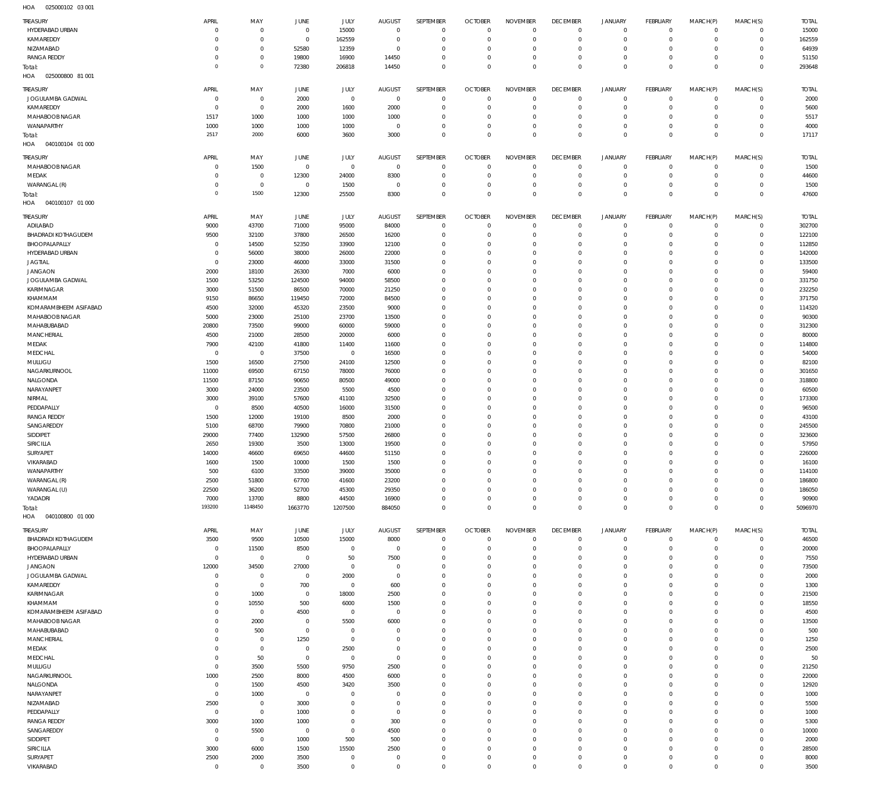025000102 03 001 HOA

| <b>TREASURY</b>            |                     |                        |                |                |                        |                               |                        |                           |                            |                            |                           |             |                            |              |
|----------------------------|---------------------|------------------------|----------------|----------------|------------------------|-------------------------------|------------------------|---------------------------|----------------------------|----------------------------|---------------------------|-------------|----------------------------|--------------|
|                            | APRIL               | MAY                    | JUNE           | JULY           | <b>AUGUST</b>          | SEPTEMBER                     | <b>OCTOBER</b>         | <b>NOVEMBER</b>           | <b>DECEMBER</b>            | <b>JANUARY</b>             | FEBRUARY                  | MARCH(P)    | MARCH(S)                   | <b>TOTAL</b> |
| HYDERABAD URBAN            | $\Omega$            | $\overline{0}$         | $\mathbf{0}$   | 15000          | $\overline{0}$         | $\mathbf 0$                   | $\Omega$               | $\mathbf 0$               | $\mathbf 0$                | $\mathbf 0$                | $\mathbf 0$               | $\mathbf 0$ | $\mathbf{0}$               | 15000        |
| KAMAREDDY                  | $\Omega$            |                        |                |                | $\Omega$               |                               |                        | $\overline{0}$            |                            | $\mathbf 0$                | $\mathbf 0$               | $\Omega$    | $\mathbf 0$                |              |
|                            |                     | $\overline{0}$         | $\mathbf{0}$   | 162559         |                        | $\mathbf 0$                   | $\overline{0}$         |                           | $^{\circ}$                 |                            |                           |             |                            | 162559       |
| NIZAMABAD                  | $\Omega$            | $\overline{0}$         | 52580          | 12359          | $\Omega$               | $\overline{0}$                | $\Omega$               | $\Omega$                  | $\Omega$                   | $\mathbf 0$                | $\Omega$                  | $\Omega$    | $\Omega$                   | 64939        |
| <b>RANGA REDDY</b>         | $\Omega$            | $\overline{0}$         | 19800          | 16900          | 14450                  | $\mathbf 0$                   | $\Omega$               | $\mathbf 0$               | $^{\circ}$                 | $\mathbf 0$                | $\mathbf 0$               | $\Omega$    | $\mathbf 0$                | 51150        |
| Total:                     | $\circ$             | $\circ$                | 72380          | 206818         | 14450                  | $\overline{0}$                | $\Omega$               | $\Omega$                  | $\Omega$                   | $\Omega$                   | $\Omega$                  | $\Omega$    | $\Omega$                   | 293648       |
| 025000800 81 001<br>HOA    |                     |                        |                |                |                        |                               |                        |                           |                            |                            |                           |             |                            |              |
|                            |                     |                        |                |                |                        |                               |                        |                           |                            |                            |                           |             |                            |              |
| TREASURY                   | APRIL               | MAY                    | JUNE           | JULY           | <b>AUGUST</b>          | SEPTEMBER                     | <b>OCTOBER</b>         | <b>NOVEMBER</b>           | <b>DECEMBER</b>            | <b>JANUARY</b>             | FEBRUARY                  | MARCH(P)    | MARCH(S)                   | <b>TOTAL</b> |
| JOGULAMBA GADWAL           | $^{\circ}$          | $\overline{0}$         | 2000           | $\overline{0}$ | $\mathbf 0$            | $\mathbf 0$                   | $^{\circ}$             | $\mathbf{0}$              | $\mathbf 0$                | $\mathsf{O}$               | $\mathbf 0$               | $\mathbf 0$ | $\overline{0}$             | 2000         |
| KAMAREDDY                  | $\Omega$            | $\overline{0}$         | 2000           | 1600           | 2000                   | $\mathbf 0$                   | $\Omega$               | $\mathbf{0}$              | $\mathbf 0$                | $\mathbf 0$                | $\mathbf 0$               | $\mathbf 0$ | $\circ$                    | 5600         |
|                            |                     |                        |                |                |                        |                               |                        |                           |                            |                            |                           |             |                            |              |
| MAHABOOB NAGAR             | 1517                | 1000                   | 1000           | 1000           | 1000                   | $\mathbb O$                   | $^{\circ}$             | $\mathbf{0}$              | $\Omega$                   | $\mathbf 0$                | $\mathbf 0$               | $\Omega$    | $\mathbf{0}$               | 5517         |
| WANAPARTHY                 | 1000                | 1000                   | 1000           | 1000           | $^{\circ}$             | $\mathbb O$                   | $\overline{0}$         | $\mathbf{0}$              | $\mathbf 0$                | $\mathsf{O}$               | $\mathbf 0$               | $\mathbf 0$ | $\circ$                    | 4000         |
| Total:                     | 2517                | 2000                   | 6000           | 3600           | 3000                   | $\mathbb O$                   | $\Omega$               | $\mathbf 0$               | $\mathbf 0$                | $\mathbf 0$                | $\Omega$                  | $\Omega$    | $\overline{0}$             | 17117        |
| HOA<br>040100104 01 000    |                     |                        |                |                |                        |                               |                        |                           |                            |                            |                           |             |                            |              |
|                            |                     |                        |                |                |                        |                               |                        |                           |                            |                            |                           |             |                            |              |
| TREASURY                   | APRIL               | MAY                    | JUNE           | JULY           | <b>AUGUST</b>          | SEPTEMBER                     | <b>OCTOBER</b>         | <b>NOVEMBER</b>           | <b>DECEMBER</b>            | <b>JANUARY</b>             | FEBRUARY                  | MARCH(P)    | MARCH(S)                   | <b>TOTAL</b> |
| MAHABOOB NAGAR             | $\Omega$            | 1500                   | $\overline{0}$ | $\mathbf 0$    | $\mathbf 0$            | $\mathbb O$                   | $\Omega$               | $\overline{0}$            | $\mathbf 0$                | $^{\circ}$                 | $\mathbf 0$               | $\mathbf 0$ | $\mathbf 0$                | 1500         |
|                            | $\Omega$            |                        |                |                |                        |                               | $\Omega$               | $\mathbf{0}$              |                            | $\mathbf 0$                | $\mathbf 0$               | $\Omega$    | $\mathbf{0}$               |              |
| MEDAK                      |                     | $\overline{0}$         | 12300          | 24000          | 8300                   | $\mathbb O$                   |                        |                           | $\mathbf 0$                |                            |                           |             |                            | 44600        |
| WARANGAL (R)               | $^{\circ}$          | $\overline{0}$         | $\overline{0}$ | 1500           | $\overline{0}$         | $\mathbb O$                   | $^{\circ}$             | $\mathbf{0}$              | $\mathbf 0$                | $\mathbf 0$                | $\mathbf 0$               | $\mathbf 0$ | $\mathbf 0$                | 1500         |
| Total:                     | $\circ$             | 1500                   | 12300          | 25500          | 8300                   | $\overline{0}$                | $\Omega$               | $\mathbf{0}$              | $\Omega$                   | $\mathbf 0$                | $\Omega$                  | $\Omega$    | $\Omega$                   | 47600        |
| 040100107 01 000<br>HOA    |                     |                        |                |                |                        |                               |                        |                           |                            |                            |                           |             |                            |              |
|                            |                     |                        |                |                |                        |                               |                        |                           |                            |                            |                           |             |                            |              |
| TREASURY                   | APRIL               | MAY                    | JUNE           | JULY           | <b>AUGUST</b>          | SEPTEMBER                     | <b>OCTOBER</b>         | <b>NOVEMBER</b>           | <b>DECEMBER</b>            | <b>JANUARY</b>             | FEBRUARY                  | MARCH(P)    | MARCH(S)                   | <b>TOTAL</b> |
| ADILABAD                   | 9000                | 43700                  | 71000          | 95000          | 84000                  | $\mathbb O$                   | $\overline{0}$         | $\mathbf{0}$              | $\mathbf 0$                | $\mathbf 0$                | $\mathbf 0$               | $\mathbf 0$ | $\mathbf{0}$               | 302700       |
| <b>BHADRADI KOTHAGUDEM</b> | 9500                | 32100                  | 37800          | 26500          | 16200                  | $\mathbb O$                   | $\Omega$               | $\mathbf 0$               | $\mathbf 0$                | $\mathbf 0$                | $\mathbf 0$               | $\Omega$    | $\mathbf{0}$               | 122100       |
|                            |                     |                        |                |                |                        |                               |                        |                           |                            |                            |                           |             |                            |              |
| BHOOPALAPALLY              | $^{\circ}$          | 14500                  | 52350          | 33900          | 12100                  | $\mathbb O$                   | $\overline{0}$         | $\mathbf 0$               | $\mathbf 0$                | $\mathbf 0$                | $\mathbf 0$               | $\Omega$    | $\mathbf{0}$               | 112850       |
| HYDERABAD URBAN            | $^{\circ}$          | 56000                  | 38000          | 26000          | 22000                  | $\mathbb O$                   | $\Omega$               | $\mathbf 0$               | $\Omega$                   | $\mathbf 0$                | $\mathbf 0$               | $\Omega$    | $\mathbf 0$                | 142000       |
| <b>JAGTIAL</b>             | $^{\circ}$          | 23000                  | 46000          | 33000          | 31500                  | $\mathbb O$                   | $\Omega$               | $\mathbf 0$               | $\Omega$                   | $\mathbf 0$                | $\Omega$                  | $\Omega$    | $\Omega$                   | 133500       |
| <b>JANGAON</b>             |                     |                        |                |                |                        | $\mathbb O$                   | $\Omega$               | $\mathbf 0$               | $\mathbf 0$                | $\mathbf 0$                | $\mathbf 0$               | $\Omega$    | $\mathbf 0$                | 59400        |
|                            | 2000                | 18100                  | 26300          | 7000           | 6000                   |                               |                        |                           |                            |                            |                           |             |                            |              |
| JOGULAMBA GADWAL           | 1500                | 53250                  | 124500         | 94000          | 58500                  | $\mathbb O$                   | $\Omega$               | $\mathbf 0$               | $\Omega$                   | $\mathbf 0$                | $\Omega$                  | $\Omega$    | $\Omega$                   | 331750       |
| KARIMNAGAR                 | 3000                | 51500                  | 86500          | 70000          | 21250                  | $\mathbb O$                   | $\mathsf{C}$           | $\mathbf 0$               | $\Omega$                   | $\mathbf 0$                | $\mathbf 0$               | $\Omega$    | $\mathbf 0$                | 232250       |
| KHAMMAM                    | 9150                | 86650                  | 119450         | 72000          | 84500                  | $\mathbb O$                   | $\Omega$               | $\Omega$                  | $\Omega$                   | $\mathbf 0$                | $\Omega$                  | $\Omega$    | $\Omega$                   | 371750       |
|                            |                     |                        |                |                |                        |                               | $\Omega$               | $\mathbf 0$               | $\Omega$                   | $\mathbf 0$                | $\mathbf 0$               | $\Omega$    | $\mathbf 0$                |              |
| KOMARAMBHEEM ASIFABAD      | 4500                | 32000                  | 45320          | 23500          | 9000                   | $\mathbb O$                   |                        |                           |                            |                            |                           |             |                            | 114320       |
| MAHABOOB NAGAR             | 5000                | 23000                  | 25100          | 23700          | 13500                  | $\mathbf 0$                   | $\Omega$               | $\mathbf 0$               | $\Omega$                   | $\mathbf 0$                | $\Omega$                  | $\Omega$    | $\Omega$                   | 90300        |
| MAHABUBABAD                | 20800               | 73500                  | 99000          | 60000          | 59000                  | $\mathbf 0$                   | $\Omega$               | $\mathbf{0}$              | $\Omega$                   | $\mathbf 0$                | $\mathbf 0$               | $\Omega$    | $\mathbf{0}$               | 312300       |
| MANCHERIAL                 | 4500                | 21000                  | 28500          | 20000          | 6000                   | $\mathbf 0$                   | $\Omega$               | $\mathbf{0}$              | $\Omega$                   | $\mathbf 0$                | $\Omega$                  | $\Omega$    | $\Omega$                   | 80000        |
| MEDAK                      | 7900                | 42100                  | 41800          | 11400          | 11600                  | $\mathbf 0$                   | $\Omega$               | $\mathbf{0}$              | $\Omega$                   | $\mathbf 0$                | $\Omega$                  | $\Omega$    | $\mathbf{0}$               | 114800       |
|                            |                     |                        |                |                |                        |                               |                        |                           |                            |                            |                           |             |                            |              |
| MEDCHAL                    | $^{\circ}$          | $\overline{0}$         | 37500          | $\overline{0}$ | 16500                  | $\mathbf 0$                   | $\Omega$               | $\mathbf{0}$              | $\Omega$                   | $\mathbf 0$                | $\mathbf 0$               | $\Omega$    | $\mathbf 0$                | 54000        |
| MULUGU                     | 1500                | 16500                  | 27500          | 24100          | 12500                  | $\mathbf 0$                   | $\Omega$               | $\Omega$                  | $\Omega$                   | $\mathbf 0$                | $\Omega$                  | $\Omega$    | $\Omega$                   | 82100        |
| NAGARKURNOOL               | 11000               | 69500                  | 67150          | 78000          | 76000                  | $\mathbf 0$                   | $\Omega$               | $\mathbf{0}$              | $\Omega$                   | $\mathbf 0$                | $\mathbf 0$               | $\Omega$    | $\mathbf 0$                | 301650       |
| NALGONDA                   | 11500               | 87150                  | 90650          | 80500          | 49000                  | $\mathbf 0$                   | $\Omega$               | $\mathbf{0}$              | $\Omega$                   | $\mathbf 0$                | $\Omega$                  | $\Omega$    | $\mathbf 0$                | 318800       |
|                            |                     |                        |                |                |                        |                               |                        |                           |                            |                            |                           |             |                            |              |
| NARAYANPET                 | 3000                | 24000                  | 23500          | 5500           | 4500                   | $\mathbf 0$                   | $\Omega$               | $\mathbf{0}$              | $\Omega$                   | $\mathbf 0$                | $\mathbf 0$               | $\Omega$    | $\mathbf 0$                | 60500        |
| NIRMAL                     | 3000                | 39100                  | 57600          | 41100          | 32500                  | $\mathbf 0$                   | $\Omega$               | $\mathbf{0}$              | $\Omega$                   | $\mathbf 0$                | $\Omega$                  | $\Omega$    | $\mathbf 0$                | 173300       |
| PEDDAPALLY                 | $\overline{0}$      | 8500                   | 40500          | 16000          | 31500                  | $\mathbf 0$                   | $\Omega$               | $\mathbf{0}$              | $\Omega$                   | $\mathbf 0$                | $\Omega$                  | $\Omega$    | $\mathbf{0}$               | 96500        |
| <b>RANGA REDDY</b>         | 1500                | 12000                  | 19100          | 8500           | 2000                   | $\mathbf 0$                   | $\Omega$               | $\mathbf{0}$              | $\mathbf 0$                | $\mathbf 0$                | $\mathbf 0$               | $\Omega$    | $\mathbf 0$                | 43100        |
|                            |                     |                        |                |                |                        |                               |                        | $\mathbf{0}$              |                            |                            |                           |             |                            |              |
|                            |                     |                        |                |                |                        |                               |                        |                           |                            |                            |                           |             | $\mathbf{0}$               | 245500       |
| SANGAREDDY                 | 5100                | 68700                  | 79900          | 70800          | 21000                  | $\mathbf 0$                   | $\Omega$               |                           | $\Omega$                   | $\mathbf 0$                | $\mathbf 0$               | $\Omega$    |                            |              |
| SIDDIPET                   | 29000               | 77400                  | 132900         | 57500          | 26800                  | $\mathbf 0$                   | $\Omega$               | $\mathbf{0}$              | $\Omega$                   | $\mathbf 0$                | $\mathbf 0$               | $\Omega$    | $\mathbf 0$                | 323600       |
| <b>SIRICILLA</b>           | 2650                |                        |                | 13000          | 19500                  | $\overline{0}$                | $\Omega$               | $\mathbf{0}$              | $\Omega$                   | $\Omega$                   | $\Omega$                  | $\Omega$    | $\Omega$                   |              |
|                            |                     | 19300                  | 3500           |                |                        |                               |                        |                           |                            |                            |                           |             |                            | 57950        |
| SURYAPET                   | 14000               | 46600                  | 69650          | 44600          | 51150                  | $\mathbb O$                   | $\overline{0}$         | $\mathbf 0$               | $\Omega$                   | $\mathbf 0$                | $\mathbf 0$               | $\mathbf 0$ | $\circ$                    | 226000       |
| VIKARABAD                  | 1600                | 1500                   | 10000          | 1500           | 1500                   | $\Omega$                      | $\Omega$               | $\Omega$                  | $\Omega$                   | $\Omega$                   | $\Omega$                  | $\Omega$    | $\Omega$                   | 16100        |
| WANAPARTHY                 | 500                 | 6100                   | 33500          | 39000          | 35000                  | $\overline{0}$                | $\Omega$               | $\Omega$                  | $\Omega$                   | $\mathbf 0$                | $\mathbf 0$               | $\Omega$    | $\mathbf 0$                | 114100       |
| WARANGAL (R)               | 2500                | 51800                  | 67700          | 41600          | 23200                  | $\mathbb O$                   | $\Omega$               | $\mathbf{0}$              | $\Omega$                   | $\mathbf 0$                | $\mathbf 0$               | $\mathbf 0$ | $\mathbf 0$                | 186800       |
|                            |                     |                        |                |                |                        |                               | $\Omega$               |                           | $\Omega$                   |                            | $\Omega$                  | $\Omega$    |                            |              |
| WARANGAL (U)               | 22500               | 36200                  | 52700          | 45300          | 29350                  | $\mathbb O$                   |                        | $\mathbf{0}$              |                            | $\mathbf 0$                |                           |             | $\mathbf{0}$               | 186050       |
| YADADRI                    | 7000                | 13700                  | 8800           | 44500          | 16900                  | $\mathbb O$                   | $\overline{0}$         | $\mathbf{0}$              | $\mathbf 0$                | $\mathbf 0$                | $\mathbf 0$               | $\mathbf 0$ | $\mathbf 0$                | 90900        |
| Total:                     | 193200              | 1148450                | 1663770        | 1207500        | 884050                 | $\mathbb O$                   | $\Omega$               | $\mathbf 0$               | $\Omega$                   | $\mathbf 0$                | $\Omega$                  | $\Omega$    | $\Omega$                   | 5096970      |
| 040100800 01 000<br>HOA    |                     |                        |                |                |                        |                               |                        |                           |                            |                            |                           |             |                            |              |
|                            |                     |                        |                |                |                        |                               |                        |                           |                            |                            |                           |             |                            |              |
| <b>TREASURY</b>            | APRIL               | MAY                    | JUNE           | JULY           | <b>AUGUST</b>          | <b>SEPTEMBER</b>              | <b>OCTOBER</b>         | <b>NOVEMBER</b>           | <b>DECEMBER</b>            | <b>JANUARY</b>             | FEBRUARY                  | MARCH(P)    | MARCH(S)                   | <b>TOTAL</b> |
| <b>BHADRADI KOTHAGUDEM</b> | 3500                | 9500                   | 10500          | 15000          | 8000                   | $\overline{0}$                | $\overline{0}$         | $\overline{0}$            | $\mathbb O$                | $\mathbf 0$                | $\mathbf 0$               | $\mathbf 0$ | $\mathbf 0$                | 46500        |
| BHOOPALAPALLY              | $\overline{0}$      | 11500                  | 8500           | $\overline{0}$ | $\overline{0}$         | $\mathbb O$                   | $\Omega$               | $\Omega$                  | $\Omega$                   | $\mathbf 0$                | $\mathbf 0$               | $\Omega$    | $\mathbf 0$                | 20000        |
|                            | $\Omega$            |                        | $\Omega$       |                |                        |                               | $\Omega$               | $\Omega$                  | $\Omega$                   |                            |                           | $\Omega$    |                            |              |
| HYDERABAD URBAN            |                     | $\overline{0}$         |                | 50             | 7500                   | $\overline{0}$                |                        |                           |                            | $\mathbf 0$                | $^{\circ}$                |             | $\mathbf 0$                | 7550         |
| <b>JANGAON</b>             | 12000               | 34500                  | 27000          | $\overline{0}$ | $^{\circ}$             | $\mathbf{0}$                  | $\Omega$               | $\Omega$                  | $\Omega$                   | $\Omega$                   | $\Omega$                  | $\Omega$    | $\Omega$                   | 73500        |
| JOGULAMBA GADWAL           | $^{\circ}$          | $\overline{0}$         | $\overline{0}$ | 2000           | $\Omega$               | $\overline{0}$                | $\Omega$               | $\Omega$                  | $\Omega$                   | $\Omega$                   | $\Omega$                  | $\Omega$    | $\Omega$                   | 2000         |
| KAMAREDDY                  | $\Omega$            | $\overline{0}$         | 700            | $\overline{0}$ | 600                    | $\Omega$                      | $\Omega$               | $\Omega$                  | $\Omega$                   | $\Omega$                   | $\Omega$                  | $\Omega$    | $\Omega$                   | 1300         |
| KARIMNAGAR                 | $\mathbf{0}$        | 1000                   | $\overline{0}$ | 18000          | 2500                   | $\mathbb O$                   | $\Omega$               | $\Omega$                  | $\Omega$                   | $\Omega$                   | $\Omega$                  | $\Omega$    | $\Omega$                   | 21500        |
|                            |                     |                        |                |                |                        |                               |                        |                           |                            |                            |                           |             |                            |              |
| KHAMMAM                    | $\Omega$            | 10550                  | 500            | 6000           | 1500                   | $\Omega$                      | $\Omega$               | $\Omega$                  | $\Omega$                   | $\Omega$                   | $\Omega$                  | $\Omega$    | $\Omega$                   | 18550        |
| KOMARAMBHEEM ASIFABAD      | $\mathbf{0}$        | $\overline{0}$         | 4500           | $\overline{0}$ | $\overline{0}$         | $\mathbb O$                   | $\Omega$               | $\Omega$                  | $\Omega$                   | $\Omega$                   | $\Omega$                  | $\Omega$    | $\Omega$                   | 4500         |
| MAHABOOB NAGAR             | $\Omega$            | 2000                   | $\Omega$       | 5500           | 6000                   | $\Omega$                      | $\Omega$               | $\Omega$                  | $\Omega$                   | $\Omega$                   | $\Omega$                  | $\Omega$    | $\Omega$                   | 13500        |
| MAHABUBABAD                | $\Omega$            | 500                    | $\Omega$       | $\overline{0}$ | $\Omega$               | $\overline{0}$                | $\Omega$               | $\Omega$                  | $\Omega$                   | $\Omega$                   | $\Omega$                  | $\Omega$    | $\Omega$                   | 500          |
|                            | $\Omega$            |                        |                |                | $\Omega$               | $\Omega$                      | $\Omega$               | $\Omega$                  | $\Omega$                   | $\Omega$                   |                           | $\Omega$    |                            |              |
| MANCHERIAL                 |                     | $\overline{0}$         | 1250           | $\overline{0}$ |                        |                               |                        |                           |                            |                            | $^{\circ}$                |             | $\mathbf 0$                | 1250         |
| MEDAK                      | $\Omega$            | $\overline{0}$         | $\Omega$       | 2500           | $\Omega$               | $\overline{0}$                | $\Omega$               | $\Omega$                  | $\Omega$                   | $\Omega$                   | $\Omega$                  | $\Omega$    | $\Omega$                   | 2500         |
| MEDCHAL                    | $\Omega$            | 50                     | $\overline{0}$ | $\overline{0}$ | $\Omega$               | $\mathbf{0}$                  | $\Omega$               | $\Omega$                  | $\Omega$                   | $\Omega$                   | $\Omega$                  | $\Omega$    | $\Omega$                   | 50           |
| MULUGU                     | $\mathbf{0}$        | 3500                   | 5500           | 9750           | 2500                   | $\overline{0}$                | $\Omega$               | $\Omega$                  | $\Omega$                   | $\Omega$                   | $\Omega$                  | $\Omega$    | $\Omega$                   | 21250        |
|                            |                     |                        |                |                |                        |                               | $\Omega$               | $\Omega$                  | $\Omega$                   | $\Omega$                   | $\Omega$                  | $\Omega$    | $\Omega$                   |              |
| NAGARKURNOOL               | 1000                | 2500                   | 8000           | 4500           | 6000                   | $\mathbf{0}$                  |                        |                           |                            |                            |                           |             |                            | 22000        |
| NALGONDA                   | $^{\circ}$          | 1500                   | 4500           | 3420           | 3500                   | $\overline{0}$                | $\Omega$               | $\Omega$                  | $\Omega$                   | $\Omega$                   | $\Omega$                  | $\Omega$    | $\Omega$                   | 12920        |
| NARAYANPET                 | $\Omega$            | 1000                   | $\overline{0}$ | $\Omega$       | $\Omega$               | $\mathbf{0}$                  | $\Omega$               | $\Omega$                  | $\Omega$                   | $\Omega$                   | $\Omega$                  | $\Omega$    | $\Omega$                   | 1000         |
| NIZAMABAD                  | 2500                | $\overline{0}$         | 3000           | $\Omega$       | $\Omega$               | $\mathbf 0$                   | $\Omega$               | $\Omega$                  | $\Omega$                   | $\Omega$                   | $\Omega$                  | $\Omega$    | $\Omega$                   | 5500         |
|                            |                     |                        |                | $\Omega$       | $\Omega$               | $\mathbf{0}$                  | $\Omega$               | $\Omega$                  | $\Omega$                   | $\Omega$                   | $\Omega$                  | $\Omega$    | $\Omega$                   |              |
| PEDDAPALLY                 | $\overline{0}$      | $\overline{0}$         | 1000           |                |                        |                               |                        |                           |                            |                            |                           |             |                            | 1000         |
| <b>RANGA REDDY</b>         | 3000                | 1000                   | 1000           | $\overline{0}$ | 300                    | $\mathbf 0$                   | $\Omega$               | $\Omega$                  | $\Omega$                   | $\Omega$                   | $\Omega$                  | $\Omega$    | $\Omega$                   | 5300         |
| SANGAREDDY                 | $\Omega$            | 5500                   | $\overline{0}$ | $\overline{0}$ | 4500                   | $\Omega$                      | $\Omega$               | $\Omega$                  | $\Omega$                   | $\Omega$                   | $\Omega$                  | $\Omega$    | $\Omega$                   | 10000        |
| SIDDIPET                   | $\mathbf{0}$        | $\overline{0}$         | 1000           | 500            | 500                    | $\overline{0}$                | $\Omega$               | $\Omega$                  | $\Omega$                   | $\Omega$                   | $\Omega$                  | $\Omega$    | $\Omega$                   | 2000         |
| SIRICILLA                  | 3000                | 6000                   | 1500           | 15500          | 2500                   | $\mathbf{0}$                  | $\Omega$               | $\Omega$                  | $\Omega$                   | $\Omega$                   | $\Omega$                  | $\Omega$    | $\Omega$                   | 28500        |
|                            |                     |                        |                | $\Omega$       |                        |                               |                        |                           |                            |                            |                           | $\Omega$    |                            |              |
| SURYAPET<br>VIKARABAD      | 2500<br>$\mathbf 0$ | 2000<br>$\overline{0}$ | 3500<br>3500   | $\mathbf 0$    | $^{\circ}$<br>$\Omega$ | $\overline{0}$<br>$\mathbf 0$ | $^{\circ}$<br>$\Omega$ | $^{\circ}$<br>$\mathbf 0$ | $\mathbf 0$<br>$\mathbf 0$ | $\mathbf 0$<br>$\mathbf 0$ | $^{\circ}$<br>$\mathbf 0$ | $\mathbf 0$ | $\mathbf 0$<br>$\mathbf 0$ | 8000<br>3500 |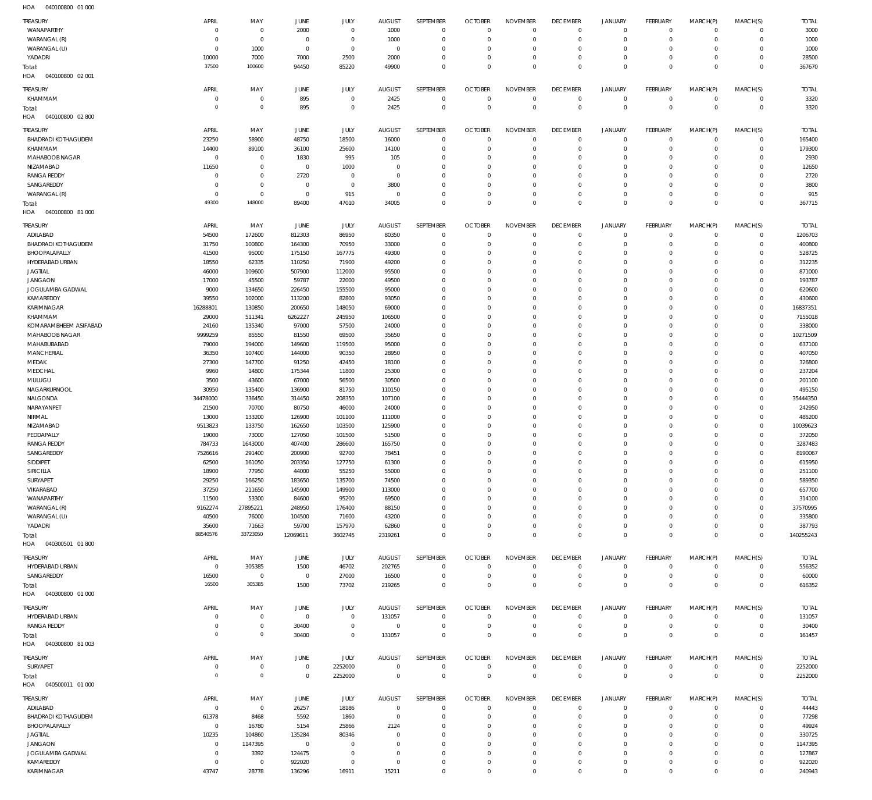| TREASURY<br>WANAPARTHY<br>WARANGAL (R) | APRIL<br>$\mathbf 0$<br>$\mathbf 0$ | MAY<br>$\mathbf 0$<br>$\bf 0$  | JUNE<br>2000<br>$\overline{0}$ | JULY<br>$\mathbf 0$<br>$\mathbf 0$ | <b>AUGUST</b><br>1000<br>1000 | SEPTEMBER<br>$\overline{0}$<br>$\mathbf 0$ | <b>OCTOBER</b><br>$\overline{0}$<br>$\mathbf 0$ | <b>NOVEMBER</b><br>$^{\circ}$<br>0 | <b>DECEMBER</b><br>$\overline{0}$<br>$\overline{0}$ | <b>JANUARY</b><br>$\circ$<br>$^{\circ}$ | <b>FEBRUARY</b><br>$^{\circ}$<br>$\mathbf{0}$ | MARCH(P)<br>$\Omega$<br>$\Omega$ | MARCH(S)<br>$\Omega$<br>$\Omega$ | <b>TOTAL</b><br>3000<br>1000 |
|----------------------------------------|-------------------------------------|--------------------------------|--------------------------------|------------------------------------|-------------------------------|--------------------------------------------|-------------------------------------------------|------------------------------------|-----------------------------------------------------|-----------------------------------------|-----------------------------------------------|----------------------------------|----------------------------------|------------------------------|
| WARANGAL (U)                           | $\Omega$                            | 1000                           | $\overline{0}$                 | $\mathbf 0$                        | $\overline{0}$                | $\mathbf 0$                                | $\mathbf 0$                                     | 0                                  | $\overline{0}$                                      | $\circ$                                 | $\mathbf 0$                                   | $\Omega$                         | $\Omega$                         | 1000                         |
| YADADRI                                | 10000                               | 7000                           | 7000                           | 2500                               | 2000                          | $\mathbf 0$                                | $\mathbf 0$                                     | 0                                  | $\overline{0}$                                      | $^{\circ}$                              | $\mathbf{0}$                                  | $\Omega$                         | $\Omega$                         | 28500                        |
| Total:<br>HOA<br>040100800 02 001      | 37500                               | 100600                         | 94450                          | 85220                              | 49900                         | $\Omega$                                   | $\Omega$                                        | $\Omega$                           | $\Omega$                                            | $\Omega$                                | $\Omega$                                      | $\Omega$                         | $\Omega$                         | 367670                       |
|                                        |                                     |                                |                                |                                    |                               |                                            |                                                 |                                    |                                                     |                                         |                                               |                                  |                                  |                              |
| <b>TREASURY</b><br>KHAMMAM             | <b>APRIL</b><br>$\mathbf 0$         | MAY<br>0                       | JUNE<br>895                    | JULY<br>$\mathbf 0$                | <b>AUGUST</b><br>2425         | SEPTEMBER<br>$\overline{0}$                | <b>OCTOBER</b><br>$\mathbf 0$                   | <b>NOVEMBER</b><br>$\mathbf 0$     | <b>DECEMBER</b><br>$\,0\,$                          | <b>JANUARY</b><br>0                     | <b>FEBRUARY</b><br>$^{\circ}$                 | MARCH(P)<br>$\Omega$             | MARCH(S)<br>$\mathbf 0$          | <b>TOTAL</b><br>3320         |
| Total:                                 | $\overline{0}$                      | $\mathsf{O}\xspace$            | 895                            | $\mathbf 0$                        | 2425                          | $\mathbf 0$                                | $\mathbb O$                                     | $\overline{0}$                     | $\,0\,$                                             | $\mathbf 0$                             | $\mathbf 0$                                   | $\Omega$                         | $\mathbf 0$                      | 3320                         |
| HOA<br>040100800 02 800                |                                     |                                |                                |                                    |                               |                                            |                                                 |                                    |                                                     |                                         |                                               |                                  |                                  |                              |
| <b>TREASURY</b>                        | APRIL                               | MAY                            | JUNE                           | JULY                               | <b>AUGUST</b>                 | <b>SEPTEMBER</b>                           | <b>OCTOBER</b>                                  | <b>NOVEMBER</b>                    | <b>DECEMBER</b>                                     | <b>JANUARY</b>                          | <b>FEBRUARY</b>                               | MARCH(P)                         | MARCH(S)                         | <b>TOTAL</b>                 |
| <b>BHADRADI KOTHAGUDEM</b>             | 23250                               | 58900                          | 48750                          | 18500                              | 16000                         | $\overline{0}$                             | $\overline{0}$                                  | $\mathbf 0$                        | $\overline{0}$                                      | $\mathbf 0$                             | $^{\circ}$                                    | $\Omega$                         | $\Omega$                         | 165400                       |
| KHAMMAM<br>MAHABOOB NAGAR              | 14400<br>$\mathbf 0$                | 89100<br>$\mathbf 0$           | 36100                          | 25600<br>995                       | 14100<br>105                  | $\Omega$<br>$\mathbf 0$                    | $\mathbf 0$<br>$\mathbf{0}$                     | $\mathbf 0$<br>0                   | $\overline{0}$<br>$\overline{0}$                    | $\circ$<br>$^{\circ}$                   | $\mathbf{0}$<br>$\mathbf{0}$                  | $\Omega$<br>$\Omega$             | $\Omega$<br>$\Omega$             | 179300<br>2930               |
| NIZAMABAD                              | 11650                               | $\mathbf 0$                    | 1830<br>$\overline{0}$         | 1000                               | $\overline{0}$                | $\Omega$                                   | $\mathbf 0$                                     | $\Omega$                           | $\Omega$                                            | $\Omega$                                | $\Omega$                                      | $\Omega$                         | $\Omega$                         | 12650                        |
| <b>RANGA REDDY</b>                     | $\mathbf 0$                         | $\mathbf 0$                    | 2720                           | $^{\circ}$                         | $\overline{0}$                | $\mathbf 0$                                | $\mathbf{0}$                                    | $\Omega$                           | $\overline{0}$                                      | $^{\circ}$                              | $\mathbf{0}$                                  | $\Omega$                         | $\Omega$                         | 2720                         |
| SANGAREDDY                             | $\mathbf 0$                         | $\mathbf 0$                    | $\overline{0}$                 | $\mathbf 0$                        | 3800                          | $\Omega$                                   | $\mathbf 0$                                     | $\Omega$                           | $\Omega$                                            | $\Omega$                                | $\mathbf{0}$                                  | $\Omega$                         | $\Omega$                         | 3800                         |
| WARANGAL (R)                           | $\mathbf 0$<br>49300                | $\mathbf 0$<br>148000          | $\overline{0}$<br>89400        | 915<br>47010                       | $\overline{0}$<br>34005       | $\mathbf 0$<br>$\Omega$                    | $\mathbf{0}$<br>$\overline{0}$                  | 0<br>0                             | $\mathbf 0$<br>$\overline{0}$                       | $\circ$<br>$\Omega$                     | $\mathbf 0$<br>$\Omega$                       | $\Omega$<br>$\Omega$             | $\Omega$<br>$\circ$              | 915<br>367715                |
| Total:<br>HOA<br>040100800 81 000      |                                     |                                |                                |                                    |                               |                                            |                                                 |                                    |                                                     |                                         |                                               |                                  |                                  |                              |
| TREASURY                               | APRIL                               | MAY                            | JUNE                           | JULY                               | <b>AUGUST</b>                 | SEPTEMBER                                  | <b>OCTOBER</b>                                  | <b>NOVEMBER</b>                    | <b>DECEMBER</b>                                     | <b>JANUARY</b>                          | FEBRUARY                                      | MARCH(P)                         | MARCH(S)                         | <b>TOTAL</b>                 |
| ADILABAD                               | 54500                               | 172600                         | 812303                         | 86950                              | 80350                         | $\overline{0}$                             | $\mathbf{0}$                                    | $\mathbf 0$                        | $\overline{0}$                                      | $\circ$                                 | $^{\circ}$                                    | $\Omega$                         | $\Omega$                         | 1206703                      |
| BHADRADI KOTHAGUDEM                    | 31750                               | 100800                         | 164300                         | 70950                              | 33000                         | $\mathbf 0$                                | $\mathbf{0}$                                    | $\Omega$                           | $\overline{0}$                                      | $\circ$                                 | $^{\circ}$                                    | $\Omega$                         | $\Omega$                         | 400800                       |
| BHOOPALAPALLY                          | 41500                               | 95000                          | 175150                         | 167775                             | 49300                         | $\Omega$                                   | $\Omega$                                        | $\Omega$                           | $\Omega$                                            | $\Omega$                                | $\Omega$                                      | $\Omega$                         | $\Omega$                         | 528725                       |
| HYDERABAD URBAN<br><b>JAGTIAL</b>      | 18550<br>46000                      | 62335<br>109600                | 110250<br>507900               | 71900<br>112000                    | 49200<br>95500                | $\Omega$<br>$\Omega$                       | $\mathbf 0$<br>$\Omega$                         | $\Omega$<br>$\Omega$               | $\Omega$<br>$\Omega$                                | $\circ$<br>$\Omega$                     | $\Omega$<br>$\Omega$                          | $\Omega$<br>$\Omega$             | $\Omega$<br>$\Omega$             | 312235<br>871000             |
| <b>JANGAON</b>                         | 17000                               | 45500                          | 59787                          | 22000                              | 49500                         | $\Omega$                                   | $^{\circ}$                                      | $\Omega$                           | $\Omega$                                            | $\circ$                                 | $\Omega$                                      | $\Omega$                         | $\Omega$                         | 193787                       |
| JOGULAMBA GADWAL                       | 9000                                | 134650                         | 226450                         | 155500                             | 95000                         | $\Omega$                                   | $\Omega$                                        | $\Omega$                           | $\Omega$                                            | $\Omega$                                | $\Omega$                                      | $\Omega$                         | $\Omega$                         | 620600                       |
| KAMAREDDY                              | 39550                               | 102000                         | 113200                         | 82800                              | 93050                         | $\Omega$                                   | $^{\circ}$                                      | $\Omega$                           | $\Omega$                                            | $\circ$                                 | $\Omega$                                      | $\Omega$                         | $\Omega$                         | 430600                       |
| KARIMNAGAR<br>KHAMMAM                  | 16288801<br>29000                   | 130850<br>511341               | 200650<br>6262227              | 148050<br>245950                   | 69000<br>106500               | $\Omega$<br>$\Omega$                       | $\Omega$<br>$^{\circ}$                          | $\Omega$<br>$\Omega$               | $\Omega$<br>$\Omega$                                | $\Omega$<br>$\circ$                     | $\Omega$<br>$\Omega$                          | $\Omega$<br>$\Omega$             | $\Omega$<br>$\Omega$             | 16837351<br>7155018          |
| KOMARAMBHEEM ASIFABAD                  | 24160                               | 135340                         | 97000                          | 57500                              | 24000                         | $\Omega$                                   | $\Omega$                                        | $\Omega$                           | $\Omega$                                            | $\Omega$                                | $\Omega$                                      | $\Omega$                         | $\Omega$                         | 338000                       |
| MAHABOOB NAGAR                         | 9999259                             | 85550                          | 81550                          | 69500                              | 35650                         | $\Omega$                                   | $\Omega$                                        | $\Omega$                           | $\Omega$                                            | $\circ$                                 | $\Omega$                                      | $\Omega$                         | $\Omega$                         | 10271509                     |
| MAHABUBABAD                            | 79000                               | 194000                         | 149600                         | 119500                             | 95000                         | $\Omega$                                   | $\mathbf 0$                                     | $\Omega$                           | $\Omega$                                            | $\Omega$                                | $\Omega$                                      | $\Omega$                         | $\Omega$                         | 637100                       |
| <b>MANCHERIAL</b><br>MEDAK             | 36350<br>27300                      | 107400<br>147700               | 144000<br>91250                | 90350<br>42450                     | 28950<br>18100                | $\Omega$<br>$\Omega$                       | $\Omega$<br>$\mathbf 0$                         | $\Omega$<br>$\Omega$               | $\Omega$<br>$\Omega$                                | $\Omega$<br>$\Omega$                    | $\Omega$<br>$\Omega$                          | $\Omega$<br>$\Omega$             | $\Omega$<br>$\Omega$             | 407050<br>326800             |
| MEDCHAL                                | 9960                                | 14800                          | 175344                         | 11800                              | 25300                         | $\Omega$                                   | $\Omega$                                        | $\Omega$                           | $\Omega$                                            | $\Omega$                                | $\Omega$                                      | $\Omega$                         | $\Omega$                         | 237204                       |
| MULUGU                                 | 3500                                | 43600                          | 67000                          | 56500                              | 30500                         | $\Omega$                                   | $\mathbf 0$                                     | $\Omega$                           | $\Omega$                                            | $\Omega$                                | $\Omega$                                      | $\Omega$                         | $\Omega$                         | 201100                       |
| NAGARKURNOOL                           | 30950                               | 135400                         | 136900                         | 81750                              | 110150                        | $\Omega$                                   | $\mathbf 0$                                     | $\Omega$                           | $\Omega$                                            | $\Omega$                                | $\Omega$                                      | $\Omega$                         | $\Omega$                         | 495150                       |
| NALGONDA<br>NARAYANPET                 | 34478000<br>21500                   | 336450<br>70700                | 314450<br>80750                | 208350<br>46000                    | 107100<br>24000               | $\Omega$<br>$\Omega$                       | $\Omega$<br>$\mathbf 0$                         | $\Omega$<br>$\Omega$               | $\Omega$<br>$\Omega$                                | $\Omega$<br>$\circ$                     | $\Omega$<br>$\Omega$                          | $\Omega$<br>$\Omega$             | $\Omega$<br>$\Omega$             | 35444350<br>242950           |
| NIRMAL                                 | 13000                               | 133200                         | 126900                         | 101100                             | 111000                        | $\Omega$                                   | $\Omega$                                        | $\Omega$                           | $\Omega$                                            | $\Omega$                                | $\Omega$                                      | $\Omega$                         | $\Omega$                         | 485200                       |
| NIZAMABAD                              | 9513823                             | 133750                         | 162650                         | 103500                             | 125900                        | $\Omega$                                   | $\mathbf 0$                                     | $\Omega$                           | $\Omega$                                            | $\circ$                                 | $\Omega$                                      | $\Omega$                         | $\Omega$                         | 10039623                     |
| PEDDAPALLY                             | 19000                               | 73000                          | 127050                         | 101500                             | 51500                         | $\Omega$                                   | $\Omega$                                        | $\Omega$                           | $\Omega$                                            | $\Omega$                                | $\Omega$                                      | $\Omega$                         | $\Omega$                         | 372050                       |
| <b>RANGA REDDY</b>                     | 784733                              | 1643000                        | 407400                         | 286600                             | 165750                        | $\Omega$<br>$\Omega$                       | $\mathbf 0$<br>$\Omega$                         | $\Omega$<br>$\Omega$               | $\Omega$<br>$\Omega$                                | $\Omega$<br>$\Omega$                    | $\Omega$<br>$\Omega$                          | $\Omega$<br>$\Omega$             | $\Omega$<br>$\Omega$             | 3287483                      |
| SANGAREDDY<br>SIDDIPET                 | 7526616<br>62500                    | 291400<br>161050               | 200900<br>203350               | 92700<br>127750                    | 78451<br>61300                | $\Omega$                                   | $\Omega$                                        | $\Omega$                           | $\Omega$                                            | $\Omega$                                | $\Omega$                                      | $\Omega$                         | $\circ$                          | 8190067<br>615950            |
| SIRICILLA                              | 18900                               | 77950                          | 44000                          | 55250                              | 55000                         | $\mathbf 0$                                | $^{\circ}$                                      | $\Omega$                           | $\overline{0}$                                      | $\circ$                                 | $^{\circ}$                                    | $\Omega$                         | $\Omega$                         | 251100                       |
| SURYAPET                               | 29250                               | 166250                         | 183650                         | 135700                             | 74500                         | $\Omega$                                   | $\mathbf 0$                                     | $\Omega$                           | $^{\circ}$                                          | $\circ$                                 | $\mathbf 0$                                   | $\Omega$                         | $\Omega$                         | 589350                       |
| VIKARABAD                              | 37250                               | 211650                         | 145900                         | 149900                             | 113000                        | $\mathbf 0$                                | $\mathbf 0$                                     | $\Omega$                           | $\Omega$                                            | $\mathbf 0$                             | $^{\circ}$                                    | $\Omega$                         | $\Omega$                         | 657700                       |
| WANAPARTHY<br>WARANGAL (R)             | 11500<br>9162274                    | 53300<br>27895221              | 84600<br>248950                | 95200<br>176400                    | 69500<br>88150                | $\Omega$<br>$\Omega$                       | $\mathbf 0$<br>$\mathbf 0$                      | $\Omega$<br>$\Omega$               | $\Omega$<br>$\Omega$                                | $\circ$<br>$\mathbf 0$                  | $\Omega$<br>$^{\circ}$                        | $\Omega$<br>$\Omega$             | $\Omega$<br>$\Omega$             | 314100<br>37570995           |
| WARANGAL (U)                           | 40500                               | 76000                          | 104500                         | 71600                              | 43200                         | $\Omega$                                   | $\mathbf 0$                                     | $\Omega$                           | $\Omega$                                            | $\circ$                                 | $\Omega$                                      | $\Omega$                         | $\Omega$                         | 335800                       |
| YADADRI                                | 35600                               | 71663                          | 59700                          | 157970                             | 62860                         | $\Omega$                                   | $\mathbf 0$                                     | 0                                  | $\mathbf 0$                                         | $\circ$                                 | $\mathbf 0$                                   | $\Omega$                         | $\Omega$                         | 387793                       |
| Total:                                 | 88540576                            | 33723050                       | 12069611                       | 3602745                            | 2319261                       | $\Omega$                                   | $\Omega$                                        | $\Omega$                           | $\Omega$                                            | $\mathbf 0$                             | $\overline{0}$                                | $\Omega$                         | $\Omega$                         | 140255243                    |
| HOA<br>040300501 01800                 |                                     |                                |                                |                                    |                               |                                            |                                                 |                                    |                                                     |                                         |                                               |                                  |                                  |                              |
| <b>TREASURY</b><br>HYDERABAD URBAN     | APRIL<br>$\overline{0}$             | MAY<br>305385                  | JUNE<br>1500                   | JULY<br>46702                      | <b>AUGUST</b><br>202765       | SEPTEMBER<br>$\overline{0}$                | <b>OCTOBER</b><br>$\overline{0}$                | <b>NOVEMBER</b><br>$\mathbf 0$     | <b>DECEMBER</b><br>$\mathbf 0$                      | <b>JANUARY</b><br>0                     | <b>FEBRUARY</b><br>$\mathbf 0$                | MARCH(P)<br>$\Omega$             | MARCH(S)<br>$\mathbf 0$          | <b>TOTAL</b><br>556352       |
| SANGAREDDY                             | 16500                               | $\overline{0}$                 | $\overline{0}$                 | 27000                              | 16500                         | $\mathbf 0$                                | $\mathbf 0$                                     | $\mathbf 0$                        | $\overline{0}$                                      | $\mathbf 0$                             | $\mathbf 0$                                   | $\Omega$                         | $\mathbf 0$                      | 60000                        |
| Total:                                 | 16500                               | 305385                         | 1500                           | 73702                              | 219265                        | $\mathbf 0$                                | $\mathbf 0$                                     | $\mathbf 0$                        | $\mathbb O$                                         | $\mathbf 0$                             | $\mathbf 0$                                   | $^{\circ}$                       | $\mathbb O$                      | 616352                       |
| HOA<br>040300800 01 000                |                                     |                                |                                |                                    |                               |                                            |                                                 |                                    |                                                     |                                         |                                               |                                  |                                  |                              |
| TREASURY                               | APRIL                               | MAY                            | JUNE                           | JULY                               | <b>AUGUST</b>                 | SEPTEMBER                                  | <b>OCTOBER</b>                                  | <b>NOVEMBER</b>                    | <b>DECEMBER</b>                                     | <b>JANUARY</b>                          | FEBRUARY                                      | MARCH(P)                         | MARCH(S)                         | <b>TOTAL</b>                 |
| HYDERABAD URBAN                        | $\mathbf 0$                         | $\bf 0$                        | $\overline{0}$                 | $\mathbf 0$                        | 131057                        | $\overline{0}$                             | $\mathbf{0}$                                    | $\mathbf 0$                        | $\overline{0}$                                      | $\circ$                                 | $^{\circ}$                                    | $\Omega$                         | $\mathbf 0$                      | 131057                       |
| RANGA REDDY                            | $\mathbf 0$<br>$\circ$              | $\bf 0$<br>$\mathsf{O}\xspace$ | 30400<br>30400                 | $\mathbf 0$<br>$\mathbb O$         | $\overline{0}$<br>131057      | $\mathbf 0$<br>$\mathbf 0$                 | $\overline{0}$<br>$\overline{0}$                | $\mathbf 0$<br>$\mathbf{0}$        | $\mathbf 0$<br>$\mathbf 0$                          | $\mathbf 0$<br>$\mathbf 0$              | $\mathbf 0$<br>$\mathbf 0$                    | $\Omega$<br>$\mathbf{0}$         | $\mathbf 0$<br>$\mathbb O$       | 30400<br>161457              |
| Total:<br>HOA  040300800  81 003       |                                     |                                |                                |                                    |                               |                                            |                                                 |                                    |                                                     |                                         |                                               |                                  |                                  |                              |
| TREASURY                               | APRIL                               | MAY                            | JUNE                           | JULY                               | <b>AUGUST</b>                 | SEPTEMBER                                  | <b>OCTOBER</b>                                  | <b>NOVEMBER</b>                    | <b>DECEMBER</b>                                     | <b>JANUARY</b>                          | <b>FEBRUARY</b>                               | MARCH(P)                         | MARCH(S)                         | <b>TOTAL</b>                 |
| SURYAPET                               | $\mathbf 0$                         | $\bf 0$                        | $\overline{0}$                 | 2252000                            | $\overline{0}$                | $\overline{0}$                             | $\overline{0}$                                  | $\mathbf{0}$                       | $\overline{0}$                                      | 0                                       | $\mathbf 0$                                   | $\mathbf 0$                      | $\mathbf 0$                      | 2252000                      |
| Total:<br>040500011 01 000<br>HOA      | $\overline{0}$                      | $\mathsf{O}\xspace$            | $\overline{0}$                 | 2252000                            | $\overline{0}$                | $\mathbf 0$                                | $\mathbb O$                                     | $\mathbf 0$                        | $\mathbb O$                                         | $\mathbf 0$                             | $\,0\,$                                       | $\mathbf{0}$                     | $\mathbb O$                      | 2252000                      |
| <b>TREASURY</b>                        | APRIL                               | MAY                            | JUNE                           | JULY                               | AUGUST                        | SEPTEMBER                                  | <b>OCTOBER</b>                                  | <b>NOVEMBER</b>                    | <b>DECEMBER</b>                                     | <b>JANUARY</b>                          | FEBRUARY                                      | MARCH(P)                         | MARCH(S)                         | <b>TOTAL</b>                 |
| ADILABAD                               | $\overline{0}$                      | $\mathbf{0}$                   | 26257                          | 18186                              | $\overline{0}$                | $\overline{0}$                             | $\mathbf{0}$                                    | $\mathbf 0$                        | $\overline{0}$                                      | $\circ$                                 | $^{\circ}$                                    | $\Omega$                         | $\mathbf 0$                      | 44443                        |
| BHADRADI KOTHAGUDEM                    | 61378                               | 8468                           | 5592                           | 1860                               | $\overline{0}$                | $^{\circ}$                                 | $\mathbf{0}$                                    | $\mathbf 0$                        | $\overline{0}$                                      | $\circ$                                 | $^{\circ}$                                    | $\Omega$                         | $\Omega$                         | 77298                        |
| BHOOPALAPALLY<br>JAGTIAL               | $\mathbf{0}$<br>10235               | 16780<br>104860                | 5154<br>135284                 | 25866<br>80346                     | 2124<br>$\Omega$              | $\Omega$<br>$\mathbf 0$                    | $\mathbf 0$<br>$^{\circ}$                       | $\Omega$<br>$\Omega$               | $\Omega$<br>$^{\circ}$                              | $^{\circ}$<br>$\circ$                   | $^{\circ}$<br>$^{\circ}$                      | $\Omega$<br>$\Omega$             | $\Omega$<br>$\Omega$             | 49924<br>330725              |
| <b>JANGAON</b>                         | $\mathbf 0$                         | 1147395                        | $\overline{0}$                 | $\Omega$                           | $\Omega$                      | $\Omega$                                   | $\mathbf 0$                                     | $\Omega$                           | $\Omega$                                            | $\Omega$                                | $\Omega$                                      | $\Omega$                         | $\Omega$                         | 1147395                      |
| JOGULAMBA GADWAL                       | $\mathbf 0$                         | 3392                           | 124475                         | $^{\circ}$                         | $^{\circ}$                    | $\mathbf 0$                                | $^{\circ}$                                      | 0                                  | $\overline{0}$                                      | $\circ$                                 | $^{\circ}$                                    | $\Omega$                         | $\Omega$                         | 127867                       |
| KAMAREDDY                              | $\bf 0$                             | $\mathbf 0$                    | 922020                         | $\mathbf 0$                        | $\mathbf 0$                   | $\mathbf 0$                                | 0                                               | 0                                  | $\mathbf{0}$                                        | 0                                       | $^{\circ}$                                    | $\Omega$                         | $\Omega$                         | 922020                       |
| KARIMNAGAR                             | 43747                               | 28778                          | 136296                         | 16911                              | 15211                         | $\mathbf 0$                                | $\mathbf 0$                                     | 0                                  | $\mathbf{0}$                                        | $\mathbf 0$                             | $\Omega$                                      | $\Omega$                         | $\Omega$                         | 240943                       |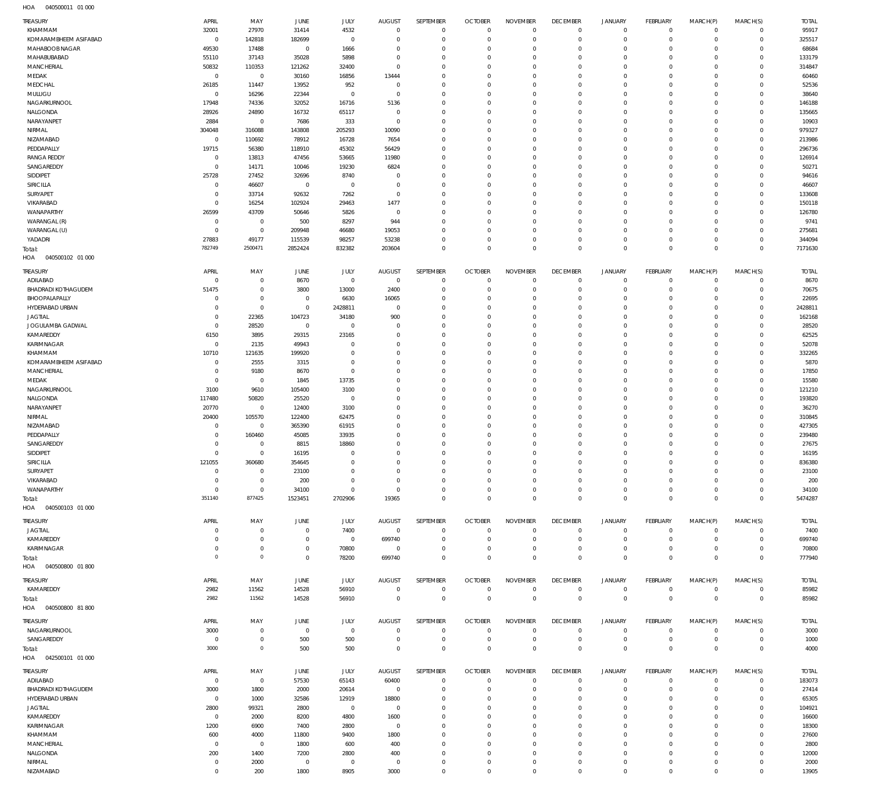| TREASURY                   | APRIL       | MAY                 | <b>JUNE</b>    | JULY         | <b>AUGUST</b>  | SEPTEMBER        | <b>OCTOBER</b> | <b>NOVEMBER</b> | <b>DECEMBER</b> | <b>JANUARY</b>      | FEBRUARY       | MARCH(P)    | MARCH(S)       | <b>TOTAL</b> |
|----------------------------|-------------|---------------------|----------------|--------------|----------------|------------------|----------------|-----------------|-----------------|---------------------|----------------|-------------|----------------|--------------|
| KHAMMAM                    | 32001       | 27970               | 31414          | 4532         | $\mathbf 0$    | $\mathbf 0$      | $\overline{0}$ | $\mathbf 0$     | $\mathbf{0}$    | $\overline{0}$      | $\overline{0}$ | $\mathbf 0$ | $\mathbf{0}$   | 95917        |
| KOMARAMBHEEM ASIFABAD      | $\mathbf 0$ | 142818              | 182699         | $\mathbf 0$  | $^{\circ}$     | $\mathbf 0$      | $\mathbf 0$    | $\mathbf 0$     | $\mathbf 0$     | $\mathbf 0$         | $\mathbf{0}$   | $\mathbf 0$ | $\circ$        | 325517       |
| MAHABOOB NAGAR             | 49530       | 17488               | $^{\circ}$     | 1666         | 0              | $\mathbf 0$      | $\mathbf 0$    | $\mathbf 0$     | $\mathbf 0$     | $\mathbf 0$         | $\mathbf{0}$   | $\circ$     | $\mathbf 0$    | 68684        |
| MAHABUBABAD                | 55110       | 37143               | 35028          | 5898         | $^{\circ}$     | $\mathbf 0$      | $\mathbf 0$    | $\mathbf 0$     | $\mathbf 0$     | $\mathbf 0$         | $\mathbf 0$    | $\Omega$    | $\mathbf 0$    | 133179       |
| MANCHERIAL                 | 50832       | 110353              | 121262         | 32400        | $\mathbf{0}$   | $\mathbf 0$      | $\mathbf 0$    | $\mathbf 0$     | $\mathbf 0$     | $\mathbf 0$         | $\mathbf 0$    | $\Omega$    | $\mathbf 0$    | 314847       |
| MEDAK                      | $\mathbf 0$ | $\mathbb O$         | 30160          | 16856        | 13444          | $\mathbf 0$      | $\mathbf 0$    | $\mathbf 0$     | $\mathbf 0$     | $\mathbf 0$         | $\mathbf 0$    | $\Omega$    | $\mathbf 0$    | 60460        |
| MEDCHAL                    | 26185       | 11447               | 13952          | 952          | $^{\circ}$     | $\mathbf 0$      | $\mathbf 0$    | $\mathbf 0$     | $\mathbf 0$     | $\mathbf 0$         | $\mathbf 0$    | $\Omega$    | $\mathbf 0$    | 52536        |
| MULUGU                     | $\mathbf 0$ | 16296               | 22344          | $\mathbf 0$  | $^{\circ}$     | $\mathbf 0$      | $\mathbf 0$    | $\mathbf 0$     | $\mathbf 0$     | $\mathbf 0$         | $\mathbf 0$    | $\Omega$    | $\mathbf 0$    | 38640        |
|                            |             |                     |                |              |                |                  |                |                 |                 |                     |                |             |                |              |
| NAGARKURNOOL               | 17948       | 74336               | 32052          | 16716        | 5136           | $\mathbf 0$      | $\mathbf 0$    | $\mathbf 0$     | $\mathbf 0$     | $\mathbf 0$         | $\mathbf 0$    | $\Omega$    | $\mathbf 0$    | 146188       |
| NALGONDA                   | 28926       | 24890               | 16732          | 65117        | $^{\circ}$     | $\mathbf 0$      | $\mathbf 0$    | $\mathbf 0$     | $\mathbf 0$     | $\mathbf 0$         | $\mathbf 0$    | $\Omega$    | $\mathbf 0$    | 135665       |
| NARAYANPET                 | 2884        | $\mathbb O$         | 7686           | 333          | $^{\circ}$     | $\mathbf 0$      | $\mathbf 0$    | $\mathbf 0$     | $\mathbf 0$     | $\mathbf 0$         | $\mathbf 0$    | $\Omega$    | $\mathbf 0$    | 10903        |
| NIRMAL                     | 304048      | 316088              | 143808         | 205293       | 10090          | $\mathbf 0$      | $\mathbf 0$    | $\mathbf 0$     | $\mathbf 0$     | $\mathbf 0$         | $\Omega$       | $\Omega$    | $\mathbf 0$    | 979327       |
| NIZAMABAD                  | $\mathbf 0$ | 110692              | 78912          | 16728        | 7654           | $\mathbf 0$      | $\mathbf 0$    | $\mathbf 0$     | $\mathbf 0$     | $\mathbf 0$         | $\mathbf 0$    | $\Omega$    | $\mathbf 0$    | 213986       |
| PEDDAPALLY                 | 19715       | 56380               | 118910         | 45302        | 56429          | $\mathbf 0$      | $\mathbf 0$    | $\mathbf 0$     | $\mathbf 0$     | $\mathbf 0$         | $\Omega$       | $\Omega$    | $\Omega$       | 296736       |
| <b>RANGA REDDY</b>         | $\mathbf 0$ | 13813               | 47456          | 53665        | 11980          | $\mathbf 0$      | $\mathbf 0$    | $\mathbf 0$     | $\mathbf 0$     | $\mathbf 0$         | $\mathbf 0$    | $\Omega$    | $\mathbf 0$    | 126914       |
|                            |             |                     |                |              |                |                  |                |                 |                 |                     |                |             |                |              |
| SANGAREDDY                 | $^{\circ}$  | 14171               | 10046          | 19230        | 6824           | $\mathbf 0$      | $\mathbf 0$    | $\mathbf 0$     | $\mathbf 0$     | $\mathbf 0$         | $\Omega$       | $\Omega$    | $\mathbf 0$    | 50271        |
| SIDDIPET                   | 25728       | 27452               | 32696          | 8740         | $^{\circ}$     | $\mathbf 0$      | $\mathbf 0$    | $\mathbf 0$     | $\mathbf 0$     | $\mathbf 0$         | $\mathbf 0$    | $\Omega$    | $\mathbf 0$    | 94616        |
| SIRICILLA                  | $\mathbf 0$ | 46607               | $\circ$        | $\mathbf 0$  | $^{\circ}$     | $\mathbf 0$      | $\mathbf 0$    | $\mathbf 0$     | $\mathbf 0$     | $\mathbf 0$         | $\mathbf 0$    | $\Omega$    | $\mathbf 0$    | 46607        |
| SURYAPET                   | $^{\circ}$  | 33714               | 92632          | 7262         | $^{\circ}$     | $\mathbf 0$      | $\mathbf 0$    | $\mathbf 0$     | $\mathbf 0$     | $\mathbf 0$         | $\mathbf 0$    | $\Omega$    | $\mathbf 0$    | 133608       |
| VIKARABAD                  | $^{\circ}$  | 16254               | 102924         | 29463        | 1477           | $\mathbf 0$      | $\mathbf 0$    | $\mathbf 0$     | $\mathbf 0$     | $\mathbf 0$         | $\mathbf 0$    | $\Omega$    | $\mathbf 0$    | 150118       |
| WANAPARTHY                 | 26599       | 43709               | 50646          | 5826         | $^{\circ}$     | $\mathbf 0$      | $\mathbf 0$    | $\mathbf 0$     | $\mathbf 0$     | $\mathbf 0$         | $\mathbf 0$    | $\Omega$    | $\mathbf 0$    | 126780       |
| WARANGAL (R)               | $\mathbf 0$ | $\mathbb O$         | 500            | 8297         | 944            | $\mathbf 0$      | $\mathbf 0$    | $\mathbf 0$     | $\mathbf 0$     | $\mathbf 0$         | $\mathbf 0$    | $\Omega$    | $\mathbf 0$    | 9741         |
| WARANGAL (U)               | $^{\circ}$  | $\mathbb O$         | 209948         | 46680        | 19053          | $\mathbf 0$      | $\mathbf 0$    | $\mathbf 0$     | $\mathbf 0$     | $\mathbf 0$         | $\mathbf 0$    | $\Omega$    | $\mathbf 0$    | 275681       |
|                            |             |                     |                |              |                |                  |                |                 |                 |                     |                |             |                |              |
| YADADRI                    | 27883       | 49177               | 115539         | 98257        | 53238          | $\mathbf 0$      | $\mathbf 0$    | $\mathbf 0$     | $\mathbf 0$     | $\mathbf 0$         | $\mathbf 0$    | $\mathbf 0$ | $\mathbf{0}$   | 344094       |
| Total:                     | 782749      | 2500471             | 2852424        | 832382       | 203604         | $\mathbf 0$      | $\mathbf 0$    | $\mathbf 0$     | $\mathbf 0$     | $\mathbf 0$         | $\overline{0}$ | $\mathbf 0$ | $\overline{0}$ | 7171630      |
| 040500102 01 000<br>HOA    |             |                     |                |              |                |                  |                |                 |                 |                     |                |             |                |              |
| TREASURY                   | APRIL       |                     | <b>JUNE</b>    |              | <b>AUGUST</b>  | SEPTEMBER        | <b>OCTOBER</b> | <b>NOVEMBER</b> | <b>DECEMBER</b> | <b>JANUARY</b>      | FEBRUARY       | MARCH(P)    | MARCH(S)       | <b>TOTAL</b> |
|                            |             | MAY                 |                | JULY         |                |                  |                |                 |                 |                     |                |             |                |              |
| ADILABAD                   | $^{\circ}$  | $\mathbb O$         | 8670           | $\mathbb O$  | $\mathbf 0$    | 0                | $\mathbf 0$    | $\mathbf 0$     | $\mathbf 0$     | $\mathbf 0$         | $\mathbf{0}$   | $\circ$     | $\mathbf{0}$   | 8670         |
| <b>BHADRADI KOTHAGUDEM</b> | 51475       | $\mathbf 0$         | 3800           | 13000        | 2400           | $\mathbf 0$      | $\mathbf 0$    | $\mathbf 0$     | $\mathbf 0$     | $\mathbf 0$         | $\mathbf{0}$   | $\circ$     | $\mathbf{0}$   | 70675        |
| BHOOPALAPALLY              | $\mathbf 0$ | $\mathbf 0$         | $\overline{0}$ | 6630         | 16065          | $\mathbf 0$      | $\mathbf 0$    | $\mathbf 0$     | $\mathbf 0$     | $\mathbf 0$         | $\mathbf 0$    | $\Omega$    | $\mathbf 0$    | 22695        |
| HYDERABAD URBAN            | $\mathbf 0$ | $\mathbf 0$         | $\overline{0}$ | 2428811      | $^{\circ}$     | $\mathbf 0$      | $\mathbf 0$    | $\mathbf 0$     | $\mathbf 0$     | $\mathbf 0$         | $\mathbf 0$    | $\Omega$    | $\mathbf 0$    | 2428811      |
| <b>JAGTIAL</b>             | $^{\circ}$  | 22365               | 104723         | 34180        | 900            | $\mathbf 0$      | $\mathbf 0$    | $\mathbf 0$     | $\mathbf 0$     | $\mathbf 0$         | $\mathbf 0$    | $\Omega$    | $\mathbf 0$    | 162168       |
| JOGULAMBA GADWAL           | $\mathbf 0$ | 28520               | $\overline{0}$ | $\mathbf 0$  | $^{\circ}$     | $\mathbf 0$      | $\mathbf 0$    | $\mathbf 0$     | $\mathbf 0$     | $\mathbf 0$         | $\mathbf 0$    | $\Omega$    | $\mathbf 0$    | 28520        |
|                            |             |                     |                |              |                |                  |                |                 |                 |                     |                |             |                |              |
| KAMAREDDY                  | 6150        | 3895                | 29315          | 23165        | 0              | $\mathbf 0$      | $\mathbf 0$    | $\mathbf 0$     | $\mathbf 0$     | $\mathbf 0$         | $\mathbf 0$    | $\Omega$    | $\mathbf 0$    | 62525        |
| KARIMNAGAR                 | $\mathbf 0$ | 2135                | 49943          | $\mathbf 0$  | 0              | $\mathbf 0$      | $\mathbf 0$    | $\mathbf 0$     | $\mathbf 0$     | $\mathbf 0$         | $\mathbf 0$    | $\Omega$    | $\Omega$       | 52078        |
| KHAMMAM                    | 10710       | 121635              | 199920         | $\mathbf 0$  | $^{\circ}$     | $\mathbf 0$      | $\mathbf 0$    | $\mathbf 0$     | $\mathbf 0$     | $\mathbf 0$         | $\mathbf 0$    | $\Omega$    | $\mathbf 0$    | 332265       |
| KOMARAMBHEEM ASIFABAD      | $\mathbf 0$ | 2555                | 3315           | $\mathbf 0$  | $^{\circ}$     | $\mathbf 0$      | $\mathbf 0$    | $\mathbf 0$     | $\mathbf 0$     | $\mathbf 0$         | $\mathbf 0$    | $\Omega$    | $\mathbf 0$    | 5870         |
| MANCHERIAL                 | $\mathbf 0$ | 9180                | 8670           | $\mathbf 0$  | $^{\circ}$     | $\mathbf 0$      | $\mathbf 0$    | $\mathbf 0$     | $\mathbf 0$     | $\mathbf 0$         | $\mathbf 0$    | $\Omega$    | $\mathbf 0$    | 17850        |
| MEDAK                      | $\mathbf 0$ | $\mathbb O$         | 1845           | 13735        | $^{\circ}$     | $\mathbf 0$      | $\mathbf 0$    | $\mathbf 0$     | $\mathbf 0$     | $\mathbf 0$         | $\mathbf 0$    | $\Omega$    | $\mathbf 0$    | 15580        |
| NAGARKURNOOL               | 3100        | 9610                | 105400         | 3100         | $\mathbf{0}$   | $\overline{0}$   | $\mathbf 0$    | $\mathbf 0$     | $\mathbf 0$     | $\mathbf 0$         | $\mathbf 0$    | $\Omega$    | $\mathbf 0$    | 121210       |
|                            |             |                     |                |              |                |                  |                |                 |                 |                     |                |             |                |              |
| NALGONDA                   | 117480      | 50820               | 25520          | $\mathbf 0$  | $^{\circ}$     | $\mathbf 0$      | $\mathbf 0$    | $\mathbf 0$     | $\mathbf 0$     | $\mathbf 0$         | $\mathbf 0$    | $\Omega$    | $\mathbf 0$    | 193820       |
| NARAYANPET                 | 20770       | $\mathbb O$         | 12400          | 3100         | $\mathbf{0}$   | $\mathbf 0$      | $\mathbf 0$    | $\mathbf 0$     | $\mathbf 0$     | $\mathbf 0$         | $\mathbf 0$    | $\Omega$    | $\mathbf 0$    | 36270        |
| NIRMAL                     | 20400       | 105570              | 122400         | 62475        | $^{\circ}$     | $\mathbf 0$      | $\mathbf 0$    | $\mathbf 0$     | $\mathbf 0$     | $\mathbf 0$         | $\mathbf 0$    | $\Omega$    | $\mathbf 0$    | 310845       |
| NIZAMABAD                  | $^{\circ}$  | $\mathbb O$         | 365390         | 61915        | $\mathbf{0}$   | $\mathbf 0$      | $\mathbf 0$    | $\mathbf 0$     | $\mathbf 0$     | $\mathbf 0$         | $\mathbf 0$    | $\Omega$    | $\mathbf 0$    | 427305       |
| PEDDAPALLY                 | $\mathbf 0$ | 160460              | 45085          | 33935        | $\mathbf{0}$   | $\mathbf 0$      | $\mathbf 0$    | $\mathbf 0$     | $\mathbf 0$     | $\mathbf 0$         | $\mathbf 0$    | $\Omega$    | $\mathbf 0$    | 239480       |
| SANGAREDDY                 | $^{\circ}$  | $\mathbf 0$         | 8815           | 18860        | $^{\circ}$     | 0                | $\mathbf 0$    | $\mathbf 0$     | $\mathbf 0$     | $\mathbf 0$         | $\mathbf 0$    | $\Omega$    | $\mathbf 0$    | 27675        |
| SIDDIPET                   | $\mathbf 0$ | $\mathbf 0$         | 16195          | $\mathbf 0$  | $\mathbf{0}$   | $\mathbf 0$      | $\mathbf 0$    | $\mathbf 0$     | $\mathbf 0$     | $\Omega$            | $\Omega$       | $\Omega$    | $\mathbf{0}$   | 16195        |
|                            |             |                     |                |              |                |                  |                |                 |                 |                     |                |             |                |              |
| SIRICILLA                  | 121055      | 360680              | 354645         | $\mathbf{0}$ | $\Omega$       | $\mathbf{0}$     | $\Omega$       | $\Omega$        | $\Omega$        | $\Omega$            | $\Omega$       | $\Omega$    | $\Omega$       | 836380       |
| SURYAPET                   | $\mathbf 0$ | $\mathbf 0$         | 23100          | $\mathbf 0$  | $\mathbf{0}$   | $\mathbb O$      | $\mathbf 0$    | $\mathbf 0$     | $\mathbf 0$     | $\mathbf 0$         | $\mathbf 0$    | $\mathbf 0$ | $\mathbf 0$    | 23100        |
| VIKARABAD                  | $\mathbf 0$ | $\mathbf 0$         | 200            | $\mathbf 0$  | $\mathbf{0}$   | $\mathbb O$      | $\mathbf 0$    | $\mathbf 0$     | $\mathbf 0$     | $\mathbf 0$         | $\mathbf{0}$   | $\mathbf 0$ | $\mathbf{0}$   | 200          |
| WANAPARTHY                 | $\mathbf 0$ | $\mathbf 0$         | 34100          | $\mathbb O$  | $\mathbf 0$    | $\mathbb O$      | 0              | $\mathbf 0$     | $\mathbf 0$     | $\mathbf 0$         | $\circ$        | $\mathbf 0$ | $\mathbf{0}$   | 34100        |
| Total:                     | 351140      | 877425              | 1523451        | 2702906      | 19365          | $\mathbf 0$      | $\mathbf 0$    | $\mathbf 0$     | $\overline{0}$  | $\mathbf 0$         | $\overline{0}$ | $\mathbf 0$ | $\overline{0}$ | 5474287      |
| HOA<br>040500103 01 000    |             |                     |                |              |                |                  |                |                 |                 |                     |                |             |                |              |
|                            |             |                     |                |              |                |                  |                |                 |                 |                     |                |             |                |              |
| TREASURY                   | APRIL       | MAY                 | <b>JUNE</b>    | JULY         | <b>AUGUST</b>  | <b>SEPTEMBER</b> | <b>OCTOBER</b> | <b>NOVEMBER</b> | <b>DECEMBER</b> | JANUARY             | FEBRUARY       | MARCH(P)    | MARCH(S)       | <b>TOTAL</b> |
| <b>JAGTIAL</b>             | 0           | $\mathbf 0$         | $\overline{0}$ | 7400         | $\mathbf 0$    | 0                | $\mathbf 0$    | $\mathbf 0$     | $\mathbf 0$     | $\mathbf 0$         | $\mathbf 0$    | $\mathbf 0$ | $\circ$        | 7400         |
| KAMAREDDY                  | 0           | $\mathbf 0$         | $\overline{0}$ | $\mathbf 0$  | 699740         | $\mathbf 0$      | $\overline{0}$ | $\mathbf 0$     | $\mathbf 0$     | $\mathbf 0$         | $\mathbf{0}$   | $\mathbf 0$ | $\circ$        | 699740       |
| KARIMNAGAR                 | 0           | $\mathbf 0$         | $\mathbf 0$    | 70800        | $\mathbf 0$    | $\mathbf 0$      | $\mathbf 0$    | $\mathbf 0$     | $\mathbf 0$     | $\mathbf 0$         | $^{\circ}$     | $\mathbf 0$ | $\mathbf{0}$   | 70800        |
| Total:                     | $\mathbf 0$ | $\mathsf{O}\xspace$ | $\mathbf 0$    | 78200        | 699740         | $\mathbf 0$      | $\mathbf 0$    | $\mathbf 0$     | $\overline{0}$  | $\mathbf 0$         | $\overline{0}$ | $\mathbf 0$ | $\,0\,$        | 777940       |
| 040500800 01800            |             |                     |                |              |                |                  |                |                 |                 |                     |                |             |                |              |
| HOA                        |             |                     |                |              |                |                  |                |                 |                 |                     |                |             |                |              |
| TREASURY                   | APRIL       | MAY                 | <b>JUNE</b>    | JULY         | <b>AUGUST</b>  | SEPTEMBER        | <b>OCTOBER</b> | <b>NOVEMBER</b> | <b>DECEMBER</b> | <b>JANUARY</b>      | FEBRUARY       | MARCH(P)    | MARCH(S)       | <b>TOTAL</b> |
| KAMAREDDY                  | 2982        | 11562               | 14528          | 56910        | $\overline{0}$ | 0                | $\overline{0}$ | $\mathbf 0$     | $\overline{0}$  | $\overline{0}$      | $\circ$        | $\mathbf 0$ | $\circ$        | 85982        |
| Total:                     | 2982        | 11562               | 14528          | 56910        | $\mathbf 0$    | $\mathsf 0$      | $\overline{0}$ | $\bf 0$         | $\mathbf 0$     | $\mathbf 0$         | $\overline{0}$ | $\mathbf 0$ | $\overline{0}$ | 85982        |
| HOA<br>040500800 81800     |             |                     |                |              |                |                  |                |                 |                 |                     |                |             |                |              |
|                            |             |                     |                |              |                |                  |                |                 |                 |                     |                |             |                |              |
| TREASURY                   | APRIL       | MAY                 | JUNE           | JULY         | <b>AUGUST</b>  | SEPTEMBER        | <b>OCTOBER</b> | <b>NOVEMBER</b> | <b>DECEMBER</b> | <b>JANUARY</b>      | FEBRUARY       | MARCH(P)    | MARCH(S)       | <b>TOTAL</b> |
| NAGARKURNOOL               | 3000        | 0                   | $\overline{0}$ | $\mathbf 0$  | $\mathbf 0$    | $\mathbf 0$      | $\overline{0}$ | $\mathbf 0$     | $\mathbf{0}$    | $\overline{0}$      | $\overline{0}$ | $\mathbf 0$ | $\circ$        | 3000         |
| SANGAREDDY                 | 0           | $\mathbf 0$         | 500            | 500          | $\mathbf{0}$   | $\mathbb O$      | $\mathbf 0$    | $\mathbf 0$     | $\mathbf 0$     | $\mathbf 0$         | $\circ$        | $\mathbf 0$ | $\circ$        | 1000         |
|                            | 3000        | $\mathsf{O}\xspace$ |                |              |                |                  |                | $\mathbf 0$     | $\overline{0}$  |                     |                | $\mathbf 0$ | $\overline{0}$ |              |
| Total:                     |             |                     | 500            | 500          | $\mathbf 0$    | $\mathbf 0$      | $\mathbf 0$    |                 |                 | $\mathbb O$         | $\overline{0}$ |             |                | 4000         |
| HOA<br>042500101 01 000    |             |                     |                |              |                |                  |                |                 |                 |                     |                |             |                |              |
| TREASURY                   | APRIL       | MAY                 | JUNE           | JULY         | <b>AUGUST</b>  | SEPTEMBER        | <b>OCTOBER</b> | <b>NOVEMBER</b> | <b>DECEMBER</b> | <b>JANUARY</b>      | FEBRUARY       | MARCH(P)    | MARCH(S)       | <b>TOTAL</b> |
| ADILABAD                   | $\mathbf 0$ | $\overline{0}$      | 57530          | 65143        | 60400          | 0                | $\overline{0}$ | $\mathbf 0$     | 0               | $\overline{0}$      | $\circ$        | $\mathbf 0$ | $\mathbf{0}$   | 183073       |
|                            |             |                     |                |              |                |                  |                |                 |                 |                     |                |             |                |              |
| BHADRADI KOTHAGUDEM        | 3000        | 1800                | 2000           | 20614        | $\mathbf 0$    | $\mathbf 0$      | $\mathbf 0$    | $\mathbf 0$     | $\mathbf 0$     | $\mathbf 0$         | $\mathbf{0}$   | $\mathbf 0$ | $\mathbf{0}$   | 27414        |
| HYDERABAD URBAN            | $\mathbf 0$ | 1000                | 32586          | 12919        | 18800          | 0                | $\mathbf 0$    | $\mathbf 0$     | $\mathbf 0$     | $\mathbf 0$         | $\mathbf 0$    | 0           | $\mathbf 0$    | 65305        |
| <b>JAGTIAL</b>             | 2800        | 99321               | 2800           | $\mathbf 0$  | $\mathbf 0$    | $\mathbf 0$      | $\mathbf 0$    | $\mathbf 0$     | $\mathbf 0$     | $\mathbf 0$         | $\mathbf 0$    | $\mathbf 0$ | $\mathbf 0$    | 104921       |
| KAMAREDDY                  | $\mathbf 0$ | 2000                | 8200           | 4800         | 1600           | $\mathbf 0$      | $\mathbf 0$    | $\mathbf 0$     | $\mathbf 0$     | $\mathbf 0$         | $\mathbf 0$    | 0           | $\mathbf 0$    | 16600        |
| KARIMNAGAR                 | 1200        | 6900                | 7400           | 2800         | $\mathbf 0$    | $\mathbf 0$      | $\mathbf 0$    | $\mathbf 0$     | $\mathbf 0$     | $\mathbf 0$         | $\mathbf 0$    | 0           | $\mathbf 0$    | 18300        |
| KHAMMAM                    | 600         | 4000                | 11800          | 9400         | 1800           | $\mathbf 0$      | $\mathbf 0$    | $\mathbf 0$     | $\mathbf 0$     | $\mathbf 0$         | $\mathbf 0$    | $\mathbf 0$ | $\mathbf 0$    | 27600        |
| MANCHERIAL                 |             |                     | 1800           |              |                | $\mathbf 0$      | $\mathbf 0$    | $\mathbf 0$     | $\mathbf 0$     | $\mathbf 0$         | $\mathbf 0$    | $\mathbf 0$ | $\mathbf 0$    |              |
|                            | $\mathbf 0$ | $\overline{0}$      |                | 600          | 400            |                  |                |                 |                 |                     |                |             |                | 2800         |
| NALGONDA                   | 200         | 1400                | 7200           | 2800         | 400            | $\mathbb O$      | $\mathbf 0$    | $\mathbf 0$     | $\mathbf 0$     | $\mathbf 0$         | $\mathbf 0$    | $\mathbf 0$ | $\mathbf{0}$   | 12000        |
| NIRMAL                     | $\mathbf 0$ | 2000                | $\overline{0}$ | $\mathbf 0$  | $\mathbf 0$    | 0                | 0              | 0               | $\mathbf 0$     | $\mathsf{O}\xspace$ | $\circ$        | $\mathbf 0$ | $\circ$        | 2000         |
| NIZAMABAD                  | $\mathbf 0$ | 200                 | 1800           | 8905         | 3000           | $\mathbf 0$      | $\mathbf 0$    | $\mathbf 0$     | $\mathbb O$     | $\mathbf 0$         | $\circ$        | $\mathbf 0$ | $\circ$        | 13905        |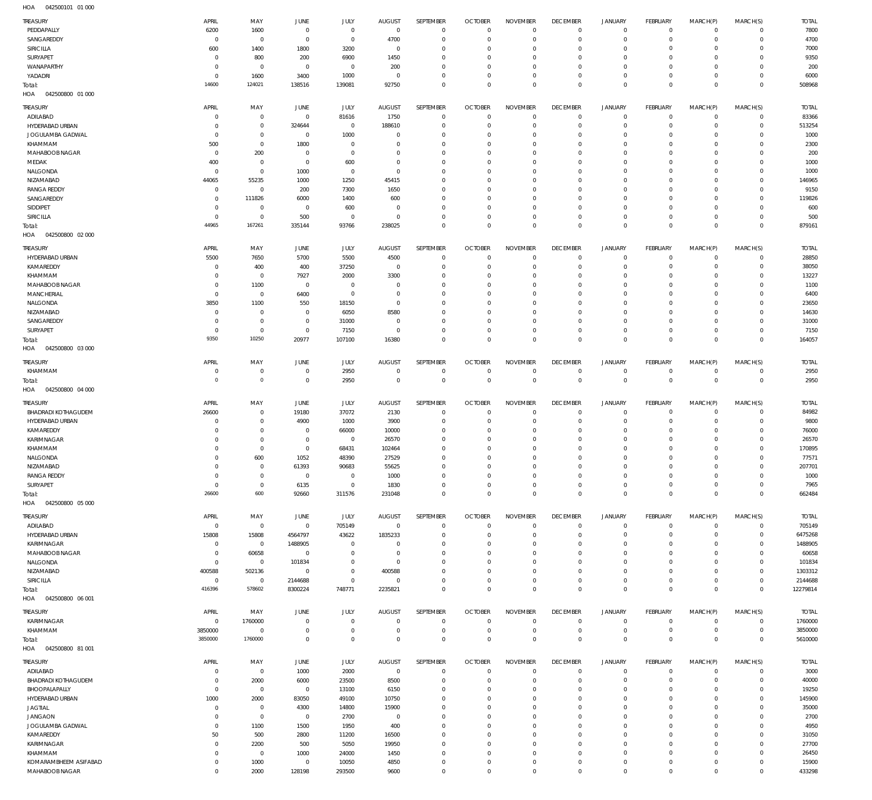| <b>TREASURY</b>                         | APRIL            | MAY            | JUNE                  | JULY            | <b>AUGUST</b>  | SEPTEMBER                 | <b>OCTOBER</b>       | <b>NOVEMBER</b>            | <b>DECEMBER</b>               | <b>JANUARY</b>             | FEBRUARY               | MARCH(P)                   | MARCH(S)                   | <b>TOTAL</b>    |
|-----------------------------------------|------------------|----------------|-----------------------|-----------------|----------------|---------------------------|----------------------|----------------------------|-------------------------------|----------------------------|------------------------|----------------------------|----------------------------|-----------------|
| PEDDAPALLY                              | 6200             | 1600           | $\overline{0}$        | $\overline{0}$  | $\overline{0}$ | $\overline{0}$            | $\Omega$             | $\Omega$                   | $^{\circ}$                    | 0                          | $\circ$                | $\mathbf 0$                | $^{\circ}$                 | 7800            |
| SANGAREDDY                              | $^{\circ}$       | $\overline{0}$ | $\overline{0}$        | $\overline{0}$  | 4700           | $\Omega$                  | $\Omega$             | $\Omega$                   | $\Omega$                      | $\mathbf 0$                | $\circ$                | $\mathbf 0$                | $\mathbf 0$                | 4700            |
| SIRICILLA                               | 600              | 1400           | 1800                  | 3200            | $\Omega$       | $\overline{0}$            | $\Omega$             | $^{\circ}$                 | $\Omega$                      | $\circ$                    | $\Omega$               | $\Omega$                   | $^{\circ}$                 | 7000            |
|                                         |                  |                |                       |                 |                |                           |                      |                            |                               |                            |                        |                            |                            |                 |
| SURYAPET                                | $^{\circ}$       | 800            | 200                   | 6900            | 1450           | $\Omega$                  | $\Omega$             | $^{\circ}$                 | $\Omega$                      | $\mathbf 0$                | $\Omega$               | $\mathbf 0$                | $^{\circ}$                 | 9350            |
| WANAPARTHY                              | $^{\circ}$       | $\overline{0}$ | $\overline{0}$        | $\overline{0}$  | 200            | $\Omega$                  | $\Omega$             | $^{\circ}$                 | $\Omega$                      | $\circ$                    | $\Omega$               | $\Omega$                   | $\Omega$                   | 200             |
| YADADRI                                 | $\mathbf 0$      | 1600           | 3400                  | 1000            | $\Omega$       | $\Omega$                  | $\Omega$             | $\overline{0}$             | $^{\circ}$                    | $\mathbf 0$                | $\circ$                | $\mathbf 0$                | $^{\circ}$                 | 6000            |
| Total:                                  | 14600            | 124021         | 138516                | 139081          | 92750          | $\overline{0}$            | $\Omega$             | $\mathbf 0$                | $\Omega$                      | $\mathbf 0$                | $\Omega$               | $\mathbf 0$                | $\overline{0}$             | 508968          |
| 042500800 01 000<br>HOA                 |                  |                |                       |                 |                |                           |                      |                            |                               |                            |                        |                            |                            |                 |
|                                         |                  |                |                       |                 |                |                           |                      |                            |                               |                            |                        |                            |                            |                 |
| <b>TREASURY</b>                         | APRIL            | MAY            | JUNE                  | JULY            | <b>AUGUST</b>  | SEPTEMBER                 | <b>OCTOBER</b>       | <b>NOVEMBER</b>            | <b>DECEMBER</b>               | <b>JANUARY</b>             | FEBRUARY               | MARCH(P)                   | MARCH(S)                   | <b>TOTAL</b>    |
|                                         |                  |                |                       |                 |                |                           | $\Omega$             | $\Omega$                   |                               |                            |                        |                            |                            |                 |
| ADILABAD                                | 0                | $\overline{0}$ | $\overline{0}$        | 81616           | 1750           | $\overline{0}$            |                      |                            | $^{\circ}$                    | $\mathbf 0$                | $\mathbf 0$            | $^{\circ}$                 | $\mathbf 0$                | 83366           |
| HYDERABAD URBAN                         | $\Omega$         | $\mathbf 0$    | 324644                | $\overline{0}$  | 188610         | $\Omega$                  | $\Omega$             | $\Omega$                   | $\Omega$                      | $\mathbf 0$                | $\Omega$               | $\Omega$                   | $\mathbf 0$                | 513254          |
| JOGULAMBA GADWAL                        | $^{\circ}$       | $\overline{0}$ | $\overline{0}$        | 1000            | $\Omega$       | $\overline{0}$            | $\Omega$             | $\Omega$                   | $\Omega$                      | $\mathbf 0$                | $\Omega$               | $\Omega$                   | $\Omega$                   | 1000            |
| KHAMMAM                                 | 500              | $\mathbf 0$    | 1800                  | $\Omega$        | $\Omega$       | $\Omega$                  | $\Omega$             | $\Omega$                   | $\Omega$                      | $\Omega$                   | $\Omega$               | $\Omega$                   | $\Omega$                   | 2300            |
| MAHABOOB NAGAR                          | $\overline{0}$   | 200            | $\overline{0}$        | $\mathbf{0}$    | $\Omega$       | $\overline{0}$            | $\Omega$             | $^{\circ}$                 | $\Omega$                      | $\Omega$                   | $\Omega$               | $\Omega$                   | $\Omega$                   | 200             |
|                                         |                  |                |                       |                 |                |                           |                      |                            |                               |                            |                        |                            |                            |                 |
| MEDAK                                   | 400              | $\mathbf 0$    | $\overline{0}$        | 600             | $\Omega$       | $\Omega$                  | $\Omega$             | $\Omega$                   | $\Omega$                      | $\Omega$                   | $\Omega$               | $\Omega$                   | $\Omega$                   | 1000            |
| NALGONDA                                | $^{\circ}$       | $\mathbf 0$    | 1000                  | $\Omega$        | $\Omega$       | $\Omega$                  | $\Omega$             | $^{\circ}$                 | $\Omega$                      | $\Omega$                   | $\Omega$               | $\Omega$                   | $\Omega$                   | 1000            |
| NIZAMABAD                               | 44065            | 55235          | 1000                  | 1250            | 45415          | $\Omega$                  | $\Omega$             | $\Omega$                   | $\Omega$                      | $\Omega$                   | $\Omega$               | $\Omega$                   | $\Omega$                   | 146965          |
| <b>RANGA REDDY</b>                      | $\mathbf 0$      | $\overline{0}$ | 200                   | 7300            | 1650           | $\Omega$                  | $\Omega$             | $^{\circ}$                 | $\Omega$                      | $\Omega$                   | $\Omega$               | $\Omega$                   | $\Omega$                   | 9150            |
| SANGAREDDY                              | $\Omega$         | 111826         | 6000                  | 1400            | 600            | $\Omega$                  | $\Omega$             | $\Omega$                   | $\Omega$                      | $\Omega$                   | $\Omega$               | $\Omega$                   | $\Omega$                   | 119826          |
|                                         |                  |                |                       |                 |                |                           |                      |                            |                               |                            |                        |                            |                            |                 |
| SIDDIPET                                | $\Omega$         | $\overline{0}$ | $\overline{0}$        | 600             | $\Omega$       | $\Omega$                  | $\Omega$             | $\Omega$                   | $\Omega$                      | $\Omega$                   | $\Omega$               | $\Omega$                   | $\Omega$                   | 600             |
| SIRICILLA                               | $\Omega$         | $\mathbf 0$    | 500                   | $\overline{0}$  | $\Omega$       | $\Omega$                  | $\Omega$             | $^{\circ}$                 | $\Omega$                      | $\mathbf 0$                | $\Omega$               | $\Omega$                   | $\mathbf 0$                | 500             |
| Total:                                  | 44965            | 167261         | 335144                | 93766           | 238025         | $\Omega$                  | $\Omega$             | $\overline{0}$             | $\Omega$                      | $\mathbf 0$                | $\Omega$               | $\Omega$                   | $\mathbf 0$                | 879161          |
| 042500800 02 000<br>HOA                 |                  |                |                       |                 |                |                           |                      |                            |                               |                            |                        |                            |                            |                 |
|                                         |                  |                |                       |                 |                |                           |                      |                            |                               |                            |                        |                            |                            |                 |
| <b>TREASURY</b>                         | APRIL            | MAY            | JUNE                  | JULY            | <b>AUGUST</b>  | SEPTEMBER                 | <b>OCTOBER</b>       | <b>NOVEMBER</b>            | <b>DECEMBER</b>               | <b>JANUARY</b>             | FEBRUARY               | MARCH(P)                   | MARCH(S)                   | <b>TOTAL</b>    |
| HYDERABAD URBAN                         | 5500             | 7650           | 5700                  | 5500            | 4500           | $\overline{0}$            | $\Omega$             | $\overline{0}$             | $^{\circ}$                    | $\mathbf 0$                | $\circ$                | $\mathbf 0$                | $^{\circ}$                 | 28850           |
| KAMAREDDY                               | $\mathbf 0$      | 400            | 400                   | 37250           | $\overline{0}$ | $\overline{0}$            | $\epsilon$           | $\Omega$                   | $\Omega$                      | $\mathbf 0$                | $\Omega$               | $^{\circ}$                 | $^{\circ}$                 | 38050           |
|                                         |                  |                |                       |                 |                |                           |                      |                            |                               |                            |                        |                            |                            |                 |
| KHAMMAM                                 | $\mathbf 0$      | $\overline{0}$ | 7927                  | 2000            | 3300           | $\Omega$                  | $\Omega$             | $^{\circ}$                 | $\Omega$                      | $\circ$                    | $\Omega$               | $\mathbf 0$                | $\Omega$                   | 13227           |
| MAHABOOB NAGAR                          | $\mathbf 0$      | 1100           | $\overline{0}$        | $\overline{0}$  | $\Omega$       | $\Omega$                  | $\Omega$             | $^{\circ}$                 | 0                             | $\mathbf 0$                | $\Omega$               | $\mathbf 0$                | $^{\circ}$                 | 1100            |
| <b>MANCHERIAL</b>                       | $^{\circ}$       | $\overline{0}$ | 6400                  | $\overline{0}$  | $\Omega$       | $\Omega$                  | $\Omega$             | $^{\circ}$                 | $\Omega$                      | $\mathbf 0$                | $\Omega$               | $\Omega$                   | $\Omega$                   | 6400            |
| NALGONDA                                | 3850             | 1100           | 550                   | 18150           | $\mathbf{0}$   | $\Omega$                  | $\Omega$             | $^{\circ}$                 | $\Omega$                      | $\mathbf 0$                | $\Omega$               | $\mathbf 0$                | $^{\circ}$                 | 23650           |
| NIZAMABAD                               | $^{\circ}$       | $\mathbf 0$    | $\overline{0}$        | 6050            | 8580           | $\Omega$                  | $\Omega$             | $^{\circ}$                 | $\Omega$                      | $\Omega$                   | $\Omega$               | $\Omega$                   | $\Omega$                   | 14630           |
|                                         |                  |                |                       |                 |                |                           |                      |                            |                               |                            |                        |                            |                            |                 |
| SANGAREDDY                              | $\mathbf 0$      | $\overline{0}$ | $\overline{0}$        | 31000           | $\Omega$       | $\Omega$                  | $\Omega$             | $^{\circ}$                 | $\Omega$                      | $\circ$                    | $\Omega$               | $\mathbf 0$                | $^{\circ}$                 | 31000           |
| SURYAPET                                | $^{\circ}$       | $\overline{0}$ | $\overline{0}$        | 7150            | $\Omega$       | $\Omega$                  | $\Omega$             | $\mathbf 0$                | $^{\circ}$                    | $\mathsf{O}$               | $\circ$                | $\mathbf 0$                | $^{\circ}$                 | 7150            |
| Total:                                  | 9350             | 10250          | 20977                 | 107100          | 16380          | $\overline{0}$            | $\Omega$             | $\mathbf 0$                | $\Omega$                      | $\mathbf 0$                | $\Omega$               | $\mathbf 0$                | $\mathbf 0$                | 164057          |
| 042500800 03 000<br>HOA                 |                  |                |                       |                 |                |                           |                      |                            |                               |                            |                        |                            |                            |                 |
|                                         |                  |                |                       |                 |                |                           |                      |                            |                               |                            |                        |                            |                            |                 |
| TREASURY                                | APRIL            | MAY            | <b>JUNE</b>           | JULY            | <b>AUGUST</b>  | SEPTEMBER                 | <b>OCTOBER</b>       | <b>NOVEMBER</b>            | <b>DECEMBER</b>               | <b>JANUARY</b>             | FEBRUARY               | MARCH(P)                   | MARCH(S)                   | <b>TOTAL</b>    |
| KHAMMAM                                 | $\mathbf 0$      | $\overline{0}$ | $\overline{0}$        | 2950            | $\Omega$       | $\Omega$                  | $\Omega$             | $\Omega$                   | $^{\circ}$                    | $\mathbf 0$                | $\circ$                | $\Omega$                   | $\mathbf 0$                | 2950            |
|                                         | $\mathbf 0$      |                |                       |                 |                |                           |                      |                            |                               |                            |                        |                            |                            |                 |
| Total:                                  |                  | $\,0\,$        | $\mathbf 0$           | 2950            | $\Omega$       | $\mathbf 0$               | $\mathbf 0$          | $\mathbf 0$                | $\mathbf 0$                   | $\mathbf 0$                | $\mathbf 0$            | $\mathbf 0$                | $\mathbf 0$                | 2950            |
| HOA<br>042500800 04 000                 |                  |                |                       |                 |                |                           |                      |                            |                               |                            |                        |                            |                            |                 |
|                                         |                  |                |                       |                 |                |                           |                      |                            |                               |                            |                        |                            |                            |                 |
| <b>TREASURY</b>                         | APRIL            | MAY            | JUNE                  | <b>JULY</b>     | <b>AUGUST</b>  | SEPTEMBER                 | <b>OCTOBER</b>       | <b>NOVEMBER</b>            | <b>DECEMBER</b>               | <b>JANUARY</b>             | FEBRUARY               | MARCH(P)                   | MARCH(S)                   | <b>TOTAL</b>    |
| <b>BHADRADI KOTHAGUDEM</b>              | 26600            | $\overline{0}$ | 19180                 | 37072           | 2130           | $\Omega$                  | $\mathcal{L}$        | $\Omega$                   | $\overline{0}$                | $\mathbf 0$                | $\circ$                | $^{\circ}$                 | $^{\circ}$                 | 84982           |
| HYDERABAD URBAN                         | $\overline{0}$   | $\mathbf 0$    | 4900                  | 1000            | 3900           | $\overline{0}$            | $\Omega$             | $^{\circ}$                 | $\Omega$                      | $\circ$                    | $\circ$                | $\mathbf 0$                | $^{\circ}$                 | 9800            |
| KAMAREDDY                               | $\mathbf 0$      | $\mathbf 0$    | $\mathbf 0$           | 66000           | 10000          | $\Omega$                  | $\Omega$             | $^{\circ}$                 | $\overline{0}$                | $\mathbf 0$                | $\Omega$               | $\mathbf 0$                | $^{\circ}$                 | 76000           |
| <b>KARIMNAGAR</b>                       | $\Omega$         | $\mathbf 0$    |                       |                 |                | $\Omega$                  | $\Omega$             | $^{\circ}$                 | $\Omega$                      |                            | $\Omega$               | $\mathbf 0$                | $\Omega$                   |                 |
|                                         |                  |                | $\mathbf 0$           | $\overline{0}$  | 26570          |                           |                      |                            |                               | $\circ$                    |                        |                            |                            | 26570           |
| KHAMMAM                                 | $\mathbf 0$      | $\mathbf 0$    | $\mathbf 0$           | 68431           | 102464         | $\Omega$                  | $\Omega$             | $^{\circ}$                 | $\Omega$                      | $\circ$                    | $\Omega$               | $\mathbf 0$                | $^{\circ}$                 | 170895          |
| NALGONDA                                | $\Omega$         | 600            | 1052                  | 48390           | 27529          | $\Omega$                  | $\Omega$             | $\overline{0}$             | $\Omega$                      | $\circ$                    | $\Omega$               | $\Omega$                   | $\Omega$                   | 77571           |
| NIZAMABAD                               | 0                | $\overline{0}$ | 61393                 | 90683           | 55625          | $\Omega$                  |                      | $\Omega$                   | -0                            | $\overline{0}$             | - 0                    | $\Omega$                   | $\Omega$                   | 207701          |
| <b>RANGA REDDY</b>                      | $\bf 0$          | $\,0\,$        | $\mathbf 0$           | $\overline{0}$  | 1000           | $\overline{0}$            | $\Omega$             | $\mathbf 0$                | $^{\circ}$                    | $\mathbf 0$                | $\mathbf 0$            | $\mathbf 0$                | $\mathbf 0$                | 1000            |
|                                         |                  |                |                       |                 |                |                           |                      |                            |                               |                            |                        |                            |                            |                 |
| SURYAPET                                | $\,0\,$          | $\overline{0}$ | 6135                  | $\overline{0}$  | 1830           | $\overline{0}$            | $\overline{0}$       | $\mathbf 0$                | $\overline{0}$                | $\mathbf 0$                | $\mathbf 0$            | $\mathbf 0$                | $\mathbf 0$                | 7965            |
| Total:                                  | 26600            | 600            | 92660                 | 311576          | 231048         | $\Omega$                  | $\Omega$             | $\mathbf 0$                | $\mathbf 0$                   | $\mathbf 0$                | $\overline{0}$         | $\mathbf 0$                | $\mathbf 0$                | 662484          |
| 042500800 05 000<br>HOA                 |                  |                |                       |                 |                |                           |                      |                            |                               |                            |                        |                            |                            |                 |
|                                         |                  |                |                       |                 |                |                           |                      |                            |                               |                            |                        |                            |                            |                 |
| TREASURY                                | APRIL            | MAY            | JUNE                  | <b>JULY</b>     | <b>AUGUST</b>  | SEPTEMBER                 | <b>OCTOBER</b>       | <b>NOVEMBER</b>            | <b>DECEMBER</b>               | <b>JANUARY</b>             | FEBRUARY               | MARCH(P)                   | MARCH(S)                   | <b>TOTAL</b>    |
| ADILABAD                                | $\overline{0}$   | $\overline{0}$ | $\mathbf 0$           | 705149          | $\overline{0}$ | $\overline{0}$            | $\overline{0}$       | $\overline{0}$             | $^{\circ}$                    | $\mathbf 0$                | $\mathbf 0$            | $^{\circ}$                 | $\mathbf 0$                | 705149          |
| HYDERABAD URBAN                         | 15808            | 15808          | 4564797               | 43622           | 1835233        | $\overline{0}$            | $\Omega$             | $\Omega$                   | $\Omega$                      | $\mathbf 0$                | $\circ$                | $\mathbf 0$                | $\mathbf 0$                | 6475268         |
| KARIMNAGAR                              | $^{\circ}$       | $\overline{0}$ | 1488905               | $\overline{0}$  | $\Omega$       | $\Omega$                  | $\Omega$             | $^{\circ}$                 | $\Omega$                      | $\mathbf 0$                | $\Omega$               | $\Omega$                   | $\Omega$                   | 1488905         |
|                                         |                  |                |                       |                 |                |                           |                      |                            |                               |                            |                        |                            |                            |                 |
| MAHABOOB NAGAR                          | 0                | 60658          | $^{\circ}$            | $\overline{0}$  | $\Omega$       | $\Omega$                  | $\Omega$             | $^{\circ}$                 | $\Omega$                      | $\mathbf 0$                | $\Omega$               | $\Omega$                   | $\Omega$                   | 60658           |
| NALGONDA                                | $\mathbf 0$      | $\overline{0}$ | 101834                | $\overline{0}$  | $\Omega$       | $\Omega$                  | $\Omega$             | $\Omega$                   | $\Omega$                      | $\Omega$                   | $\Omega$               | $\Omega$                   | $\Omega$                   | 101834          |
| NIZAMABAD                               | 400588           | 502136         | $\mathbf 0$           | $\mathbf 0$     | 400588         | $\overline{0}$            | $\Omega$             | $^{\circ}$                 | $\overline{0}$                | $\mathbf 0$                | $\Omega$               | $\Omega$                   | $\mathbf 0$                | 1303312         |
| SIRICILLA                               | $^{\circ}$       | $\,0\,$        | 2144688               | $\mathbf 0$     | $\overline{0}$ | $\Omega$                  | $\Omega$             | $^{\circ}$                 | $\overline{0}$                | $\mathbf 0$                | $\mathbf 0$            | $\mathbf 0$                | $\mathbf 0$                | 2144688         |
| Total:                                  | 416396           | 578602         | 8300224               | 748771          | 2235821        | $\overline{0}$            | $\Omega$             | $\mathbf 0$                | $\mathbf 0$                   | $\mathbf 0$                | $\Omega$               | $\mathbf 0$                | $\mathbf 0$                | 12279814        |
|                                         |                  |                |                       |                 |                |                           |                      |                            |                               |                            |                        |                            |                            |                 |
| HOA<br>042500800 06 001                 |                  |                |                       |                 |                |                           |                      |                            |                               |                            |                        |                            |                            |                 |
| TREASURY                                | APRIL            | MAY            | JUNE                  | JULY            | <b>AUGUST</b>  | SEPTEMBER                 | <b>OCTOBER</b>       | <b>NOVEMBER</b>            | <b>DECEMBER</b>               | <b>JANUARY</b>             | FEBRUARY               | MARCH(P)                   | MARCH(S)                   | <b>TOTAL</b>    |
|                                         |                  |                |                       |                 |                |                           |                      |                            |                               |                            |                        |                            |                            |                 |
|                                         |                  |                | $\overline{0}$        | $\overline{0}$  | $\mathbf{0}$   | $\overline{0}$            | $\Omega$             | $\mathbf 0$                | $^{\circ}$                    | $\mathbf 0$                | $\mathbf 0$            | $\mathbf 0$                | $^{\circ}$                 | 1760000         |
| KARIMNAGAR                              | $^{\circ}$       | 1760000        |                       |                 |                |                           |                      |                            |                               |                            |                        |                            |                            |                 |
| KHAMMAM                                 | 3850000          | $\overline{0}$ | $\overline{0}$        | $\mathbf 0$     | $\Omega$       | $\overline{0}$            | $\Omega$             | $\mathbf 0$                | $^{\circ}$                    | $\mathbf 0$                | $\mathbf 0$            | $\mathsf{O}$               | $\mathbf 0$                | 3850000         |
|                                         | 3850000          | 1760000        | $\mathbf 0$           | $\mathbf 0$     | $\Omega$       | $\Omega$                  | $\overline{0}$       | $\mathbf 0$                | $\mathbf{0}$                  |                            | $\overline{0}$         | $\mathbf 0$                | $\mathbf 0$                |                 |
| Total:                                  |                  |                |                       |                 |                |                           |                      |                            |                               | $\mathbf 0$                |                        |                            |                            | 5610000         |
| 042500800 81 001<br>HOA                 |                  |                |                       |                 |                |                           |                      |                            |                               |                            |                        |                            |                            |                 |
| TREASURY                                | APRIL            | MAY            | JUNE                  | JULY            | <b>AUGUST</b>  | SEPTEMBER                 | <b>OCTOBER</b>       | <b>NOVEMBER</b>            | <b>DECEMBER</b>               | <b>JANUARY</b>             | FEBRUARY               | MARCH(P)                   | MARCH(S)                   | <b>TOTAL</b>    |
|                                         | 0                |                |                       |                 |                | $\overline{0}$            | $\overline{0}$       | $\Omega$                   | $^{\circ}$                    | $\mathbf 0$                | $\mathbf 0$            | $^{\circ}$                 | $\mathbf 0$                |                 |
| ADILABAD                                |                  | $\overline{0}$ | 1000                  | 2000            | $\overline{0}$ |                           |                      |                            |                               |                            |                        |                            |                            | 3000            |
| <b>BHADRADI KOTHAGUDEM</b>              | $\mathbf 0$      | 2000           | 6000                  | 23500           | 8500           | $\overline{0}$            | $\Omega$             | $\Omega$                   | $^{\circ}$                    | $\mathbf 0$                | $\circ$                | $\mathbf 0$                | $\mathbf 0$                | 40000           |
| BHOOPALAPALLY                           | $\mathbf 0$      | $\overline{0}$ | $\overline{0}$        | 13100           | 6150           | $\Omega$                  | $\Omega$             | $^{\circ}$                 | $\Omega$                      | $\mathbf 0$                | $\mathbf 0$            | $\Omega$                   | $\Omega$                   | 19250           |
| HYDERABAD URBAN                         | 1000             | 2000           | 83050                 | 49100           | 10750          | $\Omega$                  | $\Omega$             | $^{\circ}$                 | $\Omega$                      | $\Omega$                   | $\Omega$               | $\Omega$                   | $\mathbf 0$                | 145900          |
|                                         | $\mathbf 0$      |                |                       |                 |                | $\Omega$                  | $\Omega$             | $^{\circ}$                 | $\Omega$                      | $\Omega$                   | $\Omega$               | $\Omega$                   | $\Omega$                   |                 |
| <b>JAGTIAL</b>                          |                  | $\overline{0}$ | 4300                  | 14800           | 15900          |                           |                      |                            |                               |                            |                        |                            |                            | 35000           |
| <b>JANGAON</b>                          | $\mathbf 0$      | $\overline{0}$ | $\mathbf 0$           | 2700            | $\overline{0}$ | $\overline{0}$            | $\Omega$             | $^{\circ}$                 | $\Omega$                      | $\Omega$                   | $\Omega$               | $\Omega$                   | $\mathbf 0$                | 2700            |
| JOGULAMBA GADWAL                        | $\mathbf 0$      | 1100           | 1500                  | 1950            | 400            | $\Omega$                  | $\Omega$             | $^{\circ}$                 | $\Omega$                      | $\Omega$                   | $\Omega$               | $\Omega$                   | $\Omega$                   | 4950            |
| KAMAREDDY                               | 50               | 500            | 2800                  | 11200           | 16500          | $\overline{0}$            | $\Omega$             | $^{\circ}$                 | $\mathbf{0}$                  | $\Omega$                   | $\Omega$               | $\Omega$                   | $\mathbf 0$                | 31050           |
| KARIMNAGAR                              | $\mathbf 0$      |                | 500                   | 5050            | 19950          | $\Omega$                  | $\Omega$             | $\Omega$                   | $\Omega$                      | $\Omega$                   | $\Omega$               | $\Omega$                   | $\Omega$                   | 27700           |
|                                         |                  | 2200           |                       |                 |                |                           |                      |                            |                               |                            |                        |                            |                            |                 |
| KHAMMAM                                 | $\mathbf 0$      | $\overline{0}$ | 1000                  | 24000           | 1450           | $\overline{0}$            | $\Omega$             | $^{\circ}$                 | $\mathbf{0}$                  | $\mathbf 0$                | $\Omega$               | $\Omega$                   | $\Omega$                   | 26450           |
| KOMARAMBHEEM ASIFABAD<br>MAHABOOB NAGAR | $\mathbf 0$<br>0 | 1000<br>2000   | $\mathbf 0$<br>128198 | 10050<br>293500 | 4850<br>9600   | $^{\circ}$<br>$\mathbf 0$ | $\Omega$<br>$\Omega$ | $\mathbf 0$<br>$\mathbf 0$ | $\overline{0}$<br>$\mathbb O$ | $\mathbf 0$<br>$\mathbf 0$ | $\circ$<br>$\mathbf 0$ | $\mathbf 0$<br>$\mathbf 0$ | $\mathbf 0$<br>$\mathbf 0$ | 15900<br>433298 |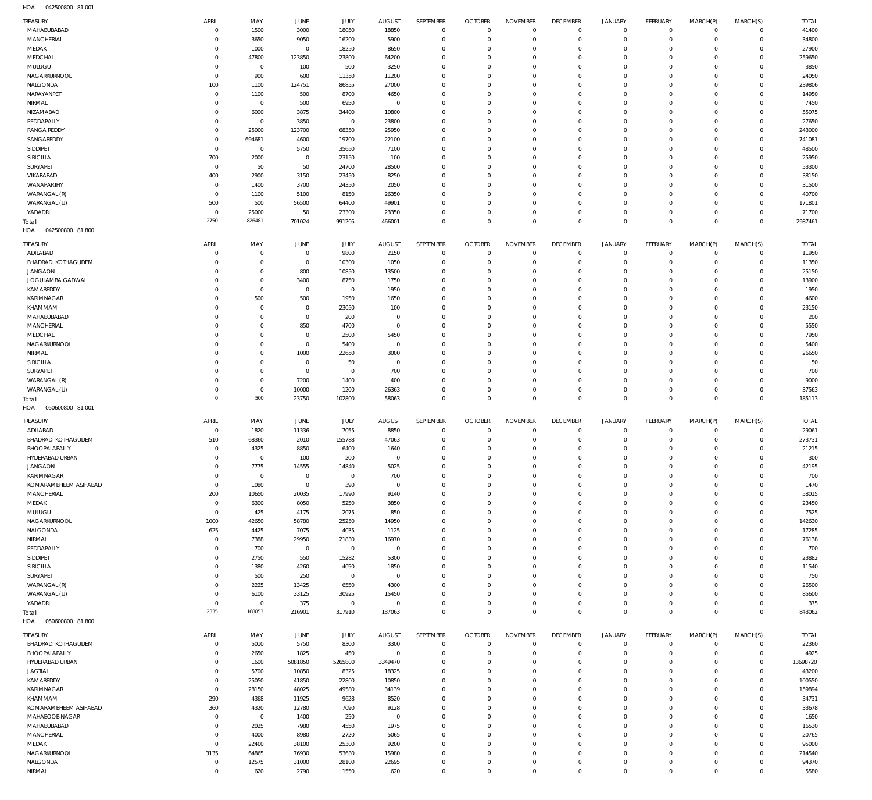042500800 81 001 HOA

| TREASURY                     | <b>APRIL</b>     | MAY                 | JUNE           | <b>JULY</b>          | <b>AUGUST</b>       | SEPTEMBER                  | <b>OCTOBER</b>               | <b>NOVEMBER</b>                    | <b>DECEMBER</b>            | <b>JANUARY</b>                     | FEBRUARY                         | MARCH(P)                   | MARCH(S)                   | <b>TOTAL</b>    |
|------------------------------|------------------|---------------------|----------------|----------------------|---------------------|----------------------------|------------------------------|------------------------------------|----------------------------|------------------------------------|----------------------------------|----------------------------|----------------------------|-----------------|
| MAHABUBABAD                  | C                | 1500                | 3000           | 18050                | 18850               | $\mathbb O$                | $\overline{0}$               | $\mathbf 0$                        | 0                          | $\mathbf 0$                        | $\overline{0}$                   | $\mathbf 0$                | $\circ$                    | 41400           |
| MANCHERIAL                   | C                | 3650                | 9050           | 16200                | 5900                | $\mathbb O$                | $^{\circ}$                   | $\mathbf{0}$                       | $\mathbf 0$                | $\mathbf 0$                        | $\overline{0}$                   | $\mathbf 0$                | $\mathbf{0}$               | 34800           |
| MEDAK                        | C                | 1000                | $\overline{0}$ | 18250                | 8650                | $\mathbf 0$                | $^{\circ}$                   | $^{\circ}$                         | $\mathbf 0$                | $\mathbf 0$                        | $\mathbf 0$                      | $\mathbf 0$                | $\mathbf 0$                | 27900           |
| MEDCHAL                      | 0                | 47800               | 123850         | 23800                | 64200               | $\mathbf 0$                | $^{\circ}$                   | $\mathbf{0}$                       | $\mathbf 0$                | $\mathbf 0$                        | $\mathbf 0$                      | $\Omega$                   | $\mathbf 0$                | 259650          |
| MULUGU                       | C                | $\mathbf 0$         | 100            | 500                  | 3250                | $\mathbf 0$                | $^{\circ}$                   | $\mathbf{0}$                       | 0                          | $\mathbf 0$                        | $\mathbf 0$                      | 0                          | $\mathbf 0$                | 3850            |
| NAGARKURNOOL                 | $\mathbf 0$      | 900                 | 600            | 11350                | 11200               | $\mathbf 0$                | $^{\circ}$                   | $\mathbf{0}$                       | $\mathbf 0$                | $\mathbf 0$                        | $\mathbf 0$                      | $\Omega$                   | $\mathbf 0$                | 24050           |
| NALGONDA                     | 100              | 1100                | 124751         | 86855                | 27000               | $\mathbf 0$                | $^{\circ}$                   | $\mathbf{0}$                       | 0                          | $\mathbf 0$                        | $\mathbf 0$                      | $\Omega$                   | $\mathbf 0$                | 239806          |
| NARAYANPET                   | $\overline{0}$   | 1100                | 500            | 8700                 | 4650                | $\mathbb O$                | $^{\circ}$                   | $\mathbf{0}$                       | $\mathbf 0$                | $\mathbf 0$                        | $\mathbf 0$                      | $\Omega$                   | $\mathbf 0$                | 14950           |
| NIRMAL                       | 0                | $\mathbf 0$         | 500            | 6950                 | $\mathbf 0$         | $\mathbf 0$                | $^{\circ}$                   | $\mathbf{0}$                       | 0                          | $\mathbf 0$<br>$\mathbf 0$         | $\mathbf 0$                      | $\Omega$                   | $\mathbf 0$<br>$\mathbf 0$ | 7450            |
| NIZAMABAD<br>PEDDAPALLY      | 0<br>0           | 6000<br>$\mathbf 0$ | 3875<br>3850   | 34400<br>$\mathbf 0$ | 10800<br>23800      | $\mathbb O$<br>$\mathbf 0$ | $^{\circ}$<br>$^{\circ}$     | $\mathbf{0}$<br>$\mathbf{0}$       | 0<br>$\mathbf 0$           | $\mathbf 0$                        | $\mathbf 0$<br>$\mathbf 0$       | 0<br>$\Omega$              | $\mathbf 0$                | 55075<br>27650  |
| <b>RANGA REDDY</b>           | 0                | 25000               | 123700         | 68350                | 25950               | $\mathbf 0$                | $^{\circ}$                   | $\mathbf{0}$                       | 0                          | $\mathbf 0$                        | $\mathbf 0$                      | $\Omega$                   | $\mathbf 0$                | 243000          |
| SANGAREDDY                   | C                | 694681              | 4600           | 19700                | 22100               | $\mathbf 0$                | $^{\circ}$                   | $\mathbf{0}$                       | $\mathbf 0$                | $\mathbf 0$                        | $\mathbf 0$                      | $\Omega$                   | $\mathbf 0$                | 741081          |
| SIDDIPET                     | $^{\circ}$       | $\mathbf 0$         | 5750           | 35650                | 7100                | $\mathbf 0$                | $^{\circ}$                   | $\mathbf{0}$                       | $\mathbf 0$                | $\mathbf 0$                        | $\mathbf 0$                      | $\Omega$                   | $\mathbf 0$                | 48500           |
| SIRICILLA                    | 700              | 2000                | $\overline{0}$ | 23150                | 100                 | $\mathbf 0$                | $^{\circ}$                   | $\mathbf{0}$                       | 0                          | $\mathbf 0$                        | $\mathbf 0$                      | $\Omega$                   | $\mathbf 0$                | 25950           |
| SURYAPET                     | $\mathbf 0$      | 50                  | 50             | 24700                | 28500               | $\mathbf 0$                | $^{\circ}$                   | $\mathbf{0}$                       | $\mathbf 0$                | $\mathbf 0$                        | $\mathbf 0$                      | $\Omega$                   | $\mathbf 0$                | 53300           |
| VIKARABAD                    | 400              | 2900                | 3150           | 23450                | 8250                | $\mathbf 0$                | $^{\circ}$                   | $\mathbf{0}$                       | 0                          | $\mathbf 0$                        | $\mathbf 0$                      | $\Omega$                   | $\mathbf 0$                | 38150           |
| WANAPARTHY                   | $\overline{0}$   | 1400                | 3700           | 24350                | 2050                | $\mathbf 0$                | $^{\circ}$                   | $\mathbf{0}$                       | $\mathbf 0$                | $\mathbf 0$                        | $\mathbf 0$                      | $\Omega$                   | $\mathbf 0$                | 31500           |
| WARANGAL (R)                 | $^{\circ}$       | 1100                | 5100           | 8150                 | 26350               | $\mathbf 0$                | $^{\circ}$                   | $\mathbf{0}$                       | 0                          | $\mathbf 0$                        | $\mathbf 0$                      | $\Omega$                   | $\mathbf 0$                | 40700           |
| WARANGAL (U)                 | 500              | 500                 | 56500          | 64400                | 49901               | $\mathbf 0$                | $^{\circ}$                   | $\mathbf{0}$                       | $\mathbf 0$                | $\mathbf 0$                        | $\mathbf 0$                      | 0                          | $\mathbf 0$                | 171801          |
| YADADRI                      | $\overline{0}$   | 25000               | 50             | 23300                | 23350               | $\mathbf 0$                | $^{\circ}$                   | $\mathbf{0}$                       | $\mathbf 0$                | $\mathbf 0$                        | $\mathbf 0$                      | $\mathbf 0$                | $\mathbf 0$                | 71700           |
| Total:                       | 2750             | 826481              | 701024         | 991205               | 466001              | $\mathsf 0$                | $\mathbf 0$                  | $\mathbf 0$                        | $\mathbf 0$                | $\mathbf 0$                        | $\overline{0}$                   | $\mathbf 0$                | $\overline{0}$             | 2987461         |
| 042500800 81 800<br>HOA      |                  |                     |                |                      |                     |                            |                              |                                    |                            |                                    |                                  |                            |                            |                 |
| <b>TREASURY</b>              | APRIL            | MAY                 | JUNE           | JULY                 | <b>AUGUST</b>       | SEPTEMBER                  | <b>OCTOBER</b>               | <b>NOVEMBER</b>                    | <b>DECEMBER</b>            | <b>JANUARY</b>                     | FEBRUARY                         | MARCH(P)                   | MARCH(S)                   | <b>TOTAL</b>    |
| ADILABAD                     | $\overline{0}$   | $\mathbf 0$         | $\mathbf 0$    | 9800                 | 2150                | $\mathbf 0$                | $\overline{0}$               | $\mathbf 0$                        | $\mathbf 0$                | $\mathbf 0$                        | $\overline{0}$                   | $\mathbf 0$                | $\mathbf{0}$               | 11950           |
| <b>BHADRADI KOTHAGUDEM</b>   | 0                | $\mathbf 0$         | $\mathbf 0$    | 10300                | 1050                | $\mathbf 0$                | $^{\circ}$                   | $\overline{0}$                     | $\mathbf 0$                | $\mathbf 0$                        | $\overline{0}$                   | $\mathbf 0$                | $\mathbf 0$                | 11350           |
| <b>JANGAON</b>               | 0                | $\mathbf 0$         | 800            | 10850                | 13500               | $\mathbf 0$                | $^{\circ}$                   | $\mathbf 0$                        | $\mathbf 0$                | $\mathbf 0$                        | $^{\circ}$                       | $\Omega$                   | $\mathbf 0$                | 25150           |
| JOGULAMBA GADWAL             | 0                | $\mathbf 0$         | 3400           | 8750                 | 1750                | $\mathbf 0$                | $^{\circ}$                   | $\mathbf{0}$                       | $\mathbf 0$                | $\mathbf 0$                        | $^{\circ}$                       | $\Omega$                   | $\mathbf 0$                | 13900           |
| KAMAREDDY                    | 0                | $\mathbf 0$         | $^{\circ}$     | $\mathbf 0$          | 1950                | $\mathbf 0$                | $^{\circ}$                   | $\mathbf{0}$                       | $\mathbf 0$                | $\mathbf 0$                        | $\mathbf 0$                      | $\Omega$                   | $\mathbf 0$                | 1950            |
| KARIMNAGAR                   | 0                | 500                 | 500            | 1950                 | 1650                | $\mathbf 0$                | $^{\circ}$                   | $\mathbf{0}$                       | $\mathbf 0$                | $\mathbf 0$                        | $\mathbf 0$                      | $\Omega$                   | $\mathbf 0$                | 4600            |
| KHAMMAM                      | 0                | $\mathbf 0$         | $\mathbf{0}$   | 23050                | 100                 | $\mathbf 0$                | $^{\circ}$                   | $\mathbf{0}$                       | $\mathbf 0$                | $\mathbf 0$                        | $\mathbf 0$                      | $\Omega$                   | $\mathbf 0$                | 23150           |
| MAHABUBABAD                  | $\Omega$         | $\mathbf 0$         | $\mathbf{0}$   | 200                  | $\mathbf 0$         | $\mathbf 0$                | $^{\circ}$                   | $\mathbf{0}$                       | $\mathbf 0$                | $\mathbf 0$                        | $\mathbf 0$                      | $\Omega$                   | $\mathbf 0$                | 200             |
| MANCHERIAL                   | 0                | $\mathbf 0$         | 850            | 4700                 | $\mathbf 0$         | $\mathbf 0$                | $^{\circ}$                   | $\mathbf{0}$                       | $\mathbf 0$                | $\mathbf 0$                        | $\mathbf 0$                      | $\mathbf 0$                | $\mathbf 0$                | 5550            |
| MEDCHAL                      | 0                | $\mathbf 0$         | $\mathbf{0}$   | 2500                 | 5450                | $\mathbf 0$                | $^{\circ}$                   | $\mathbf{0}$                       | $\mathbf 0$                | $\mathbf 0$                        | $\mathbf 0$                      | $\Omega$                   | $\mathbf 0$                | 7950            |
| NAGARKURNOOL                 | 0                | $\mathbf 0$         | $\mathbf{0}$   | 5400                 | $\mathbf 0$         | $\mathbf 0$                | $^{\circ}$                   | $\mathbf{0}$                       | $\mathbf 0$                | $\mathbf 0$                        | $\mathbf 0$                      | $\Omega$                   | $\mathbf 0$                | 5400            |
| NIRMAL                       | 0                | $\mathbf 0$         | 1000           | 22650                | 3000                | $\mathbf 0$                | $^{\circ}$                   | $\mathbf{0}$                       | $\mathbf 0$                | $\mathbf 0$                        | $\mathbf 0$                      | $\Omega$                   | $\mathbf 0$                | 26650           |
| SIRICILLA                    | 0                | $\mathbf 0$         | $^{\circ}$     | 50                   | $\mathbf 0$         | $\mathbf 0$                | $^{\circ}$                   | $\mathbf{0}$                       | $\mathbf 0$                | $\mathbf 0$                        | $\Omega$                         | $\Omega$                   | $\mathbf 0$                | 50              |
| SURYAPET                     | 0                | $\mathbf 0$         | $^{\circ}$     | $\mathbf 0$          | 700                 | $\mathbf 0$                | $^{\circ}$                   | $\mathbf{0}$                       | 0                          | $\mathbf 0$                        | $\mathbf 0$                      | $\Omega$                   | $\mathbf 0$                | 700             |
| WARANGAL (R)                 | 0                | $\mathbf 0$         | 7200           | 1400                 | 400                 | $\mathbf 0$                | $^{\circ}$                   | $\mathbf{0}$                       | $\mathbf 0$                | $\mathbf 0$                        | $\mathbf 0$                      | $\Omega$                   | $\mathbf 0$                | 9000            |
| WARANGAL (U)                 | 0<br>$\mathbf 0$ | $\mathbf 0$<br>500  | 10000          | 1200                 | 26363               | $\mathbf 0$                | $^{\circ}$                   | $\mathbf{0}$                       | $\mathbf 0$                | $\mathbf 0$<br>$\mathbf 0$         | $\mathbf 0$                      | $\mathbf 0$                | $\mathbf 0$                | 37563           |
|                              |                  |                     |                |                      |                     | $\mathsf 0$                | $\mathbf 0$                  | $\mathbf 0$                        | $\mathbf 0$                |                                    | $\overline{0}$                   | $\mathbf 0$                | $\overline{0}$             | 185113          |
| Total:                       |                  |                     | 23750          | 102800               | 58063               |                            |                              |                                    |                            |                                    |                                  |                            |                            |                 |
| 050600800 81 001<br>HOA      |                  |                     |                |                      |                     |                            |                              |                                    |                            |                                    |                                  |                            |                            |                 |
| <b>TREASURY</b>              | <b>APRIL</b>     | MAY                 | JUNE           | JULY                 | <b>AUGUST</b>       | SEPTEMBER                  | <b>OCTOBER</b>               | <b>NOVEMBER</b>                    | <b>DECEMBER</b>            | <b>JANUARY</b>                     | FEBRUARY                         | MARCH(P)                   | MARCH(S)                   | <b>TOTAL</b>    |
| ADILABAD                     | $^{\circ}$       | 1820                | 11336          | 7055                 | 8850                | $\mathbf 0$                | $\overline{0}$               | $\mathbf{0}$                       | $\mathbf 0$                | $\mathbf 0$                        | $\mathbf 0$                      | $\mathbf 0$                | $\mathbf{0}$               | 29061           |
| <b>BHADRADI KOTHAGUDEM</b>   | 510              | 68360               | 2010           | 155788               | 47063               | $\mathbf 0$                | $\overline{0}$               | $^{\circ}$                         | 0                          | $\mathbf 0$                        | $^{\circ}$                       | $\mathbf 0$                | $\mathbf 0$                | 273731          |
| BHOOPALAPALLY                | $\overline{0}$   | 4325                | 8850           | 6400                 | 1640                | $\mathbf 0$                | $^{\circ}$                   | $\mathbf{0}$                       | $\mathbf 0$                | $\mathbf 0$                        | $\mathbf 0$                      | $\mathbf 0$                | $\mathbf 0$                | 21215           |
| HYDERABAD URBAN              | $\mathbf{0}$     | $\mathbf 0$         | 100            | 200                  | $\mathbf 0$         | $\mathbf 0$                | $\mathbf 0$                  | $\mathbf 0$                        | $\mathbf 0$                | $\mathbf 0$                        | $\overline{0}$                   | $\mathbf 0$                | $\circ$                    | 300             |
| JANGAON                      | $\cap$           | 7775                | 14555          | 14840                | 5025                | $\Omega$                   | $\cap$                       | $\cap$                             | $\cap$                     | $\cap$                             | $\Omega$                         | $\cap$                     | $\cap$                     | 42195           |
| KARIMNAGAR                   | 0                | $\mathbf 0$         | $^{\circ}$     | $\mathbf 0$          | 700                 | $\mathbf 0$                | $^{\circ}$                   | $\mathbf{0}$                       | $\mathbf 0$                | $\mathbf 0$                        | $\mathbf 0$                      | $\mathbf 0$                | $\mathbf{0}$               | 700             |
| KOMARAMBHEEM ASIFABAD        | $\mathbf 0$      | 1080                | $\mathbf 0$    | 390                  | $\mathbf 0$         | $\mathbf 0$                | $\mathbf 0$                  | $\mathbf 0$                        | $\mathbf 0$                | $\mathbf 0$                        | $\mathbf 0$                      | $\mathbf 0$                | $\mathbf 0$                | 1470            |
| MANCHERIAL                   | 200              | 10650               | 20035          | 17990                | 9140                | $\mathbf 0$                | $^{\circ}$                   | $\mathbf 0$                        | $\mathbf 0$                | $\mathbf 0$                        | $\mathbf 0$                      | $\Omega$                   | $\mathbf{0}$               | 58015           |
| MEDAK                        | $\mathbf 0$      | 6300                | 8050           | 5250                 | 3850                | $\mathbf 0$                | $^{\circ}$                   | $\mathbf{0}$                       | $\mathbf 0$                | $\mathbf 0$                        | $\mathbf 0$                      | $\mathbf 0$                | $\mathbf 0$                | 23450           |
| MULUGU                       | $\mathbf 0$      | 425                 | 4175           | 2075                 | 850                 | $\mathbf 0$                | $^{\circ}$                   | $\mathbf 0$                        | $\mathbf 0$                | $\mathbf 0$                        | $\mathbf 0$                      | $\Omega$                   | $\mathbf 0$                | 7525            |
| NAGARKURNOOL                 | 1000             | 42650               | 58780          | 25250                | 14950               | $\mathbf 0$                | $\mathbf 0$                  | $\mathbf{0}$                       | $\mathbf 0$                | $\mathbf 0$                        | $\mathbf 0$                      | $\Omega$                   | $\mathbf 0$                | 142630          |
| NALGONDA                     | 625              | 4425                | 7075           | 4035                 | 1125                | $\mathbf 0$                | $^{\circ}$                   | $\mathbf 0$                        | $\mathbf 0$                | $\mathbf 0$                        | $\mathbf 0$                      | $\Omega$<br>$\Omega$       | $\mathbf 0$                | 17285           |
| NIRMAL                       | $^{\circ}$       | 7388                | 29950          | 21830                | 16970               | $\mathbf 0$                | $\mathbf 0$                  | $\mathbf{0}$                       | $\mathbf 0$                | $\mathbf 0$                        | $\mathbf 0$                      |                            | $\mathbf 0$                | 76138           |
| PEDDAPALLY                   | $\mathbf 0$<br>0 | 700                 | $\mathbf 0$    | $\mathbf 0$          | $\mathbf 0$         | $\mathbf 0$<br>$\mathbf 0$ | $^{\circ}$<br>$\mathbf 0$    | $\mathbf 0$<br>$\mathbf 0$         | $\mathbf 0$<br>$\mathbf 0$ | $\mathbf 0$<br>$\mathbf 0$         | $\mathbf 0$<br>$\mathbf 0$       | $\Omega$<br>$\Omega$       | $\mathbf 0$<br>$\mathbf 0$ | 700             |
| SIDDIPET<br>SIRICILLA        | 0                | 2750<br>1380        | 550<br>4260    | 15282<br>4050        | 5300<br>1850        | $\mathbf 0$                | $^{\circ}$                   | $\mathbf 0$                        | $\mathbf 0$                | $\mathbf 0$                        | $\mathbf 0$                      | $\mathbf 0$                | $\mathbf 0$                | 23882<br>11540  |
|                              | 0                |                     |                |                      | $\mathbf 0$         | $\mathbf 0$                | $^{\circ}$                   | $\mathbf 0$                        | $\mathbf 0$                | $\mathbf 0$                        | $\mathbf 0$                      | $\Omega$                   | $\mathbf 0$                |                 |
| SURYAPET                     | 0                | 500                 | 250            | $\mathbf 0$          |                     |                            | $^{\circ}$                   | $\mathbf 0$                        | $\mathbf 0$                | $\mathbf 0$                        | $\mathbf 0$                      | $\mathbf 0$                | $\mathbf{0}$               | 750             |
| WARANGAL (R)<br>WARANGAL (U) | 0                | 2225<br>6100        | 13425<br>33125 | 6550<br>30925        | 4300<br>15450       | $\mathbf 0$<br>$\mathbf 0$ | $\mathbf 0$                  | $\mathbf{0}$                       | $\mathbf 0$                | $\mathbf 0$                        | $\mathbf 0$                      | $\mathbf 0$                | $\mathbf 0$                | 26500<br>85600  |
| YADADRI                      | $^{\circ}$       | $\mathbf 0$         | 375            | $\mathbf 0$          | $\mathbf 0$         | $\mathbf 0$                | $^{\circ}$                   | $\mathbf 0$                        | $\mathbf 0$                | $\mathsf{O}\xspace$                | $\mathbf 0$                      | $\mathbf 0$                | $\circ$                    | 375             |
| Total:                       | 2335             | 168853              | 216901         | 317910               | 137063              | $\mathsf 0$                | $\mathbf 0$                  | $\mathbb O$                        | $\bf 0$                    | $\mathsf{O}\xspace$                | $\overline{0}$                   | $\mathbf 0$                | $\overline{0}$             | 843062          |
| 050600800 81 800<br>HOA      |                  |                     |                |                      |                     |                            |                              |                                    |                            |                                    |                                  |                            |                            |                 |
|                              |                  |                     |                |                      |                     |                            |                              |                                    |                            |                                    |                                  |                            |                            |                 |
| TREASURY                     | APRIL            | MAY                 | JUNE           | JULY                 | AUGUST              | SEPTEMBER                  | <b>OCTOBER</b>               | <b>NOVEMBER</b>                    | <b>DECEMBER</b>            | <b>JANUARY</b>                     | FEBRUARY                         | MARCH(P)                   | MARCH(S)                   | <b>TOTAL</b>    |
| BHADRADI KOTHAGUDEM          | $^{\circ}$<br>0  | 5010                | 5750           | 8300                 | 3300<br>$\mathbf 0$ | $\mathbf{0}$               | $\overline{0}$<br>$^{\circ}$ | $\mathbf 0$<br>$\mathbf 0$         | $\mathbf 0$<br>$\mathbf 0$ | $\overline{0}$                     | $\overline{0}$<br>$\overline{0}$ | $\mathbf 0$<br>$\mathbf 0$ | $\overline{0}$             | 22360           |
| BHOOPALAPALLY                | 0                | 2650                | 1825           | 450                  |                     | $\mathbb O$<br>$\mathbf 0$ | $^{\circ}$                   | $\mathbf 0$                        | $\mathbf 0$                | $\mathsf{O}\xspace$<br>$\mathbf 0$ | $\mathbf 0$                      | $\mathbf 0$                | $\circ$<br>$\mathbf{0}$    | 4925            |
| HYDERABAD URBAN              | $^{\circ}$       | 1600                | 5081850        | 5265800              | 3349470             | $\mathbf 0$                | $\mathbf 0$                  | $\mathbf 0$                        | $\mathbf 0$                | $\mathbf 0$                        | $\mathbf 0$                      | $\mathbf 0$                | $\mathbf{0}$               | 13698720        |
| <b>JAGTIAL</b><br>KAMAREDDY  | $\mathbf 0$      | 5700<br>25050       | 10850<br>41850 | 8325<br>22800        | 18325<br>10850      | $\mathbb O$                | $^{\circ}$                   | $\mathbf 0$                        | $\mathbf 0$                | $\mathbf 0$                        | $\mathbf 0$                      | $\Omega$                   | $\mathbf 0$                | 43200<br>100550 |
| KARIMNAGAR                   | $^{\circ}$       | 28150               | 48025          | 49580                | 34139               | $\mathbf 0$                | $\mathbf 0$                  | $\mathbf 0$                        | $\mathbf 0$                | $\mathbf 0$                        | $\mathbf 0$                      | $\mathbf 0$                | $\mathbf 0$                | 159894          |
| KHAMMAM                      | 290              | 4368                | 11925          | 9628                 | 8520                | $\mathbf 0$                | $^{\circ}$                   | $\mathbf 0$                        | $\mathbf 0$                | $\mathbf 0$                        | $\mathbf 0$                      | $\mathbf 0$                | $\mathbf 0$                | 34731           |
| KOMARAMBHEEM ASIFABAD        | 360              | 4320                | 12780          | 7090                 | 9128                | $\mathbf 0$                | $\mathbf 0$                  | $\mathbf 0$                        | $\mathbf 0$                | $\mathbf 0$                        | $\mathbf 0$                      | $\mathbf 0$                | $\mathbf{0}$               | 33678           |
| MAHABOOB NAGAR               | $^{\circ}$       | $\mathbf 0$         | 1400           | 250                  | $\mathbf 0$         | $\mathbf 0$                | $^{\circ}$                   | $\mathbf 0$                        | $\mathbf 0$                | $\mathbf 0$                        | $\mathbf 0$                      | $\mathbf 0$                | $\mathbf 0$                | 1650            |
| MAHABUBABAD                  | $^{\circ}$       | 2025                | 7980           | 4550                 | 1975                | $\mathbf 0$                | $^{\circ}$                   | $\mathbf 0$                        | $\mathbf 0$                | $\mathbf 0$                        | $\mathbf 0$                      | $\Omega$                   | $\mathbf 0$                | 16530           |
| MANCHERIAL                   | $^{\circ}$       | 4000                | 8980           | 2720                 | 5065                | $\mathbf 0$                | $^{\circ}$                   | $\mathbf 0$                        | $\mathbf 0$                | $\mathbf 0$                        | $\mathbf 0$                      | $\mathbf 0$                | $\mathbf 0$                | 20765           |
| MEDAK                        | $^{\circ}$       | 22400               | 38100          | 25300                | 9200                | $\mathbf 0$                | $\mathbf 0$                  | $\mathbf 0$                        | $\mathbf 0$                | $\mathbf 0$                        | $\mathbf 0$                      | $\mathbf 0$                | $\mathbf 0$                | 95000           |
| NAGARKURNOOL                 | 3135             | 64865               | 76930          | 53630                | 15980               | $\mathbf 0$                | $\mathbf 0$                  | $\mathbf 0$                        | $\mathbf 0$                | $\mathbf 0$                        | $\mathbf 0$                      | $\mathbf 0$                | $\mathbf{0}$               | 214540          |
| NALGONDA<br>NIRMAL           | $\mathbf 0$      | 12575<br>620        | 31000<br>2790  | 28100<br>1550        | 22695               | $\mathbf 0$                | $\mathbf 0$                  | $\mathbb O$<br>$\mathsf{O}\xspace$ | 0<br>$\mathbf 0$           | $\mathsf{O}\xspace$<br>$\mathbf 0$ | $\mathbf 0$<br>$\overline{0}$    | $\circ$<br>$\mathbf 0$     | $\mathbf 0$<br>$\mathbb O$ | 94370<br>5580   |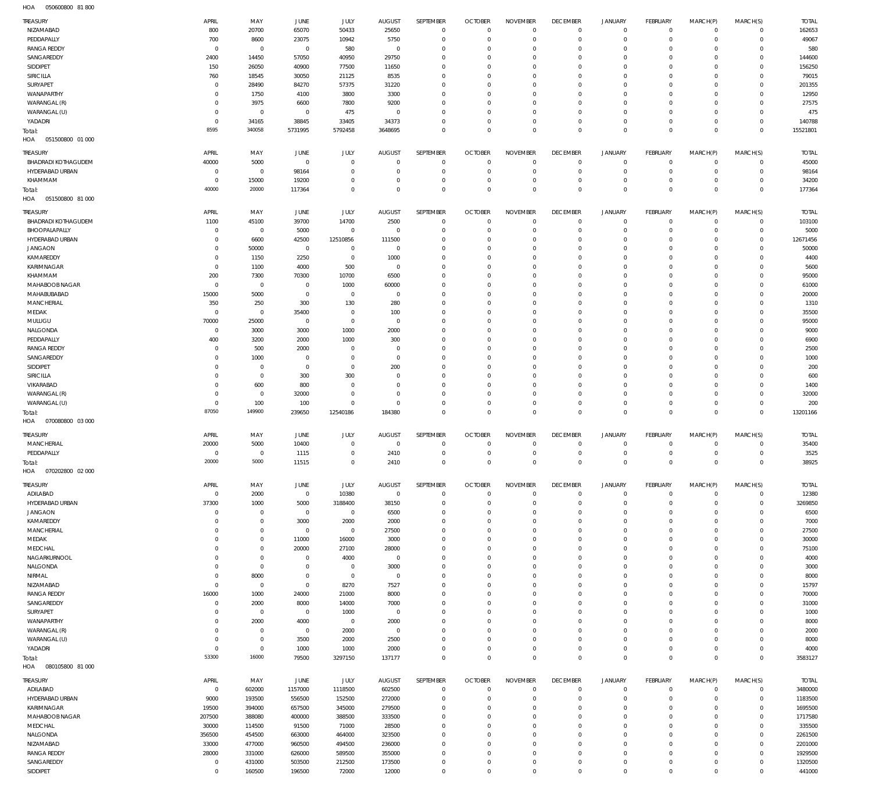050600800 81 800 HOA

| <b>TREASURY</b>                  | APRIL                      | MAY                        | JUNE                    | JULY                       | <b>AUGUST</b>         | SEPTEMBER                   | <b>OCTOBER</b>                   | <b>NOVEMBER</b>                | <b>DECEMBER</b>                | <b>JANUARY</b>                | FEBRUARY                   | MARCH(P)                   | MARCH(S)                   | <b>TOTAL</b>            |
|----------------------------------|----------------------------|----------------------------|-------------------------|----------------------------|-----------------------|-----------------------------|----------------------------------|--------------------------------|--------------------------------|-------------------------------|----------------------------|----------------------------|----------------------------|-------------------------|
| NIZAMABAD                        | 800                        | 20700                      | 65070                   | 50433                      | 25650                 | $\mathbf 0$                 | $\mathbf 0$                      | $\mathbf 0$                    | $\mathbf 0$                    | $\mathbf 0$                   | $\mathbf 0$                | $\mathbf 0$                | $\mathbf{0}$               | 162653                  |
| PEDDAPALLY                       | 700                        | 8600                       | 23075                   | 10942                      | 5750                  | $\mathbf 0$                 | 0                                | $\mathbf 0$                    | $\mathbf 0$                    | $\mathbf 0$                   | $\mathbf 0$                | $\mathbf 0$                | $\mathbf 0$                | 49067                   |
| <b>RANGA REDDY</b>               | $\overline{0}$             | $\mathbf 0$                | $^{\circ}$              | 580                        | $^{\circ}$            | $\mathbf 0$                 | 0                                | $\mathbf 0$                    | 0                              | $\mathbf 0$                   | $\mathbf 0$                | 0                          | $\mathbf 0$                | 580                     |
| SANGAREDDY                       | 2400                       | 14450                      | 57050                   | 40950                      | 29750                 | $\mathbf 0$                 | 0                                | $\mathbf 0$                    | $\mathbf 0$                    | $\mathbf 0$                   | $\mathbf 0$                | $\Omega$                   | $\mathbf 0$                | 144600                  |
| SIDDIPET                         | 150                        | 26050                      | 40900                   | 77500                      | 11650                 | $\mathbf 0$                 | 0                                | $\mathbf 0$                    | 0                              | $\mathbf 0$                   | $\mathbf 0$                | $\Omega$<br>$\Omega$       | $\circ$<br>$\mathbf 0$     | 156250                  |
| SIRICILLA<br>SURYAPET            | 760<br>$\circ$             | 18545<br>28490             | 30050<br>84270          | 21125<br>57375             | 8535<br>31220         | $\mathbf 0$<br>$\mathbf 0$  | 0<br>0                           | $\mathbf 0$<br>$\mathbf 0$     | $\mathbf 0$<br>0               | $\mathbf 0$<br>$\mathbf 0$    | $\mathbf 0$<br>$\mathbf 0$ | $\Omega$                   | $\mathbf 0$                | 79015<br>201355         |
| WANAPARTHY                       | $\Omega$                   | 1750                       | 4100                    | 3800                       | 3300                  | $\mathbf 0$                 | 0                                | $\mathbf 0$                    | $\mathbf 0$                    | $\mathbf 0$                   | $\mathbf 0$                | $\Omega$                   | $\mathbf 0$                | 12950                   |
| WARANGAL (R)                     | $\Omega$                   | 3975                       | 6600                    | 7800                       | 9200                  | $\mathbf 0$                 | 0                                | $\mathbf 0$                    | 0                              | $\mathbf 0$                   | $\mathbf 0$                | $\mathbf 0$                | $\mathbf 0$                | 27575                   |
| WARANGAL (U)                     | $\Omega$                   | $\mathbf 0$                | $\overline{0}$          | 475                        | $^{\circ}$            | $\mathbf 0$                 | 0                                | $\mathbf 0$                    | $\mathbf 0$                    | $\mathbf 0$                   | $\mathbf 0$                | 0                          | $\mathbf 0$                | 475                     |
| YADADRI                          | $\Omega$                   | 34165                      | 38845                   | 33405                      | 34373                 | $\mathbf 0$                 | $\overline{0}$                   | $\mathbf 0$                    | $\mathbf 0$                    | $\mathbf 0$                   | $\mathbf 0$                | $\mathbf 0$                | $\mathbf 0$                | 140788                  |
| Total:                           | 8595                       | 340058                     | 5731995                 | 5792458                    | 3648695               | $\mathbb O$                 | $\overline{0}$                   | $\mathbf 0$                    | $\mathbf 0$                    | $\mathbf 0$                   | $\mathbf 0$                | $\mathbf 0$                | $\overline{0}$             | 15521801                |
| 051500800 01 000<br>HOA          |                            |                            |                         |                            |                       |                             |                                  |                                |                                |                               |                            |                            |                            |                         |
| <b>TREASURY</b>                  | APRIL                      | MAY                        | JUNE                    | JULY                       | <b>AUGUST</b>         | SEPTEMBER                   | <b>OCTOBER</b>                   | <b>NOVEMBER</b>                | <b>DECEMBER</b>                | <b>JANUARY</b>                | FEBRUARY                   | MARCH(P)                   | MARCH(S)                   | <b>TOTAL</b>            |
| <b>BHADRADI KOTHAGUDEM</b>       | 40000                      | 5000                       | $\overline{0}$          | $\overline{0}$             | $^{\circ}$            | $\mathbf{0}$                | $\overline{0}$                   | $\mathbf 0$                    | $\mathbf 0$                    | $\mathbf 0$                   | $\mathbf 0$                | $\mathbf 0$                | $\mathbf{0}$               | 45000                   |
| HYDERABAD URBAN                  | $\circ$                    | $\mathbf 0$                | 98164                   | $\overline{0}$             | 0                     | $\mathbf 0$                 | 0                                | $\mathbf 0$                    | $\mathbf 0$                    | $\mathbf 0$                   | $\mathbf 0$                | $\mathbf 0$                | $\mathbf{0}$               | 98164                   |
| KHAMMAM                          | $\Omega$                   | 15000                      | 19200                   | $\mathbf 0$                | 0                     | $\mathbf 0$                 | $\overline{0}$                   | $\mathbf 0$                    | $\mathbf 0$                    | $\mathbf 0$                   | $\mathbf 0$                | $\mathbf 0$                | $\mathbf{0}$               | 34200                   |
| Total:                           | 40000                      | 20000                      | 117364                  | $\mathbf 0$                | $\Omega$              | $\mathbb O$                 | $^{\circ}$                       | $\mathbf 0$                    | $\mathbf 0$                    | $\mathbf 0$                   | $\mathbf{0}$               | $\mathbf 0$                | $\mathbf{0}$               | 177364                  |
| HOA<br>051500800 81 000          |                            |                            |                         |                            |                       |                             |                                  |                                |                                |                               |                            |                            |                            |                         |
| <b>TREASURY</b>                  | APRIL                      | MAY                        | JUNE                    | JULY                       | <b>AUGUST</b>         | SEPTEMBER                   | <b>OCTOBER</b>                   | <b>NOVEMBER</b>                | <b>DECEMBER</b>                | JANUARY                       | FEBRUARY                   | MARCH(P)                   | MARCH(S)                   | <b>TOTAL</b>            |
| <b>BHADRADI KOTHAGUDEM</b>       | 1100                       | 45100                      | 39700                   | 14700                      | 2500                  | $\mathbf 0$                 | 0                                | $^{\circ}$                     | $\mathbf 0$                    | 0                             | $^{\circ}$                 | $\mathbf 0$                | $\mathbf{0}$               | 103100                  |
| BHOOPALAPALLY                    | $\circ$                    | $\mathbf 0$                | 5000                    | $\mathbf 0$                | $\mathbf{0}$          | $\mathbf 0$                 | 0                                | $\mathbf 0$                    | $^{\circ}$                     | 0                             | $\mathbf 0$                | $\mathbf 0$                | $\mathbf{0}$               | 5000                    |
| HYDERABAD URBAN                  | $\Omega$                   | 6600                       | 42500                   | 12510856                   | 111500                | $\mathbf 0$                 | 0                                | $\mathbf 0$                    | $^{\circ}$                     | $\mathbf 0$                   | $\mathbf 0$                | $\Omega$                   | $\circ$                    | 12671456                |
| <b>JANGAON</b><br>KAMAREDDY      | $\Omega$<br>$\Omega$       | 50000                      | $\mathbf 0$<br>2250     | $\mathbf 0$<br>$\mathbf 0$ | $^{\circ}$<br>1000    | $\mathbf 0$<br>$\mathbf 0$  | 0                                | $\mathbf 0$<br>$\mathbf 0$     | 0<br>$^{\circ}$                | $\mathbf 0$<br>$\mathbf 0$    | $\mathbf 0$<br>$\mathbf 0$ | $\mathbf 0$<br>$\Omega$    | $\mathbf 0$<br>$\mathbf 0$ | 50000<br>4400           |
| KARIMNAGAR                       | $\Omega$                   | 1150<br>1100               | 4000                    | 500                        | $^{\circ}$            | $\mathbf 0$                 | 0<br>0                           | $\mathbf 0$                    | 0                              | $\mathbf 0$                   | $\mathbf 0$                | $\Omega$                   | $\mathbf 0$                | 5600                    |
| KHAMMAM                          | 200                        | 7300                       | 70300                   | 10700                      | 6500                  | $\mathbf 0$                 | 0                                | $\mathbf 0$                    | 0                              | $\mathbf 0$                   | $\mathbf 0$                | $\Omega$                   | $\mathbf 0$                | 95000                   |
| MAHABOOB NAGAR                   | $^{\circ}$                 | $\mathbf 0$                | $^{\circ}$              | 1000                       | 60000                 | $\mathbf 0$                 | $\mathbf 0$                      | $\mathbf 0$                    | $^{\circ}$                     | $\mathbf 0$                   | $\mathbf 0$                | $\Omega$                   | $\mathbf 0$                | 61000                   |
| MAHABUBABAD                      | 15000                      | 5000                       | $^{\circ}$              | $\mathbf 0$                | $^{\circ}$            | $\mathbf 0$                 | 0                                | $\mathbf 0$                    | 0                              | $\mathbf 0$                   | $\mathbf 0$                | 0                          | $\mathbf 0$                | 20000                   |
| MANCHERIAL                       | 350                        | 250                        | 300                     | 130                        | 280                   | $\mathbf 0$                 | $\Omega$                         | $\mathbf 0$                    | $^{\circ}$                     | $\mathbf 0$                   | $\mathbf 0$                | $\Omega$                   | $\mathbf 0$                | 1310                    |
| MEDAK                            | $\overline{0}$             | $\,0\,$                    | 35400                   | $^{\circ}$                 | 100                   | $\mathbf 0$                 | 0                                | $\mathbf 0$                    | 0                              | $\mathbf 0$                   | $\mathbf 0$                | $\Omega$                   | $\mathbf 0$                | 35500                   |
| MULUGU                           | 70000                      | 25000                      | $^{\circ}$              | $\mathbf 0$                | $^{\circ}$            | $\mathbf 0$                 | 0                                | $\mathbf 0$                    | $\mathbf 0$                    | $\mathbf 0$                   | $\mathbf 0$                | $\Omega$                   | $\mathbf 0$                | 95000                   |
| NALGONDA                         | $^{\circ}$                 | 3000                       | 3000                    | 1000                       | 2000                  | $\mathbf 0$                 | 0                                | $\mathbf 0$                    | 0                              | $\mathbf 0$                   | $\mathbf 0$                | $\Omega$                   | $\mathbf 0$                | 9000                    |
| PEDDAPALLY                       | 400                        | 3200                       | 2000                    | 1000                       | 300                   | $\mathbf 0$                 | 0                                | $\mathbf 0$                    | 0                              | $\mathbf 0$                   | $\mathbf 0$                | $\Omega$                   | $\mathbf 0$                | 6900                    |
| <b>RANGA REDDY</b><br>SANGAREDDY | $\Omega$                   | 500<br>1000                | 2000<br>0               | $^{\circ}$<br>$\mathbf 0$  | $^{\circ}$<br>$\circ$ | $\mathbf 0$<br>$\mathbf 0$  | 0<br>0                           | $\mathbf 0$<br>$\mathbf 0$     | $\mathbf 0$<br>0               | $\mathbf 0$<br>$\mathbf 0$    | $\mathbf 0$<br>$\mathbf 0$ | $\Omega$<br>$\Omega$       | $\mathbf 0$<br>$\mathbf 0$ | 2500<br>1000            |
| SIDDIPET                         |                            | $\mathbf 0$                | $^{\circ}$              | $\mathbf 0$                | 200                   | $\mathbf 0$                 | 0                                | $\mathbf 0$                    | $\mathbf 0$                    | $\mathbf 0$                   | $\mathbf 0$                | $\Omega$                   | $\mathbf 0$                | 200                     |
| SIRICILLA                        |                            | $\mathbf 0$                | 300                     | 300                        | 0                     | $\mathbf 0$                 | 0                                | $\mathbf 0$                    | 0                              | $\mathbf 0$                   | $\mathbf 0$                | $\Omega$                   | $\mathbf 0$                | 600                     |
| VIKARABAD                        |                            | 600                        | 800                     | $\overline{0}$             | 0                     | $\mathbf 0$                 | 0                                | $\mathbf 0$                    | $\mathbf 0$                    | $\mathbf 0$                   | $\mathbf 0$                | $\Omega$                   | $\mathbf 0$                | 1400                    |
| WARANGAL (R)                     |                            | $\mathbf 0$                | 32000                   | $\mathbf 0$                | 0                     | $\mathbf 0$                 | 0                                | $\mathbf 0$                    | 0                              | $\mathbf 0$                   | $\mathbf 0$                | $\mathbf 0$                | $\mathbf 0$                | 32000                   |
| WARANGAL (U)                     | $\Omega$                   | 100                        | 100                     | $\mathbf 0$                | $^{\circ}$            | $\mathbf 0$                 | 0                                | $\mathbf 0$                    | $\mathbf 0$                    | $\mathsf{O}$                  | $\mathbf 0$                | $\mathbf 0$                | $\mathbf 0$                | 200                     |
|                                  |                            |                            |                         |                            |                       |                             |                                  |                                |                                |                               |                            |                            |                            |                         |
| Total:                           | 87050                      | 149900                     | 239650                  | 12540186                   | 184380                | $\mathbb O$                 | $\mathbf 0$                      | $\mathbf 0$                    | $\mathbf 0$                    | $\mathbf 0$                   | $\mathbf 0$                | $\mathbf 0$                | $\mathbf 0$                | 13201166                |
| HOA<br>070080800 03 000          |                            |                            |                         |                            |                       |                             |                                  |                                |                                |                               |                            |                            |                            |                         |
| <b>TREASURY</b>                  | APRIL                      | MAY                        | JUNE                    | <b>JULY</b>                | <b>AUGUST</b>         | SEPTEMBER                   | <b>OCTOBER</b>                   | <b>NOVEMBER</b>                | <b>DECEMBER</b>                | <b>JANUARY</b>                | FEBRUARY                   | MARCH(P)                   | MARCH(S)                   | <b>TOTAL</b>            |
| <b>MANCHERIAL</b>                | 20000                      | 5000                       | 10400                   | $\overline{0}$             | $\mathbf 0$           | $^{\circ}$                  | $\overline{0}$                   | $\mathbf 0$                    | $\mathbf 0$                    | $\mathbf 0$                   | $\mathbf 0$                | $\mathbf 0$                | $\mathbf 0$                | 35400                   |
| PEDDAPALLY                       | $\Omega$                   | $\overline{0}$             | 1115                    | $\mathbf 0$                | 2410                  | $\mathbf 0$                 | $^{\circ}$                       | $\mathbf 0$                    | $\mathbf 0$                    | $\mathbf 0$                   | $\mathbf 0$                | $\mathbf 0$                | $\mathbf{0}$               | 3525                    |
| Total:                           | 20000                      | 5000                       | 11515                   | $\mathbf 0$                | 2410                  | $\mathbf 0$                 | $\mathbf 0$                      | $\mathbf 0$                    | $\mathbf 0$                    | $\mathbf 0$                   | $\mathbf 0$                | $\mathbf 0$                | $\overline{0}$             | 38925                   |
| HOA<br>070202800 02 000          |                            |                            |                         |                            |                       |                             |                                  |                                |                                |                               |                            |                            |                            |                         |
| TREASURY                         | APRIL                      | MAY                        | JUNE                    | JULY                       | <b>AUGUST</b>         | SEPTEMBER                   | <b>OCTOBER</b>                   | <b>NOVEMBER</b>                | <b>DECEMBER</b>                | <b>JANUARY</b>                | FEBRUARY                   | MARCH(P)                   | MARCH(S)                   | <b>TOTAL</b>            |
| ADILABAD                         | $^{\circ}$                 | 2000                       | $\mathbf 0$             | 10380                      | $\,0\,$               | $\mathbf 0$                 | $\overline{0}$                   | $\mathbf 0$                    | $\mathbf 0$                    | 0                             | $\mathbf 0$                | $\mathbf 0$                | $\mathbf{0}$               | 12380                   |
| HYDERABAD URBAN                  | 37300                      | 1000                       | 5000                    | 3188400                    | 38150                 | $\mathbf 0$                 | $\overline{0}$                   | $\mathbf 0$                    | $\mathbf 0$                    | $\mathsf{O}$                  | $\overline{0}$             | $\mathbf 0$                | $\circ$                    | 3269850                 |
| <b>JANGAON</b>                   | $\Omega$                   | $\mathbf 0$                | $\mathbf 0$             | $\overline{0}$             | 6500                  | $\mathbf 0$                 | 0                                | $\mathbf 0$                    | 0                              | 0                             | $\mathbf 0$                | $\mathbf 0$                | $\mathbf 0$                | 6500                    |
| KAMAREDDY                        | - 0                        | $\mathbf 0$                | 3000                    | 2000                       | 2000                  | $\mathbf 0$                 | 0                                | $\mathbf 0$                    | 0                              | 0                             | $\mathbf 0$                | $\mathbf 0$                | $\mathbf 0$                | 7000                    |
| <b>MANCHERIAL</b>                | $\Omega$                   | $\mathbf 0$                | $\mathbf 0$             | $\overline{0}$             | 27500                 | $\mathbf 0$                 | 0                                | $\mathbf 0$                    | $\mathbf 0$                    | $\mathbf 0$                   | $\mathbf 0$                | $\Omega$                   | $\mathbf 0$                | 27500                   |
| MEDAK                            |                            | $\mathbf 0$                | 11000                   | 16000                      | 3000                  | $\mathbf 0$                 | 0                                | $\mathbf 0$                    | 0                              | $\mathbf 0$                   | $\mathbf 0$                | $\mathbf 0$<br>$\Omega$    | $\mathbf 0$                | 30000                   |
| MEDCHAL<br>NAGARKURNOOL          |                            | $\mathbf 0$<br>$\mathbf 0$ | 20000<br>$\overline{0}$ | 27100<br>4000              | 28000<br>$\,0\,$      | $\mathbf 0$<br>$\mathbf 0$  | 0<br>0                           | $\mathbf 0$<br>$\mathbf 0$     | $\mathbf 0$<br>$\mathbf 0$     | $\mathbf 0$<br>$\mathbf 0$    | $\mathbf 0$<br>$\mathbf 0$ | $\mathbf 0$                | $\mathbf 0$<br>$\mathbf 0$ | 75100<br>4000           |
| NALGONDA                         |                            | $\mathbf 0$                | 0                       | $\overline{0}$             | 3000                  | $\mathbf 0$                 | 0                                | $\mathbf 0$                    | $\mathbf 0$                    | 0                             | $\mathbf 0$                | 0                          | $\mathbf 0$                | 3000                    |
| NIRMAL                           | $\Omega$                   | 8000                       | $\overline{0}$          | $\overline{0}$             | $^{\circ}$            | $\mathbf 0$                 | $\overline{0}$                   | $\mathbf 0$                    | $\mathbf 0$                    | $\mathbf 0$                   | $\mathbf 0$                | $\mathbf 0$                | $\mathbf 0$                | 8000                    |
| NIZAMABAD                        | $\Omega$                   | $\,0\,$                    | $\overline{0}$          | 8270                       | 7527                  | $\mathbf 0$                 | 0                                | $\mathbf 0$                    | $\mathbf 0$                    | 0                             | $\mathbf 0$                | 0                          | $\mathbf 0$                | 15797                   |
| <b>RANGA REDDY</b>               | 16000                      | 1000                       | 24000                   | 21000                      | 8000                  | $\mathbf 0$                 | $\overline{0}$                   | $\mathbf 0$                    | $\mathbf 0$                    | $\mathbf 0$                   | $\mathbf 0$                | $\mathbf 0$                | $\mathbf 0$                | 70000                   |
| SANGAREDDY                       | $\circ$                    | 2000                       | 8000                    | 14000                      | 7000                  | $\mathbf 0$                 | 0                                | $\mathbf 0$                    | $\mathbf 0$                    | 0                             | $\mathbf 0$                | 0                          | $\mathbf 0$                | 31000                   |
| SURYAPET                         |                            | $\mathbf 0$                | $\mathbf 0$             | 1000                       | $^{\circ}$            | $\mathbf 0$                 | $\mathbf 0$                      | $\mathbf 0$                    | $\mathbf 0$                    | $\mathbf 0$                   | $\mathbf 0$                | $\Omega$                   | $\mathbf 0$                | 1000                    |
| WANAPARTHY                       | $\Omega$                   | 2000                       | 4000                    | $\overline{0}$             | 2000                  | $\mathbf 0$                 | 0                                | $\mathbf 0$                    | 0                              | 0                             | $\mathbf 0$                | $\mathbf 0$                | $\mathbf 0$                | 8000                    |
| WARANGAL (R)                     | $\circ$                    | $\mathbf 0$<br>$\mathbf 0$ | $\mathbf 0$             | 2000                       | $\mathbf 0$           | $\mathbf 0$<br>$\mathbf 0$  | 0<br>0                           | $\mathbf 0$<br>$\mathbf 0$     | $\mathbf 0$<br>$\mathbf 0$     | $\mathbf 0$<br>$\mathbf 0$    | $\mathbf 0$<br>$\mathbf 0$ | 0<br>$\mathbf 0$           | $\mathbf 0$<br>$\mathbf 0$ | 2000                    |
| WARANGAL (U)<br>YADADRI          | $\Omega$                   | $\mathbf 0$                | 3500<br>1000            | 2000<br>1000               | 2500<br>2000          | $\mathbf 0$                 | $\overline{0}$                   | $\mathbf 0$                    | $\mathbf 0$                    | $\mathsf{O}$                  | $\mathbf 0$                | $\mathbf 0$                | $\mathbf 0$                | 8000<br>4000            |
| Total:                           | 53300                      | 16000                      | 79500                   | 3297150                    | 137177                | $\mathbb O$                 | $\mathbf{0}$                     | $\mathbf 0$                    | $\mathbf 0$                    | $\mathsf{O}\xspace$           | $\mathbf{0}$               | $\mathbf 0$                | $\overline{0}$             | 3583127                 |
| HOA<br>080105800 81 000          |                            |                            |                         |                            |                       |                             |                                  |                                |                                |                               |                            |                            |                            |                         |
|                                  |                            |                            |                         |                            |                       |                             |                                  |                                |                                |                               |                            |                            |                            |                         |
| <b>TREASURY</b><br>ADILABAD      | APRIL<br>$\overline{0}$    | MAY<br>602000              | JUNE<br>1157000         | JULY<br>1118500            | AUGUST<br>602500      | SEPTEMBER<br>$\mathbf 0$    | <b>OCTOBER</b><br>$\overline{0}$ | <b>NOVEMBER</b><br>$\mathbb O$ | <b>DECEMBER</b><br>$\mathbf 0$ | <b>JANUARY</b><br>$\mathbf 0$ | FEBRUARY<br>$\overline{0}$ | MARCH(P)<br>$\mathbf 0$    | MARCH(S)<br>$\circ$        | <b>TOTAL</b><br>3480000 |
| HYDERABAD URBAN                  | 9000                       | 193500                     | 556500                  | 152500                     | 272000                | $\mathbf 0$                 | $\overline{0}$                   | $\mathbf 0$                    | $\mathbf 0$                    | $\mathbf 0$                   | $\mathbf 0$                | $\mathbf 0$                | $\circ$                    | 1183500                 |
| KARIMNAGAR                       | 19500                      | 394000                     | 657500                  | 345000                     | 279500                | $\mathbf{0}$                | 0                                | $\mathbf 0$                    | $\mathbf 0$                    | $\mathbf 0$                   | $\mathbf 0$                | $\mathbf 0$                | $\mathbf 0$                | 1695500                 |
| MAHABOOB NAGAR                   | 207500                     | 388080                     | 400000                  | 388500                     | 333500                | $\mathbf{0}$                | 0                                | $\mathbf 0$                    | $\mathbf 0$                    | $\mathbf 0$                   | $\mathbf 0$                | $\mathbf 0$                | $\mathbf 0$                | 1717580                 |
| MEDCHAL                          | 30000                      | 114500                     | 91500                   | 71000                      | 28500                 | $\mathbf 0$                 | 0                                | $\mathbf 0$                    | $\mathbf 0$                    | $\mathbf 0$                   | $\mathbf 0$                | $\mathbf 0$                | $\mathbf 0$                | 335500                  |
| NALGONDA                         | 356500                     | 454500                     | 663000                  | 464000                     | 323500                | $\mathbf 0$                 | 0                                | $\mathbf 0$                    | $\mathbf 0$                    | $\mathbf 0$                   | $\mathbf 0$                | $\mathbf 0$                | $\mathbf 0$                | 2261500                 |
| NIZAMABAD                        | 33000                      | 477000                     | 960500                  | 494500                     | 236000                | $\mathbf 0$                 | $\circ$                          | $\mathbf{0}$                   | $\mathbf 0$                    | $\mathbf 0$                   | $\mathbf 0$                | $\mathbf 0$                | $\mathbf 0$                | 2201000                 |
| <b>RANGA REDDY</b>               | 28000                      | 331000                     | 626000                  | 589500                     | 355000                | $\mathbf{0}$                | 0                                | $\mathbf 0$                    | $\mathbf 0$                    | $\mathbf 0$                   | $\mathbf 0$                | $\mathbf 0$                | $\mathbf 0$                | 1929500                 |
| SANGAREDDY<br>SIDDIPET           | $^{\circ}$<br>$\mathbf{0}$ | 431000<br>160500           | 503500<br>196500        | 212500<br>72000            | 173500<br>12000       | $\mathbf{0}$<br>$\mathbf 0$ | $\circ$<br>$^{\circ}$            | 0<br>$\mathbf 0$               | $\mathbf 0$<br>$\mathbf 0$     | 0<br>$\mathbf 0$              | $\mathbf 0$<br>$\mathbf 0$ | $\mathbf 0$<br>$\mathbf 0$ | $\mathbf 0$<br>$\mathbf 0$ | 1320500<br>441000       |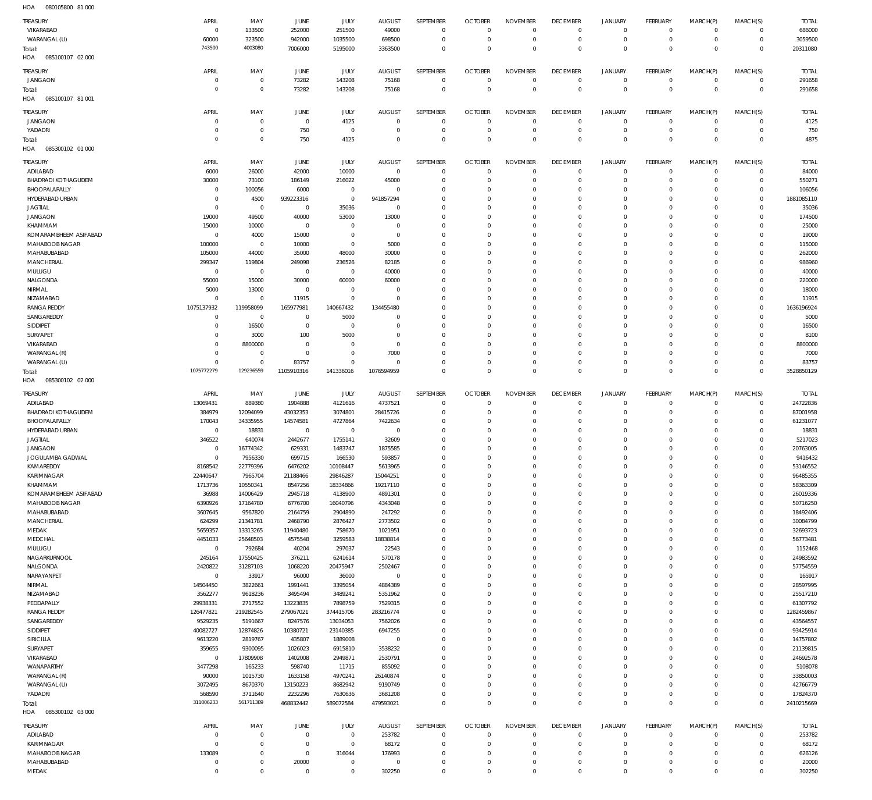085100107 02 000 HOA 085100107 81 001 HOA 085300102 01 000 085300102 02 000 HOA 085300102 03 000 HOA HOA  $\Omega$   $\Omega$   $\Omega$   $\Omega$   $\Omega$   $\Omega$   $\Omega$   $\Omega$  VIKARABAD WARANGAL (U) JANGAON JANGAON YADADRI ADILABAD BHADRADI KOTHAGUDEM BHOOPALAPALLY HYDERABAD URBAN JAGTIAL JANGAON KHAMMAM KOMARAMBHEEM ASIFABAD MAHABOOB NAGAR MAHABUBABAD **MANCHERIAL** MULUGU NALGONDA NIRMAL NIZAMABAD RANGA REDDY SANGAREDDY SIDDIPET SURYAPET VIKARABAD WARANGAL (R) WARANGAL (U) ADILABAD BHADRADI KOTHAGUDEM BHOOPALAPALLY HYDERABAD URBAN JAGTIAL JANGAON JOGULAMBA GADWAL KAMAREDDY KARIMNAGAR KHAMMAM KOMARAMBHEEM ASIFABAD MAHABOOB NAGAR MAHABUBABAD **MANCHERIAL** MEDAK MEDCHAL MULUGU NAGARKURNOOL NALGONDA NARAYANPET NIRMAL NIZAMABAD PEDDAPALLY RANGA REDDY SANGAREDDY SIDDIPET SIRICILLA SURYAPET VIKARABAD WANAPARTHY WARANGAL (R) WARANGAL (U) YADADRI ADILABAD KARIMNAGAR MAHABOOB NAGAR TREASURY TREASURY TREASURY TREASURY TREASURY TREASURY  $\Omega$   $\Omega$   $\Omega$   $\overline{0}$   $\overline{0}$   $\Omega$   $\Omega$   $\overline{0}$   $\Omega$   $\overline{0}$  APRIL APRIL APRIL APRIL APRIL APRIL  $\Omega$   $\sqrt{0}$  MAY MAY MAY MAY MAY MAY  $\Omega$   $\Omega$   $\sqrt{0}$  JUNE JUNE JUNE JUNE JUNE JUNE  $\Omega$   $\Omega$   $\Omega$  JULY JULY JULY JULY JULY JULY  $\Omega$   $\Omega$   $\Omega$  $\overline{0}$   $\Omega$   $\Omega$  AUGUST AUGUST AUGUST AUGUST AUGUST AUGUST  $\Omega$   $\Omega$   $\Omega$  $\,$  0  $\,$  $\Omega$   $\Omega$   $\Omega$   $\,$  0  $\,$   $\Omega$   $\Omega$   $\Omega$   $\Omega$   $\Omega$   $\Omega$   $\Omega$   $\Omega$   $\Omega$  $\overline{0}$   $\Omega$   $\Omega$  SEPTEMBER **SEPTEMBER** SEPTEMBER SEPTEMBER SEPTEMBER SEPTEMBER  $\Omega$   $\Omega$   $\Omega$   $\Omega$   $\Omega$   $\Omega$  $\overline{0}$   $\Omega$  $\Omega$   $\Omega$  $\overline{0}$   $\Omega$   $\Omega$   $\Omega$  $\Omega$   $\Omega$   $\Omega$   $\Omega$  $\overline{0}$   $\Omega$   $\Omega$   $\Omega$  $\Omega$  $\overline{0}$  $\Omega$  OCTOBER OCTOBER OCTOBER OCTOBER OCTOBER OCTOBER  $\Omega$   $\Omega$   $\Omega$   $\Omega$   $\Omega$   $\Omega$   $\Omega$   $\Omega$   $\Omega$   $\Omega$   $\Omega$   $\Omega$   $\Omega$   $\Omega$   $\Omega$   $\Omega$   $\Omega$   $\Omega$  NOVEMBER NOVEMBER NOVEMBER NOVEMBER NOVEMBER NOVEMBER  $\Omega$   $\overline{0}$  $\Omega$   $\Omega$  $\overline{0}$  $\Omega$   $\Omega$  $\overline{0}$   $\overline{0}$  $\Omega$  $\overline{0}$   $\Omega$  $\overline{0}$   $\Omega$  $\overline{0}$  $\Omega$   $\Omega$  $\overline{0}$  $\Omega$   $\Omega$   $\Omega$  $\overline{0}$   $\Omega$  $\overline{0}$   $\Omega$  $\overline{0}$  $\Omega$   $\Omega$  $\overline{0}$  DECEMBER **DECEMBER** DECEMBER DECEMBER DECEMBER DECEMBER  $\Omega$   $\Omega$   $\Omega$   $\Omega$   $\Omega$   $\Omega$   $\Omega$   $\Omega$   $\Omega$   $\Omega$   $\Omega$   $\Omega$   $\Omega$   $\Omega$   $\Omega$  $\Omega$   $\Omega$  JANUARY JANUARY JANUARY JANUARY JANUARY JANUARY  $\Omega$   $\Omega$   $\Omega$   $\Omega$   $\Omega$   $\Omega$   $\Omega$   $\Omega$   $\Omega$   $\Omega$   $\Omega$  $\overline{0}$   $\Omega$   $\Omega$  FEBRUARY **FFBRUARY** FEBRUARY FEBRUARY FEBRUARY FEBRUARY  $\Omega$   $\Omega$   $\Omega$   $\Omega$   $\Omega$   $\Omega$  $\Omega$   $\Omega$   $\Omega$   $\Omega$   $\Omega$   $\Omega$   $\Omega$  $\Omega$   $\Omega$   $\Omega$  MARCH(P) MARCH(P) MARCH(P) MARCH(P) MARCH(P) MARCH(P)  $\Omega$   $\Omega$   $\Omega$  $\Omega$   $\Omega$   $\Omega$   $\Omega$   $\Omega$  $\Omega$   $\Omega$   $\Omega$  $\Omega$   $\Omega$   $\Omega$  $\Omega$   $\Omega$   $\Omega$   $\Omega$   $\Omega$   $\Omega$  $\Omega$   $\Omega$   $\Omega$  MARCH(S) MARCH(S) MARCH(S) MARCH(S) MARCH(S) MARCH(S) Total: Total: Total: Total: Total:

 

TOTAL

TOTAL

 

TOTAL

TOTAL

TOTAL

 

TOTAL

080105800 81 000 HOA

MAHABUBABAD MEDAK

   $\,$  0  $\,$ 

   

      $\Omega$              $\Omega$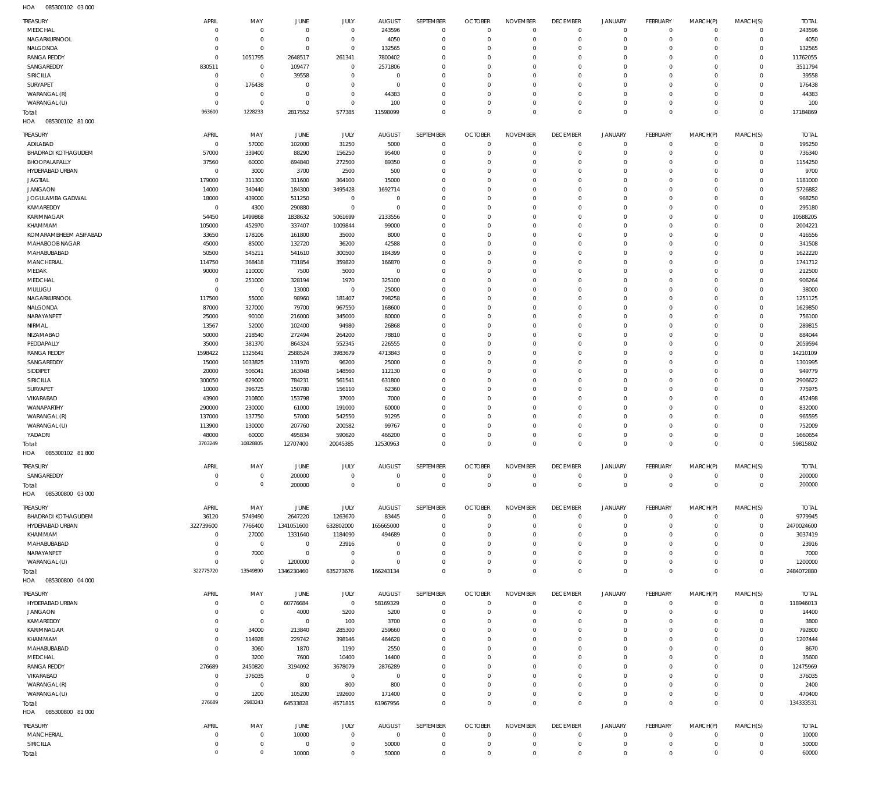085300102 03 000 HOA

| TREASURY                                      | APRIL                    | MAY                        | JUNE                       | JULY                        | <b>AUGUST</b>             | SEPTEMBER                  | <b>OCTOBER</b>                | <b>NOVEMBER</b>            | <b>DECEMBER</b>              | <b>JANUARY</b>             | <b>FEBRUARY</b>                  | MARCH(P)                 | MARCH(S)                   | <b>TOTAL</b>          |
|-----------------------------------------------|--------------------------|----------------------------|----------------------------|-----------------------------|---------------------------|----------------------------|-------------------------------|----------------------------|------------------------------|----------------------------|----------------------------------|--------------------------|----------------------------|-----------------------|
| MEDCHAL<br>NAGARKURNOOL                       | $\Omega$<br>$\Omega$     | $\mathbf 0$<br>$\mathbf 0$ | $\mathbf 0$<br>$\mathbf 0$ | $\mathbf 0$<br>$\mathbf 0$  | 243596                    | $\mathbf 0$<br>$\mathbf 0$ | $\overline{0}$<br>$\mathbf 0$ | $\mathbf 0$<br>$\mathbf 0$ | $\overline{0}$<br>$\circ$    | $\mathbf 0$<br>$\mathbf 0$ | $\overline{0}$<br>$\circ$        | $^{\circ}$<br>$^{\circ}$ | $\mathbf 0$<br>$\mathbf 0$ | 243596                |
| NALGONDA                                      | $\Omega$                 | $\mathbf 0$                | $\mathbf 0$                | $\mathbf 0$                 | 4050<br>132565            | $\mathbf 0$                | $\mathbf 0$                   | $\Omega$                   | $\mathbf{0}$                 | $\mathbf 0$                | $\overline{0}$                   | $\Omega$                 | $\mathbf 0$                | 4050<br>132565        |
| <b>RANGA REDDY</b>                            | $\mathbf 0$              | 1051795                    | 2648517                    | 261341                      | 7800402                   | $\mathbf 0$                | $\mathbf 0$                   | $\mathbf 0$                | $\mathbf{0}$                 | $\mathbf 0$                | $\overline{0}$                   | $\Omega$                 | $\mathbf 0$                | 11762055              |
| SANGAREDDY                                    | 830511                   | $\mathbf 0$                | 109477                     | $\mathbf 0$                 | 2571806                   | $\mathbf 0$                | $\mathbf 0$                   | $\Omega$                   | $\mathbf{0}$                 | $\mathbf 0$                | $\overline{0}$                   | $\Omega$                 | $\Omega$                   | 3511794               |
| SIRICILLA                                     | $\circ$<br>$\Omega$      | $\mathbb O$                | 39558                      | $\mathbf 0$                 | $\mathbf 0$               | $\mathbf 0$<br>$\mathbf 0$ | $\mathbf 0$<br>$\mathbf 0$    | $\mathbf 0$<br>$\Omega$    | $\mathbf{0}$<br>$\mathbf 0$  | $\mathbf 0$                | $\overline{0}$<br>$\overline{0}$ | $\Omega$<br>$\Omega$     | $\Omega$<br>$\mathbf 0$    | 39558                 |
| SURYAPET<br>WARANGAL (R)                      | $\Omega$                 | 176438<br>$\mathbf 0$      | $^{\circ}$<br>$\mathbf 0$  | $\mathbf 0$<br>$\mathbf 0$  | $^{\circ}$<br>44383       | $\mathbf 0$                | $\mathbf 0$                   | $\mathbf 0$                | $\mathbf{0}$                 | 0<br>$\mathbf 0$           | $\overline{0}$                   | $\Omega$                 | $\Omega$                   | 176438<br>44383       |
| WARANGAL (U)                                  | $\mathbf 0$              | $\mathbf 0$                | $^{\circ}$                 | $\mathbf 0$                 | 100                       | $\mathbf 0$                | $\mathbf 0$                   | $\mathbf 0$                | $\mathbf{0}$                 | $\mathbf 0$                | $\circ$                          | $\Omega$                 | $\mathbf 0$                | 100                   |
| Total:                                        | 963600                   | 1228233                    | 2817552                    | 577385                      | 11598099                  | $\mathbf 0$                | $\overline{0}$                | $\mathbf 0$                | $\circ$                      | $\mathbf 0$                | $\mathbb O$                      | $\Omega$                 | $\Omega$                   | 17184869              |
| HOA<br>085300102 81 000                       |                          |                            |                            |                             |                           |                            |                               |                            |                              |                            |                                  |                          |                            |                       |
| <b>TREASURY</b>                               | APRIL                    | MAY                        | JUNE                       | JULY                        | <b>AUGUST</b>             | <b>SEPTEMBER</b>           | <b>OCTOBER</b>                | <b>NOVEMBER</b>            | <b>DECEMBER</b>              | JANUARY                    | <b>FEBRUARY</b>                  | MARCH(P)                 | MARCH(S)                   | <b>TOTAL</b>          |
| ADILABAD<br><b>BHADRADI KOTHAGUDEM</b>        | $\overline{0}$<br>57000  | 57000                      | 102000                     | 31250                       | 5000                      | $\mathbf 0$<br>$\mathbf 0$ | $\mathbf 0$<br>$\mathbf 0$    | $\mathbf 0$<br>$\circ$     | $\mathbf{0}$<br>$\mathbf{0}$ | $\mathbf 0$<br>$\mathbf 0$ | $\overline{0}$<br>$\mathbf 0$    | $^{\circ}$<br>$^{\circ}$ | $\mathbf 0$<br>$\mathbf 0$ | 195250<br>736340      |
| BHOOPALAPALLY                                 | 37560                    | 339400<br>60000            | 88290<br>694840            | 156250<br>272500            | 95400<br>89350            | $\mathbf 0$                | $\mathbf 0$                   | $\Omega$                   | $\mathbf 0$                  | 0                          | $\overline{0}$                   | $\Omega$                 | $\Omega$                   | 1154250               |
| HYDERABAD URBAN                               | $\mathbf 0$              | 3000                       | 3700                       | 2500                        | 500                       | $\mathbf 0$                | $\mathbf 0$                   | $\Omega$                   | $\mathbf 0$                  | 0                          | $\overline{0}$                   | $\Omega$                 | $\Omega$                   | 9700                  |
| <b>JAGTIAL</b>                                | 179000                   | 311300                     | 311600                     | 364100                      | 15000                     | $\mathbf 0$                | $\mathbf 0$                   | $\Omega$                   | $\mathbf 0$                  | 0                          | $\overline{0}$                   | $\Omega$                 | $\Omega$                   | 1181000               |
| <b>JANGAON</b>                                | 14000                    | 340440                     | 184300                     | 3495428                     | 1692714                   | $\mathbf 0$                | $\mathbf 0$                   | $\Omega$                   | $\mathbf 0$                  | 0                          | $\overline{0}$                   | $\Omega$                 | $\Omega$                   | 5726882               |
| JOGULAMBA GADWAL<br>KAMAREDDY                 | 18000<br>$\circ$         | 439000<br>4300             | 511250<br>290880           | $\mathbf 0$<br>$\mathbf 0$  | $\mathbf 0$<br>$^{\circ}$ | $\mathbf 0$<br>$\mathbf 0$ | $\mathbf 0$<br>$\mathbf 0$    | $\Omega$<br>$\Omega$       | $\mathbf 0$<br>$\mathbf 0$   | 0<br>0                     | $\overline{0}$<br>$\overline{0}$ | $\Omega$<br>$\Omega$     | $\Omega$<br>$\Omega$       | 968250<br>295180      |
| KARIMNAGAR                                    | 54450                    | 1499868                    | 1838632                    | 5061699                     | 2133556                   | $\mathbf 0$                | $\mathbf 0$                   | $\Omega$                   | $\mathbf 0$                  | 0                          | $\overline{0}$                   | $\Omega$                 | $\Omega$                   | 10588205              |
| KHAMMAM                                       | 105000                   | 452970                     | 337407                     | 1009844                     | 99000                     | $\mathbf 0$                | $\mathbf 0$                   | $\Omega$                   | $\mathbf 0$                  | 0                          | $\overline{0}$                   | $\Omega$                 | $\Omega$                   | 2004221               |
| KOMARAMBHEEM ASIFABAD                         | 33650                    | 178106                     | 161800                     | 35000                       | 8000                      | $\mathbf 0$<br>$\mathbf 0$ | $\mathbf 0$                   | $\Omega$<br>$\Omega$       | $\mathbf 0$<br>$\mathbf 0$   | 0                          | $\overline{0}$<br>$\overline{0}$ | $\Omega$<br>$\Omega$     | $\Omega$<br>$\Omega$       | 416556                |
| MAHABOOB NAGAR<br>MAHABUBABAD                 | 45000<br>50500           | 85000<br>545211            | 132720<br>541610           | 36200<br>300500             | 42588<br>184399           | $\mathbf 0$                | $\mathbf 0$<br>$\mathbf 0$    | $\Omega$                   | $\mathbf 0$                  | 0<br>0                     | $\overline{0}$                   | $\Omega$                 | $\Omega$                   | 341508<br>1622220     |
| MANCHERIAL                                    | 114750                   | 368418                     | 731854                     | 359820                      | 166870                    | $\mathbf 0$                | $\mathbf 0$                   | $\Omega$                   | $\mathbf 0$                  | 0                          | $\overline{0}$                   | $\Omega$                 | $\Omega$                   | 1741712               |
| MEDAK                                         | 90000                    | 110000                     | 7500                       | 5000                        | $^{\circ}$                | $\mathbf 0$                | $\mathbf 0$                   | $\Omega$                   | $\mathbf 0$                  | 0                          | $\overline{0}$                   | $\Omega$                 | $\Omega$                   | 212500                |
| MEDCHAL                                       | $\mathbf 0$              | 251000                     | 328194                     | 1970                        | 325100                    | $\mathbf 0$                | $\mathbf 0$                   | $\Omega$                   | $\mathbf 0$                  | 0                          | $\overline{0}$                   | $\Omega$                 | $\Omega$                   | 906264                |
| MULUGU<br>NAGARKURNOOL                        | $\mathbf 0$<br>117500    | $\mathbf 0$<br>55000       | 13000<br>98960             | $\mathbf 0$<br>181407       | 25000<br>798258           | $\mathbf 0$<br>$\mathbf 0$ | $\Omega$<br>$\mathbf 0$       | $\Omega$<br>$\Omega$       | $\mathbf 0$<br>$\mathbf 0$   | 0<br>0                     | $\overline{0}$<br>$\overline{0}$ | $\Omega$<br>$\Omega$     | $\Omega$<br>$\Omega$       | 38000<br>1251125      |
| NALGONDA                                      | 87000                    | 327000                     | 79700                      | 967550                      | 168600                    | $\mathbf 0$                | $\mathbf 0$                   | $\Omega$                   | $\mathbf 0$                  | 0                          | $\overline{0}$                   | $\Omega$                 | $\Omega$                   | 1629850               |
| NARAYANPET                                    | 25000                    | 90100                      | 216000                     | 345000                      | 80000                     | $\mathbf 0$                | $\mathbf 0$                   | $\Omega$                   | $\mathbf 0$                  | 0                          | $\overline{0}$                   | $\Omega$                 | $\Omega$                   | 756100                |
| NIRMAL                                        | 13567                    | 52000                      | 102400                     | 94980                       | 26868                     | $\mathbf 0$                | $\Omega$                      | $\Omega$                   | $\mathbf 0$                  | 0                          | $\overline{0}$                   | $\Omega$                 | $\Omega$                   | 289815                |
| NIZAMABAD<br>PEDDAPALLY                       | 50000<br>35000           | 218540<br>381370           | 272494<br>864324           | 264200<br>552345            | 78810<br>226555           | $\mathbf 0$<br>$\mathbf 0$ | $\mathbf 0$<br>$\mathbf 0$    | $\mathbf 0$<br>$\Omega$    | $\mathbf 0$<br>$\mathbf 0$   | 0<br>0                     | $\overline{0}$<br>$\overline{0}$ | $\Omega$<br>$\Omega$     | $\Omega$<br>$\Omega$       | 884044<br>2059594     |
| <b>RANGA REDDY</b>                            | 1598422                  | 1325641                    | 2588524                    | 3983679                     | 4713843                   | $\mathbf 0$                | $\mathbf 0$                   | $\Omega$                   | $\mathbf 0$                  | 0                          | $\overline{0}$                   | $\Omega$                 | $\mathbf 0$                | 14210109              |
| SANGAREDDY                                    | 15000                    | 1033825                    | 131970                     | 96200                       | 25000                     | $\mathbf 0$                | $\Omega$                      | $\Omega$                   | $\mathbf 0$                  | 0                          | $\overline{0}$                   | $\Omega$                 | $\Omega$                   | 1301995               |
| SIDDIPET                                      | 20000                    | 506041                     | 163048                     | 148560                      | 112130                    | $\mathbf 0$                | $\mathbf 0$                   | $\mathbf 0$                | $\mathbf 0$                  | 0                          | $\overline{0}$                   | $\Omega$                 | $\Omega$                   | 949779                |
| SIRICILLA<br>SURYAPET                         | 300050<br>10000          | 629000<br>396725           | 784231<br>150780           | 561541<br>156110            | 631800<br>62360           | $\mathbf 0$<br>$\mathbf 0$ | $\mathbf 0$<br>$\mathbf 0$    | $\Omega$<br>$\Omega$       | $\mathbf 0$<br>$\mathbf 0$   | 0<br>0                     | $\overline{0}$<br>$\overline{0}$ | $\Omega$<br>$\Omega$     | $\Omega$<br>$\Omega$       | 2906622<br>775975     |
| VIKARABAD                                     | 43900                    | 210800                     | 153798                     | 37000                       | 7000                      | $\mathbf 0$                | $\mathbf 0$                   | $\Omega$                   | $\mathbf 0$                  | 0                          | $\overline{0}$                   | $\Omega$                 | $\Omega$                   | 452498                |
| WANAPARTHY                                    | 290000                   | 230000                     | 61000                      | 191000                      | 60000                     | $\mathbf 0$                | $\mathbf 0$                   | $\Omega$                   | $\mathbf 0$                  | 0                          | $\overline{0}$                   | $\Omega$                 | $\Omega$                   | 832000                |
| WARANGAL (R)                                  | 137000                   | 137750                     | 57000                      | 542550                      | 91295                     | $\mathbf 0$                | $\mathbf 0$                   | $\Omega$                   | $\mathbf 0$                  | 0                          | $\overline{0}$                   | $\Omega$                 | $\Omega$                   | 965595                |
| WARANGAL (U)<br>YADADRI                       | 113900<br>48000          | 130000<br>60000            | 207760<br>495834           | 200582<br>590620            | 99767<br>466200           | $\mathbf 0$<br>$\mathbf 0$ | $\mathbf 0$<br>$\mathbf 0$    | $\Omega$<br>$\mathbf 0$    | $\mathbf 0$<br>$\mathbf 0$   | 0<br>$\mathbf 0$           | $\overline{0}$<br>$\overline{0}$ | $\Omega$<br>$\Omega$     | $\Omega$<br>$\Omega$       | 752009<br>1660654     |
| Total:                                        | 3703249                  | 10828805                   | 12707400                   | 20045385                    | 12530963                  | $\mathbf 0$                | $\mathbf 0$                   | $\Omega$                   | $\mathbf 0$                  | $\mathbf 0$                | $\circ$                          | $\Omega$                 | $\Omega$                   | 59815802              |
| 085300102 81 800<br>HOA                       |                          |                            |                            |                             |                           |                            |                               |                            |                              |                            |                                  |                          |                            |                       |
| Treasury                                      | APRIL                    | MAY                        | JUNE                       | JULY                        | AUGUST                    | SEPTEMBER                  | OCTOBER                       | NOVEMBEF                   | <b>DECEMBER</b>              | JANUARY                    | FEBRUARY                         | MARCH(P)                 | MARCH(S)                   | <b>TOTAL</b>          |
| SANGAREDDY                                    | $\circ$                  | $\mathbf 0$                | 200000                     | $\mathbf 0$                 | $^{\circ}$                | $\mathbf 0$                | $\mathbf 0$                   | $\mathbf 0$                | $^{\circ}$                   | 0                          | $\overline{0}$                   | $^{\circ}$               | $\mathbf 0$                | 200000                |
| Total:                                        | $\circ$                  | $\,0\,$                    | 200000                     | $\mathbf 0$                 | $\mathbf 0$               | $\mathbf 0$                | $\overline{0}$                | $\circ$                    | $\overline{0}$               | $\mathbf 0$                | $\mathbb O$                      | $\mathbf 0$              | $\mathsf{O}\xspace$        | 200000                |
| HOA<br>085300800 03 000                       |                          |                            |                            |                             |                           |                            |                               |                            |                              |                            |                                  |                          |                            |                       |
| <b>TREASURY</b>                               | APRIL                    | MAY                        | <b>JUNE</b>                | JULY                        | <b>AUGUST</b>             | SEPTEMBER                  | <b>OCTOBER</b>                | <b>NOVEMBER</b>            | <b>DECEMBER</b>              | JANUARY                    | <b>FEBRUARY</b>                  | MARCH(P)                 | MARCH(S)                   | <b>TOTAL</b>          |
| <b>BHADRADI KOTHAGUDEM</b><br>HYDERABAD URBAN | 36120<br>322739600       | 5749490<br>7766400         | 2647220<br>1341051600      | 1263670<br>632802000        | 83445<br>165665000        | $\mathbf 0$<br>$\mathbf 0$ | $\mathbf 0$<br>$\mathbf 0$    | $\mathbf 0$<br>$\mathbf 0$ | $\mathbf{0}$<br>$\mathbf{0}$ | $\mathbf 0$<br>$\mathbf 0$ | $\mathbf 0$<br>$\mathbf 0$       | $^{\circ}$<br>$\Omega$   | $\mathbf 0$<br>$\mathbf 0$ | 9779945<br>2470024600 |
| KHAMMAM                                       | $\circ$                  | 27000                      | 1331640                    | 1184090                     | 494689                    | $\mathbf 0$                | $\mathbf 0$                   | $\mathbf 0$                | $\mathbf 0$                  | 0                          | $\overline{0}$                   | $\Omega$                 | $\mathbf 0$                | 3037419               |
| MAHABUBABAD                                   | $\mathbf 0$              | $\mathbf 0$                | $\mathbf 0$                | 23916                       | $\mathbf 0$               | $\mathbf 0$                | $\mathbf 0$                   | $\Omega$                   | $\mathbf 0$                  | 0                          | $\overline{0}$                   | $\Omega$                 | $\Omega$                   | 23916                 |
| NARAYANPET                                    | $\mathbf 0$              | 7000                       | $\mathbf 0$                | $\mathbf 0$                 | $\mathbf 0$               | $\mathbf 0$                | $\mathbf 0$                   | $\mathbf 0$                | $\mathbf 0$                  | 0                          | $\overline{0}$                   | $\Omega$                 | $\Omega$                   | 7000                  |
| WARANGAL (U)<br>Total:                        | $\mathbf 0$<br>322775720 | $\mathbf 0$<br>13549890    | 1200000<br>1346230460      | $\mathbf 0$<br>635273676    | $\mathbf 0$<br>166243134  | $\mathbf 0$<br>$\mathbf 0$ | $\mathbf 0$<br>$\mathbf 0$    | $\mathbf 0$<br>$\mathbf 0$ | $\mathbf 0$<br>$\circ$       | $\mathbf 0$<br>$\mathbf 0$ | $\overline{0}$<br>$\mathbb O$    | $\Omega$<br>$\Omega$     | $\mathbf 0$<br>$\mathbf 0$ | 1200000<br>2484072880 |
| 085300800 04 000<br>HOA                       |                          |                            |                            |                             |                           |                            |                               |                            |                              |                            |                                  |                          |                            |                       |
| <b>TREASURY</b>                               | APRIL                    | MAY                        | JUNE                       | JULY                        | <b>AUGUST</b>             | <b>SEPTEMBER</b>           | <b>OCTOBER</b>                | <b>NOVEMBER</b>            | <b>DECEMBER</b>              | <b>JANUARY</b>             | <b>FEBRUARY</b>                  | MARCH(P)                 | MARCH(S)                   | <b>TOTAL</b>          |
| HYDERABAD URBAN                               | $\mathbf 0$              | $\mathbf 0$                | 60776684                   | $\circ$                     | 58169329                  | $\mathbf 0$                | $\mathbf 0$                   | $\mathbf 0$                | $\overline{0}$               | $\mathbf 0$                | $\overline{0}$                   | $^{\circ}$               | $\mathbf 0$                | 118946013             |
| JANGAON                                       | $\Omega$                 | $\mathbf 0$                | 4000                       | 5200                        | 5200                      | $\mathbf 0$                | $\mathbf 0$                   | $\mathbf 0$                | $\mathbf{0}$                 | $\mathbf 0$                | $\overline{0}$                   | $\Omega$                 | $\mathbf 0$                | 14400                 |
| KAMAREDDY                                     | $\Omega$                 | $\mathbf 0$                | $\mathbf 0$                | 100                         | 3700                      | $\mathbf 0$                | $\mathbf 0$                   | $\mathbf 0$                | $\mathbf{0}$                 | 0                          | $\overline{0}$                   | $\Omega$                 | $\Omega$                   | 3800                  |
| KARIMNAGAR<br>KHAMMAM                         | $\Omega$<br>$\Omega$     | 34000<br>114928            | 213840<br>229742           | 285300<br>398146            | 259660<br>464628          | $\mathbf 0$<br>$\mathbf 0$ | $\mathbf 0$<br>$\mathbf 0$    | $\mathbf 0$<br>$\mathbf 0$ | $\mathbf{0}$<br>$\mathbf 0$  | 0<br>0                     | $\overline{0}$<br>$\overline{0}$ | $\Omega$<br>$\Omega$     | $\mathbf 0$<br>$\Omega$    | 792800<br>1207444     |
| MAHABUBABAD                                   | $\mathbf 0$              | 3060                       | 1870                       | 1190                        | 2550                      | $\mathbf 0$                | $\mathbf 0$                   | $\Omega$                   | $\mathbf 0$                  | 0                          | $\overline{0}$                   | $\Omega$                 | $\mathbf 0$                | 8670                  |
| MEDCHAL                                       | $\Omega$                 | 3200                       | 7600                       | 10400                       | 14400                     | $\mathbf 0$                | $\mathbf 0$                   | $\mathbf 0$                | $\mathbf 0$                  | 0                          | $\overline{0}$                   | $\Omega$                 | $\mathbf 0$                | 35600                 |
| <b>RANGA REDDY</b>                            | 276689                   | 2450820                    | 3194092<br>$\mathbf 0$     | 3678079                     | 2876289                   | $\mathbf 0$                | $\mathbf 0$                   | $\Omega$                   | $\mathbf{0}$<br>$\mathbf 0$  | 0                          | $\overline{0}$<br>$\overline{0}$ | $\Omega$                 | $\mathbf 0$<br>$\Omega$    | 12475969              |
| VIKARABAD<br>WARANGAL (R)                     | $\circ$<br>$\circ$       | 376035<br>$\mathbf 0$      | 800                        | $\mathsf{O}$<br>800         | $\mathbf 0$<br>800        | $\mathbf 0$<br>$\mathbf 0$ | $\mathbf 0$<br>$\mathbf 0$    | $\mathbf 0$<br>$\Omega$    | $\mathbf{0}$                 | 0<br>0                     | $\overline{0}$                   | $\Omega$<br>$\Omega$     | $\Omega$                   | 376035<br>2400        |
| WARANGAL (U)                                  | $\Omega$                 | 1200                       | 105200                     | 192600                      | 171400                    | $\mathbf 0$                | $\mathbf 0$                   | $\mathbf 0$                | $\circ$                      | $\mathbf 0$                | $\overline{0}$                   | $\mathbf 0$              | $\mathbf 0$                | 470400                |
| Total:                                        | 276689                   | 2983243                    | 64533828                   | 4571815                     | 61967956                  | $\mathbf 0$                | $\Omega$                      | $\Omega$                   | $\circ$                      | $\mathbf 0$                | $\mathbb O$                      | $\circ$                  | $\mathsf{O}\xspace$        | 134333531             |
| HOA   085300800   81 000                      |                          |                            |                            |                             |                           |                            |                               |                            |                              |                            |                                  |                          |                            |                       |
| <b>TREASURY</b>                               | APRIL                    | MAY                        | <b>JUNE</b>                | JULY                        | <b>AUGUST</b>             | SEPTEMBER                  | <b>OCTOBER</b>                | <b>NOVEMBER</b>            | <b>DECEMBER</b>              | <b>JANUARY</b>             | <b>FEBRUARY</b>                  | MARCH(P)                 | MARCH(S)                   | <b>TOTAL</b>          |
| MANCHERIAL                                    | $\circ$                  | $\mathbf 0$                | 10000                      | $\mathbf 0$                 | $\mathbf 0$               | $^{\circ}$                 | $\mathbf 0$                   | $\mathbf 0$                | $\mathbf{0}$                 | $\mathbf 0$                | $\circ$                          | $\circ$                  | $\mathbf 0$                | 10000                 |
| SIRICILLA<br>Total:                           | $\Omega$<br>$\mathbf 0$  | $\mathbf 0$<br>$\,0\,$     | $\mathbf 0$<br>10000       | $\mathbf 0$<br>$\mathsf{O}$ | 50000<br>50000            | $\mathbf 0$<br>$\mathbf 0$ | $\mathbf 0$<br>$\mathbf 0$    | $\mathbf 0$<br>$\mathbf 0$ | $\mathbf{0}$<br>$\circ$      | $\mathbf 0$<br>$\mathbf 0$ | $\mathbf 0$<br>$\mathbb O$       | $^{\circ}$<br>$^{\circ}$ | $\mathbf 0$<br>$\mathbf 0$ | 50000<br>60000        |
|                                               |                          |                            |                            |                             |                           |                            |                               |                            |                              |                            |                                  |                          |                            |                       |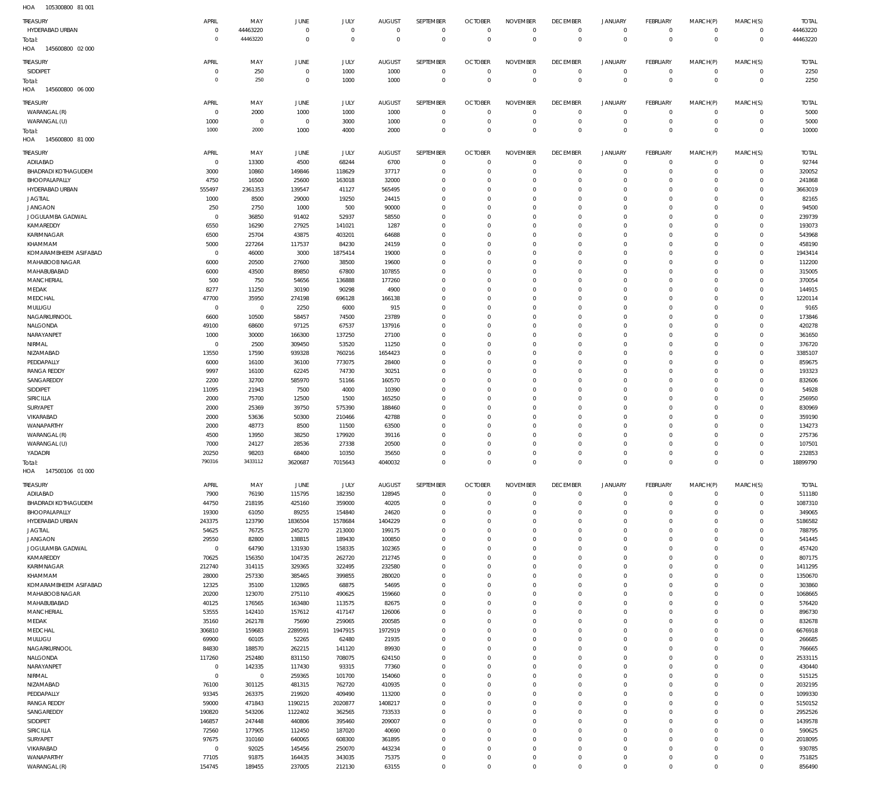| HOA<br>105300800 81 001          |                   |                  |                  |                  |                  |                            |                            |                            |                               |                            |                               |                      |                      |                   |
|----------------------------------|-------------------|------------------|------------------|------------------|------------------|----------------------------|----------------------------|----------------------------|-------------------------------|----------------------------|-------------------------------|----------------------|----------------------|-------------------|
| TREASURY                         | APRIL             | MAY              | JUNE             | JULY             | <b>AUGUST</b>    | SEPTEMBER                  | <b>OCTOBER</b>             | <b>NOVEMBER</b>            | <b>DECEMBER</b>               | <b>JANUARY</b>             | <b>FEBRUARY</b>               | MARCH(P)             | MARCH(S)             | <b>TOTAL</b>      |
| HYDERABAD URBAN                  | $\Omega$          | 44463220         | $\mathbf 0$      | $\mathbf 0$      | $^{\circ}$       | $\mathbf 0$                | $\mathbf{0}$               | $\mathbf 0$                | $\overline{0}$                | $\overline{0}$             | $\mathbf 0$                   | $\mathbf 0$          | $\circ$              | 44463220          |
| Total:                           | $\Omega$          | 44463220         | $\mathbf 0$      | $\mathbf 0$      | $^{\circ}$       | $\mathbf 0$                | $\mathbf{0}$               | $\overline{0}$             | $\overline{0}$                | $\overline{0}$             | $\,0\,$                       | $\mathbf 0$          | $\mathbf 0$          | 44463220          |
| 145600800 02 000<br>HOA          |                   |                  |                  |                  |                  |                            |                            |                            |                               |                            |                               |                      |                      |                   |
| TREASURY                         | APRIL             | MAY              | JUNE             | JULY             | <b>AUGUST</b>    | SEPTEMBER                  | <b>OCTOBER</b>             | <b>NOVEMBER</b>            | <b>DECEMBER</b>               | <b>JANUARY</b>             | <b>FEBRUARY</b>               | MARCH(P)             | MARCH(S)             | <b>TOTAL</b>      |
| SIDDIPET                         | $\circ$           | 250              | $\,0\,$          | 1000             | 1000             | $\mathbb O$                | $\overline{0}$             | $\overline{0}$             | $\overline{0}$                | $\overline{0}$             | $\mathbb O$                   | $^{\circ}$           | $\mathbf 0$          | 2250              |
| Total:                           | $\Omega$          | 250              | $\mathbf{0}$     | 1000             | 1000             | $\mathbb O$                | $\overline{0}$             | $\mathbf 0$                | $\overline{0}$                | $\mathbf 0$                | $\,0\,$                       | $\overline{0}$       | $\overline{0}$       | 2250              |
| 145600800 06 000<br>HOA          |                   |                  |                  |                  |                  |                            |                            |                            |                               |                            |                               |                      |                      |                   |
| TREASURY                         | APRIL             | MAY              | JUNE             | JULY             | <b>AUGUST</b>    | SEPTEMBER                  | <b>OCTOBER</b>             | <b>NOVEMBER</b>            | <b>DECEMBER</b>               | <b>JANUARY</b>             | <b>FEBRUARY</b>               | MARCH(P)             | MARCH(S)             | <b>TOTAL</b>      |
| WARANGAL (R)                     | $\Omega$          | 2000             | 1000             | 1000             | 1000             | $\mathbf 0$                | $\overline{0}$             | $\mathbf 0$                | $\overline{0}$                | $\overline{0}$             | $\mathbf 0$                   | $^{\circ}$           | $\mathbf 0$          | 5000              |
| WARANGAL (U)                     | 1000              | $\overline{0}$   | $\,0\,$          | 3000             | 1000             | $\mathbf 0$                | 0                          | $\mathbf 0$                | $\overline{0}$                | $\mathbf 0$                | $\mathbb O$                   | $^{\circ}$           | $\mathbf 0$          | 5000              |
| Total:                           | 1000              | 2000             | 1000             | 4000             | 2000             | $\mathbf 0$                | $\mathbf 0$                | $\mathbf 0$                | $\overline{0}$                | $\mathbf 0$                | $\,0\,$                       | $\overline{0}$       | $\mathbf{0}$         | 10000             |
| HOA<br>145600800 81 000          |                   |                  |                  |                  |                  |                            |                            |                            |                               |                            |                               |                      |                      |                   |
| TREASURY                         | APRIL             | MAY              | JUNE             | JULY             | <b>AUGUST</b>    | SEPTEMBER                  | <b>OCTOBER</b>             | <b>NOVEMBER</b>            | <b>DECEMBER</b>               | <b>JANUARY</b>             | <b>FEBRUARY</b>               | MARCH(P)             | MARCH(S)             | <b>TOTAL</b>      |
| ADILABAD                         | $\overline{0}$    | 13300            | 4500             | 68244            | 6700             | $\mathbb O$                | $\overline{0}$             | $\mathbf 0$                | $\overline{0}$                | $\mathbf 0$                | $\mathbf 0$                   | $^{\circ}$           | $\mathbf 0$          | 92744             |
| <b>BHADRADI KOTHAGUDEM</b>       | 3000              | 10860            | 149846           | 118629           | 37717            | $\mathbb O$                | $\mathbf 0$                | $\mathbf 0$                | $\overline{0}$                | $\mathbf 0$                | $\mathbf 0$                   | $^{\circ}$           | $\mathbf 0$          | 320052            |
| BHOOPALAPALLY                    | 4750              | 16500            | 25600            | 163018           | 32000            | $\mathbf 0$                | $\mathbf 0$                | $\mathbf 0$                | $\overline{0}$                | $\mathbf 0$                | $\overline{0}$                | $\Omega$             | $\Omega$             | 241868            |
| HYDERABAD URBAN                  | 555497            | 2361353          | 139547           | 41127            | 565495           | $\mathbf 0$                | $\mathbf 0$                | $\mathbf 0$                | $\overline{0}$                | $\mathbf 0$                | $\mathbf 0$                   | $\Omega$             | $\Omega$             | 3663019           |
| <b>JAGTIAL</b>                   | 1000              | 8500             | 29000            | 19250            | 24415            | $\mathbf 0$                | $\mathbf 0$                | $\mathbf 0$                | $\mathbf 0$                   | $\mathbf 0$                | $\overline{0}$                | $\Omega$             | $\Omega$             | 82165             |
| <b>JANGAON</b>                   | 250               | 2750             | 1000             | 500              | 90000            | $\mathbf 0$                | $\mathbf 0$                | $\mathbf 0$                | $\mathbf 0$                   | $\mathbf 0$                | $\mathbf 0$                   | $\Omega$             | $\Omega$             | 94500             |
| JOGULAMBA GADWAL                 | $\overline{0}$    | 36850            | 91402            | 52937            | 58550            | $\mathbf 0$                | $\mathbf 0$                | $\mathbf 0$                | $\mathbf 0$                   | $\mathbf 0$                | $\overline{0}$                | $\Omega$             | $\Omega$             | 239739            |
| KAMAREDDY                        | 6550              | 16290            | 27925            | 141021           | 1287             | $\mathbf 0$                | $\mathbf 0$                | $\Omega$                   | $\mathbf 0$                   | $\mathbf 0$                | $\mathbf 0$                   | $\Omega$             | $\Omega$             | 193073            |
| <b>KARIMNAGAR</b>                | 6500              | 25704            | 43875            | 403201           | 64688            | $\mathbf 0$                | $\mathbf 0$                | $\mathbf 0$                | $\mathbf 0$                   | $\mathbf 0$                | $\overline{0}$                | $\Omega$             | $\Omega$             | 543968            |
| KHAMMAM                          | 5000              | 227264           | 117537           | 84230            | 24159            | $\mathbf 0$                | $\mathbf 0$                | $\mathbf 0$                | $\mathbf 0$                   | $\mathbf 0$                | $\overline{0}$                | $\Omega$             | $\Omega$             | 458190            |
| KOMARAMBHEEM ASIFABAD            | $\overline{0}$    | 46000            | 3000             | 1875414          | 19000            | $\mathbf 0$                | $\mathbf 0$                | $\mathbf 0$                | $\overline{0}$                | $\mathbf 0$                | $\mathbf 0$                   | $\Omega$             | $\Omega$             | 1943414           |
| MAHABOOB NAGAR                   | 6000              | 20500            | 27600            | 38500            | 19600            | $\mathbf 0$                | $\mathbf 0$                | $\Omega$                   | $\mathbf 0$                   | $\mathbf 0$                | $\overline{0}$                | $\Omega$             | $\Omega$             | 112200            |
| MAHABUBABAD                      | 6000              | 43500            | 89850            | 67800            | 107855           | $\mathbf 0$                | $\mathbf 0$                | $\mathbf 0$                | $\mathbf 0$                   | $\mathbf 0$                | $\mathbf 0$                   | $\Omega$             | $\Omega$             | 315005            |
| MANCHERIAL                       | 500               | 750              | 54656            | 136888           | 177260           | $\mathbb O$<br>$\mathbf 0$ | $\mathbf 0$<br>$\mathbf 0$ | $\mathbf 0$<br>$\mathbf 0$ | $\mathbf 0$<br>$\overline{0}$ | $\mathbf 0$<br>$\mathbf 0$ | $\overline{0}$<br>$\mathbf 0$ | $\Omega$<br>$\Omega$ | $\Omega$<br>$\Omega$ | 370054<br>144915  |
| MEDAK<br>MEDCHAL                 | 8277<br>47700     | 11250<br>35950   | 30190<br>274198  | 90298<br>696128  | 4900<br>166138   | $\mathbb O$                | $\mathbf 0$                | $\Omega$                   | $\mathbf 0$                   | $\mathbf 0$                | $\overline{0}$                | $\Omega$             | $\Omega$             | 1220114           |
| MULUGU                           | $\Omega$          | $\overline{0}$   | 2250             | 6000             | 915              | $\mathbf 0$                | $\mathbf 0$                | $\mathbf 0$                | $\mathbf 0$                   | $\mathbf 0$                | $\mathbf 0$                   | $\Omega$             | $\Omega$             | 9165              |
| NAGARKURNOOL                     | 6600              | 10500            | 58457            | 74500            | 23789            | $\mathbb O$                | $\mathbf 0$                | $\mathbf 0$                | $\mathbf 0$                   | 0                          | $\overline{0}$                | $\Omega$             | $\Omega$             | 173846            |
| NALGONDA                         | 49100             | 68600            | 97125            | 67537            | 137916           | $\mathbf 0$                | $\mathbf 0$                | $\mathbf 0$                | $\mathbf 0$                   | $\mathbf 0$                | $\overline{0}$                | $\Omega$             | $\Omega$             | 420278            |
| NARAYANPET                       | 1000              | 30000            | 166300           | 137250           | 27100            | $\mathbf 0$                | $\mathbf 0$                | $\mathbf 0$                | $\mathbf 0$                   | $\mathbf 0$                | $\mathbf 0$                   | $\Omega$             | $\mathbf 0$          | 361650            |
| NIRMAL                           | $\Omega$          | 2500             | 309450           | 53520            | 11250            | $\mathbf 0$                | $\mathbf 0$                | $\Omega$                   | $\mathbf 0$                   | $\mathbf 0$                | $\overline{0}$                | $\Omega$             | $\Omega$             | 376720            |
| NIZAMABAD                        | 13550             | 17590            | 939328           | 760216           | 1654423          | $\mathbf 0$                | $\mathbf 0$                | $\mathbf 0$                | $\mathbf 0$                   | $\mathsf{O}\xspace$        | $\overline{0}$                | $\Omega$             | $\Omega$             | 3385107           |
| PEDDAPALLY                       | 6000              | 16100            | 36100            | 773075           | 28400            | $\mathbf 0$                | $\mathbf 0$                | $\mathbf 0$                | $\mathbf 0$                   | $\mathbf 0$                | $\overline{0}$                | $\Omega$             | $\Omega$             | 859675            |
| <b>RANGA REDDY</b>               | 9997              | 16100            | 62245            | 74730            | 30251            | $\mathbf 0$                | $\mathbf 0$                | $\mathbf 0$                | $\mathbf 0$                   | $\mathbf 0$                | $\mathbf 0$                   | $\Omega$             | $\Omega$             | 193323            |
| SANGAREDDY                       | 2200              | 32700            | 585970           | 51166            | 160570           | $\mathbf 0$                | $\mathbf 0$                | $\Omega$                   | $\mathbf 0$                   | $\mathbf 0$                | $\overline{0}$                | $\Omega$             | $\Omega$             | 832606            |
| SIDDIPET                         | 11095             | 21943            | 7500             | 4000             | 10390            | $\mathbf 0$                | $\mathbf 0$                | $\mathbf 0$                | $\mathbf 0$                   | $\mathbf 0$                | $\mathbf 0$                   | $\Omega$             | $\Omega$             | 54928             |
|                                  |                   |                  |                  |                  |                  |                            |                            |                            |                               |                            |                               |                      |                      |                   |
| SIRICILLA                        | 2000              | 75700            | 12500            | 1500             | 165250           | $\mathbf 0$                | $\mathbf 0$                | $\mathbf 0$                | $\mathbf 0$                   | $\mathbf 0$                | $\overline{0}$                | $\Omega$             | $\Omega$             | 256950            |
| SURYAPET                         | 2000              | 25369            | 39750            | 575390           | 188460           | $\mathbf 0$                | $\mathbf 0$                | $\mathbf 0$                | $\mathbf 0$                   | $\mathbf 0$                | $\mathbf 0$                   | $\Omega$             | $\Omega$             | 830969            |
| VIKARABAD                        | 2000              | 53636            | 50300            | 210466           | 42788            | $\mathbf 0$                | $\mathbf 0$                | $\mathbf 0$                | $\mathbf 0$                   | $\mathbf 0$                | $\overline{0}$                | $\Omega$             | $\Omega$             | 359190            |
| WANAPARTHY                       | 2000              | 48773            | 8500             | 11500            | 63500            | $\mathbf 0$                | $\mathbf 0$                | $\mathbf 0$                | $\overline{0}$                | $\mathbf 0$                | $\mathbf 0$                   | $\Omega$             | $\Omega$             | 134273            |
| WARANGAL (R)                     | 4500              | 13950            | 38250            | 179920           | 39116            | $\mathbf 0$                | $\mathbf 0$                | $\mathbf 0$                | $\overline{0}$                | $\mathbf 0$                | $\overline{0}$                | $\Omega$             | $\Omega$             | 275736            |
| WARANGAL (U)                     | 7000              | 24127            | 28536            | 27338            | 20500            | $\mathbf 0$                | $\mathbf 0$                | $\mathbf 0$                | $\overline{0}$                | $\mathbf 0$                | $\mathbf 0$                   | $\Omega$             | $\Omega$             | 107501            |
| YADADRI                          | 20250             | 98203            | 68400            | 10350            | 35650            | $\mathbf 0$                | $\mathbf 0$                | $\mathbf 0$                | $\overline{0}$                | $\mathbf 0$                | $\mathbb O$                   | $\Omega$             | $\circ$              | 232853            |
| Total:                           | 790316            | 3433112          | 3620687          | 7015643          | 4040032          | $\mathbb O$                | $\mathbf 0$                | $\mathbf 0$                | $\overline{0}$                | $\mathbf 0$                | $\mathbf 0$                   | $\overline{0}$       | $\mathbb O$          | 18899790          |
| HOA<br>147500106 01 000          |                   |                  |                  |                  |                  |                            |                            |                            |                               |                            |                               |                      |                      |                   |
| TREASURY                         | APRIL             | MAY              | JUNE             | JULY             | <b>AUGUST</b>    | SEPTEMBER                  | <b>OCTOBER</b>             | <b>NOVEMBER</b>            | <b>DECEMBER</b>               | <b>JANUARY</b>             | <b>FEBRUARY</b>               | MARCH(P)             | MARCH(S)             | <b>TOTAL</b>      |
| ADILABAD                         | 7900              | 76190            | 115795           | 182350           | 128945           | $\mathbf 0$                | $\mathbf{0}$               | $\mathbf 0$                | $\overline{0}$                | $\overline{0}$             | $\mathbb O$                   | $\mathbf 0$          | $\mathbf 0$          | 511180            |
| <b>BHADRADI KOTHAGUDEM</b>       | 44750             | 218195           | 425160           | 359000           | 40205            | $\mathbf 0$                | $\mathbf 0$                | $\mathbf 0$                | $\overline{0}$                | $\mathbf 0$                | $\mathbb O$                   | $\mathbf{0}$         | $\mathbf 0$          | 1087310           |
| BHOOPALAPALLY                    | 19300             | 61050            | 89255            | 154840           | 24620            | $\mathbf 0$                | $\mathbf 0$                | $\mathbf 0$                | $\overline{0}$                | $\mathbf 0$                | $\mathbf 0$                   | $\Omega$             | $\mathbf 0$          | 349065            |
| HYDERABAD URBAN                  | 243375            | 123790           | 1836504          | 1578684          | 1404229          | $\mathbf 0$                | $\mathbf 0$                | $\Omega$                   | $\mathbf 0$                   | $\mathbf 0$                | $\mathbf 0$                   | $\Omega$             | $\Omega$             | 5186582           |
| JAGTIAL                          | 54625             | 76725            | 245270           | 213000           | 199175           | $\mathbf 0$                | $\mathbf 0$                | $\mathbf 0$                | $\overline{0}$                | $\mathbf 0$                | $\mathbf 0$                   | $\Omega$             | $\Omega$             | 788795            |
| <b>JANGAON</b>                   | 29550<br>$\Omega$ | 82800            | 138815           | 189430           | 100850           | $\mathbf 0$                | $\mathbf 0$                | $\Omega$                   | $\mathbf 0$                   | $\mathbf 0$                | $\overline{0}$                | $\Omega$<br>$\Omega$ | $\Omega$<br>$\Omega$ | 541445            |
| JOGULAMBA GADWAL                 |                   | 64790            | 131930           | 158335           | 102365           | $\mathbf 0$<br>$\mathbf 0$ | $\mathbf 0$<br>$\mathbf 0$ | $\mathbf 0$<br>$\Omega$    | $\mathbf 0$<br>$\mathbf 0$    | $\mathbf 0$<br>$\mathbf 0$ | $\mathbf 0$<br>$\overline{0}$ | $\Omega$             | $\Omega$             | 457420            |
| KAMAREDDY<br>KARIMNAGAR          | 70625<br>212740   | 156350<br>314115 | 104735<br>329365 | 262720<br>322495 | 212745<br>232580 | $\mathbf 0$                | $\mathbf 0$                | $\mathbf 0$                | $\mathbf 0$                   | $\mathbf 0$                | $\mathbf 0$                   | $\Omega$             | $\circ$              | 807175<br>1411295 |
|                                  |                   |                  |                  |                  |                  | $\mathbf 0$                | $\mathbf 0$                | $\mathbf 0$                | $\mathbf 0$                   | $\mathbf 0$                | $\overline{0}$                | $\Omega$             | $\Omega$             |                   |
| KHAMMAM<br>KOMARAMBHEEM ASIFABAD | 28000<br>12325    | 257330<br>35100  | 385465<br>132865 | 399855<br>68875  | 280020<br>54695  | $\mathbf 0$                | $\mathbf 0$                | $\mathbf 0$                | $\mathbf 0$                   | $\mathbf 0$                | $\mathbf 0$                   | $\Omega$             | $\circ$              | 1350670<br>303860 |
| MAHABOOB NAGAR                   | 20200             | 123070           | 275110           | 490625           | 159660           | $\mathbf 0$                | $\mathbf 0$                | $\Omega$                   | $\mathbf 0$                   | $\mathbf 0$                | $\mathbf 0$                   | $\Omega$             | $\mathbf 0$          | 1068665           |
| MAHABUBABAD                      | 40125             | 176565           | 163480           | 113575           | 82675            | $\mathbf 0$                | $\mathbf 0$                | $\mathbf 0$                | $\mathbf 0$                   | $\mathbf 0$                | $\mathbf 0$                   | $\Omega$             | $\circ$              | 576420            |
| MANCHERIAL                       | 53555             | 142410           | 157612           | 417147           | 126006           | $\mathbf 0$                | $\mathbf 0$                | $\mathbf 0$                | $\mathbf 0$                   | $\mathbf 0$                | $\mathbf 0$                   | $\Omega$             | $\Omega$             | 896730            |
| MEDAK                            | 35160             | 262178           | 75690            | 259065           | 200585           | $\mathbf 0$                | $\mathbf 0$                | $\mathbf 0$                | $\mathbf 0$                   | $\mathbf 0$                | $\mathbf 0$                   | $\Omega$             | $\Omega$             | 832678            |
| MEDCHAL                          | 306810            | 159683           | 2289591          | 1947915          | 1972919          | $\mathbf 0$                | $\mathbf 0$                | $\Omega$                   | $\mathbf 0$                   | $\mathbf 0$                | $\mathbf 0$                   | $\Omega$             | $\mathbf 0$          | 6676918           |
| MULUGU                           | 69900             | 60105            | 52265            | 62480            | 21935            | $\mathbf 0$                | $\mathbf 0$                | $\mathbf 0$                | $\mathbf 0$                   | $\mathbf 0$                | $\mathbf 0$                   | $\Omega$             | $\Omega$             | 266685            |
| NAGARKURNOOL                     | 84830             | 188570           | 262215           | 141120           | 89930            | $\mathbf 0$                | $\mathbf 0$                | $\mathbf 0$                | $\mathbf 0$                   | $\mathbf 0$                | $\mathbf 0$                   | $\Omega$             | $\Omega$             | 766665            |
| NALGONDA                         | 117260            | 252480           | 831150           | 708075           | 624150           | $\mathbf 0$                | $\mathbf 0$                | $\mathbf 0$                | $\mathbf 0$                   | $\mathbf 0$                | $\mathbf 0$                   | $\Omega$             | $\Omega$             | 2533115           |
| NARAYANPET                       | $\mathbf 0$       | 142335           | 117430           | 93315            | 77360            | $\mathbf 0$                | $\mathbf 0$                | $\Omega$                   | $\mathbf 0$                   | $\mathbf 0$                | $\mathbf 0$                   | $\Omega$             | $\mathbf 0$          | 430440            |
| NIRMAL                           | $\Omega$          | $\mathbf 0$      | 259365           | 101700           | 154060           | $\mathbf 0$                | $\mathbf 0$                | $\mathbf 0$                | $\mathbf 0$                   | $\mathbf 0$                | $\mathbf 0$                   | $\Omega$             | $\circ$              | 515125            |
| NIZAMABAD                        | 76100             | 301125           | 481315           | 762720           | 410935           | $\mathbf 0$                | $\mathbf 0$                | $\Omega$                   | $\mathbf 0$                   | $\mathbf 0$                | $\mathbf 0$                   | $\Omega$             | $\Omega$             | 2032195           |
| PEDDAPALLY                       | 93345             | 263375           | 219920           | 409490           | 113200           | $\mathbf 0$                | $\mathbf 0$                | $\mathbf 0$                | $\mathbf 0$                   | $\mathbf 0$                | $\mathbf 0$                   | $\Omega$             | $\Omega$             | 1099330           |
| <b>RANGA REDDY</b>               | 59000             | 471843           | 1190215          | 2020877          | 1408217          | $\mathbf 0$                | $\mathbf 0$                | $\Omega$                   | $\mathbf 0$                   | $\mathbf 0$                | $\mathbf 0$                   | $\Omega$<br>$\Omega$ | $\circ$              | 5150152           |
| SANGAREDDY                       | 190820            | 543206           | 1122402          | 362565           | 733533           | $\mathbf 0$                | $\mathbf 0$                | $\mathbf 0$<br>$\Omega$    | $\mathbf 0$                   | $\mathbf 0$                | $\mathbf 0$                   | $\Omega$             | $\circ$<br>$\Omega$  | 2952526           |
| SIDDIPET                         | 146857            | 247448           | 440806           | 395460           | 209007           | $\mathbf 0$<br>$\mathbf 0$ | $\mathbf 0$<br>$\mathbf 0$ | $\mathbf 0$                | $\mathbf 0$<br>$\mathbf 0$    | $\mathbf 0$<br>$\mathbf 0$ | $\mathbf 0$                   | $\Omega$             | $\circ$              | 1439578           |
| SIRICILLA<br>SURYAPET            | 72560<br>97675    | 177905<br>310160 | 112450<br>640065 | 187020<br>608300 | 40690<br>361895  | $\mathbf 0$                | $\mathbf 0$                | $\Omega$                   | $\mathbf 0$                   | $\mathbf 0$                | $\mathbf 0$<br>$\mathbf 0$    | $\Omega$             | $\Omega$             | 590625<br>2018095 |
| VIKARABAD                        | $^{\circ}$        | 92025            | 145456           | 250070           | 443234           | $\mathbf 0$                | $\mathbf 0$                | $\mathbf 0$                | $\mathbf 0$                   | $\mathbf 0$                | $\mathbf 0$                   | $\Omega$             | $\Omega$             | 930785            |
| WANAPARTHY                       | 77105             | 91875            | 164435           | 343035           | 75375            | $\mathbb O$                | 0                          | $\mathbf 0$                | $\mathbf 0$                   | $\mathsf{O}\xspace$        | $\mathbb O$                   | $^{\circ}$           | $\mathbf 0$          | 751825            |
| WARANGAL (R)                     | 154745            | 189455           | 237005           | 212130           | 63155            | $\mathbf 0$                | $\mathbf 0$                | $\mathbf 0$                | $\overline{0}$                | $\mathbf 0$                | $\mathbf 0$                   | $\mathbf 0$          | $\mathbf 0$          | 856490            |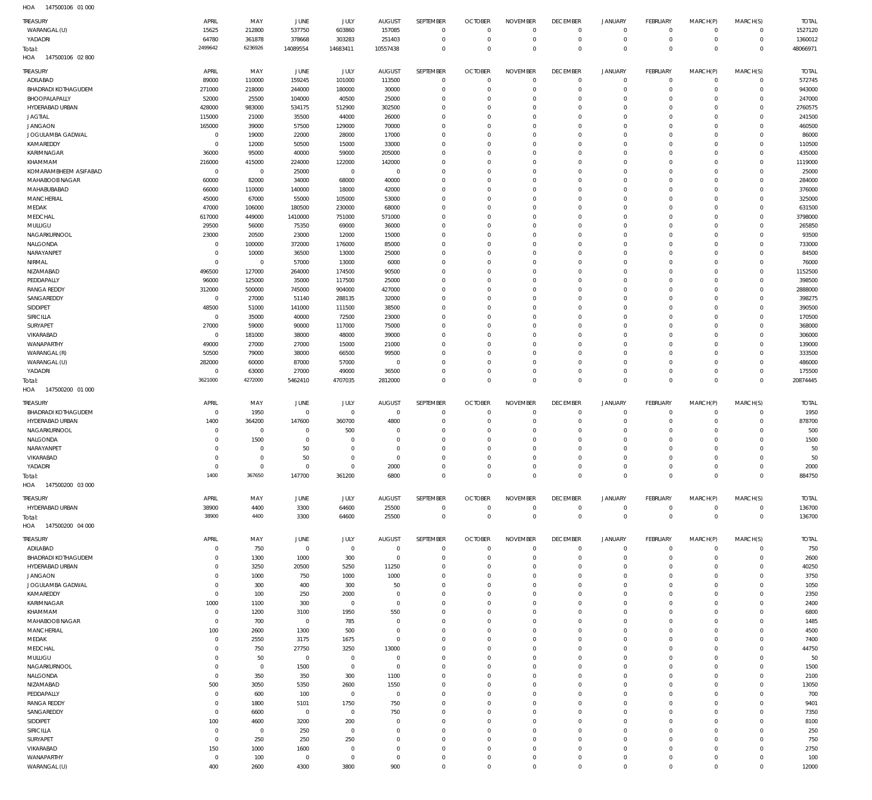| <b>TREASURY</b><br>WARANGAL (U)            | APRIL<br>15625             | MAY<br>212800     | JUNE<br>537750         | <b>JULY</b><br>603860      | <b>AUGUST</b><br>157085         | SEPTEMBER<br>$\mathbf 0$   | <b>OCTOBER</b><br>$\mathbf 0$ | <b>NOVEMBER</b><br>$\mathbf 0$    | <b>DECEMBER</b><br>$\mathbf 0$ | <b>JANUARY</b><br>$\mathbf 0$ | <b>FEBRUARY</b><br>$\overline{0}$ | MARCH(P)<br>$\mathbf 0$    | MARCH(S)<br>$\mathbf 0$       | <b>TOTAL</b><br>1527120 |
|--------------------------------------------|----------------------------|-------------------|------------------------|----------------------------|---------------------------------|----------------------------|-------------------------------|-----------------------------------|--------------------------------|-------------------------------|-----------------------------------|----------------------------|-------------------------------|-------------------------|
| YADADRI<br>Total:                          | 64780<br>2499642           | 361878<br>6236926 | 378668<br>14089554     | 303283<br>14683411         | 251403<br>10557438              | $\mathbf 0$<br>$\mathbf 0$ | $\overline{0}$<br>$\Omega$    | $\mathbf 0$<br>$\mathbb O$        | $^{\circ}$<br>$\mathbf 0$      | $\mathbf 0$<br>$\mathbf 0$    | $\overline{0}$<br>$\overline{0}$  | $\mathbf 0$<br>$\mathbf 0$ | $\mathbf 0$<br>$\overline{0}$ | 1360012<br>48066971     |
| 147500106 02 800<br>HOA<br><b>TREASURY</b> | APRIL                      | MAY               | JUNE                   | <b>JULY</b>                | <b>AUGUST</b>                   | SEPTEMBER                  | <b>OCTOBER</b>                | <b>NOVEMBER</b>                   | <b>DECEMBER</b>                | <b>JANUARY</b>                | <b>FEBRUARY</b>                   | MARCH(P)                   | MARCH(S)                      | <b>TOTAL</b>            |
| ADILABAD                                   | 89000                      | 110000            | 159245                 | 101000                     | 113500                          | $\mathbf 0$                | $\mathbf{0}$                  | $\mathbf{0}$                      | $\mathbf 0$                    | $\mathbf 0$                   | $\overline{0}$                    | $\mathbf 0$                | $\mathbf{0}$                  | 572745                  |
| <b>BHADRADI KOTHAGUDEM</b>                 | 271000                     | 218000            | 244000                 | 180000                     | 30000                           | $\mathbf 0$                | $^{\circ}$                    | $\mathbf{0}$                      | $^{\circ}$                     | $\mathbf 0$                   | $\mathbf 0$                       | $\mathbf 0$                | $\mathbf{0}$                  | 943000                  |
| BHOOPALAPALLY                              | 52000                      | 25500             | 104000                 | 40500                      | 25000                           | $\mathbf 0$                | $^{\circ}$                    | $^{\circ}$                        | $^{\circ}$                     | $\mathbf 0$                   | $\mathbf 0$                       | $\Omega$                   | $\mathbf{0}$                  | 247000                  |
| HYDERABAD URBAN                            | 428000                     | 983000            | 534175                 | 512900                     | 302500                          | $\Omega$                   | $\Omega$                      | $\mathbf 0$                       | $^{\circ}$                     | $\mathbf 0$                   | $\Omega$                          | $\Omega$                   | $\mathbf 0$                   | 2760575                 |
| <b>JAGTIAL</b>                             | 115000                     | 21000             | 35500                  | 44000                      | 26000                           | $\mathbf 0$                | $^{\circ}$                    | $^{\circ}$                        | $^{\circ}$                     | $\mathbf 0$                   | $\mathbf 0$                       | $\Omega$                   | $\mathbf 0$                   | 241500                  |
| <b>JANGAON</b>                             | 165000                     | 39000             | 57500                  | 129000                     | 70000                           | $\mathbf 0$                | $\Omega$                      | $\mathbf 0$                       | 0                              | $\mathbf 0$                   | $\Omega$                          | $\Omega$                   | $\mathbf 0$                   | 460500                  |
| JOGULAMBA GADWAL                           | $\mathbf{0}$               | 19000             | 22000                  | 28000                      | 17000                           | $\mathbf 0$                | $^{\circ}$                    | $^{\circ}$                        | $^{\circ}$                     | $\mathbf 0$                   | $\mathbf 0$                       | $\Omega$                   | $\mathbf 0$                   | 86000                   |
| KAMAREDDY                                  | $\mathbf 0$                | 12000             | 50500                  | 15000                      | 33000                           | $\Omega$                   | $\Omega$                      | $\Omega$                          | 0                              | $\mathbf 0$                   | $\Omega$                          | $\Omega$                   | $\mathbf 0$                   | 110500                  |
| KARIMNAGAR                                 | 36000                      | 95000             | 40000                  | 59000                      | 205000                          | $\mathbf 0$                | $^{\circ}$                    | $^{\circ}$                        | $^{\circ}$                     | $\mathbf 0$                   | $\mathbf 0$                       | $\Omega$                   | $\mathbf 0$                   | 435000                  |
| KHAMMAM                                    | 216000                     | 415000            | 224000                 | 122000                     | 142000                          | $\mathbf 0$                | $\Omega$                      | $\mathbf 0$                       | $^{\circ}$                     | $\mathbf 0$                   | O                                 | $\Omega$                   | $\mathbf 0$                   | 1119000                 |
| KOMARAMBHEEM ASIFABAD                      | $\mathbf{0}$               | $\mathbf 0$       | 25000                  | $\overline{0}$             | $\overline{0}$                  | $\mathbf 0$                | $\Omega$                      | $^{\circ}$                        | $\mathbf 0$                    | $\mathbf 0$                   | $\mathbf 0$                       | $\Omega$                   | $\mathbf 0$                   | 25000                   |
| MAHABOOB NAGAR                             | 60000                      | 82000             | 34000                  | 68000                      | 40000                           | $\mathbf 0$                | $\Omega$                      | $\mathbf 0$                       | $^{\circ}$                     | $\mathbf 0$                   | O                                 | $\Omega$                   | $\mathbf 0$                   | 284000                  |
| MAHABUBABAD                                | 66000                      | 110000            | 140000                 | 18000                      | 42000                           | $\mathbf 0$                | $\Omega$                      | $\mathbf 0$                       | $\mathbf 0$                    | $\mathbf 0$                   | $\Omega$                          | $\Omega$                   | $\mathbf 0$                   | 376000                  |
| <b>MANCHERIAL</b>                          | 45000                      | 67000             | 55000                  | 105000                     | 53000                           | $\mathbf 0$                | $^{\circ}$                    | $^{\circ}$                        | $\mathbf 0$                    | $\mathbf 0$                   | $\mathbf 0$                       | $\Omega$                   | $\mathbf 0$                   | 325000                  |
| MEDAK                                      | 47000                      | 106000            | 180500                 | 230000                     | 68000                           | $\mathbf 0$                | $\Omega$                      | $\mathbf 0$                       | $^{\circ}$                     | $\mathbf 0$                   | $\Omega$                          | $\Omega$                   | $\mathbf 0$                   | 631500                  |
| MEDCHAL                                    | 617000                     | 449000            | 1410000                | 751000                     | 571000                          | $\mathbf 0$                | $\Omega$                      | $\mathbf 0$                       | $^{\circ}$                     | $\mathbf 0$                   | $\mathbf 0$                       | $\Omega$                   | $\mathbf 0$                   | 3798000                 |
| MULUGU                                     | 29500                      | 56000             | 75350                  | 69000                      | 36000                           | $\mathbf 0$                | $\Omega$                      | $\mathbf 0$                       | $^{\circ}$                     | $\mathbf 0$                   | $\Omega$                          | $\Omega$                   | $\mathbf 0$                   | 265850                  |
| NAGARKURNOOL                               | 23000                      | 20500             | 23000                  | 12000                      | 15000                           | $\mathbf 0$                | $^{\circ}$                    | $^{\circ}$                        | $^{\circ}$                     | $\mathbf 0$                   | $\mathbf 0$                       | $\Omega$                   | $\mathbf 0$                   | 93500                   |
| NALGONDA<br>NARAYANPET                     | $\mathbf 0$<br>$\mathbf 0$ | 100000<br>10000   | 372000<br>36500        | 176000<br>13000            | 85000<br>25000                  | $\mathbf 0$<br>$\mathbf 0$ | $\Omega$<br>$\Omega$          | $\mathbf 0$<br>$\mathbf 0$        | $^{\circ}$<br>$^{\circ}$       | $\mathbf 0$<br>$\mathbf 0$    | $\Omega$<br>$\mathbf 0$           | $\Omega$<br>$\Omega$       | $\mathbf 0$<br>$\mathbf 0$    | 733000<br>84500         |
| NIRMAL                                     | $\mathbf 0$                | $\,0\,$           | 57000                  | 13000                      | 6000                            | $\mathbf 0$                | $\Omega$                      | $\mathbf 0$                       | $^{\circ}$                     | $\mathbf 0$                   | $\Omega$                          | $\Omega$                   | $\mathbf 0$                   | 76000                   |
| NIZAMABAD                                  | 496500                     | 127000            | 264000                 | 174500                     | 90500                           | $\mathbf 0$                | $\Omega$                      | $\mathbf 0$                       | $^{\circ}$                     | $\mathbf 0$                   | $\mathbf 0$                       | $\Omega$                   | $\mathbf 0$                   | 1152500                 |
| PEDDAPALLY                                 | 96000                      | 125000            | 35000                  | 117500                     | 25000                           | $\mathbf 0$                | $\Omega$                      | $\mathbf 0$                       | $^{\circ}$                     | $\mathbf 0$                   | O                                 | $\Omega$                   | $\mathbf 0$                   | 398500                  |
| <b>RANGA REDDY</b>                         | 312000                     | 500000            | 745000                 | 904000                     | 427000                          | $\Omega$                   | $\Omega$                      | $\mathbf 0$                       | $\overline{0}$                 | $\mathbf 0$                   | $\Omega$                          | $\Omega$                   | $\mathbf 0$                   | 2888000                 |
| SANGAREDDY                                 | $\mathbf{0}$               | 27000             | 51140                  | 288135                     | 32000                           | $\mathbf 0$                | $^{\circ}$                    | $^{\circ}$                        | $^{\circ}$                     | $\mathbf 0$                   | O                                 | $\Omega$                   | $\mathbf 0$                   | 398275                  |
| SIDDIPET                                   | 48500                      | 51000             | 141000                 | 111500                     | 38500                           | $\mathbf 0$                | $\Omega$                      | $\mathbf 0$                       | $\overline{0}$                 | $\mathbf 0$                   | $\Omega$                          | $\Omega$                   | $\mathbf 0$                   | 390500                  |
| <b>SIRICILLA</b>                           | $\mathbf{0}$               | 35000             | 40000                  | 72500                      | 23000                           | $\mathbf 0$                | $^{\circ}$                    | $^{\circ}$                        | $^{\circ}$                     | $\mathbf 0$                   | $\mathbf 0$                       | $\Omega$                   | $\mathbf 0$                   | 170500                  |
| SURYAPET                                   | 27000                      | 59000             | 90000                  | 117000                     | 75000                           | $\Omega$                   | $\Omega$                      | $\Omega$                          | 0                              | $\mathbf 0$                   | $\Omega$                          | $\Omega$                   | $\mathbf 0$                   | 368000                  |
| VIKARABAD                                  | $\overline{0}$             | 181000            | 38000                  | 48000                      | 39000                           | $\mathbf 0$                | $^{\circ}$                    | $^{\circ}$                        | $\mathbf 0$                    | $\mathbf 0$                   | $\mathbf 0$                       | $\Omega$                   | $\mathbf 0$                   | 306000                  |
| WANAPARTHY                                 | 49000                      | 27000             | 27000                  | 15000                      | 21000                           | $\Omega$                   | $\Omega$                      | $\mathbf 0$                       | 0                              | $\mathbf 0$                   | $\Omega$                          | $\Omega$                   | $\mathbf 0$                   | 139000                  |
| WARANGAL (R)                               | 50500                      | 79000             | 38000                  | 66500                      | 99500                           | $\mathbf 0$                | $^{\circ}$                    | $^{\circ}$                        | $\mathbf 0$                    | $\mathbf 0$                   | $\mathbf 0$                       | $\Omega$                   | $\mathbf 0$                   | 333500                  |
| WARANGAL (U)                               | 282000                     | 60000             | 87000                  | 57000                      | $^{\circ}$                      | $\Omega$                   | $\Omega$                      | $\mathbf 0$                       | $\mathbf 0$                    | $\mathbf 0$                   | $\Omega$                          | $\Omega$                   | $\mathbf 0$                   | 486000                  |
| YADADRI                                    | $\mathbf{0}$               | 63000             | 27000                  | 49000                      | 36500                           | $\mathbf 0$                | $\mathbf{0}$                  | $\mathbf 0$                       | $\mathbf 0$                    | $\mathbf 0$                   | $\mathbf 0$                       | $\mathbf 0$                | $\mathbf{0}$                  | 175500                  |
| Total:                                     | 3621000                    | 4272000           | 5462410                | 4707035                    | 2812000                         | $\mathbb O$                | $\Omega$                      | $\mathbf 0$                       | $\mathbf 0$                    | $\mathbf 0$                   | $\mathbf 0$                       | $\Omega$                   | $\overline{0}$                | 20874445                |
|                                            |                            |                   |                        |                            |                                 |                            |                               |                                   |                                |                               |                                   |                            |                               |                         |
| 147500200 01 000<br>HOA                    |                            |                   |                        |                            |                                 |                            |                               |                                   |                                |                               |                                   |                            |                               |                         |
|                                            | APRIL                      |                   |                        |                            |                                 | <b>SEPTEMBER</b>           | <b>OCTOBER</b>                |                                   |                                | <b>JANUARY</b>                | <b>FEBRUARY</b>                   |                            |                               |                         |
| TREASURY<br><b>BHADRADI KOTHAGUDEM</b>     | $^{\circ}$                 | MAY<br>1950       | JUNE<br>$\mathbf 0$    | <b>JULY</b><br>$\mathbf 0$ | <b>AUGUST</b><br>$\overline{0}$ | $\mathbf 0$                | $\overline{0}$                | <b>NOVEMBER</b><br>$\overline{0}$ | <b>DECEMBER</b><br>$^{\circ}$  | $\mathbf 0$                   | $\overline{0}$                    | MARCH(P)<br>$\mathbf 0$    | MARCH(S)<br>$\mathbf 0$       | <b>TOTAL</b><br>1950    |
| HYDERABAD URBAN                            | 1400                       | 364200            | 147600                 | 360700                     | 4800                            | $\mathbf 0$                | $\overline{0}$                | $\mathbf 0$                       | $^{\circ}$                     | $\mathbf 0$                   | $\mathbf 0$                       | $\mathbf 0$                | $\circ$                       | 878700                  |
| NAGARKURNOOL                               | $^{\circ}$                 | $\mathbf 0$       | $^{\circ}$             | 500                        | $^{\circ}$                      | $\mathbf 0$                | $^{\circ}$                    | $\mathbf 0$                       | $^{\circ}$                     | $\mathbf 0$                   | $\mathbf 0$                       | $\Omega$                   | $\mathbf{0}$                  | 500                     |
| NALGONDA                                   | $\mathbf 0$                | 1500              | $^{\circ}$             | $^{\circ}$                 | $\Omega$                        | $\mathbf 0$                | $^{\circ}$                    | $\mathbf 0$                       | $^{\circ}$                     | $\mathbf 0$                   | $^{\circ}$                        | $\Omega$                   | $\mathbf{0}$                  | 1500                    |
| NARAYANPET                                 | 0                          | $\mathbf 0$       | 50                     | $\Omega$                   | $\Omega$                        | $\mathbf 0$                | $\Omega$                      | $\mathbf 0$                       | $^{\circ}$                     | $\mathbf 0$                   | $\mathbf 0$                       | $\Omega$                   | $\mathbf{0}$                  | 50                      |
| VIKARABAD                                  | $\mathbf 0$                | $\mathbb O$       | 50                     | $\Omega$                   | $\Omega$                        | $\mathbf 0$                | $\Omega$                      | $\mathbf 0$                       | $\mathbf 0$                    | $\mathbf 0$                   | $\mathbf 0$                       | $\Omega$                   | $\circ$                       | 50                      |
| YADADRI                                    | $\circ$                    | $\mathbf{0}$      | $^{\circ}$             | $\circ$                    | 2000                            | $\mathbf{0}$               | $\Omega$                      | $\circ$                           | 0                              | 0                             | 0                                 | 0                          | $\circ$                       | 2000                    |
| Total:                                     | 1400                       | 367650            | 147700                 | 361200                     | 6800                            | $\mathbf 0$                | $\mathbb O$                   | $\mathbf 0$                       | $\mathbf 0$                    | $\mathsf{O}\xspace$           | $\overline{0}$                    | $\mathbf 0$                | $\overline{0}$                | 884750                  |
| 147500200 03 000<br>HOA                    |                            |                   |                        |                            |                                 |                            |                               |                                   |                                |                               |                                   |                            |                               |                         |
|                                            | APRIL                      |                   |                        |                            |                                 | SEPTEMBER                  |                               |                                   |                                |                               |                                   |                            |                               |                         |
| TREASURY<br>HYDERABAD URBAN                | 38900                      | MAY<br>4400       | JUNE<br>3300           | <b>JULY</b><br>64600       | <b>AUGUST</b><br>25500          | $\mathbf 0$                | <b>OCTOBER</b><br>$\mathbb O$ | <b>NOVEMBER</b><br>$\mathbf 0$    | <b>DECEMBER</b><br>$\mathbf 0$ | <b>JANUARY</b><br>$\mathbf 0$ | FEBRUARY<br>$\overline{0}$        | MARCH(P)<br>$\mathbf 0$    | MARCH(S)<br>$\mathbf{0}$      | <b>TOTAL</b><br>136700  |
|                                            | 38900                      | 4400              | 3300                   | 64600                      | 25500                           | $\mathbf 0$                | $\mathbf 0$                   | $\mathbb O$                       | $\mathbf 0$                    | $\mathbf 0$                   | $\overline{0}$                    | $\mathbf 0$                | $\overline{0}$                | 136700                  |
| Total:<br>147500200 04 000<br>HOA          |                            |                   |                        |                            |                                 |                            |                               |                                   |                                |                               |                                   |                            |                               |                         |
|                                            |                            |                   |                        |                            |                                 |                            |                               |                                   |                                |                               |                                   |                            |                               |                         |
| <b>TREASURY</b>                            | APRIL                      | MAY               | JUNE                   | JULY                       | <b>AUGUST</b>                   | SEPTEMBER                  | <b>OCTOBER</b>                | <b>NOVEMBER</b>                   | <b>DECEMBER</b>                | <b>JANUARY</b>                | <b>FEBRUARY</b>                   | MARCH(P)                   | MARCH(S)                      | <b>TOTAL</b>            |
| ADILABAD                                   | $\mathbf 0$                | 750               | $\mathbf 0$            | $\mathbb O$                | $\overline{0}$                  | $\mathbf 0$                | $\mathbf 0$                   | $\mathbf{0}$                      | $\mathbf 0$                    | $^{\circ}$                    | $\overline{0}$                    | $^{\circ}$                 | $\mathbf 0$                   | 750                     |
| <b>BHADRADI KOTHAGUDEM</b>                 | 0                          | 1300              | 1000                   | 300                        | $\overline{0}$                  | $\mathbf 0$                | C                             | $\mathbf{0}$                      | $^{\circ}$                     | $\mathbf 0$                   | $\mathbf 0$                       | $\mathbf 0$                | $\circ$                       | 2600                    |
| <b>HYDERABAD URBAN</b>                     | 0                          | 3250              | 20500                  | 5250                       | 11250                           | $\mathbf 0$                | $^{\circ}$<br>$\Omega$        | $\mathbf{0}$                      | $\mathbf 0$                    | $\mathbf 0$                   | $\mathbf 0$                       | $\mathbf 0$<br>$\Omega$    | $\mathbf{0}$                  | 40250                   |
| <b>JANGAON</b>                             | 0<br>0                     | 1000              | 750                    | 1000                       | 1000                            | $\mathbf 0$<br>$\mathbf 0$ | $\Omega$                      | $\mathbf{0}$                      | $\mathbf 0$<br>$\mathbf 0$     | $\mathbf 0$<br>$\mathbf 0$    | $\mathbf 0$<br>$\mathbf 0$        | $\Omega$                   | $\mathbf{0}$<br>$\mathbf{0}$  | 3750                    |
| JOGULAMBA GADWAL<br>KAMAREDDY              | $\mathbf 0$                | 300<br>100        | 400<br>250             | 300<br>2000                | 50<br>$^{\circ}$                | $\mathbf 0$                | $\Omega$                      | $\mathbf 0$<br>$^{\circ}$         | $\mathbf 0$                    | $\mathbf 0$                   | $\mathbf 0$                       | $\Omega$                   | $\mathbf{0}$                  | 1050<br>2350            |
| KARIMNAGAR                                 | 1000                       | 1100              | 300                    | $^{\circ}$                 | $\Omega$                        | $\mathbf 0$                | $^{\circ}$                    | $\mathbf 0$                       | $\mathbf 0$                    | $\mathbf 0$                   | $\mathbf 0$                       | $\Omega$                   | $\mathbf 0$                   | 2400                    |
| KHAMMAM                                    | $\mathbf 0$                | 1200              | 3100                   | 1950                       | 550                             | $\mathbf 0$                | $\Omega$                      | $\mathbf 0$                       | $\mathbf 0$                    | $\mathbf 0$                   | $\mathbf 0$                       | $\Omega$                   | $\mathbf 0$                   | 6800                    |
| MAHABOOB NAGAR                             | $\mathbf 0$                | 700               | $\mathbf 0$            | 785                        | $\Omega$                        | $\mathbf 0$                | $\Omega$                      | $\mathbf 0$                       | $\mathbf 0$                    | $\mathbf 0$                   | $\mathbf 0$                       | $\Omega$                   | $\mathbf{0}$                  | 1485                    |
| <b>MANCHERIAL</b>                          | 100                        | 2600              | 1300                   | 500                        | $^{\circ}$                      | $\mathbf 0$                | $\Omega$                      | $\mathbf 0$                       | $\mathbf 0$                    | $\mathbf 0$                   | $\mathbf 0$                       | $\Omega$                   | $\mathbf 0$                   | 4500                    |
| MEDAK                                      | $\mathbf 0$                | 2550              | 3175                   | 1675                       | $\Omega$                        | $\mathbf 0$                | $^{\circ}$                    | $\mathbf 0$                       | $\mathbf 0$                    | $\mathbf 0$                   | $\mathbf 0$                       | $\Omega$                   | $\mathbf 0$                   | 7400                    |
| MEDCHAL                                    | $\mathbf 0$                | 750               | 27750                  | 3250                       | 13000                           | $\mathbf 0$                | $\Omega$                      | $\mathbf 0$                       | $\mathbf 0$                    | $\mathbf 0$                   | $\mathbf 0$                       | $\Omega$                   | $\mathbf{0}$                  | 44750                   |
| MULUGU                                     | 0                          | 50                | $\mathbf 0$            | $^{\circ}$                 | $^{\circ}$                      | $\mathbf 0$                | $\Omega$                      | $\mathbf 0$                       | $\mathbf 0$                    | $\mathbf 0$                   | $\mathbf 0$                       | $\Omega$                   | $\mathbf{0}$                  | 50                      |
| NAGARKURNOOL                               | $\mathbf 0$                | $\mathbf 0$       | 1500                   | $\mathbf 0$                | $^{\circ}$                      | $\mathbf 0$                | $\Omega$                      | $\mathbf 0$                       | $\mathbf 0$                    | $\mathbf 0$                   | $\mathbf 0$                       | $\Omega$                   | $\mathbf{0}$                  | 1500                    |
| NALGONDA                                   | $\mathbf 0$                | 350               | 350                    | 300                        | 1100                            | $\mathbf 0$                | $^{\circ}$                    | $\mathbf 0$                       | $\mathbf 0$                    | $\mathbf 0$                   | $\mathbf 0$                       | $\Omega$                   | $\mathbf 0$                   | 2100                    |
| NIZAMABAD                                  | 500                        | 3050              | 5350                   | 2600                       | 1550                            | $\mathbf 0$                | $\Omega$                      | $\mathbf 0$                       | $\mathbf 0$                    | $\mathbf 0$                   | $\mathbf 0$                       | $\Omega$                   | $\mathbf{0}$                  | 13050                   |
| PEDDAPALLY                                 | $\mathbf 0$                | 600               | 100                    | $\overline{0}$             | $\overline{0}$                  | $\mathbf 0$                | $^{\circ}$                    | $\mathbf{0}$                      | $\mathbf 0$                    | $\mathbf 0$                   | $\mathbf 0$                       | $\Omega$                   | $\mathbf{0}$                  | 700                     |
| <b>RANGA REDDY</b>                         | $\mathbf 0$                | 1800              | 5101                   | 1750                       | 750                             | $\mathbf 0$                | $\Omega$                      | $\mathbf 0$                       | $\mathbf 0$                    | $\mathbf 0$                   | $\mathbf 0$                       | $\Omega$                   | $\mathbf 0$                   | 9401                    |
| SANGAREDDY                                 | $\mathbf 0$                | 6600              | $\overline{0}$         | $\overline{0}$             | 750                             | $\mathbf 0$                | $^{\circ}$                    | $\mathbf{0}$                      | $\mathbf 0$                    | $\mathbf 0$                   | $\mathbf 0$                       | $\Omega$                   | $\mathbf{0}$                  | 7350                    |
| SIDDIPET                                   | 100                        | 4600              | 3200                   | 200                        | $\Omega$                        | $\mathbf 0$                | $\Omega$                      | $\mathbf 0$                       | $\mathbf 0$                    | $\mathbf 0$                   | $\mathbf 0$                       | $\Omega$                   | $\mathbf 0$                   | 8100                    |
| <b>SIRICILLA</b>                           | $\mathbf{0}$               | $\overline{0}$    | 250                    | $^{\circ}$                 | $\Omega$                        | $\mathbf 0$                | $^{\circ}$                    | $\mathbf{0}$                      | $\mathbf 0$                    | $\mathbf 0$                   | $\mathbf 0$                       | $\Omega$                   | $\mathbf{0}$                  | 250                     |
| SURYAPET                                   | $\mathbf 0$                | 250               | 250                    | 250                        | $\Omega$                        | $\mathbf 0$                | $\Omega$                      | $\mathbf 0$                       | $\mathbf 0$                    | $\mathbf 0$                   | $\mathbf 0$                       | $\Omega$                   | $\circ$                       | 750                     |
| VIKARABAD<br>WANAPARTHY                    | 150<br>$\mathbf 0$         | 1000              | 1600<br>$\overline{0}$ | $^{\circ}$<br>$\mathbf 0$  | $\Omega$<br>$^{\circ}$          | $\mathbf 0$<br>$\mathbf 0$ | $^{\circ}$<br>$^{\circ}$      | $\mathbf 0$<br>$\mathbf 0$        | $\mathbf 0$<br>$\mathbf 0$     | $\mathbf 0$<br>$\mathbf 0$    | $\mathbf 0$<br>$\mathbf 0$        | $\mathbf 0$<br>$\mathbf 0$ | $\mathbf{0}$<br>$\mathbf{0}$  | 2750                    |
| WARANGAL (U)                               | 400                        | 100<br>2600       | 4300                   | 3800                       | 900                             | $\mathbf 0$                | $^{\circ}$                    | $\mathbf 0$                       | $\mathbf 0$                    | $\mathbf 0$                   | $\mathbf 0$                       | $\mathbf 0$                | $\circ$                       | 100<br>12000            |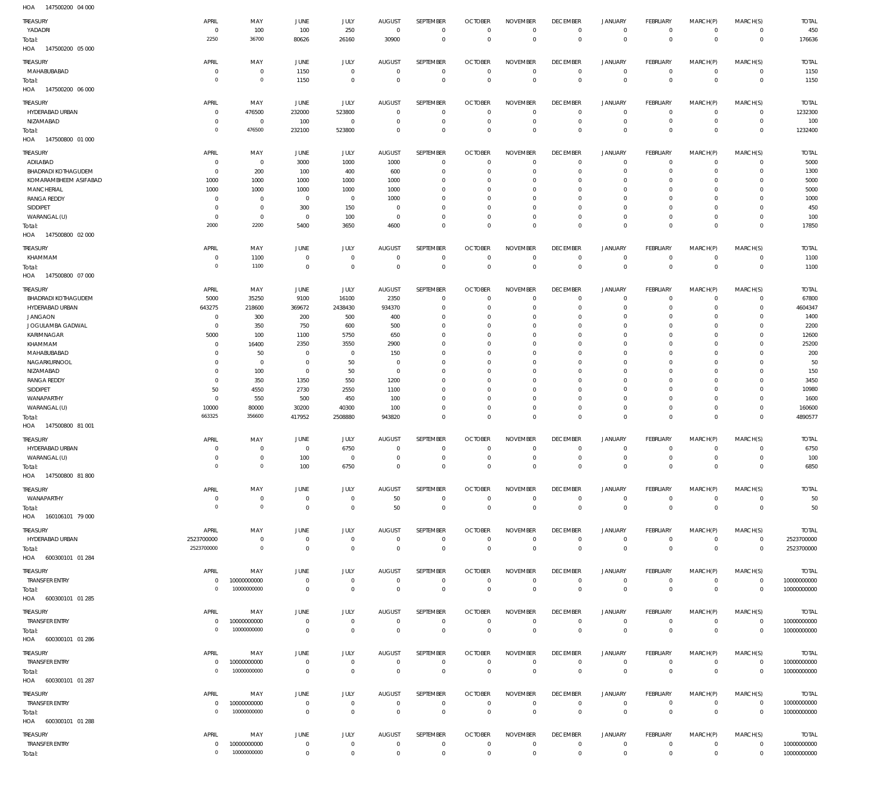| HOA<br>147500200 04 000                    |                               |                            |                                  |                                  |                                  |                                  |                                  |                                  |                             |                                  |                               |                               |                                    |                            |
|--------------------------------------------|-------------------------------|----------------------------|----------------------------------|----------------------------------|----------------------------------|----------------------------------|----------------------------------|----------------------------------|-----------------------------|----------------------------------|-------------------------------|-------------------------------|------------------------------------|----------------------------|
| TREASURY                                   | APRIL                         | MAY                        | JUNE                             | JULY                             | <b>AUGUST</b>                    | SEPTEMBER                        | <b>OCTOBER</b>                   | <b>NOVEMBER</b>                  | <b>DECEMBER</b>             | JANUARY                          | <b>FEBRUARY</b>               | MARCH(P)                      | MARCH(S)                           | <b>TOTAL</b>               |
| YADADRI                                    | $^{\circ}$                    | 100                        | 100                              | 250                              | $\overline{0}$                   | $\mathbf 0$                      | $\overline{0}$                   | $^{\circ}$                       | $\overline{0}$              | $\overline{0}$                   | $\mathbf 0$                   | $\mathbf 0$                   | 0                                  | 450                        |
| Total:                                     | 2250                          | 36700                      | 80626                            | 26160                            | 30900                            | $\mathbb O$                      | $\overline{0}$                   | $\overline{0}$                   | $\mathbb O$                 | $\overline{0}$                   | $\mathbf 0$                   | $\mathbf 0$                   | $\mathbb O$                        | 176636                     |
| HOA<br>147500200 05 000                    |                               |                            |                                  |                                  |                                  |                                  |                                  |                                  |                             |                                  |                               |                               |                                    |                            |
| TREASURY                                   | APRIL                         | MAY                        | JUNE                             | JULY                             | <b>AUGUST</b>                    | SEPTEMBER                        | <b>OCTOBER</b>                   | <b>NOVEMBER</b>                  | <b>DECEMBER</b>             | <b>JANUARY</b>                   | FEBRUARY                      | MARCH(P)                      | MARCH(S)                           | <b>TOTAL</b>               |
| MAHABUBABAD                                | $\circ$                       | $\mathbf 0$                | 1150                             | 0                                | 0                                | $\mathbb O$                      | $\Omega$                         | $^{\circ}$                       | $\,0\,$                     | $\overline{0}$                   | $\mathbf 0$                   | 0                             | 0                                  | 1150                       |
| Total:                                     | $\circ$                       | $\mathbf 0$                | 1150                             | $\bf 0$                          | $\mathbf 0$                      | $\,0\,$                          | $\overline{0}$                   | $\mathbf 0$                      | $\,0\,$                     | $\overline{0}$                   | $\mathbf 0$                   | $\mathbf 0$                   | $\,0\,$                            | 1150                       |
| HOA<br>147500200 06 000                    |                               |                            |                                  |                                  |                                  |                                  |                                  |                                  |                             |                                  |                               |                               |                                    |                            |
| Treasury                                   | APRIL                         | MAY                        | JUNE                             | JULY                             | <b>AUGUST</b>                    | SEPTEMBER                        | <b>OCTOBER</b>                   | <b>NOVEMBER</b>                  | <b>DECEMBER</b>             | <b>JANUARY</b>                   | FEBRUARY                      | MARCH(P)                      | MARCH(S)                           | <b>TOTAL</b>               |
| HYDERABAD URBAN                            | $^{\circ}$                    | 476500                     | 232000                           | 523800                           | $\mathbf 0$                      | $\overline{0}$                   | $\Omega$                         | $^{\circ}$                       | $\,0\,$                     | $\overline{0}$                   | $\mathbf 0$                   | $\mathbf 0$                   | $\circ$                            | 1232300                    |
| NIZAMABAD                                  | $^{\circ}$                    | $\,0\,$                    | 100                              | 0                                | 0                                | $\,0\,$                          | $\mathbf{0}$                     | $^{\circ}$                       | $\,0\,$                     | $\overline{0}$                   | $\mathbf 0$                   | $\mathbf 0$                   | $\mathsf{O}\xspace$                | 100                        |
| Total:                                     | $\circ$                       | 476500                     | 232100                           | 523800                           | $^{\circ}$                       | $\mathbb O$                      | $\Omega$                         | $\Omega$                         | $\mathbf 0$                 | $\overline{0}$                   | $\mathbf 0$                   | $^{\circ}$                    | $\mathbb O$                        | 1232400                    |
| HOA<br>147500800 01 000                    |                               |                            |                                  |                                  |                                  |                                  |                                  |                                  |                             |                                  |                               |                               |                                    |                            |
| Treasury                                   | APRIL                         | MAY                        | JUNE                             | JULY                             | <b>AUGUST</b>                    | SEPTEMBER                        | <b>OCTOBER</b>                   | <b>NOVEMBER</b>                  | <b>DECEMBER</b>             | <b>JANUARY</b>                   | FEBRUARY                      | MARCH(P)                      | MARCH(S)                           | <b>TOTAL</b>               |
| ADILABAD                                   | $^{\circ}$                    | $\overline{0}$             | 3000                             | 1000                             | 1000                             | $\mathbf 0$                      | $\Omega$                         | $^{\circ}$                       | $\overline{0}$              | $\overline{0}$                   | $\mathbf 0$                   | $^{\circ}$                    | 0                                  | 5000                       |
| <b>BHADRADI KOTHAGUDEM</b>                 | $^{\circ}$                    | 200                        | 100                              | 400                              | 600                              | $\,0\,$                          | $\Omega$                         | $^{\circ}$                       | $\mathbf 0$                 | $\overline{0}$                   | $\mathbf 0$                   | 0                             | $\mathsf{O}\xspace$                | 1300                       |
| KOMARAMBHEEM ASIFABAD<br><b>MANCHERIAL</b> | 1000<br>1000                  | 1000<br>1000               | 1000<br>1000                     | 1000<br>1000                     | 1000<br>1000                     | $\overline{0}$<br>$\overline{0}$ | $\Omega$<br>$\Omega$             | $^{\circ}$<br>$^{\circ}$         | $\mathbf{0}$<br>$\mathbf 0$ | $\mathbf 0$<br>$\mathbf 0$       | 0<br>0                        | 0<br>0                        | $\circ$<br>$\mathsf{O}\xspace$     | 5000<br>5000               |
| <b>RANGA REDDY</b>                         | $\circ$                       | $\,0\,$                    | $\overline{0}$                   | 0                                | 1000                             | $\mathbf 0$                      | $\Omega$                         | $^{\circ}$                       | $\mathbf 0$                 | $\mathbf 0$                      | $\Omega$                      | 0                             | $\mathbf 0$                        | 1000                       |
| SIDDIPET                                   | $^{\circ}$                    | $\,0\,$                    | 300                              | 150                              | 0                                | $\overline{0}$                   | $\Omega$                         | $^{\circ}$                       | $\mathbf{0}$                | $\mathbf 0$                      | $\Omega$                      | $\mathbf 0$                   | $\mathsf{O}\xspace$                | 450                        |
| WARANGAL (U)                               | $\circ$                       | $\,0\,$                    | $\overline{0}$                   | 100                              | $\overline{0}$                   | $\mathbf 0$                      | $\Omega$                         | $^{\circ}$                       | $\mathbf 0$                 | $\overline{0}$                   | $\mathbf 0$                   | $\mathbf 0$                   | $\mathsf{O}\xspace$                | 100                        |
| rotal:                                     | 2000                          | 2200                       | 5400                             | 3650                             | 4600                             | $\mathbf 0$                      | $\Omega$                         | $\mathbf 0$                      | $\mathbf 0$                 | $\overline{0}$                   | $\mathbf 0$                   | $\mathbf 0$                   | $\mathbb O$                        | 17850                      |
| HOA<br>147500800 02 000                    |                               |                            |                                  |                                  |                                  |                                  |                                  |                                  |                             |                                  |                               |                               |                                    |                            |
| TREASURY                                   | APRIL                         | MAY                        | <b>JUNE</b>                      | JULY                             | <b>AUGUST</b>                    | SEPTEMBER                        | <b>OCTOBER</b>                   | <b>NOVEMBER</b>                  | <b>DECEMBER</b>             | <b>JANUARY</b>                   | FEBRUARY                      | MARCH(P)                      | MARCH(S)                           | <b>TOTAL</b>               |
| KHAMMAM                                    | $\circ$                       | 1100                       | $\overline{0}$                   | $\mathbf 0$                      | $\mathbf 0$                      | $\overline{0}$                   | $\Omega$                         | $^{\circ}$                       | $\,0\,$                     | $\overline{0}$                   | $\mathbf 0$                   | $\mathbf 0$                   | $\circ$                            | 1100                       |
| Total:                                     | $\circ$                       | 1100                       | $\overline{0}$                   | $\mathbf 0$                      | $^{\circ}$                       | $\mathbb O$                      | $\overline{0}$                   | $\mathbf 0$                      | $\,0\,$                     | $\overline{0}$                   | $\mathbf 0$                   | $^{\circ}$                    | $\mathbb O$                        | 1100                       |
| 147500800 07 000<br>HOA                    |                               |                            |                                  |                                  |                                  |                                  |                                  |                                  |                             |                                  |                               |                               |                                    |                            |
| TREASURY                                   | APRIL                         | MAY                        | JUNE                             | JULY                             | <b>AUGUST</b>                    | SEPTEMBER                        | <b>OCTOBER</b>                   | <b>NOVEMBER</b>                  | <b>DECEMBER</b>             | JANUARY                          | FEBRUARY                      | MARCH(P)                      | MARCH(S)                           | <b>TOTAL</b>               |
| <b>BHADRADI KOTHAGUDEM</b>                 | 5000                          | 35250                      | 9100                             | 16100                            | 2350                             | $\mathbf 0$                      | $\Omega$                         | $\circ$                          | $\mathbf 0$                 | $\circ$                          | $\mathbf 0$                   | 0                             | $\mathbf 0$                        | 67800                      |
| HYDERABAD URBAN                            | 643275                        | 218600                     | 369672                           | 2438430                          | 934370                           | $\mathbb O$                      | $\Omega$                         | $^{\circ}$                       | $\mathbf 0$                 | $\overline{0}$                   | $\mathbf 0$                   | $\mathbf 0$                   | $\mathbf 0$                        | 4604347                    |
| <b>JANGAON</b>                             | $^{\circ}$                    | 300                        | 200                              | 500                              | 400                              | $\mathbf 0$                      | $\Omega$                         | $^{\circ}$                       | $\mathbf 0$                 | $\circ$                          | 0                             | 0                             | 0                                  | 1400                       |
| JOGULAMBA GADWAL                           | $^{\circ}$                    | 350                        | 750                              | 600                              | 500                              | $\mathbb O$                      | $\Omega$                         | $^{\circ}$                       | $\mathbf 0$                 | $\mathbf 0$                      | 0                             | 0                             | $\mathsf{O}\xspace$                | 2200                       |
| KARIMNAGAR                                 | 5000                          | 100                        | 1100                             | 5750                             | 650                              | $\mathbb O$                      | $\Omega$                         | $^{\circ}$                       | $\mathbf{0}$                | $\mathbf 0$                      | $\Omega$                      | 0                             | $\mathsf{O}\xspace$                | 12600                      |
| KHAMMAM                                    | $\Omega$                      | 16400                      | 2350                             | 3550                             | 2900                             | $\mathbb O$                      | $\Omega$                         | $\Omega$                         | $\mathbf{0}$                | $\mathbf 0$                      | $\Omega$                      | $\mathbf 0$                   | $\mathbf 0$                        | 25200                      |
| MAHABUBABAD<br>NAGARKURNOOL                | $\circ$<br>$\Omega$           | 50<br>$\overline{0}$       | $\overline{0}$<br>$\overline{0}$ | 0<br>50                          | 150<br>$\mathbf 0$               | $\mathbb O$<br>$\mathbb O$       | $\Omega$<br>$\Omega$             | $^{\circ}$<br>$^{\circ}$         | $\mathbf{0}$<br>$\mathbf 0$ | $\mathbf 0$<br>$\mathbf 0$       | $\Omega$<br>$\Omega$          | 0<br>0                        | 0<br>$\mathbf 0$                   | 200<br>50                  |
| NIZAMABAD                                  | $^{\circ}$                    | 100                        | $\overline{0}$                   | 50                               | $^{\circ}$                       | $\mathbb O$                      | $\Omega$                         | $^{\circ}$                       | $\mathbf{0}$                | $\mathbf 0$                      | $\Omega$                      | 0                             | $\mathsf{O}\xspace$                | 150                        |
| <b>RANGA REDDY</b>                         | $^{\circ}$                    | 350                        | 1350                             | 550                              | 1200                             | $\mathbb O$                      | $\Omega$                         | $^{\circ}$                       | $\mathbf 0$                 | $\mathbf 0$                      | $\Omega$                      | $^{\circ}$                    | $\mathbf 0$                        | 3450                       |
| SIDDIPET                                   | 50                            | 4550                       | 2730                             | 2550                             | 1100                             | $\mathbb O$                      | $\Omega$                         | $^{\circ}$                       | $\mathbf{0}$                | $\mathbf 0$                      | $\Omega$                      | 0                             | 0                                  | 10980                      |
| WANAPARTHY                                 | $^{\circ}$                    | 550                        | 500                              | 450                              | 100                              | $\mathbb O$                      | $\Omega$                         | $^{\circ}$                       | $\mathbf{0}$                | $\mathbf 0$                      | $\mathbf 0$                   | $^{\circ}$                    | $\mathbf 0$                        | 1600                       |
| WARANGAL (U)                               | 10000                         | 80000                      | 30200                            | 40300                            | 100                              | $\mathbb O$                      | $\Omega$                         | $\mathbb O$                      | $\mathbf 0$                 | $\overline{0}$                   | $\mathbf 0$                   | $^{\circ}$                    | $\mathsf{O}\xspace$                | 160600                     |
| Total:                                     | 663325                        | 356600                     | 417952                           | 2508880                          | 943820                           | $\mathbb O$                      | $\Omega$                         | $\mathbb O$                      | $\mathbf 0$                 | $\overline{0}$                   | $\mathbf 0$                   | $\mathbf 0$                   | $\mathbb O$                        | 4890577                    |
| HOA<br>147500800 81 001                    |                               |                            |                                  |                                  |                                  |                                  |                                  |                                  |                             |                                  |                               |                               |                                    |                            |
| TREASURY                                   | APRIL                         | MAY                        | JUNE                             | JULY                             | <b>AUGUST</b>                    | SEPTEMBER                        | <b>OCTOBER</b>                   | <b>NOVEMBER</b>                  | <b>DECEMBER</b>             | <b>JANUARY</b>                   | FEBRUARY                      | MARCH(P)                      | MARCH(S)                           | <b>TOTAL</b>               |
| HYDERABAD URBAN                            | $^{\circ}$                    | $\overline{0}$             | $\overline{0}$                   | 6750                             | $\mathbf 0$                      | $\overline{0}$                   | $\overline{0}$                   | $\mathbb O$                      | $\,0\,$                     | $\overline{0}$                   | $\mathbf 0$                   | $\mathbf 0$                   | $\circ$                            | 675C                       |
| WARANGAL (U)                               | $\mathbf 0$                   | $\mathbf 0$                | 100                              | 0                                | $\mathbf 0$                      | $\,0\,$                          | $\overline{0}$                   | $\,0\,$                          | $\,0\,$                     | $\mathsf{O}\xspace$              | $\mathbf 0$                   | 0                             | $\mathsf{O}\xspace$                | 100                        |
| Total:                                     | $\circ$                       | $\circ$                    | 100                              | 6750                             | $\overline{0}$                   | $\mathbf 0$                      | $\overline{0}$                   | $\overline{0}$                   | $\mathbf 0$                 | $\overline{0}$                   | $\mathbf{0}$                  | $\overline{0}$                | $\mathbf 0$                        | 685C                       |
| HOA  147500800 81800                       |                               |                            |                                  |                                  |                                  |                                  |                                  |                                  |                             |                                  |                               |                               |                                    |                            |
| treasury                                   | APRIL                         | MAY                        | JUNE                             | JULY                             | <b>AUGUST</b>                    | SEPTEMBER                        | <b>OCTOBER</b>                   | NOVEMBER                         | <b>DECEMBER</b>             | JANUARY                          | FEBRUARY                      | MARCH(P)                      | MARCH(S)                           | <b>TOTAL</b>               |
| WANAPARTHY                                 | $\overline{0}$                | $\,0\,$                    | $\overline{0}$                   | $\overline{0}$                   | 50                               | $\,0\,$                          | $\overline{0}$                   | $\mathbf{0}$                     | $\,0\,$                     | $\overline{0}$                   | $\mathbf 0$                   | $\mathbf 0$                   | $\mathsf{O}\xspace$                | 50                         |
| Total:                                     | $\overline{0}$                | $\circ$                    | $\overline{0}$                   | $\overline{0}$                   | 50                               | $\,0\,$                          | $\overline{0}$                   | $\overline{0}$                   | $\mathbf 0$                 | $\overline{0}$                   | $\overline{0}$                | $\overline{0}$                | $\,0\,$                            | 50                         |
| HOA 160106101 79 000                       |                               |                            |                                  |                                  |                                  |                                  |                                  |                                  |                             |                                  |                               |                               |                                    |                            |
| <b>TREASURY</b>                            | APRIL                         | MAY                        | JUNE                             | JULY                             | <b>AUGUST</b>                    | SEPTEMBER                        | <b>OCTOBER</b>                   | NOVEMBER                         | <b>DECEMBER</b>             | JANUARY                          | FEBRUARY                      | MARCH(P)                      | MARCH(S)                           | <b>TOTAL</b>               |
| HYDERABAD URBAN                            | 2523700000                    | $\overline{0}$             | $\overline{0}$                   | $\overline{0}$                   | $\overline{0}$                   | $\mathbb O$                      | $\overline{0}$                   | $\mathbb O$                      | $\,0\,$                     | $\overline{0}$                   | $\mathbf 0$                   | $\circ$                       | $\circ$                            | 2523700000                 |
| Total:<br>HOA 600300101 01 284             | 2523700000                    | $\circ$                    | $\overline{0}$                   | $\mathbf 0$                      | $\mathbf 0$                      | $\mathbb O$                      | $\overline{0}$                   | $\overline{0}$                   | $\,0\,$                     | $\overline{0}$                   | $\mathbf 0$                   | $\mathbf 0$                   | $\,0\,$                            | 2523700000                 |
|                                            |                               |                            |                                  |                                  |                                  |                                  |                                  |                                  |                             |                                  |                               |                               |                                    |                            |
| <b>TREASURY</b>                            | APRIL                         | MAY                        | JUNE                             | JULY                             | <b>AUGUST</b>                    | SEPTEMBER                        | <b>OCTOBER</b>                   | <b>NOVEMBER</b>                  | <b>DECEMBER</b>             | JANUARY                          | FEBRUARY                      | MARCH(P)                      | MARCH(S)                           | <b>TOTAL</b>               |
| <b>TRANSFER ENTRY</b>                      | $\overline{0}$<br>$\mathbf 0$ | 10000000000<br>10000000000 | $\overline{0}$                   | $\mathbf 0$                      | $\overline{0}$                   | $\,0\,$                          | $\mathbf 0$                      | $\mathbf 0$                      | $\,0\,$                     | $\overline{0}$                   | $\mathbb O$                   | $\circ$                       | 0                                  | 10000000000                |
| Total:<br>HOA 600300101 01 285             |                               |                            | $\overline{0}$                   | $\mathbf 0$                      | $\mathbf 0$                      | $\,0\,$                          | $\overline{0}$                   | $\overline{0}$                   | $\,0\,$                     | $\overline{0}$                   | $\mathbf 0$                   | $\mathbf 0$                   | $\,0\,$                            | 10000000000                |
|                                            |                               |                            |                                  |                                  |                                  |                                  |                                  |                                  |                             |                                  |                               |                               |                                    |                            |
| <b>TREASURY</b>                            | APRIL                         | MAY                        | JUNE                             | JULY                             | <b>AUGUST</b>                    | SEPTEMBER                        | <b>OCTOBER</b>                   | <b>NOVEMBER</b>                  | <b>DECEMBER</b>             | JANUARY                          | FEBRUARY                      | MARCH(P)                      | MARCH(S)                           | <b>TOTAL</b>               |
| TRANSFER ENTRY                             | $\overline{0}$<br>$\circ$     | 10000000000<br>10000000000 | $\overline{0}$                   | $\mathbf 0$<br>$\overline{0}$    | $\overline{0}$<br>$\overline{0}$ | $\,0\,$<br>$\,0\,$               | $\overline{0}$<br>$\overline{0}$ | $\overline{0}$<br>$\overline{0}$ | $\,0\,$<br>$\mathbf 0$      | $\overline{0}$<br>$\overline{0}$ | $\mathbf 0$<br>$\mathbf 0$    | $\circ$<br>$\overline{0}$     | $\circ$                            | 10000000000<br>10000000000 |
| Total:<br>HOA 600300101 01 286             |                               |                            | $\overline{0}$                   |                                  |                                  |                                  |                                  |                                  |                             |                                  |                               |                               | $\,0\,$                            |                            |
|                                            |                               |                            |                                  |                                  |                                  |                                  |                                  |                                  |                             |                                  |                               |                               |                                    |                            |
| treasury                                   | APRIL                         | MAY                        | JUNE                             | JULY                             | <b>AUGUST</b>                    | SEPTEMBER                        | <b>OCTOBER</b>                   | NOVEMBER                         | <b>DECEMBER</b>             | JANUARY                          | FEBRUARY                      | MARCH(P)                      | MARCH(S)                           | <b>TOTAL</b>               |
| TRANSFER ENTRY                             | $\overline{0}$<br>$\circ$     | 10000000000<br>10000000000 | $\overline{0}$                   | $\overline{0}$<br>$\overline{0}$ | $\overline{0}$<br>$\overline{0}$ | $\,0\,$<br>$\mathbb O$           | $\overline{0}$<br>$\mathbf 0$    | $\mathbf{0}$<br>$\overline{0}$   | $\,0\,$<br>$\,0\,$          | $\overline{0}$<br>$\overline{0}$ | $\mathbf 0$<br>$\mathbf 0$    | $\mathbf 0$<br>$\overline{0}$ | $\circ$                            | 10000000000<br>10000000000 |
| Total:<br>HOA 600300101 01 287             |                               |                            | $\overline{0}$                   |                                  |                                  |                                  |                                  |                                  |                             |                                  |                               |                               | $\,0\,$                            |                            |
|                                            |                               |                            |                                  |                                  |                                  |                                  |                                  |                                  |                             |                                  |                               |                               |                                    |                            |
| <b>TREASURY</b>                            | APRIL                         | MAY                        | JUNE                             | JULY                             | <b>AUGUST</b>                    | SEPTEMBER                        | <b>OCTOBER</b>                   | <b>NOVEMBER</b>                  | <b>DECEMBER</b>             | JANUARY                          | FEBRUARY                      | MARCH(P)                      | MARCH(S)                           | <b>TOTAL</b>               |
| <b>TRANSFER ENTRY</b>                      | $\overline{0}$<br>$\circ$     | 10000000000<br>10000000000 | $\overline{0}$<br>$\overline{0}$ | $\overline{0}$<br>$\overline{0}$ | $\overline{0}$<br>$\overline{0}$ | $\mathbf 0$<br>$\mathbb O$       | $\overline{0}$<br>$\overline{0}$ | $\mathbf 0$<br>$\overline{0}$    | $\,0\,$<br>$\mathbf 0$      | $\overline{0}$<br>$\overline{0}$ | $\mathbf 0$<br>$\mathbf 0$    | $\circ$<br>$\overline{0}$     | $\circ$<br>$\mathbf 0$             | 10000000000<br>10000000000 |
| Total:<br>HOA 600300101 01 288             |                               |                            |                                  |                                  |                                  |                                  |                                  |                                  |                             |                                  |                               |                               |                                    |                            |
|                                            |                               |                            |                                  |                                  |                                  |                                  |                                  |                                  |                             |                                  |                               |                               |                                    |                            |
| <b>TREASURY</b>                            | APRIL                         | MAY                        | JUNE                             | JULY                             | <b>AUGUST</b>                    | SEPTEMBER                        | <b>OCTOBER</b>                   | NOVEMBER                         | <b>DECEMBER</b>             | JANUARY                          | FEBRUARY                      | MARCH(P)                      | MARCH(S)                           | <b>TOTAL</b>               |
| <b>TRANSFER ENTRY</b>                      | $\mathbf 0$<br>$\circ$        | 10000000000<br>10000000000 | $\overline{0}$<br>$\overline{0}$ | $\overline{0}$<br>$\overline{0}$ | $\overline{0}$<br>$\overline{0}$ | $\,0\,$<br>$\mathsf 0$           | $\mathbf 0$<br>$\overline{0}$    | $\overline{0}$<br>$\,0\,$        | $\overline{0}$<br>$\,0\,$   | $\overline{0}$<br>$\,0\,$        | $\overline{0}$<br>$\mathbf 0$ | $\circ$<br>$\overline{0}$     | $\mathsf{O}\xspace$<br>$\mathbf 0$ | 10000000000<br>10000000000 |
| Total:                                     |                               |                            |                                  |                                  |                                  |                                  |                                  |                                  |                             |                                  |                               |                               |                                    |                            |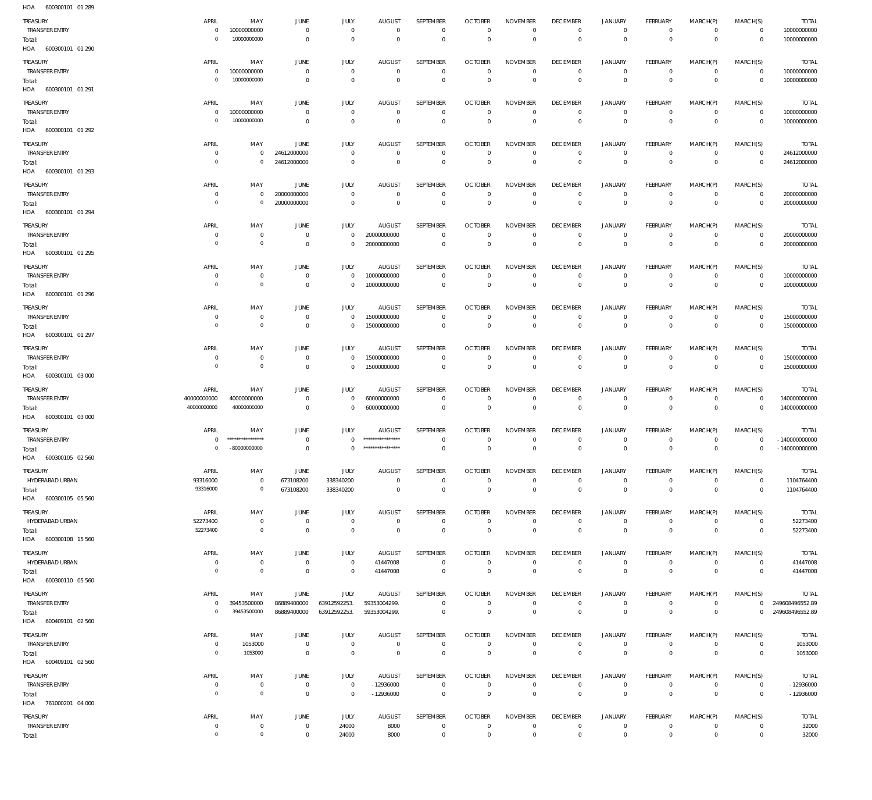| HOA<br>600300101 01 289           |                               |                                    |                                  |                              |                                   |                               |                                  |                                            |                                   |                                  |                                   |                              |                                  |                                    |
|-----------------------------------|-------------------------------|------------------------------------|----------------------------------|------------------------------|-----------------------------------|-------------------------------|----------------------------------|--------------------------------------------|-----------------------------------|----------------------------------|-----------------------------------|------------------------------|----------------------------------|------------------------------------|
| TREASURY                          | APRIL                         | MAY                                | JUNE                             | JULY                         | <b>AUGUST</b>                     | SEPTEMBER                     | <b>OCTOBER</b>                   | <b>NOVEMBER</b>                            | <b>DECEMBER</b>                   | <b>JANUARY</b>                   | FEBRUARY                          | MARCH(P)                     | MARCH(S)                         | <b>TOTAL</b>                       |
| <b>TRANSFER ENTRY</b>             | $\mathbf 0$<br>$\mathbf 0$    | 10000000000<br>10000000000         | $\mathbf 0$                      | $\mathbf 0$                  | $\mathbf 0$<br>$\Omega$           | $\mathbf 0$<br>$\mathbf 0$    | $\overline{0}$<br>$\overline{0}$ | $\mathbf 0$<br>$\mathbf{0}$                | $\circ$                           | $\mathbf 0$<br>$\mathbb O$       | $\overline{0}$<br>$\overline{0}$  | $\mathbf 0$<br>$\Omega$      | $\overline{0}$                   | 10000000000                        |
| Total:<br>HOA<br>600300101 01 290 |                               |                                    | $\overline{0}$                   | $\mathbf 0$                  |                                   |                               |                                  |                                            | $\mathbf 0$                       |                                  |                                   |                              | $\overline{0}$                   | 10000000000                        |
|                                   |                               |                                    |                                  |                              |                                   |                               |                                  |                                            |                                   |                                  |                                   |                              |                                  |                                    |
| TREASURY<br><b>TRANSFER ENTRY</b> | APRIL<br>$\circ$              | MAY<br>10000000000                 | JUNE<br>$\mathbf{0}$             | JULY<br>$\mathbb O$          | <b>AUGUST</b><br>$\mathbf 0$      | SEPTEMBER<br>$\mathbb O$      | <b>OCTOBER</b><br>$\overline{0}$ | <b>NOVEMBER</b><br>$\mathbf 0$             | <b>DECEMBER</b><br>$\overline{0}$ | <b>JANUARY</b><br>$\overline{0}$ | <b>FEBRUARY</b><br>$\overline{0}$ | MARCH(P)<br>$\circ$          | MARCH(S)<br>$\overline{0}$       | <b>TOTAL</b><br>10000000000        |
| Total:                            | $\circ$                       | 10000000000                        | $\overline{0}$                   | $\mathbf 0$                  | $\mathbf 0$                       | $\mathbf 0$                   | $\overline{0}$                   | $\mathbf 0$                                | $\mathbf{0}$                      | $\mathbb O$                      | $\overline{0}$                    | $\mathbf{0}$                 | $\overline{0}$                   | 10000000000                        |
| HOA<br>600300101 01 291           |                               |                                    |                                  |                              |                                   |                               |                                  |                                            |                                   |                                  |                                   |                              |                                  |                                    |
| TREASURY                          | APRIL                         | MAY                                | JUNE                             | JULY                         | <b>AUGUST</b>                     | SEPTEMBER                     | <b>OCTOBER</b>                   | <b>NOVEMBER</b>                            | <b>DECEMBER</b>                   | <b>JANUARY</b>                   | <b>FEBRUARY</b>                   | MARCH(P)                     | MARCH(S)                         | <b>TOTAL</b>                       |
| <b>TRANSFER ENTRY</b>             | $\mathbf 0$                   | 10000000000                        | $\mathbf 0$                      | $\mathbf 0$                  | $\mathbf 0$                       | $\mathbf 0$                   | $\overline{0}$                   | $\mathbf 0$                                | $\mathbf 0$                       | $\mathbf 0$                      | $\overline{0}$                    | $\mathbf 0$                  | $\overline{0}$                   | 10000000000                        |
| Total:                            | $\circ$                       | 10000000000                        | $\overline{0}$                   | $\mathbf 0$                  | $\mathbf 0$                       | $\mathbf 0$                   | $\overline{0}$                   | $\mathbf 0$                                | $\mathbf 0$                       | $\mathbb O$                      | $\overline{0}$                    | $\overline{0}$               | $\overline{0}$                   | 10000000000                        |
| HOA 600300101 01 292              |                               |                                    |                                  |                              |                                   |                               |                                  |                                            |                                   |                                  |                                   |                              |                                  |                                    |
| TREASURY                          | APRIL                         | MAY                                | <b>JUNE</b>                      | JULY                         | <b>AUGUST</b>                     | SEPTEMBER                     | <b>OCTOBER</b>                   | <b>NOVEMBER</b>                            | <b>DECEMBER</b>                   | <b>JANUARY</b>                   | <b>FEBRUARY</b>                   | MARCH(P)                     | MARCH(S)                         | <b>TOTAL</b>                       |
| <b>TRANSFER ENTRY</b>             | $\mathbf 0$                   | $\mathbf 0$                        | 24612000000                      | $\mathbf 0$                  | $\mathbf 0$                       | $\mathbf 0$                   | $\overline{0}$                   | $^{\circ}$                                 | $\overline{0}$                    | $\overline{0}$                   | $\overline{0}$                    | $\mathbf 0$                  | $\overline{0}$                   | 24612000000                        |
| Total:                            | $\mathbf 0$                   | $\mathbf 0$                        | 24612000000                      | $\mathbf 0$                  | $\mathbf 0$                       | $\mathbf 0$                   | $\overline{0}$                   | $\mathbf 0$                                | $\mathbf 0$                       | $\mathbb O$                      | $\overline{0}$                    | $\mathbf{0}$                 | $\overline{0}$                   | 24612000000                        |
| HOA<br>600300101 01 293           |                               |                                    |                                  |                              |                                   |                               |                                  |                                            |                                   |                                  |                                   |                              |                                  |                                    |
| TREASURY                          | APRIL                         | MAY                                | <b>JUNE</b>                      | JULY                         | <b>AUGUST</b>                     | SEPTEMBER                     | <b>OCTOBER</b>                   | <b>NOVEMBER</b>                            | <b>DECEMBER</b>                   | <b>JANUARY</b>                   | FEBRUARY                          | MARCH(P)                     | MARCH(S)                         | <b>TOTAL</b>                       |
| <b>TRANSFER ENTRY</b>             | $\mathbf 0$                   | $\mathbf 0$                        | 20000000000                      | $\mathbf 0$                  | $\mathbf 0$                       | $\mathbf 0$                   | $\overline{0}$                   | $\mathbf 0$                                | $\mathbf 0$                       | $\mathbf 0$                      | $\overline{0}$                    | $\mathbf 0$                  | $\overline{0}$                   | 20000000000                        |
| Total:<br>600300101 01 294        | $\circ$                       | $\circ$                            | 20000000000                      | $\mathbf 0$                  | $\mathbf 0$                       | $\mathbf 0$                   | $\Omega$                         | $\Omega$                                   | $\mathbf 0$                       | $\mathbf 0$                      | $\Omega$                          | $\Omega$                     | $\overline{0}$                   | 20000000000                        |
| HOA                               |                               |                                    |                                  |                              |                                   |                               |                                  |                                            |                                   |                                  |                                   |                              |                                  |                                    |
| TREASURY                          | APRIL                         | MAY                                | JUNE                             | JULY                         | <b>AUGUST</b>                     | SEPTEMBER                     | <b>OCTOBER</b>                   | <b>NOVEMBER</b>                            | <b>DECEMBER</b>                   | <b>JANUARY</b>                   | FEBRUARY                          | MARCH(P)                     | MARCH(S)                         | <b>TOTAL</b>                       |
| <b>TRANSFER ENTRY</b>             | $^{\circ}$<br>$^{\circ}$      | $\mathbf 0$<br>$\circ$             | $\overline{0}$<br>$\overline{0}$ | $\mathbf 0$<br>$\mathbf 0$   | 20000000000<br>20000000000        | $\mathbb O$<br>$\overline{0}$ | $\overline{0}$<br>$\overline{0}$ | $\mathbf 0$<br>$\mathbf 0$                 | $\overline{0}$<br>$\mathbf{0}$    | $\mathbf 0$<br>$\,0\,$           | $\overline{0}$<br>$\overline{0}$  | $\mathbf{0}$<br>$\mathbf{0}$ | $\overline{0}$<br>$\overline{0}$ | 20000000000<br>20000000000         |
| Total:<br>HOA 600300101 01 295    |                               |                                    |                                  |                              |                                   |                               |                                  |                                            |                                   |                                  |                                   |                              |                                  |                                    |
|                                   |                               |                                    |                                  |                              |                                   |                               |                                  |                                            |                                   |                                  |                                   |                              |                                  |                                    |
| TREASURY<br><b>TRANSFER ENTRY</b> | APRIL<br>$\mathbf 0$          | MAY<br>$\mathbf 0$                 | JUNE<br>$\overline{0}$           | JULY<br>$\mathbf 0$          | <b>AUGUST</b><br>10000000000      | SEPTEMBER<br>$\mathbf 0$      | <b>OCTOBER</b><br>$^{\circ}$     | <b>NOVEMBER</b><br>$\mathbf 0$             | <b>DECEMBER</b><br>$\overline{0}$ | <b>JANUARY</b><br>$\mathbf 0$    | FEBRUARY<br>$\overline{0}$        | MARCH(P)<br>$\mathbf 0$      | MARCH(S)<br>$\overline{0}$       | <b>TOTAL</b><br>10000000000        |
| Total:                            | $\circ$                       | $\circ$                            | $\overline{0}$                   | $\mathbf 0$                  | 10000000000                       | $\mathbb O$                   | $\overline{0}$                   | $\overline{0}$                             | $\mathbf{0}$                      | $\mathbf 0$                      | $\overline{0}$                    | $\overline{0}$               | $\overline{0}$                   | 10000000000                        |
| HOA 600300101 01 296              |                               |                                    |                                  |                              |                                   |                               |                                  |                                            |                                   |                                  |                                   |                              |                                  |                                    |
| TREASURY                          | APRIL                         | MAY                                | JUNE                             | JULY                         | <b>AUGUST</b>                     | SEPTEMBER                     | <b>OCTOBER</b>                   | <b>NOVEMBER</b>                            | <b>DECEMBER</b>                   | <b>JANUARY</b>                   | <b>FEBRUARY</b>                   | MARCH(P)                     | MARCH(S)                         | <b>TOTAL</b>                       |
| <b>TRANSFER ENTRY</b>             | $\mathbf 0$                   | $\mathbf 0$                        | $\overline{0}$                   | $\mathbf 0$                  | 15000000000                       | $\overline{0}$                | $\overline{0}$                   | $\mathbf 0$                                | $\mathbf 0$                       | $\mathbf 0$                      | $\overline{0}$                    | $\mathbf 0$                  | $\overline{0}$                   | 15000000000                        |
| Total:                            | $^{\circ}$                    | $\circ$                            | $\overline{0}$                   | $\mathbf 0$                  | 15000000000                       | $\mathbf 0$                   | $\overline{0}$                   | $\mathbf 0$                                | $\mathbf{0}$                      | $\mathbf 0$                      | $\overline{0}$                    | $\mathbf{0}$                 | $\overline{0}$                   | 15000000000                        |
| HOA 600300101 01 297              |                               |                                    |                                  |                              |                                   |                               |                                  |                                            |                                   |                                  |                                   |                              |                                  |                                    |
| TREASURY                          | APRIL                         | MAY                                | JUNE                             | JULY                         | <b>AUGUST</b>                     | SEPTEMBER                     | <b>OCTOBER</b>                   | <b>NOVEMBER</b>                            | <b>DECEMBER</b>                   | <b>JANUARY</b>                   | FEBRUARY                          | MARCH(P)                     | MARCH(S)                         | <b>TOTAL</b>                       |
| <b>TRANSFER ENTRY</b>             | $\mathbf 0$                   | $\mathbf 0$                        | $\overline{0}$                   | $\mathbf 0$                  | 15000000000                       | $\mathbf 0$                   | $\overline{0}$                   | $\mathbf 0$                                | $\mathbf 0$                       | $\mathbf 0$                      | $\overline{0}$                    | $\mathbf 0$                  | $\overline{0}$                   | 15000000000                        |
| Total:                            | $\mathbf 0$                   | $\circ$                            | $\overline{0}$                   | $\mathbf 0$                  | 15000000000                       | $\overline{0}$                | $\overline{0}$                   | $\mathbf 0$                                | $\mathbf 0$                       | $\mathbb O$                      | $\overline{0}$                    | $\mathbf 0$                  | $\overline{0}$                   | 15000000000                        |
|                                   |                               |                                    |                                  |                              |                                   |                               |                                  |                                            |                                   |                                  |                                   |                              |                                  |                                    |
| HOA<br>600300101 03 000           |                               |                                    |                                  |                              |                                   |                               |                                  |                                            |                                   |                                  |                                   |                              |                                  |                                    |
| TREASURY                          | APRIL                         | MAY                                | JUNE                             | <b>JULY</b>                  | <b>AUGUST</b>                     | SEPTEMBER                     | <b>OCTOBER</b>                   | <b>NOVEMBER</b>                            | <b>DECEMBER</b>                   | <b>JANUARY</b>                   | FEBRUARY                          | MARCH(P)                     | MARCH(S)                         | <b>TOTAL</b>                       |
| <b>TRANSFER ENTRY</b>             | 40000000000                   | 40000000000                        | $\overline{0}$                   | $\mathbf 0$                  | 60000000000                       | $\mathbf 0$                   | $\overline{0}$                   | $\mathbf 0$                                | $\overline{0}$                    | $\mathbf 0$                      | $\overline{0}$                    | $\mathbf{0}$                 | $\overline{0}$                   | 140000000000                       |
| Total:<br>HOA<br>600300101 03 000 | 40000000000                   | 40000000000                        | $\overline{0}$                   | $\mathbf 0$                  | 60000000000                       | $\overline{0}$                | $\overline{0}$                   | $\mathbf 0$                                | $\mathbf 0$                       | $\mathbf 0$                      | $\overline{0}$                    | $\mathbf 0$                  | $\overline{0}$                   | 140000000000                       |
|                                   |                               |                                    |                                  |                              |                                   |                               |                                  |                                            |                                   |                                  |                                   |                              |                                  |                                    |
| TREASURY<br><b>TRANSFER ENTRY</b> | APRIL<br>$\Omega$             | MAY<br>*****************           | JUNE<br>$\mathbf{0}$             | JULY<br>$\Omega$             | <b>AUGUST</b><br>**************** | SEPTEMBER<br>$\mathbf 0$      | <b>OCTOBER</b><br>$\Omega$       | <b>NOVEMBER</b><br>$\mathbf 0$             | <b>DECEMBER</b><br>$^{\circ}$     | <b>JANUARY</b><br>$\mathbf 0$    | FEBRUARY<br>$\overline{0}$        | MARCH(P)<br>$\Omega$         | MARCH(S)<br>$\Omega$             | <b>TOTAL</b><br>$-1400000000000$   |
| Total:                            | $\mathbf 0$                   | $-80000000000$                     | $\overline{0}$                   | $\Omega$                     | ****************                  | $\mathbf{0}$                  | $\overline{0}$                   | $\Omega$                                   | $\overline{0}$                    | $\mathbf 0$                      | $\overline{0}$                    | $\Omega$                     | $\mathbf 0$                      | $-140000000000$                    |
| HOA 600300105 02 560              |                               |                                    |                                  |                              |                                   |                               |                                  |                                            |                                   |                                  |                                   |                              |                                  |                                    |
| TREASURY                          | APRIL                         | MAY                                | JUNE                             | JULY                         | <b>AUGUST</b>                     | SEPTEMBER                     | <b>OCTOBER</b>                   | <b>NOVEMBER</b>                            | <b>DECEMBER</b>                   | <b>JANUARY</b>                   | <b>FEBRUARY</b>                   | MARCH(P)                     | MARCH(S)                         | <b>TOTAL</b>                       |
| HYDERABAD URBAN                   | 93316000                      | $\mathbf 0$                        | 673108200                        | 338340200                    | $\mathbb O$                       | $\mathbb O$                   | $\overline{0}$                   | $\mathbf 0$                                | $\overline{0}$                    | $\mathbf 0$                      | $\overline{0}$                    | $\mathbf 0$                  | $\overline{0}$                   | 1104764400                         |
| Total:                            | 93316000                      | $\mathbf 0$                        | 673108200                        | 338340200                    | $\mathbf 0$                       | $\mathbf 0$                   | $\overline{0}$                   | $\mathbb O$                                | $\overline{0}$                    | $\mathbf 0$                      | $\overline{0}$                    | $\overline{0}$               | $\overline{0}$                   | 1104764400                         |
| HOA 600300105 05 560              |                               |                                    |                                  |                              |                                   |                               |                                  |                                            |                                   |                                  |                                   |                              |                                  |                                    |
| TREASURY                          | APRIL                         | MAY                                | JUNE                             | JULY                         | <b>AUGUST</b>                     | SEPTEMBER                     | <b>OCTOBER</b>                   | <b>NOVEMBER</b>                            | <b>DECEMBER</b>                   | <b>JANUARY</b>                   | FEBRUARY                          | MARCH(P)                     | MARCH(S)                         | <b>TOTAL</b>                       |
| HYDERABAD URBAN                   | 52273400                      | $\mathbf 0$                        | $\overline{0}$                   | $\mathbf 0$                  | $\overline{0}$                    | $\mathbf 0$                   | $\overline{0}$                   | $\mathbf 0$                                | $\mathsf 0$                       | $\mathbf 0$                      | $\overline{0}$                    | $\mathbf 0$                  | $\overline{0}$                   | 52273400                           |
| Total:                            | 52273400                      | $\circ$                            | $\overline{0}$                   | $\mathsf 0$                  | $\mathbf 0$                       | $\mathsf 0$                   | $\overline{0}$                   | $\mathbb O$                                | $\mathbb O$                       | $\mathbb O$                      | $\overline{0}$                    | $\overline{0}$               | $\overline{0}$                   | 52273400                           |
| HOA 600300108 15 560              |                               |                                    |                                  |                              |                                   |                               |                                  |                                            |                                   |                                  |                                   |                              |                                  |                                    |
| TREASURY                          | APRIL                         | MAY                                | JUNE                             | JULY                         | <b>AUGUST</b>                     | SEPTEMBER                     | <b>OCTOBER</b>                   | <b>NOVEMBER</b>                            | <b>DECEMBER</b>                   | <b>JANUARY</b>                   | FEBRUARY                          | MARCH(P)                     | MARCH(S)                         | <b>TOTAL</b>                       |
| HYDERABAD URBAN                   | $\mathbf 0$<br>$\overline{0}$ | $\mathbf 0$                        | $\overline{0}$                   | $\mathsf 0$                  | 41447008                          | $\overline{0}$                | $\overline{0}$                   | $\mathbf 0$                                | $\mathsf 0$                       | $\mathsf 0$                      | $\overline{0}$                    | $\circ$                      | $\overline{0}$                   | 41447008                           |
| Total:<br>HOA 600300110 05 560    |                               | $\mathsf{O}\xspace$                | $\overline{0}$                   | $\mathsf 0$                  | 41447008                          | $\,0\,$                       | $\overline{0}$                   | $\mathbb O$                                | $\overline{0}$                    | $\,0\,$                          | $\overline{0}$                    | $\overline{0}$               | $\overline{0}$                   | 41447008                           |
|                                   |                               |                                    |                                  |                              |                                   |                               |                                  |                                            |                                   |                                  |                                   |                              |                                  |                                    |
| TREASURY                          | APRIL<br>$\mathbf 0$          | MAY                                | JUNE                             | JULY                         | <b>AUGUST</b>                     | SEPTEMBER<br>$\mathbf 0$      | <b>OCTOBER</b><br>$\mathbf 0$    | <b>NOVEMBER</b><br>$\mathbf 0$             | <b>DECEMBER</b><br>$\overline{0}$ | <b>JANUARY</b><br>$\mathbf 0$    | FEBRUARY<br>$\overline{0}$        | MARCH(P)<br>$\mathbf{0}$     | MARCH(S)                         | <b>TOTAL</b>                       |
| <b>TRANSFER ENTRY</b><br>Total:   | $\circ$                       | 39453500000<br>39453500000         | 86889400000<br>86889400000       | 63912592253.<br>63912592253. | 59353004299.<br>59353004299.      | $\mathbb O$                   | $\overline{0}$                   | $\mathbf 0$                                | $\mathbb O$                       | $\,0\,$                          | $\overline{0}$                    | $\mathbb O$                  | $\overline{0}$<br>$\mathbf 0$    | 249608496552.89<br>249608496552.89 |
| HOA 600409101 02 560              |                               |                                    |                                  |                              |                                   |                               |                                  |                                            |                                   |                                  |                                   |                              |                                  |                                    |
| TREASURY                          | APRIL                         | MAY                                | JUNE                             | JULY                         | <b>AUGUST</b>                     | SEPTEMBER                     | <b>OCTOBER</b>                   | <b>NOVEMBER</b>                            | <b>DECEMBER</b>                   | <b>JANUARY</b>                   | FEBRUARY                          | MARCH(P)                     | MARCH(S)                         | <b>TOTAL</b>                       |
| <b>TRANSFER ENTRY</b>             | $\mathbf 0$                   | 1053000                            | $\mathbf 0$                      | $\mathbf 0$                  | $\overline{0}$                    | $\overline{0}$                | $\overline{0}$                   | $\mathbf 0$                                | $\mathsf 0$                       | $\mathsf 0$                      | $\overline{0}$                    | $\circ$                      | $\overline{0}$                   | 1053000                            |
| Total:                            | $\overline{0}$                | 1053000                            | $\overline{0}$                   | $\mathsf 0$                  | $\overline{0}$                    | $\,0\,$                       | $\,0\,$                          | $\,0\,$                                    | $\,0\,$                           | $\,0\,$                          | $\overline{0}$                    | $\mathbf 0$                  | $\overline{0}$                   | 1053000                            |
| HOA 600409101 02 560              |                               |                                    |                                  |                              |                                   |                               |                                  |                                            |                                   |                                  |                                   |                              |                                  |                                    |
| TREASURY                          | APRIL                         | MAY                                | JUNE                             | JULY                         | <b>AUGUST</b>                     | SEPTEMBER                     | <b>OCTOBER</b>                   | <b>NOVEMBER</b>                            | <b>DECEMBER</b>                   | <b>JANUARY</b>                   | FEBRUARY                          | MARCH(P)                     | MARCH(S)                         | <b>TOTAL</b>                       |
| <b>TRANSFER ENTRY</b>             | $\mathbf 0$                   | $\mathbf 0$                        | $\overline{0}$                   | $\mathsf 0$                  | $-12936000$                       | $\mathbf 0$                   | $\overline{0}$                   | $\mathbf 0$                                | $\mathsf 0$                       | $\mathsf 0$                      | $\overline{0}$                    | $\mathbf{0}$                 | $\overline{0}$                   | $-12936000$                        |
| Total:                            | $\mathbf 0$                   | $\mathsf{O}\xspace$                | $\overline{0}$                   | $\mathbb O$                  | $-12936000$                       | $\mathsf 0$                   | $\overline{0}$                   | $\mathbf 0$                                | $\mathbf{0}$                      | $\mathbf 0$                      | $\overline{0}$                    | $\overline{0}$               | $\overline{0}$                   | $-12936000$                        |
| HOA 761000201 04 000              |                               |                                    |                                  |                              |                                   |                               |                                  |                                            |                                   |                                  |                                   |                              |                                  |                                    |
| TREASURY                          | APRIL                         | MAY                                | JUNE                             | JULY                         | <b>AUGUST</b>                     | SEPTEMBER                     | <b>OCTOBER</b>                   | <b>NOVEMBER</b>                            | <b>DECEMBER</b>                   | <b>JANUARY</b>                   | FEBRUARY                          | MARCH(P)                     | MARCH(S)                         | <b>TOTAL</b>                       |
| <b>TRANSFER ENTRY</b><br>Total:   | $\mathbf 0$<br>$\circ$        | $\mathbf 0$<br>$\mathsf{O}\xspace$ | $\mathbf 0$<br>$\mathbf 0$       | 24000<br>24000               | 8000<br>8000                      | $\mathbf 0$<br>$\,0\,$        | $\overline{0}$<br>$\overline{0}$ | $\mathsf{O}\xspace$<br>$\mathsf{O}\xspace$ | $\mathsf 0$<br>$\,0\,$            | $\circ$<br>$\mathsf 0$           | $\overline{0}$<br>$\overline{0}$  | $\circ$<br>$\mathbf 0$       | $\overline{0}$<br>$\overline{0}$ | 32000<br>32000                     |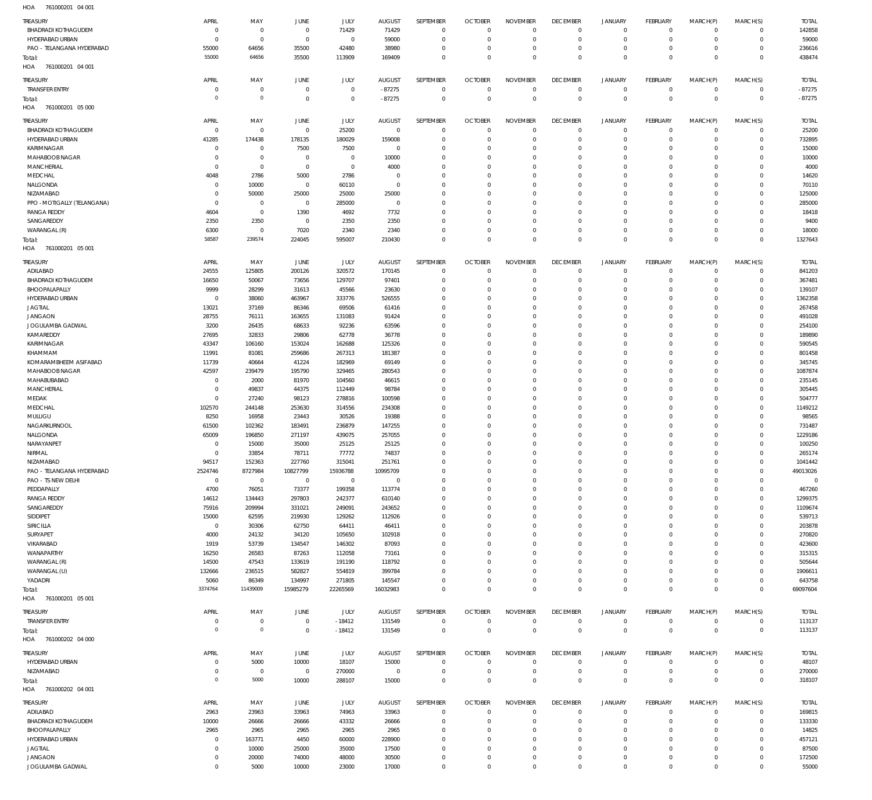| HOA | 761000201 04 001 |  |
|-----|------------------|--|

| TREASURY                    | APRIL          | MAY            | JUNE           | JULY           | <b>AUGUST</b>  | SEPTEMBER    | <b>OCTOBER</b> | <b>NOVEMBER</b> | <b>DECEMBER</b> | <b>JANUARY</b> | <b>FEBRUARY</b> | MARCH(P)       | MARCH(S)            | <b>TOTAL</b>   |
|-----------------------------|----------------|----------------|----------------|----------------|----------------|--------------|----------------|-----------------|-----------------|----------------|-----------------|----------------|---------------------|----------------|
| <b>BHADRADI KOTHAGUDEM</b>  | $\Omega$       | $\circ$        | $\overline{0}$ | 71429          | 71429          | $^{\circ}$   | $\mathbf{0}$   | $\Omega$        | $\Omega$        | $\mathbf 0$    | $\overline{0}$  | $\Omega$       | $\Omega$            | 142858         |
| HYDERABAD URBAN             | $\mathbf{0}$   | $\Omega$       | $\overline{0}$ | $\overline{0}$ | 59000          | $\Omega$     | $\Omega$       | $\Omega$        | $\Omega$        | $\Omega$       | $\overline{0}$  | $\Omega$       | $\mathbf 0$         | 59000          |
| PAO - TELANGANA HYDERABAD   | 55000          | 64656          | 35500          | 42480          | 38980          | $\Omega$     | $\mathbf{0}$   | $\Omega$        | $\mathbf{0}$    | $\Omega$       | $\overline{0}$  | $\Omega$       | $\mathbf 0$         | 236616         |
| Total:                      | 55000          | 64656          | 35500          | 113909         | 169409         | $\Omega$     | $\Omega$       | $\Omega$        | $\Omega$        | $\Omega$       | $\Omega$        | $\Omega$       | $\Omega$            | 438474         |
| HOA<br>761000201 04 001     |                |                |                |                |                |              |                |                 |                 |                |                 |                |                     |                |
|                             |                |                |                |                |                |              |                |                 |                 |                |                 |                |                     |                |
| TREASURY                    | APRIL          | MAY            | JUNE           | JULY           | <b>AUGUST</b>  | SEPTEMBER    | <b>OCTOBER</b> | <b>NOVEMBER</b> | <b>DECEMBER</b> | <b>JANUARY</b> | <b>FEBRUARY</b> | MARCH(P)       | MARCH(S)            | <b>TOTAL</b>   |
| <b>TRANSFER ENTRY</b>       | $\Omega$       | $\circ$        | $\overline{0}$ | $\Omega$       | $-87275$       | $^{\circ}$   | $\Omega$       | $\Omega$        | $^{\circ}$      | $\circ$        | $\overline{0}$  | $\circ$        | $\mathbf 0$         | $-87275$       |
| Total:                      | $\Omega$       | $\Omega$       | $\overline{0}$ | $\Omega$       | $-87275$       | $\Omega$     | $\Omega$       | $\Omega$        | $\Omega$        | $\Omega$       | $\Omega$        | $\Omega$       | $\mathbf 0$         | $-87275$       |
| HOA<br>761000201 05 000     |                |                |                |                |                |              |                |                 |                 |                |                 |                |                     |                |
|                             |                |                |                |                |                |              |                |                 |                 |                |                 |                |                     |                |
| TREASURY                    | APRIL          | MAY            | JUNE           | JULY           | <b>AUGUST</b>  | SEPTEMBER    | <b>OCTOBER</b> | <b>NOVEMBER</b> | <b>DECEMBER</b> | <b>JANUARY</b> | <b>FEBRUARY</b> | MARCH(P)       | MARCH(S)            | <b>TOTAL</b>   |
| <b>BHADRADI KOTHAGUDEM</b>  | $\mathbf 0$    | $^{\circ}$     | $\overline{0}$ | 25200          | $\overline{0}$ | $\Omega$     | $\Omega$       | $\Omega$        | $\Omega$        | $\circ$        | $\overline{0}$  | $\Omega$       | $\mathbf 0$         | 25200          |
| HYDERABAD URBAN             | 41285          | 174438         | 178135         | 180029         | 159008         | $\Omega$     | $\mathbf 0$    | $\Omega$        | $\mathbf 0$     | $\mathbf 0$    | $\overline{0}$  | $\Omega$       | $\mathbf 0$         | 732895         |
| KARIMNAGAR                  | $\Omega$       | $^{\circ}$     | 7500           | 7500           | $^{\circ}$     | $\Omega$     | $\Omega$       | $\Omega$        | $\Omega$        | $\Omega$       | $\Omega$        | $\Omega$       | $\Omega$            | 15000          |
| MAHABOOB NAGAR              | $\Omega$       | $\Omega$       | $\overline{0}$ | $^{\circ}$     | 10000          | $\Omega$     | $\Omega$       | $\Omega$        | $\Omega$        | $\Omega$       | $\mathbf 0$     | $\Omega$       | $\Omega$            | 10000          |
| MANCHERIAL                  | $\Omega$       | $\Omega$       | $\overline{0}$ | $\overline{0}$ | 4000           | $\Omega$     | $\Omega$       | $\Omega$        | $\Omega$        | $\Omega$       | $\Omega$        | $\Omega$       | $\Omega$            | 4000           |
| MEDCHAL                     | 4048           | 2786           | 5000           | 2786           | $\Omega$       | $\Omega$     | $\Omega$       | $\Omega$        | $\Omega$        | $\Omega$       | $\Omega$        | $\Omega$       | $\Omega$            | 14620          |
|                             |                |                |                |                |                |              | $\Omega$       |                 | $\Omega$        | $\Omega$       | $\Omega$        |                | $\Omega$            |                |
| NALGONDA                    | $\Omega$       | 10000          | $\overline{0}$ | 60110          | $\mathbf{0}$   | $\Omega$     |                | $\Omega$        |                 |                |                 | $\Omega$       |                     | 70110          |
| NIZAMABAD                   | $\Omega$       | 50000          | 25000          | 25000          | 25000          | $\Omega$     | $\Omega$       | $\Omega$        | $\Omega$        | $\Omega$       | $\Omega$        | $\Omega$       | $\Omega$            | 125000         |
| PPO - MOTIGALLY (TELANGANA) | $\Omega$       | $^{\circ}$     | $\overline{0}$ | 285000         | $^{\circ}$     | $\Omega$     | $\Omega$       | $\Omega$        | $\Omega$        | $\Omega$       | $\Omega$        | $\Omega$       | $\Omega$            | 285000         |
| <b>RANGA REDDY</b>          | 4604           | $^{\circ}$     | 1390           | 4692           | 7732           | $\Omega$     | $\Omega$       | $\Omega$        | $\Omega$        | $\Omega$       | $\mathbf 0$     | $\Omega$       | $\Omega$            | 18418          |
| SANGAREDDY                  | 2350           | 2350           | $\overline{0}$ | 2350           | 2350           | $\Omega$     | $\Omega$       | $\Omega$        | $\Omega$        | $\Omega$       | $\Omega$        | $\Omega$       | $\Omega$            | 9400           |
| WARANGAL (R)                | 6300           | $^{\circ}$     | 7020           | 2340           | 2340           | $\Omega$     | $\Omega$       | $\Omega$        | $\Omega$        | $\Omega$       | $\overline{0}$  | $\Omega$       | $\mathbf 0$         | 18000          |
| Total:                      | 58587          | 239574         | 224045         | 595007         | 210430         | $\Omega$     | $\Omega$       | $\Omega$        | $\Omega$        | $\Omega$       | $\Omega$        | $\Omega$       | $\Omega$            | 1327643        |
| HOA<br>761000201 05 001     |                |                |                |                |                |              |                |                 |                 |                |                 |                |                     |                |
|                             |                |                |                |                |                |              |                |                 |                 |                |                 |                |                     |                |
| TREASURY                    | APRIL          | MAY            | JUNE           | JULY           | <b>AUGUST</b>  | SEPTEMBER    | <b>OCTOBER</b> | <b>NOVEMBER</b> | <b>DECEMBER</b> | <b>JANUARY</b> | <b>FEBRUARY</b> | MARCH(P)       | MARCH(S)            | <b>TOTAL</b>   |
| ADILABAD                    | 24555          | 125805         | 200126         | 320572         | 170145         | $^{\circ}$   | $\Omega$       | $\Omega$        | $\Omega$        | $\Omega$       | $\circ$         | $\Omega$       | $\mathbf 0$         | 841203         |
| <b>BHADRADI KOTHAGUDEM</b>  | 16650          | 50067          | 73656          | 129707         | 97401          | $\Omega$     | $\Omega$       | $\Omega$        | $\Omega$        | $\Omega$       | $\mathbf 0$     | $\Omega$       | $\Omega$            | 367481         |
| BHOOPALAPALLY               | 9999           | 28299          | 31613          | 45566          | 23630          | $\Omega$     | $\Omega$       | $\Omega$        | $\Omega$        | $\Omega$       | $\mathbf 0$     | $\Omega$       | $\Omega$            | 139107         |
| HYDERABAD URBAN             | $\Omega$       | 38060          | 463967         | 333776         | 526555         | $\Omega$     | $\Omega$       | $\Omega$        | $\Omega$        | $\Omega$       | $\Omega$        | $\Omega$       | $\Omega$            | 1362358        |
|                             |                |                |                |                |                |              |                |                 |                 |                |                 |                |                     |                |
| <b>JAGTIAL</b>              | 13021          | 37169          | 86346          | 69506          | 61416          | $\Omega$     | $\Omega$       | $\Omega$        | $\Omega$        | $\Omega$       | $\Omega$        | $\Omega$       | $\Omega$            | 267458         |
| <b>JANGAON</b>              | 28755          | 76111          | 163655         | 131083         | 91424          | $\Omega$     | $\Omega$       | $\Omega$        | $\Omega$        | $\Omega$       | $\circ$         | $\Omega$       | $\Omega$            | 491028         |
| JOGULAMBA GADWAL            | 3200           | 26435          | 68633          | 92236          | 63596          | $\Omega$     | $\Omega$       |                 | $\Omega$        | $\Omega$       | $\Omega$        | $\Omega$       | $\Omega$            | 254100         |
| KAMAREDDY                   | 27695          | 32833          | 29806          | 62778          | 36778          | $\Omega$     | $\Omega$       | $\Omega$        | $\Omega$        | $\Omega$       | $\circ$         | $\Omega$       | $\Omega$            | 189890         |
| KARIMNAGAR                  | 43347          | 106160         | 153024         | 162688         | 125326         | $\Omega$     | $\Omega$       | $\Omega$        | $\Omega$        | $\Omega$       | $\mathbf 0$     | $\Omega$       | $\Omega$            | 590545         |
| KHAMMAM                     | 11991          | 81081          | 259686         | 267313         | 181387         | $\Omega$     | $\Omega$       | $\Omega$        | $\Omega$        | $\Omega$       | $\Omega$        | $\Omega$       | $\Omega$            | 801458         |
| KOMARAMBHEEM ASIFABAD       | 11739          | 40664          | 41224          | 182969         | 69149          | $\Omega$     | $\Omega$       | $\Omega$        | $\Omega$        | $\Omega$       | $\mathbf 0$     | $\Omega$       | $\Omega$            | 345745         |
|                             |                |                |                |                |                | $\Omega$     | $\Omega$       | $\Omega$        | $\Omega$        | $\Omega$       | $\Omega$        |                | $\Omega$            |                |
| MAHABOOB NAGAR              | 42597          | 239479         | 195790         | 329465         | 280543         |              |                |                 |                 |                |                 | $\Omega$       |                     | 1087874        |
| MAHABUBABAD                 | $^{\circ}$     | 2000           | 81970          | 104560         | 46615          | $\Omega$     | $\Omega$       | $\Omega$        | $\Omega$        | $\Omega$       | $\Omega$        | $\Omega$       | $\Omega$            | 235145         |
| MANCHERIAL                  | $\mathbf{0}$   | 49837          | 44375          | 112449         | 98784          | $\Omega$     | $\Omega$       | $\Omega$        | $\Omega$        | $\Omega$       | $\Omega$        | $\Omega$       | $\Omega$            | 305445         |
| MEDAK                       | $\mathbf{0}$   | 27240          | 98123          | 278816         | 100598         | $\Omega$     | $\Omega$       | $\Omega$        | $\Omega$        | $\Omega$       | $\Omega$        | $\Omega$       | $\Omega$            | 504777         |
| MEDCHAL                     | 102570         | 244148         | 253630         | 314556         | 234308         | $\Omega$     | $\Omega$       | $\Omega$        | $\Omega$        | $\Omega$       | $\circ$         | $\Omega$       | $\Omega$            | 1149212        |
| MULUGU                      | 8250           | 16958          | 23443          | 30526          | 19388          | $\Omega$     | $\Omega$       | $\Omega$        | $\Omega$        | $\Omega$       | $\Omega$        | $\Omega$       | $\Omega$            | 98565          |
| NAGARKURNOOL                | 61500          | 102362         | 183491         | 236879         | 147255         | $\Omega$     | $\Omega$       | $\Omega$        | $\Omega$        | $\Omega$       | $\circ$         | $\Omega$       | $\Omega$            | 731487         |
| NALGONDA                    | 65009          | 196850         | 271197         | 439075         | 257055         | $\Omega$     | $\Omega$       | $\Omega$        | $\Omega$        | $\Omega$       | $\mathbf 0$     | $\Omega$       | $\Omega$            | 1229186        |
|                             | $\Omega$       |                |                |                |                | $\Omega$     | $\Omega$       | $\Omega$        | $\Omega$        | $\Omega$       | $\Omega$        | $\Omega$       | $\Omega$            |                |
| NARAYANPET                  |                | 15000          | 35000          | 25125          | 25125          |              |                |                 |                 |                |                 |                |                     | 100250         |
| NIRMAL                      | $\Omega$       | 33854          | 78711          | 77772          | 74837          | $\mathbf{0}$ | $\Omega$       | $\Omega$        | $\mathbf{0}$    | $\Omega$       | $\Omega$        | $\Omega$       | $\Omega$            | 265174         |
| NIZAMABAD                   | 94517          | 152363         | 227760         | 315041         | 251761         | $\mathbf 0$  | $\mathbf 0$    | $\mathbf{0}$    | $\mathbf 0$     | $\mathbf 0$    | $\mathbf 0$     | $\Omega$       | $\mathbf 0$         | 1041442        |
| PAO - TELANGANA HYDERABAD   | 2524746        | 8727984        | 10827799       | 15936788       | 10995709       | $\Omega$     | $\Omega$       | $\Omega$        | $\Omega$        | $\Omega$       | $\circ$         | $\Omega$       | $\Omega$            | 49013026       |
| PAO - TS NEW DELHI          | $\overline{0}$ | $\overline{0}$ | $\overline{0}$ | $\overline{0}$ | $\overline{0}$ | $\Omega$     | $\mathbf{0}$   | $\Omega$        | $\Omega$        | $\Omega$       | $\overline{0}$  | $\Omega$       | $\Omega$            | $\overline{0}$ |
| PEDDAPALLY                  | 4700           | 76051          | 73377          | 199358         | 113774         | $\Omega$     | $\Omega$       | $\Omega$        | $\Omega$        | $\Omega$       | $\Omega$        | $\Omega$       | $\Omega$            | 467260         |
| <b>RANGA REDDY</b>          | 14612          | 134443         | 297803         | 242377         | 610140         | $\Omega$     | $\Omega$       | $\Omega$        | $\Omega$        | $\Omega$       | $\overline{0}$  | $\Omega$       | $\Omega$            | 1299375        |
| SANGAREDDY                  | 75916          | 209994         | 331021         | 249091         | 243652         | $\Omega$     | $\Omega$       | $\Omega$        | $\Omega$        | $\Omega$       | $\mathbf 0$     | $\Omega$       | $\Omega$            | 1109674        |
|                             |                |                |                |                |                | $\Omega$     | $\Omega$       | $\Omega$        | $\Omega$        | $\Omega$       | $\circ$         | $\Omega$       | $\Omega$            |                |
| SIDDIPET                    | 15000          | 62595          | 219930         | 129262         | 112926         |              |                |                 |                 |                |                 |                |                     | 539713         |
| SIRICILLA                   | $\overline{0}$ | 30306          | 62750          | 64411          | 46411          | $\Omega$     | $\Omega$       | $\Omega$        | $\Omega$        | $\Omega$       | $\mathbf 0$     | $\Omega$       | $\Omega$            | 203878         |
| SURYAPET                    | 4000           | 24132          | 34120          | 105650         | 102918         | $\Omega$     | $\Omega$       | $\Omega$        | $\Omega$        | $\Omega$       | $\Omega$        | $\Omega$       | $\Omega$            | 270820         |
| VIKARABAD                   | 1919           | 53739          | 134547         | 146302         | 87093          | $\Omega$     | $\Omega$       | $\Omega$        | $\Omega$        | $\Omega$       | $\mathbf 0$     | $\Omega$       | $\Omega$            | 423600         |
| WANAPARTHY                  | 16250          | 26583          | 87263          | 112058         | 73161          | $\Omega$     | $\Omega$       | $\Omega$        | $\Omega$        | $\Omega$       | $\Omega$        | $\Omega$       | $\Omega$            | 315315         |
| WARANGAL (R)                | 14500          | 47543          | 133619         | 191190         | 118792         | $\Omega$     | $\Omega$       | $\Omega$        | $\Omega$        | $\Omega$       | $\Omega$        | $\Omega$       | $\Omega$            | 505644         |
| WARANGAL (U)                | 132666         | 236515         | 582827         | 554819         | 399784         | $\Omega$     | $\Omega$       | $\Omega$        | $\Omega$        | $\Omega$       | $\overline{0}$  | $\Omega$       | $\Omega$            | 1906611        |
| YADADRI                     | 5060           | 86349          | 134997         | 271805         | 145547         | $\Omega$     | $\mathbf 0$    | $\Omega$        | $\Omega$        | $\Omega$       | $\mathbf 0$     | $\Omega$       | $\mathbf 0$         | 643758         |
| Total:                      | 3374764        | 11439009       | 15985279       | 22265569       | 16032983       | $\Omega$     | $\Omega$       | $\Omega$        | $\mathbf{0}$    | $\mathbf{0}$   | $\Omega$        | $\Omega$       | $\Omega$            | 69097604       |
| HOA<br>761000201 05 001     |                |                |                |                |                |              |                |                 |                 |                |                 |                |                     |                |
|                             |                |                |                |                |                |              |                |                 |                 |                |                 |                |                     |                |
| TREASURY                    | APRIL          | MAY            | JUNE           | <b>JULY</b>    | <b>AUGUST</b>  | SEPTEMBER    | <b>OCTOBER</b> | <b>NOVEMBER</b> | <b>DECEMBER</b> | JANUARY        | <b>FEBRUARY</b> | MARCH(P)       | MARCH(S)            | <b>TOTAL</b>   |
| <b>TRANSFER ENTRY</b>       | $\Omega$       | $^{\circ}$     | $\overline{0}$ | $-18412$       | 131549         | $^{\circ}$   | $\mathbf 0$    | $\mathbf 0$     | $\mathbf 0$     | $\overline{0}$ | $\overline{0}$  | $\mathbf 0$    | $\mathbf 0$         | 113137         |
| Total:                      | $\mathbf 0$    | $\circ$        | $\overline{0}$ | $-18412$       | 131549         | $\mathbf 0$  | $\mathbf 0$    | $\overline{0}$  | $\mathbf 0$     | $\Omega$       | $\mathbb O$     | $\overline{0}$ | $\mathbf 0$         | 113137         |
| 761000202 04 000<br>HOA     |                |                |                |                |                |              |                |                 |                 |                |                 |                |                     |                |
|                             |                |                |                |                |                |              |                |                 |                 |                |                 |                |                     |                |
| TREASURY                    | APRIL          | MAY            | JUNE           | JULY           | <b>AUGUST</b>  | SEPTEMBER    | <b>OCTOBER</b> | <b>NOVEMBER</b> | <b>DECEMBER</b> | <b>JANUARY</b> | <b>FEBRUARY</b> | MARCH(P)       | MARCH(S)            | <b>TOTAL</b>   |
| HYDERABAD URBAN             | $^{\circ}$     | 5000           | 10000          | 18107          | 15000          | $^{\circ}$   | $^{\circ}$     | $^{\circ}$      | $^{\circ}$      | $\circ$        | $\circ$         | $\Omega$       | $\mathbf 0$         | 48107          |
| NIZAMABAD                   | $\Omega$       | $^{\circ}$     | $\overline{0}$ | 270000         | $^{\circ}$     | $^{\circ}$   | $\mathbf{0}$   | $\Omega$        | $\Omega$        | $\mathbf 0$    | $\overline{0}$  | $\mathbf 0$    | $\mathbf 0$         | 270000         |
|                             | $\mathbf 0$    | 5000           | 10000          | 288107         | 15000          | $\mathbf{0}$ | $\Omega$       | $\Omega$        | $\Omega$        | $\Omega$       | $\Omega$        | $\Omega$       | $\mathbf 0$         | 318107         |
| Total:                      |                |                |                |                |                |              |                |                 |                 |                |                 |                |                     |                |
| HOA<br>761000202 04 001     |                |                |                |                |                |              |                |                 |                 |                |                 |                |                     |                |
| TREASURY                    | APRIL          | MAY            | JUNE           | JULY           | <b>AUGUST</b>  | SEPTEMBER    | <b>OCTOBER</b> | <b>NOVEMBER</b> | <b>DECEMBER</b> | JANUARY        | <b>FEBRUARY</b> | MARCH(P)       | MARCH(S)            | <b>TOTAL</b>   |
| ADILABAD                    | 2963           | 23963          | 33963          | 74963          | 33963          | $^{\circ}$   | $\mathbf 0$    | $\Omega$        | $\mathbf 0$     | $\mathbf 0$    | $\overline{0}$  | $\Omega$       | $\mathbf 0$         | 169815         |
|                             |                |                |                |                |                | $\Omega$     | $\mathbf 0$    | $\Omega$        | $\Omega$        | $\Omega$       |                 |                | $\mathbf 0$         |                |
| <b>BHADRADI KOTHAGUDEM</b>  | 10000          | 26666          | 26666          | 43332          | 26666          |              |                |                 |                 |                | $\overline{0}$  | $\Omega$       |                     | 133330         |
| BHOOPALAPALLY               | 2965           | 2965           | 2965           | 2965           | 2965           | $\Omega$     | $\mathbf 0$    | $\Omega$        | $\Omega$        | $\Omega$       | $\mathbf 0$     | $\Omega$       | $\mathbf 0$         | 14825          |
| HYDERABAD URBAN             | $^{\circ}$     | 163771         | 4450           | 60000          | 228900         | $\Omega$     | $\mathbf 0$    | $\Omega$        | $\Omega$        | $\Omega$       | $\overline{0}$  | $\Omega$       | $\Omega$            | 457121         |
| <b>JAGTIAL</b>              | $^{\circ}$     | 10000          | 25000          | 35000          | 17500          | $\Omega$     | $\mathbf 0$    | $\Omega$        | $\Omega$        | $\Omega$       | $\mathbf 0$     | $\Omega$       | $\mathbf 0$         | 87500          |
| <b>JANGAON</b>              | $\mathbf 0$    | 20000          | 74000          | 48000          | 30500          | $^{\circ}$   | $\mathbf 0$    | $^{\circ}$      | $\mathbf 0$     | $\mathbf 0$    | $\mathsf 0$     | $\Omega$       | $\mathbf 0$         | 172500         |
| JOGULAMBA GADWAL            | $\mathbf 0$    | 5000           | 10000          | 23000          | 17000          | $\mathbf 0$  | $\mathbf 0$    | $\mathbf 0$     | $\mathbb O$     | $\mathbf 0$    | $\mathbb O$     | $\Omega$       | $\mathsf{O}\xspace$ | 55000          |
|                             |                |                |                |                |                |              |                |                 |                 |                |                 |                |                     |                |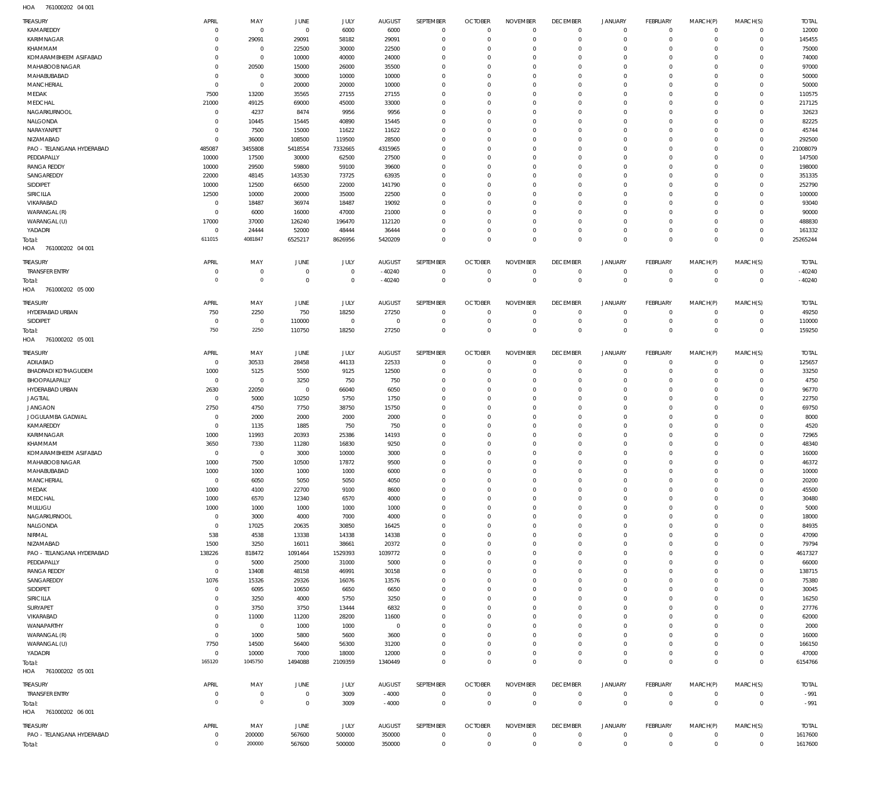761000202 04 001 HOA

| TREASURY                         | APRIL                      | MAY            | JUNE            | JULY            | <b>AUGUST</b>  | SEPTEMBER                  | <b>OCTOBER</b>             | <b>NOVEMBER</b>            | <b>DECEMBER</b>               | <b>JANUARY</b>       | FEBRUARY                   | MARCH(P)             | MARCH(S)                    | <b>TOTAL</b>    |
|----------------------------------|----------------------------|----------------|-----------------|-----------------|----------------|----------------------------|----------------------------|----------------------------|-------------------------------|----------------------|----------------------------|----------------------|-----------------------------|-----------------|
| KAMAREDDY                        | $\overline{0}$             | $\mathbf 0$    | $\overline{0}$  | 6000            | 6000           | $\mathbf 0$                | $\mathbf 0$                | $\mathbf 0$                | $\overline{0}$                | $\mathbf 0$          | $\circ$                    | $\mathbf 0$          | $\mathbf{0}$                | 12000           |
| KARIMNAGAR                       | $\Omega$                   | 29091          | 29091           | 58182           | 29091          | $\Omega$                   | $\mathbf 0$                | $\Omega$                   | $\mathbf 0$                   | 0                    | $\mathbf{0}$               | $\Omega$             | $\mathbf 0$                 | 145455          |
| KHAMMAM                          | $\Omega$                   | $^{\circ}$     | 22500           | 30000           | 22500          | $\Omega$                   | $\mathbf 0$                | $\Omega$                   | $\Omega$                      | $\Omega$             | $^{\circ}$                 | $\Omega$             | $\mathbf 0$                 | 75000           |
| KOMARAMBHEEM ASIFABAD            | $\Omega$                   | $^{\circ}$     | 10000           | 40000           | 24000          | $\Omega$                   | $\mathbf 0$                | $\Omega$                   | $^{\circ}$                    | 0                    | $\mathbf 0$                | $\Omega$             | $\mathbf 0$                 | 74000           |
| MAHABOOB NAGAR                   | $\Omega$                   | 20500          | 15000           | 26000           | 35500          | $\Omega$                   | $\Omega$                   | $\Omega$                   | $\Omega$                      | $\Omega$             | $\Omega$                   | $\Omega$             | $\Omega$                    | 97000           |
| MAHABUBABAD                      | $\overline{0}$             | $\mathbf 0$    | 30000           | 10000           | 10000          | $\Omega$                   | $\mathbf 0$                | $\Omega$                   | $\mathbf 0$                   | $\Omega$             | $\mathbf 0$                | $\Omega$             | $\mathbf 0$                 | 50000           |
| <b>MANCHERIAL</b>                | $\overline{0}$             | $\mathbf 0$    | 20000           | 20000           | 10000          | $\Omega$<br>$\Omega$       | $\Omega$<br>$\Omega$       | $\Omega$<br>$\Omega$       | $\Omega$<br>$\Omega$          | $\Omega$<br>$\Omega$ | $\Omega$<br>$\Omega$       | $\Omega$<br>$\Omega$ | $\Omega$<br>$\Omega$        | 50000           |
| MEDAK                            | 7500                       | 13200          | 35565           | 27155           | 27155          | $\Omega$                   | $\mathbf 0$                | $\Omega$                   | $\mathbf 0$                   | $\Omega$             | $\mathbf 0$                | $\Omega$             | $\mathbf 0$                 | 110575          |
| MEDCHAL                          | 21000                      | 49125          | 69000           | 45000           | 33000          | $\Omega$                   | $\Omega$                   | $\Omega$                   | $\Omega$                      | $\Omega$             | $\Omega$                   | $\Omega$             | $\Omega$                    | 217125          |
| NAGARKURNOOL                     | $\overline{0}$<br>$\Omega$ | 4237           | 8474            | 9956            | 9956           | $\Omega$                   |                            | $\Omega$                   | $\Omega$                      | $\Omega$             |                            | $\Omega$             | $\Omega$                    | 32623           |
| NALGONDA                         | $\overline{0}$             | 10445          | 15445           | 40890           | 15445          | $\Omega$                   | $\mathbf 0$<br>$\mathbf 0$ | $\Omega$                   | $\mathbf 0$                   | $\Omega$             | $\mathbf 0$<br>$\mathbf 0$ | $\Omega$             | $\Omega$                    | 82225           |
| NARAYANPET<br>NIZAMABAD          | $\mathbf 0$                | 7500<br>36000  | 15000<br>108500 | 11622<br>119500 | 11622<br>28500 | $\Omega$                   | $\Omega$                   | $\Omega$                   | $\Omega$                      | $\Omega$             | $\Omega$                   | $\Omega$             | $\Omega$                    | 45744<br>292500 |
| PAO - TELANGANA HYDERABAD        | 485087                     | 3455808        | 5418554         | 7332665         | 4315965        | $\Omega$                   | $\mathbf 0$                | $\Omega$                   | $\mathbf 0$                   | 0                    | $\mathbf 0$                | $\Omega$             | $\mathbf{0}$                | 21008079        |
| PEDDAPALLY                       | 10000                      | 17500          | 30000           | 62500           | 27500          | $\Omega$                   | $\Omega$                   | $\Omega$                   | $\Omega$                      | $\Omega$             | $\Omega$                   | 0                    | $\Omega$                    | 147500          |
| <b>RANGA REDDY</b>               | 10000                      | 29500          | 59800           | 59100           | 39600          | $\Omega$                   | $\Omega$                   | $\Omega$                   | $\Omega$                      | $\Omega$             | $\Omega$                   | $\Omega$             | $\Omega$                    | 198000          |
| SANGAREDDY                       | 22000                      | 48145          | 143530          | 73725           | 63935          | $\Omega$                   | $\mathbf 0$                | $\Omega$                   | $\mathbf 0$                   | $\Omega$             | $^{\circ}$                 | $\Omega$             | 0                           | 351335          |
| SIDDIPET                         | 10000                      | 12500          | 66500           | 22000           | 141790         | $\Omega$                   | $\Omega$                   | $\Omega$                   | $\Omega$                      | $\Omega$             | $\Omega$                   | $\Omega$             | $\Omega$                    | 252790          |
| SIRICILLA                        | 12500                      | 10000          | 20000           | 35000           | 22500          | $\Omega$                   | $\Omega$                   | $\Omega$                   | $\Omega$                      | $\Omega$             | $\mathbf 0$                | $\Omega$             | $\Omega$                    | 100000          |
| VIKARABAD                        | $\overline{0}$             | 18487          | 36974           | 18487           | 19092          | $\Omega$                   | $\Omega$                   | $\Omega$                   | $\mathbf 0$                   | $\Omega$             | $\Omega$                   | $\Omega$             | $\Omega$                    | 93040           |
| WARANGAL (R)                     | $\overline{0}$             | 6000           | 16000           | 47000           | 21000          | $\Omega$                   | $\Omega$                   | $\Omega$                   | $\Omega$                      | $\Omega$             | $\Omega$                   | $\Omega$             | $\Omega$                    | 90000           |
| WARANGAL (U)                     | 17000                      | 37000          | 126240          | 196470          | 112120         | $\Omega$                   | $\mathbf 0$                | $\Omega$                   | $\mathbf 0$                   | 0                    | $^{\circ}$                 | $\Omega$             | $^{\circ}$                  | 488830          |
| YADADRI                          | $^{\circ}$                 | 24444          | 52000           | 48444           | 36444          | $\Omega$                   | $\Omega$                   | $\Omega$                   | $\mathbf 0$                   | $\mathbf 0$          | $\mathbf 0$                | $\Omega$             | $\mathbf 0$                 | 161332          |
| Total:                           | 611015                     | 4081847        | 6525217         | 8626956         | 5420209        | $\Omega$                   | $\Omega$                   | $\Omega$                   | $\Omega$                      | $\Omega$             | $\Omega$                   | $\Omega$             | $\Omega$                    | 25265244        |
| 761000202 04 001<br>HOA          |                            |                |                 |                 |                |                            |                            |                            |                               |                      |                            |                      |                             |                 |
|                                  |                            |                |                 |                 |                |                            |                            |                            |                               |                      |                            |                      |                             |                 |
| <b>TREASURY</b>                  | APRIL                      | MAY            | <b>JUNE</b>     | JULY            | <b>AUGUST</b>  | SEPTEMBER                  | <b>OCTOBER</b>             | <b>NOVEMBER</b>            | <b>DECEMBER</b>               | <b>JANUARY</b>       | FEBRUARY                   | MARCH(P)             | MARCH(S)                    | <b>TOTAL</b>    |
| <b>TRANSFER ENTRY</b>            | $\overline{0}$             | $\mathbf 0$    | $\overline{0}$  | $\mathbf 0$     | $-40240$       | $\mathbf 0$                | $\overline{0}$             | $\mathbf 0$                | $\overline{0}$                | $\mathbf 0$          | $\overline{0}$             | $\mathbf 0$          | $\overline{0}$              | $-40240$        |
| Total:                           | $\overline{0}$             | $\circ$        | $\mathbb O$     | $\bf 0$         | $-40240$       | $\mathbf 0$                | $\overline{0}$             | $\mathbf{0}$               | $\overline{0}$                | $\overline{0}$       | $\overline{0}$             | $\mathbf 0$          | $\overline{0}$              | $-40240$        |
| 761000202 05 000<br>HOA          |                            |                |                 |                 |                |                            |                            |                            |                               |                      |                            |                      |                             |                 |
| Treasury                         | APRIL                      | MAY            | JUNE            | JULY            | <b>AUGUST</b>  | SEPTEMBER                  | <b>OCTOBER</b>             | <b>NOVEMBER</b>            | <b>DECEMBER</b>               | <b>JANUARY</b>       | FEBRUARY                   | MARCH(P)             | MARCH(S)                    | <b>TOTAL</b>    |
| HYDERABAD URBAN                  | 750                        | 2250           | 750             | 18250           | 27250          | $^{\circ}$                 | $\overline{0}$             | $\mathbf{0}$               | $\overline{0}$                | $\mathbf 0$          | $\circ$                    | $^{\circ}$           | $^{\circ}$                  | 49250           |
| SIDDIPET                         | $\overline{0}$             | $\mathbf 0$    | 110000          | $\mathbf 0$     | $\overline{0}$ | $\mathbf 0$                | $\mathbf 0$                | $\mathbf 0$                | $\overline{0}$                | $\mathbf 0$          | $\overline{0}$             | $\mathbf 0$          | $\circ$                     | 110000          |
| Total:                           | 750                        | 2250           | 110750          | 18250           | 27250          | $\Omega$                   | $\mathbf{0}$               | $\Omega$                   | $\overline{0}$                | $\mathbf 0$          | $\Omega$                   | $\Omega$             | $\mathbf 0$                 | 159250          |
| HOA<br>761000202 05 001          |                            |                |                 |                 |                |                            |                            |                            |                               |                      |                            |                      |                             |                 |
|                                  |                            |                |                 |                 |                |                            |                            |                            |                               |                      |                            |                      |                             |                 |
| <b>TREASURY</b>                  | APRIL                      | MAY            | JUNE            | JULY            | <b>AUGUST</b>  | SEPTEMBER                  | <b>OCTOBER</b>             | <b>NOVEMBER</b>            | <b>DECEMBER</b>               | <b>JANUARY</b>       | FEBRUARY                   | MARCH(P)             | MARCH(S)                    | <b>TOTAL</b>    |
| ADILABAD                         | $\overline{0}$             | 30533          | 28458           | 44133           | 22533          | $\mathbf 0$                | $\overline{0}$             | $\mathbf{0}$               | $\overline{0}$                | $\mathbf 0$          | $\overline{0}$             | $\mathbf 0$          | $\mathbf{0}$                | 125657          |
| <b>BHADRADI KOTHAGUDEM</b>       | 1000                       | 5125           | 5500            | 9125            | 12500          | 0                          | $\mathbf 0$                | 0                          | $\overline{0}$                | 0                    | $\circ$                    | 0                    | $\circ$                     | 33250           |
| BHOOPALAPALLY                    | $\mathbf 0$                | $\overline{0}$ | 3250            | 750             | 750            | $\Omega$                   | $^{\circ}$                 | $\Omega$                   | $\overline{0}$                | 0                    | $^{\circ}$                 | $\Omega$             | $\mathbf{0}$                | 4750            |
| HYDERABAD URBAN                  | 2630                       | 22050          | $\overline{0}$  | 66040           | 6050           | $\mathbf 0$                | $\mathbf 0$                | $\Omega$                   | $\mathbf 0$                   | 0                    | $^{\circ}$                 | $\Omega$             | $\mathbf{0}$                | 96770           |
| <b>JAGTIAL</b>                   | $\overline{0}$             | 5000           | 10250           | 5750            | 1750           | $\Omega$                   | $\mathbf 0$                | $\Omega$                   | $\mathbf 0$                   | $\Omega$             | $\mathbf 0$                | $\Omega$             | $\mathbf 0$                 | 22750           |
| <b>JANGAON</b>                   | 2750                       | 4750           | 7750            | 38750           | 15750          | $\mathbf 0$                | $^{\circ}$                 | $\Omega$                   | $\mathbf 0$                   | 0                    | $^{\circ}$                 | $\Omega$             | $\mathbf{0}$                | 69750           |
| JOGULAMBA GADWAL                 | $\overline{0}$             | 2000           | 2000            | 2000            | 2000           | $\mathbf 0$                | $\mathbf 0$                | 0                          | $\mathbf 0$                   | 0                    | $\mathbf 0$                | $\Omega$             | $\mathbf 0$                 | 8000            |
| KAMAREDDY                        | $\overline{0}$             | 1135           | 1885            | 750             | 750            | $\mathbf 0$                | $\mathbf 0$                | $\Omega$                   | $\mathbf 0$                   | $\Omega$             | $^{\circ}$                 | $\Omega$             | $\mathbf 0$                 | 4520            |
| <b>KARIMNAGAR</b>                | 1000                       | 11993          | 20393           | 25386           | 14193          | $\Omega$                   | $\mathbf 0$                | $\Omega$                   | $\mathbf 0$                   | $\Omega$             | $^{\circ}$                 | $\Omega$             | $\mathbf{0}$                | 72965           |
| KHAMMAM                          | 3650                       | 7330           | 11280           | 16830           | 9250           | $\mathbf 0$                | $\mathbf 0$                | $\Omega$                   | $\mathbf 0$                   | 0                    | $^{\circ}$                 | $\Omega$             | $\mathbf 0$                 | 48340           |
| KOMARAMBHEEM ASIFABAD            | $\overline{0}$             | $^{\circ}$     | 3000            | 10000           | 3000           | $\Omega$                   | $\Omega$                   | $\Omega$                   | $\Omega$                      | $\Omega$             | $\Omega$                   | $\Omega$             | $\Omega$                    | 16000           |
| MAHABOOB NAGAR                   | 1000                       | 7500           | 10500           | 17872           | 9500           | $\Omega$                   | $\Omega$                   | $\Omega$                   | $\Omega$                      | $\Omega$             | $\Omega$                   | $\Omega$             | $\Omega$                    | 46372           |
| MAHABUBABAD                      | 1000                       | 1000           | 1000            | 1000            | 6000           | $\mathbf 0$                | $\mathbf 0$                | $\mathbf{0}$               | $\overline{0}$                | $\mathbf 0$          | $\mathbf{0}$               | $\mathbf 0$          | $\mathbf{0}$                | 10000           |
| MANCHERIAL                       | $\,0\,$                    | 6050           | 5050            | 5050            | 4050           | $\mathbf 0$                | $\mathbf 0$                | $\mathbf 0$                | $\overline{0}$                | $\mathbf 0$          | $\overline{0}$             | 0                    | $\mathbf{0}$                | 20200           |
| MEDAK                            | 1000                       | 4100           | 22700           | 9100            | 8600           | $\mathbf 0$                | $\mathbf 0$                | $\mathbf 0$                | $\mathbf 0$                   | 0                    | $\mathbf{0}$               | 0                    | $\mathbf 0$                 | 45500           |
| MEDCHAL                          | 1000                       | 6570           | 12340           | 6570            | 4000           | $\mathbf 0$                | $\mathbf 0$                | $\Omega$                   | $\mathbf 0$                   | 0                    | $\mathbf{0}$               | $\Omega$             | $\mathbf{0}$                | 30480           |
| MULUGU                           | 1000                       | 1000           | 1000            | 1000            | 1000           | $\mathbf 0$                | $\mathbf 0$                | $\mathbf 0$                | $\overline{0}$                | 0                    | $^{\circ}$                 | 0                    | $\mathbf 0$                 | 5000            |
| NAGARKURNOOL                     | $^{\circ}$                 | 3000           | 4000            | 7000            | 4000           | $\mathbf 0$                | $\mathbf{0}$               | $\mathbf 0$                | $\mathbf 0$                   | 0                    | $\mathbf{0}$               | $\Omega$             | $\mathbf 0$                 | 18000           |
| NALGONDA                         | $\mathbf 0$                | 17025          | 20635           | 30850           | 16425          | $\mathbf 0$                | $\mathbf{0}$               | $\mathbf 0$                | $\overline{0}$                | 0                    | $^{\circ}$                 | $\Omega$             | $\mathbf{0}$                | 84935           |
| NIRMAL                           | 538                        | 4538           | 13338           | 14338           | 14338          | $\mathbf 0$                | $\mathbf 0$<br>$\mathbf 0$ | $\mathbf 0$                | $\overline{0}$<br>$\mathbf 0$ | 0                    | $^{\circ}$                 | $\Omega$<br>$\Omega$ | $\mathbf{0}$<br>$\mathbf 0$ | 47090           |
| NIZAMABAD                        | 1500                       | 3250           | 16011           | 38661           | 20372          | $\mathbf 0$                | $\mathbf{0}$               | $\mathbf 0$                | $\overline{0}$                | 0                    | $\mathbf 0$                | $\Omega$             | $\mathbf{0}$                | 79794           |
| PAO - TELANGANA HYDERABAD        | 138226                     | 818472         | 1091464         | 1529393         | 1039772        | $\mathbf 0$<br>$\mathbf 0$ | $\mathbf 0$                | $\mathbf 0$<br>$\mathbf 0$ | $\mathbf 0$                   | 0<br>0               | $^{\circ}$<br>$\mathbf 0$  | $\Omega$             | $\mathbf 0$                 | 4617327         |
| PEDDAPALLY<br><b>RANGA REDDY</b> | $\,0\,$<br>$\mathbf 0$     | 5000<br>13408  | 25000<br>48158  | 31000<br>46991  | 5000<br>30158  | $\mathbf 0$                | $\mathbf{0}$               | $\Omega$                   | $\overline{0}$                | 0                    | $^{\circ}$                 | $\Omega$             | $\mathbf{0}$                | 66000<br>138715 |
| SANGAREDDY                       | 1076                       |                |                 | 16076           | 13576          | $\mathbf 0$                | $\mathbf 0$                | $\mathbf 0$                | $\overline{0}$                | 0                    | $^{\circ}$                 | 0                    | $\mathbf{0}$                |                 |
| SIDDIPET                         | $\mathbf 0$                | 15326<br>6095  | 29326<br>10650  | 6650            | 6650           | $\mathbf 0$                | $\mathbf{0}$               | $\Omega$                   | $\mathbf 0$                   | 0                    | $\mathbf{0}$               | $\Omega$             | $\mathbf 0$                 | 75380<br>30045  |
| SIRICILLA                        | $\overline{0}$             | 3250           | 4000            | 5750            | 3250           | $\mathbf 0$                | $\mathbf{0}$               | $\mathbf 0$                | $\overline{0}$                | 0                    | $^{\circ}$                 | $\Omega$             | $\mathbf{0}$                | 16250           |
| SURYAPET                         | $\overline{0}$             | 3750           | 3750            | 13444           | 6832           | $\mathbf 0$                | $\mathbf 0$                | $\mathbf 0$                | $\mathbf 0$                   | 0                    | $^{\circ}$                 | $\Omega$             | $\mathbf{0}$                | 27776           |
| VIKARABAD                        | $^{\circ}$                 | 11000          | 11200           |                 | 11600          | $\mathbf 0$                | $\mathbf 0$                | $\mathbf 0$                | $\mathbf 0$                   | 0                    | $\mathbf 0$                | $\Omega$             | $\mathbf 0$                 |                 |
| WANAPARTHY                       | $\mathbf 0$                | $\overline{0}$ | 1000            | 28200<br>1000   | $\overline{0}$ | $\mathbf 0$                | $^{\circ}$                 | $\mathbf 0$                | $\overline{0}$                | 0                    | $^{\circ}$                 | $\Omega$             | $\mathbf{0}$                | 62000<br>2000   |
| WARANGAL (R)                     | $\mathbf 0$                | 1000           | 5800            | 5600            | 3600           | $\mathbf 0$                | $\mathbf 0$                | $\mathbf 0$                | $\mathbf 0$                   | 0                    | $\mathbf 0$                | $\Omega$             | $\mathbf{0}$                | 16000           |
| WARANGAL (U)                     | 7750                       | 14500          | 56400           | 56300           | 31200          | $\mathbf 0$                | $^{\circ}$                 | $\mathbf 0$                | $\overline{0}$                | 0                    | $^{\circ}$                 | $\Omega$             | $\mathbf{0}$                | 166150          |
| YADADRI                          | $\,0\,$                    | 10000          | 7000            | 18000           | 12000          | $\mathbf 0$                | $\mathbf 0$                | $\mathbf 0$                | $\overline{0}$                | $\mathbf 0$          | $\circ$                    | $\mathbf 0$          | $\mathbf{0}$                | 47000           |
|                                  | 165120                     | 1045750        | 1494088         | 2109359         | 1340449        | $\mathbf 0$                | $\overline{0}$             | $\mathbf 0$                | $\overline{0}$                | $\mathbf 0$          | $\overline{0}$             | $\Omega$             | $\overline{0}$              | 6154766         |
| Total:<br>HOA 761000202 05 001   |                            |                |                 |                 |                |                            |                            |                            |                               |                      |                            |                      |                             |                 |
|                                  |                            |                |                 |                 |                |                            |                            |                            |                               |                      |                            |                      |                             |                 |
| <b>TREASURY</b>                  | APRIL                      | MAY            | <b>JUNE</b>     | JULY            | <b>AUGUST</b>  | SEPTEMBER                  | <b>OCTOBER</b>             | <b>NOVEMBER</b>            | <b>DECEMBER</b>               | <b>JANUARY</b>       | FEBRUARY                   | MARCH(P)             | MARCH(S)                    | <b>TOTAL</b>    |
| <b>TRANSFER ENTRY</b>            | $\overline{0}$             | 0              | $\overline{0}$  | 3009            | $-4000$        | $\mathbf{0}$               | $\overline{0}$             | $\mathbf 0$                | $\overline{0}$                | $\circ$              | $\mathbf 0$                | $^{\circ}$           | $\mathbf{0}$                | $-991$          |
| Total:                           | $\overline{0}$             | $\overline{0}$ | $\overline{0}$  | 3009            | $-4000$        | $\bf 0$                    | $\overline{0}$             | $\mathbf 0$                | $\overline{0}$                | $\overline{0}$       | $\overline{0}$             | $\mathbf 0$          | $\overline{0}$              | $-991$          |
| HOA 761000202 06 001             |                            |                |                 |                 |                |                            |                            |                            |                               |                      |                            |                      |                             |                 |
| <b>TREASURY</b>                  | APRIL                      | MAY            | JUNE            | <b>JULY</b>     | <b>AUGUST</b>  | SEPTEMBER                  | <b>OCTOBER</b>             | <b>NOVEMBER</b>            | <b>DECEMBER</b>               | JANUARY              | FEBRUARY                   | MARCH(P)             | MARCH(S)                    | <b>TOTAL</b>    |
| PAO - TELANGANA HYDERABAD        | $\mathbf 0$                | 200000         | 567600          | 500000          | 350000         | $\mathbf 0$                | $\overline{0}$             | $\mathbf 0$                | $\overline{0}$                | 0                    | $\overline{0}$             | 0                    | $\mathbf 0$                 | 1617600         |
| Total:                           | $\mathbb O$                | 200000         | 567600          | 500000          | 350000         | $\mathbf 0$                | $\mathbf 0$                | $\mathbf 0$                | $\mathbf 0$                   | $\overline{0}$       | $\overline{0}$             | $\mathbf 0$          | $\overline{0}$              | 1617600         |
|                                  |                            |                |                 |                 |                |                            |                            |                            |                               |                      |                            |                      |                             |                 |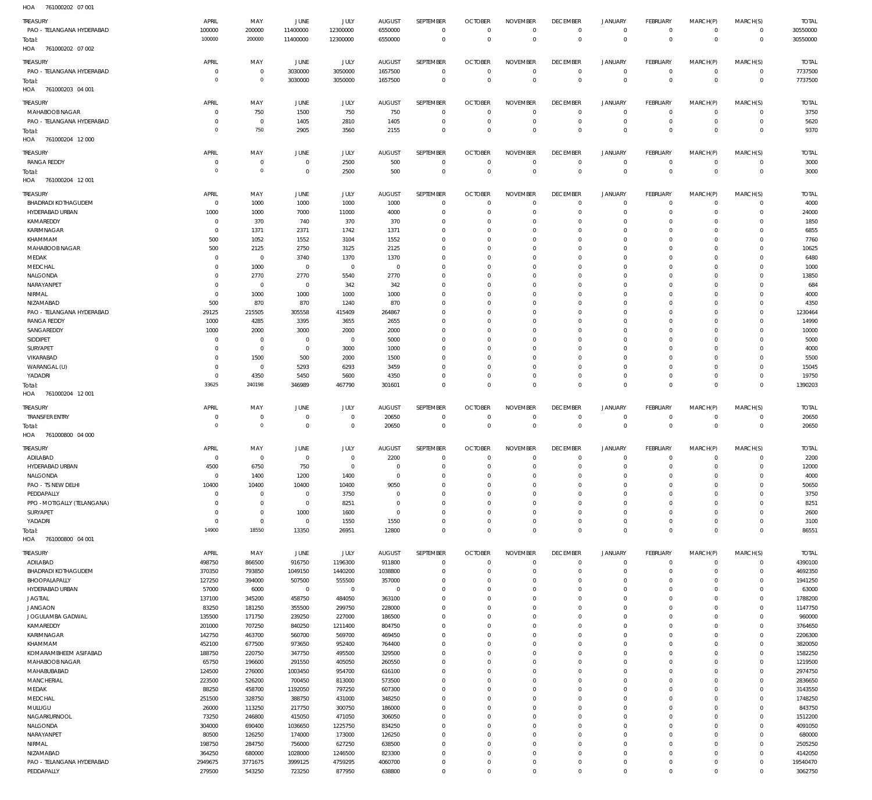761000202 07 001 HOA

| .<br><b>TUTOULDE</b>        |                     |                            |                |              |                |              |                |                 |                 |                     |                 |                     |                     |              |
|-----------------------------|---------------------|----------------------------|----------------|--------------|----------------|--------------|----------------|-----------------|-----------------|---------------------|-----------------|---------------------|---------------------|--------------|
| TREASURY                    | APRIL               | MAY                        | JUNE           | JULY         | <b>AUGUST</b>  | SEPTEMBER    | <b>OCTOBER</b> | <b>NOVEMBER</b> | <b>DECEMBER</b> | <b>JANUARY</b>      | <b>FEBRUARY</b> | MARCH(P)            | MARCH(S)            | <b>TOTAL</b> |
| PAO - TELANGANA HYDERABAD   | 100000              | 200000                     | 11400000       | 12300000     | 6550000        | $\mathbf 0$  | $\mathbf 0$    | $\mathbf 0$     | $\mathbf 0$     | $\mathbf 0$         | $\mathbf 0$     | 0                   | $\mathbf 0$         | 30550000     |
| Total:                      | 100000              | 200000                     | 11400000       | 12300000     | 6550000        | $\mathbf 0$  | $\overline{0}$ | $\overline{0}$  | $\mathbf 0$     | $\mathbf 0$         | $\overline{0}$  | $\mathbf 0$         | $\mathbf 0$         | 30550000     |
| 761000202 07 002<br>HOA     |                     |                            |                |              |                |              |                |                 |                 |                     |                 |                     |                     |              |
| TREASURY                    | APRIL               | MAY                        | JUNE           | <b>JULY</b>  | <b>AUGUST</b>  | SEPTEMBER    | <b>OCTOBER</b> | <b>NOVEMBER</b> | <b>DECEMBER</b> | <b>JANUARY</b>      | <b>FEBRUARY</b> | MARCH(P)            | MARCH(S)            | <b>TOTAL</b> |
| PAO - TELANGANA HYDERABAD   | $\overline{0}$      | $\mathbf 0$                | 3030000        | 3050000      | 1657500        | $\mathbf 0$  | $\overline{0}$ | $^{\circ}$      | 0               | 0                   | $\overline{0}$  | $\mathbf 0$         | $\mathbf 0$         | 7737500      |
| Total:                      | $\overline{0}$      | $\mathbf 0$                | 3030000        | 3050000      | 1657500        | $\mathbb O$  | $\overline{0}$ | $\mathbf 0$     | $\mathbf 0$     | $\mathbb O$         | $\overline{0}$  | $\mathbb O$         | $\,0\,$             | 7737500      |
| HOA<br>761000203 04 001     |                     |                            |                |              |                |              |                |                 |                 |                     |                 |                     |                     |              |
|                             |                     |                            |                |              |                |              |                |                 |                 |                     |                 |                     |                     |              |
| TREASURY                    | APRIL               | MAY                        | <b>JUNE</b>    | JULY         | <b>AUGUST</b>  | SEPTEMBER    | <b>OCTOBER</b> | <b>NOVEMBER</b> | <b>DECEMBER</b> | <b>JANUARY</b>      | <b>FEBRUARY</b> | MARCH(P)            | MARCH(S)            | <b>TOTAL</b> |
| MAHABOOB NAGAR              | 0                   | 750                        | 1500           | 750          | 750            | $\mathbf{0}$ | $\overline{0}$ | $\Omega$        | $\mathbf 0$     | $\mathbf 0$         | $^{\circ}$      | $\Omega$            | $\mathbf 0$         | 3750         |
| PAO - TELANGANA HYDERABAD   | 0                   | $\mathbf 0$                | 1405           | 2810         | 1405           | $\mathbf 0$  | $^{\circ}$     | $^{\circ}$      | $\mathbf 0$     | $\mathbf 0$         | $^{\circ}$      | $\mathbf 0$         | $\mathbf 0$         | 5620         |
| Total:                      | $^{\circ}$          | 750                        | 2905           | 3560         | 2155           | $\mathbf 0$  | $\overline{0}$ | $\mathbf 0$     | $\mathbf 0$     | $\mathbf 0$         | $\mathbf 0$     | $\Omega$            | $\mathbf 0$         | 9370         |
| HOA<br>761000204 12 000     |                     |                            |                |              |                |              |                |                 |                 |                     |                 |                     |                     |              |
| TREASURY                    | APRIL               | MAY                        | <b>JUNE</b>    | JULY         | <b>AUGUST</b>  | SEPTEMBER    | <b>OCTOBER</b> | <b>NOVEMBER</b> | <b>DECEMBER</b> | <b>JANUARY</b>      | <b>FEBRUARY</b> | MARCH(P)            | MARCH(S)            | <b>TOTAL</b> |
| <b>RANGA REDDY</b>          | $^{\circ}$          | $\mathbb O$                | $\overline{0}$ | 2500         | 500            | $\mathbf 0$  | $\overline{0}$ | $\overline{0}$  | $\mathbf 0$     | $\mathsf{O}\xspace$ | $\overline{0}$  | $\mathbf 0$         | $\overline{0}$      | 3000         |
|                             | $\circ$             | $\mathbf 0$                | $\mathbf 0$    |              |                | $\mathbb O$  | $\overline{0}$ | $\mathbf 0$     | $\mathbf 0$     | $\mathbb O$         | $\overline{0}$  | $\mathbf 0$         | $\mathbf 0$         |              |
| Total:                      |                     |                            |                | 2500         | 500            |              |                |                 |                 |                     |                 |                     |                     | 3000         |
| 761000204 12 001<br>HOA     |                     |                            |                |              |                |              |                |                 |                 |                     |                 |                     |                     |              |
| TREASURY                    | APRIL               | MAY                        | <b>JUNE</b>    | JULY         | <b>AUGUST</b>  | SEPTEMBER    | <b>OCTOBER</b> | <b>NOVEMBER</b> | <b>DECEMBER</b> | <b>JANUARY</b>      | <b>FEBRUARY</b> | MARCH(P)            | MARCH(S)            | <b>TOTAL</b> |
| <b>BHADRADI KOTHAGUDEM</b>  | $^{\circ}$          | 1000                       | 1000           | 1000         | 1000           | $\mathbf{0}$ | $\overline{0}$ | $\Omega$        | $\mathbf 0$     | $\mathbf 0$         | $\mathbf 0$     | $\Omega$            | $\mathbf 0$         | 4000         |
| HYDERABAD URBAN             | 1000                | 1000                       | 7000           | 11000        | 4000           | $\mathbf 0$  | $^{\circ}$     | $^{\circ}$      | $\mathbf 0$     | $\mathbf 0$         | $\mathbf 0$     | $\Omega$            | 0                   | 24000        |
| KAMAREDDY                   | $^{\circ}$          | 370                        | 740            | 370          | 370            | $^{\circ}$   | 0              | $\Omega$        | 0               | $\mathbf 0$         | 0               | $\Omega$            | $\mathbf 0$         | 1850         |
| KARIMNAGAR                  | 0                   | 1371                       | 2371           | 1742         | 1371           | $\mathbf{0}$ | $\Omega$       | $\Omega$        | $\mathbf 0$     | 0                   | $\Omega$        | $\Omega$            | 0                   | 6855         |
| KHAMMAM                     | 500                 | 1052                       | 1552           | 3104         | 1552           | $\mathbf{0}$ | $\Omega$       | $\Omega$        | 0               | $\mathbf 0$         | 0               | $\Omega$            | $\mathbf 0$         | 7760         |
| MAHABOOB NAGAR              | 500                 | 2125                       | 2750           | 3125         | 2125           | $\Omega$     | $\Omega$       | $\Omega$        | $\Omega$        | $\mathbf 0$         | $\Omega$        | $\Omega$            | $\Omega$            | 10625        |
| MEDAK                       | 0                   | $\mathbf 0$                | 3740           | 1370         | 1370           | $\mathbf{0}$ | 0              | $\Omega$        | $\Omega$        | $\mathbf 0$         | 0               | $\Omega$            | $\mathbf 0$         | 6480         |
| MEDCHAL                     | $\Omega$            | 1000                       | $\mathbf 0$    | $\mathbf{0}$ | $^{\circ}$     | $\mathbf 0$  | $\Omega$       | $\Omega$        | $\mathbf 0$     | $\mathbf 0$         | $\Omega$        | $\Omega$            | $\Omega$            | 1000         |
| NALGONDA                    | $\Omega$            | 2770                       | 2770           | 5540         | 2770           | $\Omega$     | $\Omega$       | $\Omega$        | $\Omega$        | $\mathbf 0$         | $\mathbf 0$     | $\Omega$            | $\mathbf 0$         | 13850        |
| NARAYANPET                  | 0                   | $\mathbf 0$                | $\mathbf 0$    | 342          | 342            | $\mathbf{0}$ | 0              | $\Omega$        | 0               | $\mathbf 0$         | $\Omega$        | $\Omega$            | $\Omega$            | 684          |
| NIRMAL                      | $\mathbf 0$         | 1000                       | 1000           | 1000         | 1000           | $\Omega$     | $\Omega$       | $\Omega$        | $\Omega$        | $\mathbf 0$         | $\Omega$        | $\Omega$            | $\Omega$            | 4000         |
| NIZAMABAD                   | 500                 | 870                        | 870            | 1240         | 870            | $\mathbf{0}$ | 0              | $\Omega$        | $\mathbf 0$     | $\mathbf 0$         | $\Omega$        | $\Omega$            | $\mathbf 0$         | 4350         |
| PAO - TELANGANA HYDERABAD   | 29125               | 215505                     | 305558         | 415409       | 264867         | $\Omega$     | $\Omega$       | $\Omega$        | $\Omega$        | $\mathbf 0$         | $\Omega$        | $\Omega$            | $\mathbf 0$         | 1230464      |
|                             |                     |                            |                |              |                |              |                | $\Omega$        | $\Omega$        | $\mathbf 0$         | $\Omega$        | $\Omega$            | $\Omega$            | 14990        |
| <b>RANGA REDDY</b>          | 1000                | 4285                       | 3395           | 3655         | 2655           | $\mathbf{0}$ | $\Omega$       |                 |                 |                     |                 |                     |                     |              |
| SANGAREDDY                  | 1000                | 2000                       | 3000           | 2000         | 2000           | $\mathbf{0}$ | $\Omega$       | $\Omega$        | 0               | $\mathbf 0$         | $\Omega$        | $\Omega$            | 0                   | 10000        |
| SIDDIPET                    | 0                   | $\mathbf 0$                | $\mathbf 0$    | $\mathbf 0$  | 5000           | $\Omega$     | $\Omega$       | $\Omega$        | $\Omega$        | $\mathbf 0$         | $\Omega$        | $\Omega$            | $\Omega$            | 5000         |
| SURYAPET                    | 0                   | $\mathbf 0$                | $\mathbf 0$    | 3000         | 1000           | $\Omega$     | $\Omega$       | $\Omega$        | $\Omega$        | $\mathbf 0$         | $\mathbf 0$     | $\Omega$            | $\mathbf 0$         | 4000         |
| VIKARABAD                   | 0                   | 1500                       | 500            | 2000         | 1500           | $\Omega$     | $\Omega$       | $\Omega$        | $\mathbf 0$     | $\mathbf 0$         | $\Omega$        | $\Omega$            | $\Omega$            | 5500         |
| WARANGAL (U)                | 0                   | $\overline{0}$             | 5293           | 6293         | 3459           | $\Omega$     | $\Omega$       | $\Omega$        | $\Omega$        | 0                   | $\mathbf 0$     | $\Omega$            | $\mathbf 0$         | 15045        |
| YADADRI                     | 0                   | 4350                       | 5450           | 5600         | 4350           | $\mathbf 0$  | $^{\circ}$     | $\mathbf{0}$    | $\mathbf 0$     | $\mathbf 0$         | $\mathbf 0$     | $\mathbf 0$         | $\mathbf 0$         | 19750        |
| Total:                      | 33625               | 240198                     | 346989         | 467790       | 301601         | $\mathbf 0$  | $\Omega$       | $\Omega$        | $\mathbf 0$     | $\mathbf 0$         | $\mathbf 0$     | $\Omega$            | $\mathbf 0$         | 1390203      |
| HOA<br>761000204 12 001     |                     |                            |                |              |                |              |                |                 |                 |                     |                 |                     |                     |              |
|                             |                     |                            |                |              |                |              |                |                 |                 |                     |                 |                     |                     |              |
|                             |                     |                            |                |              |                |              |                |                 |                 |                     |                 |                     |                     |              |
| TREASURY                    | APRIL               | MAY                        | <b>JUNE</b>    | JULY         | <b>AUGUST</b>  | SEPTEMBER    | <b>OCTOBER</b> | <b>NOVEMBER</b> | <b>DECEMBER</b> | <b>JANUARY</b>      | <b>FEBRUARY</b> | MARCH(P)            | MARCH(S)            | <b>TOTAL</b> |
| <b>TRANSFER ENTRY</b>       | 0<br>$\overline{0}$ | $\mathbf 0$<br>$\mathbf 0$ | $\overline{0}$ | $\mathbb O$  | 20650          | $\mathbf 0$  | $^{\circ}$     | $^{\circ}$      | 0               | 0                   | $\mathbf 0$     | $\mathbf 0$         | $\mathbf 0$         | 20650        |
| Total:                      |                     |                            | $\overline{0}$ | $\mathbb O$  | 20650          | $\mathbb O$  | $\mathbf{0}$   | $\mathbf 0$     | $\mathbf 0$     | $\mathbb O$         | $\overline{0}$  | $\bf 0$             | $\mathbf 0$         | 20650        |
| 761000800 04 000<br>HOA     |                     |                            |                |              |                |              |                |                 |                 |                     |                 |                     |                     |              |
| TREASURY                    | APRIL               | MAY                        | <b>JUNE</b>    | <b>JULY</b>  | <b>AUGUST</b>  | SEPTEMBER    | <b>OCTOBER</b> | <b>NOVEMBER</b> | <b>DECEMBER</b> | <b>JANUARY</b>      | <b>FEBRUARY</b> | MARCH(P)            | MARCH(S)            | <b>TOTAL</b> |
| ADILABAD                    | $\Omega$            | $\mathbf 0$                | $\overline{0}$ | $\mathbf 0$  | 2200           | $\mathbf 0$  | $\overline{0}$ | $\mathbf 0$     | $\mathbf 0$     | $\mathbf 0$         | $\mathbf 0$     | $\mathbf 0$         | $\circ$             | 2200         |
| HYDERABAD URBAN             | 4500                | 6750                       | 750            | $\mathbf 0$  | $\mathbf 0$    | $\mathbf 0$  | $\mathbf{0}$   | $\mathbf{0}$    | $\mathbf 0$     | $\mathbf 0$         | 0               | 0                   | $\mathbf 0$         | 12000        |
| NALGONDA                    | $\mathbf 0$         | 1400                       | 1200           | 1400         | $\mathbf 0$    | $\mathbf 0$  | $\overline{0}$ | $\Omega$        | $\mathbf 0$     | $\mathbf 0$         | $\mathbf 0$     | $\Omega$            | $\mathbf 0$         | 4000         |
| PAO - TS NEW DELHI          | 10400               | 10400                      | 10400          | 10400        | 9050           | $\mathbf 0$  | $^{\circ}$     | $\mathbf 0$     | $\mathbf 0$     | $\mathbf 0$         | $\mathbf 0$     | $\Omega$            | $\mathbf 0$         | 50650        |
| PEDDAPALLY                  | $^{\circ}$          | $\mathbf 0$                | $\overline{0}$ | 3750         | $\mathbf{0}$   | $\mathbf 0$  | $^{\circ}$     | $\Omega$        | $\mathbf 0$     | $\mathbf 0$         | $\mathbf 0$     | $\Omega$            | 0                   | 3750         |
| PPO - MOTIGALLY (TELANGANA) | $^{\circ}$          | $\mathbf 0$                | $\mathbf 0$    | 8251         | $\mathbf{0}$   | $\mathbf 0$  | $^{\circ}$     | $\mathbf 0$     | $\mathbf 0$     | $\mathbf 0$         | $\mathbf 0$     | $\Omega$            | $\mathbf 0$         | 8251         |
| SURYAPET                    | $^{\circ}$          | $\mathbb O$                | 1000           | 1600         | $\mathbf{0}$   | $\mathbf 0$  | $^{\circ}$     | $\mathbf 0$     | $\mathbf 0$     | $\mathbf 0$         | $\mathbf 0$     | $\Omega$            | 0                   | 2600         |
| YADADRI                     | $\mathbf 0$         | $\mathbf 0$                | $\mathbf 0$    | 1550         | 1550           | $\mathbf 0$  | $\overline{0}$ | $\mathbf 0$     | $\mathbf 0$     | $\mathbf 0$         | $\mathbf 0$     | $\mathbf 0$         | $\mathbf 0$         | 3100         |
| Total:                      | 14900               | 18550                      | 13350          | 26951        | 12800          | $\mathbf 0$  | $\overline{0}$ | $\mathbf 0$     | $\mathbf 0$     | $\mathbf 0$         | $\mathbf 0$     | $\Omega$            | $\mathbf 0$         | 86551        |
| 761000800 04 001<br>HOA     |                     |                            |                |              |                |              |                |                 |                 |                     |                 |                     |                     |              |
|                             |                     |                            |                |              |                |              |                |                 |                 |                     |                 |                     |                     |              |
| TREASURY                    | APRIL               | MAY                        | JUNE           | JULY         | <b>AUGUST</b>  | SEPTEMBER    | <b>OCTOBER</b> | <b>NOVEMBER</b> | <b>DECEMBER</b> | JANUARY             | <b>FEBRUARY</b> | MARCH(P)            | MARCH(S)            | <b>TOTAL</b> |
| ADILABAD                    | 498750              | 866500                     | 916750         | 1196300      | 911800         | $\mathbb O$  | $\mathbf 0$    | $\mathbf 0$     | $\bf 0$         | $\mathbf 0$         | $\overline{0}$  | $\mathbf 0$         | $\mathbf 0$         | 4390100      |
| BHADRADI KOTHAGUDEM         | 370350              | 793850                     | 1049150        | 1440200      | 1038800        | $\mathbf 0$  | $\overline{0}$ | $\mathbf 0$     | $\mathbf 0$     | $\mathsf{O}\xspace$ | $\overline{0}$  | $\mathbf 0$         | $\mathbf 0$         | 4692350      |
| BHOOPALAPALLY               | 127250              | 394000                     | 507500         | 555500       | 357000         | $\mathbb O$  | $^{\circ}$     | $\mathbf{0}$    | 0               | $\mathsf{O}\xspace$ | $\mathbf 0$     | $\mathbf 0$         | $\mathsf{O}\xspace$ | 1941250      |
| HYDERABAD URBAN             | 57000               | 6000                       | $\mathbf 0$    | $\mathbf 0$  | $\overline{0}$ | $\mathbf 0$  | $^{\circ}$     | $\mathbf 0$     | $\mathbf 0$     | $\mathbf 0$         | $\mathbf 0$     | $\mathbf 0$         | $\mathbf 0$         | 63000        |
| <b>JAGTIAL</b>              | 137100              | 345200                     | 458750         | 484050       | 363100         | $\mathbb O$  | $^{\circ}$     | $\mathbf 0$     | $\mathbf 0$     | $\mathbf 0$         | $\mathbf 0$     | 0                   | $\mathbf 0$         | 1788200      |
| <b>JANGAON</b>              | 83250               | 181250                     | 355500         | 299750       | 228000         | $\mathbf 0$  | $\overline{0}$ | $\mathbf 0$     | $\mathbf 0$     | $\mathbf 0$         | $\mathbf 0$     | $\mathbf 0$         | $\mathbf 0$         | 1147750      |
| JOGULAMBA GADWAL            | 135500              | 171750                     | 239250         | 227000       | 186500         | $\mathbf 0$  | $^{\circ}$     | $\mathbf 0$     | $\mathbf 0$     | $\mathbf 0$         | $\mathbf 0$     | $\mathbf 0$         | $\mathbf 0$         | 960000       |
| KAMAREDDY                   | 201000              | 707250                     | 840250         | 1211400      | 804750         | $\mathbf 0$  | $^{\circ}$     | $\mathbf 0$     | $\mathbf 0$     | $\mathbf 0$         | $\mathbf 0$     | $\mathbf 0$         | $\mathbf 0$         | 3764650      |
| KARIMNAGAR                  | 142750              | 463700                     | 560700         | 569700       | 469450         | $\mathbf 0$  | $^{\circ}$     | $\mathbf 0$     | $\mathbf 0$     | $\mathbf 0$         | $\mathbf 0$     | $\mathbf 0$         | $\mathbf 0$         | 2206300      |
| KHAMMAM                     | 452100              | 677500                     | 973650         | 952400       | 764400         | $\mathbf 0$  | $^{\circ}$     | $\mathbf 0$     | $\mathbf 0$     | $\mathbf 0$         | $\mathbf 0$     | $\mathbf 0$         | $\mathbf 0$         | 3820050      |
| KOMARAMBHEEM ASIFABAD       | 188750              | 220750                     | 347750         | 495500       | 329500         | $\mathbb O$  | $^{\circ}$     | $\mathbf 0$     | $\mathbf 0$     | $\mathbf 0$         | $\mathbf 0$     | $\mathbf 0$         | $\mathbf 0$         | 1582250      |
| MAHABOOB NAGAR              | 65750               | 196600                     | 291550         | 405050       | 260550         | $\mathbf 0$  | $^{\circ}$     | $\mathbf 0$     | $\mathbf 0$     | $\mathbf 0$         | $\mathbf 0$     | $\mathbf 0$         | $\mathbf 0$         | 1219500      |
| MAHABUBABAD                 | 124500              | 276000                     | 1003450        | 954700       | 616100         | $\mathbb O$  | $^{\circ}$     | $\mathbf 0$     | $\mathbf 0$     | $\mathbf 0$         | $\mathbf 0$     | $\mathbf 0$         | $\mathbf 0$         | 2974750      |
| MANCHERIAL                  | 223500              | 526200                     | 700450         | 813000       | 573500         | $\mathbf 0$  | $\overline{0}$ | $\mathbf 0$     | $\mathbf 0$     | $\mathbf 0$         | $\mathbf 0$     | $\mathbf 0$         | $\mathbf 0$         | 2836650      |
| MEDAK                       | 88250               | 458700                     | 1192050        | 797250       | 607300         | $\mathbb O$  | $^{\circ}$     | $\mathbf 0$     | $\mathbf 0$     | $\mathsf{O}\xspace$ | $\mathbf 0$     | 0                   | $\mathbf 0$         | 3143550      |
| MEDCHAL                     | 251500              | 328750                     | 388750         | 431000       | 348250         | $\mathbf 0$  | $^{\circ}$     | $\mathbf 0$     | $\mathbf 0$     | $\mathbf 0$         | $\mathbf 0$     | $\mathbf 0$         | $\mathbf 0$         | 1748250      |
| MULUGU                      | 26000               | 113250                     | 217750         | 300750       | 186000         | $\mathbf 0$  | $^{\circ}$     | $\mathbf 0$     | $\mathbf 0$     | $\mathbf 0$         | $\mathbf 0$     | 0                   | $\mathbf 0$         | 843750       |
| NAGARKURNOOL                | 73250               | 246800                     | 415050         | 471050       | 306050         | $\mathbf 0$  | $\overline{0}$ | $\mathbf 0$     | $\mathbf 0$     | $\mathbf 0$         | $\mathbf 0$     | $\mathbf 0$         | $\mathbf 0$         | 1512200      |
| NALGONDA                    | 304000              | 690400                     | 1036650        | 1225750      | 834250         | $\mathbf 0$  | $^{\circ}$     | $\mathbf 0$     | $\mathbf 0$     | $\mathbf 0$         | $\mathbf 0$     | $\mathbf 0$         | $\mathbf 0$         | 4091050      |
| NARAYANPET                  | 80500               | 126250                     | 174000         | 173000       | 126250         | $\mathbf 0$  | $^{\circ}$     | $\mathbf 0$     | $\mathbf 0$     | $\mathbf 0$         | $\mathbf 0$     | $\mathbf 0$         | $\mathbf 0$         | 680000       |
| NIRMAL                      | 198750              | 284750                     | 756000         | 627250       | 638500         | $\mathbb O$  | $^{\circ}$     | $\mathbf 0$     | $\mathbf 0$     | $\mathbf 0$         | $\mathbf 0$     | $\mathbf 0$         | $\mathbf 0$         | 2505250      |
| NIZAMABAD                   | 364250              | 680000                     | 1028000        | 1246500      | 823300         | $\mathbf 0$  | $^{\circ}$     | $\mathbf 0$     | $\mathbf 0$     | $\mathbf 0$         | $\mathbf 0$     | $\mathbf 0$         | $\mathbf 0$         | 4142050      |
| PAO - TELANGANA HYDERABAD   | 2949675             | 3771675                    | 3999125        | 4759295      | 4060700        | $\mathbb O$  | $\overline{0}$ | $\mathbb O$     | $\bf 0$         | $\mathsf{O}\xspace$ | $\mathbf 0$     | $\mathsf{O}\xspace$ | $\mathbf 0$         | 19540470     |
| PEDDAPALLY                  | 279500              | 543250                     | 723250         | 877950       | 638800         | $\mathbf 0$  | $\mathbf 0$    | $\mathbf 0$     | $\mathbf 0$     | $\mathbf 0$         | $\mathbf 0$     | $\mathbf 0$         | $\mathbf 0$         | 3062750      |